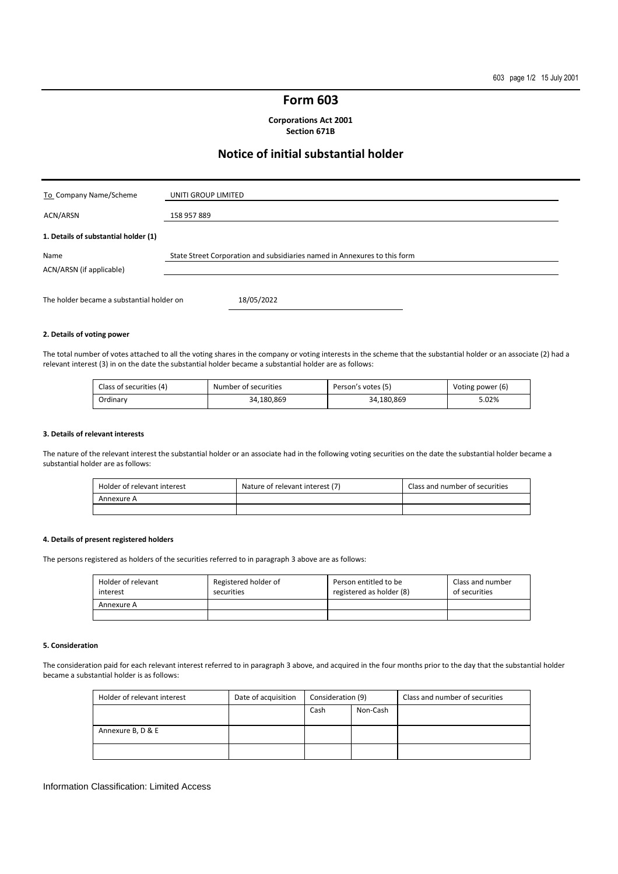# **Form 603**

**Corporations Act 2001 Section 671B** 

# **Notice of initial substantial holder**

| To Company Name/Scheme                    | UNITI GROUP LIMITED                                                       |
|-------------------------------------------|---------------------------------------------------------------------------|
| ACN/ARSN                                  | 158 957 889                                                               |
| 1. Details of substantial holder (1)      |                                                                           |
| Name<br>ACN/ARSN (if applicable)          | State Street Corporation and subsidiaries named in Annexures to this form |
| The holder became a substantial holder on | 18/05/2022                                                                |

## **2. Details of voting power**

The total number of votes attached to all the voting shares in the company or voting interests in the scheme that the substantial holder or an associate (2) had a relevant interest (3) in on the date the substantial holder became a substantial holder are as follows:

| Class of securities (4) | Number of securities | Person's votes (5) | Voting power (6) |
|-------------------------|----------------------|--------------------|------------------|
| Ordinary                | 34.180.869           | 34.180.869         | 5.02%            |

### **3. Details of relevant interests**

The nature of the relevant interest the substantial holder or an associate had in the following voting securities on the date the substantial holder became a substantial holder are as follows:

| Holder of relevant interest | Nature of relevant interest (7) | Class and number of securities |
|-----------------------------|---------------------------------|--------------------------------|
| Annexure A                  |                                 |                                |
|                             |                                 |                                |

# **4. Details of present registered holders**

The persons registered as holders of the securities referred to in paragraph 3 above are as follows:

| Holder of relevant<br>interest | Registered holder of<br>securities | Person entitled to be<br>registered as holder (8) | Class and number<br>of securities |
|--------------------------------|------------------------------------|---------------------------------------------------|-----------------------------------|
| Annexure A                     |                                    |                                                   |                                   |
|                                |                                    |                                                   |                                   |

### **5. Consideration**

The consideration paid for each relevant interest referred to in paragraph 3 above, and acquired in the four months prior to the day that the substantial holder became a substantial holder is as follows:

| Holder of relevant interest | Date of acquisition | Consideration (9) |          | Class and number of securities |
|-----------------------------|---------------------|-------------------|----------|--------------------------------|
|                             |                     | Cash              | Non-Cash |                                |
|                             |                     |                   |          |                                |
| Annexure B, D & E           |                     |                   |          |                                |
|                             |                     |                   |          |                                |

### Information Classification: Limited Access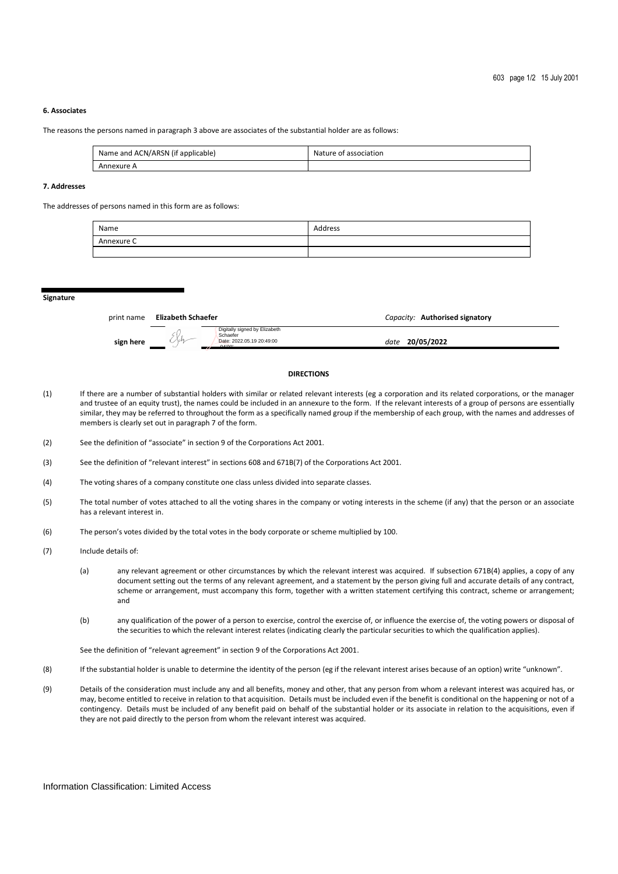# **6. Associates**

The reasons the persons named in paragraph 3 above are associates of the substantial holder are as follows:

| Name and ACN/ARSN (if applicable) | Nature of association |
|-----------------------------------|-----------------------|
| Annexure A                        |                       |

# **7. Addresses**

The addresses of persons named in this form are as follows:

| Name       | Address |
|------------|---------|
| Annexure C |         |
|            |         |

#### **Signature**

| print name | Elizabeth Schaefer                                                                       | Capacity: Authorised signatory |
|------------|------------------------------------------------------------------------------------------|--------------------------------|
| sign here  | Digitally signed by Elizabeth<br>Schaefer<br>1 M<br>Date: 2022.05.19 20:49:00<br>0.41001 | date 20/05/2022                |

#### **DIRECTIONS**

- (1) If there are a number of substantial holders with similar or related relevant interests (eg a corporation and its related corporations, or the manager and trustee of an equity trust), the names could be included in an annexure to the form. If the relevant interests of a group of persons are essentially similar, they may be referred to throughout the form as a specifically named group if the membership of each group, with the names and addresses of members is clearly set out in paragraph 7 of the form.
- (2) See the definition of "associate" in section 9 of the Corporations Act 2001.
- (3) See the definition of "relevant interest" in sections 608 and 671B(7) of the Corporations Act 2001.
- (4) The voting shares of a company constitute one class unless divided into separate classes.
- (5) The total number of votes attached to all the voting shares in the company or voting interests in the scheme (if any) that the person or an associate has a relevant interest in.
- (6) The person's votes divided by the total votes in the body corporate or scheme multiplied by 100.
- (7) Include details of:
	- (a) any relevant agreement or other circumstances by which the relevant interest was acquired. If subsection 671B(4) applies, a copy of any document setting out the terms of any relevant agreement, and a statement by the person giving full and accurate details of any contract, scheme or arrangement, must accompany this form, together with a written statement certifying this contract, scheme or arrangement; and
	- (b) any qualification of the power of a person to exercise, control the exercise of, or influence the exercise of, the voting powers or disposal of the securities to which the relevant interest relates (indicating clearly the particular securities to which the qualification applies).

See the definition of "relevant agreement" in section 9 of the Corporations Act 2001.

- (8) If the substantial holder is unable to determine the identity of the person (eg if the relevant interest arises because of an option) write "unknown".
- (9) Details of the consideration must include any and all benefits, money and other, that any person from whom a relevant interest was acquired has, or may, become entitled to receive in relation to that acquisition. Details must be included even if the benefit is conditional on the happening or not of a contingency. Details must be included of any benefit paid on behalf of the substantial holder or its associate in relation to the acquisitions, even if they are not paid directly to the person from whom the relevant interest was acquired.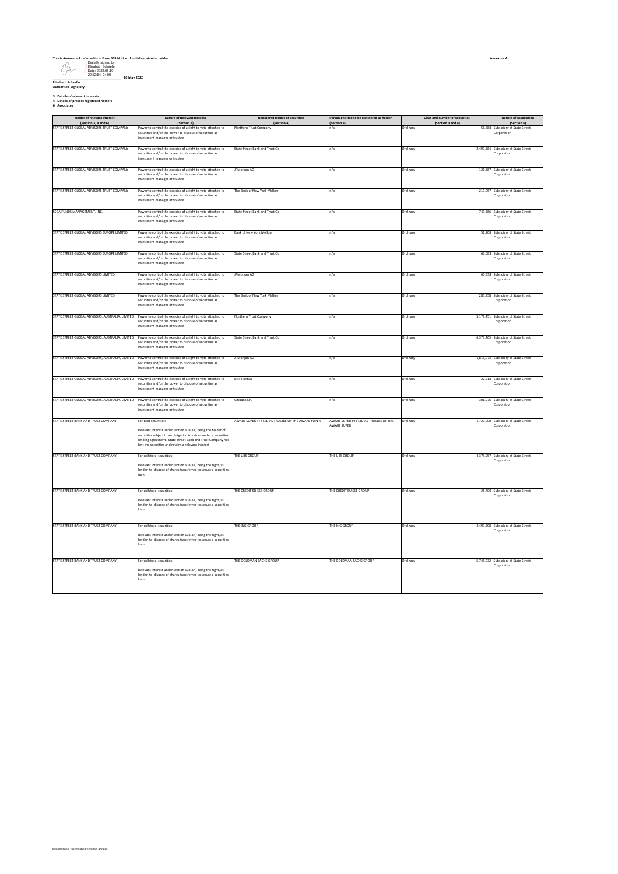|                             |                                                                                   | This is Annexure A referred to in Form 603 Notice of initial substantial holder |
|-----------------------------|-----------------------------------------------------------------------------------|---------------------------------------------------------------------------------|
|                             | Digitally signed by<br>Elizabeth Schaefer<br>Date: 2022.05.19<br>20:52:54 -04:00" | 20 May 2022                                                                     |
| <b>Elizabeth Schaefer</b>   |                                                                                   |                                                                                 |
| <b>Authorised Signatory</b> |                                                                                   |                                                                                 |

**3. Details of relevant interests 4. Details of present registered holders 6. Associates**

|  | 6. Associates<br>. |  |  |
|--|--------------------|--|--|
|--|--------------------|--|--|

| Holder of relevant interest                                        | <b>Nature of Relevant Interest</b>                                                    | <b>Registered Holder of securities</b>            | Person Entitled to be registered as holder | Class and number of Securities |           | <b>Nature of Association</b>                        |
|--------------------------------------------------------------------|---------------------------------------------------------------------------------------|---------------------------------------------------|--------------------------------------------|--------------------------------|-----------|-----------------------------------------------------|
| (Section 3, 4 and 6)<br>STATE STREET GLOBAL ADVISORS TRUST COMPANY | (Section 3)<br>ower to control the exercise of a right to vote attached to            | (Section 4)                                       | (Section 4)                                | (Section 3 and 4)<br>Ordinary  | 56,388    | (Section 6)                                         |
|                                                                    |                                                                                       | Northern Trust Company                            | n/a                                        |                                |           | Subsidiary of State Street                          |
|                                                                    | ecurities and/or the power to dispose of securities as                                |                                                   |                                            |                                |           | Corporation                                         |
|                                                                    | westment manager or trustee                                                           |                                                   |                                            |                                |           |                                                     |
|                                                                    |                                                                                       |                                                   |                                            |                                |           |                                                     |
| STATE STREET GLOBAL ADVISORS TRUST COMPANY                         | ower to control the exercise of a right to vote attached to                           | State Street Bank and Trust Co.                   | n/a                                        | Ordinary                       |           | 2.499.884 Subsidiary of State Street                |
|                                                                    | ecurities and/or the power to dispose of securities as                                |                                                   |                                            |                                |           | Corporation                                         |
|                                                                    | nvestment manager or trustee                                                          |                                                   |                                            |                                |           |                                                     |
|                                                                    |                                                                                       |                                                   |                                            |                                |           |                                                     |
|                                                                    |                                                                                       |                                                   |                                            |                                |           |                                                     |
| STATE STREET GLOBAL ADVISORS TRUST COMPANY                         | ower to control the exercise of a right to vote attached to                           | JPMorgan AG                                       | n/a                                        | Ordinary                       |           | 121,887 Subsidiary of State Street                  |
|                                                                    | ecurities and/or the power to dispose of securities as                                |                                                   |                                            |                                |           | Corporation                                         |
|                                                                    | westment manager or trustee                                                           |                                                   |                                            |                                |           |                                                     |
|                                                                    |                                                                                       |                                                   |                                            |                                |           |                                                     |
| STATE STREET GLOBAL ADVISORS TRUST COMPANY                         | ower to control the exercise of a right to vote attached to                           | The Bank of New York Mellon                       | n/a                                        | Ordinary                       | 219,057   | Subsidiary of State Street                          |
|                                                                    | ecurities and/or the power to dispose of securities as                                |                                                   |                                            |                                |           | Corporation                                         |
|                                                                    | westment manager or trustee                                                           |                                                   |                                            |                                |           |                                                     |
|                                                                    |                                                                                       |                                                   |                                            |                                |           |                                                     |
| SSGA FUNDS MANAGEMENT, INC.                                        | ower to control the exercise of a right to vote attached to                           | State Street Bank and Trust Co                    | n/a                                        | Ordinary                       | 749,686   | Subsidiary of State Street                          |
|                                                                    | ecurities and/or the power to dispose of securities as                                |                                                   |                                            |                                |           | Corporation                                         |
|                                                                    | vestment manager or trustee                                                           |                                                   |                                            |                                |           |                                                     |
|                                                                    |                                                                                       |                                                   |                                            |                                |           |                                                     |
|                                                                    |                                                                                       |                                                   |                                            |                                |           |                                                     |
| STATE STREET GLOBAL ADVISORS EUROPE LIMITED                        | ower to control the exercise of a right to vote attached to                           | Bank of New York Mellon                           | n/a                                        | Ordinary                       | 51,208    | Subsidiary of State Street                          |
|                                                                    | ecurities and/or the power to dispose of securities as                                |                                                   |                                            |                                |           | Corporation                                         |
|                                                                    | westment manager or trustee                                                           |                                                   |                                            |                                |           |                                                     |
|                                                                    |                                                                                       |                                                   |                                            |                                |           |                                                     |
| STATE STREET GLOBAL ADVISORS EUROPE LIMITED                        | ower to control the exercise of a right to vote attached to                           | State Street Bank and Trust Co                    | n/a                                        | Ordinary                       | 66,583    | Subsidiary of State Street                          |
|                                                                    | ecurities and/or the power to dispose of securities as                                |                                                   |                                            |                                |           | Corporation                                         |
|                                                                    | nvestment manager or trustee                                                          |                                                   |                                            |                                |           |                                                     |
|                                                                    |                                                                                       |                                                   |                                            |                                |           |                                                     |
| STATE STREET GLOBAL ADVISORS LIMITED                               |                                                                                       |                                                   |                                            |                                |           |                                                     |
|                                                                    | Power to control the exercise of a right to vote attached to                          | <b>JPMorgan AG</b>                                | n/a                                        | Ordinary                       |           | 60.338 Subsidiary of State Street                   |
|                                                                    | ecurities and/or the power to dispose of securities as                                |                                                   |                                            |                                |           | Corporation                                         |
|                                                                    | westment manager or trustee                                                           |                                                   |                                            |                                |           |                                                     |
|                                                                    |                                                                                       |                                                   |                                            |                                |           |                                                     |
| STATE STREET GLOBAL ADVISORS LIMITED                               | ower to control the exercise of a right to yote attached to                           | The Bank of New York Mellon                       | n/a                                        | Ordinary                       |           | 285.958 Subsidiary of State Street                  |
|                                                                    | ecurities and/or the power to dispose of securities as                                |                                                   |                                            |                                |           | Corporation                                         |
|                                                                    | nvestment manager or trustee                                                          |                                                   |                                            |                                |           |                                                     |
|                                                                    |                                                                                       |                                                   |                                            |                                |           |                                                     |
|                                                                    |                                                                                       |                                                   |                                            |                                |           |                                                     |
| STATE STREET GLOBAL ADVISORS, AUSTRALIA, LIMITED                   | Power to control the exercise of a right to vote attached to                          | Northern Trust Company                            | n/a                                        | Ordinary                       |           | 5,179,451 Subsidiary of State Street                |
|                                                                    | ecurities and/or the power to dispose of securities as                                |                                                   |                                            |                                |           | Corporation                                         |
|                                                                    | vestment manager or trustee                                                           |                                                   |                                            |                                |           |                                                     |
|                                                                    |                                                                                       |                                                   |                                            |                                |           |                                                     |
| STATE STREET GLOBAL ADVISORS, AUSTRALIA, LIMITED                   | Power to control the exercise of a right to vote attached to                          | State Street Bank and Trust Co                    | n/a                                        | Ordinary                       |           | 6,373,465 Subsidiary of State Street                |
|                                                                    | ecurities and/or the power to dispose of securities as                                |                                                   |                                            |                                |           | Corporation                                         |
|                                                                    | nvestment manager or trustee                                                          |                                                   |                                            |                                |           |                                                     |
|                                                                    |                                                                                       |                                                   |                                            |                                |           |                                                     |
| STATE STREET GLOBAL ADVISORS, AUSTRALIA, LIMITED                   | Power to control the exercise of a right to vote attached to                          | <b>PMorgan AG</b>                                 | n/a                                        | Ordinary                       | 1,813,073 | Subsidiary of State Street                          |
|                                                                    |                                                                                       |                                                   |                                            |                                |           |                                                     |
|                                                                    | ecurities and/or the power to dispose of securities as<br>vestment manager or trustee |                                                   |                                            |                                |           | Corporation                                         |
|                                                                    |                                                                                       |                                                   |                                            |                                |           |                                                     |
|                                                                    |                                                                                       |                                                   |                                            |                                |           |                                                     |
| STATE STREET GLOBAL ADVISORS, AUSTRALIA, LIMITED                   | Power to control the exercise of a right to vote attached to                          | <b>BNP Paribas</b>                                | n/a                                        | Ordinary                       |           | 22,718 Subsidiary of State Street                   |
|                                                                    | ecurities and/or the power to dispose of securities as                                |                                                   |                                            |                                |           | Corporation                                         |
|                                                                    | nvestment manager or trustee                                                          |                                                   |                                            |                                |           |                                                     |
|                                                                    |                                                                                       |                                                   |                                            |                                |           |                                                     |
| STATE STREET GLOBAL ADVISORS, AUSTRALIA, LIMITED                   | ower to control the exercise of a right to vote attached to                           | Citibank NA                                       | n/a                                        | Ordinary                       |           | 301,976 Subsidiary of State Street                  |
|                                                                    | ecurities and/or the power to dispose of securities as                                |                                                   |                                            |                                |           |                                                     |
|                                                                    | nvestment manager or trustee                                                          |                                                   |                                            |                                |           | Corporation                                         |
|                                                                    |                                                                                       |                                                   |                                            |                                |           |                                                     |
|                                                                    |                                                                                       |                                                   |                                            |                                |           |                                                     |
| STATE STREET BANK AND TRUST COMPANY                                | For Lent securities:                                                                  | AWARE SUPER PTY LTD AS TRUSTEE OF THE AWARE SUPER | AWARE SUPER PTY LTD AS TRUSTEE OF THE      | Ordinary                       |           | 1.727.000 Subsidiary of State Street                |
|                                                                    |                                                                                       |                                                   | <b>AWARE SUPER</b>                         |                                |           | Corporation                                         |
|                                                                    | Relevant interest under section 608(8A) being the holder of                           |                                                   |                                            |                                |           |                                                     |
|                                                                    | ecurities subject to an obligation to return under a securities                       |                                                   |                                            |                                |           |                                                     |
|                                                                    | ending agreement. State Street Bank and Trust Company has                             |                                                   |                                            |                                |           |                                                     |
|                                                                    |                                                                                       |                                                   |                                            |                                |           |                                                     |
|                                                                    | ent the securities and retains a relevant interest                                    |                                                   |                                            |                                |           |                                                     |
|                                                                    |                                                                                       |                                                   |                                            |                                |           |                                                     |
|                                                                    |                                                                                       |                                                   |                                            |                                |           |                                                     |
| STATE STREET BANK AND TRUST COMPANY                                | For collateral securities:                                                            | THE UBS GROUP                                     | THE UBS GROUP                              | Ordinary                       |           | 4.378.957 Subsidiary of State Street                |
|                                                                    |                                                                                       |                                                   |                                            |                                |           | Corporation                                         |
|                                                                    | Relevant interest under section 608(8A) being the right, as                           |                                                   |                                            |                                |           |                                                     |
|                                                                    | ender, to dispose of shares transferred to secure a securities                        |                                                   |                                            |                                |           |                                                     |
|                                                                    | oan                                                                                   |                                                   |                                            |                                |           |                                                     |
|                                                                    |                                                                                       |                                                   |                                            |                                |           |                                                     |
|                                                                    |                                                                                       |                                                   |                                            |                                |           |                                                     |
| STATE STREET BANK AND TRUST COMPANY                                | For collateral securities:                                                            | THE CREDIT SUISSE GROUP                           | THE CREDIT SUISSE GROUP                    | Ordinary                       |           | 25,400 Subsidiary of State Street                   |
|                                                                    |                                                                                       |                                                   |                                            |                                |           | Corporation                                         |
|                                                                    | Relevant interest under section 608(8A) being the right, as                           |                                                   |                                            |                                |           |                                                     |
|                                                                    | ender, to dispose of shares transferred to secure a securities                        |                                                   |                                            |                                |           |                                                     |
|                                                                    | oan                                                                                   |                                                   |                                            |                                |           |                                                     |
|                                                                    |                                                                                       |                                                   |                                            |                                |           |                                                     |
|                                                                    |                                                                                       |                                                   |                                            |                                |           |                                                     |
|                                                                    |                                                                                       |                                                   |                                            |                                |           |                                                     |
| STATE STREET BANK AND TRUST COMPANY                                | For collateral securities:                                                            | THE ING GROUP                                     | THE ING GROUP                              | Ordinary                       |           | 4,499,808 Subsidiary of State Street<br>Corporation |
|                                                                    |                                                                                       |                                                   |                                            |                                |           |                                                     |
|                                                                    | Relevant interest under section 608(8A) being the right, as                           |                                                   |                                            |                                |           |                                                     |
|                                                                    | ender, to dispose of shares transferred to secure a securities<br>oan                 |                                                   |                                            |                                |           |                                                     |
|                                                                    |                                                                                       |                                                   |                                            |                                |           |                                                     |
|                                                                    |                                                                                       |                                                   |                                            |                                |           |                                                     |
|                                                                    |                                                                                       |                                                   |                                            |                                |           |                                                     |
| STATE STREET BANK AND TRUST COMPANY                                | For collateral securities:                                                            | THE GOLDMAN SACHS GROUP                           | THE GOLDMAN SACHS GROUP                    | Ordinary                       |           | 5,748,032 Subsidiary of State Street                |
|                                                                    |                                                                                       |                                                   |                                            |                                |           | Corporation                                         |
|                                                                    | Relevant interest under section 608(8A) being the right, as                           |                                                   |                                            |                                |           |                                                     |
|                                                                    | ender, to dispose of shares transferred to secure a securities                        |                                                   |                                            |                                |           |                                                     |
|                                                                    |                                                                                       |                                                   |                                            |                                |           |                                                     |
|                                                                    |                                                                                       |                                                   |                                            |                                |           |                                                     |

**Annexure A**

Information Classification: Limited Access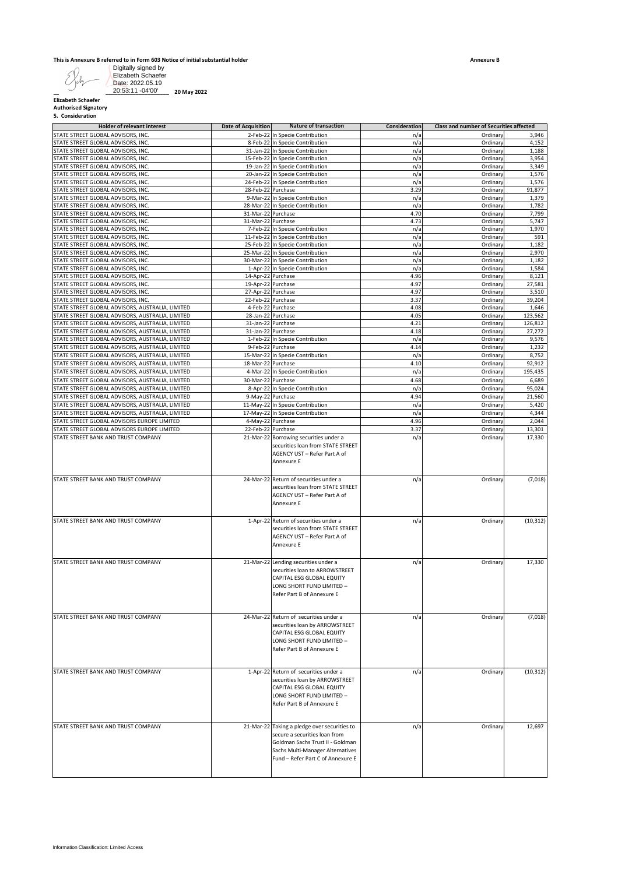#### **This is Annexure B referred to in Form 603 Notice of initial substantial holder**

| <b>Holder of relevant interest</b><br>STATE STREET GLOBAL ADVISORS, INC.                             | <b>Date of Acquisition</b>               | <b>Nature of transaction</b><br>2-Feb-22 In Specie Contribution                                                                                                                            | Consideration<br>n/a | Class and number of Securities affected<br>Ordinary | 3,946            |
|------------------------------------------------------------------------------------------------------|------------------------------------------|--------------------------------------------------------------------------------------------------------------------------------------------------------------------------------------------|----------------------|-----------------------------------------------------|------------------|
| STATE STREET GLOBAL ADVISORS, INC.                                                                   |                                          | 8-Feb-22 In Specie Contribution                                                                                                                                                            | n/a                  | Ordinary                                            | 4,152            |
| STATE STREET GLOBAL ADVISORS, INC.<br>STATE STREET GLOBAL ADVISORS, INC.                             |                                          | 31-Jan-22 In Specie Contribution<br>15-Feb-22 In Specie Contribution                                                                                                                       | n/a<br>n/a           | Ordinary<br>Ordinary                                | 1,188<br>3,954   |
| STATE STREET GLOBAL ADVISORS, INC.                                                                   |                                          | 19-Jan-22 In Specie Contribution                                                                                                                                                           | n/a                  | Ordinary                                            | 3,349            |
| STATE STREET GLOBAL ADVISORS, INC.                                                                   |                                          | 20-Jan-22 In Specie Contribution                                                                                                                                                           | n/a                  | Ordinary                                            | 1,576            |
| STATE STREET GLOBAL ADVISORS, INC.<br>STATE STREET GLOBAL ADVISORS, INC.                             | 28-Feb-22 Purchase                       | 24-Feb-22 In Specie Contribution                                                                                                                                                           | n/a<br>3.29          | Ordinary<br>Ordinary                                | 1,576<br>91,877  |
| STATE STREET GLOBAL ADVISORS, INC.                                                                   |                                          | 9-Mar-22 In Specie Contribution                                                                                                                                                            | n/a                  | Ordinary                                            | 1,379            |
| STATE STREET GLOBAL ADVISORS, INC.                                                                   |                                          | 28-Mar-22 In Specie Contribution                                                                                                                                                           | n/a                  | Ordinary                                            | 1,782            |
| STATE STREET GLOBAL ADVISORS, INC.<br>STATE STREET GLOBAL ADVISORS, INC.                             | 31-Mar-22 Purchase<br>31-Mar-22 Purchase |                                                                                                                                                                                            | 4.70<br>4.73         | Ordinary<br>Ordinary                                | 7,799<br>5,747   |
| STATE STREET GLOBAL ADVISORS, INC.                                                                   |                                          | 7-Feb-22 In Specie Contribution                                                                                                                                                            | n/a                  | Ordinary                                            | 1,970            |
| STATE STREET GLOBAL ADVISORS, INC.                                                                   |                                          | 11-Feb-22 In Specie Contribution                                                                                                                                                           | n/a                  | Ordinary                                            | 591              |
| STATE STREET GLOBAL ADVISORS, INC.<br>STATE STREET GLOBAL ADVISORS, INC.                             |                                          | 25-Feb-22 In Specie Contribution<br>25-Mar-22 In Specie Contribution                                                                                                                       | n/a<br>n/a           | Ordinary<br>Ordinary                                | 1,182<br>2,970   |
| STATE STREET GLOBAL ADVISORS, INC.                                                                   |                                          | 30-Mar-22 In Specie Contribution                                                                                                                                                           | n/a                  | Ordinary                                            | 1,182            |
| STATE STREET GLOBAL ADVISORS, INC.                                                                   |                                          | 1-Apr-22 In Specie Contribution                                                                                                                                                            | n/a                  | Ordinary                                            | 1,584            |
| STATE STREET GLOBAL ADVISORS, INC.<br>STATE STREET GLOBAL ADVISORS, INC.                             | 14-Apr-22 Purchase<br>19-Apr-22 Purchase |                                                                                                                                                                                            | 4.96<br>4.97         | Ordinary<br>Ordinary                                | 8,121<br>27,581  |
| STATE STREET GLOBAL ADVISORS, INC.                                                                   | 27-Apr-22 Purchase                       |                                                                                                                                                                                            | 4.97                 | Ordinary                                            | 3,510            |
| STATE STREET GLOBAL ADVISORS, INC.                                                                   | 22-Feb-22 Purchase                       |                                                                                                                                                                                            | 3.37                 | Ordinary                                            | 39,204           |
| STATE STREET GLOBAL ADVISORS, AUSTRALIA, LIMITED<br>STATE STREET GLOBAL ADVISORS, AUSTRALIA, LIMITED | 4-Feb-22 Purchase<br>28-Jan-22 Purchase  |                                                                                                                                                                                            | 4.08<br>4.05         | Ordinary<br>Ordinary                                | 1,646<br>123,562 |
| STATE STREET GLOBAL ADVISORS, AUSTRALIA, LIMITED                                                     | 31-Jan-22 Purchase                       |                                                                                                                                                                                            | 4.21                 | Ordinary                                            | 126,812          |
| STATE STREET GLOBAL ADVISORS, AUSTRALIA, LIMITED                                                     | 31-Jan-22 Purchase                       |                                                                                                                                                                                            | 4.18                 | Ordinary                                            | 27,272           |
| STATE STREET GLOBAL ADVISORS, AUSTRALIA, LIMITED<br>STATE STREET GLOBAL ADVISORS, AUSTRALIA, LIMITED | 9-Feb-22 Purchase                        | 1-Feb-22 In Specie Contribution                                                                                                                                                            | n/a<br>4.14          | Ordinary<br>Ordinary                                | 9,576<br>1,232   |
| STATE STREET GLOBAL ADVISORS, AUSTRALIA, LIMITED                                                     |                                          | 15-Mar-22 In Specie Contribution                                                                                                                                                           | n/a                  | Ordinary                                            | 8,752            |
| STATE STREET GLOBAL ADVISORS, AUSTRALIA, LIMITED                                                     | 18-Mar-22 Purchase                       |                                                                                                                                                                                            | 4.10                 | Ordinary                                            | 92,912           |
| STATE STREET GLOBAL ADVISORS, AUSTRALIA, LIMITED                                                     |                                          | 4-Mar-22 In Specie Contribution                                                                                                                                                            | n/a                  | Ordinary                                            | 195,435          |
| STATE STREET GLOBAL ADVISORS, AUSTRALIA, LIMITED<br>STATE STREET GLOBAL ADVISORS, AUSTRALIA, LIMITED | 30-Mar-22 Purchase                       | 8-Apr-22 In Specie Contribution                                                                                                                                                            | 4.68<br>n/a          | Ordinary<br>Ordinary                                | 6,689<br>95,024  |
| STATE STREET GLOBAL ADVISORS, AUSTRALIA, LIMITED                                                     | 9-May-22 Purchase                        |                                                                                                                                                                                            | 4.94                 | Ordinary                                            | 21,560           |
| STATE STREET GLOBAL ADVISORS, AUSTRALIA, LIMITED                                                     |                                          | 11-May-22 In Specie Contribution                                                                                                                                                           | n/a                  | Ordinary                                            | 5,420            |
| STATE STREET GLOBAL ADVISORS, AUSTRALIA, LIMITED                                                     |                                          | 17-May-22 In Specie Contribution                                                                                                                                                           | n/a                  | Ordinary                                            | 4,344            |
| STATE STREET GLOBAL ADVISORS EUROPE LIMITED<br>STATE STREET GLOBAL ADVISORS EUROPE LIMITED           | 4-May-22 Purchase<br>22-Feb-22 Purchase  |                                                                                                                                                                                            | 4.96<br>3.37         | Ordinary<br>Ordinary                                | 2,044<br>13,301  |
| STATE STREET BANK AND TRUST COMPANY                                                                  |                                          | 21-Mar-22 Borrowing securities under a<br>securities loan from STATE STREET<br>AGENCY UST - Refer Part A of<br>Annexure E                                                                  | n/a                  | Ordinary                                            | 17,330           |
| STATE STREET BANK AND TRUST COMPANY                                                                  |                                          | 24-Mar-22 Return of securities under a<br>securities loan from STATE STREET<br>AGENCY UST - Refer Part A of<br>Annexure E                                                                  | n/a                  | Ordinary                                            | (7,018)          |
| STATE STREET BANK AND TRUST COMPANY                                                                  |                                          | 1-Apr-22 Return of securities under a<br>securities loan from STATE STREET<br>AGENCY UST - Refer Part A of<br>Annexure E                                                                   | n/a                  | Ordinary                                            | (10, 312)        |
| STATE STREET BANK AND TRUST COMPANY                                                                  |                                          | 21-Mar-22 Lending securities under a<br>securities loan to ARROWSTREET<br>CAPITAL ESG GLOBAL EQUITY<br>LONG SHORT FUND LIMITED -<br>Refer Part B of Annexure E                             | n/a                  | Ordinary                                            | 17,330           |
| STATE STREET BANK AND TRUST COMPANY                                                                  |                                          | 24-Mar-22 Return of securities under a<br>securities loan by ARROWSTREET<br>CAPITAL ESG GLOBAL EQUITY<br>LONG SHORT FUND LIMITED -<br>Refer Part B of Annexure E                           | n/a                  | Ordinary                                            | (7,018)          |
| STATE STREET BANK AND TRUST COMPANY                                                                  |                                          | 1-Apr-22 Return of securities under a<br>securities loan by ARROWSTREET<br>CAPITAL ESG GLOBAL EQUITY<br>LONG SHORT FUND LIMITED -<br>Refer Part B of Annexure E                            | n/a                  | Ordinary                                            | (10, 312)        |
| STATE STREET BANK AND TRUST COMPANY                                                                  |                                          | 21-Mar-22 Taking a pledge over securities to<br>secure a securities loan from<br>Goldman Sachs Trust II - Goldman<br>Sachs Multi-Manager Alternatives<br>Fund - Refer Part C of Annexure E | n/a                  | Ordinary                                            | 12,697           |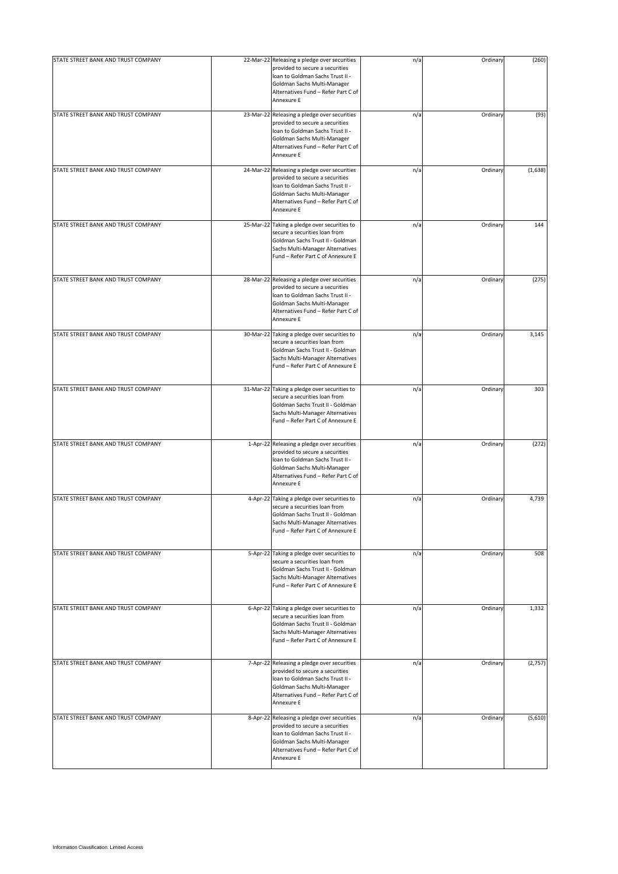| STATE STREET BANK AND TRUST COMPANY | 22-Mar-22 Releasing a pledge over securities<br>provided to secure a securities<br>Ioan to Goldman Sachs Trust II -<br>Goldman Sachs Multi-Manager<br>Alternatives Fund - Refer Part C of<br>Annexure E | n/a | Ordinary | (260)   |
|-------------------------------------|---------------------------------------------------------------------------------------------------------------------------------------------------------------------------------------------------------|-----|----------|---------|
| STATE STREET BANK AND TRUST COMPANY | 23-Mar-22 Releasing a pledge over securities<br>provided to secure a securities<br>Ioan to Goldman Sachs Trust II -<br>Goldman Sachs Multi-Manager<br>Alternatives Fund - Refer Part C of<br>Annexure E | n/a | Ordinary | (93)    |
| STATE STREET BANK AND TRUST COMPANY | 24-Mar-22 Releasing a pledge over securities<br>provided to secure a securities<br>Ioan to Goldman Sachs Trust II -<br>Goldman Sachs Multi-Manager<br>Alternatives Fund - Refer Part C of<br>Annexure E | n/a | Ordinary | (1,638) |
| STATE STREET BANK AND TRUST COMPANY | 25-Mar-22 Taking a pledge over securities to<br>secure a securities loan from<br>Goldman Sachs Trust II - Goldman<br>Sachs Multi-Manager Alternatives<br>Fund - Refer Part C of Annexure E              | n/a | Ordinary | 144     |
| STATE STREET BANK AND TRUST COMPANY | 28-Mar-22 Releasing a pledge over securities<br>provided to secure a securities<br>Ioan to Goldman Sachs Trust II -<br>Goldman Sachs Multi-Manager<br>Alternatives Fund - Refer Part C of<br>Annexure E | n/a | Ordinary | (275)   |
| STATE STREET BANK AND TRUST COMPANY | 30-Mar-22 Taking a pledge over securities to<br>secure a securities loan from<br>Goldman Sachs Trust II - Goldman<br>Sachs Multi-Manager Alternatives<br>Fund - Refer Part C of Annexure E              | n/a | Ordinary | 3,145   |
| STATE STREET BANK AND TRUST COMPANY | 31-Mar-22 Taking a pledge over securities to<br>secure a securities loan from<br>Goldman Sachs Trust II - Goldman<br>Sachs Multi-Manager Alternatives<br>Fund - Refer Part C of Annexure E              | n/a | Ordinary | 303     |
| STATE STREET BANK AND TRUST COMPANY | 1-Apr-22 Releasing a pledge over securities<br>provided to secure a securities<br>Ioan to Goldman Sachs Trust II -<br>Goldman Sachs Multi-Manager<br>Alternatives Fund - Refer Part C of<br>Annexure E  | n/a | Ordinary | (272)   |
| STATE STREET BANK AND TRUST COMPANY | 4-Apr-22 Taking a pledge over securities to<br>secure a securities loan from<br>Goldman Sachs Trust II - Goldman<br>Sachs Multi-Manager Alternatives<br>Fund - Refer Part C of Annexure E               | n/a | Ordinary | 4,739   |
| STATE STREET BANK AND TRUST COMPANY | 5-Apr-22 Taking a pledge over securities to<br>secure a securities loan from<br>Goldman Sachs Trust II - Goldman<br>Sachs Multi-Manager Alternatives<br>Fund - Refer Part C of Annexure E               | n/a | Ordinary | 508     |
| STATE STREET BANK AND TRUST COMPANY | 6-Apr-22 Taking a pledge over securities to<br>secure a securities loan from<br>Goldman Sachs Trust II - Goldman<br>Sachs Multi-Manager Alternatives<br>Fund - Refer Part C of Annexure E               | n/a | Ordinary | 1,332   |
| STATE STREET BANK AND TRUST COMPANY | 7-Apr-22 Releasing a pledge over securities<br>provided to secure a securities<br>Ioan to Goldman Sachs Trust II -<br>Goldman Sachs Multi-Manager<br>Alternatives Fund - Refer Part C of<br>Annexure E  | n/a | Ordinary | (2,757) |
| STATE STREET BANK AND TRUST COMPANY | 8-Apr-22 Releasing a pledge over securities<br>provided to secure a securities<br>Ioan to Goldman Sachs Trust II -<br>Goldman Sachs Multi-Manager<br>Alternatives Fund - Refer Part C of<br>Annexure E  | n/a | Ordinary | (5,610) |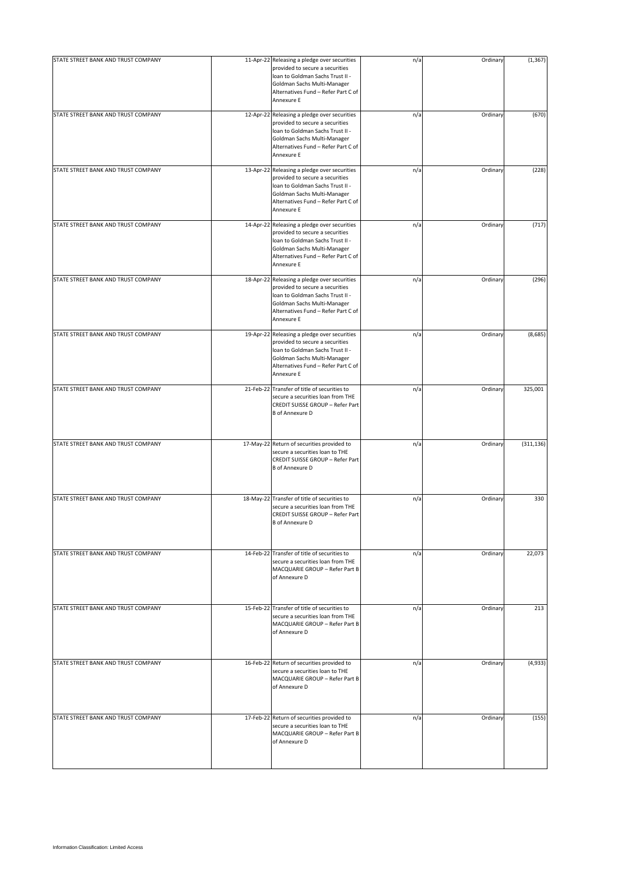| STATE STREET BANK AND TRUST COMPANY | 11-Apr-22 Releasing a pledge over securities<br>provided to secure a securities<br>Ioan to Goldman Sachs Trust II -<br>Goldman Sachs Multi-Manager<br>Alternatives Fund - Refer Part C of<br>Annexure E | n/a | Ordinary | (1, 367)   |
|-------------------------------------|---------------------------------------------------------------------------------------------------------------------------------------------------------------------------------------------------------|-----|----------|------------|
| STATE STREET BANK AND TRUST COMPANY | 12-Apr-22 Releasing a pledge over securities<br>provided to secure a securities<br>Ioan to Goldman Sachs Trust II -<br>Goldman Sachs Multi-Manager<br>Alternatives Fund - Refer Part C of<br>Annexure E | n/a | Ordinary | (670)      |
| STATE STREET BANK AND TRUST COMPANY | 13-Apr-22 Releasing a pledge over securities<br>provided to secure a securities<br>Ioan to Goldman Sachs Trust II -<br>Goldman Sachs Multi-Manager<br>Alternatives Fund - Refer Part C of<br>Annexure E | n/a | Ordinary | (228)      |
| STATE STREET BANK AND TRUST COMPANY | 14-Apr-22 Releasing a pledge over securities<br>provided to secure a securities<br>Ioan to Goldman Sachs Trust II -<br>Goldman Sachs Multi-Manager<br>Alternatives Fund - Refer Part C of<br>Annexure E | n/a | Ordinary | (717)      |
| STATE STREET BANK AND TRUST COMPANY | 18-Apr-22 Releasing a pledge over securities<br>provided to secure a securities<br>Ioan to Goldman Sachs Trust II -<br>Goldman Sachs Multi-Manager<br>Alternatives Fund - Refer Part C of<br>Annexure E | n/a | Ordinary | (296)      |
| STATE STREET BANK AND TRUST COMPANY | 19-Apr-22 Releasing a pledge over securities<br>provided to secure a securities<br>loan to Goldman Sachs Trust II -<br>Goldman Sachs Multi-Manager<br>Alternatives Fund - Refer Part C of<br>Annexure E | n/a | Ordinary | (8,685)    |
| STATE STREET BANK AND TRUST COMPANY | 21-Feb-22 Transfer of title of securities to<br>secure a securities loan from THE<br>CREDIT SUISSE GROUP - Refer Part<br><b>B</b> of Annexure D                                                         | n/a | Ordinary | 325,001    |
| STATE STREET BANK AND TRUST COMPANY | 17-May-22 Return of securities provided to<br>secure a securities loan to THE<br>CREDIT SUISSE GROUP - Refer Part<br><b>B</b> of Annexure D                                                             | n/a | Ordinary | (311, 136) |
| STATE STREET BANK AND TRUST COMPANY | 18-May-22 Transfer of title of securities to<br>secure a securities loan from THE<br>CREDIT SUISSE GROUP - Refer Part<br><b>B</b> of Annexure D                                                         | n/a | Ordinary | 330        |
| STATE STREET BANK AND TRUST COMPANY | 14-Feb-22 Transfer of title of securities to<br>secure a securities loan from THE<br>MACQUARIE GROUP - Refer Part B<br>of Annexure D                                                                    | n/a | Ordinary | 22,073     |
| STATE STREET BANK AND TRUST COMPANY | 15-Feb-22 Transfer of title of securities to<br>secure a securities loan from THE<br>MACQUARIE GROUP - Refer Part B<br>of Annexure D                                                                    | n/a | Ordinary | 213        |
| STATE STREET BANK AND TRUST COMPANY | 16-Feb-22 Return of securities provided to<br>secure a securities loan to THE<br>MACQUARIE GROUP - Refer Part B<br>of Annexure D                                                                        | n/a | Ordinary | (4,933)    |
| STATE STREET BANK AND TRUST COMPANY | 17-Feb-22 Return of securities provided to<br>secure a securities loan to THE<br>MACQUARIE GROUP - Refer Part B<br>of Annexure D                                                                        | n/a | Ordinary | (155)      |
|                                     |                                                                                                                                                                                                         |     |          |            |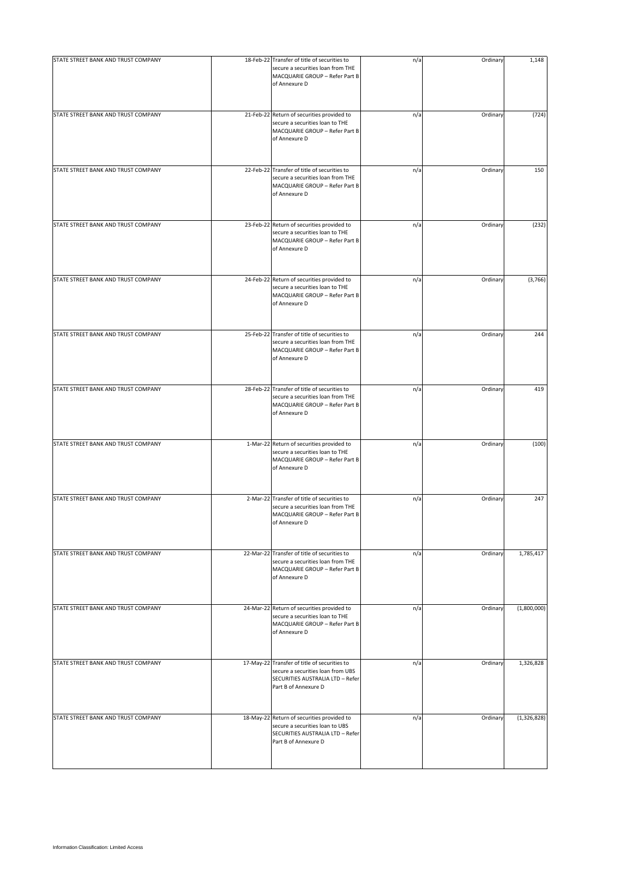| STATE STREET BANK AND TRUST COMPANY | 18-Feb-22 Transfer of title of securities to<br>secure a securities loan from THE<br>MACQUARIE GROUP - Refer Part B<br>of Annexure D          | n/a | Ordinary | 1,148       |
|-------------------------------------|-----------------------------------------------------------------------------------------------------------------------------------------------|-----|----------|-------------|
| STATE STREET BANK AND TRUST COMPANY | 21-Feb-22 Return of securities provided to<br>secure a securities loan to THE<br>MACQUARIE GROUP - Refer Part B<br>of Annexure D              | n/a | Ordinary | (724)       |
| STATE STREET BANK AND TRUST COMPANY | 22-Feb-22 Transfer of title of securities to<br>secure a securities loan from THE<br>MACQUARIE GROUP - Refer Part B<br>of Annexure D          | n/a | Ordinary | 150         |
| STATE STREET BANK AND TRUST COMPANY | 23-Feb-22 Return of securities provided to<br>secure a securities loan to THE<br>MACQUARIE GROUP - Refer Part B<br>of Annexure D              | n/a | Ordinary | (232)       |
| STATE STREET BANK AND TRUST COMPANY | 24-Feb-22 Return of securities provided to<br>secure a securities loan to THE<br>MACQUARIE GROUP - Refer Part B<br>of Annexure D              | n/a | Ordinary | (3,766)     |
| STATE STREET BANK AND TRUST COMPANY | 25-Feb-22 Transfer of title of securities to<br>secure a securities loan from THE<br>MACQUARIE GROUP - Refer Part B<br>of Annexure D          | n/a | Ordinary | 244         |
| STATE STREET BANK AND TRUST COMPANY | 28-Feb-22 Transfer of title of securities to<br>secure a securities loan from THE<br>MACQUARIE GROUP - Refer Part B<br>of Annexure D          | n/a | Ordinary | 419         |
| STATE STREET BANK AND TRUST COMPANY | 1-Mar-22 Return of securities provided to<br>secure a securities loan to THE<br>MACQUARIE GROUP - Refer Part B<br>of Annexure D               | n/a | Ordinary | (100)       |
| STATE STREET BANK AND TRUST COMPANY | 2-Mar-22 Transfer of title of securities to<br>secure a securities loan from THE<br>MACQUARIE GROUP - Refer Part B<br>of Annexure D           | n/a | Ordinary | 247         |
| STATE STREET BANK AND TRUST COMPANY | 22-Mar-22 Transfer of title of securities to<br>secure a securities loan from THE<br>MACQUARIE GROUP - Refer Part B<br>of Annexure D          | n/a | Ordinary | 1,785,417   |
| STATE STREET BANK AND TRUST COMPANY | 24-Mar-22 Return of securities provided to<br>secure a securities loan to THE<br>MACQUARIE GROUP - Refer Part B<br>of Annexure D              | n/a | Ordinary | (1,800,000) |
| STATE STREET BANK AND TRUST COMPANY | 17-May-22 Transfer of title of securities to<br>secure a securities loan from UBS<br>SECURITIES AUSTRALIA LTD - Refer<br>Part B of Annexure D | n/a | Ordinary | 1,326,828   |
| STATE STREET BANK AND TRUST COMPANY | 18-May-22 Return of securities provided to<br>secure a securities loan to UBS<br>SECURITIES AUSTRALIA LTD - Refer<br>Part B of Annexure D     | n/a | Ordinary | (1,326,828) |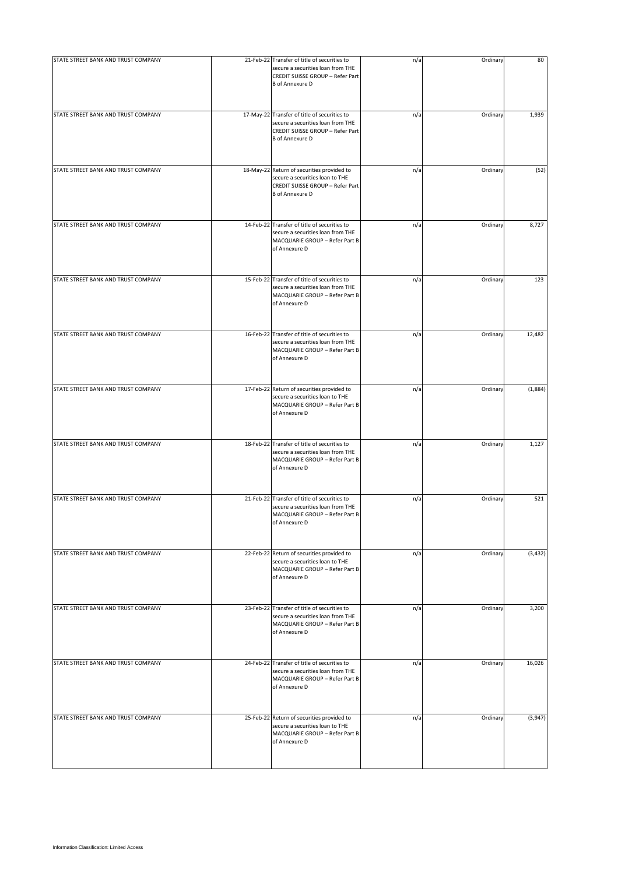| STATE STREET BANK AND TRUST COMPANY | 21-Feb-22 Transfer of title of securities to<br>secure a securities loan from THE<br>CREDIT SUISSE GROUP - Refer Part<br><b>B</b> of Annexure D | n/a | Ordinary | 80       |
|-------------------------------------|-------------------------------------------------------------------------------------------------------------------------------------------------|-----|----------|----------|
| STATE STREET BANK AND TRUST COMPANY | 17-May-22 Transfer of title of securities to<br>secure a securities loan from THE<br>CREDIT SUISSE GROUP - Refer Part<br><b>B</b> of Annexure D | n/a | Ordinary | 1,939    |
| STATE STREET BANK AND TRUST COMPANY | 18-May-22 Return of securities provided to<br>secure a securities loan to THE<br>CREDIT SUISSE GROUP - Refer Part<br><b>B</b> of Annexure D     | n/a | Ordinary | (52)     |
| STATE STREET BANK AND TRUST COMPANY | 14-Feb-22 Transfer of title of securities to<br>secure a securities loan from THE<br>MACQUARIE GROUP - Refer Part B<br>of Annexure D            | n/a | Ordinary | 8,727    |
| STATE STREET BANK AND TRUST COMPANY | 15-Feb-22 Transfer of title of securities to<br>secure a securities loan from THE<br>MACQUARIE GROUP - Refer Part B<br>of Annexure D            | n/a | Ordinary | 123      |
| STATE STREET BANK AND TRUST COMPANY | 16-Feb-22 Transfer of title of securities to<br>secure a securities loan from THE<br>MACQUARIE GROUP - Refer Part B<br>of Annexure D            | n/a | Ordinary | 12,482   |
| STATE STREET BANK AND TRUST COMPANY | 17-Feb-22 Return of securities provided to<br>secure a securities loan to THE<br>MACQUARIE GROUP - Refer Part B<br>of Annexure D                | n/a | Ordinary | (1,884)  |
| STATE STREET BANK AND TRUST COMPANY | 18-Feb-22 Transfer of title of securities to<br>secure a securities loan from THE<br>MACQUARIE GROUP - Refer Part B<br>of Annexure D            | n/a | Ordinary | 1,127    |
| STATE STREET BANK AND TRUST COMPANY | 21-Feb-22 Transfer of title of securities to<br>secure a securities loan from THE<br>MACQUARIE GROUP - Refer Part B<br>of Annexure D            | n/a | Ordinary | 521      |
| STATE STREET BANK AND TRUST COMPANY | 22-Feb-22 Return of securities provided to<br>secure a securities loan to THE<br>MACQUARIE GROUP - Refer Part B<br>of Annexure D                | n/a | Ordinary | (3, 432) |
| STATE STREET BANK AND TRUST COMPANY | 23-Feb-22 Transfer of title of securities to<br>secure a securities loan from THE<br>MACQUARIE GROUP - Refer Part B<br>of Annexure D            | n/a | Ordinary | 3,200    |
| STATE STREET BANK AND TRUST COMPANY | 24-Feb-22 Transfer of title of securities to<br>secure a securities loan from THE<br>MACQUARIE GROUP - Refer Part B<br>of Annexure D            | n/a | Ordinary | 16,026   |
| STATE STREET BANK AND TRUST COMPANY | 25-Feb-22 Return of securities provided to<br>secure a securities loan to THE<br>MACQUARIE GROUP - Refer Part B<br>of Annexure D                | n/a | Ordinary | (3,947)  |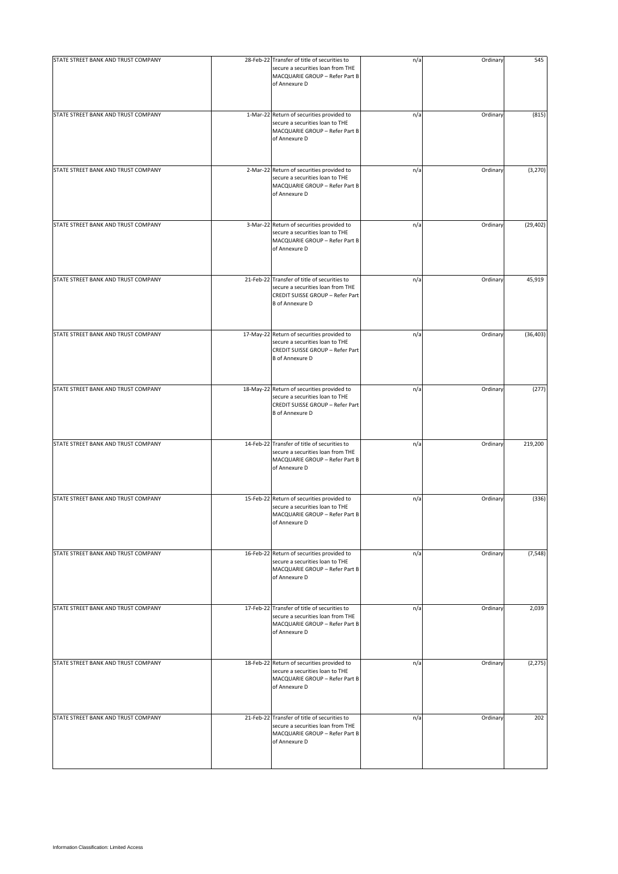| STATE STREET BANK AND TRUST COMPANY | 28-Feb-22 Transfer of title of securities to<br>secure a securities loan from THE<br>MACQUARIE GROUP - Refer Part B<br>of Annexure D            | n/a | Ordinary | 545       |
|-------------------------------------|-------------------------------------------------------------------------------------------------------------------------------------------------|-----|----------|-----------|
| STATE STREET BANK AND TRUST COMPANY | 1-Mar-22 Return of securities provided to<br>secure a securities loan to THE<br>MACQUARIE GROUP - Refer Part B<br>of Annexure D                 | n/a | Ordinary | (815)     |
| STATE STREET BANK AND TRUST COMPANY | 2-Mar-22 Return of securities provided to<br>secure a securities loan to THE<br>MACQUARIE GROUP - Refer Part B<br>of Annexure D                 | n/a | Ordinary | (3, 270)  |
| STATE STREET BANK AND TRUST COMPANY | 3-Mar-22 Return of securities provided to<br>secure a securities loan to THE<br>MACQUARIE GROUP - Refer Part B<br>of Annexure D                 | n/a | Ordinary | (29, 402) |
| STATE STREET BANK AND TRUST COMPANY | 21-Feb-22 Transfer of title of securities to<br>secure a securities loan from THE<br>CREDIT SUISSE GROUP - Refer Part<br><b>B</b> of Annexure D | n/a | Ordinary | 45,919    |
| STATE STREET BANK AND TRUST COMPANY | 17-May-22 Return of securities provided to<br>secure a securities loan to THE<br>CREDIT SUISSE GROUP - Refer Part<br><b>B</b> of Annexure D     | n/a | Ordinary | (36, 403) |
| STATE STREET BANK AND TRUST COMPANY | 18-May-22 Return of securities provided to<br>secure a securities loan to THE<br>CREDIT SUISSE GROUP - Refer Part<br><b>B</b> of Annexure D     | n/a | Ordinary | (277)     |
| STATE STREET BANK AND TRUST COMPANY | 14-Feb-22 Transfer of title of securities to<br>secure a securities loan from THE<br>MACQUARIE GROUP - Refer Part B<br>of Annexure D            | n/a | Ordinary | 219,200   |
| STATE STREET BANK AND TRUST COMPANY | 15-Feb-22 Return of securities provided to<br>secure a securities loan to THE<br>MACQUARIE GROUP - Refer Part B<br>of Annexure D                | n/a | Ordinary | (336)     |
| STATE STREET BANK AND TRUST COMPANY | 16-Feb-22 Return of securities provided to<br>secure a securities loan to THE<br>MACQUARIE GROUP - Refer Part B<br>of Annexure D                | n/a | Ordinary | (7, 548)  |
| STATE STREET BANK AND TRUST COMPANY | 17-Feb-22 Transfer of title of securities to<br>secure a securities loan from THE<br>MACQUARIE GROUP - Refer Part B<br>of Annexure D            | n/a | Ordinary | 2,039     |
| STATE STREET BANK AND TRUST COMPANY | 18-Feb-22 Return of securities provided to<br>secure a securities loan to THE<br>MACQUARIE GROUP - Refer Part B<br>of Annexure D                | n/a | Ordinary | (2, 275)  |
| STATE STREET BANK AND TRUST COMPANY | 21-Feb-22 Transfer of title of securities to<br>secure a securities loan from THE<br>MACQUARIE GROUP - Refer Part B<br>of Annexure D            | n/a | Ordinary | 202       |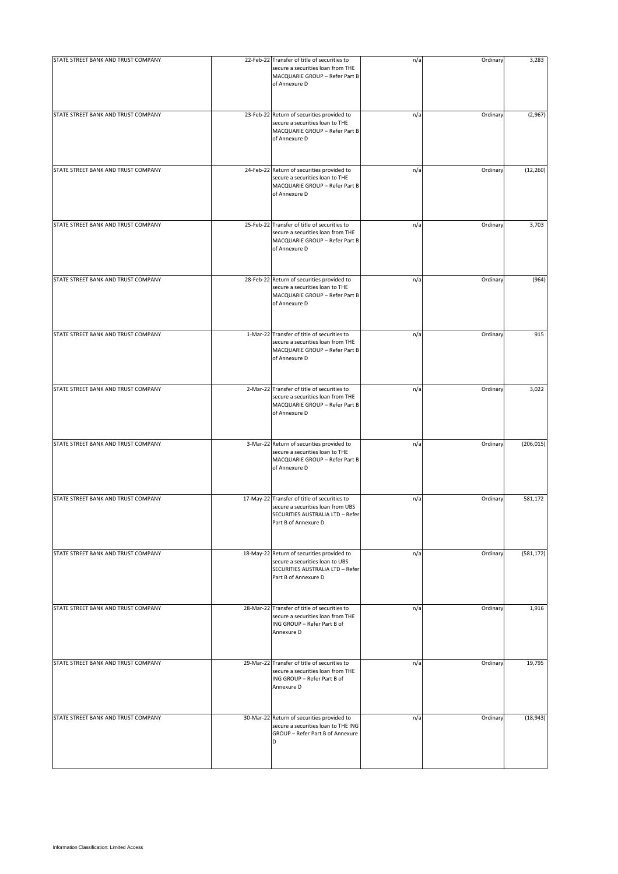| STATE STREET BANK AND TRUST COMPANY | 22-Feb-22 Transfer of title of securities to<br>secure a securities loan from THE<br>MACQUARIE GROUP - Refer Part B<br>of Annexure D          | n/a | Ordinary | 3,283      |
|-------------------------------------|-----------------------------------------------------------------------------------------------------------------------------------------------|-----|----------|------------|
| STATE STREET BANK AND TRUST COMPANY | 23-Feb-22 Return of securities provided to<br>secure a securities loan to THE<br>MACQUARIE GROUP - Refer Part B<br>of Annexure D              | n/a | Ordinary | (2,967)    |
| STATE STREET BANK AND TRUST COMPANY | 24-Feb-22 Return of securities provided to<br>secure a securities loan to THE<br>MACQUARIE GROUP - Refer Part B<br>of Annexure D              | n/a | Ordinary | (12, 260)  |
| STATE STREET BANK AND TRUST COMPANY | 25-Feb-22 Transfer of title of securities to<br>secure a securities loan from THE<br>MACQUARIE GROUP - Refer Part B<br>of Annexure D          | n/a | Ordinary | 3,703      |
| STATE STREET BANK AND TRUST COMPANY | 28-Feb-22 Return of securities provided to<br>secure a securities loan to THE<br>MACQUARIE GROUP - Refer Part B<br>of Annexure D              | n/a | Ordinary | (964)      |
| STATE STREET BANK AND TRUST COMPANY | 1-Mar-22 Transfer of title of securities to<br>secure a securities loan from THE<br>MACQUARIE GROUP - Refer Part B<br>of Annexure D           | n/a | Ordinary | 915        |
| STATE STREET BANK AND TRUST COMPANY | 2-Mar-22 Transfer of title of securities to<br>secure a securities loan from THE<br>MACQUARIE GROUP - Refer Part B<br>of Annexure D           | n/a | Ordinary | 3,022      |
| STATE STREET BANK AND TRUST COMPANY | 3-Mar-22 Return of securities provided to<br>secure a securities loan to THE<br>MACQUARIE GROUP - Refer Part B<br>of Annexure D               | n/a | Ordinary | (206, 015) |
| STATE STREET BANK AND TRUST COMPANY | 17-May-22 Transfer of title of securities to<br>secure a securities loan from UBS<br>SECURITIES AUSTRALIA LTD - Refer<br>Part B of Annexure D | n/a | Ordinary | 581,172    |
| STATE STREET BANK AND TRUST COMPANY | 18-May-22 Return of securities provided to<br>secure a securities loan to UBS<br>SECURITIES AUSTRALIA LTD - Refer<br>Part B of Annexure D     | n/a | Ordinary | (581, 172) |
| STATE STREET BANK AND TRUST COMPANY | 28-Mar-22 Transfer of title of securities to<br>secure a securities loan from THE<br>ING GROUP - Refer Part B of<br>Annexure D                | n/a | Ordinary | 1,916      |
| STATE STREET BANK AND TRUST COMPANY | 29-Mar-22 Transfer of title of securities to<br>secure a securities loan from THE<br>ING GROUP - Refer Part B of<br>Annexure D                | n/a | Ordinary | 19,795     |
| STATE STREET BANK AND TRUST COMPANY | 30-Mar-22 Return of securities provided to<br>secure a securities loan to THE ING<br>GROUP - Refer Part B of Annexure<br>D                    | n/a | Ordinary | (18, 943)  |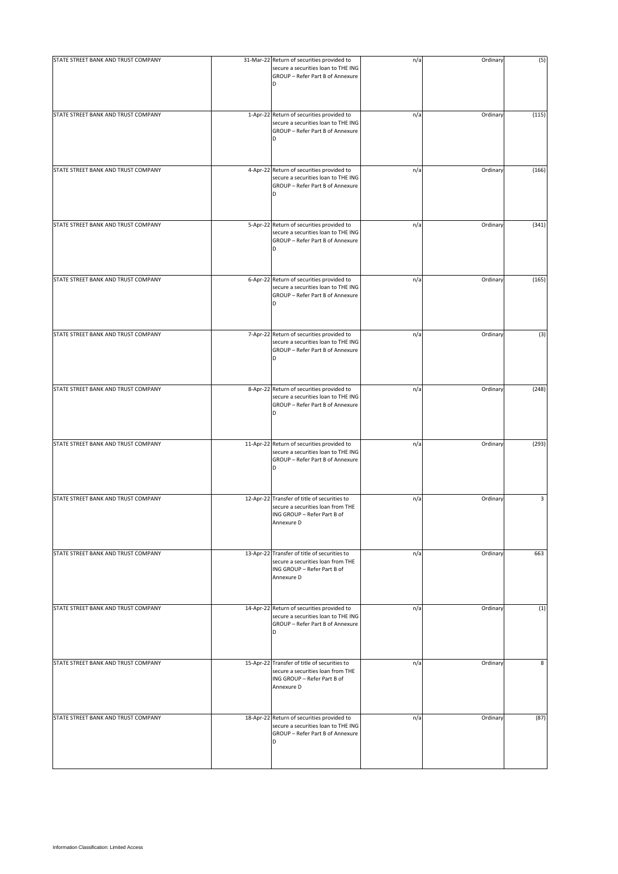| STATE STREET BANK AND TRUST COMPANY | 31-Mar-22 Return of securities provided to<br>secure a securities loan to THE ING<br>GROUP - Refer Part B of Annexure<br>D     | n/a | Ordinary | (5)   |
|-------------------------------------|--------------------------------------------------------------------------------------------------------------------------------|-----|----------|-------|
| STATE STREET BANK AND TRUST COMPANY | 1-Apr-22 Return of securities provided to<br>secure a securities loan to THE ING<br>GROUP - Refer Part B of Annexure<br>D      | n/a | Ordinary | (115) |
| STATE STREET BANK AND TRUST COMPANY | 4-Apr-22 Return of securities provided to<br>secure a securities loan to THE ING<br>GROUP - Refer Part B of Annexure<br>D      | n/a | Ordinary | (166) |
| STATE STREET BANK AND TRUST COMPANY | 5-Apr-22 Return of securities provided to<br>secure a securities loan to THE ING<br>GROUP - Refer Part B of Annexure<br>D      | n/a | Ordinary | (341) |
| STATE STREET BANK AND TRUST COMPANY | 6-Apr-22 Return of securities provided to<br>secure a securities loan to THE ING<br>GROUP - Refer Part B of Annexure<br>D      | n/a | Ordinary | (165) |
| STATE STREET BANK AND TRUST COMPANY | 7-Apr-22 Return of securities provided to<br>secure a securities loan to THE ING<br>GROUP - Refer Part B of Annexure<br>D      | n/a | Ordinary | (3)   |
| STATE STREET BANK AND TRUST COMPANY | 8-Apr-22 Return of securities provided to<br>secure a securities loan to THE ING<br>GROUP - Refer Part B of Annexure<br>D      | n/a | Ordinary | (248) |
| STATE STREET BANK AND TRUST COMPANY | 11-Apr-22 Return of securities provided to<br>secure a securities loan to THE ING<br>GROUP - Refer Part B of Annexure<br>D     | n/a | Ordinary | (293) |
| STATE STREET BANK AND TRUST COMPANY | 12-Apr-22 Transfer of title of securities to<br>secure a securities loan from THE<br>ING GROUP - Refer Part B of<br>Annexure D | n/a | Ordinary | 3     |
| STATE STREET BANK AND TRUST COMPANY | 13-Apr-22 Transfer of title of securities to<br>secure a securities loan from THE<br>ING GROUP - Refer Part B of<br>Annexure D | n/a | Ordinary | 663   |
| STATE STREET BANK AND TRUST COMPANY | 14-Apr-22 Return of securities provided to<br>secure a securities loan to THE ING<br>GROUP - Refer Part B of Annexure<br>D     | n/a | Ordinary | (1)   |
| STATE STREET BANK AND TRUST COMPANY | 15-Apr-22 Transfer of title of securities to<br>secure a securities loan from THE<br>ING GROUP - Refer Part B of<br>Annexure D | n/a | Ordinary | 8     |
| STATE STREET BANK AND TRUST COMPANY | 18-Apr-22 Return of securities provided to<br>secure a securities loan to THE ING<br>GROUP - Refer Part B of Annexure<br>D     | n/a | Ordinary | (87)  |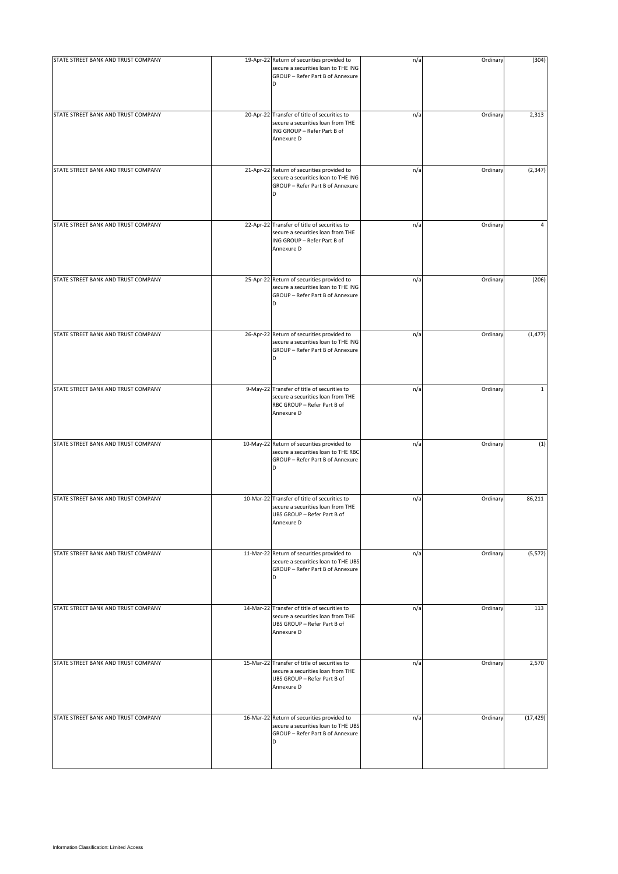| STATE STREET BANK AND TRUST COMPANY | 19-Apr-22 Return of securities provided to<br>secure a securities loan to THE ING                                              | n/a | Ordinary | (304)        |
|-------------------------------------|--------------------------------------------------------------------------------------------------------------------------------|-----|----------|--------------|
|                                     | GROUP - Refer Part B of Annexure<br>D                                                                                          |     |          |              |
| STATE STREET BANK AND TRUST COMPANY | 20-Apr-22 Transfer of title of securities to<br>secure a securities loan from THE<br>ING GROUP - Refer Part B of<br>Annexure D | n/a | Ordinary | 2,313        |
| STATE STREET BANK AND TRUST COMPANY | 21-Apr-22 Return of securities provided to<br>secure a securities loan to THE ING<br>GROUP - Refer Part B of Annexure<br>D     | n/a | Ordinary | (2, 347)     |
| STATE STREET BANK AND TRUST COMPANY | 22-Apr-22 Transfer of title of securities to<br>secure a securities loan from THE<br>ING GROUP - Refer Part B of<br>Annexure D | n/a | Ordinary | 4            |
| STATE STREET BANK AND TRUST COMPANY | 25-Apr-22 Return of securities provided to<br>secure a securities loan to THE ING<br>GROUP - Refer Part B of Annexure<br>D     | n/a | Ordinary | (206)        |
| STATE STREET BANK AND TRUST COMPANY | 26-Apr-22 Return of securities provided to<br>secure a securities loan to THE ING<br>GROUP - Refer Part B of Annexure<br>D     | n/a | Ordinary | (1, 477)     |
| STATE STREET BANK AND TRUST COMPANY | 9-May-22 Transfer of title of securities to<br>secure a securities loan from THE<br>RBC GROUP - Refer Part B of<br>Annexure D  | n/a | Ordinary | $\mathbf{1}$ |
| STATE STREET BANK AND TRUST COMPANY | 10-May-22 Return of securities provided to<br>secure a securities loan to THE RBC<br>GROUP - Refer Part B of Annexure<br>D     | n/a | Ordinary | (1)          |
| STATE STREET BANK AND TRUST COMPANY | 10-Mar-22 Transfer of title of securities to<br>secure a securities loan from THE<br>UBS GROUP - Refer Part B of<br>Annexure D | n/a | Ordinary | 86,211       |
| STATE STREET BANK AND TRUST COMPANY | 11-Mar-22 Return of securities provided to<br>secure a securities loan to THE UBS<br>GROUP - Refer Part B of Annexure<br>D     | n/a | Ordinary | (5, 572)     |
| STATE STREET BANK AND TRUST COMPANY | 14-Mar-22 Transfer of title of securities to<br>secure a securities loan from THE<br>UBS GROUP - Refer Part B of<br>Annexure D | n/a | Ordinary | 113          |
| STATE STREET BANK AND TRUST COMPANY | 15-Mar-22 Transfer of title of securities to<br>secure a securities loan from THE<br>UBS GROUP - Refer Part B of<br>Annexure D | n/a | Ordinary | 2,570        |
| STATE STREET BANK AND TRUST COMPANY | 16-Mar-22 Return of securities provided to<br>secure a securities loan to THE UBS<br>GROUP - Refer Part B of Annexure<br>D     | n/a | Ordinary | (17, 429)    |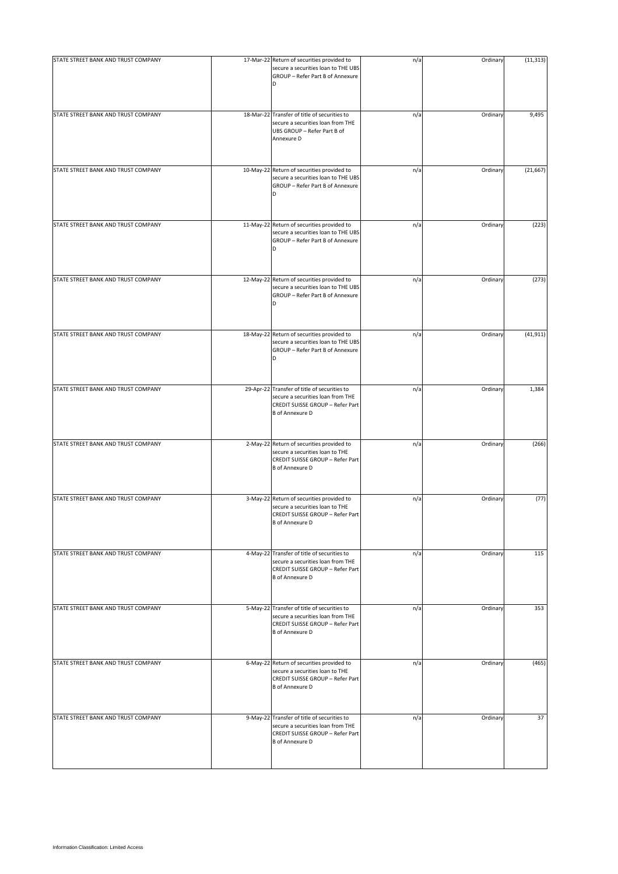| STATE STREET BANK AND TRUST COMPANY | 17-Mar-22 Return of securities provided to<br>secure a securities loan to THE UBS<br>GROUP - Refer Part B of Annexure                           | n/a | Ordinary | (11, 313) |
|-------------------------------------|-------------------------------------------------------------------------------------------------------------------------------------------------|-----|----------|-----------|
| STATE STREET BANK AND TRUST COMPANY | 18-Mar-22 Transfer of title of securities to<br>secure a securities loan from THE<br>UBS GROUP - Refer Part B of<br>Annexure D                  | n/a | Ordinary | 9,495     |
| STATE STREET BANK AND TRUST COMPANY | 10-May-22 Return of securities provided to<br>secure a securities loan to THE UBS<br>GROUP - Refer Part B of Annexure<br>D                      | n/a | Ordinary | (21, 667) |
| STATE STREET BANK AND TRUST COMPANY | 11-May-22 Return of securities provided to<br>secure a securities loan to THE UBS<br>GROUP - Refer Part B of Annexure<br>D                      | n/a | Ordinary | (223)     |
| STATE STREET BANK AND TRUST COMPANY | 12-May-22 Return of securities provided to<br>secure a securities loan to THE UBS<br>GROUP - Refer Part B of Annexure<br>D                      | n/a | Ordinary | (273)     |
| STATE STREET BANK AND TRUST COMPANY | 18-May-22 Return of securities provided to<br>secure a securities loan to THE UBS<br>GROUP - Refer Part B of Annexure                           | n/a | Ordinary | (41, 911) |
| STATE STREET BANK AND TRUST COMPANY | 29-Apr-22 Transfer of title of securities to<br>secure a securities loan from THE<br>CREDIT SUISSE GROUP - Refer Part<br><b>B</b> of Annexure D | n/a | Ordinary | 1,384     |
| STATE STREET BANK AND TRUST COMPANY | 2-May-22 Return of securities provided to<br>secure a securities loan to THE<br>CREDIT SUISSE GROUP - Refer Part<br><b>B</b> of Annexure D      | n/a | Ordinary | (266)     |
| STATE STREET BANK AND TRUST COMPANY | 3-May-22 Return of securities provided to<br>secure a securities loan to THE<br>CREDIT SUISSE GROUP - Refer Part<br><b>B</b> of Annexure D      | n/a | Ordinary | (77)      |
| STATE STREET BANK AND TRUST COMPANY | 4-May-22 Transfer of title of securities to<br>secure a securities loan from THE<br>CREDIT SUISSE GROUP - Refer Part<br><b>B</b> of Annexure D  | n/a | Ordinary | 115       |
| STATE STREET BANK AND TRUST COMPANY | 5-May-22 Transfer of title of securities to<br>secure a securities loan from THE<br>CREDIT SUISSE GROUP - Refer Part<br><b>B</b> of Annexure D  | n/a | Ordinary | 353       |
| STATE STREET BANK AND TRUST COMPANY | 6-May-22 Return of securities provided to<br>secure a securities loan to THE<br>CREDIT SUISSE GROUP - Refer Part<br><b>B</b> of Annexure D      | n/a | Ordinary | (465)     |
| STATE STREET BANK AND TRUST COMPANY | 9-May-22 Transfer of title of securities to<br>secure a securities loan from THE<br>CREDIT SUISSE GROUP - Refer Part<br><b>B</b> of Annexure D  | n/a | Ordinary | 37        |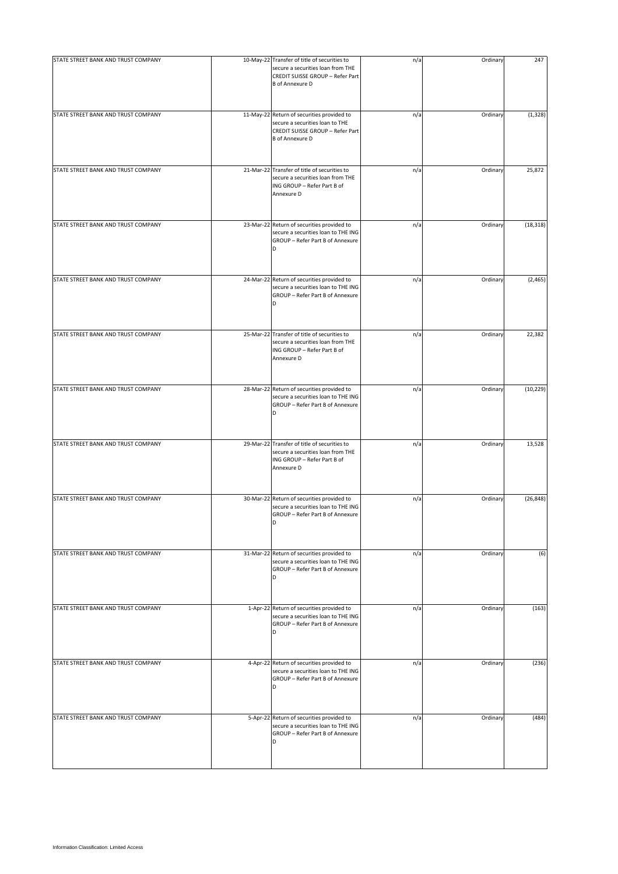| STATE STREET BANK AND TRUST COMPANY | 10-May-22 Transfer of title of securities to<br>secure a securities loan from THE<br>CREDIT SUISSE GROUP - Refer Part<br><b>B</b> of Annexure D | n/a | Ordinary | 247       |
|-------------------------------------|-------------------------------------------------------------------------------------------------------------------------------------------------|-----|----------|-----------|
| STATE STREET BANK AND TRUST COMPANY | 11-May-22 Return of securities provided to<br>secure a securities loan to THE<br>CREDIT SUISSE GROUP - Refer Part<br><b>B</b> of Annexure D     | n/a | Ordinary | (1, 328)  |
| STATE STREET BANK AND TRUST COMPANY | 21-Mar-22 Transfer of title of securities to<br>secure a securities loan from THE<br>ING GROUP - Refer Part B of<br>Annexure D                  | n/a | Ordinary | 25,872    |
| STATE STREET BANK AND TRUST COMPANY | 23-Mar-22 Return of securities provided to<br>secure a securities loan to THE ING<br>GROUP - Refer Part B of Annexure<br>D                      | n/a | Ordinary | (18, 318) |
| STATE STREET BANK AND TRUST COMPANY | 24-Mar-22 Return of securities provided to<br>secure a securities loan to THE ING<br>GROUP - Refer Part B of Annexure<br>D                      | n/a | Ordinary | (2, 465)  |
| STATE STREET BANK AND TRUST COMPANY | 25-Mar-22 Transfer of title of securities to<br>secure a securities loan from THE<br>ING GROUP - Refer Part B of<br>Annexure D                  | n/a | Ordinary | 22,382    |
| STATE STREET BANK AND TRUST COMPANY | 28-Mar-22 Return of securities provided to<br>secure a securities loan to THE ING<br>GROUP - Refer Part B of Annexure<br>D                      | n/a | Ordinary | (10, 229) |
| STATE STREET BANK AND TRUST COMPANY | 29-Mar-22 Transfer of title of securities to<br>secure a securities loan from THE<br>ING GROUP - Refer Part B of<br>Annexure D                  | n/a | Ordinary | 13,528    |
| STATE STREET BANK AND TRUST COMPANY | 30-Mar-22 Return of securities provided to<br>secure a securities loan to THE ING<br>GROUP - Refer Part B of Annexure<br>D                      | n/a | Ordinary | (26, 848) |
| STATE STREET BANK AND TRUST COMPANY | 31-Mar-22 Return of securities provided to<br>secure a securities loan to THE ING<br>GROUP - Refer Part B of Annexure<br>D                      | n/a | Ordinary | (6)       |
| STATE STREET BANK AND TRUST COMPANY | 1-Apr-22 Return of securities provided to<br>secure a securities loan to THE ING<br>GROUP - Refer Part B of Annexure<br>D                       | n/a | Ordinary | (163)     |
| STATE STREET BANK AND TRUST COMPANY | 4-Apr-22 Return of securities provided to<br>secure a securities loan to THE ING<br>GROUP - Refer Part B of Annexure<br>D                       | n/a | Ordinary | (236)     |
| STATE STREET BANK AND TRUST COMPANY | 5-Apr-22 Return of securities provided to<br>secure a securities loan to THE ING<br>GROUP - Refer Part B of Annexure<br>D                       | n/a | Ordinary | (484)     |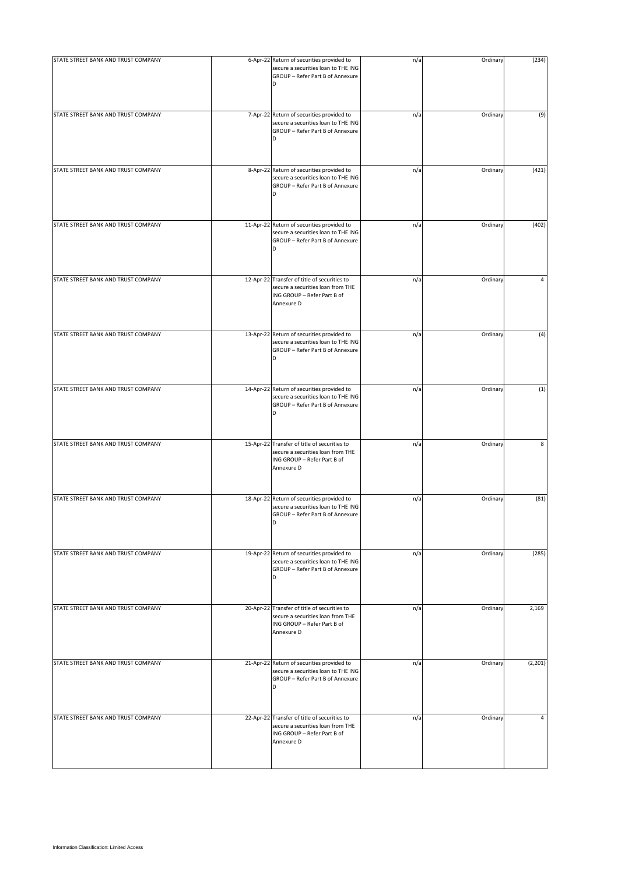| STATE STREET BANK AND TRUST COMPANY | 6-Apr-22 Return of securities provided to<br>secure a securities loan to THE ING<br>GROUP - Refer Part B of Annexure<br>D      | n/a | Ordinary | (234)    |
|-------------------------------------|--------------------------------------------------------------------------------------------------------------------------------|-----|----------|----------|
| STATE STREET BANK AND TRUST COMPANY | 7-Apr-22 Return of securities provided to<br>secure a securities loan to THE ING<br>GROUP - Refer Part B of Annexure<br>D      | n/a | Ordinary | (9)      |
| STATE STREET BANK AND TRUST COMPANY | 8-Apr-22 Return of securities provided to<br>secure a securities loan to THE ING<br>GROUP - Refer Part B of Annexure<br>D      | n/a | Ordinary | (421)    |
| STATE STREET BANK AND TRUST COMPANY | 11-Apr-22 Return of securities provided to<br>secure a securities loan to THE ING<br>GROUP - Refer Part B of Annexure<br>D     | n/a | Ordinary | (402)    |
| STATE STREET BANK AND TRUST COMPANY | 12-Apr-22 Transfer of title of securities to<br>secure a securities loan from THE<br>ING GROUP - Refer Part B of<br>Annexure D | n/a | Ordinary | 4        |
| STATE STREET BANK AND TRUST COMPANY | 13-Apr-22 Return of securities provided to<br>secure a securities loan to THE ING<br>GROUP - Refer Part B of Annexure          | n/a | Ordinary | (4)      |
| STATE STREET BANK AND TRUST COMPANY | 14-Apr-22 Return of securities provided to<br>secure a securities loan to THE ING<br>GROUP - Refer Part B of Annexure<br>D     | n/a | Ordinary | (1)      |
| STATE STREET BANK AND TRUST COMPANY | 15-Apr-22 Transfer of title of securities to<br>secure a securities loan from THE<br>ING GROUP - Refer Part B of<br>Annexure D | n/a | Ordinary | 8        |
| STATE STREET BANK AND TRUST COMPANY | 18-Apr-22 Return of securities provided to<br>secure a securities loan to THE ING<br>GROUP - Refer Part B of Annexure<br>D     | n/a | Ordinary | (81)     |
| STATE STREET BANK AND TRUST COMPANY | 19-Apr-22 Return of securities provided to<br>secure a securities loan to THE ING<br>GROUP - Refer Part B of Annexure<br>D     | n/a | Ordinary | (285)    |
| STATE STREET BANK AND TRUST COMPANY | 20-Apr-22 Transfer of title of securities to<br>secure a securities loan from THE<br>ING GROUP - Refer Part B of<br>Annexure D | n/a | Ordinary | 2,169    |
| STATE STREET BANK AND TRUST COMPANY | 21-Apr-22 Return of securities provided to<br>secure a securities loan to THE ING<br>GROUP - Refer Part B of Annexure<br>D     | n/a | Ordinary | (2, 201) |
| STATE STREET BANK AND TRUST COMPANY | 22-Apr-22 Transfer of title of securities to<br>secure a securities loan from THE<br>ING GROUP - Refer Part B of<br>Annexure D | n/a | Ordinary | 4        |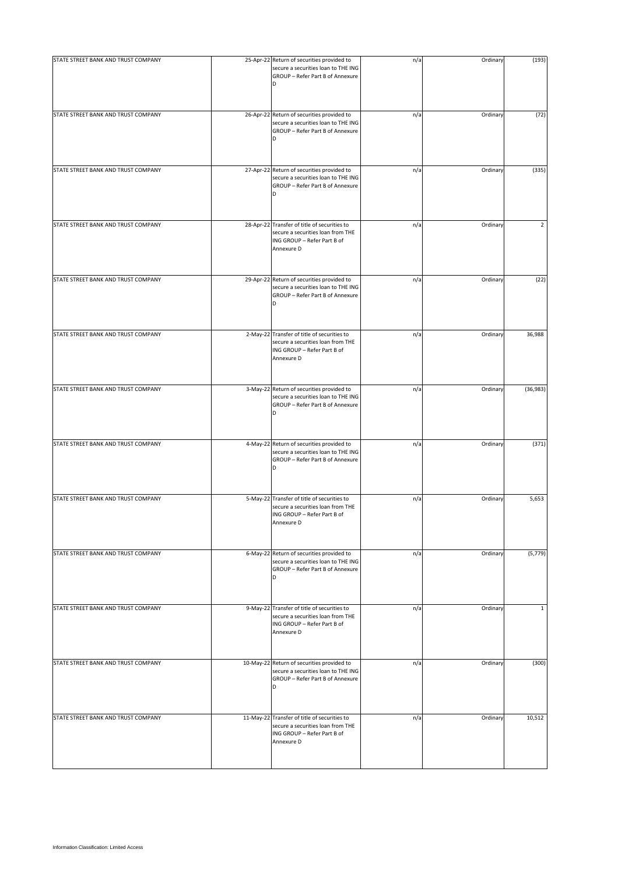| STATE STREET BANK AND TRUST COMPANY | 25-Apr-22 Return of securities provided to<br>secure a securities loan to THE ING<br>GROUP - Refer Part B of Annexure<br>D     | n/a | Ordinary | (193)     |
|-------------------------------------|--------------------------------------------------------------------------------------------------------------------------------|-----|----------|-----------|
| STATE STREET BANK AND TRUST COMPANY | 26-Apr-22 Return of securities provided to<br>secure a securities loan to THE ING<br>GROUP - Refer Part B of Annexure<br>D     | n/a | Ordinary | (72)      |
| STATE STREET BANK AND TRUST COMPANY | 27-Apr-22 Return of securities provided to<br>secure a securities loan to THE ING<br>GROUP - Refer Part B of Annexure<br>D     | n/a | Ordinary | (335)     |
| STATE STREET BANK AND TRUST COMPANY | 28-Apr-22 Transfer of title of securities to<br>secure a securities loan from THE<br>ING GROUP - Refer Part B of<br>Annexure D | n/a | Ordinary | 2         |
| STATE STREET BANK AND TRUST COMPANY | 29-Apr-22 Return of securities provided to<br>secure a securities loan to THE ING<br>GROUP - Refer Part B of Annexure<br>D     | n/a | Ordinary | (22)      |
| STATE STREET BANK AND TRUST COMPANY | 2-May-22 Transfer of title of securities to<br>secure a securities loan from THE<br>ING GROUP - Refer Part B of<br>Annexure D  | n/a | Ordinary | 36,988    |
| STATE STREET BANK AND TRUST COMPANY | 3-May-22 Return of securities provided to<br>secure a securities loan to THE ING<br>GROUP - Refer Part B of Annexure<br>D      | n/a | Ordinary | (36, 983) |
| STATE STREET BANK AND TRUST COMPANY | 4-May-22 Return of securities provided to<br>secure a securities loan to THE ING<br>GROUP - Refer Part B of Annexure<br>D      | n/a | Ordinary | (371)     |
| STATE STREET BANK AND TRUST COMPANY | 5-May-22 Transfer of title of securities to<br>secure a securities loan from THE<br>ING GROUP - Refer Part B of<br>Annexure D  | n/a | Ordinary | 5,653     |
| STATE STREET BANK AND TRUST COMPANY | 6-May-22 Return of securities provided to<br>secure a securities loan to THE ING<br>GROUP - Refer Part B of Annexure<br>D      | n/a | Ordinary | (5, 779)  |
| STATE STREET BANK AND TRUST COMPANY | 9-May-22 Transfer of title of securities to<br>secure a securities loan from THE<br>ING GROUP - Refer Part B of<br>Annexure D  | n/a | Ordinary | 1         |
| STATE STREET BANK AND TRUST COMPANY | 10-May-22 Return of securities provided to<br>secure a securities loan to THE ING<br>GROUP - Refer Part B of Annexure<br>D     | n/a | Ordinary | (300)     |
| STATE STREET BANK AND TRUST COMPANY | 11-May-22 Transfer of title of securities to<br>secure a securities loan from THE<br>ING GROUP - Refer Part B of<br>Annexure D | n/a | Ordinary | 10,512    |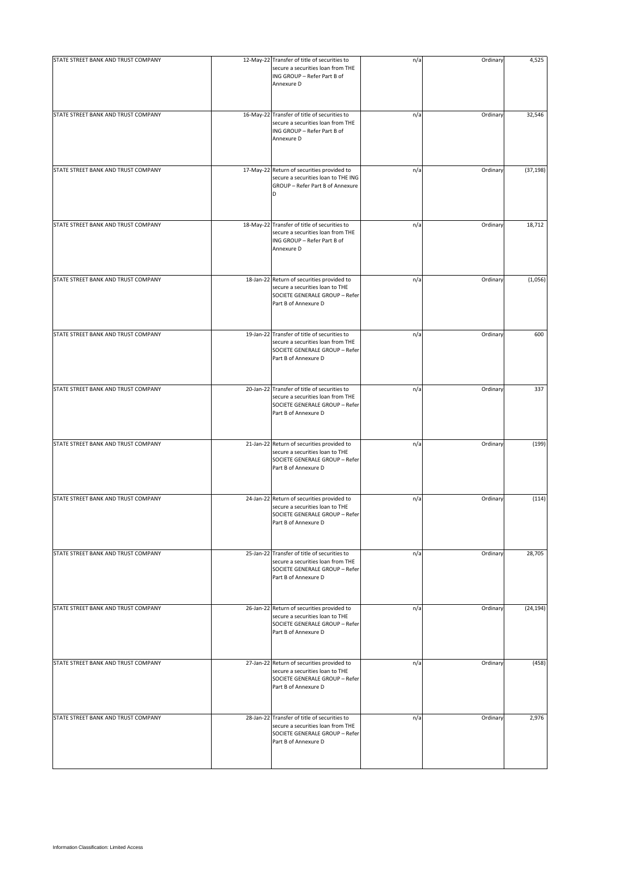| STATE STREET BANK AND TRUST COMPANY | 12-May-22 Transfer of title of securities to<br>secure a securities loan from THE<br>ING GROUP - Refer Part B of<br>Annexure D              | n/a | Ordinary | 4,525     |
|-------------------------------------|---------------------------------------------------------------------------------------------------------------------------------------------|-----|----------|-----------|
| STATE STREET BANK AND TRUST COMPANY | 16-May-22 Transfer of title of securities to<br>secure a securities loan from THE<br>ING GROUP - Refer Part B of<br>Annexure D              | n/a | Ordinary | 32,546    |
| STATE STREET BANK AND TRUST COMPANY | 17-May-22 Return of securities provided to<br>secure a securities loan to THE ING<br>GROUP - Refer Part B of Annexure<br>D                  | n/a | Ordinary | (37, 198) |
| STATE STREET BANK AND TRUST COMPANY | 18-May-22 Transfer of title of securities to<br>secure a securities loan from THE<br>ING GROUP - Refer Part B of<br>Annexure D              | n/a | Ordinary | 18,712    |
| STATE STREET BANK AND TRUST COMPANY | 18-Jan-22 Return of securities provided to<br>secure a securities loan to THE<br>SOCIETE GENERALE GROUP - Refer<br>Part B of Annexure D     | n/a | Ordinary | (1,056)   |
| STATE STREET BANK AND TRUST COMPANY | 19-Jan-22 Transfer of title of securities to<br>secure a securities loan from THE<br>SOCIETE GENERALE GROUP - Refer<br>Part B of Annexure D | n/a | Ordinary | 600       |
| STATE STREET BANK AND TRUST COMPANY | 20-Jan-22 Transfer of title of securities to<br>secure a securities loan from THE<br>SOCIETE GENERALE GROUP - Refer<br>Part B of Annexure D | n/a | Ordinary | 337       |
| STATE STREET BANK AND TRUST COMPANY | 21-Jan-22 Return of securities provided to<br>secure a securities loan to THE<br>SOCIETE GENERALE GROUP - Refer<br>Part B of Annexure D     | n/a | Ordinary | (199)     |
| STATE STREET BANK AND TRUST COMPANY | 24-Jan-22 Return of securities provided to<br>secure a securities loan to THE<br>SOCIETE GENERALE GROUP - Refer<br>Part B of Annexure D     | n/a | Ordinary | (114)     |
| STATE STREET BANK AND TRUST COMPANY | 25-Jan-22 Transfer of title of securities to<br>secure a securities loan from THE<br>SOCIETE GENERALE GROUP - Refer<br>Part B of Annexure D | n/a | Ordinary | 28,705    |
| STATE STREET BANK AND TRUST COMPANY | 26-Jan-22 Return of securities provided to<br>secure a securities loan to THE<br>SOCIETE GENERALE GROUP - Refer<br>Part B of Annexure D     | n/a | Ordinary | (24, 194) |
| STATE STREET BANK AND TRUST COMPANY | 27-Jan-22 Return of securities provided to<br>secure a securities loan to THE<br>SOCIETE GENERALE GROUP - Refer<br>Part B of Annexure D     | n/a | Ordinary | (458)     |
| STATE STREET BANK AND TRUST COMPANY | 28-Jan-22 Transfer of title of securities to<br>secure a securities loan from THE<br>SOCIETE GENERALE GROUP - Refer<br>Part B of Annexure D | n/a | Ordinary | 2,976     |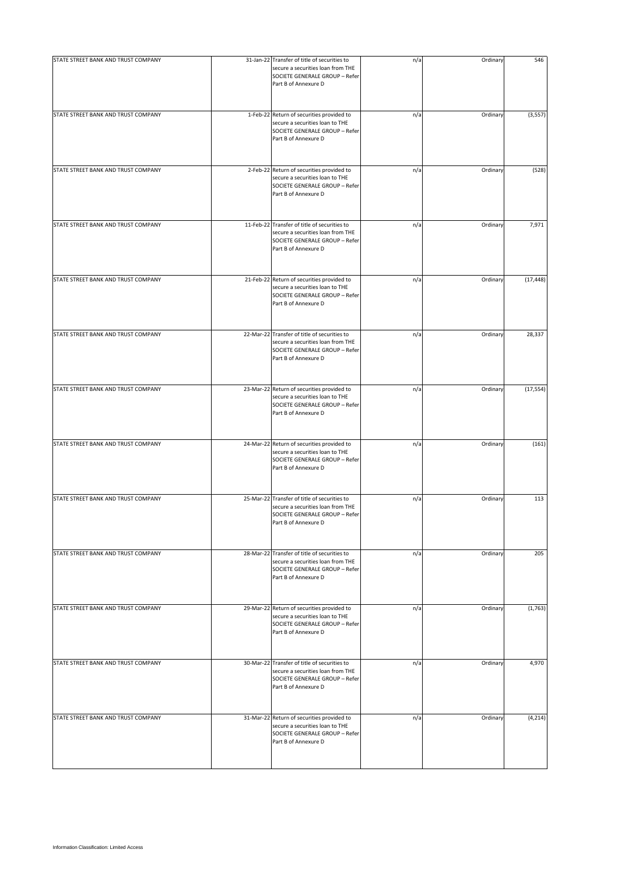| STATE STREET BANK AND TRUST COMPANY | 31-Jan-22 Transfer of title of securities to<br>secure a securities loan from THE<br>SOCIETE GENERALE GROUP - Refer<br>Part B of Annexure D | n/a | Ordinary | 546       |
|-------------------------------------|---------------------------------------------------------------------------------------------------------------------------------------------|-----|----------|-----------|
| STATE STREET BANK AND TRUST COMPANY | 1-Feb-22 Return of securities provided to<br>secure a securities loan to THE<br>SOCIETE GENERALE GROUP - Refer<br>Part B of Annexure D      | n/a | Ordinary | (3, 557)  |
| STATE STREET BANK AND TRUST COMPANY | 2-Feb-22 Return of securities provided to<br>secure a securities loan to THE<br>SOCIETE GENERALE GROUP - Refer<br>Part B of Annexure D      | n/a | Ordinary | (528)     |
| STATE STREET BANK AND TRUST COMPANY | 11-Feb-22 Transfer of title of securities to<br>secure a securities loan from THE<br>SOCIETE GENERALE GROUP - Refer<br>Part B of Annexure D | n/a | Ordinary | 7,971     |
| STATE STREET BANK AND TRUST COMPANY | 21-Feb-22 Return of securities provided to<br>secure a securities loan to THE<br>SOCIETE GENERALE GROUP - Refer<br>Part B of Annexure D     | n/a | Ordinary | (17, 448) |
| STATE STREET BANK AND TRUST COMPANY | 22-Mar-22 Transfer of title of securities to<br>secure a securities loan from THE<br>SOCIETE GENERALE GROUP - Refer<br>Part B of Annexure D | n/a | Ordinary | 28,337    |
| STATE STREET BANK AND TRUST COMPANY | 23-Mar-22 Return of securities provided to<br>secure a securities loan to THE<br>SOCIETE GENERALE GROUP - Refer<br>Part B of Annexure D     | n/a | Ordinary | (17, 554) |
| STATE STREET BANK AND TRUST COMPANY | 24-Mar-22 Return of securities provided to<br>secure a securities loan to THE<br>SOCIETE GENERALE GROUP - Refer<br>Part B of Annexure D     | n/a | Ordinary | (161)     |
| STATE STREET BANK AND TRUST COMPANY | 25-Mar-22 Transfer of title of securities to<br>secure a securities loan from THE<br>SOCIETE GENERALE GROUP - Refer<br>Part B of Annexure D | n/a | Ordinary | 113       |
| STATE STREET BANK AND TRUST COMPANY | 28-Mar-22 Transfer of title of securities to<br>secure a securities loan from THE<br>SOCIETE GENERALE GROUP - Refer<br>Part B of Annexure D | n/a | Ordinary | 205       |
| STATE STREET BANK AND TRUST COMPANY | 29-Mar-22 Return of securities provided to<br>secure a securities loan to THE<br>SOCIETE GENERALE GROUP - Refer<br>Part B of Annexure D     | n/a | Ordinary | (1,763)   |
| STATE STREET BANK AND TRUST COMPANY | 30-Mar-22 Transfer of title of securities to<br>secure a securities loan from THE<br>SOCIETE GENERALE GROUP - Refer<br>Part B of Annexure D | n/a | Ordinary | 4,970     |
| STATE STREET BANK AND TRUST COMPANY | 31-Mar-22 Return of securities provided to<br>secure a securities loan to THE<br>SOCIETE GENERALE GROUP - Refer<br>Part B of Annexure D     | n/a | Ordinary | (4, 214)  |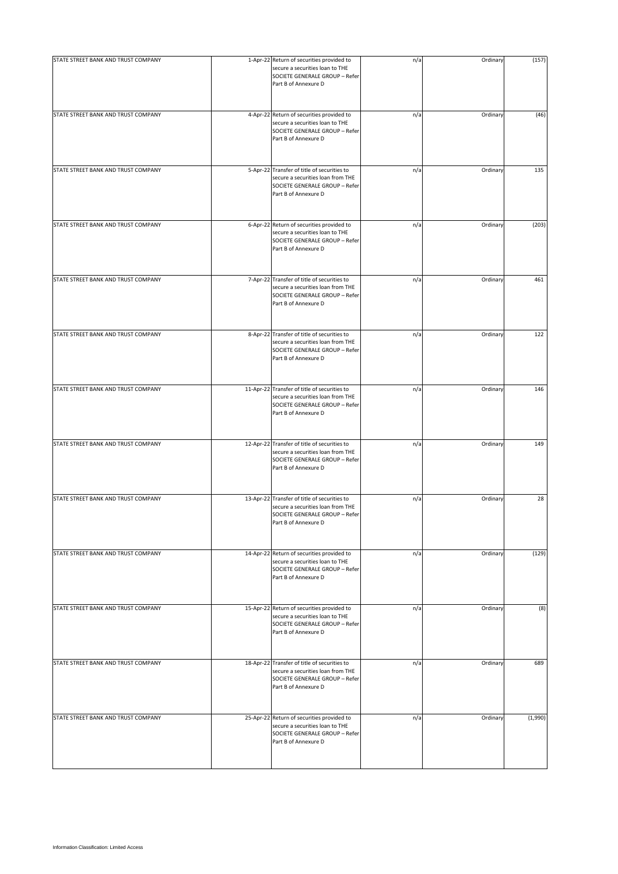| STATE STREET BANK AND TRUST COMPANY | 1-Apr-22 Return of securities provided to<br>secure a securities loan to THE<br>SOCIETE GENERALE GROUP - Refer<br>Part B of Annexure D      | n/a | Ordinary | (157)   |
|-------------------------------------|---------------------------------------------------------------------------------------------------------------------------------------------|-----|----------|---------|
| STATE STREET BANK AND TRUST COMPANY | 4-Apr-22 Return of securities provided to<br>secure a securities loan to THE<br>SOCIETE GENERALE GROUP - Refer<br>Part B of Annexure D      | n/a | Ordinary | (46)    |
| STATE STREET BANK AND TRUST COMPANY | 5-Apr-22 Transfer of title of securities to<br>secure a securities loan from THE<br>SOCIETE GENERALE GROUP - Refer<br>Part B of Annexure D  | n/a | Ordinary | 135     |
| STATE STREET BANK AND TRUST COMPANY | 6-Apr-22 Return of securities provided to<br>secure a securities loan to THE<br>SOCIETE GENERALE GROUP - Refer<br>Part B of Annexure D      | n/a | Ordinary | (203)   |
| STATE STREET BANK AND TRUST COMPANY | 7-Apr-22 Transfer of title of securities to<br>secure a securities loan from THE<br>SOCIETE GENERALE GROUP - Refer<br>Part B of Annexure D  | n/a | Ordinary | 461     |
| STATE STREET BANK AND TRUST COMPANY | 8-Apr-22 Transfer of title of securities to<br>secure a securities loan from THE<br>SOCIETE GENERALE GROUP - Refer<br>Part B of Annexure D  | n/a | Ordinary | 122     |
| STATE STREET BANK AND TRUST COMPANY | 11-Apr-22 Transfer of title of securities to<br>secure a securities loan from THE<br>SOCIETE GENERALE GROUP - Refer<br>Part B of Annexure D | n/a | Ordinary | 146     |
| STATE STREET BANK AND TRUST COMPANY | 12-Apr-22 Transfer of title of securities to<br>secure a securities loan from THE<br>SOCIETE GENERALE GROUP - Refer<br>Part B of Annexure D | n/a | Ordinary | 149     |
| STATE STREET BANK AND TRUST COMPANY | 13-Apr-22 Transfer of title of securities to<br>secure a securities loan from THE<br>SOCIETE GENERALE GROUP - Refer<br>Part B of Annexure D | n/a | Ordinary | 28      |
| STATE STREET BANK AND TRUST COMPANY | 14-Apr-22 Return of securities provided to<br>secure a securities loan to THE<br>SOCIETE GENERALE GROUP - Refer<br>Part B of Annexure D     | n/a | Ordinary | (129)   |
| STATE STREET BANK AND TRUST COMPANY | 15-Apr-22 Return of securities provided to<br>secure a securities loan to THE<br>SOCIETE GENERALE GROUP - Refer<br>Part B of Annexure D     | n/a | Ordinary | (8)     |
| STATE STREET BANK AND TRUST COMPANY | 18-Apr-22 Transfer of title of securities to<br>secure a securities loan from THE<br>SOCIETE GENERALE GROUP - Refer<br>Part B of Annexure D | n/a | Ordinary | 689     |
| STATE STREET BANK AND TRUST COMPANY | 25-Apr-22 Return of securities provided to<br>secure a securities loan to THE<br>SOCIETE GENERALE GROUP - Refer<br>Part B of Annexure D     | n/a | Ordinary | (1,990) |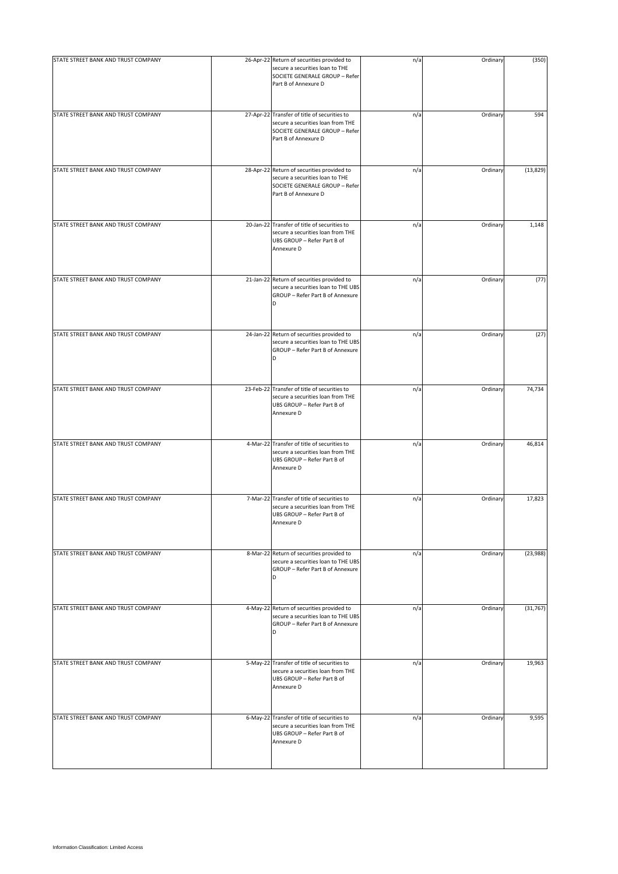| STATE STREET BANK AND TRUST COMPANY | 26-Apr-22 Return of securities provided to<br>secure a securities loan to THE<br>SOCIETE GENERALE GROUP - Refer<br>Part B of Annexure D     | n/a | Ordinary | (350)     |
|-------------------------------------|---------------------------------------------------------------------------------------------------------------------------------------------|-----|----------|-----------|
| STATE STREET BANK AND TRUST COMPANY | 27-Apr-22 Transfer of title of securities to<br>secure a securities loan from THE<br>SOCIETE GENERALE GROUP - Refer<br>Part B of Annexure D | n/a | Ordinary | 594       |
| STATE STREET BANK AND TRUST COMPANY | 28-Apr-22 Return of securities provided to<br>secure a securities loan to THE<br>SOCIETE GENERALE GROUP - Refer<br>Part B of Annexure D     | n/a | Ordinary | (13, 829) |
| STATE STREET BANK AND TRUST COMPANY | 20-Jan-22 Transfer of title of securities to<br>secure a securities loan from THE<br>UBS GROUP - Refer Part B of<br>Annexure D              | n/a | Ordinary | 1,148     |
| STATE STREET BANK AND TRUST COMPANY | 21-Jan-22 Return of securities provided to<br>secure a securities loan to THE UBS<br>GROUP - Refer Part B of Annexure<br>D                  | n/a | Ordinary | (77)      |
| STATE STREET BANK AND TRUST COMPANY | 24-Jan-22 Return of securities provided to<br>secure a securities loan to THE UBS<br>GROUP - Refer Part B of Annexure<br>D                  | n/a | Ordinary | (27)      |
| STATE STREET BANK AND TRUST COMPANY | 23-Feb-22 Transfer of title of securities to<br>secure a securities loan from THE<br>UBS GROUP - Refer Part B of<br>Annexure D              | n/a | Ordinary | 74,734    |
| STATE STREET BANK AND TRUST COMPANY | 4-Mar-22 Transfer of title of securities to<br>secure a securities loan from THE<br>UBS GROUP - Refer Part B of<br>Annexure D               | n/a | Ordinary | 46,814    |
| STATE STREET BANK AND TRUST COMPANY | 7-Mar-22 Transfer of title of securities to<br>secure a securities loan from THE<br>UBS GROUP - Refer Part B of<br>Annexure D               | n/a | Ordinary | 17,823    |
| STATE STREET BANK AND TRUST COMPANY | 8-Mar-22 Return of securities provided to<br>secure a securities loan to THE UBS<br>GROUP - Refer Part B of Annexure<br>D                   | n/a | Ordinary | (23, 988) |
| STATE STREET BANK AND TRUST COMPANY | 4-May-22 Return of securities provided to<br>secure a securities loan to THE UBS<br>GROUP - Refer Part B of Annexure<br>D                   | n/a | Ordinary | (31, 767) |
| STATE STREET BANK AND TRUST COMPANY | 5-May-22 Transfer of title of securities to<br>secure a securities loan from THE<br>UBS GROUP - Refer Part B of<br>Annexure D               | n/a | Ordinary | 19,963    |
| STATE STREET BANK AND TRUST COMPANY | 6-May-22 Transfer of title of securities to<br>secure a securities loan from THE<br>UBS GROUP - Refer Part B of<br>Annexure D               | n/a | Ordinary | 9,595     |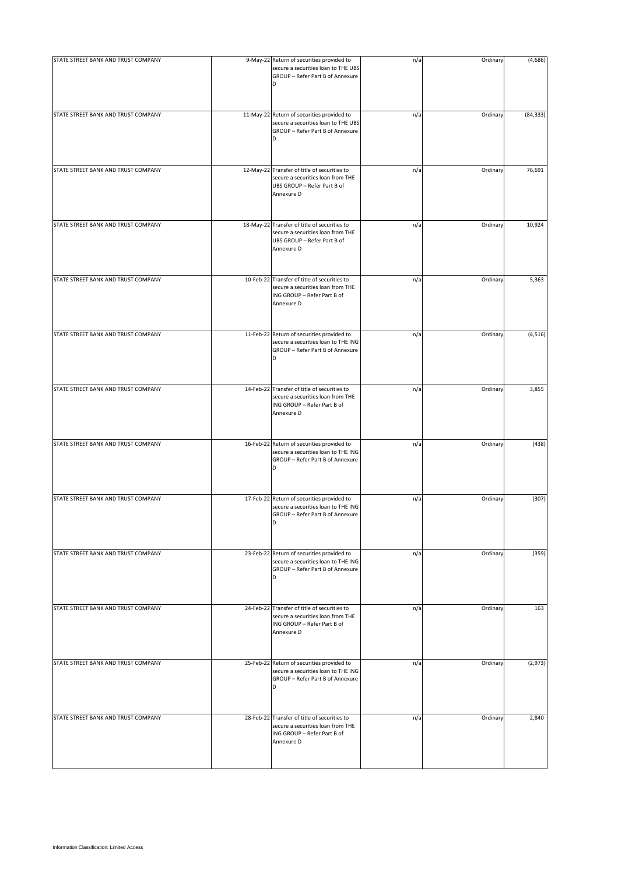| STATE STREET BANK AND TRUST COMPANY | 9-May-22 Return of securities provided to                                                                                      | n/a | Ordinary | (4,686)   |
|-------------------------------------|--------------------------------------------------------------------------------------------------------------------------------|-----|----------|-----------|
|                                     | secure a securities loan to THE UBS<br>GROUP - Refer Part B of Annexure<br>D                                                   |     |          |           |
| STATE STREET BANK AND TRUST COMPANY | 11-May-22 Return of securities provided to<br>secure a securities loan to THE UBS<br>GROUP - Refer Part B of Annexure<br>D     | n/a | Ordinary | (84, 333) |
| STATE STREET BANK AND TRUST COMPANY | 12-May-22 Transfer of title of securities to<br>secure a securities loan from THE<br>UBS GROUP - Refer Part B of<br>Annexure D | n/a | Ordinary | 76,691    |
| STATE STREET BANK AND TRUST COMPANY | 18-May-22 Transfer of title of securities to<br>secure a securities loan from THE<br>UBS GROUP - Refer Part B of<br>Annexure D | n/a | Ordinary | 10,924    |
| STATE STREET BANK AND TRUST COMPANY | 10-Feb-22 Transfer of title of securities to<br>secure a securities loan from THE<br>ING GROUP - Refer Part B of<br>Annexure D | n/a | Ordinary | 5,363     |
| STATE STREET BANK AND TRUST COMPANY | 11-Feb-22 Return of securities provided to<br>secure a securities loan to THE ING<br>GROUP - Refer Part B of Annexure<br>D     | n/a | Ordinary | (4, 516)  |
| STATE STREET BANK AND TRUST COMPANY | 14-Feb-22 Transfer of title of securities to<br>secure a securities loan from THE<br>ING GROUP - Refer Part B of<br>Annexure D | n/a | Ordinary | 3,855     |
| STATE STREET BANK AND TRUST COMPANY | 16-Feb-22 Return of securities provided to<br>secure a securities loan to THE ING<br>GROUP - Refer Part B of Annexure<br>D     | n/a | Ordinary | (438)     |
| STATE STREET BANK AND TRUST COMPANY | 17-Feb-22 Return of securities provided to<br>secure a securities loan to THE ING<br>GROUP - Refer Part B of Annexure<br>D     | n/a | Ordinary | (307)     |
| STATE STREET BANK AND TRUST COMPANY | 23-Feb-22 Return of securities provided to<br>secure a securities loan to THE ING<br>GROUP - Refer Part B of Annexure<br>D     | n/a | Ordinary | (359)     |
| STATE STREET BANK AND TRUST COMPANY | 24-Feb-22 Transfer of title of securities to<br>secure a securities loan from THE<br>ING GROUP - Refer Part B of<br>Annexure D | n/a | Ordinary | 163       |
| STATE STREET BANK AND TRUST COMPANY | 25-Feb-22 Return of securities provided to<br>secure a securities loan to THE ING<br>GROUP - Refer Part B of Annexure<br>D     | n/a | Ordinary | (2,973)   |
| STATE STREET BANK AND TRUST COMPANY | 28-Feb-22 Transfer of title of securities to<br>secure a securities loan from THE<br>ING GROUP - Refer Part B of<br>Annexure D | n/a | Ordinary | 2,840     |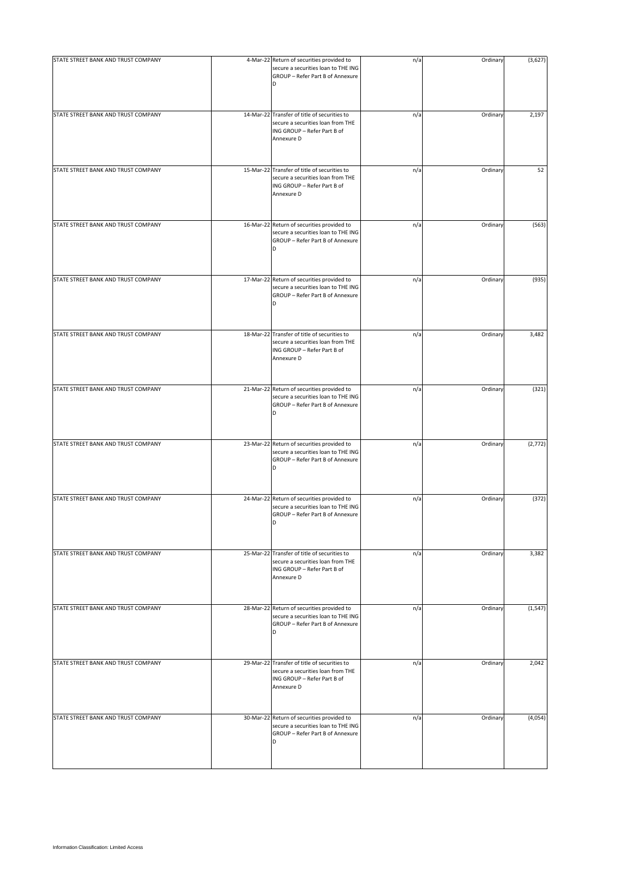| STATE STREET BANK AND TRUST COMPANY | 4-Mar-22 Return of securities provided to                                                                                             | n/a | Ordinary | (3,627)  |
|-------------------------------------|---------------------------------------------------------------------------------------------------------------------------------------|-----|----------|----------|
|                                     | secure a securities loan to THE ING<br>GROUP - Refer Part B of Annexure<br><sub>D</sub>                                               |     |          |          |
| STATE STREET BANK AND TRUST COMPANY | 14-Mar-22 Transfer of title of securities to<br>secure a securities loan from THE<br>ING GROUP - Refer Part B of<br>Annexure D        | n/a | Ordinary | 2,197    |
| STATE STREET BANK AND TRUST COMPANY | 15-Mar-22 Transfer of title of securities to<br>secure a securities loan from THE<br>ING GROUP - Refer Part B of<br>Annexure D        | n/a | Ordinary | 52       |
| STATE STREET BANK AND TRUST COMPANY | 16-Mar-22 Return of securities provided to<br>secure a securities loan to THE ING<br>GROUP - Refer Part B of Annexure<br><sub>D</sub> | n/a | Ordinary | (563)    |
| STATE STREET BANK AND TRUST COMPANY | 17-Mar-22 Return of securities provided to<br>secure a securities loan to THE ING<br>GROUP - Refer Part B of Annexure<br>D            | n/a | Ordinary | (935)    |
| STATE STREET BANK AND TRUST COMPANY | 18-Mar-22 Transfer of title of securities to<br>secure a securities loan from THE<br>ING GROUP - Refer Part B of<br>Annexure D        | n/a | Ordinary | 3,482    |
| STATE STREET BANK AND TRUST COMPANY | 21-Mar-22 Return of securities provided to<br>secure a securities loan to THE ING<br>GROUP - Refer Part B of Annexure<br>D            | n/a | Ordinary | (321)    |
| STATE STREET BANK AND TRUST COMPANY | 23-Mar-22 Return of securities provided to<br>secure a securities loan to THE ING<br>GROUP - Refer Part B of Annexure<br>D            | n/a | Ordinary | (2, 772) |
| STATE STREET BANK AND TRUST COMPANY | 24-Mar-22 Return of securities provided to<br>secure a securities loan to THE ING<br>GROUP - Refer Part B of Annexure<br>D            | n/a | Ordinary | (372)    |
| STATE STREET BANK AND TRUST COMPANY | 25-Mar-22 Transfer of title of securities to<br>secure a securities loan from THE<br>ING GROUP - Refer Part B of<br>Annexure D        | n/a | Ordinary | 3,382    |
| STATE STREET BANK AND TRUST COMPANY | 28-Mar-22 Return of securities provided to<br>secure a securities loan to THE ING<br>GROUP - Refer Part B of Annexure<br>D            | n/a | Ordinary | (1, 547) |
| STATE STREET BANK AND TRUST COMPANY | 29-Mar-22 Transfer of title of securities to<br>secure a securities loan from THE<br>ING GROUP - Refer Part B of<br>Annexure D        | n/a | Ordinary | 2,042    |
| STATE STREET BANK AND TRUST COMPANY | 30-Mar-22 Return of securities provided to<br>secure a securities loan to THE ING<br>GROUP - Refer Part B of Annexure<br>D            | n/a | Ordinary | (4,054)  |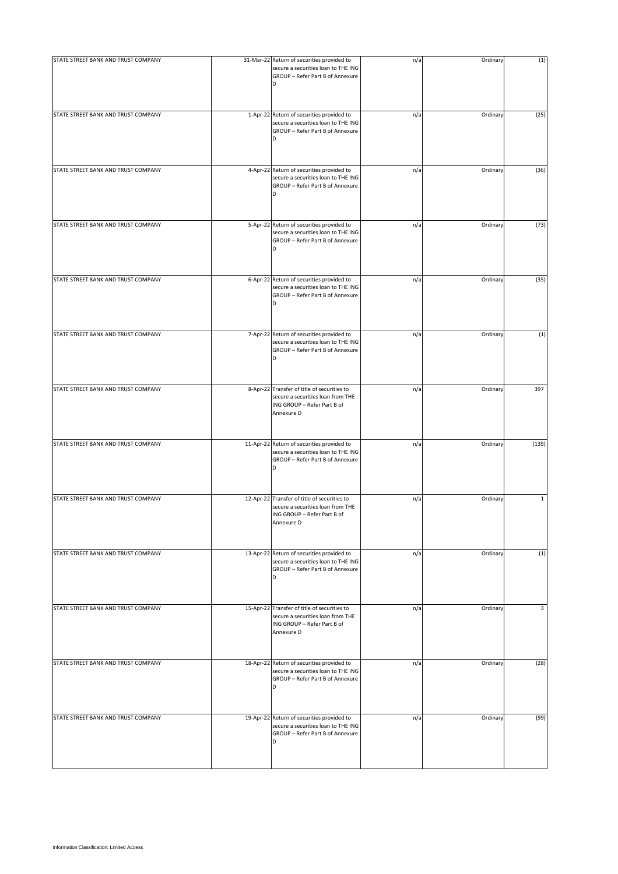| STATE STREET BANK AND TRUST COMPANY | 31-Mar-22 Return of securities provided to<br>secure a securities loan to THE ING<br>GROUP - Refer Part B of Annexure          | n/a | Ordinary | (1)   |
|-------------------------------------|--------------------------------------------------------------------------------------------------------------------------------|-----|----------|-------|
| STATE STREET BANK AND TRUST COMPANY | 1-Apr-22 Return of securities provided to<br>secure a securities loan to THE ING<br>GROUP - Refer Part B of Annexure<br>D      | n/a | Ordinary | (25)  |
| STATE STREET BANK AND TRUST COMPANY | 4-Apr-22 Return of securities provided to<br>secure a securities loan to THE ING<br>GROUP - Refer Part B of Annexure<br>D      | n/a | Ordinary | (36)  |
| STATE STREET BANK AND TRUST COMPANY | 5-Apr-22 Return of securities provided to<br>secure a securities loan to THE ING<br>GROUP - Refer Part B of Annexure<br>D      | n/a | Ordinary | (73)  |
| STATE STREET BANK AND TRUST COMPANY | 6-Apr-22 Return of securities provided to<br>secure a securities loan to THE ING<br>GROUP - Refer Part B of Annexure<br>D      | n/a | Ordinary | (35)  |
| STATE STREET BANK AND TRUST COMPANY | 7-Apr-22 Return of securities provided to<br>secure a securities loan to THE ING<br>GROUP - Refer Part B of Annexure           | n/a | Ordinary | (1)   |
| STATE STREET BANK AND TRUST COMPANY | 8-Apr-22 Transfer of title of securities to<br>secure a securities loan from THE<br>ING GROUP - Refer Part B of<br>Annexure D  | n/a | Ordinary | 397   |
| STATE STREET BANK AND TRUST COMPANY | 11-Apr-22 Return of securities provided to<br>secure a securities loan to THE ING<br>GROUP - Refer Part B of Annexure<br>D     | n/a | Ordinary | (139) |
| STATE STREET BANK AND TRUST COMPANY | 12-Apr-22 Transfer of title of securities to<br>secure a securities loan from THE<br>ING GROUP - Refer Part B of<br>Annexure D | n/a | Ordinary | 1     |
| STATE STREET BANK AND TRUST COMPANY | 13-Apr-22 Return of securities provided to<br>secure a securities loan to THE ING<br>GROUP - Refer Part B of Annexure<br>D     | n/a | Ordinary | (1)   |
| STATE STREET BANK AND TRUST COMPANY | 15-Apr-22 Transfer of title of securities to<br>secure a securities loan from THE<br>ING GROUP - Refer Part B of<br>Annexure D | n/a | Ordinary | 3     |
| STATE STREET BANK AND TRUST COMPANY | 18-Apr-22 Return of securities provided to<br>secure a securities loan to THE ING<br>GROUP - Refer Part B of Annexure<br>D     | n/a | Ordinary | (28)  |
| STATE STREET BANK AND TRUST COMPANY | 19-Apr-22 Return of securities provided to<br>secure a securities loan to THE ING<br>GROUP - Refer Part B of Annexure<br>D     | n/a | Ordinary | (99)  |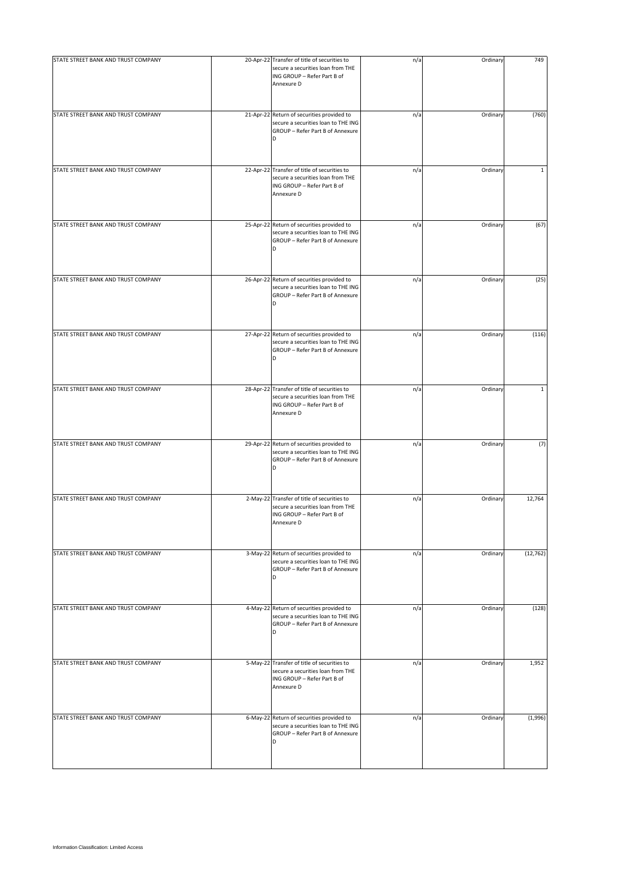| STATE STREET BANK AND TRUST COMPANY | 20-Apr-22 Transfer of title of securities to<br>secure a securities loan from THE<br>ING GROUP - Refer Part B of<br>Annexure D        | n/a | Ordinary | 749          |
|-------------------------------------|---------------------------------------------------------------------------------------------------------------------------------------|-----|----------|--------------|
| STATE STREET BANK AND TRUST COMPANY | 21-Apr-22 Return of securities provided to<br>secure a securities loan to THE ING<br>GROUP - Refer Part B of Annexure                 | n/a | Ordinary | (760)        |
| STATE STREET BANK AND TRUST COMPANY | 22-Apr-22 Transfer of title of securities to<br>secure a securities loan from THE<br>ING GROUP - Refer Part B of<br>Annexure D        | n/a | Ordinary | $\mathbf{1}$ |
| STATE STREET BANK AND TRUST COMPANY | 25-Apr-22 Return of securities provided to<br>secure a securities loan to THE ING<br>GROUP - Refer Part B of Annexure<br><sub>D</sub> | n/a | Ordinary | (67)         |
| STATE STREET BANK AND TRUST COMPANY | 26-Apr-22 Return of securities provided to<br>secure a securities loan to THE ING<br>GROUP - Refer Part B of Annexure<br>D            | n/a | Ordinary | (25)         |
| STATE STREET BANK AND TRUST COMPANY | 27-Apr-22 Return of securities provided to<br>secure a securities loan to THE ING<br>GROUP - Refer Part B of Annexure<br>D            | n/a | Ordinary | (116)        |
| STATE STREET BANK AND TRUST COMPANY | 28-Apr-22 Transfer of title of securities to<br>secure a securities loan from THE<br>ING GROUP - Refer Part B of<br>Annexure D        | n/a | Ordinary | $\mathbf 1$  |
| STATE STREET BANK AND TRUST COMPANY | 29-Apr-22 Return of securities provided to<br>secure a securities loan to THE ING<br>GROUP - Refer Part B of Annexure<br>D            | n/a | Ordinary | (7)          |
| STATE STREET BANK AND TRUST COMPANY | 2-May-22 Transfer of title of securities to<br>secure a securities loan from THE<br>ING GROUP - Refer Part B of<br>Annexure D         | n/a | Ordinary | 12,764       |
| STATE STREET BANK AND TRUST COMPANY | 3-May-22 Return of securities provided to<br>secure a securities loan to THE ING<br>GROUP - Refer Part B of Annexure<br>D             | n/a | Ordinary | (12, 762)    |
| STATE STREET BANK AND TRUST COMPANY | 4-May-22 Return of securities provided to<br>secure a securities loan to THE ING<br>GROUP - Refer Part B of Annexure<br>D             | n/a | Ordinary | (128)        |
| STATE STREET BANK AND TRUST COMPANY | 5-May-22 Transfer of title of securities to<br>secure a securities loan from THE<br>ING GROUP - Refer Part B of<br>Annexure D         | n/a | Ordinary | 1,952        |
| STATE STREET BANK AND TRUST COMPANY | 6-May-22 Return of securities provided to<br>secure a securities loan to THE ING<br>GROUP - Refer Part B of Annexure<br>D             | n/a | Ordinary | (1,996)      |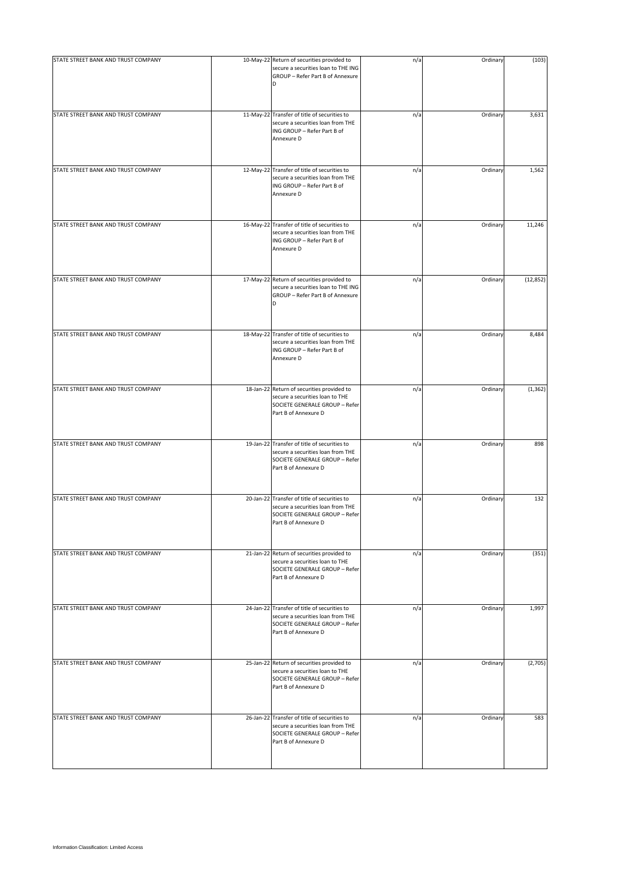| STATE STREET BANK AND TRUST COMPANY | 10-May-22 Return of securities provided to                                                                                                  | n/a | Ordinary | (103)     |
|-------------------------------------|---------------------------------------------------------------------------------------------------------------------------------------------|-----|----------|-----------|
|                                     | secure a securities loan to THE ING<br>GROUP - Refer Part B of Annexure<br>D                                                                |     |          |           |
| STATE STREET BANK AND TRUST COMPANY | 11-May-22 Transfer of title of securities to<br>secure a securities loan from THE<br>ING GROUP - Refer Part B of<br>Annexure D              | n/a | Ordinary | 3,631     |
| STATE STREET BANK AND TRUST COMPANY | 12-May-22 Transfer of title of securities to<br>secure a securities loan from THE<br>ING GROUP - Refer Part B of<br>Annexure D              | n/a | Ordinary | 1,562     |
| STATE STREET BANK AND TRUST COMPANY | 16-May-22 Transfer of title of securities to<br>secure a securities loan from THE<br>ING GROUP - Refer Part B of<br>Annexure D              | n/a | Ordinary | 11,246    |
| STATE STREET BANK AND TRUST COMPANY | 17-May-22 Return of securities provided to<br>secure a securities loan to THE ING<br>GROUP - Refer Part B of Annexure<br>D                  | n/a | Ordinary | (12, 852) |
| STATE STREET BANK AND TRUST COMPANY | 18-May-22 Transfer of title of securities to<br>secure a securities loan from THE<br>ING GROUP - Refer Part B of<br>Annexure D              | n/a | Ordinary | 8,484     |
| STATE STREET BANK AND TRUST COMPANY | 18-Jan-22 Return of securities provided to<br>secure a securities loan to THE<br>SOCIETE GENERALE GROUP - Refer<br>Part B of Annexure D     | n/a | Ordinary | (1, 362)  |
| STATE STREET BANK AND TRUST COMPANY | 19-Jan-22 Transfer of title of securities to<br>secure a securities loan from THE<br>SOCIETE GENERALE GROUP - Refer<br>Part B of Annexure D | n/a | Ordinary | 898       |
| STATE STREET BANK AND TRUST COMPANY | 20-Jan-22 Transfer of title of securities to<br>secure a securities loan from THE<br>SOCIETE GENERALE GROUP - Refer<br>Part B of Annexure D | n/a | Ordinary | 132       |
| STATE STREET BANK AND TRUST COMPANY | 21-Jan-22 Return of securities provided to<br>secure a securities loan to THE<br>SOCIETE GENERALE GROUP - Refer<br>Part B of Annexure D     | n/a | Ordinary | (351)     |
| STATE STREET BANK AND TRUST COMPANY | 24-Jan-22 Transfer of title of securities to<br>secure a securities loan from THE<br>SOCIETE GENERALE GROUP - Refer<br>Part B of Annexure D | n/a | Ordinary | 1,997     |
| STATE STREET BANK AND TRUST COMPANY | 25-Jan-22 Return of securities provided to<br>secure a securities loan to THE<br>SOCIETE GENERALE GROUP - Refer<br>Part B of Annexure D     | n/a | Ordinary | (2,705)   |
| STATE STREET BANK AND TRUST COMPANY | 26-Jan-22 Transfer of title of securities to<br>secure a securities loan from THE<br>SOCIETE GENERALE GROUP - Refer<br>Part B of Annexure D | n/a | Ordinary | 583       |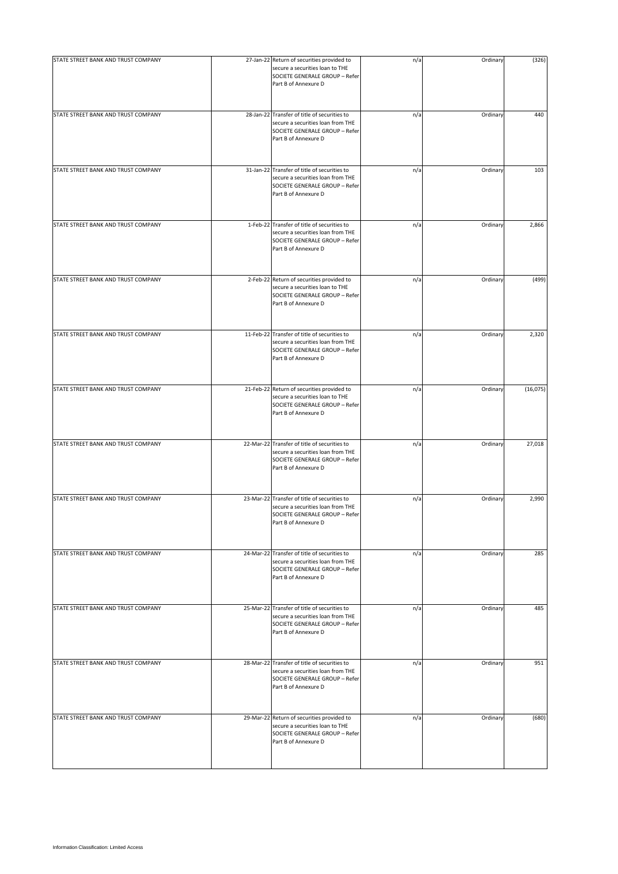| STATE STREET BANK AND TRUST COMPANY | 27-Jan-22 Return of securities provided to<br>secure a securities loan to THE<br>SOCIETE GENERALE GROUP - Refer<br>Part B of Annexure D     | n/a | Ordinary | (326)    |
|-------------------------------------|---------------------------------------------------------------------------------------------------------------------------------------------|-----|----------|----------|
| STATE STREET BANK AND TRUST COMPANY | 28-Jan-22 Transfer of title of securities to<br>secure a securities loan from THE<br>SOCIETE GENERALE GROUP - Refer<br>Part B of Annexure D | n/a | Ordinary | 440      |
| STATE STREET BANK AND TRUST COMPANY | 31-Jan-22 Transfer of title of securities to<br>secure a securities loan from THE<br>SOCIETE GENERALE GROUP - Refer<br>Part B of Annexure D | n/a | Ordinary | 103      |
| STATE STREET BANK AND TRUST COMPANY | 1-Feb-22 Transfer of title of securities to<br>secure a securities loan from THE<br>SOCIETE GENERALE GROUP - Refer<br>Part B of Annexure D  | n/a | Ordinary | 2,866    |
| STATE STREET BANK AND TRUST COMPANY | 2-Feb-22 Return of securities provided to<br>secure a securities loan to THE<br>SOCIETE GENERALE GROUP - Refer<br>Part B of Annexure D      | n/a | Ordinary | (499)    |
| STATE STREET BANK AND TRUST COMPANY | 11-Feb-22 Transfer of title of securities to<br>secure a securities loan from THE<br>SOCIETE GENERALE GROUP - Refer<br>Part B of Annexure D | n/a | Ordinary | 2,320    |
| STATE STREET BANK AND TRUST COMPANY | 21-Feb-22 Return of securities provided to<br>secure a securities loan to THE<br>SOCIETE GENERALE GROUP - Refer<br>Part B of Annexure D     | n/a | Ordinary | (16,075) |
| STATE STREET BANK AND TRUST COMPANY | 22-Mar-22 Transfer of title of securities to<br>secure a securities loan from THE<br>SOCIETE GENERALE GROUP - Refer<br>Part B of Annexure D | n/a | Ordinary | 27,018   |
| STATE STREET BANK AND TRUST COMPANY | 23-Mar-22 Transfer of title of securities to<br>secure a securities loan from THE<br>SOCIETE GENERALE GROUP - Refer<br>Part B of Annexure D | n/a | Ordinary | 2,990    |
| STATE STREET BANK AND TRUST COMPANY | 24-Mar-22 Transfer of title of securities to<br>secure a securities loan from THE<br>SOCIETE GENERALE GROUP - Refer<br>Part B of Annexure D | n/a | Ordinary | 285      |
| STATE STREET BANK AND TRUST COMPANY | 25-Mar-22 Transfer of title of securities to<br>secure a securities loan from THE<br>SOCIETE GENERALE GROUP - Refer<br>Part B of Annexure D | n/a | Ordinary | 485      |
| STATE STREET BANK AND TRUST COMPANY | 28-Mar-22 Transfer of title of securities to<br>secure a securities loan from THE<br>SOCIETE GENERALE GROUP - Refer<br>Part B of Annexure D | n/a | Ordinary | 951      |
| STATE STREET BANK AND TRUST COMPANY | 29-Mar-22 Return of securities provided to<br>secure a securities loan to THE<br>SOCIETE GENERALE GROUP - Refer<br>Part B of Annexure D     | n/a | Ordinary | (680)    |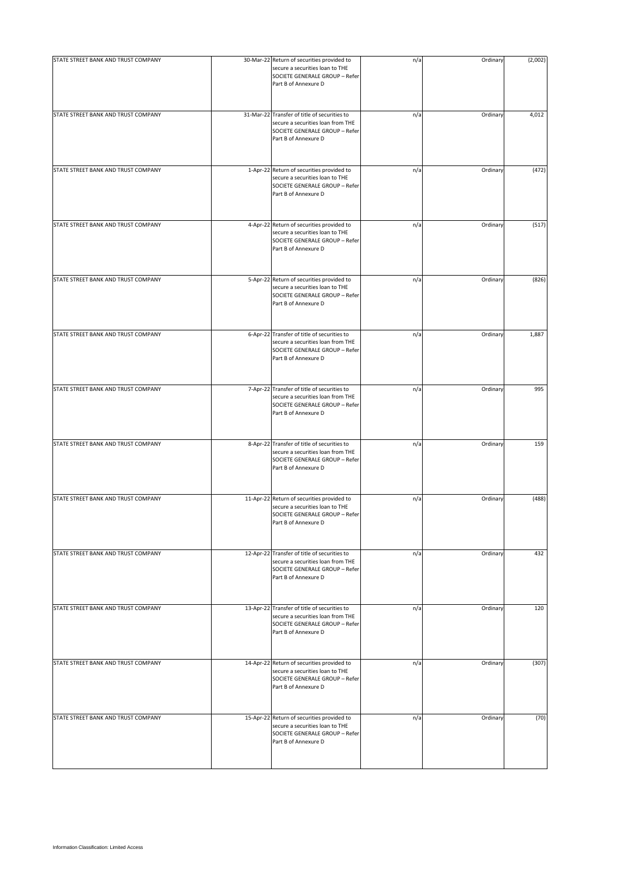| STATE STREET BANK AND TRUST COMPANY | 30-Mar-22 Return of securities provided to<br>secure a securities loan to THE<br>SOCIETE GENERALE GROUP - Refer<br>Part B of Annexure D     | n/a | Ordinary | (2,002) |
|-------------------------------------|---------------------------------------------------------------------------------------------------------------------------------------------|-----|----------|---------|
| STATE STREET BANK AND TRUST COMPANY | 31-Mar-22 Transfer of title of securities to<br>secure a securities loan from THE<br>SOCIETE GENERALE GROUP - Refer<br>Part B of Annexure D | n/a | Ordinary | 4,012   |
| STATE STREET BANK AND TRUST COMPANY | 1-Apr-22 Return of securities provided to<br>secure a securities loan to THE<br>SOCIETE GENERALE GROUP - Refer<br>Part B of Annexure D      | n/a | Ordinary | (472)   |
| STATE STREET BANK AND TRUST COMPANY | 4-Apr-22 Return of securities provided to<br>secure a securities loan to THE<br>SOCIETE GENERALE GROUP - Refer<br>Part B of Annexure D      | n/a | Ordinary | (517)   |
| STATE STREET BANK AND TRUST COMPANY | 5-Apr-22 Return of securities provided to<br>secure a securities loan to THE<br>SOCIETE GENERALE GROUP - Refer<br>Part B of Annexure D      | n/a | Ordinary | (826)   |
| STATE STREET BANK AND TRUST COMPANY | 6-Apr-22 Transfer of title of securities to<br>secure a securities loan from THE<br>SOCIETE GENERALE GROUP - Refer<br>Part B of Annexure D  | n/a | Ordinary | 1,887   |
| STATE STREET BANK AND TRUST COMPANY | 7-Apr-22 Transfer of title of securities to<br>secure a securities loan from THE<br>SOCIETE GENERALE GROUP - Refer<br>Part B of Annexure D  | n/a | Ordinary | 995     |
| STATE STREET BANK AND TRUST COMPANY | 8-Apr-22 Transfer of title of securities to<br>secure a securities loan from THE<br>SOCIETE GENERALE GROUP - Refer<br>Part B of Annexure D  | n/a | Ordinary | 159     |
| STATE STREET BANK AND TRUST COMPANY | 11-Apr-22 Return of securities provided to<br>secure a securities loan to THE<br>SOCIETE GENERALE GROUP - Refer<br>Part B of Annexure D     | n/a | Ordinary | (488)   |
| STATE STREET BANK AND TRUST COMPANY | 12-Apr-22 Transfer of title of securities to<br>secure a securities loan from THE<br>SOCIETE GENERALE GROUP - Refer<br>Part B of Annexure D | n/a | Ordinary | 432     |
| STATE STREET BANK AND TRUST COMPANY | 13-Apr-22 Transfer of title of securities to<br>secure a securities loan from THE<br>SOCIETE GENERALE GROUP - Refer<br>Part B of Annexure D | n/a | Ordinary | 120     |
| STATE STREET BANK AND TRUST COMPANY | 14-Apr-22 Return of securities provided to<br>secure a securities loan to THE<br>SOCIETE GENERALE GROUP - Refer<br>Part B of Annexure D     | n/a | Ordinary | (307)   |
| STATE STREET BANK AND TRUST COMPANY | 15-Apr-22 Return of securities provided to<br>secure a securities loan to THE<br>SOCIETE GENERALE GROUP - Refer<br>Part B of Annexure D     | n/a | Ordinary | (70)    |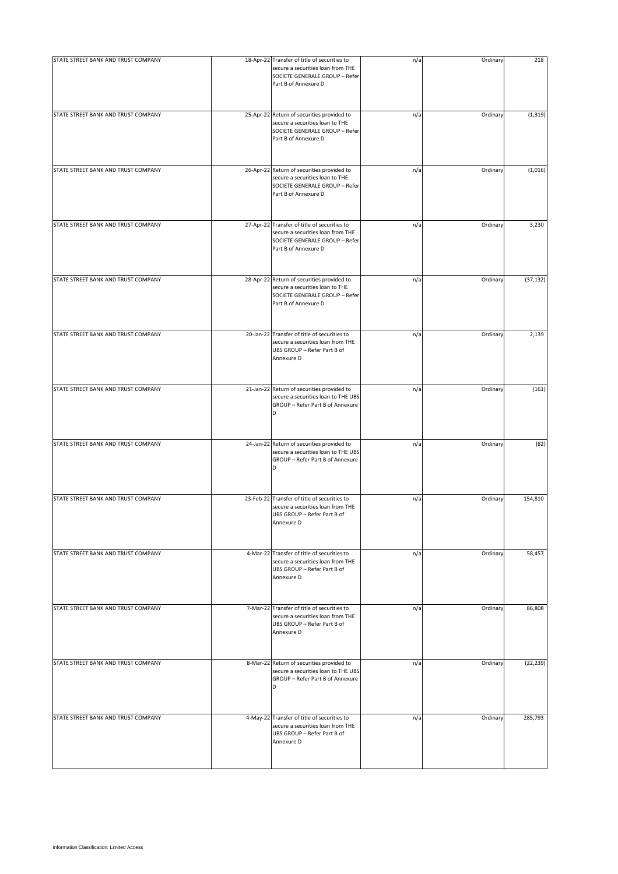| STATE STREET BANK AND TRUST COMPANY | 18-Apr-22 Transfer of title of securities to<br>secure a securities loan from THE<br>SOCIETE GENERALE GROUP - Refer<br>Part B of Annexure D | n/a | Ordinary | 218       |
|-------------------------------------|---------------------------------------------------------------------------------------------------------------------------------------------|-----|----------|-----------|
| STATE STREET BANK AND TRUST COMPANY | 25-Apr-22 Return of securities provided to<br>secure a securities loan to THE<br>SOCIETE GENERALE GROUP - Refer<br>Part B of Annexure D     | n/a | Ordinary | (1, 319)  |
| STATE STREET BANK AND TRUST COMPANY | 26-Apr-22 Return of securities provided to<br>secure a securities loan to THE<br>SOCIETE GENERALE GROUP - Refer<br>Part B of Annexure D     | n/a | Ordinary | (1,016)   |
| STATE STREET BANK AND TRUST COMPANY | 27-Apr-22 Transfer of title of securities to<br>secure a securities loan from THE<br>SOCIETE GENERALE GROUP - Refer<br>Part B of Annexure D | n/a | Ordinary | 3,230     |
| STATE STREET BANK AND TRUST COMPANY | 28-Apr-22 Return of securities provided to<br>secure a securities loan to THE<br>SOCIETE GENERALE GROUP - Refer<br>Part B of Annexure D     | n/a | Ordinary | (37, 132) |
| STATE STREET BANK AND TRUST COMPANY | 20-Jan-22 Transfer of title of securities to<br>secure a securities loan from THE<br>UBS GROUP - Refer Part B of<br>Annexure D              | n/a | Ordinary | 2,139     |
| STATE STREET BANK AND TRUST COMPANY | 21-Jan-22 Return of securities provided to<br>secure a securities loan to THE UBS<br>GROUP - Refer Part B of Annexure<br>D                  | n/a | Ordinary | (161)     |
| STATE STREET BANK AND TRUST COMPANY | 24-Jan-22 Return of securities provided to<br>secure a securities loan to THE UBS<br>GROUP - Refer Part B of Annexure<br>D                  | n/a | Ordinary | (82)      |
| STATE STREET BANK AND TRUST COMPANY | 23-Feb-22 Transfer of title of securities to<br>secure a securities loan from THE<br>UBS GROUP - Refer Part B of<br>Annexure D              | n/a | Ordinary | 154,810   |
| STATE STREET BANK AND TRUST COMPANY | 4-Mar-22 Transfer of title of securities to<br>secure a securities loan from THE<br>UBS GROUP - Refer Part B of<br>Annexure D               | n/a | Ordinary | 58,457    |
| STATE STREET BANK AND TRUST COMPANY | 7-Mar-22 Transfer of title of securities to<br>secure a securities loan from THE<br>UBS GROUP - Refer Part B of<br>Annexure D               | n/a | Ordinary | 86,808    |
| STATE STREET BANK AND TRUST COMPANY | 8-Mar-22 Return of securities provided to<br>secure a securities loan to THE UBS<br>GROUP - Refer Part B of Annexure<br>D                   | n/a | Ordinary | (22, 239) |
| STATE STREET BANK AND TRUST COMPANY | 4-May-22 Transfer of title of securities to<br>secure a securities loan from THE<br>UBS GROUP - Refer Part B of<br>Annexure D               | n/a | Ordinary | 285,793   |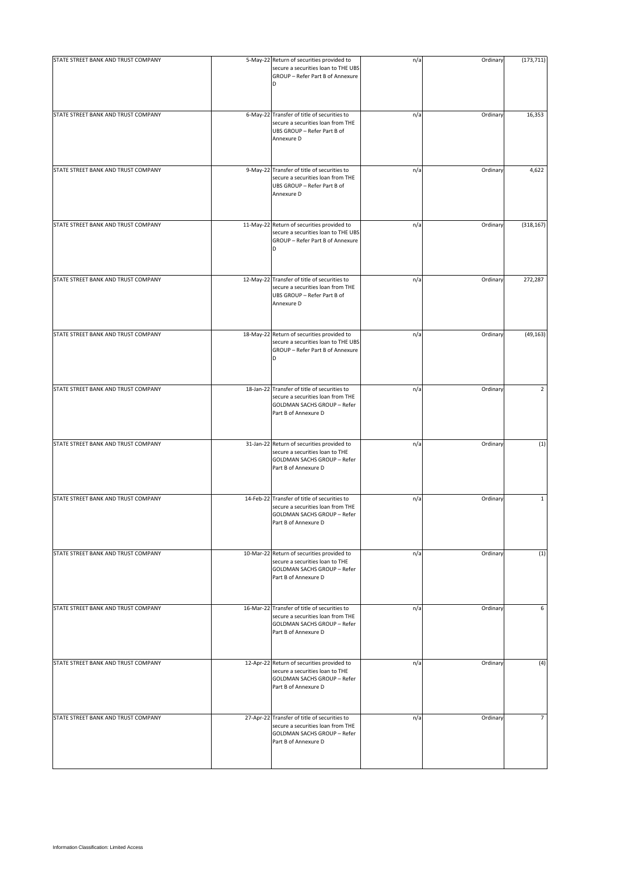| STATE STREET BANK AND TRUST COMPANY | 5-May-22 Return of securities provided to                                                                                                       | n/a | Ordinary | (173, 711)     |
|-------------------------------------|-------------------------------------------------------------------------------------------------------------------------------------------------|-----|----------|----------------|
|                                     | secure a securities loan to THE UBS<br>GROUP - Refer Part B of Annexure<br>D                                                                    |     |          |                |
| STATE STREET BANK AND TRUST COMPANY | 6-May-22 Transfer of title of securities to<br>secure a securities loan from THE<br>UBS GROUP - Refer Part B of<br>Annexure D                   | n/a | Ordinary | 16,353         |
| STATE STREET BANK AND TRUST COMPANY | 9-May-22 Transfer of title of securities to<br>secure a securities loan from THE<br>UBS GROUP - Refer Part B of<br>Annexure D                   | n/a | Ordinary | 4,622          |
| STATE STREET BANK AND TRUST COMPANY | 11-May-22 Return of securities provided to<br>secure a securities loan to THE UBS<br>GROUP - Refer Part B of Annexure<br>D                      | n/a | Ordinary | (318, 167)     |
| STATE STREET BANK AND TRUST COMPANY | 12-May-22 Transfer of title of securities to<br>secure a securities loan from THE<br>UBS GROUP - Refer Part B of<br>Annexure D                  | n/a | Ordinary | 272,287        |
| STATE STREET BANK AND TRUST COMPANY | 18-May-22 Return of securities provided to<br>secure a securities loan to THE UBS<br>GROUP - Refer Part B of Annexure<br>D                      | n/a | Ordinary | (49, 163)      |
| STATE STREET BANK AND TRUST COMPANY | 18-Jan-22 Transfer of title of securities to<br>secure a securities loan from THE<br>GOLDMAN SACHS GROUP - Refer<br>Part B of Annexure D        | n/a | Ordinary | $\overline{2}$ |
| STATE STREET BANK AND TRUST COMPANY | 31-Jan-22 Return of securities provided to<br>secure a securities loan to THE<br>GOLDMAN SACHS GROUP - Refer<br>Part B of Annexure D            | n/a | Ordinary | (1)            |
| STATE STREET BANK AND TRUST COMPANY | 14-Feb-22 Transfer of title of securities to<br>secure a securities loan from THE<br><b>GOLDMAN SACHS GROUP - Refer</b><br>Part B of Annexure D | n/a | Ordinary | $\mathbf{1}$   |
| STATE STREET BANK AND TRUST COMPANY | 10-Mar-22 Return of securities provided to<br>secure a securities loan to THE<br><b>GOLDMAN SACHS GROUP - Refer</b><br>Part B of Annexure D     | n/a | Ordinary | (1)            |
| STATE STREET BANK AND TRUST COMPANY | 16-Mar-22 Transfer of title of securities to<br>secure a securities loan from THE<br><b>GOLDMAN SACHS GROUP - Refer</b><br>Part B of Annexure D | n/a | Ordinary | 6              |
| STATE STREET BANK AND TRUST COMPANY | 12-Apr-22 Return of securities provided to<br>secure a securities loan to THE<br>GOLDMAN SACHS GROUP - Refer<br>Part B of Annexure D            | n/a | Ordinary | (4)            |
| STATE STREET BANK AND TRUST COMPANY | 27-Apr-22 Transfer of title of securities to<br>secure a securities loan from THE<br><b>GOLDMAN SACHS GROUP - Refer</b><br>Part B of Annexure D | n/a | Ordinary | 7              |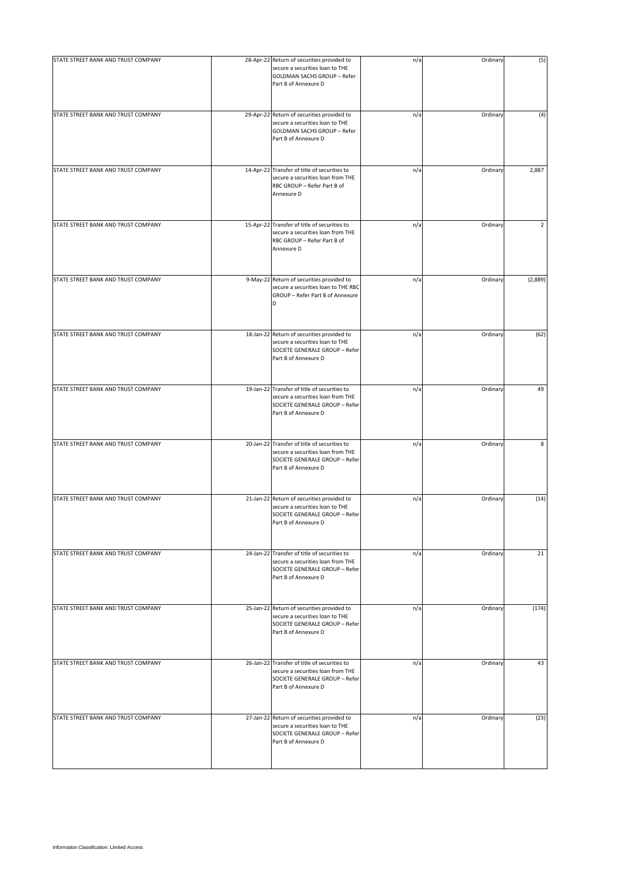| STATE STREET BANK AND TRUST COMPANY | 28-Apr-22 Return of securities provided to<br>secure a securities loan to THE<br>GOLDMAN SACHS GROUP - Refer<br>Part B of Annexure D        | n/a | Ordinary | (5)            |
|-------------------------------------|---------------------------------------------------------------------------------------------------------------------------------------------|-----|----------|----------------|
| STATE STREET BANK AND TRUST COMPANY | 29-Apr-22 Return of securities provided to<br>secure a securities loan to THE<br>GOLDMAN SACHS GROUP - Refer<br>Part B of Annexure D        | n/a | Ordinary | (4)            |
| STATE STREET BANK AND TRUST COMPANY | 14-Apr-22 Transfer of title of securities to<br>secure a securities loan from THE<br>RBC GROUP - Refer Part B of<br>Annexure D              | n/a | Ordinary | 2,887          |
| STATE STREET BANK AND TRUST COMPANY | 15-Apr-22 Transfer of title of securities to<br>secure a securities loan from THE<br>RBC GROUP - Refer Part B of<br>Annexure D              | n/a | Ordinary | $\overline{2}$ |
| STATE STREET BANK AND TRUST COMPANY | 9-May-22 Return of securities provided to<br>secure a securities loan to THE RBC<br>GROUP - Refer Part B of Annexure<br>D                   | n/a | Ordinary | (2,889)        |
| STATE STREET BANK AND TRUST COMPANY | 18-Jan-22 Return of securities provided to<br>secure a securities loan to THE<br>SOCIETE GENERALE GROUP - Refer<br>Part B of Annexure D     | n/a | Ordinary | (62)           |
| STATE STREET BANK AND TRUST COMPANY | 19-Jan-22 Transfer of title of securities to<br>secure a securities loan from THE<br>SOCIETE GENERALE GROUP - Refer<br>Part B of Annexure D | n/a | Ordinary | 49             |
| STATE STREET BANK AND TRUST COMPANY | 20-Jan-22 Transfer of title of securities to<br>secure a securities loan from THE<br>SOCIETE GENERALE GROUP - Refer<br>Part B of Annexure D | n/a | Ordinary | 8              |
| STATE STREET BANK AND TRUST COMPANY | 21-Jan-22 Return of securities provided to<br>secure a securities loan to THE<br>SOCIETE GENERALE GROUP - Refer<br>Part B of Annexure D     | n/a | Ordinary | (14)           |
| STATE STREET BANK AND TRUST COMPANY | 24-Jan-22 Transfer of title of securities to<br>secure a securities loan from THE<br>SOCIETE GENERALE GROUP - Refer<br>Part B of Annexure D | n/a | Ordinary | 21             |
| STATE STREET BANK AND TRUST COMPANY | 25-Jan-22 Return of securities provided to<br>secure a securities loan to THE<br>SOCIETE GENERALE GROUP - Refer<br>Part B of Annexure D     | n/a | Ordinary | (174)          |
| STATE STREET BANK AND TRUST COMPANY | 26-Jan-22 Transfer of title of securities to<br>secure a securities loan from THE<br>SOCIETE GENERALE GROUP - Refer<br>Part B of Annexure D | n/a | Ordinary | 43             |
| STATE STREET BANK AND TRUST COMPANY | 27-Jan-22 Return of securities provided to<br>secure a securities loan to THE<br>SOCIETE GENERALE GROUP - Refer<br>Part B of Annexure D     | n/a | Ordinary | (23)           |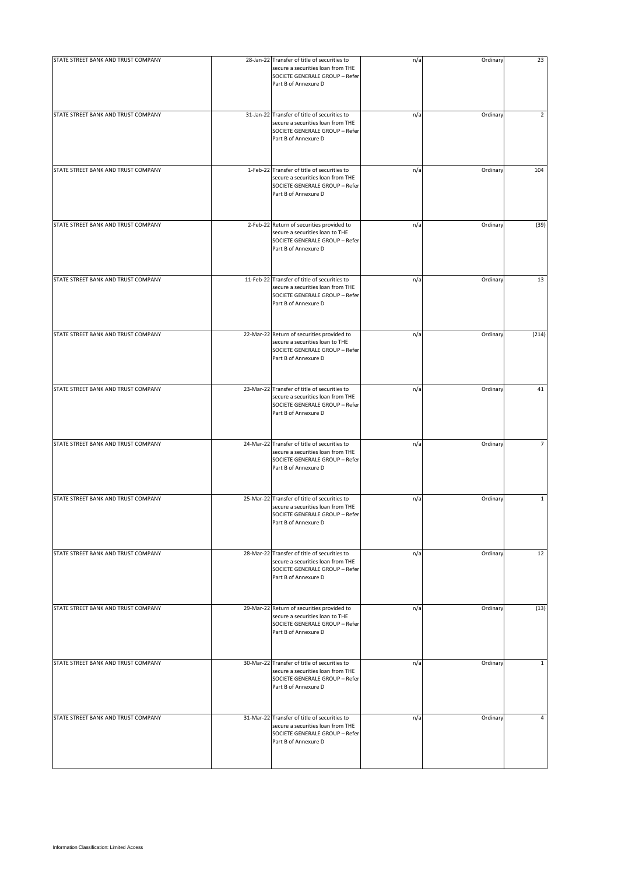| STATE STREET BANK AND TRUST COMPANY | 28-Jan-22 Transfer of title of securities to<br>secure a securities loan from THE<br>SOCIETE GENERALE GROUP - Refer<br>Part B of Annexure D | n/a | Ordinary | 23             |
|-------------------------------------|---------------------------------------------------------------------------------------------------------------------------------------------|-----|----------|----------------|
| STATE STREET BANK AND TRUST COMPANY | 31-Jan-22 Transfer of title of securities to<br>secure a securities loan from THE<br>SOCIETE GENERALE GROUP - Refer<br>Part B of Annexure D | n/a | Ordinary | $\overline{2}$ |
| STATE STREET BANK AND TRUST COMPANY | 1-Feb-22 Transfer of title of securities to<br>secure a securities loan from THE<br>SOCIETE GENERALE GROUP - Refer<br>Part B of Annexure D  | n/a | Ordinary | 104            |
| STATE STREET BANK AND TRUST COMPANY | 2-Feb-22 Return of securities provided to<br>secure a securities loan to THE<br>SOCIETE GENERALE GROUP - Refer<br>Part B of Annexure D      | n/a | Ordinary | (39)           |
| STATE STREET BANK AND TRUST COMPANY | 11-Feb-22 Transfer of title of securities to<br>secure a securities loan from THE<br>SOCIETE GENERALE GROUP - Refer<br>Part B of Annexure D | n/a | Ordinary | 13             |
| STATE STREET BANK AND TRUST COMPANY | 22-Mar-22 Return of securities provided to<br>secure a securities loan to THE<br>SOCIETE GENERALE GROUP - Refer<br>Part B of Annexure D     | n/a | Ordinary | (214)          |
| STATE STREET BANK AND TRUST COMPANY | 23-Mar-22 Transfer of title of securities to<br>secure a securities loan from THE<br>SOCIETE GENERALE GROUP - Refer<br>Part B of Annexure D | n/a | Ordinary | 41             |
| STATE STREET BANK AND TRUST COMPANY | 24-Mar-22 Transfer of title of securities to<br>secure a securities loan from THE<br>SOCIETE GENERALE GROUP - Refer<br>Part B of Annexure D | n/a | Ordinary | $\overline{7}$ |
| STATE STREET BANK AND TRUST COMPANY | 25-Mar-22 Transfer of title of securities to<br>secure a securities loan from THE<br>SOCIETE GENERALE GROUP - Refer<br>Part B of Annexure D | n/a | Ordinary | $\mathbf{1}$   |
| STATE STREET BANK AND TRUST COMPANY | 28-Mar-22 Transfer of title of securities to<br>secure a securities loan from THE<br>SOCIETE GENERALE GROUP - Refer<br>Part B of Annexure D | n/a | Ordinary | 12             |
| STATE STREET BANK AND TRUST COMPANY | 29-Mar-22 Return of securities provided to<br>secure a securities loan to THE<br>SOCIETE GENERALE GROUP - Refer<br>Part B of Annexure D     | n/a | Ordinary | (13)           |
| STATE STREET BANK AND TRUST COMPANY | 30-Mar-22 Transfer of title of securities to<br>secure a securities loan from THE<br>SOCIETE GENERALE GROUP - Refer<br>Part B of Annexure D | n/a | Ordinary | $\mathbf{1}$   |
| STATE STREET BANK AND TRUST COMPANY | 31-Mar-22 Transfer of title of securities to<br>secure a securities loan from THE<br>SOCIETE GENERALE GROUP - Refer<br>Part B of Annexure D | n/a | Ordinary | $\overline{4}$ |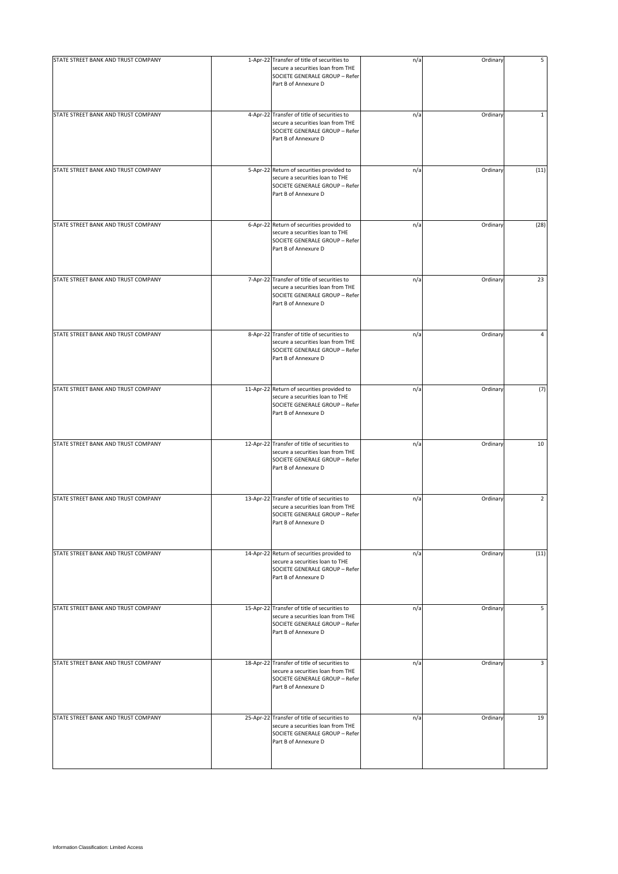| STATE STREET BANK AND TRUST COMPANY | 1-Apr-22 Transfer of title of securities to<br>secure a securities loan from THE<br>SOCIETE GENERALE GROUP - Refer<br>Part B of Annexure D  | n/a | Ordinary | 5              |
|-------------------------------------|---------------------------------------------------------------------------------------------------------------------------------------------|-----|----------|----------------|
| STATE STREET BANK AND TRUST COMPANY | 4-Apr-22 Transfer of title of securities to<br>secure a securities loan from THE<br>SOCIETE GENERALE GROUP - Refer<br>Part B of Annexure D  | n/a | Ordinary | $\mathbf 1$    |
| STATE STREET BANK AND TRUST COMPANY | 5-Apr-22 Return of securities provided to<br>secure a securities loan to THE<br>SOCIETE GENERALE GROUP - Refer<br>Part B of Annexure D      | n/a | Ordinary | (11)           |
| STATE STREET BANK AND TRUST COMPANY | 6-Apr-22 Return of securities provided to<br>secure a securities loan to THE<br>SOCIETE GENERALE GROUP - Refer<br>Part B of Annexure D      | n/a | Ordinary | (28)           |
| STATE STREET BANK AND TRUST COMPANY | 7-Apr-22 Transfer of title of securities to<br>secure a securities loan from THE<br>SOCIETE GENERALE GROUP - Refer<br>Part B of Annexure D  | n/a | Ordinary | 23             |
| STATE STREET BANK AND TRUST COMPANY | 8-Apr-22 Transfer of title of securities to<br>secure a securities loan from THE<br>SOCIETE GENERALE GROUP - Refer<br>Part B of Annexure D  | n/a | Ordinary | 4              |
| STATE STREET BANK AND TRUST COMPANY | 11-Apr-22 Return of securities provided to<br>secure a securities loan to THE<br>SOCIETE GENERALE GROUP - Refer<br>Part B of Annexure D     | n/a | Ordinary | (7)            |
| STATE STREET BANK AND TRUST COMPANY | 12-Apr-22 Transfer of title of securities to<br>secure a securities loan from THE<br>SOCIETE GENERALE GROUP - Refer<br>Part B of Annexure D | n/a | Ordinary | 10             |
| STATE STREET BANK AND TRUST COMPANY | 13-Apr-22 Transfer of title of securities to<br>secure a securities loan from THE<br>SOCIETE GENERALE GROUP - Refer<br>Part B of Annexure D | n/a | Ordinary | $\overline{2}$ |
| STATE STREET BANK AND TRUST COMPANY | 14-Apr-22 Return of securities provided to<br>secure a securities loan to THE<br>SOCIETE GENERALE GROUP - Refer<br>Part B of Annexure D     | n/a | Ordinary | (11)           |
| STATE STREET BANK AND TRUST COMPANY | 15-Apr-22 Transfer of title of securities to<br>secure a securities loan from THE<br>SOCIETE GENERALE GROUP - Refer<br>Part B of Annexure D | n/a | Ordinary | 5              |
| STATE STREET BANK AND TRUST COMPANY | 18-Apr-22 Transfer of title of securities to<br>secure a securities loan from THE<br>SOCIETE GENERALE GROUP - Refer<br>Part B of Annexure D | n/a | Ordinary | 3              |
| STATE STREET BANK AND TRUST COMPANY | 25-Apr-22 Transfer of title of securities to<br>secure a securities loan from THE<br>SOCIETE GENERALE GROUP - Refer<br>Part B of Annexure D | n/a | Ordinary | 19             |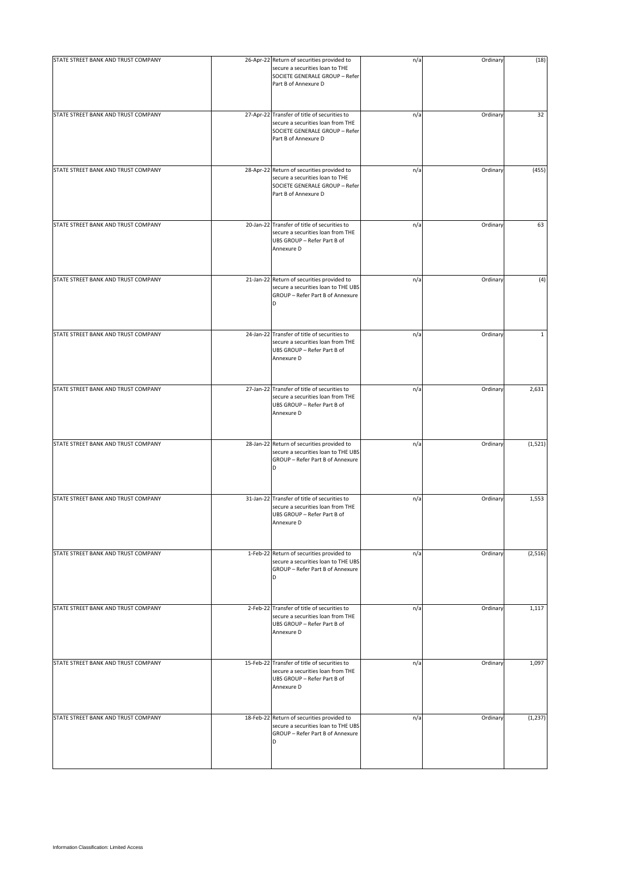| STATE STREET BANK AND TRUST COMPANY | 26-Apr-22 Return of securities provided to<br>secure a securities loan to THE<br>SOCIETE GENERALE GROUP - Refer<br>Part B of Annexure D     | n/a | Ordinary | (18)     |
|-------------------------------------|---------------------------------------------------------------------------------------------------------------------------------------------|-----|----------|----------|
| STATE STREET BANK AND TRUST COMPANY | 27-Apr-22 Transfer of title of securities to<br>secure a securities loan from THE<br>SOCIETE GENERALE GROUP - Refer<br>Part B of Annexure D | n/a | Ordinary | 32       |
| STATE STREET BANK AND TRUST COMPANY | 28-Apr-22 Return of securities provided to<br>secure a securities loan to THE<br>SOCIETE GENERALE GROUP - Refer<br>Part B of Annexure D     | n/a | Ordinary | (455)    |
| STATE STREET BANK AND TRUST COMPANY | 20-Jan-22 Transfer of title of securities to<br>secure a securities loan from THE<br>UBS GROUP - Refer Part B of<br>Annexure D              | n/a | Ordinary | 63       |
| STATE STREET BANK AND TRUST COMPANY | 21-Jan-22 Return of securities provided to<br>secure a securities loan to THE UBS<br>GROUP - Refer Part B of Annexure<br>D                  | n/a | Ordinary | (4)      |
| STATE STREET BANK AND TRUST COMPANY | 24-Jan-22 Transfer of title of securities to<br>secure a securities loan from THE<br>UBS GROUP - Refer Part B of<br>Annexure D              | n/a | Ordinary | 1        |
| STATE STREET BANK AND TRUST COMPANY | 27-Jan-22 Transfer of title of securities to<br>secure a securities loan from THE<br>UBS GROUP - Refer Part B of<br>Annexure D              | n/a | Ordinary | 2,631    |
| STATE STREET BANK AND TRUST COMPANY | 28-Jan-22 Return of securities provided to<br>secure a securities loan to THE UBS<br>GROUP - Refer Part B of Annexure<br>D                  | n/a | Ordinary | (1, 521) |
| STATE STREET BANK AND TRUST COMPANY | 31-Jan-22 Transfer of title of securities to<br>secure a securities loan from THE<br>UBS GROUP - Refer Part B of<br>Annexure D              | n/a | Ordinary | 1,553    |
| STATE STREET BANK AND TRUST COMPANY | 1-Feb-22 Return of securities provided to<br>secure a securities loan to THE UBS<br>GROUP - Refer Part B of Annexure<br>D                   | n/a | Ordinary | (2, 516) |
| STATE STREET BANK AND TRUST COMPANY | 2-Feb-22 Transfer of title of securities to<br>secure a securities loan from THE<br>UBS GROUP - Refer Part B of<br>Annexure D               | n/a | Ordinary | 1,117    |
| STATE STREET BANK AND TRUST COMPANY | 15-Feb-22 Transfer of title of securities to<br>secure a securities loan from THE<br>UBS GROUP - Refer Part B of<br>Annexure D              | n/a | Ordinary | 1,097    |
| STATE STREET BANK AND TRUST COMPANY | 18-Feb-22 Return of securities provided to<br>secure a securities loan to THE UBS<br>GROUP - Refer Part B of Annexure<br>D                  | n/a | Ordinary | (1, 237) |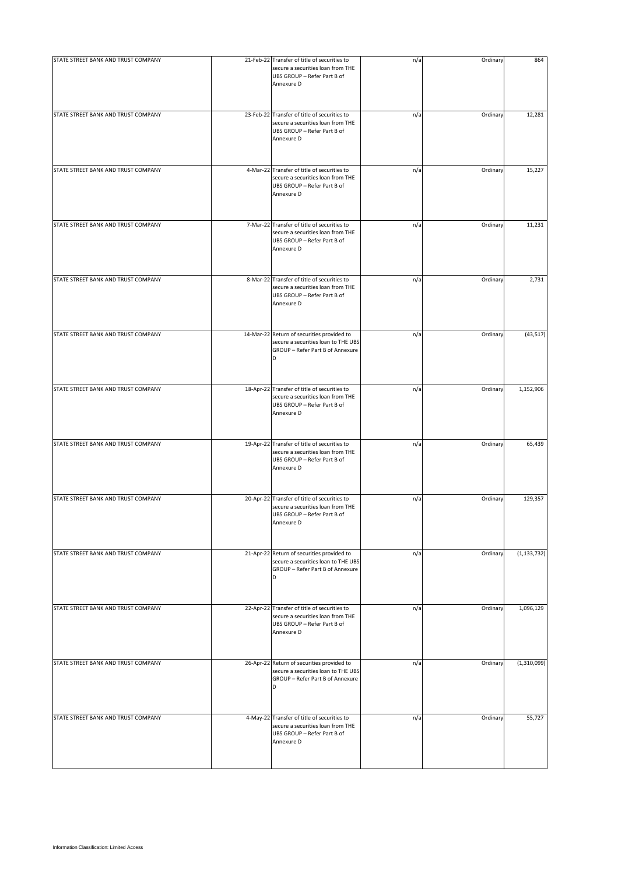| STATE STREET BANK AND TRUST COMPANY | 21-Feb-22 Transfer of title of securities to<br>secure a securities loan from THE<br>UBS GROUP - Refer Part B of<br>Annexure D | n/a | Ordinary | 864           |
|-------------------------------------|--------------------------------------------------------------------------------------------------------------------------------|-----|----------|---------------|
| STATE STREET BANK AND TRUST COMPANY | 23-Feb-22 Transfer of title of securities to<br>secure a securities loan from THE<br>UBS GROUP - Refer Part B of<br>Annexure D | n/a | Ordinary | 12,281        |
| STATE STREET BANK AND TRUST COMPANY | 4-Mar-22 Transfer of title of securities to<br>secure a securities loan from THE<br>UBS GROUP - Refer Part B of<br>Annexure D  | n/a | Ordinary | 15,227        |
| STATE STREET BANK AND TRUST COMPANY | 7-Mar-22 Transfer of title of securities to<br>secure a securities loan from THE<br>UBS GROUP - Refer Part B of<br>Annexure D  | n/a | Ordinary | 11,231        |
| STATE STREET BANK AND TRUST COMPANY | 8-Mar-22 Transfer of title of securities to<br>secure a securities loan from THE<br>UBS GROUP - Refer Part B of<br>Annexure D  | n/a | Ordinary | 2,731         |
| STATE STREET BANK AND TRUST COMPANY | 14-Mar-22 Return of securities provided to<br>secure a securities loan to THE UBS<br>GROUP - Refer Part B of Annexure          | n/a | Ordinary | (43, 517)     |
| STATE STREET BANK AND TRUST COMPANY | 18-Apr-22 Transfer of title of securities to<br>secure a securities loan from THE<br>UBS GROUP - Refer Part B of<br>Annexure D | n/a | Ordinary | 1,152,906     |
| STATE STREET BANK AND TRUST COMPANY | 19-Apr-22 Transfer of title of securities to<br>secure a securities loan from THE<br>UBS GROUP - Refer Part B of<br>Annexure D | n/a | Ordinary | 65,439        |
| STATE STREET BANK AND TRUST COMPANY | 20-Apr-22 Transfer of title of securities to<br>secure a securities loan from THE<br>UBS GROUP - Refer Part B of<br>Annexure D | n/a | Ordinary | 129,357       |
| STATE STREET BANK AND TRUST COMPANY | 21-Apr-22 Return of securities provided to<br>secure a securities loan to THE UBS<br>GROUP - Refer Part B of Annexure<br>D     | n/a | Ordinary | (1, 133, 732) |
| STATE STREET BANK AND TRUST COMPANY | 22-Apr-22 Transfer of title of securities to<br>secure a securities loan from THE<br>UBS GROUP - Refer Part B of<br>Annexure D | n/a | Ordinary | 1,096,129     |
| STATE STREET BANK AND TRUST COMPANY | 26-Apr-22 Return of securities provided to<br>secure a securities loan to THE UBS<br>GROUP - Refer Part B of Annexure<br>D     | n/a | Ordinary | (1,310,099)   |
| STATE STREET BANK AND TRUST COMPANY | 4-May-22 Transfer of title of securities to<br>secure a securities loan from THE<br>UBS GROUP - Refer Part B of<br>Annexure D  | n/a | Ordinary | 55,727        |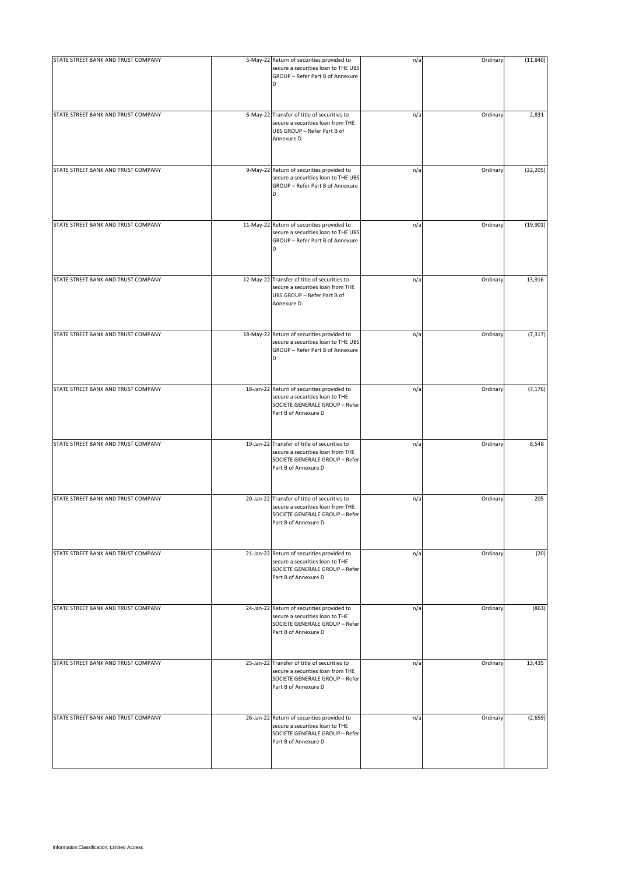| STATE STREET BANK AND TRUST COMPANY | 5-May-22 Return of securities provided to                                                                                                   | n/a | Ordinary | (11, 840) |
|-------------------------------------|---------------------------------------------------------------------------------------------------------------------------------------------|-----|----------|-----------|
|                                     | secure a securities loan to THE UBS<br>GROUP - Refer Part B of Annexure<br>D                                                                |     |          |           |
| STATE STREET BANK AND TRUST COMPANY | 6-May-22 Transfer of title of securities to<br>secure a securities loan from THE<br>UBS GROUP - Refer Part B of<br>Annexure D               | n/a | Ordinary | 2,831     |
| STATE STREET BANK AND TRUST COMPANY | 9-May-22 Return of securities provided to<br>secure a securities loan to THE UBS<br>GROUP - Refer Part B of Annexure<br>D                   | n/a | Ordinary | (22, 205) |
| STATE STREET BANK AND TRUST COMPANY | 11-May-22 Return of securities provided to<br>secure a securities loan to THE UBS<br>GROUP - Refer Part B of Annexure<br>D                  | n/a | Ordinary | (19,901)  |
| STATE STREET BANK AND TRUST COMPANY | 12-May-22 Transfer of title of securities to<br>secure a securities loan from THE<br>UBS GROUP - Refer Part B of<br>Annexure D              | n/a | Ordinary | 13,916    |
| STATE STREET BANK AND TRUST COMPANY | 18-May-22 Return of securities provided to<br>secure a securities loan to THE UBS<br>GROUP - Refer Part B of Annexure<br>D                  | n/a | Ordinary | (7, 317)  |
| STATE STREET BANK AND TRUST COMPANY | 18-Jan-22 Return of securities provided to<br>secure a securities loan to THE<br>SOCIETE GENERALE GROUP - Refer<br>Part B of Annexure D     | n/a | Ordinary | (7, 176)  |
| STATE STREET BANK AND TRUST COMPANY | 19-Jan-22 Transfer of title of securities to<br>secure a securities loan from THE<br>SOCIETE GENERALE GROUP - Refer<br>Part B of Annexure D | n/a | Ordinary | 8,548     |
| STATE STREET BANK AND TRUST COMPANY | 20-Jan-22 Transfer of title of securities to<br>secure a securities loan from THE<br>SOCIETE GENERALE GROUP - Refer<br>Part B of Annexure D | n/a | Ordinary | 205       |
| STATE STREET BANK AND TRUST COMPANY | 21-Jan-22 Return of securities provided to<br>secure a securities loan to THE<br>SOCIETE GENERALE GROUP - Refer<br>Part B of Annexure D     | n/a | Ordinary | (20)      |
| STATE STREET BANK AND TRUST COMPANY | 24-Jan-22 Return of securities provided to<br>secure a securities loan to THE<br>SOCIETE GENERALE GROUP - Refer<br>Part B of Annexure D     | n/a | Ordinary | (863)     |
| STATE STREET BANK AND TRUST COMPANY | 25-Jan-22 Transfer of title of securities to<br>secure a securities loan from THE<br>SOCIETE GENERALE GROUP - Refer<br>Part B of Annexure D | n/a | Ordinary | 13,435    |
| STATE STREET BANK AND TRUST COMPANY | 26-Jan-22 Return of securities provided to<br>secure a securities loan to THE<br>SOCIETE GENERALE GROUP - Refer<br>Part B of Annexure D     | n/a | Ordinary | (2,659)   |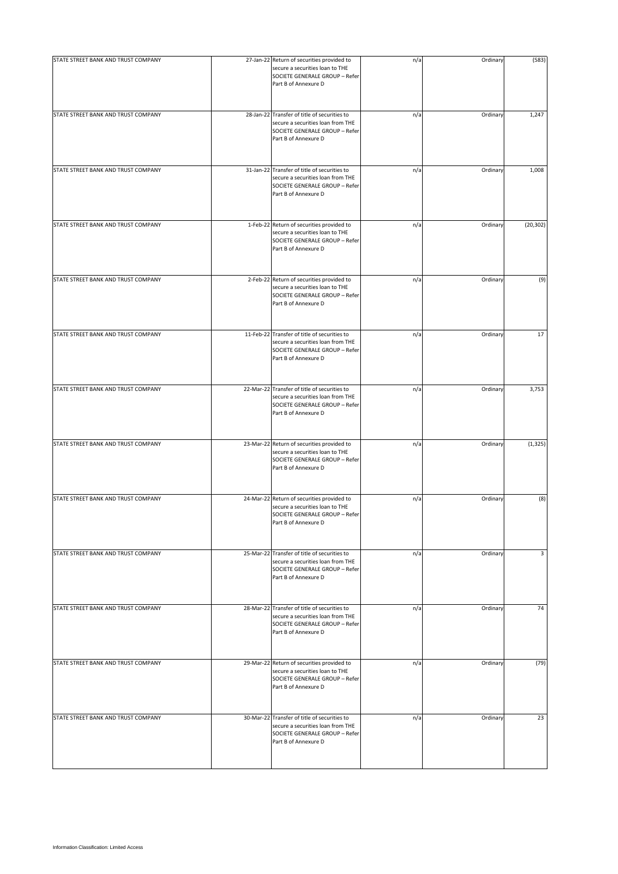| STATE STREET BANK AND TRUST COMPANY | 27-Jan-22 Return of securities provided to<br>secure a securities loan to THE<br>SOCIETE GENERALE GROUP - Refer<br>Part B of Annexure D     | n/a | Ordinary | (583)     |
|-------------------------------------|---------------------------------------------------------------------------------------------------------------------------------------------|-----|----------|-----------|
| STATE STREET BANK AND TRUST COMPANY | 28-Jan-22 Transfer of title of securities to<br>secure a securities loan from THE<br>SOCIETE GENERALE GROUP - Refer<br>Part B of Annexure D | n/a | Ordinary | 1,247     |
| STATE STREET BANK AND TRUST COMPANY | 31-Jan-22 Transfer of title of securities to<br>secure a securities loan from THE<br>SOCIETE GENERALE GROUP - Refer<br>Part B of Annexure D | n/a | Ordinary | 1,008     |
| STATE STREET BANK AND TRUST COMPANY | 1-Feb-22 Return of securities provided to<br>secure a securities loan to THE<br>SOCIETE GENERALE GROUP - Refer<br>Part B of Annexure D      | n/a | Ordinary | (20, 302) |
| STATE STREET BANK AND TRUST COMPANY | 2-Feb-22 Return of securities provided to<br>secure a securities loan to THE<br>SOCIETE GENERALE GROUP - Refer<br>Part B of Annexure D      | n/a | Ordinary | (9)       |
| STATE STREET BANK AND TRUST COMPANY | 11-Feb-22 Transfer of title of securities to<br>secure a securities loan from THE<br>SOCIETE GENERALE GROUP - Refer<br>Part B of Annexure D | n/a | Ordinary | 17        |
| STATE STREET BANK AND TRUST COMPANY | 22-Mar-22 Transfer of title of securities to<br>secure a securities loan from THE<br>SOCIETE GENERALE GROUP - Refer<br>Part B of Annexure D | n/a | Ordinary | 3,753     |
| STATE STREET BANK AND TRUST COMPANY | 23-Mar-22 Return of securities provided to<br>secure a securities loan to THE<br>SOCIETE GENERALE GROUP - Refer<br>Part B of Annexure D     | n/a | Ordinary | (1, 325)  |
| STATE STREET BANK AND TRUST COMPANY | 24-Mar-22 Return of securities provided to<br>secure a securities loan to THE<br>SOCIETE GENERALE GROUP - Refer<br>Part B of Annexure D     | n/a | Ordinary | (8)       |
| STATE STREET BANK AND TRUST COMPANY | 25-Mar-22 Transfer of title of securities to<br>secure a securities loan from THE<br>SOCIETE GENERALE GROUP - Refer<br>Part B of Annexure D | n/a | Ordinary | 3         |
| STATE STREET BANK AND TRUST COMPANY | 28-Mar-22 Transfer of title of securities to<br>secure a securities loan from THE<br>SOCIETE GENERALE GROUP - Refer<br>Part B of Annexure D | n/a | Ordinary | 74        |
| STATE STREET BANK AND TRUST COMPANY | 29-Mar-22 Return of securities provided to<br>secure a securities loan to THE<br>SOCIETE GENERALE GROUP - Refer<br>Part B of Annexure D     | n/a | Ordinary | (79)      |
| STATE STREET BANK AND TRUST COMPANY | 30-Mar-22 Transfer of title of securities to<br>secure a securities loan from THE<br>SOCIETE GENERALE GROUP - Refer<br>Part B of Annexure D | n/a | Ordinary | 23        |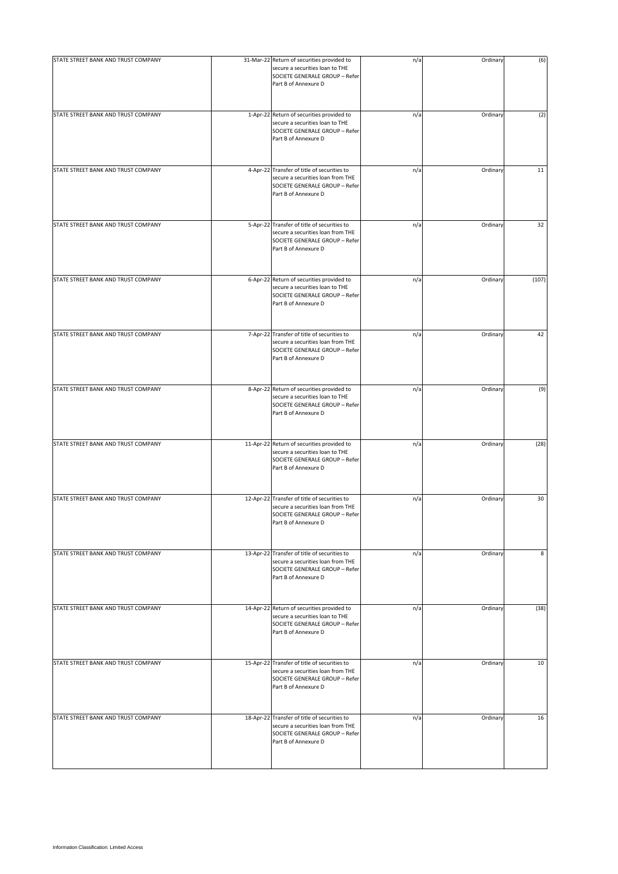| STATE STREET BANK AND TRUST COMPANY | 31-Mar-22 Return of securities provided to<br>secure a securities loan to THE<br>SOCIETE GENERALE GROUP - Refer<br>Part B of Annexure D     | n/a | Ordinary | (6)   |
|-------------------------------------|---------------------------------------------------------------------------------------------------------------------------------------------|-----|----------|-------|
| STATE STREET BANK AND TRUST COMPANY | 1-Apr-22 Return of securities provided to<br>secure a securities loan to THE<br>SOCIETE GENERALE GROUP - Refer<br>Part B of Annexure D      | n/a | Ordinary | (2)   |
| STATE STREET BANK AND TRUST COMPANY | 4-Apr-22 Transfer of title of securities to<br>secure a securities loan from THE<br>SOCIETE GENERALE GROUP - Refer<br>Part B of Annexure D  | n/a | Ordinary | 11    |
| STATE STREET BANK AND TRUST COMPANY | 5-Apr-22 Transfer of title of securities to<br>secure a securities loan from THE<br>SOCIETE GENERALE GROUP - Refer<br>Part B of Annexure D  | n/a | Ordinary | 32    |
| STATE STREET BANK AND TRUST COMPANY | 6-Apr-22 Return of securities provided to<br>secure a securities loan to THE<br>SOCIETE GENERALE GROUP - Refer<br>Part B of Annexure D      | n/a | Ordinary | (107) |
| STATE STREET BANK AND TRUST COMPANY | 7-Apr-22 Transfer of title of securities to<br>secure a securities loan from THE<br>SOCIETE GENERALE GROUP - Refer<br>Part B of Annexure D  | n/a | Ordinary | 42    |
| STATE STREET BANK AND TRUST COMPANY | 8-Apr-22 Return of securities provided to<br>secure a securities loan to THE<br>SOCIETE GENERALE GROUP - Refer<br>Part B of Annexure D      | n/a | Ordinary | (9)   |
| STATE STREET BANK AND TRUST COMPANY | 11-Apr-22 Return of securities provided to<br>secure a securities loan to THE<br>SOCIETE GENERALE GROUP - Refer<br>Part B of Annexure D     | n/a | Ordinary | (28)  |
| STATE STREET BANK AND TRUST COMPANY | 12-Apr-22 Transfer of title of securities to<br>secure a securities loan from THE<br>SOCIETE GENERALE GROUP - Refer<br>Part B of Annexure D | n/a | Ordinary | 30    |
| STATE STREET BANK AND TRUST COMPANY | 13-Apr-22 Transfer of title of securities to<br>secure a securities loan from THE<br>SOCIETE GENERALE GROUP - Refer<br>Part B of Annexure D | n/a | Ordinary | 8     |
| STATE STREET BANK AND TRUST COMPANY | 14-Apr-22 Return of securities provided to<br>secure a securities loan to THE<br>SOCIETE GENERALE GROUP - Refer<br>Part B of Annexure D     | n/a | Ordinary | (38)  |
| STATE STREET BANK AND TRUST COMPANY | 15-Apr-22 Transfer of title of securities to<br>secure a securities loan from THE<br>SOCIETE GENERALE GROUP - Refer<br>Part B of Annexure D | n/a | Ordinary | 10    |
| STATE STREET BANK AND TRUST COMPANY | 18-Apr-22 Transfer of title of securities to<br>secure a securities loan from THE<br>SOCIETE GENERALE GROUP - Refer<br>Part B of Annexure D | n/a | Ordinary | 16    |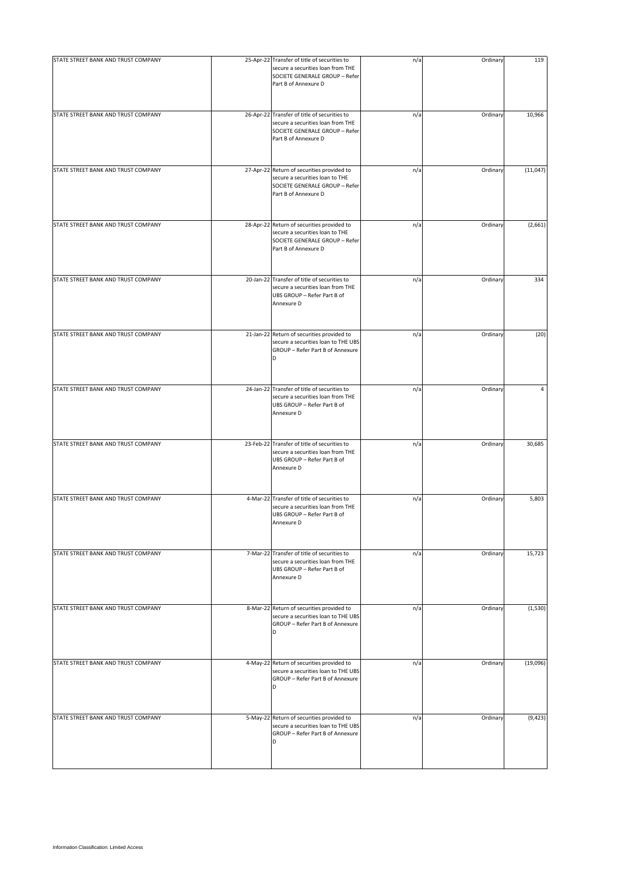| STATE STREET BANK AND TRUST COMPANY | 25-Apr-22 Transfer of title of securities to<br>secure a securities loan from THE<br>SOCIETE GENERALE GROUP - Refer<br>Part B of Annexure D | n/a | Ordinary | 119      |
|-------------------------------------|---------------------------------------------------------------------------------------------------------------------------------------------|-----|----------|----------|
| STATE STREET BANK AND TRUST COMPANY | 26-Apr-22 Transfer of title of securities to<br>secure a securities loan from THE<br>SOCIETE GENERALE GROUP - Refer<br>Part B of Annexure D | n/a | Ordinary | 10,966   |
| STATE STREET BANK AND TRUST COMPANY | 27-Apr-22 Return of securities provided to<br>secure a securities loan to THE<br>SOCIETE GENERALE GROUP - Refer<br>Part B of Annexure D     | n/a | Ordinary | (11,047) |
| STATE STREET BANK AND TRUST COMPANY | 28-Apr-22 Return of securities provided to<br>secure a securities loan to THE<br>SOCIETE GENERALE GROUP - Refer<br>Part B of Annexure D     | n/a | Ordinary | (2,661)  |
| STATE STREET BANK AND TRUST COMPANY | 20-Jan-22 Transfer of title of securities to<br>secure a securities loan from THE<br>UBS GROUP - Refer Part B of<br>Annexure D              | n/a | Ordinary | 334      |
| STATE STREET BANK AND TRUST COMPANY | 21-Jan-22 Return of securities provided to<br>secure a securities loan to THE UBS<br>GROUP - Refer Part B of Annexure                       | n/a | Ordinary | (20)     |
| STATE STREET BANK AND TRUST COMPANY | 24-Jan-22 Transfer of title of securities to<br>secure a securities loan from THE<br>UBS GROUP - Refer Part B of<br>Annexure D              | n/a | Ordinary | 4        |
| STATE STREET BANK AND TRUST COMPANY | 23-Feb-22 Transfer of title of securities to<br>secure a securities loan from THE<br>UBS GROUP - Refer Part B of<br>Annexure D              | n/a | Ordinary | 30,685   |
| STATE STREET BANK AND TRUST COMPANY | 4-Mar-22 Transfer of title of securities to<br>secure a securities loan from THE<br>UBS GROUP - Refer Part B of<br>Annexure D               | n/a | Ordinary | 5,803    |
| STATE STREET BANK AND TRUST COMPANY | 7-Mar-22 Transfer of title of securities to<br>secure a securities loan from THE<br>UBS GROUP - Refer Part B of<br>Annexure D               | n/a | Ordinary | 15,723   |
| STATE STREET BANK AND TRUST COMPANY | 8-Mar-22 Return of securities provided to<br>secure a securities loan to THE UBS<br>GROUP - Refer Part B of Annexure<br>D                   | n/a | Ordinary | (1,530)  |
| STATE STREET BANK AND TRUST COMPANY | 4-May-22 Return of securities provided to<br>secure a securities loan to THE UBS<br>GROUP - Refer Part B of Annexure<br>D                   | n/a | Ordinary | (19,096) |
| STATE STREET BANK AND TRUST COMPANY | 5-May-22 Return of securities provided to<br>secure a securities loan to THE UBS<br>GROUP - Refer Part B of Annexure<br>D                   | n/a | Ordinary | (9, 423) |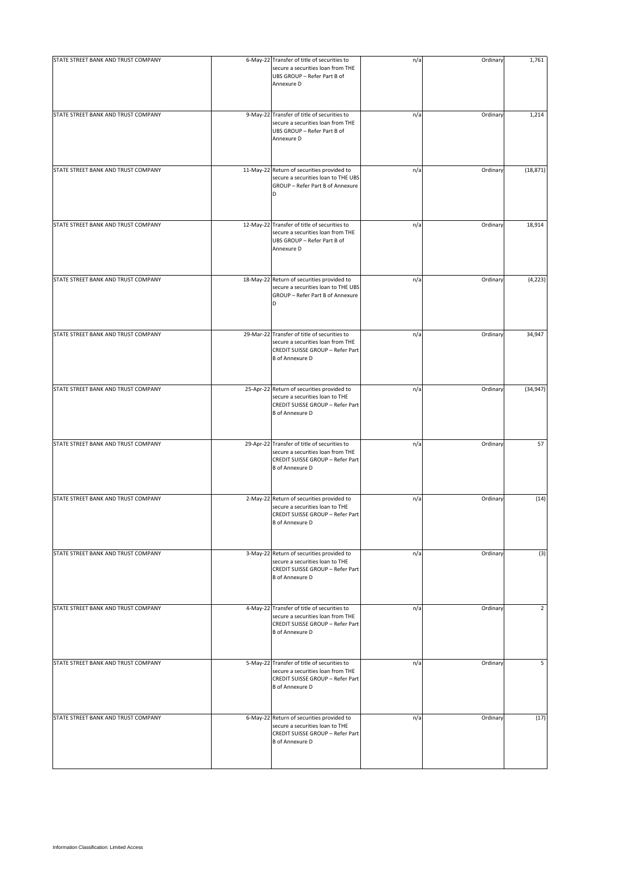| STATE STREET BANK AND TRUST COMPANY | 6-May-22 Transfer of title of securities to<br>secure a securities loan from THE<br>UBS GROUP - Refer Part B of<br>Annexure D                   | n/a | Ordinary | 1,761     |
|-------------------------------------|-------------------------------------------------------------------------------------------------------------------------------------------------|-----|----------|-----------|
| STATE STREET BANK AND TRUST COMPANY | 9-May-22 Transfer of title of securities to<br>secure a securities loan from THE<br>UBS GROUP - Refer Part B of<br>Annexure D                   | n/a | Ordinary | 1,214     |
| STATE STREET BANK AND TRUST COMPANY | 11-May-22 Return of securities provided to<br>secure a securities loan to THE UBS<br>GROUP - Refer Part B of Annexure<br>D                      | n/a | Ordinary | (18, 871) |
| STATE STREET BANK AND TRUST COMPANY | 12-May-22 Transfer of title of securities to<br>secure a securities loan from THE<br>UBS GROUP - Refer Part B of<br>Annexure D                  | n/a | Ordinary | 18,914    |
| STATE STREET BANK AND TRUST COMPANY | 18-May-22 Return of securities provided to<br>secure a securities loan to THE UBS<br>GROUP - Refer Part B of Annexure<br>D                      | n/a | Ordinary | (4, 223)  |
| STATE STREET BANK AND TRUST COMPANY | 29-Mar-22 Transfer of title of securities to<br>secure a securities loan from THE<br>CREDIT SUISSE GROUP - Refer Part<br><b>B</b> of Annexure D | n/a | Ordinary | 34,947    |
| STATE STREET BANK AND TRUST COMPANY | 25-Apr-22 Return of securities provided to<br>secure a securities loan to THE<br>CREDIT SUISSE GROUP - Refer Part<br><b>B</b> of Annexure D     | n/a | Ordinary | (34, 947) |
| STATE STREET BANK AND TRUST COMPANY | 29-Apr-22 Transfer of title of securities to<br>secure a securities loan from THE<br>CREDIT SUISSE GROUP - Refer Part<br><b>B</b> of Annexure D | n/a | Ordinary | 57        |
| STATE STREET BANK AND TRUST COMPANY | 2-May-22 Return of securities provided to<br>secure a securities loan to THE<br>CREDIT SUISSE GROUP - Refer Part<br><b>B</b> of Annexure D      | n/a | Ordinary | (14)      |
| STATE STREET BANK AND TRUST COMPANY | 3-May-22 Return of securities provided to<br>secure a securities loan to THE<br>CREDIT SUISSE GROUP - Refer Part<br><b>B</b> of Annexure D      | n/a | Ordinary | (3)       |
| STATE STREET BANK AND TRUST COMPANY | 4-May-22 Transfer of title of securities to<br>secure a securities loan from THE<br>CREDIT SUISSE GROUP - Refer Part<br><b>B</b> of Annexure D  | n/a | Ordinary | 2         |
| STATE STREET BANK AND TRUST COMPANY | 5-May-22 Transfer of title of securities to<br>secure a securities loan from THE<br>CREDIT SUISSE GROUP - Refer Part<br><b>B</b> of Annexure D  | n/a | Ordinary | 5         |
| STATE STREET BANK AND TRUST COMPANY | 6-May-22 Return of securities provided to<br>secure a securities loan to THE<br>CREDIT SUISSE GROUP - Refer Part<br><b>B</b> of Annexure D      | n/a | Ordinary | (17)      |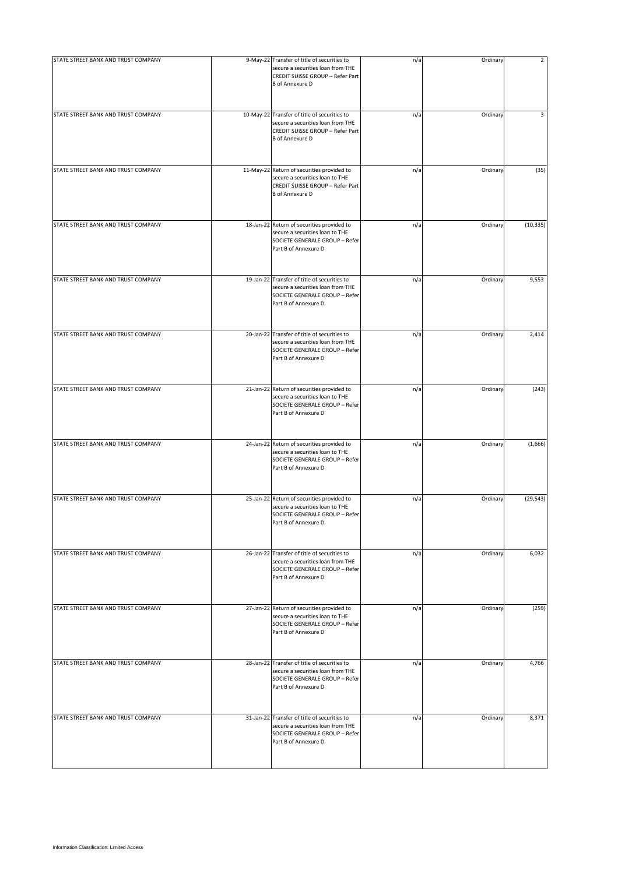| STATE STREET BANK AND TRUST COMPANY | 9-May-22 Transfer of title of securities to<br>secure a securities loan from THE<br>CREDIT SUISSE GROUP - Refer Part<br><b>B</b> of Annexure D  | n/a | Ordinary | 2         |
|-------------------------------------|-------------------------------------------------------------------------------------------------------------------------------------------------|-----|----------|-----------|
| STATE STREET BANK AND TRUST COMPANY | 10-May-22 Transfer of title of securities to<br>secure a securities loan from THE<br>CREDIT SUISSE GROUP - Refer Part<br><b>B</b> of Annexure D | n/a | Ordinary | 3         |
| STATE STREET BANK AND TRUST COMPANY | 11-May-22 Return of securities provided to<br>secure a securities loan to THE<br>CREDIT SUISSE GROUP - Refer Part<br><b>B</b> of Annexure D     | n/a | Ordinary | (35)      |
| STATE STREET BANK AND TRUST COMPANY | 18-Jan-22 Return of securities provided to<br>secure a securities loan to THE<br>SOCIETE GENERALE GROUP - Refer<br>Part B of Annexure D         | n/a | Ordinary | (10, 335) |
| STATE STREET BANK AND TRUST COMPANY | 19-Jan-22 Transfer of title of securities to<br>secure a securities loan from THE<br>SOCIETE GENERALE GROUP - Refer<br>Part B of Annexure D     | n/a | Ordinary | 9,553     |
| STATE STREET BANK AND TRUST COMPANY | 20-Jan-22 Transfer of title of securities to<br>secure a securities loan from THE<br>SOCIETE GENERALE GROUP - Refer<br>Part B of Annexure D     | n/a | Ordinary | 2,414     |
| STATE STREET BANK AND TRUST COMPANY | 21-Jan-22 Return of securities provided to<br>secure a securities loan to THE<br>SOCIETE GENERALE GROUP - Refer<br>Part B of Annexure D         | n/a | Ordinary | (243)     |
| STATE STREET BANK AND TRUST COMPANY | 24-Jan-22 Return of securities provided to<br>secure a securities loan to THE<br>SOCIETE GENERALE GROUP - Refer<br>Part B of Annexure D         | n/a | Ordinary | (1,666)   |
| STATE STREET BANK AND TRUST COMPANY | 25-Jan-22 Return of securities provided to<br>secure a securities loan to THE<br>SOCIETE GENERALE GROUP - Refer<br>Part B of Annexure D         | n/a | Ordinary | (29, 543) |
| STATE STREET BANK AND TRUST COMPANY | 26-Jan-22 Transfer of title of securities to<br>secure a securities loan from THE<br>SOCIETE GENERALE GROUP - Refer<br>Part B of Annexure D     | n/a | Ordinary | 6,032     |
| STATE STREET BANK AND TRUST COMPANY | 27-Jan-22 Return of securities provided to<br>secure a securities loan to THE<br>SOCIETE GENERALE GROUP - Refer<br>Part B of Annexure D         | n/a | Ordinary | (259)     |
| STATE STREET BANK AND TRUST COMPANY | 28-Jan-22 Transfer of title of securities to<br>secure a securities loan from THE<br>SOCIETE GENERALE GROUP - Refer<br>Part B of Annexure D     | n/a | Ordinary | 4,766     |
| STATE STREET BANK AND TRUST COMPANY | 31-Jan-22 Transfer of title of securities to<br>secure a securities loan from THE<br>SOCIETE GENERALE GROUP - Refer<br>Part B of Annexure D     | n/a | Ordinary | 8,371     |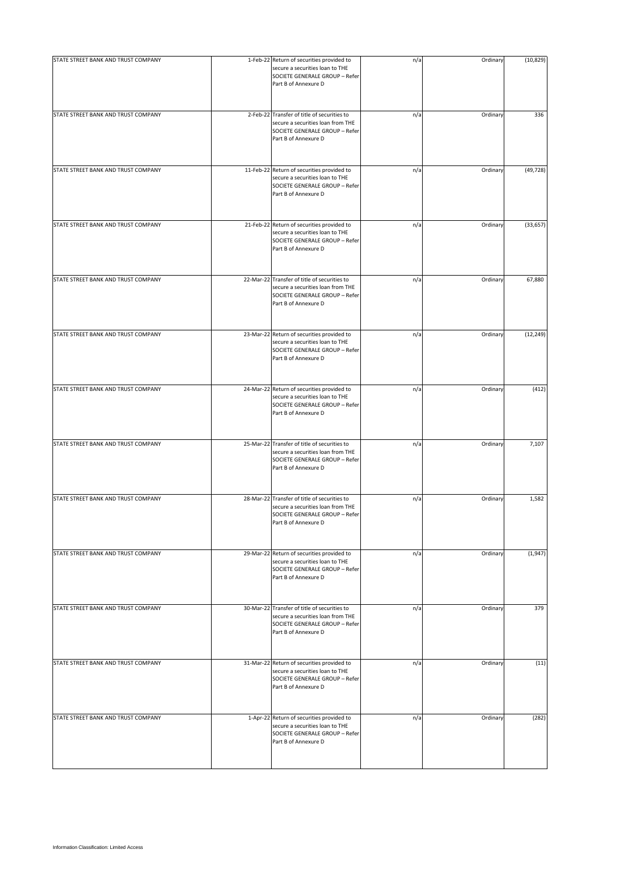| STATE STREET BANK AND TRUST COMPANY | 1-Feb-22 Return of securities provided to<br>secure a securities loan to THE<br>SOCIETE GENERALE GROUP - Refer<br>Part B of Annexure D      | n/a | Ordinary | (10, 829) |
|-------------------------------------|---------------------------------------------------------------------------------------------------------------------------------------------|-----|----------|-----------|
| STATE STREET BANK AND TRUST COMPANY | 2-Feb-22 Transfer of title of securities to<br>secure a securities loan from THE<br>SOCIETE GENERALE GROUP - Refer<br>Part B of Annexure D  | n/a | Ordinary | 336       |
| STATE STREET BANK AND TRUST COMPANY | 11-Feb-22 Return of securities provided to<br>secure a securities loan to THE<br>SOCIETE GENERALE GROUP - Refer<br>Part B of Annexure D     | n/a | Ordinary | (49, 728) |
| STATE STREET BANK AND TRUST COMPANY | 21-Feb-22 Return of securities provided to<br>secure a securities loan to THE<br>SOCIETE GENERALE GROUP - Refer<br>Part B of Annexure D     | n/a | Ordinary | (33, 657) |
| STATE STREET BANK AND TRUST COMPANY | 22-Mar-22 Transfer of title of securities to<br>secure a securities loan from THE<br>SOCIETE GENERALE GROUP - Refer<br>Part B of Annexure D | n/a | Ordinary | 67,880    |
| STATE STREET BANK AND TRUST COMPANY | 23-Mar-22 Return of securities provided to<br>secure a securities loan to THE<br>SOCIETE GENERALE GROUP - Refer<br>Part B of Annexure D     | n/a | Ordinary | (12, 249) |
| STATE STREET BANK AND TRUST COMPANY | 24-Mar-22 Return of securities provided to<br>secure a securities loan to THE<br>SOCIETE GENERALE GROUP - Refer<br>Part B of Annexure D     | n/a | Ordinary | (412)     |
| STATE STREET BANK AND TRUST COMPANY | 25-Mar-22 Transfer of title of securities to<br>secure a securities loan from THE<br>SOCIETE GENERALE GROUP - Refer<br>Part B of Annexure D | n/a | Ordinary | 7,107     |
| STATE STREET BANK AND TRUST COMPANY | 28-Mar-22 Transfer of title of securities to<br>secure a securities loan from THE<br>SOCIETE GENERALE GROUP - Refer<br>Part B of Annexure D | n/a | Ordinary | 1,582     |
| STATE STREET BANK AND TRUST COMPANY | 29-Mar-22 Return of securities provided to<br>secure a securities loan to THE<br>SOCIETE GENERALE GROUP - Refer<br>Part B of Annexure D     | n/a | Ordinary | (1, 947)  |
| STATE STREET BANK AND TRUST COMPANY | 30-Mar-22 Transfer of title of securities to<br>secure a securities loan from THE<br>SOCIETE GENERALE GROUP - Refer<br>Part B of Annexure D | n/a | Ordinary | 379       |
| STATE STREET BANK AND TRUST COMPANY | 31-Mar-22 Return of securities provided to<br>secure a securities loan to THE<br>SOCIETE GENERALE GROUP - Refer<br>Part B of Annexure D     | n/a | Ordinary | (11)      |
| STATE STREET BANK AND TRUST COMPANY | 1-Apr-22 Return of securities provided to<br>secure a securities loan to THE<br>SOCIETE GENERALE GROUP - Refer<br>Part B of Annexure D      | n/a | Ordinary | (282)     |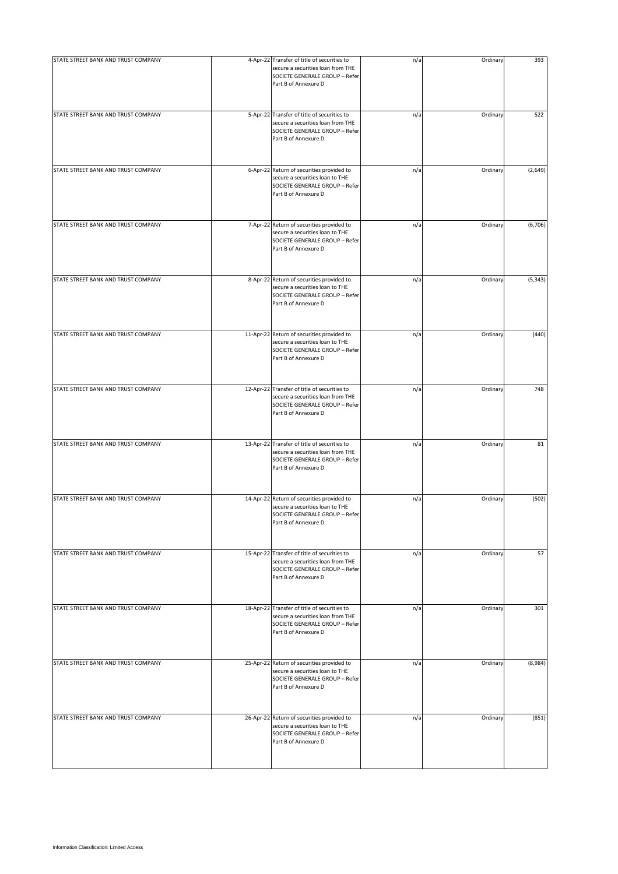| STATE STREET BANK AND TRUST COMPANY | 4-Apr-22 Transfer of title of securities to<br>secure a securities loan from THE<br>SOCIETE GENERALE GROUP - Refer<br>Part B of Annexure D  | n/a | Ordinary | 393      |
|-------------------------------------|---------------------------------------------------------------------------------------------------------------------------------------------|-----|----------|----------|
| STATE STREET BANK AND TRUST COMPANY | 5-Apr-22 Transfer of title of securities to<br>secure a securities loan from THE<br>SOCIETE GENERALE GROUP - Refer<br>Part B of Annexure D  | n/a | Ordinary | 522      |
| STATE STREET BANK AND TRUST COMPANY | 6-Apr-22 Return of securities provided to<br>secure a securities loan to THE<br>SOCIETE GENERALE GROUP - Refer<br>Part B of Annexure D      | n/a | Ordinary | (2,649)  |
| STATE STREET BANK AND TRUST COMPANY | 7-Apr-22 Return of securities provided to<br>secure a securities loan to THE<br>SOCIETE GENERALE GROUP - Refer<br>Part B of Annexure D      | n/a | Ordinary | (6, 706) |
| STATE STREET BANK AND TRUST COMPANY | 8-Apr-22 Return of securities provided to<br>secure a securities loan to THE<br>SOCIETE GENERALE GROUP - Refer<br>Part B of Annexure D      | n/a | Ordinary | (5, 343) |
| STATE STREET BANK AND TRUST COMPANY | 11-Apr-22 Return of securities provided to<br>secure a securities loan to THE<br>SOCIETE GENERALE GROUP - Refer<br>Part B of Annexure D     | n/a | Ordinary | (440)    |
| STATE STREET BANK AND TRUST COMPANY | 12-Apr-22 Transfer of title of securities to<br>secure a securities loan from THE<br>SOCIETE GENERALE GROUP - Refer<br>Part B of Annexure D | n/a | Ordinary | 748      |
| STATE STREET BANK AND TRUST COMPANY | 13-Apr-22 Transfer of title of securities to<br>secure a securities loan from THE<br>SOCIETE GENERALE GROUP - Refer<br>Part B of Annexure D | n/a | Ordinary | 81       |
| STATE STREET BANK AND TRUST COMPANY | 14-Apr-22 Return of securities provided to<br>secure a securities loan to THE<br>SOCIETE GENERALE GROUP - Refer<br>Part B of Annexure D     | n/a | Ordinary | (502)    |
| STATE STREET BANK AND TRUST COMPANY | 15-Apr-22 Transfer of title of securities to<br>secure a securities loan from THE<br>SOCIETE GENERALE GROUP - Refer<br>Part B of Annexure D | n/a | Ordinary | 57       |
| STATE STREET BANK AND TRUST COMPANY | 18-Apr-22 Transfer of title of securities to<br>secure a securities loan from THE<br>SOCIETE GENERALE GROUP - Refer<br>Part B of Annexure D | n/a | Ordinary | 301      |
| STATE STREET BANK AND TRUST COMPANY | 25-Apr-22 Return of securities provided to<br>secure a securities loan to THE<br>SOCIETE GENERALE GROUP - Refer<br>Part B of Annexure D     | n/a | Ordinary | (8,984)  |
| STATE STREET BANK AND TRUST COMPANY | 26-Apr-22 Return of securities provided to<br>secure a securities loan to THE<br>SOCIETE GENERALE GROUP - Refer<br>Part B of Annexure D     | n/a | Ordinary | (851)    |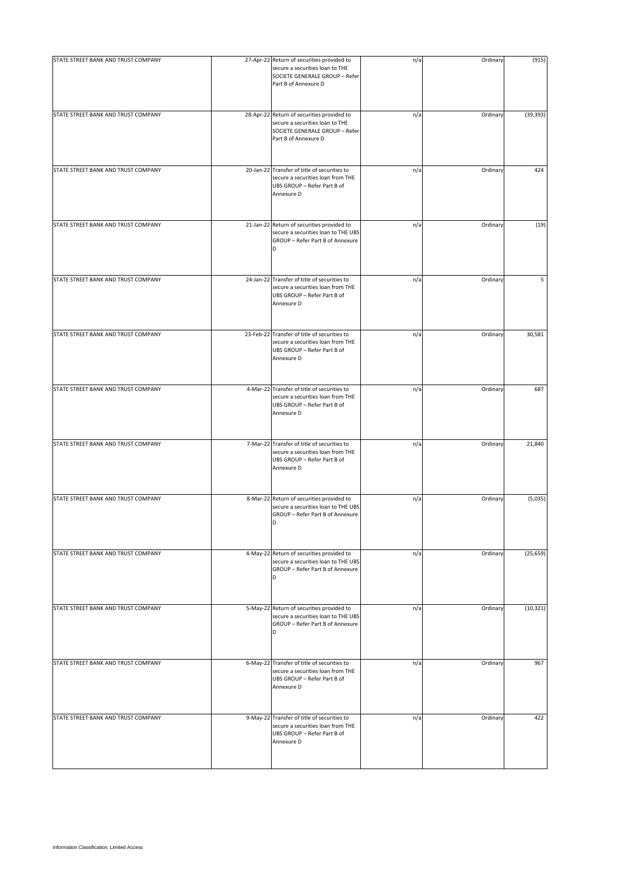| STATE STREET BANK AND TRUST COMPANY | 27-Apr-22 Return of securities provided to<br>secure a securities loan to THE<br>SOCIETE GENERALE GROUP - Refer<br>Part B of Annexure D | n/a | Ordinary | (915)     |
|-------------------------------------|-----------------------------------------------------------------------------------------------------------------------------------------|-----|----------|-----------|
| STATE STREET BANK AND TRUST COMPANY | 28-Apr-22 Return of securities provided to<br>secure a securities loan to THE<br>SOCIETE GENERALE GROUP - Refer<br>Part B of Annexure D | n/a | Ordinary | (39, 393) |
| STATE STREET BANK AND TRUST COMPANY | 20-Jan-22 Transfer of title of securities to<br>secure a securities loan from THE<br>UBS GROUP - Refer Part B of<br>Annexure D          | n/a | Ordinary | 424       |
| STATE STREET BANK AND TRUST COMPANY | 21-Jan-22 Return of securities provided to<br>secure a securities loan to THE UBS<br>GROUP - Refer Part B of Annexure<br>D              | n/a | Ordinary | (19)      |
| STATE STREET BANK AND TRUST COMPANY | 24-Jan-22 Transfer of title of securities to<br>secure a securities loan from THE<br>UBS GROUP - Refer Part B of<br>Annexure D          | n/a | Ordinary | 5         |
| STATE STREET BANK AND TRUST COMPANY | 23-Feb-22 Transfer of title of securities to<br>secure a securities loan from THE<br>UBS GROUP - Refer Part B of<br>Annexure D          | n/a | Ordinary | 30,581    |
| STATE STREET BANK AND TRUST COMPANY | 4-Mar-22 Transfer of title of securities to<br>secure a securities loan from THE<br>UBS GROUP - Refer Part B of<br>Annexure D           | n/a | Ordinary | 687       |
| STATE STREET BANK AND TRUST COMPANY | 7-Mar-22 Transfer of title of securities to<br>secure a securities loan from THE<br>UBS GROUP - Refer Part B of<br>Annexure D           | n/a | Ordinary | 21,840    |
| STATE STREET BANK AND TRUST COMPANY | 8-Mar-22 Return of securities provided to<br>secure a securities loan to THE UBS<br>GROUP - Refer Part B of Annexure<br>D               | n/a | Ordinary | (5,035)   |
| STATE STREET BANK AND TRUST COMPANY | 4-May-22 Return of securities provided to<br>secure a securities loan to THE UBS<br>GROUP - Refer Part B of Annexure<br>D               | n/a | Ordinary | (25, 659) |
| STATE STREET BANK AND TRUST COMPANY | 5-May-22 Return of securities provided to<br>secure a securities loan to THE UBS<br>GROUP - Refer Part B of Annexure<br>D               | n/a | Ordinary | (10, 321) |
| STATE STREET BANK AND TRUST COMPANY | 6-May-22 Transfer of title of securities to<br>secure a securities loan from THE<br>UBS GROUP - Refer Part B of<br>Annexure D           | n/a | Ordinary | 967       |
| STATE STREET BANK AND TRUST COMPANY | 9-May-22 Transfer of title of securities to<br>secure a securities loan from THE<br>UBS GROUP - Refer Part B of<br>Annexure D           | n/a | Ordinary | 422       |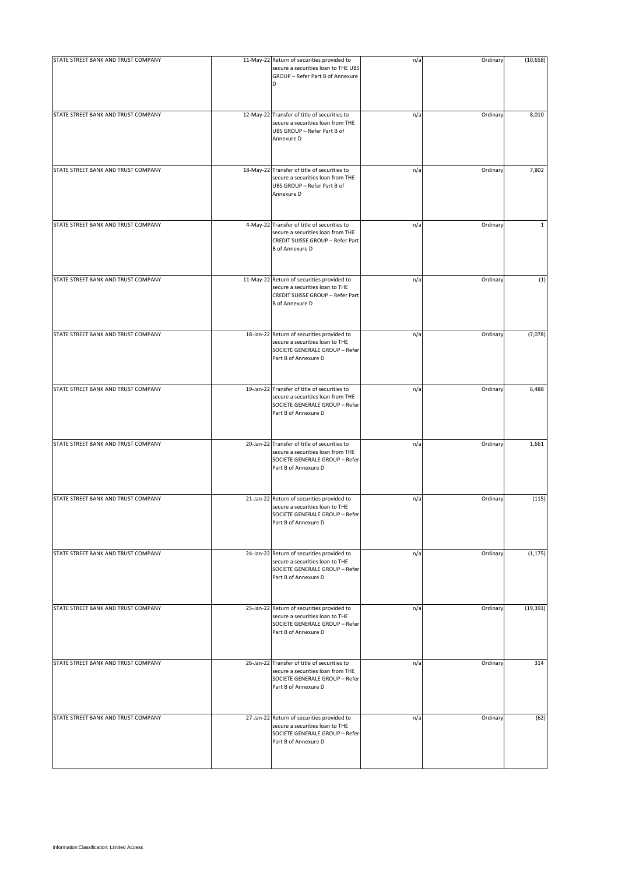| STATE STREET BANK AND TRUST COMPANY | 11-May-22 Return of securities provided to                                                                                                     | n/a | Ordinary | (10, 658)    |
|-------------------------------------|------------------------------------------------------------------------------------------------------------------------------------------------|-----|----------|--------------|
|                                     | secure a securities loan to THE UBS<br>GROUP - Refer Part B of Annexure<br>D                                                                   |     |          |              |
| STATE STREET BANK AND TRUST COMPANY | 12-May-22 Transfer of title of securities to<br>secure a securities loan from THE<br>UBS GROUP - Refer Part B of<br>Annexure D                 | n/a | Ordinary | 8,010        |
| STATE STREET BANK AND TRUST COMPANY | 18-May-22 Transfer of title of securities to<br>secure a securities loan from THE<br>UBS GROUP - Refer Part B of<br>Annexure D                 | n/a | Ordinary | 7,802        |
| STATE STREET BANK AND TRUST COMPANY | 4-May-22 Transfer of title of securities to<br>secure a securities loan from THE<br>CREDIT SUISSE GROUP - Refer Part<br><b>B</b> of Annexure D | n/a | Ordinary | $\mathbf{1}$ |
| STATE STREET BANK AND TRUST COMPANY | 11-May-22 Return of securities provided to<br>secure a securities loan to THE<br>CREDIT SUISSE GROUP - Refer Part<br><b>B</b> of Annexure D    | n/a | Ordinary | (1)          |
| STATE STREET BANK AND TRUST COMPANY | 18-Jan-22 Return of securities provided to<br>secure a securities loan to THE<br>SOCIETE GENERALE GROUP - Refer<br>Part B of Annexure D        | n/a | Ordinary | (7,078)      |
| STATE STREET BANK AND TRUST COMPANY | 19-Jan-22 Transfer of title of securities to<br>secure a securities loan from THE<br>SOCIETE GENERALE GROUP - Refer<br>Part B of Annexure D    | n/a | Ordinary | 6,488        |
| STATE STREET BANK AND TRUST COMPANY | 20-Jan-22 Transfer of title of securities to<br>secure a securities loan from THE<br>SOCIETE GENERALE GROUP - Refer<br>Part B of Annexure D    | n/a | Ordinary | 1,661        |
| STATE STREET BANK AND TRUST COMPANY | 21-Jan-22 Return of securities provided to<br>secure a securities loan to THE<br>SOCIETE GENERALE GROUP - Refer<br>Part B of Annexure D        | n/a | Ordinary | (115)        |
| STATE STREET BANK AND TRUST COMPANY | 24-Jan-22 Return of securities provided to<br>secure a securities loan to THE<br>SOCIETE GENERALE GROUP - Refer<br>Part B of Annexure D        | n/a | Ordinary | (1, 175)     |
| STATE STREET BANK AND TRUST COMPANY | 25-Jan-22 Return of securities provided to<br>secure a securities loan to THE<br>SOCIETE GENERALE GROUP - Refer<br>Part B of Annexure D        | n/a | Ordinary | (19, 391)    |
| STATE STREET BANK AND TRUST COMPANY | 26-Jan-22 Transfer of title of securities to<br>secure a securities loan from THE<br>SOCIETE GENERALE GROUP - Refer<br>Part B of Annexure D    | n/a | Ordinary | 314          |
| STATE STREET BANK AND TRUST COMPANY | 27-Jan-22 Return of securities provided to<br>secure a securities loan to THE<br>SOCIETE GENERALE GROUP - Refer<br>Part B of Annexure D        | n/a | Ordinary | (62)         |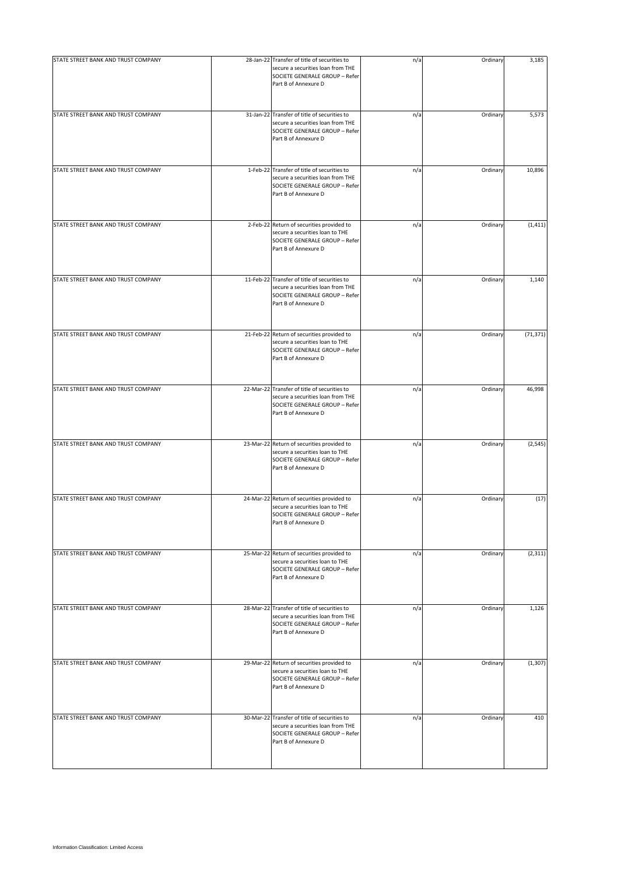| STATE STREET BANK AND TRUST COMPANY | 28-Jan-22 Transfer of title of securities to<br>secure a securities loan from THE<br>SOCIETE GENERALE GROUP - Refer<br>Part B of Annexure D | n/a | Ordinary | 3,185     |
|-------------------------------------|---------------------------------------------------------------------------------------------------------------------------------------------|-----|----------|-----------|
| STATE STREET BANK AND TRUST COMPANY | 31-Jan-22 Transfer of title of securities to<br>secure a securities loan from THE<br>SOCIETE GENERALE GROUP - Refer<br>Part B of Annexure D | n/a | Ordinary | 5,573     |
| STATE STREET BANK AND TRUST COMPANY | 1-Feb-22 Transfer of title of securities to<br>secure a securities loan from THE<br>SOCIETE GENERALE GROUP - Refer<br>Part B of Annexure D  | n/a | Ordinary | 10,896    |
| STATE STREET BANK AND TRUST COMPANY | 2-Feb-22 Return of securities provided to<br>secure a securities loan to THE<br>SOCIETE GENERALE GROUP - Refer<br>Part B of Annexure D      | n/a | Ordinary | (1, 411)  |
| STATE STREET BANK AND TRUST COMPANY | 11-Feb-22 Transfer of title of securities to<br>secure a securities loan from THE<br>SOCIETE GENERALE GROUP - Refer<br>Part B of Annexure D | n/a | Ordinary | 1,140     |
| STATE STREET BANK AND TRUST COMPANY | 21-Feb-22 Return of securities provided to<br>secure a securities loan to THE<br>SOCIETE GENERALE GROUP - Refer<br>Part B of Annexure D     | n/a | Ordinary | (71, 371) |
| STATE STREET BANK AND TRUST COMPANY | 22-Mar-22 Transfer of title of securities to<br>secure a securities loan from THE<br>SOCIETE GENERALE GROUP - Refer<br>Part B of Annexure D | n/a | Ordinary | 46,998    |
| STATE STREET BANK AND TRUST COMPANY | 23-Mar-22 Return of securities provided to<br>secure a securities loan to THE<br>SOCIETE GENERALE GROUP - Refer<br>Part B of Annexure D     | n/a | Ordinary | (2, 545)  |
| STATE STREET BANK AND TRUST COMPANY | 24-Mar-22 Return of securities provided to<br>secure a securities loan to THE<br>SOCIETE GENERALE GROUP - Refer<br>Part B of Annexure D     | n/a | Ordinary | (17)      |
| STATE STREET BANK AND TRUST COMPANY | 25-Mar-22 Return of securities provided to<br>secure a securities loan to THE<br>SOCIETE GENERALE GROUP - Refer<br>Part B of Annexure D     | n/a | Ordinary | (2, 311)  |
| STATE STREET BANK AND TRUST COMPANY | 28-Mar-22 Transfer of title of securities to<br>secure a securities loan from THE<br>SOCIETE GENERALE GROUP - Refer<br>Part B of Annexure D | n/a | Ordinary | 1,126     |
| STATE STREET BANK AND TRUST COMPANY | 29-Mar-22 Return of securities provided to<br>secure a securities loan to THE<br>SOCIETE GENERALE GROUP - Refer<br>Part B of Annexure D     | n/a | Ordinary | (1, 307)  |
| STATE STREET BANK AND TRUST COMPANY | 30-Mar-22 Transfer of title of securities to<br>secure a securities loan from THE<br>SOCIETE GENERALE GROUP - Refer<br>Part B of Annexure D | n/a | Ordinary | 410       |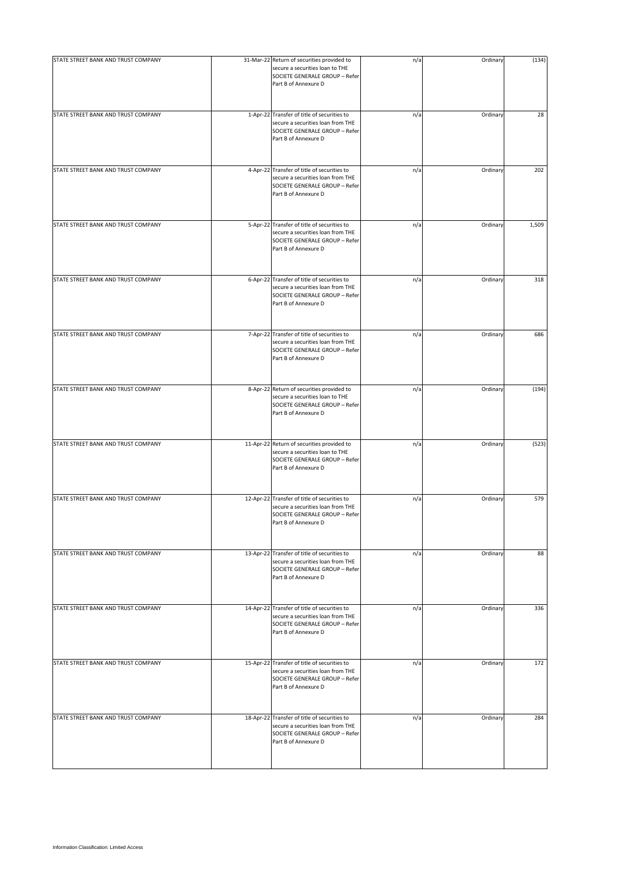| STATE STREET BANK AND TRUST COMPANY | 31-Mar-22 Return of securities provided to<br>secure a securities loan to THE<br>SOCIETE GENERALE GROUP - Refer<br>Part B of Annexure D     | n/a | Ordinary | (134) |
|-------------------------------------|---------------------------------------------------------------------------------------------------------------------------------------------|-----|----------|-------|
| STATE STREET BANK AND TRUST COMPANY | 1-Apr-22 Transfer of title of securities to<br>secure a securities loan from THE<br>SOCIETE GENERALE GROUP - Refer<br>Part B of Annexure D  | n/a | Ordinary | 28    |
| STATE STREET BANK AND TRUST COMPANY | 4-Apr-22 Transfer of title of securities to<br>secure a securities loan from THE<br>SOCIETE GENERALE GROUP - Refer<br>Part B of Annexure D  | n/a | Ordinary | 202   |
| STATE STREET BANK AND TRUST COMPANY | 5-Apr-22 Transfer of title of securities to<br>secure a securities loan from THE<br>SOCIETE GENERALE GROUP - Refer<br>Part B of Annexure D  | n/a | Ordinary | 1,509 |
| STATE STREET BANK AND TRUST COMPANY | 6-Apr-22 Transfer of title of securities to<br>secure a securities loan from THE<br>SOCIETE GENERALE GROUP - Refer<br>Part B of Annexure D  | n/a | Ordinary | 318   |
| STATE STREET BANK AND TRUST COMPANY | 7-Apr-22 Transfer of title of securities to<br>secure a securities loan from THE<br>SOCIETE GENERALE GROUP - Refer<br>Part B of Annexure D  | n/a | Ordinary | 686   |
| STATE STREET BANK AND TRUST COMPANY | 8-Apr-22 Return of securities provided to<br>secure a securities loan to THE<br>SOCIETE GENERALE GROUP - Refer<br>Part B of Annexure D      | n/a | Ordinary | (194) |
| STATE STREET BANK AND TRUST COMPANY | 11-Apr-22 Return of securities provided to<br>secure a securities loan to THE<br>SOCIETE GENERALE GROUP - Refer<br>Part B of Annexure D     | n/a | Ordinary | (523) |
| STATE STREET BANK AND TRUST COMPANY | 12-Apr-22 Transfer of title of securities to<br>secure a securities loan from THE<br>SOCIETE GENERALE GROUP - Refer<br>Part B of Annexure D | n/a | Ordinary | 579   |
| STATE STREET BANK AND TRUST COMPANY | 13-Apr-22 Transfer of title of securities to<br>secure a securities loan from THE<br>SOCIETE GENERALE GROUP - Refer<br>Part B of Annexure D | n/a | Ordinary | 88    |
| STATE STREET BANK AND TRUST COMPANY | 14-Apr-22 Transfer of title of securities to<br>secure a securities loan from THE<br>SOCIETE GENERALE GROUP - Refer<br>Part B of Annexure D | n/a | Ordinary | 336   |
| STATE STREET BANK AND TRUST COMPANY | 15-Apr-22 Transfer of title of securities to<br>secure a securities loan from THE<br>SOCIETE GENERALE GROUP - Refer<br>Part B of Annexure D | n/a | Ordinary | 172   |
| STATE STREET BANK AND TRUST COMPANY | 18-Apr-22 Transfer of title of securities to<br>secure a securities loan from THE<br>SOCIETE GENERALE GROUP - Refer<br>Part B of Annexure D | n/a | Ordinary | 284   |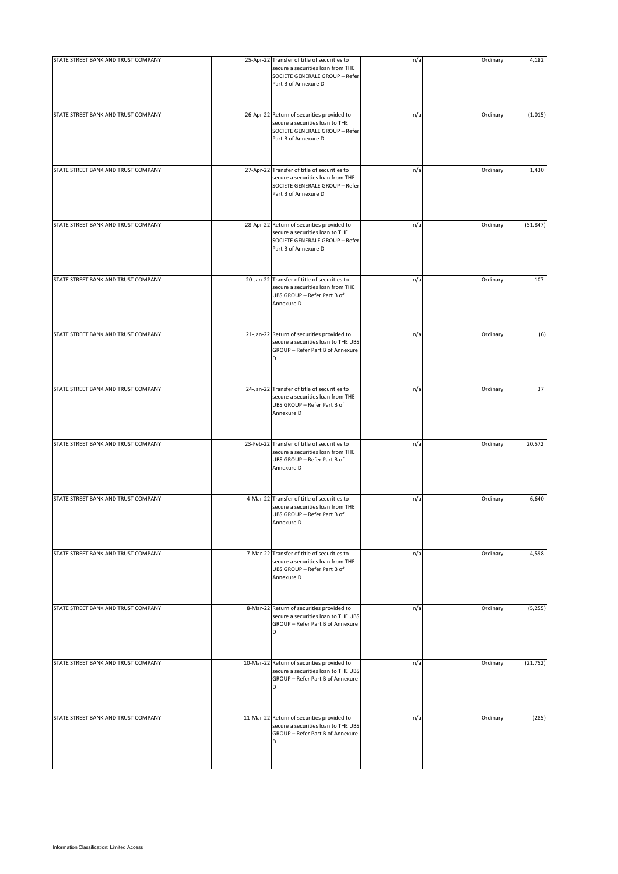| STATE STREET BANK AND TRUST COMPANY | 25-Apr-22 Transfer of title of securities to<br>secure a securities loan from THE<br>SOCIETE GENERALE GROUP - Refer<br>Part B of Annexure D | n/a | Ordinary | 4,182     |
|-------------------------------------|---------------------------------------------------------------------------------------------------------------------------------------------|-----|----------|-----------|
| STATE STREET BANK AND TRUST COMPANY | 26-Apr-22 Return of securities provided to<br>secure a securities loan to THE<br>SOCIETE GENERALE GROUP - Refer<br>Part B of Annexure D     | n/a | Ordinary | (1,015)   |
| STATE STREET BANK AND TRUST COMPANY | 27-Apr-22 Transfer of title of securities to<br>secure a securities loan from THE<br>SOCIETE GENERALE GROUP - Refer<br>Part B of Annexure D | n/a | Ordinary | 1,430     |
| STATE STREET BANK AND TRUST COMPANY | 28-Apr-22 Return of securities provided to<br>secure a securities loan to THE<br>SOCIETE GENERALE GROUP - Refer<br>Part B of Annexure D     | n/a | Ordinary | (51, 847) |
| STATE STREET BANK AND TRUST COMPANY | 20-Jan-22 Transfer of title of securities to<br>secure a securities loan from THE<br>UBS GROUP - Refer Part B of<br>Annexure D              | n/a | Ordinary | 107       |
| STATE STREET BANK AND TRUST COMPANY | 21-Jan-22 Return of securities provided to<br>secure a securities loan to THE UBS<br>GROUP - Refer Part B of Annexure                       | n/a | Ordinary | (6)       |
| STATE STREET BANK AND TRUST COMPANY | 24-Jan-22 Transfer of title of securities to<br>secure a securities loan from THE<br>UBS GROUP - Refer Part B of<br>Annexure D              | n/a | Ordinary | 37        |
| STATE STREET BANK AND TRUST COMPANY | 23-Feb-22 Transfer of title of securities to<br>secure a securities loan from THE<br>UBS GROUP - Refer Part B of<br>Annexure D              | n/a | Ordinary | 20,572    |
| STATE STREET BANK AND TRUST COMPANY | 4-Mar-22 Transfer of title of securities to<br>secure a securities loan from THE<br>UBS GROUP - Refer Part B of<br>Annexure D               | n/a | Ordinary | 6,640     |
| STATE STREET BANK AND TRUST COMPANY | 7-Mar-22 Transfer of title of securities to<br>secure a securities loan from THE<br>UBS GROUP - Refer Part B of<br>Annexure D               | n/a | Ordinary | 4,598     |
| STATE STREET BANK AND TRUST COMPANY | 8-Mar-22 Return of securities provided to<br>secure a securities loan to THE UBS<br>GROUP - Refer Part B of Annexure<br>D                   | n/a | Ordinary | (5,255)   |
| STATE STREET BANK AND TRUST COMPANY | 10-Mar-22 Return of securities provided to<br>secure a securities loan to THE UBS<br>GROUP - Refer Part B of Annexure<br>D                  | n/a | Ordinary | (21, 752) |
| STATE STREET BANK AND TRUST COMPANY | 11-Mar-22 Return of securities provided to<br>secure a securities loan to THE UBS<br>GROUP - Refer Part B of Annexure<br>D                  | n/a | Ordinary | (285)     |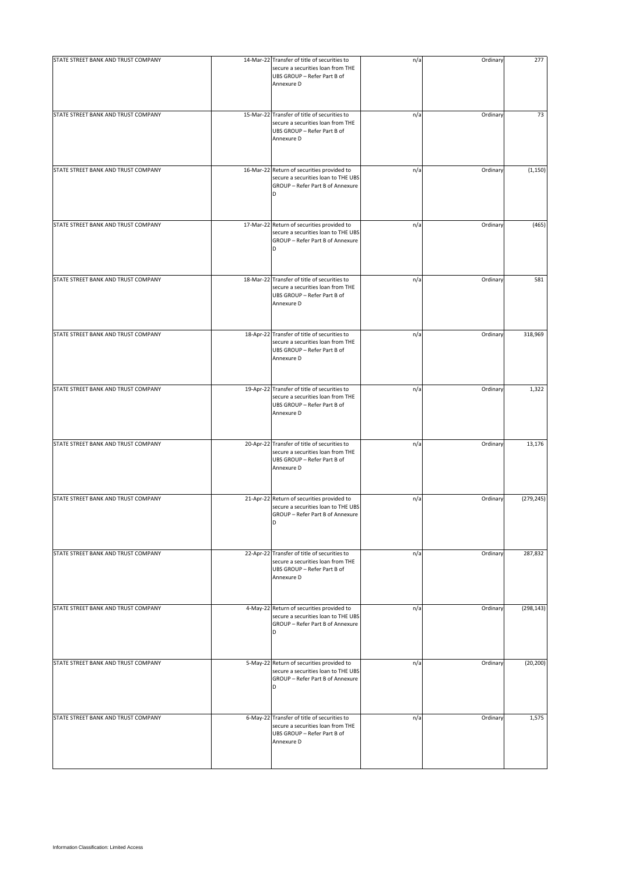| STATE STREET BANK AND TRUST COMPANY | 14-Mar-22 Transfer of title of securities to<br>secure a securities loan from THE<br>UBS GROUP - Refer Part B of<br>Annexure D | n/a | Ordinary | 277        |
|-------------------------------------|--------------------------------------------------------------------------------------------------------------------------------|-----|----------|------------|
| STATE STREET BANK AND TRUST COMPANY | 15-Mar-22 Transfer of title of securities to<br>secure a securities loan from THE<br>UBS GROUP - Refer Part B of<br>Annexure D | n/a | Ordinary | 73         |
| STATE STREET BANK AND TRUST COMPANY | 16-Mar-22 Return of securities provided to<br>secure a securities loan to THE UBS<br>GROUP - Refer Part B of Annexure<br>D     | n/a | Ordinary | (1, 150)   |
| STATE STREET BANK AND TRUST COMPANY | 17-Mar-22 Return of securities provided to<br>secure a securities loan to THE UBS<br>GROUP - Refer Part B of Annexure<br>D     | n/a | Ordinary | (465)      |
| STATE STREET BANK AND TRUST COMPANY | 18-Mar-22 Transfer of title of securities to<br>secure a securities loan from THE<br>UBS GROUP - Refer Part B of<br>Annexure D | n/a | Ordinary | 581        |
| STATE STREET BANK AND TRUST COMPANY | 18-Apr-22 Transfer of title of securities to<br>secure a securities loan from THE<br>UBS GROUP - Refer Part B of<br>Annexure D | n/a | Ordinary | 318,969    |
| STATE STREET BANK AND TRUST COMPANY | 19-Apr-22 Transfer of title of securities to<br>secure a securities loan from THE<br>UBS GROUP - Refer Part B of<br>Annexure D | n/a | Ordinary | 1,322      |
| STATE STREET BANK AND TRUST COMPANY | 20-Apr-22 Transfer of title of securities to<br>secure a securities loan from THE<br>UBS GROUP - Refer Part B of<br>Annexure D | n/a | Ordinary | 13,176     |
| STATE STREET BANK AND TRUST COMPANY | 21-Apr-22 Return of securities provided to<br>secure a securities loan to THE UBS<br>GROUP - Refer Part B of Annexure<br>D     | n/a | Ordinary | (279, 245) |
| STATE STREET BANK AND TRUST COMPANY | 22-Apr-22 Transfer of title of securities to<br>secure a securities loan from THE<br>UBS GROUP - Refer Part B of<br>Annexure D | n/a | Ordinary | 287,832    |
| STATE STREET BANK AND TRUST COMPANY | 4-May-22 Return of securities provided to<br>secure a securities loan to THE UBS<br>GROUP - Refer Part B of Annexure<br>D      | n/a | Ordinary | (298, 143) |
| STATE STREET BANK AND TRUST COMPANY | 5-May-22 Return of securities provided to<br>secure a securities loan to THE UBS<br>GROUP - Refer Part B of Annexure<br>D      | n/a | Ordinary | (20, 200)  |
| STATE STREET BANK AND TRUST COMPANY | 6-May-22 Transfer of title of securities to<br>secure a securities loan from THE<br>UBS GROUP - Refer Part B of<br>Annexure D  | n/a | Ordinary | 1,575      |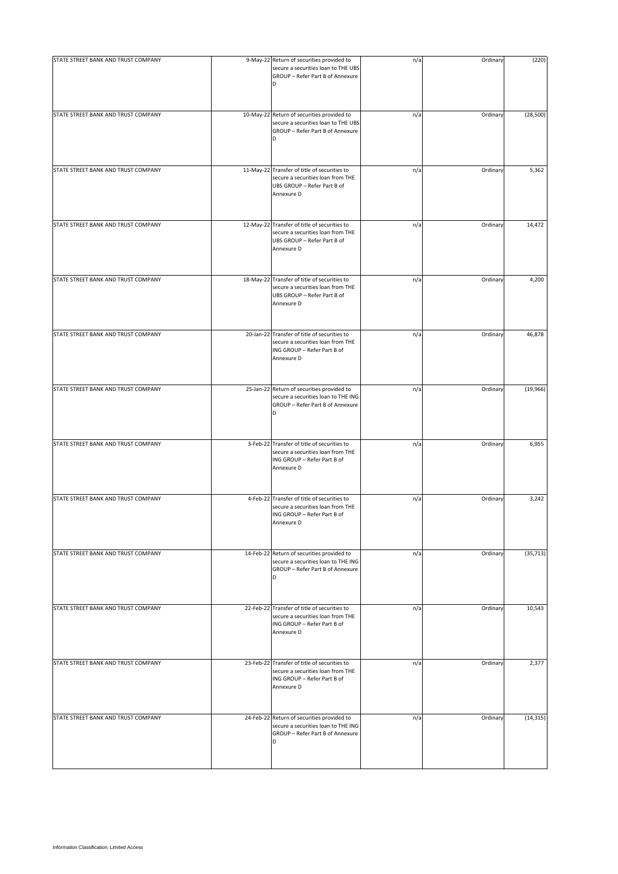| STATE STREET BANK AND TRUST COMPANY | 9-May-22 Return of securities provided to<br>secure a securities loan to THE UBS<br>GROUP - Refer Part B of Annexure<br>D      | n/a | Ordinary | (220)     |
|-------------------------------------|--------------------------------------------------------------------------------------------------------------------------------|-----|----------|-----------|
| STATE STREET BANK AND TRUST COMPANY | 10-May-22 Return of securities provided to<br>secure a securities loan to THE UBS<br>GROUP - Refer Part B of Annexure<br>D     | n/a | Ordinary | (28, 500) |
| STATE STREET BANK AND TRUST COMPANY | 11-May-22 Transfer of title of securities to<br>secure a securities loan from THE<br>UBS GROUP - Refer Part B of<br>Annexure D | n/a | Ordinary | 5,362     |
| STATE STREET BANK AND TRUST COMPANY | 12-May-22 Transfer of title of securities to<br>secure a securities loan from THE<br>UBS GROUP - Refer Part B of<br>Annexure D | n/a | Ordinary | 14,472    |
| STATE STREET BANK AND TRUST COMPANY | 18-May-22 Transfer of title of securities to<br>secure a securities loan from THE<br>UBS GROUP - Refer Part B of<br>Annexure D | n/a | Ordinary | 4,200     |
| STATE STREET BANK AND TRUST COMPANY | 20-Jan-22 Transfer of title of securities to<br>secure a securities loan from THE<br>ING GROUP - Refer Part B of<br>Annexure D | n/a | Ordinary | 46,878    |
| STATE STREET BANK AND TRUST COMPANY | 25-Jan-22 Return of securities provided to<br>secure a securities loan to THE ING<br>GROUP - Refer Part B of Annexure<br>D     | n/a | Ordinary | (19,966)  |
| STATE STREET BANK AND TRUST COMPANY | 3-Feb-22 Transfer of title of securities to<br>secure a securities loan from THE<br>ING GROUP - Refer Part B of<br>Annexure D  | n/a | Ordinary | 6,955     |
| STATE STREET BANK AND TRUST COMPANY | 4-Feb-22 Transfer of title of securities to<br>secure a securities loan from THE<br>ING GROUP - Refer Part B of<br>Annexure D  | n/a | Ordinary | 3,242     |
| STATE STREET BANK AND TRUST COMPANY | 14-Feb-22 Return of securities provided to<br>secure a securities loan to THE ING<br>GROUP - Refer Part B of Annexure<br>D     | n/a | Ordinary | (35, 713) |
| STATE STREET BANK AND TRUST COMPANY | 22-Feb-22 Transfer of title of securities to<br>secure a securities loan from THE<br>ING GROUP - Refer Part B of<br>Annexure D | n/a | Ordinary | 10,543    |
| STATE STREET BANK AND TRUST COMPANY | 23-Feb-22 Transfer of title of securities to<br>secure a securities loan from THE<br>ING GROUP - Refer Part B of<br>Annexure D | n/a | Ordinary | 2,377     |
| STATE STREET BANK AND TRUST COMPANY | 24-Feb-22 Return of securities provided to<br>secure a securities loan to THE ING<br>GROUP - Refer Part B of Annexure<br>D     | n/a | Ordinary | (14, 315) |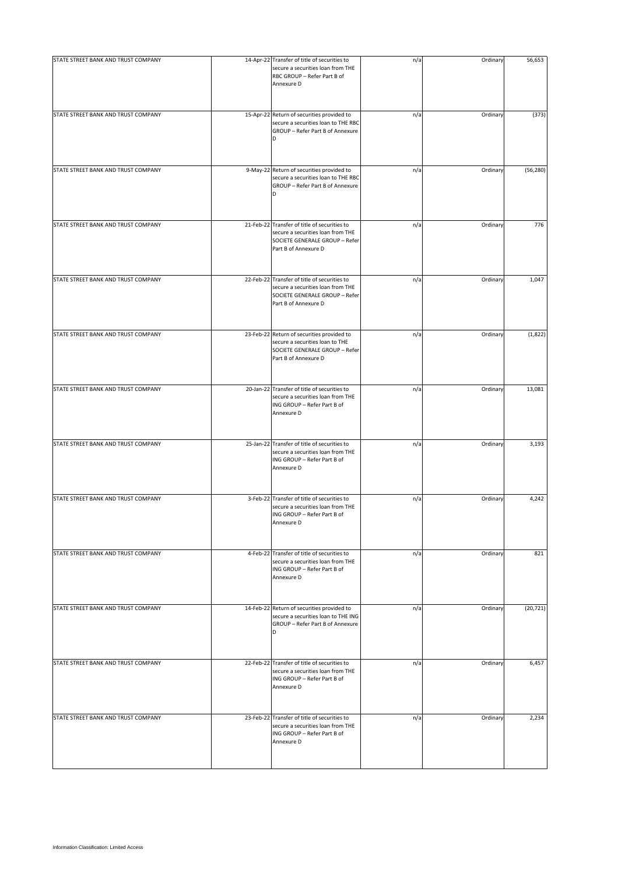| STATE STREET BANK AND TRUST COMPANY | 14-Apr-22 Transfer of title of securities to<br>secure a securities loan from THE<br>RBC GROUP - Refer Part B of<br>Annexure D              | n/a | Ordinary | 56,653    |
|-------------------------------------|---------------------------------------------------------------------------------------------------------------------------------------------|-----|----------|-----------|
| STATE STREET BANK AND TRUST COMPANY | 15-Apr-22 Return of securities provided to<br>secure a securities loan to THE RBC<br>GROUP - Refer Part B of Annexure<br>D                  | n/a | Ordinary | (373)     |
| STATE STREET BANK AND TRUST COMPANY | 9-May-22 Return of securities provided to<br>secure a securities loan to THE RBC<br>GROUP - Refer Part B of Annexure<br>D                   | n/a | Ordinary | (56, 280) |
| STATE STREET BANK AND TRUST COMPANY | 21-Feb-22 Transfer of title of securities to<br>secure a securities loan from THE<br>SOCIETE GENERALE GROUP - Refer<br>Part B of Annexure D | n/a | Ordinary | 776       |
| STATE STREET BANK AND TRUST COMPANY | 22-Feb-22 Transfer of title of securities to<br>secure a securities loan from THE<br>SOCIETE GENERALE GROUP - Refer<br>Part B of Annexure D | n/a | Ordinary | 1,047     |
| STATE STREET BANK AND TRUST COMPANY | 23-Feb-22 Return of securities provided to<br>secure a securities loan to THE<br>SOCIETE GENERALE GROUP - Refer<br>Part B of Annexure D     | n/a | Ordinary | (1,822)   |
| STATE STREET BANK AND TRUST COMPANY | 20-Jan-22 Transfer of title of securities to<br>secure a securities loan from THE<br>ING GROUP - Refer Part B of<br>Annexure D              | n/a | Ordinary | 13,081    |
| STATE STREET BANK AND TRUST COMPANY | 25-Jan-22 Transfer of title of securities to<br>secure a securities loan from THE<br>ING GROUP - Refer Part B of<br>Annexure D              | n/a | Ordinary | 3,193     |
| STATE STREET BANK AND TRUST COMPANY | 3-Feb-22 Transfer of title of securities to<br>secure a securities loan from THE<br>ING GROUP - Refer Part B of<br>Annexure D               | n/a | Ordinary | 4,242     |
| STATE STREET BANK AND TRUST COMPANY | 4-Feb-22 Transfer of title of securities to<br>secure a securities loan from THE<br>ING GROUP - Refer Part B of<br>Annexure D               | n/a | Ordinary | 821       |
| STATE STREET BANK AND TRUST COMPANY | 14-Feb-22 Return of securities provided to<br>secure a securities loan to THE ING<br>GROUP - Refer Part B of Annexure<br>D                  | n/a | Ordinary | (20, 721) |
| STATE STREET BANK AND TRUST COMPANY | 22-Feb-22 Transfer of title of securities to<br>secure a securities loan from THE<br>ING GROUP - Refer Part B of<br>Annexure D              | n/a | Ordinary | 6,457     |
| STATE STREET BANK AND TRUST COMPANY | 23-Feb-22 Transfer of title of securities to<br>secure a securities loan from THE<br>ING GROUP - Refer Part B of<br>Annexure D              | n/a | Ordinary | 2,234     |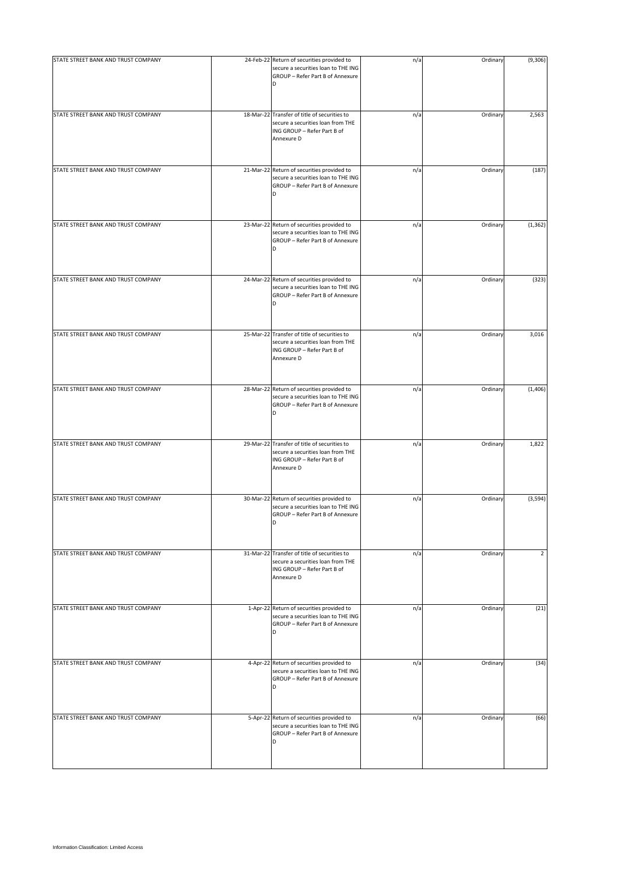| STATE STREET BANK AND TRUST COMPANY | 24-Feb-22 Return of securities provided to<br>secure a securities loan to THE ING<br>GROUP - Refer Part B of Annexure<br>D     | n/a | Ordinary | (9,306)        |
|-------------------------------------|--------------------------------------------------------------------------------------------------------------------------------|-----|----------|----------------|
| STATE STREET BANK AND TRUST COMPANY | 18-Mar-22 Transfer of title of securities to<br>secure a securities loan from THE<br>ING GROUP - Refer Part B of<br>Annexure D | n/a | Ordinary | 2,563          |
| STATE STREET BANK AND TRUST COMPANY | 21-Mar-22 Return of securities provided to<br>secure a securities loan to THE ING<br>GROUP - Refer Part B of Annexure<br>D     | n/a | Ordinary | (187)          |
| STATE STREET BANK AND TRUST COMPANY | 23-Mar-22 Return of securities provided to<br>secure a securities loan to THE ING<br>GROUP - Refer Part B of Annexure<br>D     | n/a | Ordinary | (1, 362)       |
| STATE STREET BANK AND TRUST COMPANY | 24-Mar-22 Return of securities provided to<br>secure a securities loan to THE ING<br>GROUP - Refer Part B of Annexure<br>D     | n/a | Ordinary | (323)          |
| STATE STREET BANK AND TRUST COMPANY | 25-Mar-22 Transfer of title of securities to<br>secure a securities loan from THE<br>ING GROUP - Refer Part B of<br>Annexure D | n/a | Ordinary | 3,016          |
| STATE STREET BANK AND TRUST COMPANY | 28-Mar-22 Return of securities provided to<br>secure a securities loan to THE ING<br>GROUP - Refer Part B of Annexure<br>D     | n/a | Ordinary | (1,406)        |
| STATE STREET BANK AND TRUST COMPANY | 29-Mar-22 Transfer of title of securities to<br>secure a securities loan from THE<br>ING GROUP - Refer Part B of<br>Annexure D | n/a | Ordinary | 1,822          |
| STATE STREET BANK AND TRUST COMPANY | 30-Mar-22 Return of securities provided to<br>secure a securities loan to THE ING<br>GROUP - Refer Part B of Annexure<br>D     | n/a | Ordinary | (3, 594)       |
| STATE STREET BANK AND TRUST COMPANY | 31-Mar-22 Transfer of title of securities to<br>secure a securities loan from THE<br>ING GROUP - Refer Part B of<br>Annexure D | n/a | Ordinary | $\overline{2}$ |
| STATE STREET BANK AND TRUST COMPANY | 1-Apr-22 Return of securities provided to<br>secure a securities loan to THE ING<br>GROUP - Refer Part B of Annexure<br>D      | n/a | Ordinary | (21)           |
| STATE STREET BANK AND TRUST COMPANY | 4-Apr-22 Return of securities provided to<br>secure a securities loan to THE ING<br>GROUP - Refer Part B of Annexure<br>D      | n/a | Ordinary | (34)           |
| STATE STREET BANK AND TRUST COMPANY | 5-Apr-22 Return of securities provided to<br>secure a securities loan to THE ING<br>GROUP - Refer Part B of Annexure<br>D      | n/a | Ordinary | (66)           |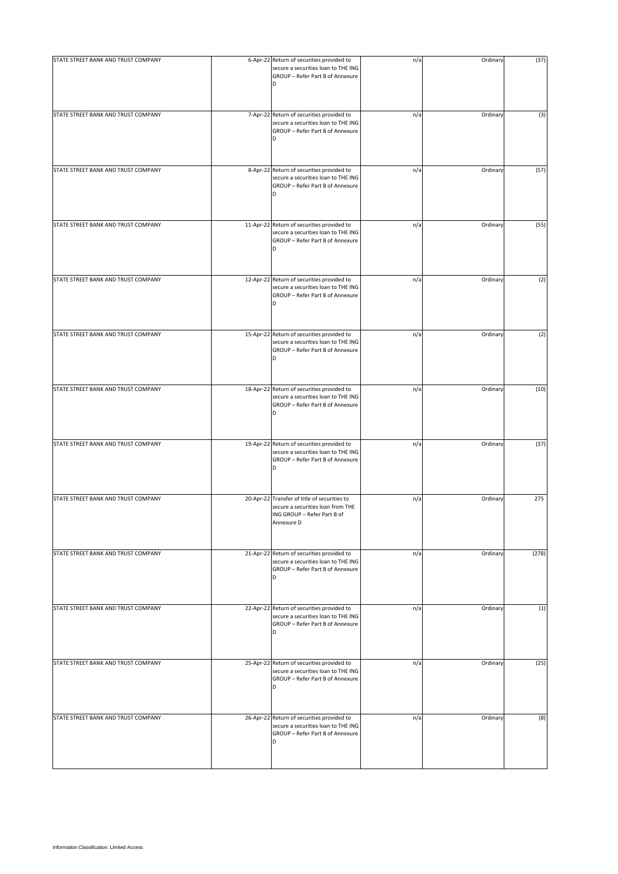| STATE STREET BANK AND TRUST COMPANY | 6-Apr-22 Return of securities provided to<br>secure a securities loan to THE ING<br>GROUP - Refer Part B of Annexure<br>D      | n/a | Ordinary | (37)  |
|-------------------------------------|--------------------------------------------------------------------------------------------------------------------------------|-----|----------|-------|
| STATE STREET BANK AND TRUST COMPANY | 7-Apr-22 Return of securities provided to<br>secure a securities loan to THE ING<br>GROUP - Refer Part B of Annexure<br>D      | n/a | Ordinary | (3)   |
| STATE STREET BANK AND TRUST COMPANY | 8-Apr-22 Return of securities provided to<br>secure a securities loan to THE ING<br>GROUP - Refer Part B of Annexure<br>D      | n/a | Ordinary | (57)  |
| STATE STREET BANK AND TRUST COMPANY | 11-Apr-22 Return of securities provided to<br>secure a securities loan to THE ING<br>GROUP - Refer Part B of Annexure<br>D     | n/a | Ordinary | (55)  |
| STATE STREET BANK AND TRUST COMPANY | 12-Apr-22 Return of securities provided to<br>secure a securities loan to THE ING<br>GROUP - Refer Part B of Annexure<br>D     | n/a | Ordinary | (2)   |
| STATE STREET BANK AND TRUST COMPANY | 15-Apr-22 Return of securities provided to<br>secure a securities loan to THE ING<br>GROUP - Refer Part B of Annexure          | n/a | Ordinary | (2)   |
| STATE STREET BANK AND TRUST COMPANY | 18-Apr-22 Return of securities provided to<br>secure a securities loan to THE ING<br>GROUP - Refer Part B of Annexure<br>D     | n/a | Ordinary | (10)  |
| STATE STREET BANK AND TRUST COMPANY | 19-Apr-22 Return of securities provided to<br>secure a securities loan to THE ING<br>GROUP - Refer Part B of Annexure<br>D     | n/a | Ordinary | (37)  |
| STATE STREET BANK AND TRUST COMPANY | 20-Apr-22 Transfer of title of securities to<br>secure a securities loan from THE<br>ING GROUP - Refer Part B of<br>Annexure D | n/a | Ordinary | 275   |
| STATE STREET BANK AND TRUST COMPANY | 21-Apr-22 Return of securities provided to<br>secure a securities loan to THE ING<br>GROUP - Refer Part B of Annexure<br>D     | n/a | Ordinary | (278) |
| STATE STREET BANK AND TRUST COMPANY | 22-Apr-22 Return of securities provided to<br>secure a securities loan to THE ING<br>GROUP - Refer Part B of Annexure<br>D     | n/a | Ordinary | (1)   |
| STATE STREET BANK AND TRUST COMPANY | 25-Apr-22 Return of securities provided to<br>secure a securities loan to THE ING<br>GROUP - Refer Part B of Annexure<br>D     | n/a | Ordinary | (25)  |
| STATE STREET BANK AND TRUST COMPANY | 26-Apr-22 Return of securities provided to<br>secure a securities loan to THE ING<br>GROUP - Refer Part B of Annexure<br>D     | n/a | Ordinary | (8)   |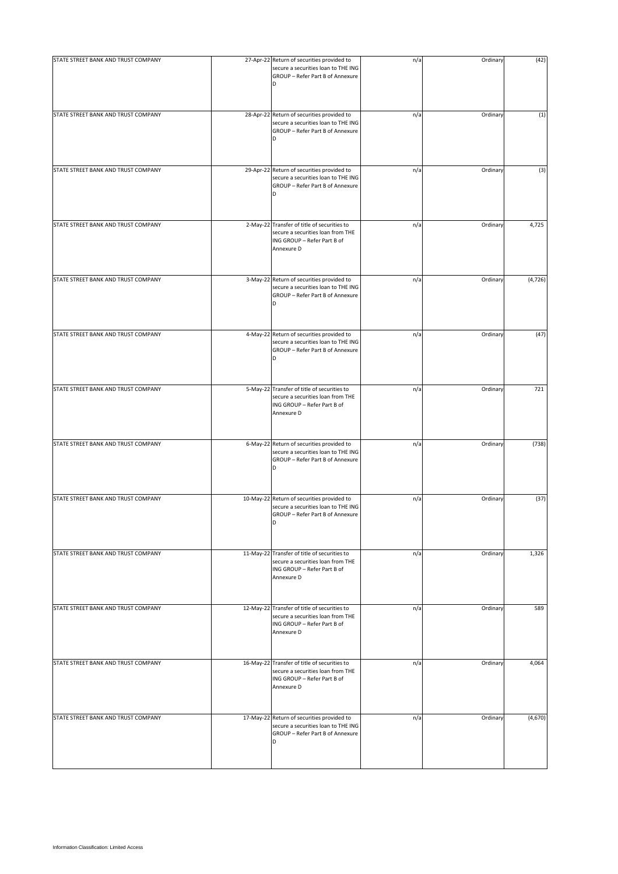| STATE STREET BANK AND TRUST COMPANY | 27-Apr-22 Return of securities provided to<br>secure a securities loan to THE ING<br>GROUP - Refer Part B of Annexure<br>D     | n/a | Ordinary | (42)     |
|-------------------------------------|--------------------------------------------------------------------------------------------------------------------------------|-----|----------|----------|
| STATE STREET BANK AND TRUST COMPANY | 28-Apr-22 Return of securities provided to<br>secure a securities loan to THE ING<br>GROUP - Refer Part B of Annexure<br>D     | n/a | Ordinary | (1)      |
| STATE STREET BANK AND TRUST COMPANY | 29-Apr-22 Return of securities provided to<br>secure a securities loan to THE ING<br>GROUP - Refer Part B of Annexure<br>D     | n/a | Ordinary | (3)      |
| STATE STREET BANK AND TRUST COMPANY | 2-May-22 Transfer of title of securities to<br>secure a securities loan from THE<br>ING GROUP - Refer Part B of<br>Annexure D  | n/a | Ordinary | 4,725    |
| STATE STREET BANK AND TRUST COMPANY | 3-May-22 Return of securities provided to<br>secure a securities loan to THE ING<br>GROUP - Refer Part B of Annexure<br>D      | n/a | Ordinary | (4, 726) |
| STATE STREET BANK AND TRUST COMPANY | 4-May-22 Return of securities provided to<br>secure a securities loan to THE ING<br>GROUP - Refer Part B of Annexure<br>D      | n/a | Ordinary | (47)     |
| STATE STREET BANK AND TRUST COMPANY | 5-May-22 Transfer of title of securities to<br>secure a securities loan from THE<br>ING GROUP - Refer Part B of<br>Annexure D  | n/a | Ordinary | 721      |
| STATE STREET BANK AND TRUST COMPANY | 6-May-22 Return of securities provided to<br>secure a securities loan to THE ING<br>GROUP - Refer Part B of Annexure<br>D      | n/a | Ordinary | (738)    |
| STATE STREET BANK AND TRUST COMPANY | 10-May-22 Return of securities provided to<br>secure a securities loan to THE ING<br>GROUP - Refer Part B of Annexure<br>D     | n/a | Ordinary | (37)     |
| STATE STREET BANK AND TRUST COMPANY | 11-May-22 Transfer of title of securities to<br>secure a securities loan from THE<br>ING GROUP - Refer Part B of<br>Annexure D | n/a | Ordinary | 1,326    |
| STATE STREET BANK AND TRUST COMPANY | 12-May-22 Transfer of title of securities to<br>secure a securities loan from THE<br>ING GROUP - Refer Part B of<br>Annexure D | n/a | Ordinary | 589      |
| STATE STREET BANK AND TRUST COMPANY | 16-May-22 Transfer of title of securities to<br>secure a securities loan from THE<br>ING GROUP - Refer Part B of<br>Annexure D | n/a | Ordinary | 4,064    |
| STATE STREET BANK AND TRUST COMPANY | 17-May-22 Return of securities provided to<br>secure a securities loan to THE ING<br>GROUP - Refer Part B of Annexure<br>D     | n/a | Ordinary | (4, 670) |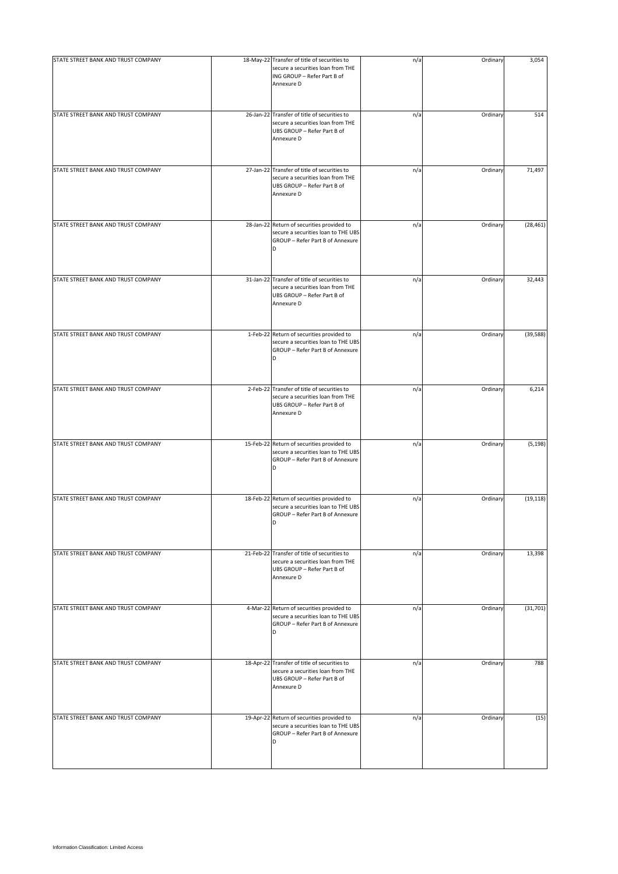| STATE STREET BANK AND TRUST COMPANY | 18-May-22 Transfer of title of securities to<br>secure a securities loan from THE<br>ING GROUP - Refer Part B of<br>Annexure D        | n/a | Ordinary | 3,054     |
|-------------------------------------|---------------------------------------------------------------------------------------------------------------------------------------|-----|----------|-----------|
| STATE STREET BANK AND TRUST COMPANY | 26-Jan-22 Transfer of title of securities to<br>secure a securities loan from THE<br>UBS GROUP - Refer Part B of<br>Annexure D        | n/a | Ordinary | 514       |
| STATE STREET BANK AND TRUST COMPANY | 27-Jan-22 Transfer of title of securities to<br>secure a securities loan from THE<br>UBS GROUP - Refer Part B of<br>Annexure D        | n/a | Ordinary | 71,497    |
| STATE STREET BANK AND TRUST COMPANY | 28-Jan-22 Return of securities provided to<br>secure a securities loan to THE UBS<br>GROUP - Refer Part B of Annexure<br><sub>D</sub> | n/a | Ordinary | (28, 461) |
| STATE STREET BANK AND TRUST COMPANY | 31-Jan-22 Transfer of title of securities to<br>secure a securities loan from THE<br>UBS GROUP - Refer Part B of<br>Annexure D        | n/a | Ordinary | 32,443    |
| STATE STREET BANK AND TRUST COMPANY | 1-Feb-22 Return of securities provided to<br>secure a securities loan to THE UBS<br>GROUP - Refer Part B of Annexure<br>D             | n/a | Ordinary | (39, 588) |
| STATE STREET BANK AND TRUST COMPANY | 2-Feb-22 Transfer of title of securities to<br>secure a securities loan from THE<br>UBS GROUP - Refer Part B of<br>Annexure D         | n/a | Ordinary | 6,214     |
| STATE STREET BANK AND TRUST COMPANY | 15-Feb-22 Return of securities provided to<br>secure a securities loan to THE UBS<br>GROUP - Refer Part B of Annexure<br>D            | n/a | Ordinary | (5, 198)  |
| STATE STREET BANK AND TRUST COMPANY | 18-Feb-22 Return of securities provided to<br>secure a securities loan to THE UBS<br>GROUP - Refer Part B of Annexure<br>D            | n/a | Ordinary | (19, 118) |
| STATE STREET BANK AND TRUST COMPANY | 21-Feb-22 Transfer of title of securities to<br>secure a securities loan from THE<br>UBS GROUP - Refer Part B of<br>Annexure D        | n/a | Ordinary | 13,398    |
| STATE STREET BANK AND TRUST COMPANY | 4-Mar-22 Return of securities provided to<br>secure a securities loan to THE UBS<br>GROUP - Refer Part B of Annexure<br>D             | n/a | Ordinary | (31, 701) |
| STATE STREET BANK AND TRUST COMPANY | 18-Apr-22 Transfer of title of securities to<br>secure a securities loan from THE<br>UBS GROUP - Refer Part B of<br>Annexure D        | n/a | Ordinary | 788       |
| STATE STREET BANK AND TRUST COMPANY | 19-Apr-22 Return of securities provided to<br>secure a securities loan to THE UBS<br>GROUP - Refer Part B of Annexure<br>D            | n/a | Ordinary | (15)      |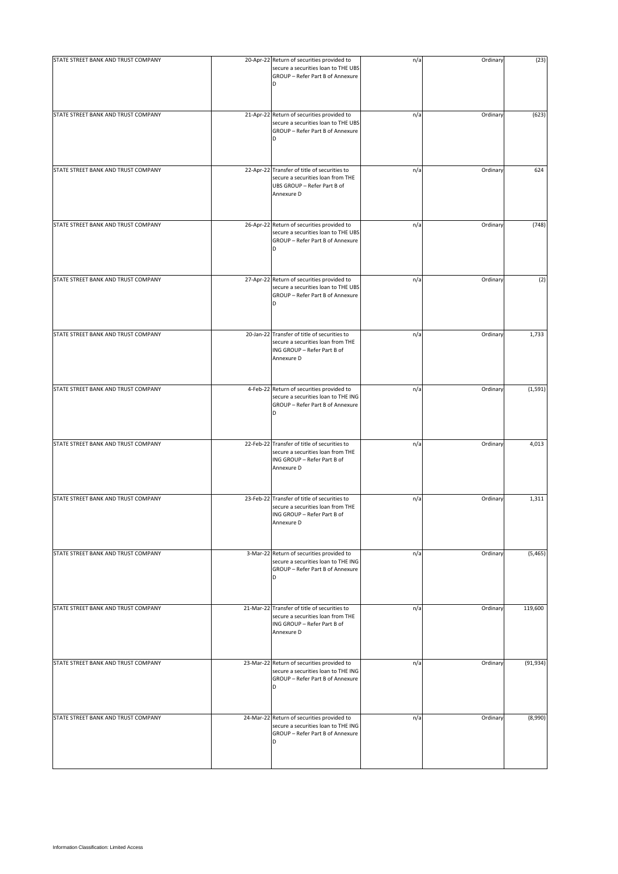| STATE STREET BANK AND TRUST COMPANY | 20-Apr-22 Return of securities provided to<br>secure a securities loan to THE UBS<br>GROUP - Refer Part B of Annexure<br>D     | n/a | Ordinary | (23)      |
|-------------------------------------|--------------------------------------------------------------------------------------------------------------------------------|-----|----------|-----------|
| STATE STREET BANK AND TRUST COMPANY | 21-Apr-22 Return of securities provided to<br>secure a securities loan to THE UBS<br>GROUP - Refer Part B of Annexure<br>D     | n/a | Ordinary | (623)     |
| STATE STREET BANK AND TRUST COMPANY | 22-Apr-22 Transfer of title of securities to<br>secure a securities loan from THE<br>UBS GROUP - Refer Part B of<br>Annexure D | n/a | Ordinary | 624       |
| STATE STREET BANK AND TRUST COMPANY | 26-Apr-22 Return of securities provided to<br>secure a securities loan to THE UBS<br>GROUP - Refer Part B of Annexure<br>D     | n/a | Ordinary | (748)     |
| STATE STREET BANK AND TRUST COMPANY | 27-Apr-22 Return of securities provided to<br>secure a securities loan to THE UBS<br>GROUP - Refer Part B of Annexure<br>D     | n/a | Ordinary | (2)       |
| STATE STREET BANK AND TRUST COMPANY | 20-Jan-22 Transfer of title of securities to<br>secure a securities loan from THE<br>ING GROUP - Refer Part B of<br>Annexure D | n/a | Ordinary | 1,733     |
| STATE STREET BANK AND TRUST COMPANY | 4-Feb-22 Return of securities provided to<br>secure a securities loan to THE ING<br>GROUP - Refer Part B of Annexure<br>D      | n/a | Ordinary | (1, 591)  |
| STATE STREET BANK AND TRUST COMPANY | 22-Feb-22 Transfer of title of securities to<br>secure a securities loan from THE<br>ING GROUP - Refer Part B of<br>Annexure D | n/a | Ordinary | 4,013     |
| STATE STREET BANK AND TRUST COMPANY | 23-Feb-22 Transfer of title of securities to<br>secure a securities loan from THE<br>ING GROUP - Refer Part B of<br>Annexure D | n/a | Ordinary | 1,311     |
| STATE STREET BANK AND TRUST COMPANY | 3-Mar-22 Return of securities provided to<br>secure a securities loan to THE ING<br>GROUP - Refer Part B of Annexure<br>D      | n/a | Ordinary | (5, 465)  |
| STATE STREET BANK AND TRUST COMPANY | 21-Mar-22 Transfer of title of securities to<br>secure a securities loan from THE<br>ING GROUP - Refer Part B of<br>Annexure D | n/a | Ordinary | 119,600   |
| STATE STREET BANK AND TRUST COMPANY | 23-Mar-22 Return of securities provided to<br>secure a securities loan to THE ING<br>GROUP - Refer Part B of Annexure<br>D     | n/a | Ordinary | (91, 934) |
| STATE STREET BANK AND TRUST COMPANY | 24-Mar-22 Return of securities provided to<br>secure a securities loan to THE ING<br>GROUP - Refer Part B of Annexure<br>D     | n/a | Ordinary | (8,990)   |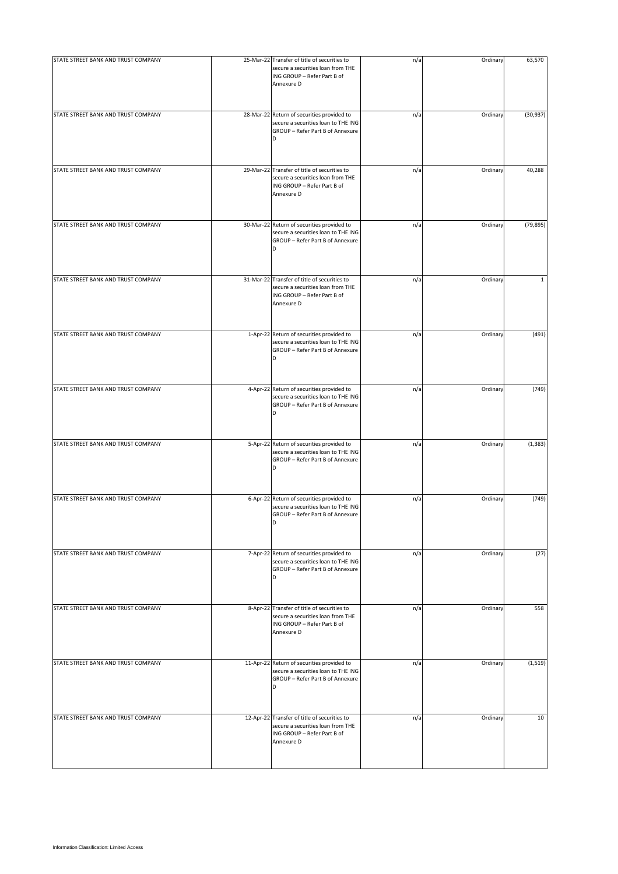| STATE STREET BANK AND TRUST COMPANY | 25-Mar-22 Transfer of title of securities to<br>secure a securities loan from THE<br>ING GROUP - Refer Part B of<br>Annexure D | n/a | Ordinary | 63,570       |
|-------------------------------------|--------------------------------------------------------------------------------------------------------------------------------|-----|----------|--------------|
| STATE STREET BANK AND TRUST COMPANY | 28-Mar-22 Return of securities provided to<br>secure a securities loan to THE ING<br>GROUP - Refer Part B of Annexure<br>D     | n/a | Ordinary | (30, 937)    |
| STATE STREET BANK AND TRUST COMPANY | 29-Mar-22 Transfer of title of securities to<br>secure a securities loan from THE<br>ING GROUP - Refer Part B of<br>Annexure D | n/a | Ordinary | 40,288       |
| STATE STREET BANK AND TRUST COMPANY | 30-Mar-22 Return of securities provided to<br>secure a securities loan to THE ING<br>GROUP - Refer Part B of Annexure<br>D     | n/a | Ordinary | (79, 895)    |
| STATE STREET BANK AND TRUST COMPANY | 31-Mar-22 Transfer of title of securities to<br>secure a securities loan from THE<br>ING GROUP - Refer Part B of<br>Annexure D | n/a | Ordinary | $\mathbf{1}$ |
| STATE STREET BANK AND TRUST COMPANY | 1-Apr-22 Return of securities provided to<br>secure a securities loan to THE ING<br>GROUP - Refer Part B of Annexure           | n/a | Ordinary | (491)        |
| STATE STREET BANK AND TRUST COMPANY | 4-Apr-22 Return of securities provided to<br>secure a securities loan to THE ING<br>GROUP - Refer Part B of Annexure<br>D      | n/a | Ordinary | (749)        |
| STATE STREET BANK AND TRUST COMPANY | 5-Apr-22 Return of securities provided to<br>secure a securities loan to THE ING<br>GROUP - Refer Part B of Annexure<br>D      | n/a | Ordinary | (1, 383)     |
| STATE STREET BANK AND TRUST COMPANY | 6-Apr-22 Return of securities provided to<br>secure a securities loan to THE ING<br>GROUP - Refer Part B of Annexure<br>D      | n/a | Ordinary | (749)        |
| STATE STREET BANK AND TRUST COMPANY | 7-Apr-22 Return of securities provided to<br>secure a securities loan to THE ING<br>GROUP - Refer Part B of Annexure<br>D      | n/a | Ordinary | (27)         |
| STATE STREET BANK AND TRUST COMPANY | 8-Apr-22 Transfer of title of securities to<br>secure a securities loan from THE<br>ING GROUP - Refer Part B of<br>Annexure D  | n/a | Ordinary | 558          |
| STATE STREET BANK AND TRUST COMPANY | 11-Apr-22 Return of securities provided to<br>secure a securities loan to THE ING<br>GROUP - Refer Part B of Annexure<br>D     | n/a | Ordinary | (1, 519)     |
| STATE STREET BANK AND TRUST COMPANY | 12-Apr-22 Transfer of title of securities to<br>secure a securities loan from THE<br>ING GROUP - Refer Part B of<br>Annexure D | n/a | Ordinary | 10           |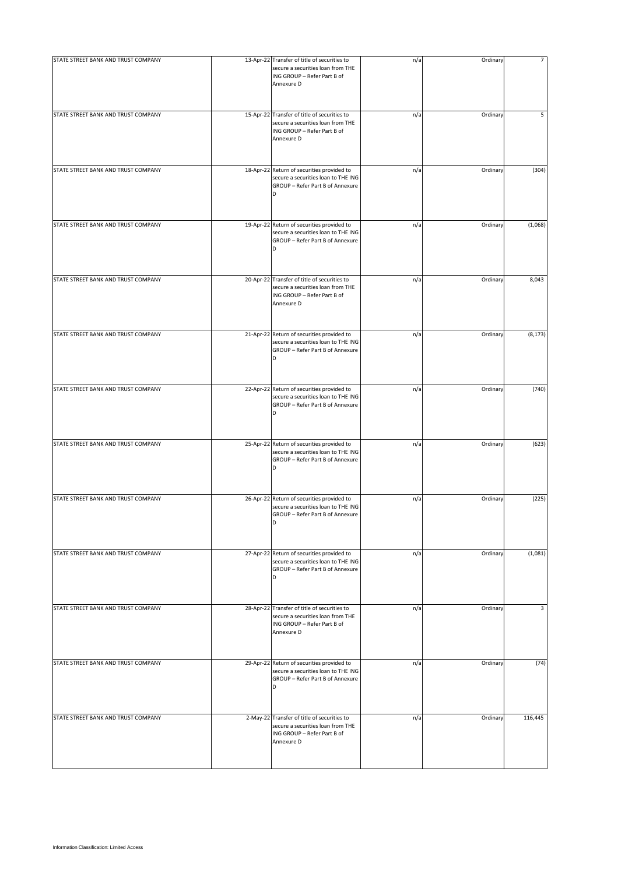| STATE STREET BANK AND TRUST COMPANY | 13-Apr-22 Transfer of title of securities to<br>secure a securities loan from THE<br>ING GROUP - Refer Part B of<br>Annexure D | n/a | Ordinary | $\overline{7}$ |
|-------------------------------------|--------------------------------------------------------------------------------------------------------------------------------|-----|----------|----------------|
| STATE STREET BANK AND TRUST COMPANY | 15-Apr-22 Transfer of title of securities to<br>secure a securities loan from THE<br>ING GROUP - Refer Part B of<br>Annexure D | n/a | Ordinary | 5              |
| STATE STREET BANK AND TRUST COMPANY | 18-Apr-22 Return of securities provided to<br>secure a securities loan to THE ING<br>GROUP - Refer Part B of Annexure<br>D     | n/a | Ordinary | (304)          |
| STATE STREET BANK AND TRUST COMPANY | 19-Apr-22 Return of securities provided to<br>secure a securities loan to THE ING<br>GROUP - Refer Part B of Annexure<br>D     | n/a | Ordinary | (1,068)        |
| STATE STREET BANK AND TRUST COMPANY | 20-Apr-22 Transfer of title of securities to<br>secure a securities loan from THE<br>ING GROUP - Refer Part B of<br>Annexure D | n/a | Ordinary | 8,043          |
| STATE STREET BANK AND TRUST COMPANY | 21-Apr-22 Return of securities provided to<br>secure a securities loan to THE ING<br>GROUP - Refer Part B of Annexure          | n/a | Ordinary | (8, 173)       |
| STATE STREET BANK AND TRUST COMPANY | 22-Apr-22 Return of securities provided to<br>secure a securities loan to THE ING<br>GROUP - Refer Part B of Annexure<br>D     | n/a | Ordinary | (740)          |
| STATE STREET BANK AND TRUST COMPANY | 25-Apr-22 Return of securities provided to<br>secure a securities loan to THE ING<br>GROUP - Refer Part B of Annexure<br>D     | n/a | Ordinary | (623)          |
| STATE STREET BANK AND TRUST COMPANY | 26-Apr-22 Return of securities provided to<br>secure a securities loan to THE ING<br>GROUP - Refer Part B of Annexure<br>D     | n/a | Ordinary | (225)          |
| STATE STREET BANK AND TRUST COMPANY | 27-Apr-22 Return of securities provided to<br>secure a securities loan to THE ING<br>GROUP - Refer Part B of Annexure<br>D     | n/a | Ordinary | (1,081)        |
| STATE STREET BANK AND TRUST COMPANY | 28-Apr-22 Transfer of title of securities to<br>secure a securities loan from THE<br>ING GROUP - Refer Part B of<br>Annexure D | n/a | Ordinary | 3              |
| STATE STREET BANK AND TRUST COMPANY | 29-Apr-22 Return of securities provided to<br>secure a securities loan to THE ING<br>GROUP - Refer Part B of Annexure<br>D     | n/a | Ordinary | (74)           |
| STATE STREET BANK AND TRUST COMPANY | 2-May-22 Transfer of title of securities to<br>secure a securities loan from THE<br>ING GROUP - Refer Part B of<br>Annexure D  | n/a | Ordinary | 116,445        |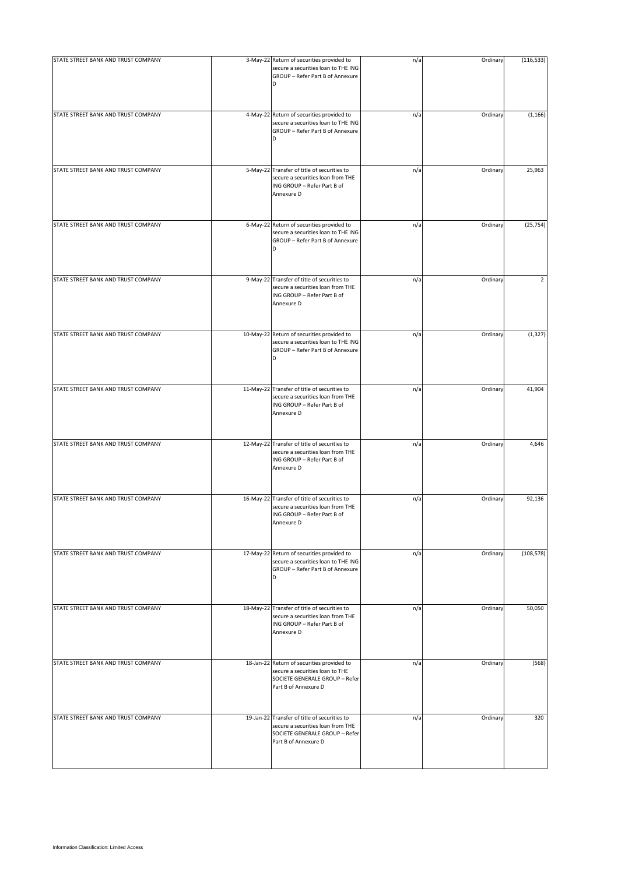| STATE STREET BANK AND TRUST COMPANY | 3-May-22 Return of securities provided to<br>secure a securities loan to THE ING                                                            | n/a | Ordinary | (116, 533) |
|-------------------------------------|---------------------------------------------------------------------------------------------------------------------------------------------|-----|----------|------------|
|                                     | GROUP - Refer Part B of Annexure<br>D                                                                                                       |     |          |            |
| STATE STREET BANK AND TRUST COMPANY | 4-May-22 Return of securities provided to<br>secure a securities loan to THE ING<br>GROUP - Refer Part B of Annexure<br>D                   | n/a | Ordinary | (1, 166)   |
| STATE STREET BANK AND TRUST COMPANY | 5-May-22 Transfer of title of securities to<br>secure a securities loan from THE<br>ING GROUP - Refer Part B of<br>Annexure D               | n/a | Ordinary | 25,963     |
| STATE STREET BANK AND TRUST COMPANY | 6-May-22 Return of securities provided to<br>secure a securities loan to THE ING<br>GROUP - Refer Part B of Annexure<br>D                   | n/a | Ordinary | (25, 754)  |
| STATE STREET BANK AND TRUST COMPANY | 9-May-22 Transfer of title of securities to<br>secure a securities loan from THE<br>ING GROUP - Refer Part B of<br>Annexure D               | n/a | Ordinary | 2          |
| STATE STREET BANK AND TRUST COMPANY | 10-May-22 Return of securities provided to<br>secure a securities loan to THE ING<br>GROUP - Refer Part B of Annexure<br>D                  | n/a | Ordinary | (1, 327)   |
| STATE STREET BANK AND TRUST COMPANY | 11-May-22 Transfer of title of securities to<br>secure a securities loan from THE<br>ING GROUP - Refer Part B of<br>Annexure D              | n/a | Ordinary | 41,904     |
| STATE STREET BANK AND TRUST COMPANY | 12-May-22 Transfer of title of securities to<br>secure a securities loan from THE<br>ING GROUP - Refer Part B of<br>Annexure D              | n/a | Ordinary | 4,646      |
| STATE STREET BANK AND TRUST COMPANY | 16-May-22 Transfer of title of securities to<br>secure a securities loan from THE<br>ING GROUP - Refer Part B of<br>Annexure D              | n/a | Ordinary | 92,136     |
| STATE STREET BANK AND TRUST COMPANY | 17-May-22 Return of securities provided to<br>secure a securities loan to THE ING<br>GROUP - Refer Part B of Annexure<br>D                  | n/a | Ordinary | (108, 578) |
| STATE STREET BANK AND TRUST COMPANY | 18-May-22 Transfer of title of securities to<br>secure a securities loan from THE<br>ING GROUP - Refer Part B of<br>Annexure D              | n/a | Ordinary | 50,050     |
| STATE STREET BANK AND TRUST COMPANY | 18-Jan-22 Return of securities provided to<br>secure a securities loan to THE<br>SOCIETE GENERALE GROUP - Refer<br>Part B of Annexure D     | n/a | Ordinary | (568)      |
| STATE STREET BANK AND TRUST COMPANY | 19-Jan-22 Transfer of title of securities to<br>secure a securities loan from THE<br>SOCIETE GENERALE GROUP - Refer<br>Part B of Annexure D | n/a | Ordinary | 320        |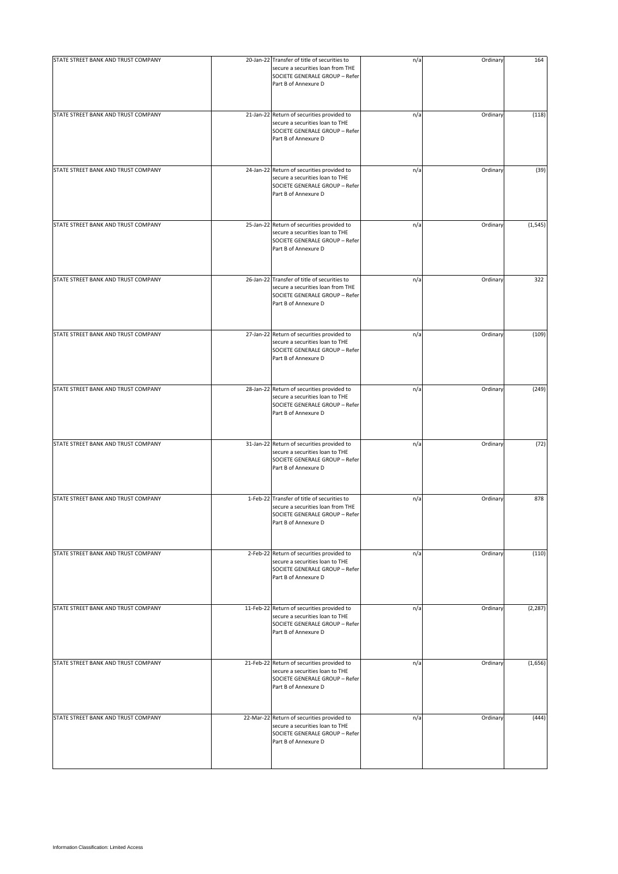| STATE STREET BANK AND TRUST COMPANY | 20-Jan-22 Transfer of title of securities to<br>secure a securities loan from THE<br>SOCIETE GENERALE GROUP - Refer<br>Part B of Annexure D | n/a | Ordinary | 164      |
|-------------------------------------|---------------------------------------------------------------------------------------------------------------------------------------------|-----|----------|----------|
| STATE STREET BANK AND TRUST COMPANY | 21-Jan-22 Return of securities provided to<br>secure a securities loan to THE<br>SOCIETE GENERALE GROUP - Refer<br>Part B of Annexure D     | n/a | Ordinary | (118)    |
| STATE STREET BANK AND TRUST COMPANY | 24-Jan-22 Return of securities provided to<br>secure a securities loan to THE<br>SOCIETE GENERALE GROUP - Refer<br>Part B of Annexure D     | n/a | Ordinary | (39)     |
| STATE STREET BANK AND TRUST COMPANY | 25-Jan-22 Return of securities provided to<br>secure a securities loan to THE<br>SOCIETE GENERALE GROUP - Refer<br>Part B of Annexure D     | n/a | Ordinary | (1, 545) |
| STATE STREET BANK AND TRUST COMPANY | 26-Jan-22 Transfer of title of securities to<br>secure a securities loan from THE<br>SOCIETE GENERALE GROUP - Refer<br>Part B of Annexure D | n/a | Ordinary | 322      |
| STATE STREET BANK AND TRUST COMPANY | 27-Jan-22 Return of securities provided to<br>secure a securities loan to THE<br>SOCIETE GENERALE GROUP - Refer<br>Part B of Annexure D     | n/a | Ordinary | (109)    |
| STATE STREET BANK AND TRUST COMPANY | 28-Jan-22 Return of securities provided to<br>secure a securities loan to THE<br>SOCIETE GENERALE GROUP - Refer<br>Part B of Annexure D     | n/a | Ordinary | (249)    |
| STATE STREET BANK AND TRUST COMPANY | 31-Jan-22 Return of securities provided to<br>secure a securities loan to THE<br>SOCIETE GENERALE GROUP - Refer<br>Part B of Annexure D     | n/a | Ordinary | (72)     |
| STATE STREET BANK AND TRUST COMPANY | 1-Feb-22 Transfer of title of securities to<br>secure a securities loan from THE<br>SOCIETE GENERALE GROUP - Refer<br>Part B of Annexure D  | n/a | Ordinary | 878      |
| STATE STREET BANK AND TRUST COMPANY | 2-Feb-22 Return of securities provided to<br>secure a securities loan to THE<br>SOCIETE GENERALE GROUP - Refer<br>Part B of Annexure D      | n/a | Ordinary | (110)    |
| STATE STREET BANK AND TRUST COMPANY | 11-Feb-22 Return of securities provided to<br>secure a securities loan to THE<br>SOCIETE GENERALE GROUP - Refer<br>Part B of Annexure D     | n/a | Ordinary | (2, 287) |
| STATE STREET BANK AND TRUST COMPANY | 21-Feb-22 Return of securities provided to<br>secure a securities loan to THE<br>SOCIETE GENERALE GROUP - Refer<br>Part B of Annexure D     | n/a | Ordinary | (1,656)  |
| STATE STREET BANK AND TRUST COMPANY | 22-Mar-22 Return of securities provided to<br>secure a securities loan to THE<br>SOCIETE GENERALE GROUP - Refer<br>Part B of Annexure D     | n/a | Ordinary | (444)    |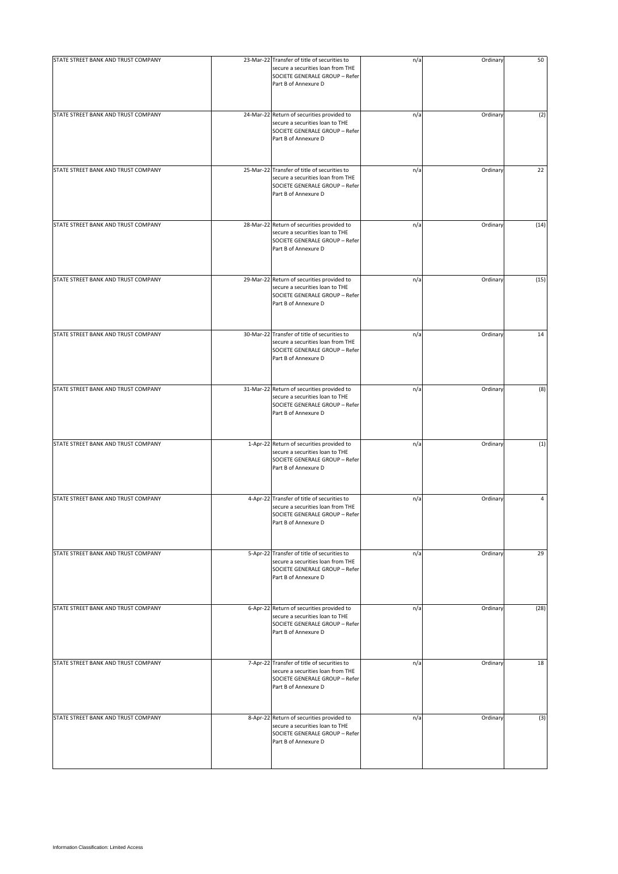| STATE STREET BANK AND TRUST COMPANY | 23-Mar-22 Transfer of title of securities to<br>secure a securities loan from THE<br>SOCIETE GENERALE GROUP - Refer<br>Part B of Annexure D | n/a | Ordinary | 50   |
|-------------------------------------|---------------------------------------------------------------------------------------------------------------------------------------------|-----|----------|------|
| STATE STREET BANK AND TRUST COMPANY | 24-Mar-22 Return of securities provided to<br>secure a securities loan to THE<br>SOCIETE GENERALE GROUP - Refer<br>Part B of Annexure D     | n/a | Ordinary | (2)  |
| STATE STREET BANK AND TRUST COMPANY | 25-Mar-22 Transfer of title of securities to<br>secure a securities loan from THE<br>SOCIETE GENERALE GROUP - Refer<br>Part B of Annexure D | n/a | Ordinary | 22   |
| STATE STREET BANK AND TRUST COMPANY | 28-Mar-22 Return of securities provided to<br>secure a securities loan to THE<br>SOCIETE GENERALE GROUP - Refer<br>Part B of Annexure D     | n/a | Ordinary | (14) |
| STATE STREET BANK AND TRUST COMPANY | 29-Mar-22 Return of securities provided to<br>secure a securities loan to THE<br>SOCIETE GENERALE GROUP - Refer<br>Part B of Annexure D     | n/a | Ordinary | (15) |
| STATE STREET BANK AND TRUST COMPANY | 30-Mar-22 Transfer of title of securities to<br>secure a securities loan from THE<br>SOCIETE GENERALE GROUP - Refer<br>Part B of Annexure D | n/a | Ordinary | 14   |
| STATE STREET BANK AND TRUST COMPANY | 31-Mar-22 Return of securities provided to<br>secure a securities loan to THE<br>SOCIETE GENERALE GROUP - Refer<br>Part B of Annexure D     | n/a | Ordinary | (8)  |
| STATE STREET BANK AND TRUST COMPANY | 1-Apr-22 Return of securities provided to<br>secure a securities loan to THE<br>SOCIETE GENERALE GROUP - Refer<br>Part B of Annexure D      | n/a | Ordinary | (1)  |
| STATE STREET BANK AND TRUST COMPANY | 4-Apr-22 Transfer of title of securities to<br>secure a securities loan from THE<br>SOCIETE GENERALE GROUP - Refer<br>Part B of Annexure D  | n/a | Ordinary | 4    |
| STATE STREET BANK AND TRUST COMPANY | 5-Apr-22 Transfer of title of securities to<br>secure a securities loan from THE<br>SOCIETE GENERALE GROUP - Refer<br>Part B of Annexure D  | n/a | Ordinary | 29   |
| STATE STREET BANK AND TRUST COMPANY | 6-Apr-22 Return of securities provided to<br>secure a securities loan to THE<br>SOCIETE GENERALE GROUP - Refer<br>Part B of Annexure D      | n/a | Ordinary | (28) |
| STATE STREET BANK AND TRUST COMPANY | 7-Apr-22 Transfer of title of securities to<br>secure a securities loan from THE<br>SOCIETE GENERALE GROUP - Refer<br>Part B of Annexure D  | n/a | Ordinary | 18   |
| STATE STREET BANK AND TRUST COMPANY | 8-Apr-22 Return of securities provided to<br>secure a securities loan to THE<br>SOCIETE GENERALE GROUP - Refer<br>Part B of Annexure D      | n/a | Ordinary | (3)  |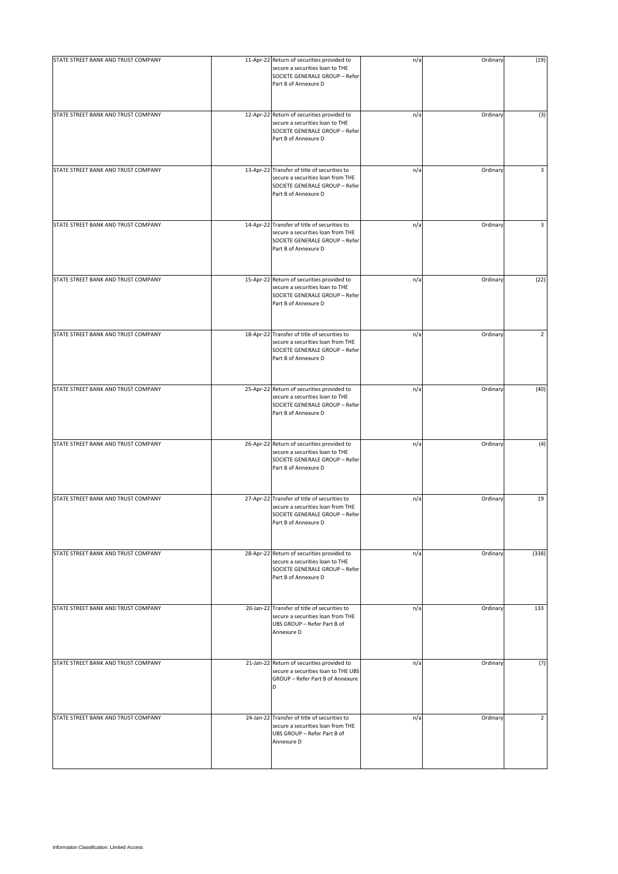| STATE STREET BANK AND TRUST COMPANY | 11-Apr-22 Return of securities provided to<br>secure a securities loan to THE<br>SOCIETE GENERALE GROUP - Refer<br>Part B of Annexure D     | n/a | Ordinary | (19)           |
|-------------------------------------|---------------------------------------------------------------------------------------------------------------------------------------------|-----|----------|----------------|
| STATE STREET BANK AND TRUST COMPANY | 12-Apr-22 Return of securities provided to<br>secure a securities loan to THE<br>SOCIETE GENERALE GROUP - Refer<br>Part B of Annexure D     | n/a | Ordinary | (3)            |
| STATE STREET BANK AND TRUST COMPANY | 13-Apr-22 Transfer of title of securities to<br>secure a securities loan from THE<br>SOCIETE GENERALE GROUP - Refer<br>Part B of Annexure D | n/a | Ordinary | 3              |
| STATE STREET BANK AND TRUST COMPANY | 14-Apr-22 Transfer of title of securities to<br>secure a securities loan from THE<br>SOCIETE GENERALE GROUP - Refer<br>Part B of Annexure D | n/a | Ordinary | 3              |
| STATE STREET BANK AND TRUST COMPANY | 15-Apr-22 Return of securities provided to<br>secure a securities loan to THE<br>SOCIETE GENERALE GROUP - Refer<br>Part B of Annexure D     | n/a | Ordinary | (22)           |
| STATE STREET BANK AND TRUST COMPANY | 18-Apr-22 Transfer of title of securities to<br>secure a securities loan from THE<br>SOCIETE GENERALE GROUP - Refer<br>Part B of Annexure D | n/a | Ordinary | 2              |
| STATE STREET BANK AND TRUST COMPANY | 25-Apr-22 Return of securities provided to<br>secure a securities loan to THE<br>SOCIETE GENERALE GROUP - Refer<br>Part B of Annexure D     | n/a | Ordinary | (40)           |
| STATE STREET BANK AND TRUST COMPANY | 26-Apr-22 Return of securities provided to<br>secure a securities loan to THE<br>SOCIETE GENERALE GROUP - Refer<br>Part B of Annexure D     | n/a | Ordinary | (4)            |
| STATE STREET BANK AND TRUST COMPANY | 27-Apr-22 Transfer of title of securities to<br>secure a securities loan from THE<br>SOCIETE GENERALE GROUP - Refer<br>Part B of Annexure D | n/a | Ordinary | 19             |
| STATE STREET BANK AND TRUST COMPANY | 28-Apr-22 Return of securities provided to<br>secure a securities loan to THE<br>SOCIETE GENERALE GROUP - Refer<br>Part B of Annexure D     | n/a | Ordinary | (338)          |
| STATE STREET BANK AND TRUST COMPANY | 20-Jan-22 Transfer of title of securities to<br>secure a securities loan from THE<br>UBS GROUP - Refer Part B of<br>Annexure D              | n/a | Ordinary | 133            |
| STATE STREET BANK AND TRUST COMPANY | 21-Jan-22 Return of securities provided to<br>secure a securities loan to THE UBS<br>GROUP - Refer Part B of Annexure<br><sub>D</sub>       | n/a | Ordinary | (7)            |
| STATE STREET BANK AND TRUST COMPANY | 24-Jan-22 Transfer of title of securities to<br>secure a securities loan from THE<br>UBS GROUP - Refer Part B of<br>Annexure D              | n/a | Ordinary | $\overline{2}$ |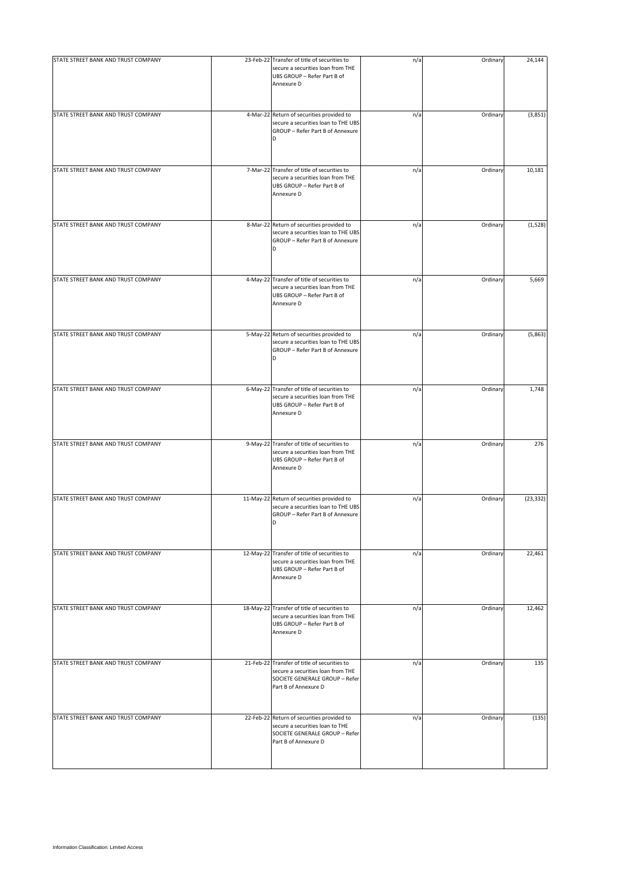| STATE STREET BANK AND TRUST COMPANY | 23-Feb-22 Transfer of title of securities to<br>secure a securities loan from THE<br>UBS GROUP - Refer Part B of<br>Annexure D              | n/a | Ordinary | 24,144    |
|-------------------------------------|---------------------------------------------------------------------------------------------------------------------------------------------|-----|----------|-----------|
|                                     |                                                                                                                                             |     |          |           |
| STATE STREET BANK AND TRUST COMPANY | 4-Mar-22 Return of securities provided to<br>secure a securities loan to THE UBS<br>GROUP - Refer Part B of Annexure<br>D                   | n/a | Ordinary | (3,851)   |
| STATE STREET BANK AND TRUST COMPANY | 7-Mar-22 Transfer of title of securities to<br>secure a securities loan from THE<br>UBS GROUP - Refer Part B of<br>Annexure D               | n/a | Ordinary | 10,181    |
| STATE STREET BANK AND TRUST COMPANY | 8-Mar-22 Return of securities provided to<br>secure a securities loan to THE UBS<br>GROUP - Refer Part B of Annexure<br>D                   | n/a | Ordinary | (1, 528)  |
| STATE STREET BANK AND TRUST COMPANY | 4-May-22 Transfer of title of securities to<br>secure a securities loan from THE<br>UBS GROUP - Refer Part B of<br>Annexure D               | n/a | Ordinary | 5,669     |
| STATE STREET BANK AND TRUST COMPANY | 5-May-22 Return of securities provided to<br>secure a securities loan to THE UBS<br>GROUP - Refer Part B of Annexure<br>D                   | n/a | Ordinary | (5,863)   |
| STATE STREET BANK AND TRUST COMPANY | 6-May-22 Transfer of title of securities to<br>secure a securities loan from THE<br>UBS GROUP - Refer Part B of<br>Annexure D               | n/a | Ordinary | 1,748     |
| STATE STREET BANK AND TRUST COMPANY | 9-May-22 Transfer of title of securities to<br>secure a securities loan from THE<br>UBS GROUP - Refer Part B of<br>Annexure D               | n/a | Ordinary | 276       |
| STATE STREET BANK AND TRUST COMPANY | 11-May-22 Return of securities provided to<br>secure a securities loan to THE UBS<br>GROUP - Refer Part B of Annexure<br>D                  | n/a | Ordinary | (23, 332) |
| STATE STREET BANK AND TRUST COMPANY | 12-May-22 Transfer of title of securities to<br>secure a securities loan from THE<br>UBS GROUP - Refer Part B of<br>Annexure D              | n/a | Ordinary | 22,461    |
| STATE STREET BANK AND TRUST COMPANY | 18-May-22 Transfer of title of securities to<br>secure a securities loan from THE<br>UBS GROUP - Refer Part B of<br>Annexure D              | n/a | Ordinary | 12,462    |
| STATE STREET BANK AND TRUST COMPANY | 21-Feb-22 Transfer of title of securities to<br>secure a securities loan from THE<br>SOCIETE GENERALE GROUP - Refer<br>Part B of Annexure D | n/a | Ordinary | 135       |
| STATE STREET BANK AND TRUST COMPANY | 22-Feb-22 Return of securities provided to<br>secure a securities loan to THE<br>SOCIETE GENERALE GROUP - Refer<br>Part B of Annexure D     | n/a | Ordinary | (135)     |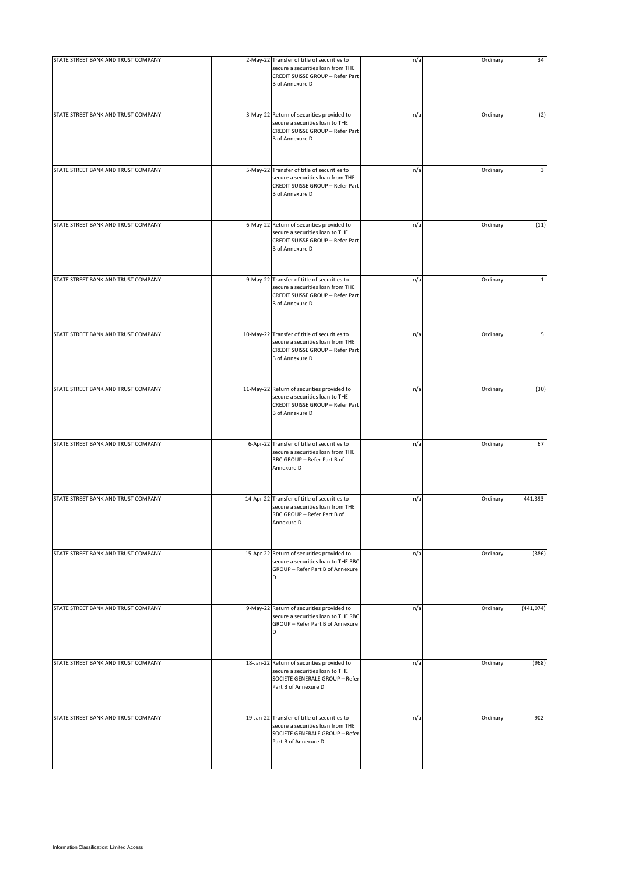| STATE STREET BANK AND TRUST COMPANY | 2-May-22 Transfer of title of securities to<br>secure a securities loan from THE<br>CREDIT SUISSE GROUP - Refer Part<br><b>B</b> of Annexure D  | n/a | Ordinary | 34           |
|-------------------------------------|-------------------------------------------------------------------------------------------------------------------------------------------------|-----|----------|--------------|
| STATE STREET BANK AND TRUST COMPANY | 3-May-22 Return of securities provided to<br>secure a securities loan to THE<br>CREDIT SUISSE GROUP - Refer Part<br><b>B</b> of Annexure D      | n/a | Ordinary | (2)          |
| STATE STREET BANK AND TRUST COMPANY | 5-May-22 Transfer of title of securities to<br>secure a securities loan from THE<br>CREDIT SUISSE GROUP - Refer Part<br><b>B</b> of Annexure D  | n/a | Ordinary | 3            |
| STATE STREET BANK AND TRUST COMPANY | 6-May-22 Return of securities provided to<br>secure a securities loan to THE<br>CREDIT SUISSE GROUP - Refer Part<br><b>B</b> of Annexure D      | n/a | Ordinary | (11)         |
| STATE STREET BANK AND TRUST COMPANY | 9-May-22 Transfer of title of securities to<br>secure a securities loan from THE<br>CREDIT SUISSE GROUP - Refer Part<br><b>B</b> of Annexure D  | n/a | Ordinary | $\mathbf{1}$ |
| STATE STREET BANK AND TRUST COMPANY | 10-May-22 Transfer of title of securities to<br>secure a securities loan from THE<br>CREDIT SUISSE GROUP - Refer Part<br><b>B</b> of Annexure D | n/a | Ordinary | 5            |
| STATE STREET BANK AND TRUST COMPANY | 11-May-22 Return of securities provided to<br>secure a securities loan to THE<br>CREDIT SUISSE GROUP - Refer Part<br><b>B</b> of Annexure D     | n/a | Ordinary | (30)         |
| STATE STREET BANK AND TRUST COMPANY | 6-Apr-22 Transfer of title of securities to<br>secure a securities loan from THE<br>RBC GROUP - Refer Part B of<br>Annexure D                   | n/a | Ordinary | 67           |
| STATE STREET BANK AND TRUST COMPANY | 14-Apr-22 Transfer of title of securities to<br>secure a securities loan from THE<br>RBC GROUP - Refer Part B of<br>Annexure D                  | n/a | Ordinary | 441,393      |
| STATE STREET BANK AND TRUST COMPANY | 15-Apr-22 Return of securities provided to<br>secure a securities loan to THE RBC<br>GROUP - Refer Part B of Annexure<br>D                      | n/a | Ordinary | (386)        |
| STATE STREET BANK AND TRUST COMPANY | 9-May-22 Return of securities provided to<br>secure a securities loan to THE RBC<br>GROUP - Refer Part B of Annexure<br>D                       | n/a | Ordinary | (441, 074)   |
| STATE STREET BANK AND TRUST COMPANY | 18-Jan-22 Return of securities provided to<br>secure a securities loan to THE<br>SOCIETE GENERALE GROUP - Refer<br>Part B of Annexure D         | n/a | Ordinary | (968)        |
| STATE STREET BANK AND TRUST COMPANY | 19-Jan-22 Transfer of title of securities to<br>secure a securities loan from THE<br>SOCIETE GENERALE GROUP - Refer<br>Part B of Annexure D     | n/a | Ordinary | 902          |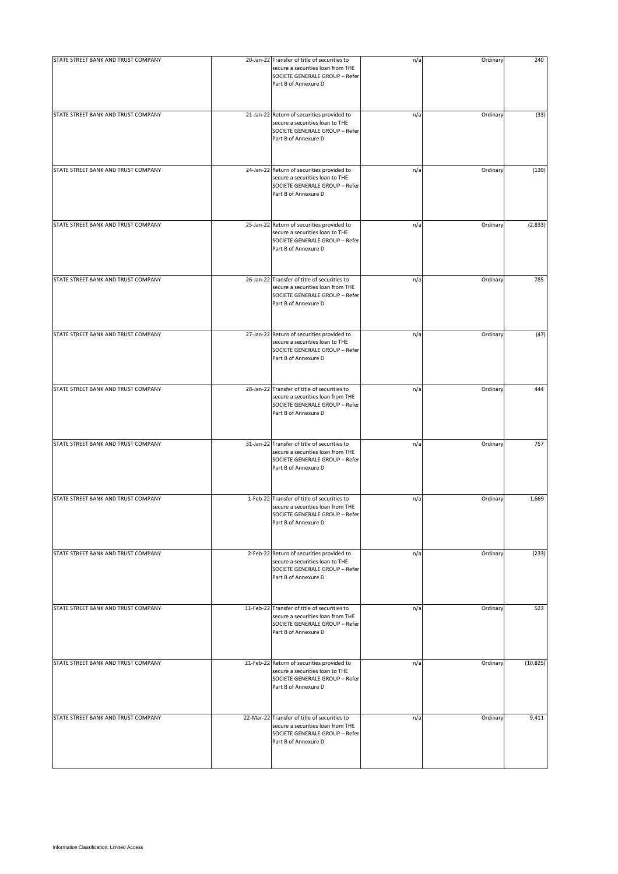| STATE STREET BANK AND TRUST COMPANY | 20-Jan-22 Transfer of title of securities to<br>secure a securities loan from THE<br>SOCIETE GENERALE GROUP - Refer<br>Part B of Annexure D | n/a | Ordinary | 240       |
|-------------------------------------|---------------------------------------------------------------------------------------------------------------------------------------------|-----|----------|-----------|
| STATE STREET BANK AND TRUST COMPANY | 21-Jan-22 Return of securities provided to<br>secure a securities loan to THE<br>SOCIETE GENERALE GROUP - Refer<br>Part B of Annexure D     | n/a | Ordinary | (33)      |
| STATE STREET BANK AND TRUST COMPANY | 24-Jan-22 Return of securities provided to<br>secure a securities loan to THE<br>SOCIETE GENERALE GROUP - Refer<br>Part B of Annexure D     | n/a | Ordinary | (139)     |
| STATE STREET BANK AND TRUST COMPANY | 25-Jan-22 Return of securities provided to<br>secure a securities loan to THE<br>SOCIETE GENERALE GROUP - Refer<br>Part B of Annexure D     | n/a | Ordinary | (2,833)   |
| STATE STREET BANK AND TRUST COMPANY | 26-Jan-22 Transfer of title of securities to<br>secure a securities loan from THE<br>SOCIETE GENERALE GROUP - Refer<br>Part B of Annexure D | n/a | Ordinary | 785       |
| STATE STREET BANK AND TRUST COMPANY | 27-Jan-22 Return of securities provided to<br>secure a securities loan to THE<br>SOCIETE GENERALE GROUP - Refer<br>Part B of Annexure D     | n/a | Ordinary | (47)      |
| STATE STREET BANK AND TRUST COMPANY | 28-Jan-22 Transfer of title of securities to<br>secure a securities loan from THE<br>SOCIETE GENERALE GROUP - Refer<br>Part B of Annexure D | n/a | Ordinary | 444       |
| STATE STREET BANK AND TRUST COMPANY | 31-Jan-22 Transfer of title of securities to<br>secure a securities loan from THE<br>SOCIETE GENERALE GROUP - Refer<br>Part B of Annexure D | n/a | Ordinary | 757       |
| STATE STREET BANK AND TRUST COMPANY | 1-Feb-22 Transfer of title of securities to<br>secure a securities loan from THE<br>SOCIETE GENERALE GROUP - Refer<br>Part B of Annexure D  | n/a | Ordinary | 1,669     |
| STATE STREET BANK AND TRUST COMPANY | 2-Feb-22 Return of securities provided to<br>secure a securities loan to THE<br>SOCIETE GENERALE GROUP - Refer<br>Part B of Annexure D      | n/a | Ordinary | (233)     |
| STATE STREET BANK AND TRUST COMPANY | 11-Feb-22 Transfer of title of securities to<br>secure a securities loan from THE<br>SOCIETE GENERALE GROUP - Refer<br>Part B of Annexure D | n/a | Ordinary | 523       |
| STATE STREET BANK AND TRUST COMPANY | 21-Feb-22 Return of securities provided to<br>secure a securities loan to THE<br>SOCIETE GENERALE GROUP - Refer<br>Part B of Annexure D     | n/a | Ordinary | (10, 825) |
| STATE STREET BANK AND TRUST COMPANY | 22-Mar-22 Transfer of title of securities to<br>secure a securities loan from THE<br>SOCIETE GENERALE GROUP - Refer<br>Part B of Annexure D | n/a | Ordinary | 9,411     |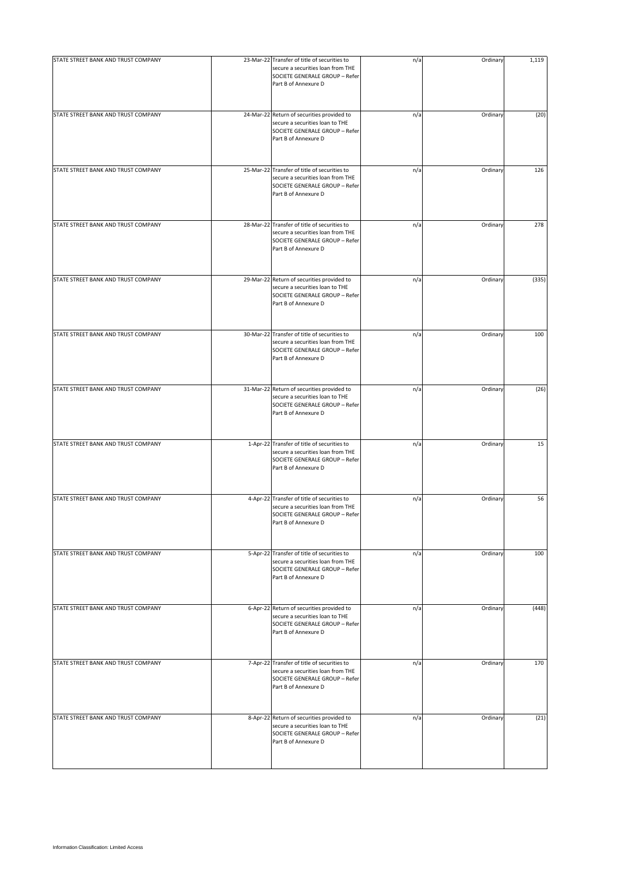| STATE STREET BANK AND TRUST COMPANY | 23-Mar-22 Transfer of title of securities to<br>secure a securities loan from THE<br>SOCIETE GENERALE GROUP - Refer<br>Part B of Annexure D | n/a | Ordinary | 1,119 |
|-------------------------------------|---------------------------------------------------------------------------------------------------------------------------------------------|-----|----------|-------|
| STATE STREET BANK AND TRUST COMPANY | 24-Mar-22 Return of securities provided to<br>secure a securities loan to THE<br>SOCIETE GENERALE GROUP - Refer<br>Part B of Annexure D     | n/a | Ordinary | (20)  |
| STATE STREET BANK AND TRUST COMPANY | 25-Mar-22 Transfer of title of securities to<br>secure a securities loan from THE<br>SOCIETE GENERALE GROUP - Refer<br>Part B of Annexure D | n/a | Ordinary | 126   |
| STATE STREET BANK AND TRUST COMPANY | 28-Mar-22 Transfer of title of securities to<br>secure a securities loan from THE<br>SOCIETE GENERALE GROUP - Refer<br>Part B of Annexure D | n/a | Ordinary | 278   |
| STATE STREET BANK AND TRUST COMPANY | 29-Mar-22 Return of securities provided to<br>secure a securities loan to THE<br>SOCIETE GENERALE GROUP - Refer<br>Part B of Annexure D     | n/a | Ordinary | (335) |
| STATE STREET BANK AND TRUST COMPANY | 30-Mar-22 Transfer of title of securities to<br>secure a securities loan from THE<br>SOCIETE GENERALE GROUP - Refer<br>Part B of Annexure D | n/a | Ordinary | 100   |
| STATE STREET BANK AND TRUST COMPANY | 31-Mar-22 Return of securities provided to<br>secure a securities loan to THE<br>SOCIETE GENERALE GROUP - Refer<br>Part B of Annexure D     | n/a | Ordinary | (26)  |
| STATE STREET BANK AND TRUST COMPANY | 1-Apr-22 Transfer of title of securities to<br>secure a securities loan from THE<br>SOCIETE GENERALE GROUP - Refer<br>Part B of Annexure D  | n/a | Ordinary | 15    |
| STATE STREET BANK AND TRUST COMPANY | 4-Apr-22 Transfer of title of securities to<br>secure a securities loan from THE<br>SOCIETE GENERALE GROUP - Refer<br>Part B of Annexure D  | n/a | Ordinary | 56    |
| STATE STREET BANK AND TRUST COMPANY | 5-Apr-22 Transfer of title of securities to<br>secure a securities loan from THE<br>SOCIETE GENERALE GROUP - Refer<br>Part B of Annexure D  | n/a | Ordinary | 100   |
| STATE STREET BANK AND TRUST COMPANY | 6-Apr-22 Return of securities provided to<br>secure a securities loan to THE<br>SOCIETE GENERALE GROUP - Refer<br>Part B of Annexure D      | n/a | Ordinary | (448) |
| STATE STREET BANK AND TRUST COMPANY | 7-Apr-22 Transfer of title of securities to<br>secure a securities loan from THE<br>SOCIETE GENERALE GROUP - Refer<br>Part B of Annexure D  | n/a | Ordinary | 170   |
| STATE STREET BANK AND TRUST COMPANY | 8-Apr-22 Return of securities provided to<br>secure a securities loan to THE<br>SOCIETE GENERALE GROUP - Refer<br>Part B of Annexure D      | n/a | Ordinary | (21)  |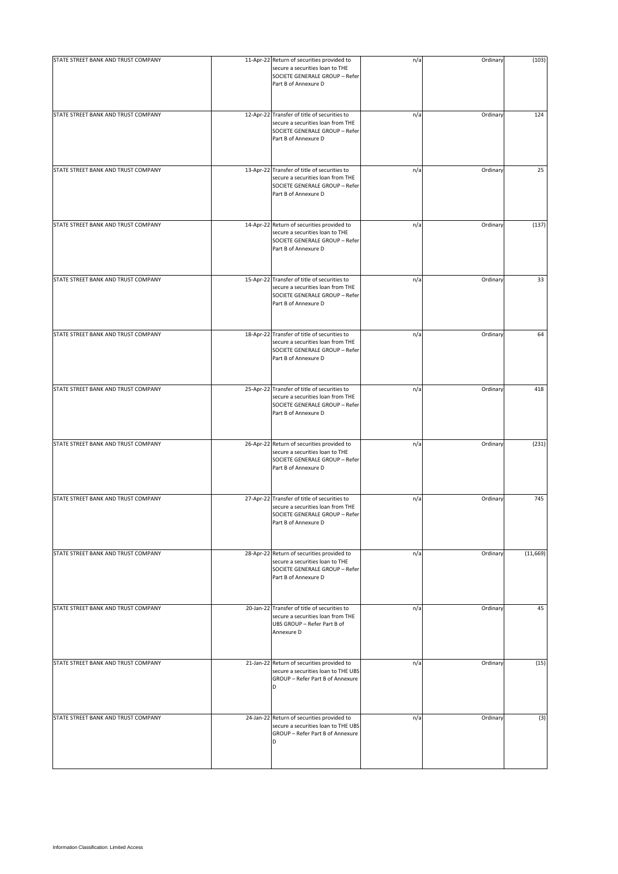| STATE STREET BANK AND TRUST COMPANY | 11-Apr-22 Return of securities provided to<br>secure a securities loan to THE<br>SOCIETE GENERALE GROUP - Refer<br>Part B of Annexure D     | n/a | Ordinary | (103)    |
|-------------------------------------|---------------------------------------------------------------------------------------------------------------------------------------------|-----|----------|----------|
| STATE STREET BANK AND TRUST COMPANY | 12-Apr-22 Transfer of title of securities to<br>secure a securities loan from THE<br>SOCIETE GENERALE GROUP - Refer<br>Part B of Annexure D | n/a | Ordinary | 124      |
| STATE STREET BANK AND TRUST COMPANY | 13-Apr-22 Transfer of title of securities to<br>secure a securities loan from THE<br>SOCIETE GENERALE GROUP - Refer<br>Part B of Annexure D | n/a | Ordinary | 25       |
| STATE STREET BANK AND TRUST COMPANY | 14-Apr-22 Return of securities provided to<br>secure a securities loan to THE<br>SOCIETE GENERALE GROUP - Refer<br>Part B of Annexure D     | n/a | Ordinary | (137)    |
| STATE STREET BANK AND TRUST COMPANY | 15-Apr-22 Transfer of title of securities to<br>secure a securities loan from THE<br>SOCIETE GENERALE GROUP - Refer<br>Part B of Annexure D | n/a | Ordinary | 33       |
| STATE STREET BANK AND TRUST COMPANY | 18-Apr-22 Transfer of title of securities to<br>secure a securities loan from THE<br>SOCIETE GENERALE GROUP - Refer<br>Part B of Annexure D | n/a | Ordinary | 64       |
| STATE STREET BANK AND TRUST COMPANY | 25-Apr-22 Transfer of title of securities to<br>secure a securities loan from THE<br>SOCIETE GENERALE GROUP - Refer<br>Part B of Annexure D | n/a | Ordinary | 418      |
| STATE STREET BANK AND TRUST COMPANY | 26-Apr-22 Return of securities provided to<br>secure a securities loan to THE<br>SOCIETE GENERALE GROUP - Refer<br>Part B of Annexure D     | n/a | Ordinary | (231)    |
| STATE STREET BANK AND TRUST COMPANY | 27-Apr-22 Transfer of title of securities to<br>secure a securities loan from THE<br>SOCIETE GENERALE GROUP - Refer<br>Part B of Annexure D | n/a | Ordinary | 745      |
| STATE STREET BANK AND TRUST COMPANY | 28-Apr-22 Return of securities provided to<br>secure a securities loan to THE<br>SOCIETE GENERALE GROUP - Refer<br>Part B of Annexure D     | n/a | Ordinary | (11,669) |
| STATE STREET BANK AND TRUST COMPANY | 20-Jan-22 Transfer of title of securities to<br>secure a securities loan from THE<br>UBS GROUP - Refer Part B of<br>Annexure D              | n/a | Ordinary | 45       |
| STATE STREET BANK AND TRUST COMPANY | 21-Jan-22 Return of securities provided to<br>secure a securities loan to THE UBS<br>GROUP - Refer Part B of Annexure<br>D                  | n/a | Ordinary | (15)     |
| STATE STREET BANK AND TRUST COMPANY | 24-Jan-22 Return of securities provided to<br>secure a securities loan to THE UBS<br>GROUP - Refer Part B of Annexure<br>D                  | n/a | Ordinary | (3)      |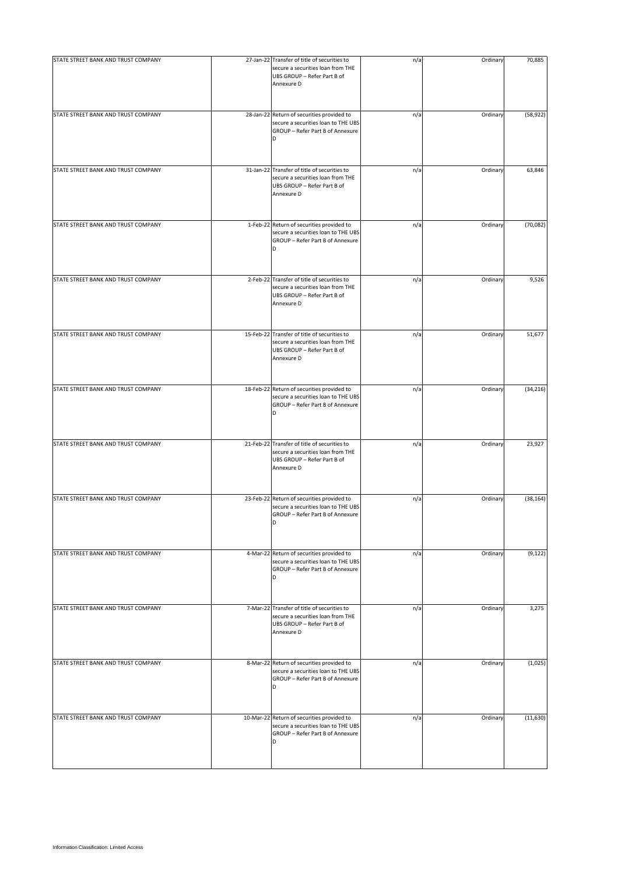| STATE STREET BANK AND TRUST COMPANY | 27-Jan-22 Transfer of title of securities to<br>secure a securities loan from THE<br>UBS GROUP - Refer Part B of<br>Annexure D | n/a | Ordinary | 70,885    |
|-------------------------------------|--------------------------------------------------------------------------------------------------------------------------------|-----|----------|-----------|
| STATE STREET BANK AND TRUST COMPANY | 28-Jan-22 Return of securities provided to<br>secure a securities loan to THE UBS<br>GROUP - Refer Part B of Annexure<br>D     | n/a | Ordinary | (58, 922) |
| STATE STREET BANK AND TRUST COMPANY | 31-Jan-22 Transfer of title of securities to<br>secure a securities loan from THE<br>UBS GROUP - Refer Part B of<br>Annexure D | n/a | Ordinary | 63,846    |
| STATE STREET BANK AND TRUST COMPANY | 1-Feb-22 Return of securities provided to<br>secure a securities loan to THE UBS<br>GROUP - Refer Part B of Annexure<br>D      | n/a | Ordinary | (70,082)  |
| STATE STREET BANK AND TRUST COMPANY | 2-Feb-22 Transfer of title of securities to<br>secure a securities loan from THE<br>UBS GROUP - Refer Part B of<br>Annexure D  | n/a | Ordinary | 9,526     |
| STATE STREET BANK AND TRUST COMPANY | 15-Feb-22 Transfer of title of securities to<br>secure a securities loan from THE<br>UBS GROUP - Refer Part B of<br>Annexure D | n/a | Ordinary | 51,677    |
| STATE STREET BANK AND TRUST COMPANY | 18-Feb-22 Return of securities provided to<br>secure a securities loan to THE UBS<br>GROUP - Refer Part B of Annexure<br>D     | n/a | Ordinary | (34, 216) |
| STATE STREET BANK AND TRUST COMPANY | 21-Feb-22 Transfer of title of securities to<br>secure a securities loan from THE<br>UBS GROUP - Refer Part B of<br>Annexure D | n/a | Ordinary | 23,927    |
| STATE STREET BANK AND TRUST COMPANY | 23-Feb-22 Return of securities provided to<br>secure a securities loan to THE UBS<br>GROUP - Refer Part B of Annexure<br>D     | n/a | Ordinary | (38, 164) |
| STATE STREET BANK AND TRUST COMPANY | 4-Mar-22 Return of securities provided to<br>secure a securities loan to THE UBS<br>GROUP - Refer Part B of Annexure<br>D      | n/a | Ordinary | (9, 122)  |
| STATE STREET BANK AND TRUST COMPANY | 7-Mar-22 Transfer of title of securities to<br>secure a securities loan from THE<br>UBS GROUP - Refer Part B of<br>Annexure D  | n/a | Ordinary | 3,275     |
| STATE STREET BANK AND TRUST COMPANY | 8-Mar-22 Return of securities provided to<br>secure a securities loan to THE UBS<br>GROUP - Refer Part B of Annexure<br>D      | n/a | Ordinary | (1,025)   |
| STATE STREET BANK AND TRUST COMPANY | 10-Mar-22 Return of securities provided to<br>secure a securities loan to THE UBS<br>GROUP - Refer Part B of Annexure<br>D     | n/a | Ordinary | (11, 630) |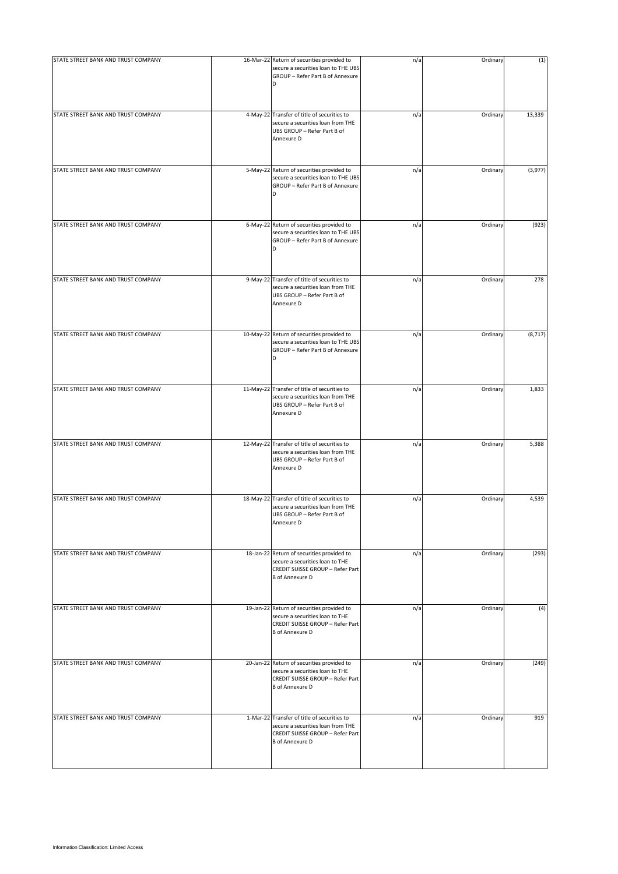| STATE STREET BANK AND TRUST COMPANY | 16-Mar-22 Return of securities provided to<br>secure a securities loan to THE UBS                                                              | n/a | Ordinary | (1)      |
|-------------------------------------|------------------------------------------------------------------------------------------------------------------------------------------------|-----|----------|----------|
|                                     | GROUP - Refer Part B of Annexure<br>D                                                                                                          |     |          |          |
| STATE STREET BANK AND TRUST COMPANY | 4-May-22 Transfer of title of securities to<br>secure a securities loan from THE<br>UBS GROUP - Refer Part B of<br>Annexure D                  | n/a | Ordinary | 13,339   |
| STATE STREET BANK AND TRUST COMPANY | 5-May-22 Return of securities provided to<br>secure a securities loan to THE UBS<br>GROUP - Refer Part B of Annexure<br>D                      | n/a | Ordinary | (3,977)  |
| STATE STREET BANK AND TRUST COMPANY | 6-May-22 Return of securities provided to<br>secure a securities loan to THE UBS<br>GROUP - Refer Part B of Annexure<br>D                      | n/a | Ordinary | (923)    |
| STATE STREET BANK AND TRUST COMPANY | 9-May-22 Transfer of title of securities to<br>secure a securities loan from THE<br>UBS GROUP - Refer Part B of<br>Annexure D                  | n/a | Ordinary | 278      |
| STATE STREET BANK AND TRUST COMPANY | 10-May-22 Return of securities provided to<br>secure a securities loan to THE UBS<br>GROUP - Refer Part B of Annexure<br>D                     | n/a | Ordinary | (8, 717) |
| STATE STREET BANK AND TRUST COMPANY | 11-May-22 Transfer of title of securities to<br>secure a securities loan from THE<br>UBS GROUP - Refer Part B of<br>Annexure D                 | n/a | Ordinary | 1,833    |
| STATE STREET BANK AND TRUST COMPANY | 12-May-22 Transfer of title of securities to<br>secure a securities loan from THE<br>UBS GROUP - Refer Part B of<br>Annexure D                 | n/a | Ordinary | 5,388    |
| STATE STREET BANK AND TRUST COMPANY | 18-May-22 Transfer of title of securities to<br>secure a securities loan from THE<br>UBS GROUP - Refer Part B of<br>Annexure D                 | n/a | Ordinary | 4,539    |
| STATE STREET BANK AND TRUST COMPANY | 18-Jan-22 Return of securities provided to<br>secure a securities loan to THE<br>CREDIT SUISSE GROUP - Refer Part<br><b>B</b> of Annexure D    | n/a | Ordinary | (293)    |
| STATE STREET BANK AND TRUST COMPANY | 19-Jan-22 Return of securities provided to<br>secure a securities loan to THE<br>CREDIT SUISSE GROUP - Refer Part<br><b>B</b> of Annexure D    | n/a | Ordinary | (4)      |
| STATE STREET BANK AND TRUST COMPANY | 20-Jan-22 Return of securities provided to<br>secure a securities loan to THE<br>CREDIT SUISSE GROUP - Refer Part<br><b>B</b> of Annexure D    | n/a | Ordinary | (249)    |
| STATE STREET BANK AND TRUST COMPANY | 1-Mar-22 Transfer of title of securities to<br>secure a securities loan from THE<br>CREDIT SUISSE GROUP - Refer Part<br><b>B</b> of Annexure D | n/a | Ordinary | 919      |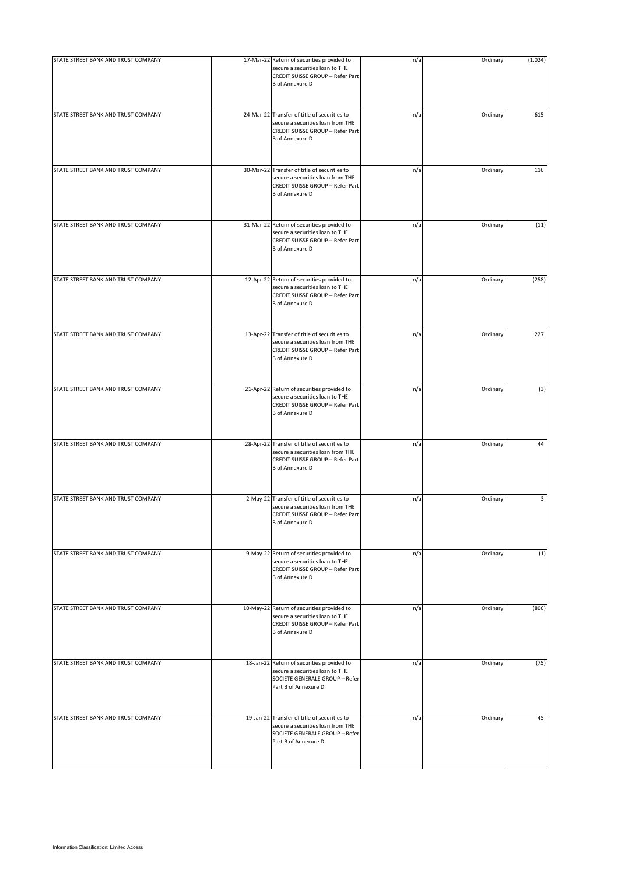| STATE STREET BANK AND TRUST COMPANY | 17-Mar-22 Return of securities provided to<br>secure a securities loan to THE<br>CREDIT SUISSE GROUP - Refer Part<br><b>B</b> of Annexure D     | n/a | Ordinary | (1,024) |
|-------------------------------------|-------------------------------------------------------------------------------------------------------------------------------------------------|-----|----------|---------|
| STATE STREET BANK AND TRUST COMPANY | 24-Mar-22 Transfer of title of securities to<br>secure a securities loan from THE<br>CREDIT SUISSE GROUP - Refer Part<br><b>B</b> of Annexure D | n/a | Ordinary | 615     |
| STATE STREET BANK AND TRUST COMPANY | 30-Mar-22 Transfer of title of securities to<br>secure a securities loan from THE<br>CREDIT SUISSE GROUP - Refer Part<br><b>B</b> of Annexure D | n/a | Ordinary | 116     |
| STATE STREET BANK AND TRUST COMPANY | 31-Mar-22 Return of securities provided to<br>secure a securities loan to THE<br>CREDIT SUISSE GROUP - Refer Part<br><b>B</b> of Annexure D     | n/a | Ordinary | (11)    |
| STATE STREET BANK AND TRUST COMPANY | 12-Apr-22 Return of securities provided to<br>secure a securities loan to THE<br>CREDIT SUISSE GROUP - Refer Part<br><b>B</b> of Annexure D     | n/a | Ordinary | (258)   |
| STATE STREET BANK AND TRUST COMPANY | 13-Apr-22 Transfer of title of securities to<br>secure a securities loan from THE<br>CREDIT SUISSE GROUP - Refer Part<br><b>B</b> of Annexure D | n/a | Ordinary | 227     |
| STATE STREET BANK AND TRUST COMPANY | 21-Apr-22 Return of securities provided to<br>secure a securities loan to THE<br>CREDIT SUISSE GROUP - Refer Part<br><b>B</b> of Annexure D     | n/a | Ordinary | (3)     |
| STATE STREET BANK AND TRUST COMPANY | 28-Apr-22 Transfer of title of securities to<br>secure a securities loan from THE<br>CREDIT SUISSE GROUP - Refer Part<br><b>B</b> of Annexure D | n/a | Ordinary | 44      |
| STATE STREET BANK AND TRUST COMPANY | 2-May-22 Transfer of title of securities to<br>secure a securities loan from THE<br>CREDIT SUISSE GROUP - Refer Part<br><b>B</b> of Annexure D  | n/a | Ordinary | 3       |
| STATE STREET BANK AND TRUST COMPANY | 9-May-22 Return of securities provided to<br>secure a securities loan to THE<br>CREDIT SUISSE GROUP - Refer Part<br><b>B</b> of Annexure D      | n/a | Ordinary | (1)     |
| STATE STREET BANK AND TRUST COMPANY | 10-May-22 Return of securities provided to<br>secure a securities loan to THE<br>CREDIT SUISSE GROUP - Refer Part<br><b>B</b> of Annexure D     | n/a | Ordinary | (806)   |
| STATE STREET BANK AND TRUST COMPANY | 18-Jan-22 Return of securities provided to<br>secure a securities loan to THE<br>SOCIETE GENERALE GROUP - Refer<br>Part B of Annexure D         | n/a | Ordinary | (75)    |
| STATE STREET BANK AND TRUST COMPANY | 19-Jan-22 Transfer of title of securities to<br>secure a securities loan from THE<br>SOCIETE GENERALE GROUP - Refer<br>Part B of Annexure D     | n/a | Ordinary | 45      |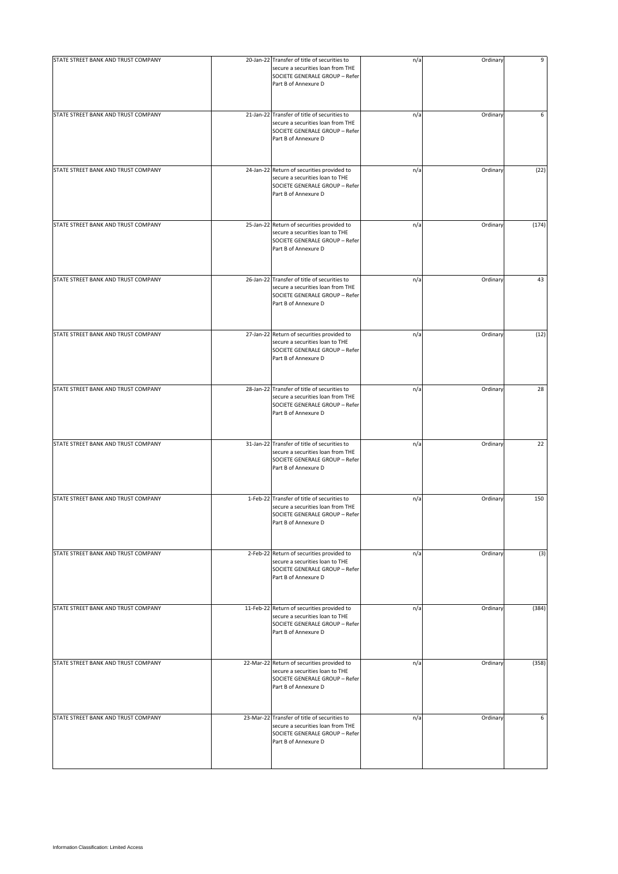| STATE STREET BANK AND TRUST COMPANY | 20-Jan-22 Transfer of title of securities to<br>secure a securities loan from THE<br>SOCIETE GENERALE GROUP - Refer<br>Part B of Annexure D | n/a | Ordinary | 9     |
|-------------------------------------|---------------------------------------------------------------------------------------------------------------------------------------------|-----|----------|-------|
| STATE STREET BANK AND TRUST COMPANY | 21-Jan-22 Transfer of title of securities to<br>secure a securities loan from THE<br>SOCIETE GENERALE GROUP - Refer<br>Part B of Annexure D | n/a | Ordinary | 6     |
| STATE STREET BANK AND TRUST COMPANY | 24-Jan-22 Return of securities provided to<br>secure a securities loan to THE<br>SOCIETE GENERALE GROUP - Refer<br>Part B of Annexure D     | n/a | Ordinary | (22)  |
| STATE STREET BANK AND TRUST COMPANY | 25-Jan-22 Return of securities provided to<br>secure a securities loan to THE<br>SOCIETE GENERALE GROUP - Refer<br>Part B of Annexure D     | n/a | Ordinary | (174) |
| STATE STREET BANK AND TRUST COMPANY | 26-Jan-22 Transfer of title of securities to<br>secure a securities loan from THE<br>SOCIETE GENERALE GROUP - Refer<br>Part B of Annexure D | n/a | Ordinary | 43    |
| STATE STREET BANK AND TRUST COMPANY | 27-Jan-22 Return of securities provided to<br>secure a securities loan to THE<br>SOCIETE GENERALE GROUP - Refer<br>Part B of Annexure D     | n/a | Ordinary | (12)  |
| STATE STREET BANK AND TRUST COMPANY | 28-Jan-22 Transfer of title of securities to<br>secure a securities loan from THE<br>SOCIETE GENERALE GROUP - Refer<br>Part B of Annexure D | n/a | Ordinary | 28    |
| STATE STREET BANK AND TRUST COMPANY | 31-Jan-22 Transfer of title of securities to<br>secure a securities loan from THE<br>SOCIETE GENERALE GROUP - Refer<br>Part B of Annexure D | n/a | Ordinary | 22    |
| STATE STREET BANK AND TRUST COMPANY | 1-Feb-22 Transfer of title of securities to<br>secure a securities loan from THE<br>SOCIETE GENERALE GROUP - Refer<br>Part B of Annexure D  | n/a | Ordinary | 150   |
| STATE STREET BANK AND TRUST COMPANY | 2-Feb-22 Return of securities provided to<br>secure a securities loan to THE<br>SOCIETE GENERALE GROUP - Refer<br>Part B of Annexure D      | n/a | Ordinary | (3)   |
| STATE STREET BANK AND TRUST COMPANY | 11-Feb-22 Return of securities provided to<br>secure a securities loan to THE<br>SOCIETE GENERALE GROUP - Refer<br>Part B of Annexure D     | n/a | Ordinary | (384) |
| STATE STREET BANK AND TRUST COMPANY | 22-Mar-22 Return of securities provided to<br>secure a securities loan to THE<br>SOCIETE GENERALE GROUP - Refer<br>Part B of Annexure D     | n/a | Ordinary | (358) |
| STATE STREET BANK AND TRUST COMPANY | 23-Mar-22 Transfer of title of securities to<br>secure a securities loan from THE<br>SOCIETE GENERALE GROUP - Refer<br>Part B of Annexure D | n/a | Ordinary | 6     |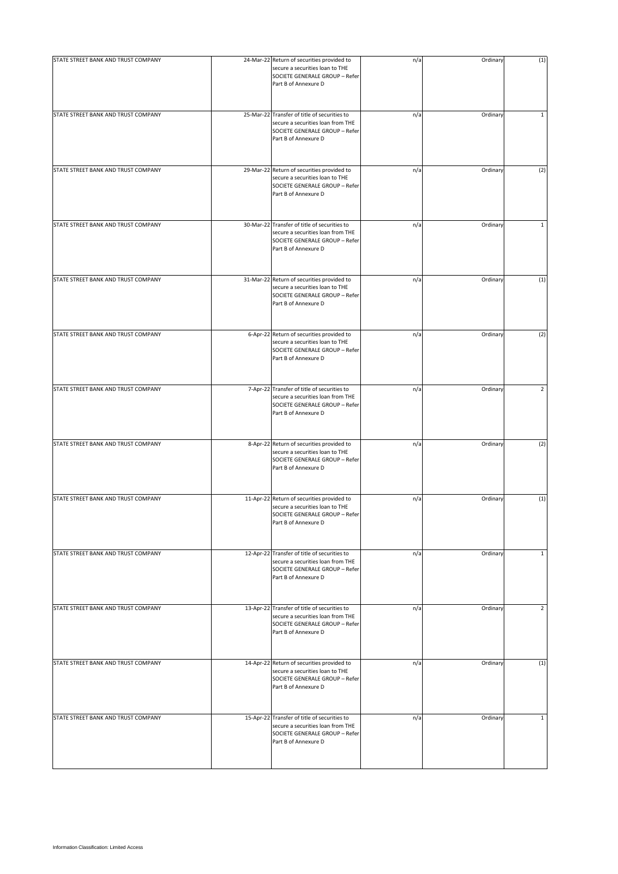| STATE STREET BANK AND TRUST COMPANY | 24-Mar-22 Return of securities provided to<br>secure a securities loan to THE<br>SOCIETE GENERALE GROUP - Refer<br>Part B of Annexure D     | n/a | Ordinary | (1)            |
|-------------------------------------|---------------------------------------------------------------------------------------------------------------------------------------------|-----|----------|----------------|
| STATE STREET BANK AND TRUST COMPANY | 25-Mar-22 Transfer of title of securities to<br>secure a securities loan from THE<br>SOCIETE GENERALE GROUP - Refer<br>Part B of Annexure D | n/a | Ordinary | $\mathbf 1$    |
| STATE STREET BANK AND TRUST COMPANY | 29-Mar-22 Return of securities provided to<br>secure a securities loan to THE<br>SOCIETE GENERALE GROUP - Refer<br>Part B of Annexure D     | n/a | Ordinary | (2)            |
| STATE STREET BANK AND TRUST COMPANY | 30-Mar-22 Transfer of title of securities to<br>secure a securities loan from THE<br>SOCIETE GENERALE GROUP - Refer<br>Part B of Annexure D | n/a | Ordinary | $\mathbf{1}$   |
| STATE STREET BANK AND TRUST COMPANY | 31-Mar-22 Return of securities provided to<br>secure a securities loan to THE<br>SOCIETE GENERALE GROUP - Refer<br>Part B of Annexure D     | n/a | Ordinary | (1)            |
| STATE STREET BANK AND TRUST COMPANY | 6-Apr-22 Return of securities provided to<br>secure a securities loan to THE<br>SOCIETE GENERALE GROUP - Refer<br>Part B of Annexure D      | n/a | Ordinary | (2)            |
| STATE STREET BANK AND TRUST COMPANY | 7-Apr-22 Transfer of title of securities to<br>secure a securities loan from THE<br>SOCIETE GENERALE GROUP - Refer<br>Part B of Annexure D  | n/a | Ordinary | $\overline{2}$ |
| STATE STREET BANK AND TRUST COMPANY | 8-Apr-22 Return of securities provided to<br>secure a securities loan to THE<br>SOCIETE GENERALE GROUP - Refer<br>Part B of Annexure D      | n/a | Ordinary | (2)            |
| STATE STREET BANK AND TRUST COMPANY | 11-Apr-22 Return of securities provided to<br>secure a securities loan to THE<br>SOCIETE GENERALE GROUP - Refer<br>Part B of Annexure D     | n/a | Ordinary | (1)            |
| STATE STREET BANK AND TRUST COMPANY | 12-Apr-22 Transfer of title of securities to<br>secure a securities loan from THE<br>SOCIETE GENERALE GROUP - Refer<br>Part B of Annexure D | n/a | Ordinary | $\mathbf{1}$   |
| STATE STREET BANK AND TRUST COMPANY | 13-Apr-22 Transfer of title of securities to<br>secure a securities loan from THE<br>SOCIETE GENERALE GROUP - Refer<br>Part B of Annexure D | n/a | Ordinary | 2              |
| STATE STREET BANK AND TRUST COMPANY | 14-Apr-22 Return of securities provided to<br>secure a securities loan to THE<br>SOCIETE GENERALE GROUP - Refer<br>Part B of Annexure D     | n/a | Ordinary | (1)            |
| STATE STREET BANK AND TRUST COMPANY | 15-Apr-22 Transfer of title of securities to<br>secure a securities loan from THE<br>SOCIETE GENERALE GROUP - Refer<br>Part B of Annexure D | n/a | Ordinary | $\mathbf{1}$   |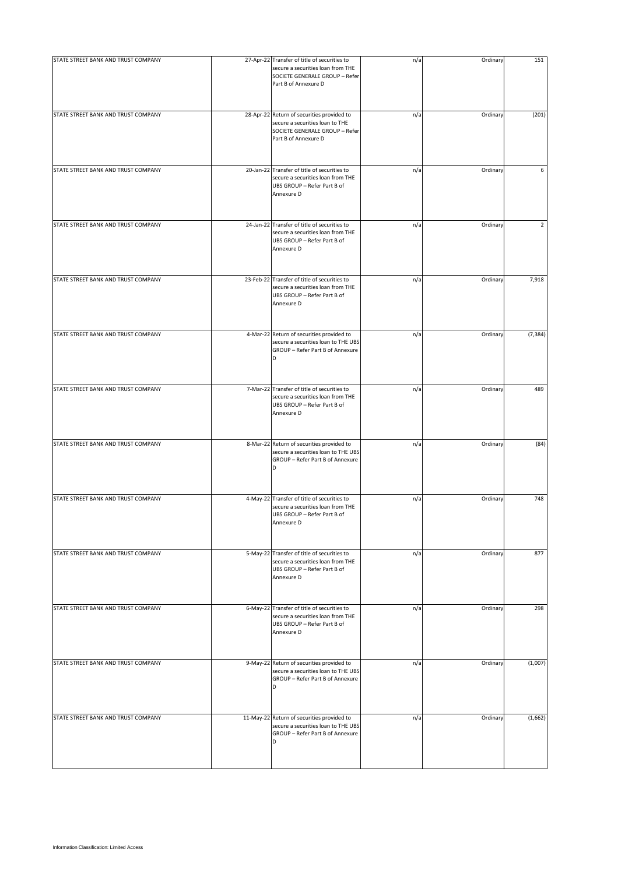| STATE STREET BANK AND TRUST COMPANY | 27-Apr-22 Transfer of title of securities to<br>secure a securities loan from THE<br>SOCIETE GENERALE GROUP - Refer<br>Part B of Annexure D | n/a | Ordinary | 151      |
|-------------------------------------|---------------------------------------------------------------------------------------------------------------------------------------------|-----|----------|----------|
| STATE STREET BANK AND TRUST COMPANY | 28-Apr-22 Return of securities provided to<br>secure a securities loan to THE<br>SOCIETE GENERALE GROUP - Refer<br>Part B of Annexure D     | n/a | Ordinary | (201)    |
| STATE STREET BANK AND TRUST COMPANY | 20-Jan-22 Transfer of title of securities to<br>secure a securities loan from THE<br>UBS GROUP - Refer Part B of<br>Annexure D              | n/a | Ordinary | 6        |
| STATE STREET BANK AND TRUST COMPANY | 24-Jan-22 Transfer of title of securities to<br>secure a securities loan from THE<br>UBS GROUP - Refer Part B of<br>Annexure D              | n/a | Ordinary | 2        |
| STATE STREET BANK AND TRUST COMPANY | 23-Feb-22 Transfer of title of securities to<br>secure a securities loan from THE<br>UBS GROUP - Refer Part B of<br>Annexure D              | n/a | Ordinary | 7,918    |
| STATE STREET BANK AND TRUST COMPANY | 4-Mar-22 Return of securities provided to<br>secure a securities loan to THE UBS<br>GROUP - Refer Part B of Annexure<br>D                   | n/a | Ordinary | (7, 384) |
| STATE STREET BANK AND TRUST COMPANY | 7-Mar-22 Transfer of title of securities to<br>secure a securities loan from THE<br>UBS GROUP - Refer Part B of<br>Annexure D               | n/a | Ordinary | 489      |
| STATE STREET BANK AND TRUST COMPANY | 8-Mar-22 Return of securities provided to<br>secure a securities loan to THE UBS<br>GROUP - Refer Part B of Annexure<br>D                   | n/a | Ordinary | (84)     |
| STATE STREET BANK AND TRUST COMPANY | 4-May-22 Transfer of title of securities to<br>secure a securities loan from THE<br>UBS GROUP - Refer Part B of<br>Annexure D               | n/a | Ordinary | 748      |
| STATE STREET BANK AND TRUST COMPANY | 5-May-22 Transfer of title of securities to<br>secure a securities loan from THE<br>UBS GROUP - Refer Part B of<br>Annexure D               | n/a | Ordinary | 877      |
| STATE STREET BANK AND TRUST COMPANY | 6-May-22 Transfer of title of securities to<br>secure a securities loan from THE<br>UBS GROUP - Refer Part B of<br>Annexure D               | n/a | Ordinary | 298      |
| STATE STREET BANK AND TRUST COMPANY | 9-May-22 Return of securities provided to<br>secure a securities loan to THE UBS<br>GROUP - Refer Part B of Annexure<br>D                   | n/a | Ordinary | (1,007)  |
| STATE STREET BANK AND TRUST COMPANY | 11-May-22 Return of securities provided to<br>secure a securities loan to THE UBS<br>GROUP - Refer Part B of Annexure<br>D                  | n/a | Ordinary | (1,662)  |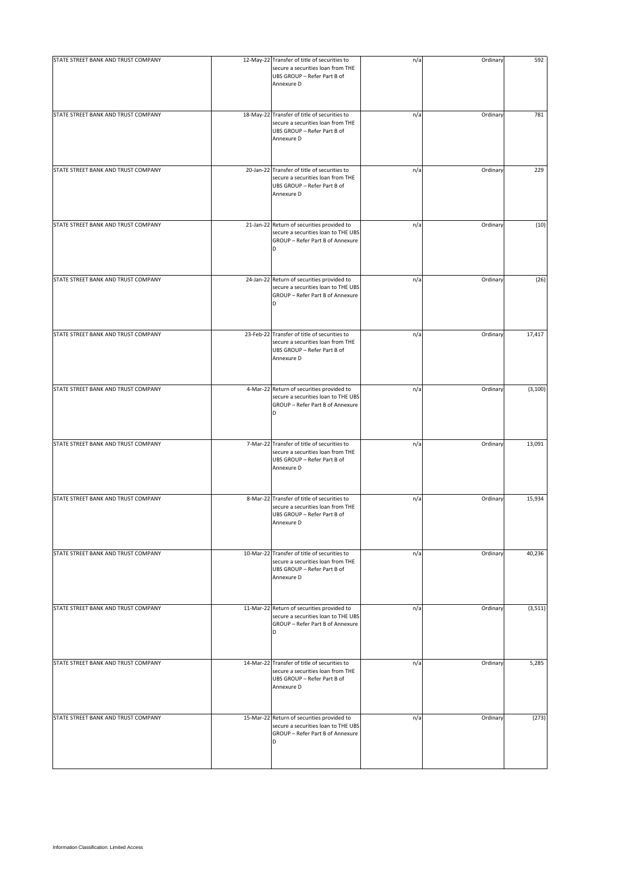| STATE STREET BANK AND TRUST COMPANY | 12-May-22 Transfer of title of securities to<br>secure a securities loan from THE<br>UBS GROUP - Refer Part B of<br>Annexure D | n/a | Ordinary | 592      |
|-------------------------------------|--------------------------------------------------------------------------------------------------------------------------------|-----|----------|----------|
| STATE STREET BANK AND TRUST COMPANY | 18-May-22 Transfer of title of securities to<br>secure a securities loan from THE<br>UBS GROUP - Refer Part B of<br>Annexure D | n/a | Ordinary | 781      |
| STATE STREET BANK AND TRUST COMPANY | 20-Jan-22 Transfer of title of securities to<br>secure a securities loan from THE<br>UBS GROUP - Refer Part B of<br>Annexure D | n/a | Ordinary | 229      |
| STATE STREET BANK AND TRUST COMPANY | 21-Jan-22 Return of securities provided to<br>secure a securities loan to THE UBS<br>GROUP - Refer Part B of Annexure<br>D     | n/a | Ordinary | (10)     |
| STATE STREET BANK AND TRUST COMPANY | 24-Jan-22 Return of securities provided to<br>secure a securities loan to THE UBS<br>GROUP - Refer Part B of Annexure<br>D     | n/a | Ordinary | (26)     |
| STATE STREET BANK AND TRUST COMPANY | 23-Feb-22 Transfer of title of securities to<br>secure a securities loan from THE<br>UBS GROUP - Refer Part B of<br>Annexure D | n/a | Ordinary | 17,417   |
| STATE STREET BANK AND TRUST COMPANY | 4-Mar-22 Return of securities provided to<br>secure a securities loan to THE UBS<br>GROUP - Refer Part B of Annexure<br>D      | n/a | Ordinary | (3, 100) |
| STATE STREET BANK AND TRUST COMPANY | 7-Mar-22 Transfer of title of securities to<br>secure a securities loan from THE<br>UBS GROUP - Refer Part B of<br>Annexure D  | n/a | Ordinary | 13,091   |
| STATE STREET BANK AND TRUST COMPANY | 8-Mar-22 Transfer of title of securities to<br>secure a securities loan from THE<br>UBS GROUP - Refer Part B of<br>Annexure D  | n/a | Ordinary | 15,934   |
| STATE STREET BANK AND TRUST COMPANY | 10-Mar-22 Transfer of title of securities to<br>secure a securities loan from THE<br>UBS GROUP - Refer Part B of<br>Annexure D | n/a | Ordinary | 40,236   |
| STATE STREET BANK AND TRUST COMPANY | 11-Mar-22 Return of securities provided to<br>secure a securities loan to THE UBS<br>GROUP - Refer Part B of Annexure<br>D     | n/a | Ordinary | (3, 511) |
| STATE STREET BANK AND TRUST COMPANY | 14-Mar-22 Transfer of title of securities to<br>secure a securities loan from THE<br>UBS GROUP - Refer Part B of<br>Annexure D | n/a | Ordinary | 5,285    |
| STATE STREET BANK AND TRUST COMPANY | 15-Mar-22 Return of securities provided to<br>secure a securities loan to THE UBS<br>GROUP - Refer Part B of Annexure<br>D     | n/a | Ordinary | (273)    |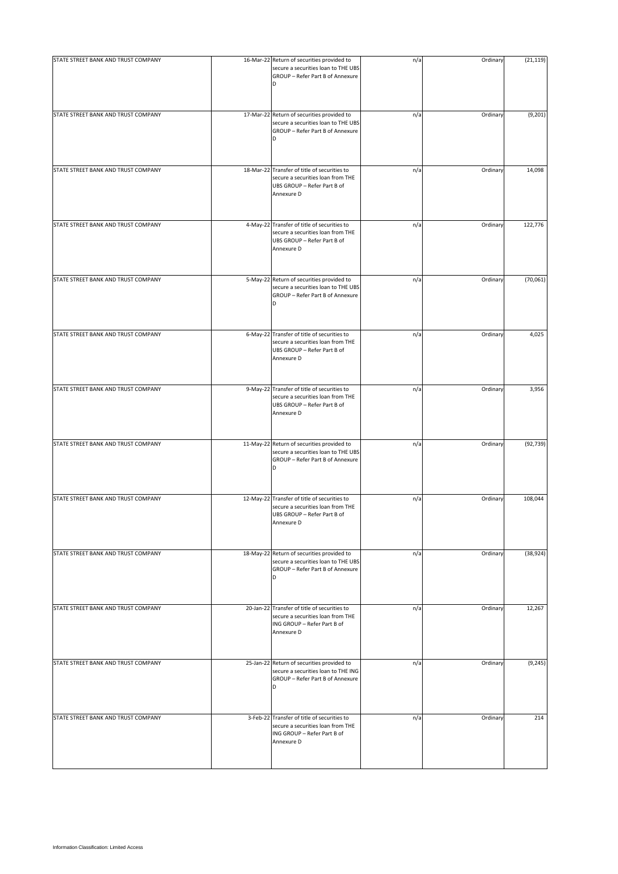| STATE STREET BANK AND TRUST COMPANY | 16-Mar-22 Return of securities provided to<br>secure a securities loan to THE UBS<br>GROUP - Refer Part B of Annexure<br>D     | n/a | Ordinary | (21, 119) |
|-------------------------------------|--------------------------------------------------------------------------------------------------------------------------------|-----|----------|-----------|
| STATE STREET BANK AND TRUST COMPANY | 17-Mar-22 Return of securities provided to<br>secure a securities loan to THE UBS<br>GROUP - Refer Part B of Annexure<br>D     | n/a | Ordinary | (9, 201)  |
| STATE STREET BANK AND TRUST COMPANY | 18-Mar-22 Transfer of title of securities to<br>secure a securities loan from THE<br>UBS GROUP - Refer Part B of<br>Annexure D | n/a | Ordinary | 14,098    |
| STATE STREET BANK AND TRUST COMPANY | 4-May-22 Transfer of title of securities to<br>secure a securities loan from THE<br>UBS GROUP - Refer Part B of<br>Annexure D  | n/a | Ordinary | 122,776   |
| STATE STREET BANK AND TRUST COMPANY | 5-May-22 Return of securities provided to<br>secure a securities loan to THE UBS<br>GROUP - Refer Part B of Annexure<br>D      | n/a | Ordinary | (70,061)  |
| STATE STREET BANK AND TRUST COMPANY | 6-May-22 Transfer of title of securities to<br>secure a securities loan from THE<br>UBS GROUP - Refer Part B of<br>Annexure D  | n/a | Ordinary | 4,025     |
| STATE STREET BANK AND TRUST COMPANY | 9-May-22 Transfer of title of securities to<br>secure a securities loan from THE<br>UBS GROUP - Refer Part B of<br>Annexure D  | n/a | Ordinary | 3,956     |
| STATE STREET BANK AND TRUST COMPANY | 11-May-22 Return of securities provided to<br>secure a securities loan to THE UBS<br>GROUP - Refer Part B of Annexure<br>D     | n/a | Ordinary | (92, 739) |
| STATE STREET BANK AND TRUST COMPANY | 12-May-22 Transfer of title of securities to<br>secure a securities loan from THE<br>UBS GROUP - Refer Part B of<br>Annexure D | n/a | Ordinary | 108,044   |
| STATE STREET BANK AND TRUST COMPANY | 18-May-22 Return of securities provided to<br>secure a securities loan to THE UBS<br>GROUP - Refer Part B of Annexure<br>D     | n/a | Ordinary | (38, 924) |
| STATE STREET BANK AND TRUST COMPANY | 20-Jan-22 Transfer of title of securities to<br>secure a securities loan from THE<br>ING GROUP - Refer Part B of<br>Annexure D | n/a | Ordinary | 12,267    |
| STATE STREET BANK AND TRUST COMPANY | 25-Jan-22 Return of securities provided to<br>secure a securities loan to THE ING<br>GROUP - Refer Part B of Annexure<br>D     | n/a | Ordinary | (9, 245)  |
| STATE STREET BANK AND TRUST COMPANY | 3-Feb-22 Transfer of title of securities to<br>secure a securities loan from THE<br>ING GROUP - Refer Part B of<br>Annexure D  | n/a | Ordinary | 214       |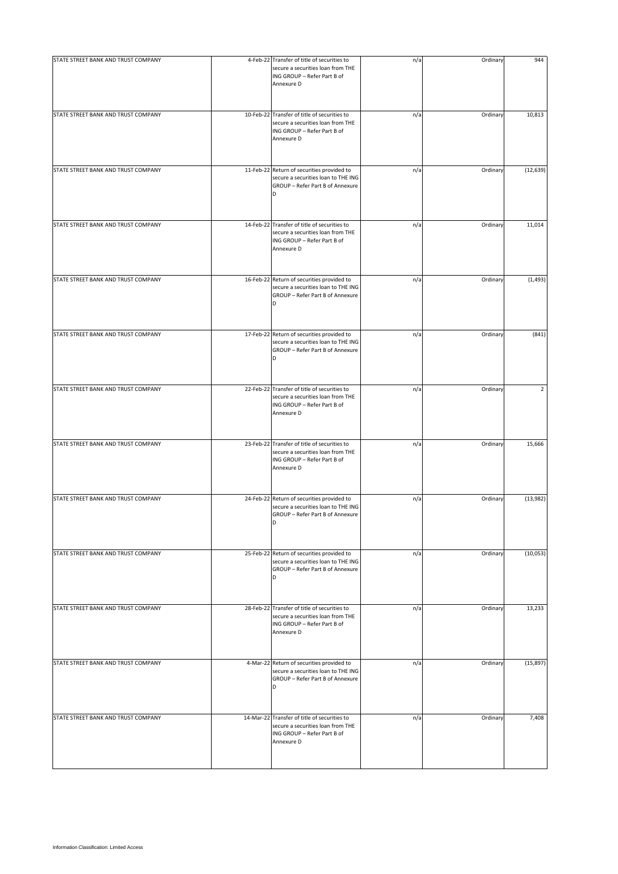| STATE STREET BANK AND TRUST COMPANY | 4-Feb-22 Transfer of title of securities to<br>secure a securities loan from THE<br>ING GROUP - Refer Part B of<br>Annexure D  | n/a | Ordinary | 944            |
|-------------------------------------|--------------------------------------------------------------------------------------------------------------------------------|-----|----------|----------------|
| STATE STREET BANK AND TRUST COMPANY | 10-Feb-22 Transfer of title of securities to<br>secure a securities loan from THE<br>ING GROUP - Refer Part B of<br>Annexure D | n/a | Ordinary | 10,813         |
| STATE STREET BANK AND TRUST COMPANY | 11-Feb-22 Return of securities provided to<br>secure a securities loan to THE ING<br>GROUP - Refer Part B of Annexure<br>D     | n/a | Ordinary | (12, 639)      |
| STATE STREET BANK AND TRUST COMPANY | 14-Feb-22 Transfer of title of securities to<br>secure a securities loan from THE<br>ING GROUP - Refer Part B of<br>Annexure D | n/a | Ordinary | 11,014         |
| STATE STREET BANK AND TRUST COMPANY | 16-Feb-22 Return of securities provided to<br>secure a securities loan to THE ING<br>GROUP - Refer Part B of Annexure<br>D     | n/a | Ordinary | (1, 493)       |
| STATE STREET BANK AND TRUST COMPANY | 17-Feb-22 Return of securities provided to<br>secure a securities loan to THE ING<br>GROUP - Refer Part B of Annexure          | n/a | Ordinary | (841)          |
| STATE STREET BANK AND TRUST COMPANY | 22-Feb-22 Transfer of title of securities to<br>secure a securities loan from THE<br>ING GROUP - Refer Part B of<br>Annexure D | n/a | Ordinary | $\overline{2}$ |
| STATE STREET BANK AND TRUST COMPANY | 23-Feb-22 Transfer of title of securities to<br>secure a securities loan from THE<br>ING GROUP - Refer Part B of<br>Annexure D | n/a | Ordinary | 15,666         |
| STATE STREET BANK AND TRUST COMPANY | 24-Feb-22 Return of securities provided to<br>secure a securities loan to THE ING<br>GROUP - Refer Part B of Annexure<br>D     | n/a | Ordinary | (13,982)       |
| STATE STREET BANK AND TRUST COMPANY | 25-Feb-22 Return of securities provided to<br>secure a securities loan to THE ING<br>GROUP - Refer Part B of Annexure<br>D     | n/a | Ordinary | (10,053)       |
| STATE STREET BANK AND TRUST COMPANY | 28-Feb-22 Transfer of title of securities to<br>secure a securities loan from THE<br>ING GROUP - Refer Part B of<br>Annexure D | n/a | Ordinary | 13,233         |
| STATE STREET BANK AND TRUST COMPANY | 4-Mar-22 Return of securities provided to<br>secure a securities loan to THE ING<br>GROUP - Refer Part B of Annexure<br>D      | n/a | Ordinary | (15, 897)      |
| STATE STREET BANK AND TRUST COMPANY | 14-Mar-22 Transfer of title of securities to<br>secure a securities loan from THE<br>ING GROUP - Refer Part B of<br>Annexure D | n/a | Ordinary | 7,408          |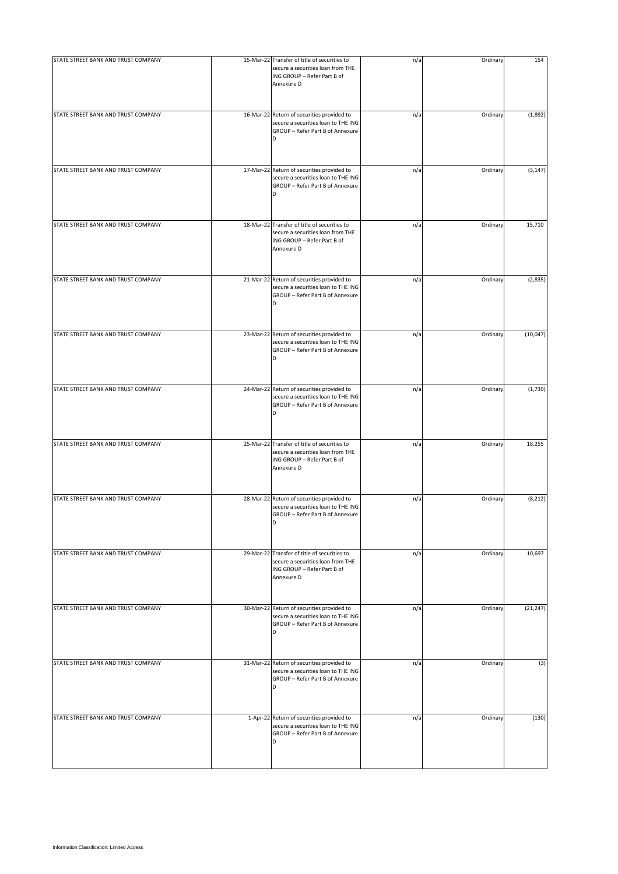| STATE STREET BANK AND TRUST COMPANY | 15-Mar-22 Transfer of title of securities to<br>secure a securities loan from THE<br>ING GROUP - Refer Part B of<br>Annexure D | n/a | Ordinary | 154       |
|-------------------------------------|--------------------------------------------------------------------------------------------------------------------------------|-----|----------|-----------|
| STATE STREET BANK AND TRUST COMPANY | 16-Mar-22 Return of securities provided to<br>secure a securities loan to THE ING<br>GROUP - Refer Part B of Annexure<br>D     | n/a | Ordinary | (1,892)   |
| STATE STREET BANK AND TRUST COMPANY | 17-Mar-22 Return of securities provided to<br>secure a securities loan to THE ING<br>GROUP - Refer Part B of Annexure<br>D     | n/a | Ordinary | (3, 147)  |
| STATE STREET BANK AND TRUST COMPANY | 18-Mar-22 Transfer of title of securities to<br>secure a securities loan from THE<br>ING GROUP - Refer Part B of<br>Annexure D | n/a | Ordinary | 15,710    |
| STATE STREET BANK AND TRUST COMPANY | 21-Mar-22 Return of securities provided to<br>secure a securities loan to THE ING<br>GROUP - Refer Part B of Annexure<br>D     | n/a | Ordinary | (2,835)   |
| STATE STREET BANK AND TRUST COMPANY | 23-Mar-22 Return of securities provided to<br>secure a securities loan to THE ING<br>GROUP - Refer Part B of Annexure          | n/a | Ordinary | (10, 047) |
| STATE STREET BANK AND TRUST COMPANY | 24-Mar-22 Return of securities provided to<br>secure a securities loan to THE ING<br>GROUP - Refer Part B of Annexure<br>D     | n/a | Ordinary | (1,739)   |
| STATE STREET BANK AND TRUST COMPANY | 25-Mar-22 Transfer of title of securities to<br>secure a securities loan from THE<br>ING GROUP - Refer Part B of<br>Annexure D | n/a | Ordinary | 18,255    |
| STATE STREET BANK AND TRUST COMPANY | 28-Mar-22 Return of securities provided to<br>secure a securities loan to THE ING<br>GROUP - Refer Part B of Annexure<br>D     | n/a | Ordinary | (8, 212)  |
| STATE STREET BANK AND TRUST COMPANY | 29-Mar-22 Transfer of title of securities to<br>secure a securities loan from THE<br>ING GROUP - Refer Part B of<br>Annexure D | n/a | Ordinary | 10,697    |
| STATE STREET BANK AND TRUST COMPANY | 30-Mar-22 Return of securities provided to<br>secure a securities loan to THE ING<br>GROUP - Refer Part B of Annexure<br>D     | n/a | Ordinary | (21, 247) |
| STATE STREET BANK AND TRUST COMPANY | 31-Mar-22 Return of securities provided to<br>secure a securities loan to THE ING<br>GROUP - Refer Part B of Annexure<br>D     | n/a | Ordinary | (3)       |
| STATE STREET BANK AND TRUST COMPANY | 1-Apr-22 Return of securities provided to<br>secure a securities loan to THE ING<br>GROUP - Refer Part B of Annexure<br>D      | n/a | Ordinary | (130)     |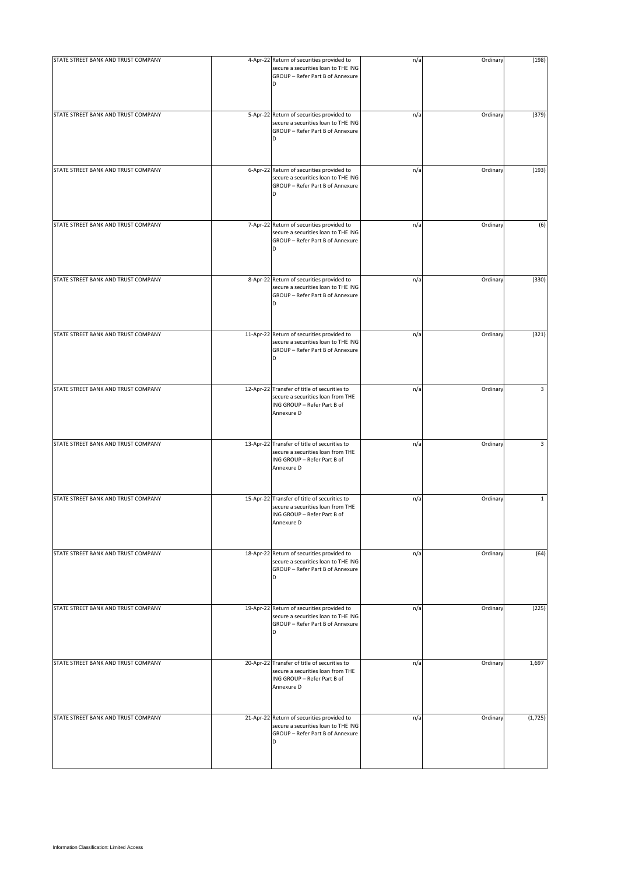| STATE STREET BANK AND TRUST COMPANY | 4-Apr-22 Return of securities provided to<br>secure a securities loan to THE ING<br>GROUP - Refer Part B of Annexure<br>D      | n/a | Ordinary | (198)        |
|-------------------------------------|--------------------------------------------------------------------------------------------------------------------------------|-----|----------|--------------|
| STATE STREET BANK AND TRUST COMPANY | 5-Apr-22 Return of securities provided to<br>secure a securities loan to THE ING<br>GROUP - Refer Part B of Annexure<br>D      | n/a | Ordinary | (379)        |
| STATE STREET BANK AND TRUST COMPANY | 6-Apr-22 Return of securities provided to<br>secure a securities loan to THE ING<br>GROUP - Refer Part B of Annexure<br>D      | n/a | Ordinary | (193)        |
| STATE STREET BANK AND TRUST COMPANY | 7-Apr-22 Return of securities provided to<br>secure a securities loan to THE ING<br>GROUP - Refer Part B of Annexure<br>D      | n/a | Ordinary | (6)          |
| STATE STREET BANK AND TRUST COMPANY | 8-Apr-22 Return of securities provided to<br>secure a securities loan to THE ING<br>GROUP - Refer Part B of Annexure<br>D      | n/a | Ordinary | (330)        |
| STATE STREET BANK AND TRUST COMPANY | 11-Apr-22 Return of securities provided to<br>secure a securities loan to THE ING<br>GROUP - Refer Part B of Annexure<br>D     | n/a | Ordinary | (321)        |
| STATE STREET BANK AND TRUST COMPANY | 12-Apr-22 Transfer of title of securities to<br>secure a securities loan from THE<br>ING GROUP - Refer Part B of<br>Annexure D | n/a | Ordinary | 3            |
| STATE STREET BANK AND TRUST COMPANY | 13-Apr-22 Transfer of title of securities to<br>secure a securities loan from THE<br>ING GROUP - Refer Part B of<br>Annexure D | n/a | Ordinary | 3            |
| STATE STREET BANK AND TRUST COMPANY | 15-Apr-22 Transfer of title of securities to<br>secure a securities loan from THE<br>ING GROUP - Refer Part B of<br>Annexure D | n/a | Ordinary | $\mathbf{1}$ |
| STATE STREET BANK AND TRUST COMPANY | 18-Apr-22 Return of securities provided to<br>secure a securities loan to THE ING<br>GROUP - Refer Part B of Annexure<br>D     | n/a | Ordinary | (64)         |
| STATE STREET BANK AND TRUST COMPANY | 19-Apr-22 Return of securities provided to<br>secure a securities loan to THE ING<br>GROUP - Refer Part B of Annexure<br>D     | n/a | Ordinary | (225)        |
| STATE STREET BANK AND TRUST COMPANY | 20-Apr-22 Transfer of title of securities to<br>secure a securities loan from THE<br>ING GROUP - Refer Part B of<br>Annexure D | n/a | Ordinary | 1,697        |
| STATE STREET BANK AND TRUST COMPANY | 21-Apr-22 Return of securities provided to<br>secure a securities loan to THE ING<br>GROUP - Refer Part B of Annexure<br>D     | n/a | Ordinary | (1, 725)     |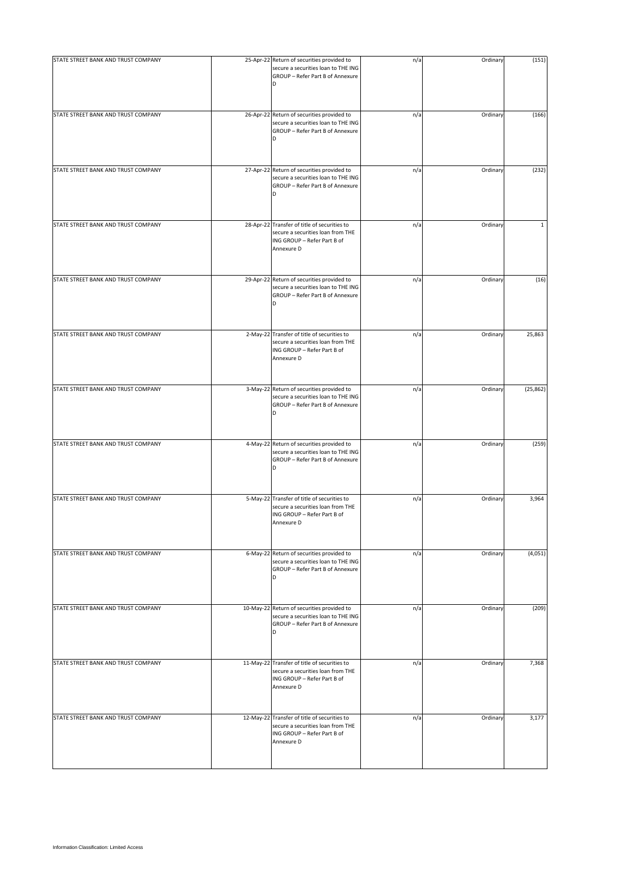| STATE STREET BANK AND TRUST COMPANY | 25-Apr-22 Return of securities provided to<br>secure a securities loan to THE ING<br>GROUP - Refer Part B of Annexure<br>D     | n/a | Ordinary | (151)     |
|-------------------------------------|--------------------------------------------------------------------------------------------------------------------------------|-----|----------|-----------|
| STATE STREET BANK AND TRUST COMPANY | 26-Apr-22 Return of securities provided to<br>secure a securities loan to THE ING<br>GROUP - Refer Part B of Annexure<br>D     | n/a | Ordinary | (166)     |
| STATE STREET BANK AND TRUST COMPANY | 27-Apr-22 Return of securities provided to<br>secure a securities loan to THE ING<br>GROUP - Refer Part B of Annexure<br>D     | n/a | Ordinary | (232)     |
| STATE STREET BANK AND TRUST COMPANY | 28-Apr-22 Transfer of title of securities to<br>secure a securities loan from THE<br>ING GROUP - Refer Part B of<br>Annexure D | n/a | Ordinary | 1         |
| STATE STREET BANK AND TRUST COMPANY | 29-Apr-22 Return of securities provided to<br>secure a securities loan to THE ING<br>GROUP - Refer Part B of Annexure<br>D     | n/a | Ordinary | (16)      |
| STATE STREET BANK AND TRUST COMPANY | 2-May-22 Transfer of title of securities to<br>secure a securities loan from THE<br>ING GROUP - Refer Part B of<br>Annexure D  | n/a | Ordinary | 25,863    |
| STATE STREET BANK AND TRUST COMPANY | 3-May-22 Return of securities provided to<br>secure a securities loan to THE ING<br>GROUP - Refer Part B of Annexure<br>D      | n/a | Ordinary | (25, 862) |
| STATE STREET BANK AND TRUST COMPANY | 4-May-22 Return of securities provided to<br>secure a securities loan to THE ING<br>GROUP - Refer Part B of Annexure<br>D      | n/a | Ordinary | (259)     |
| STATE STREET BANK AND TRUST COMPANY | 5-May-22 Transfer of title of securities to<br>secure a securities loan from THE<br>ING GROUP - Refer Part B of<br>Annexure D  | n/a | Ordinary | 3,964     |
| STATE STREET BANK AND TRUST COMPANY | 6-May-22 Return of securities provided to<br>secure a securities loan to THE ING<br>GROUP - Refer Part B of Annexure<br>D      | n/a | Ordinary | (4,051)   |
| STATE STREET BANK AND TRUST COMPANY | 10-May-22 Return of securities provided to<br>secure a securities loan to THE ING<br>GROUP - Refer Part B of Annexure<br>D     | n/a | Ordinary | (209)     |
| STATE STREET BANK AND TRUST COMPANY | 11-May-22 Transfer of title of securities to<br>secure a securities loan from THE<br>ING GROUP - Refer Part B of<br>Annexure D | n/a | Ordinary | 7,368     |
| STATE STREET BANK AND TRUST COMPANY | 12-May-22 Transfer of title of securities to<br>secure a securities loan from THE<br>ING GROUP - Refer Part B of<br>Annexure D | n/a | Ordinary | 3,177     |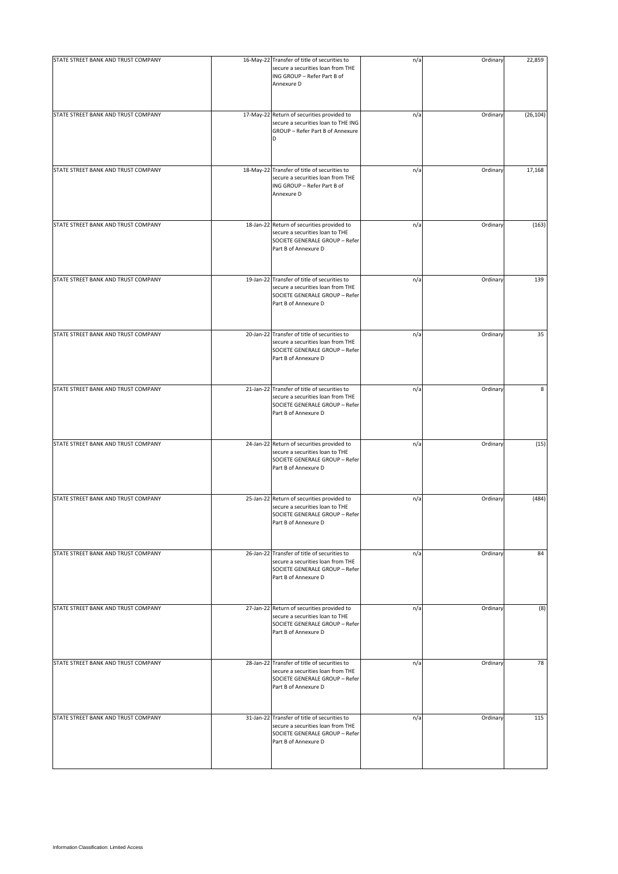| STATE STREET BANK AND TRUST COMPANY | 16-May-22 Transfer of title of securities to<br>secure a securities loan from THE<br>ING GROUP - Refer Part B of<br>Annexure D              | n/a | Ordinary | 22,859    |
|-------------------------------------|---------------------------------------------------------------------------------------------------------------------------------------------|-----|----------|-----------|
| STATE STREET BANK AND TRUST COMPANY | 17-May-22 Return of securities provided to<br>secure a securities loan to THE ING<br>GROUP - Refer Part B of Annexure<br>D                  | n/a | Ordinary | (26, 104) |
| STATE STREET BANK AND TRUST COMPANY | 18-May-22 Transfer of title of securities to<br>secure a securities loan from THE<br>ING GROUP - Refer Part B of<br>Annexure D              | n/a | Ordinary | 17,168    |
| STATE STREET BANK AND TRUST COMPANY | 18-Jan-22 Return of securities provided to<br>secure a securities loan to THE<br>SOCIETE GENERALE GROUP - Refer<br>Part B of Annexure D     | n/a | Ordinary | (163)     |
| STATE STREET BANK AND TRUST COMPANY | 19-Jan-22 Transfer of title of securities to<br>secure a securities loan from THE<br>SOCIETE GENERALE GROUP - Refer<br>Part B of Annexure D | n/a | Ordinary | 139       |
| STATE STREET BANK AND TRUST COMPANY | 20-Jan-22 Transfer of title of securities to<br>secure a securities loan from THE<br>SOCIETE GENERALE GROUP - Refer<br>Part B of Annexure D | n/a | Ordinary | 35        |
| STATE STREET BANK AND TRUST COMPANY | 21-Jan-22 Transfer of title of securities to<br>secure a securities loan from THE<br>SOCIETE GENERALE GROUP - Refer<br>Part B of Annexure D | n/a | Ordinary | 8         |
| STATE STREET BANK AND TRUST COMPANY | 24-Jan-22 Return of securities provided to<br>secure a securities loan to THE<br>SOCIETE GENERALE GROUP - Refer<br>Part B of Annexure D     | n/a | Ordinary | (15)      |
| STATE STREET BANK AND TRUST COMPANY | 25-Jan-22 Return of securities provided to<br>secure a securities loan to THE<br>SOCIETE GENERALE GROUP - Refer<br>Part B of Annexure D     | n/a | Ordinary | (484)     |
| STATE STREET BANK AND TRUST COMPANY | 26-Jan-22 Transfer of title of securities to<br>secure a securities loan from THE<br>SOCIETE GENERALE GROUP - Refer<br>Part B of Annexure D | n/a | Ordinary | 84        |
| STATE STREET BANK AND TRUST COMPANY | 27-Jan-22 Return of securities provided to<br>secure a securities loan to THE<br>SOCIETE GENERALE GROUP - Refer<br>Part B of Annexure D     | n/a | Ordinary | (8)       |
| STATE STREET BANK AND TRUST COMPANY | 28-Jan-22 Transfer of title of securities to<br>secure a securities loan from THE<br>SOCIETE GENERALE GROUP - Refer<br>Part B of Annexure D | n/a | Ordinary | 78        |
| STATE STREET BANK AND TRUST COMPANY | 31-Jan-22 Transfer of title of securities to<br>secure a securities loan from THE<br>SOCIETE GENERALE GROUP - Refer<br>Part B of Annexure D | n/a | Ordinary | 115       |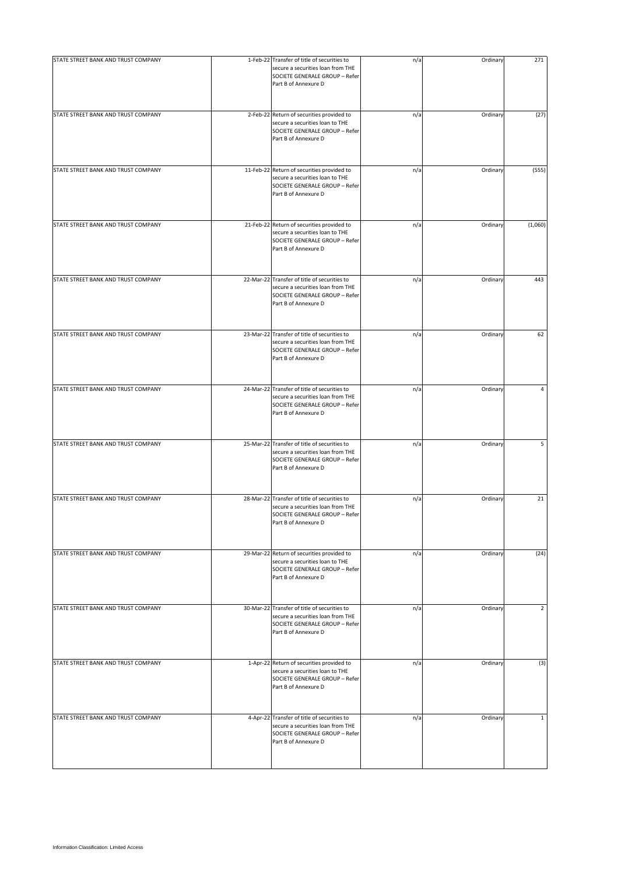| STATE STREET BANK AND TRUST COMPANY | 1-Feb-22 Transfer of title of securities to<br>secure a securities loan from THE<br>SOCIETE GENERALE GROUP - Refer<br>Part B of Annexure D  | n/a | Ordinary | 271            |
|-------------------------------------|---------------------------------------------------------------------------------------------------------------------------------------------|-----|----------|----------------|
| STATE STREET BANK AND TRUST COMPANY | 2-Feb-22 Return of securities provided to<br>secure a securities loan to THE<br>SOCIETE GENERALE GROUP - Refer<br>Part B of Annexure D      | n/a | Ordinary | (27)           |
| STATE STREET BANK AND TRUST COMPANY | 11-Feb-22 Return of securities provided to<br>secure a securities loan to THE<br>SOCIETE GENERALE GROUP - Refer<br>Part B of Annexure D     | n/a | Ordinary | (555)          |
| STATE STREET BANK AND TRUST COMPANY | 21-Feb-22 Return of securities provided to<br>secure a securities loan to THE<br>SOCIETE GENERALE GROUP - Refer<br>Part B of Annexure D     | n/a | Ordinary | (1,060)        |
| STATE STREET BANK AND TRUST COMPANY | 22-Mar-22 Transfer of title of securities to<br>secure a securities loan from THE<br>SOCIETE GENERALE GROUP - Refer<br>Part B of Annexure D | n/a | Ordinary | 443            |
| STATE STREET BANK AND TRUST COMPANY | 23-Mar-22 Transfer of title of securities to<br>secure a securities loan from THE<br>SOCIETE GENERALE GROUP - Refer<br>Part B of Annexure D | n/a | Ordinary | 62             |
| STATE STREET BANK AND TRUST COMPANY | 24-Mar-22 Transfer of title of securities to<br>secure a securities loan from THE<br>SOCIETE GENERALE GROUP - Refer<br>Part B of Annexure D | n/a | Ordinary | 4              |
| STATE STREET BANK AND TRUST COMPANY | 25-Mar-22 Transfer of title of securities to<br>secure a securities loan from THE<br>SOCIETE GENERALE GROUP - Refer<br>Part B of Annexure D | n/a | Ordinary | 5              |
| STATE STREET BANK AND TRUST COMPANY | 28-Mar-22 Transfer of title of securities to<br>secure a securities loan from THE<br>SOCIETE GENERALE GROUP - Refer<br>Part B of Annexure D | n/a | Ordinary | 21             |
| STATE STREET BANK AND TRUST COMPANY | 29-Mar-22 Return of securities provided to<br>secure a securities loan to THE<br>SOCIETE GENERALE GROUP - Refer<br>Part B of Annexure D     | n/a | Ordinary | (24)           |
| STATE STREET BANK AND TRUST COMPANY | 30-Mar-22 Transfer of title of securities to<br>secure a securities loan from THE<br>SOCIETE GENERALE GROUP - Refer<br>Part B of Annexure D | n/a | Ordinary | $\overline{2}$ |
| STATE STREET BANK AND TRUST COMPANY | 1-Apr-22 Return of securities provided to<br>secure a securities loan to THE<br>SOCIETE GENERALE GROUP - Refer<br>Part B of Annexure D      | n/a | Ordinary | (3)            |
| STATE STREET BANK AND TRUST COMPANY | 4-Apr-22 Transfer of title of securities to<br>secure a securities loan from THE<br>SOCIETE GENERALE GROUP - Refer<br>Part B of Annexure D  | n/a | Ordinary | $\mathbf{1}$   |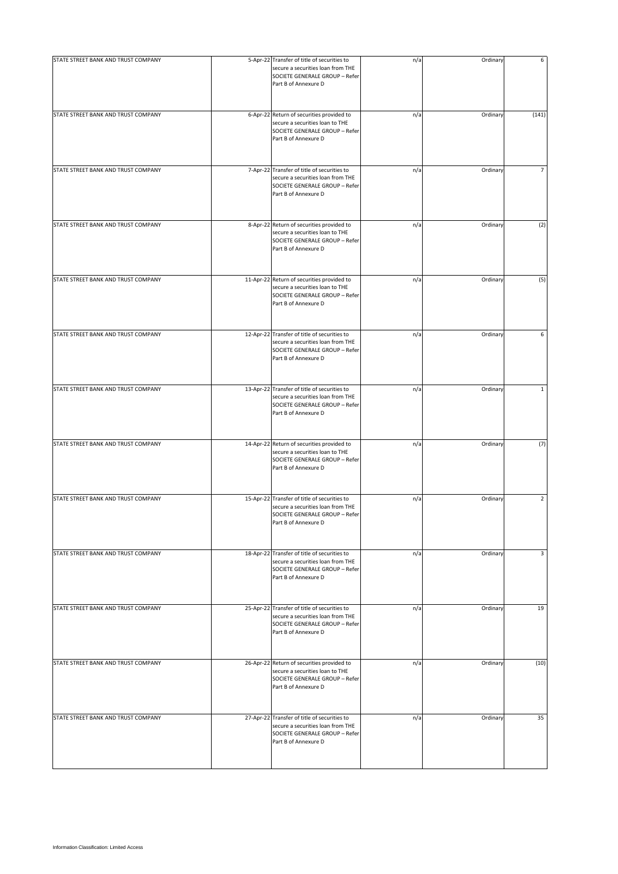| STATE STREET BANK AND TRUST COMPANY | 5-Apr-22 Transfer of title of securities to<br>secure a securities loan from THE<br>SOCIETE GENERALE GROUP - Refer<br>Part B of Annexure D  | n/a | Ordinary | 6              |
|-------------------------------------|---------------------------------------------------------------------------------------------------------------------------------------------|-----|----------|----------------|
| STATE STREET BANK AND TRUST COMPANY | 6-Apr-22 Return of securities provided to<br>secure a securities loan to THE<br>SOCIETE GENERALE GROUP - Refer<br>Part B of Annexure D      | n/a | Ordinary | (141)          |
| STATE STREET BANK AND TRUST COMPANY | 7-Apr-22 Transfer of title of securities to<br>secure a securities loan from THE<br>SOCIETE GENERALE GROUP - Refer<br>Part B of Annexure D  | n/a | Ordinary | 7              |
| STATE STREET BANK AND TRUST COMPANY | 8-Apr-22 Return of securities provided to<br>secure a securities loan to THE<br>SOCIETE GENERALE GROUP - Refer<br>Part B of Annexure D      | n/a | Ordinary | (2)            |
| STATE STREET BANK AND TRUST COMPANY | 11-Apr-22 Return of securities provided to<br>secure a securities loan to THE<br>SOCIETE GENERALE GROUP - Refer<br>Part B of Annexure D     | n/a | Ordinary | (5)            |
| STATE STREET BANK AND TRUST COMPANY | 12-Apr-22 Transfer of title of securities to<br>secure a securities loan from THE<br>SOCIETE GENERALE GROUP - Refer<br>Part B of Annexure D | n/a | Ordinary | 6              |
| STATE STREET BANK AND TRUST COMPANY | 13-Apr-22 Transfer of title of securities to<br>secure a securities loan from THE<br>SOCIETE GENERALE GROUP - Refer<br>Part B of Annexure D | n/a | Ordinary | $\mathbf 1$    |
| STATE STREET BANK AND TRUST COMPANY | 14-Apr-22 Return of securities provided to<br>secure a securities loan to THE<br>SOCIETE GENERALE GROUP - Refer<br>Part B of Annexure D     | n/a | Ordinary | (7)            |
| STATE STREET BANK AND TRUST COMPANY | 15-Apr-22 Transfer of title of securities to<br>secure a securities loan from THE<br>SOCIETE GENERALE GROUP - Refer<br>Part B of Annexure D | n/a | Ordinary | $\overline{2}$ |
| STATE STREET BANK AND TRUST COMPANY | 18-Apr-22 Transfer of title of securities to<br>secure a securities loan from THE<br>SOCIETE GENERALE GROUP - Refer<br>Part B of Annexure D | n/a | Ordinary | 3              |
| STATE STREET BANK AND TRUST COMPANY | 25-Apr-22 Transfer of title of securities to<br>secure a securities loan from THE<br>SOCIETE GENERALE GROUP - Refer<br>Part B of Annexure D | n/a | Ordinary | 19             |
| STATE STREET BANK AND TRUST COMPANY | 26-Apr-22 Return of securities provided to<br>secure a securities loan to THE<br>SOCIETE GENERALE GROUP - Refer<br>Part B of Annexure D     | n/a | Ordinary | (10)           |
| STATE STREET BANK AND TRUST COMPANY | 27-Apr-22 Transfer of title of securities to<br>secure a securities loan from THE<br>SOCIETE GENERALE GROUP - Refer<br>Part B of Annexure D | n/a | Ordinary | 35             |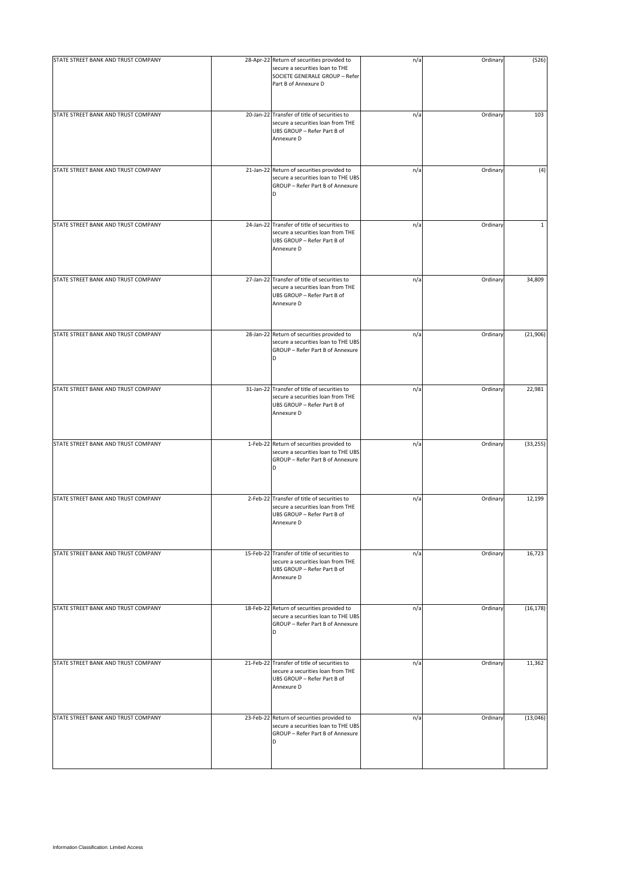| STATE STREET BANK AND TRUST COMPANY | 28-Apr-22 Return of securities provided to                                                                                     | n/a | Ordinary | (526)        |
|-------------------------------------|--------------------------------------------------------------------------------------------------------------------------------|-----|----------|--------------|
|                                     | secure a securities loan to THE<br>SOCIETE GENERALE GROUP - Refer<br>Part B of Annexure D                                      |     |          |              |
| STATE STREET BANK AND TRUST COMPANY | 20-Jan-22 Transfer of title of securities to<br>secure a securities loan from THE<br>UBS GROUP - Refer Part B of<br>Annexure D | n/a | Ordinary | 103          |
| STATE STREET BANK AND TRUST COMPANY | 21-Jan-22 Return of securities provided to<br>secure a securities loan to THE UBS<br>GROUP - Refer Part B of Annexure<br>D     | n/a | Ordinary | (4)          |
| STATE STREET BANK AND TRUST COMPANY | 24-Jan-22 Transfer of title of securities to<br>secure a securities loan from THE<br>UBS GROUP - Refer Part B of<br>Annexure D | n/a | Ordinary | $\mathbf{1}$ |
| STATE STREET BANK AND TRUST COMPANY | 27-Jan-22 Transfer of title of securities to<br>secure a securities loan from THE<br>UBS GROUP - Refer Part B of<br>Annexure D | n/a | Ordinary | 34,809       |
| STATE STREET BANK AND TRUST COMPANY | 28-Jan-22 Return of securities provided to<br>secure a securities loan to THE UBS<br>GROUP - Refer Part B of Annexure          | n/a | Ordinary | (21, 906)    |
| STATE STREET BANK AND TRUST COMPANY | 31-Jan-22 Transfer of title of securities to<br>secure a securities loan from THE<br>UBS GROUP - Refer Part B of<br>Annexure D | n/a | Ordinary | 22,981       |
| STATE STREET BANK AND TRUST COMPANY | 1-Feb-22 Return of securities provided to<br>secure a securities loan to THE UBS<br>GROUP - Refer Part B of Annexure<br>D      | n/a | Ordinary | (33, 255)    |
| STATE STREET BANK AND TRUST COMPANY | 2-Feb-22 Transfer of title of securities to<br>secure a securities loan from THE<br>UBS GROUP - Refer Part B of<br>Annexure D  | n/a | Ordinary | 12,199       |
| STATE STREET BANK AND TRUST COMPANY | 15-Feb-22 Transfer of title of securities to<br>secure a securities loan from THE<br>UBS GROUP - Refer Part B of<br>Annexure D | n/a | Ordinary | 16,723       |
| STATE STREET BANK AND TRUST COMPANY | 18-Feb-22 Return of securities provided to<br>secure a securities loan to THE UBS<br>GROUP - Refer Part B of Annexure<br>D     | n/a | Ordinary | (16, 178)    |
| STATE STREET BANK AND TRUST COMPANY | 21-Feb-22 Transfer of title of securities to<br>secure a securities loan from THE<br>UBS GROUP - Refer Part B of<br>Annexure D | n/a | Ordinary | 11,362       |
| STATE STREET BANK AND TRUST COMPANY | 23-Feb-22 Return of securities provided to<br>secure a securities loan to THE UBS<br>GROUP - Refer Part B of Annexure<br>D     | n/a | Ordinary | (13,046)     |
|                                     |                                                                                                                                |     |          |              |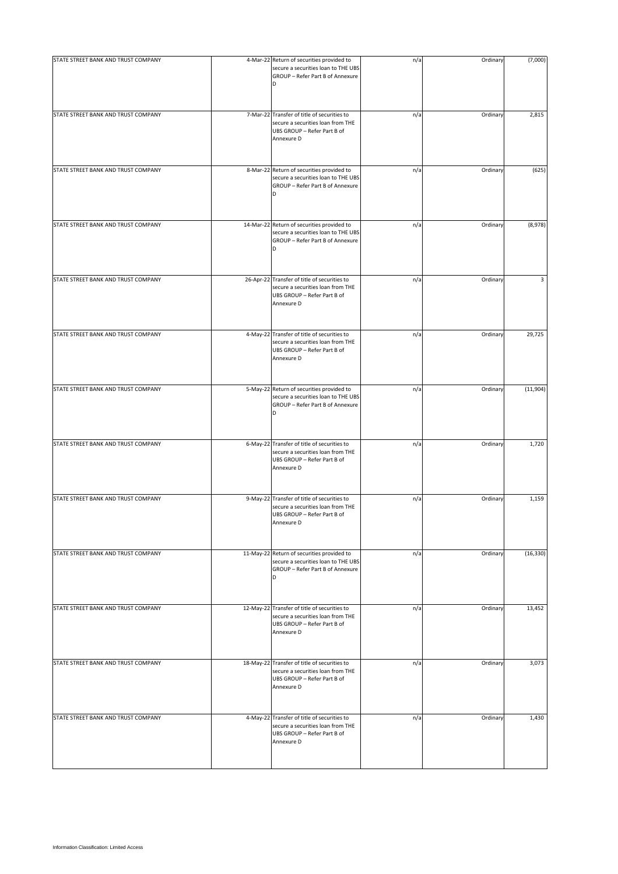| STATE STREET BANK AND TRUST COMPANY | 4-Mar-22 Return of securities provided to                                                                                      | n/a | Ordinary | (7,000)   |
|-------------------------------------|--------------------------------------------------------------------------------------------------------------------------------|-----|----------|-----------|
|                                     | secure a securities loan to THE UBS<br>GROUP - Refer Part B of Annexure<br>D                                                   |     |          |           |
| STATE STREET BANK AND TRUST COMPANY | 7-Mar-22 Transfer of title of securities to<br>secure a securities loan from THE<br>UBS GROUP - Refer Part B of<br>Annexure D  | n/a | Ordinary | 2,815     |
| STATE STREET BANK AND TRUST COMPANY | 8-Mar-22 Return of securities provided to<br>secure a securities loan to THE UBS<br>GROUP - Refer Part B of Annexure<br>D      | n/a | Ordinary | (625)     |
| STATE STREET BANK AND TRUST COMPANY | 14-Mar-22 Return of securities provided to<br>secure a securities loan to THE UBS<br>GROUP - Refer Part B of Annexure<br>D     | n/a | Ordinary | (8,978)   |
| STATE STREET BANK AND TRUST COMPANY | 26-Apr-22 Transfer of title of securities to<br>secure a securities loan from THE<br>UBS GROUP - Refer Part B of<br>Annexure D | n/a | Ordinary | 3         |
| STATE STREET BANK AND TRUST COMPANY | 4-May-22 Transfer of title of securities to<br>secure a securities loan from THE<br>UBS GROUP - Refer Part B of<br>Annexure D  | n/a | Ordinary | 29,725    |
| STATE STREET BANK AND TRUST COMPANY | 5-May-22 Return of securities provided to<br>secure a securities loan to THE UBS<br>GROUP - Refer Part B of Annexure<br>D      | n/a | Ordinary | (11,904)  |
| STATE STREET BANK AND TRUST COMPANY | 6-May-22 Transfer of title of securities to<br>secure a securities loan from THE<br>UBS GROUP - Refer Part B of<br>Annexure D  | n/a | Ordinary | 1,720     |
| STATE STREET BANK AND TRUST COMPANY | 9-May-22 Transfer of title of securities to<br>secure a securities loan from THE<br>UBS GROUP - Refer Part B of<br>Annexure D  | n/a | Ordinary | 1,159     |
| STATE STREET BANK AND TRUST COMPANY | 11-May-22 Return of securities provided to<br>secure a securities loan to THE UBS<br>GROUP - Refer Part B of Annexure<br>D     | n/a | Ordinary | (16, 330) |
| STATE STREET BANK AND TRUST COMPANY | 12-May-22 Transfer of title of securities to<br>secure a securities loan from THE<br>UBS GROUP - Refer Part B of<br>Annexure D | n/a | Ordinary | 13,452    |
| STATE STREET BANK AND TRUST COMPANY | 18-May-22 Transfer of title of securities to<br>secure a securities loan from THE<br>UBS GROUP - Refer Part B of<br>Annexure D | n/a | Ordinary | 3,073     |
| STATE STREET BANK AND TRUST COMPANY | 4-May-22 Transfer of title of securities to<br>secure a securities loan from THE<br>UBS GROUP - Refer Part B of<br>Annexure D  | n/a | Ordinary | 1,430     |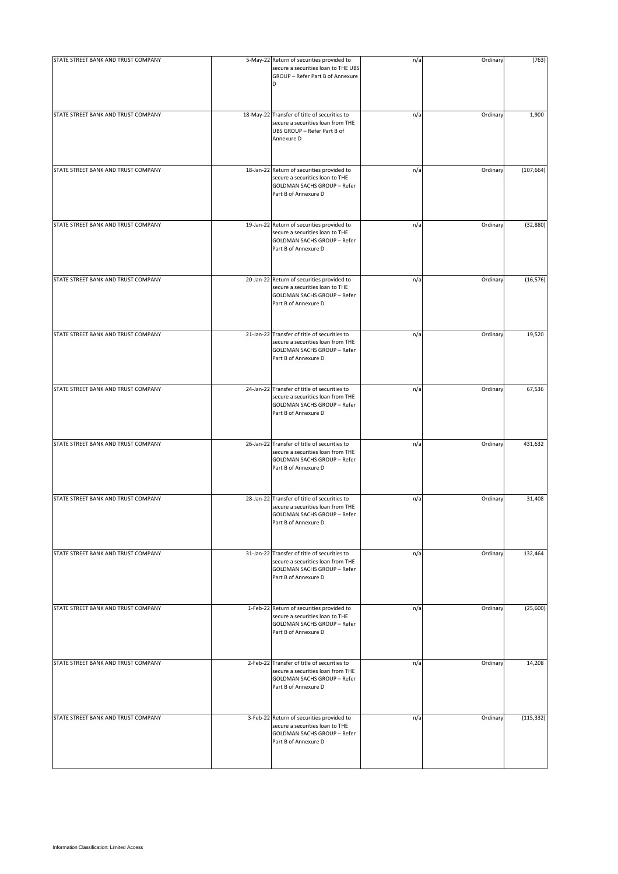| STATE STREET BANK AND TRUST COMPANY | 5-May-22 Return of securities provided to                                                                                                       | n/a | Ordinary | (763)      |
|-------------------------------------|-------------------------------------------------------------------------------------------------------------------------------------------------|-----|----------|------------|
|                                     | secure a securities loan to THE UBS<br>GROUP - Refer Part B of Annexure<br>D                                                                    |     |          |            |
| STATE STREET BANK AND TRUST COMPANY | 18-May-22 Transfer of title of securities to<br>secure a securities loan from THE<br>UBS GROUP - Refer Part B of<br>Annexure D                  | n/a | Ordinary | 1,900      |
| STATE STREET BANK AND TRUST COMPANY | 18-Jan-22 Return of securities provided to<br>secure a securities loan to THE<br>GOLDMAN SACHS GROUP - Refer<br>Part B of Annexure D            | n/a | Ordinary | (107, 664) |
| STATE STREET BANK AND TRUST COMPANY | 19-Jan-22 Return of securities provided to<br>secure a securities loan to THE<br>GOLDMAN SACHS GROUP - Refer<br>Part B of Annexure D            | n/a | Ordinary | (32, 880)  |
| STATE STREET BANK AND TRUST COMPANY | 20-Jan-22 Return of securities provided to<br>secure a securities loan to THE<br>GOLDMAN SACHS GROUP - Refer<br>Part B of Annexure D            | n/a | Ordinary | (16, 576)  |
| STATE STREET BANK AND TRUST COMPANY | 21-Jan-22 Transfer of title of securities to<br>secure a securities loan from THE<br>GOLDMAN SACHS GROUP - Refer<br>Part B of Annexure D        | n/a | Ordinary | 19,520     |
| STATE STREET BANK AND TRUST COMPANY | 24-Jan-22 Transfer of title of securities to<br>secure a securities loan from THE<br>GOLDMAN SACHS GROUP - Refer<br>Part B of Annexure D        | n/a | Ordinary | 67,536     |
| STATE STREET BANK AND TRUST COMPANY | 26-Jan-22 Transfer of title of securities to<br>secure a securities loan from THE<br>GOLDMAN SACHS GROUP - Refer<br>Part B of Annexure D        | n/a | Ordinary | 431,632    |
| STATE STREET BANK AND TRUST COMPANY | 28-Jan-22 Transfer of title of securities to<br>secure a securities loan from THE<br><b>GOLDMAN SACHS GROUP - Refer</b><br>Part B of Annexure D | n/a | Ordinary | 31,408     |
| STATE STREET BANK AND TRUST COMPANY | 31-Jan-22 Transfer of title of securities to<br>secure a securities loan from THE<br><b>GOLDMAN SACHS GROUP - Refer</b><br>Part B of Annexure D | n/a | Ordinary | 132,464    |
| STATE STREET BANK AND TRUST COMPANY | 1-Feb-22 Return of securities provided to<br>secure a securities loan to THE<br>GOLDMAN SACHS GROUP - Refer<br>Part B of Annexure D             | n/a | Ordinary | (25,600)   |
| STATE STREET BANK AND TRUST COMPANY | 2-Feb-22 Transfer of title of securities to<br>secure a securities loan from THE<br>GOLDMAN SACHS GROUP - Refer<br>Part B of Annexure D         | n/a | Ordinary | 14,208     |
| STATE STREET BANK AND TRUST COMPANY | 3-Feb-22 Return of securities provided to<br>secure a securities loan to THE<br>GOLDMAN SACHS GROUP - Refer<br>Part B of Annexure D             | n/a | Ordinary | (115, 332) |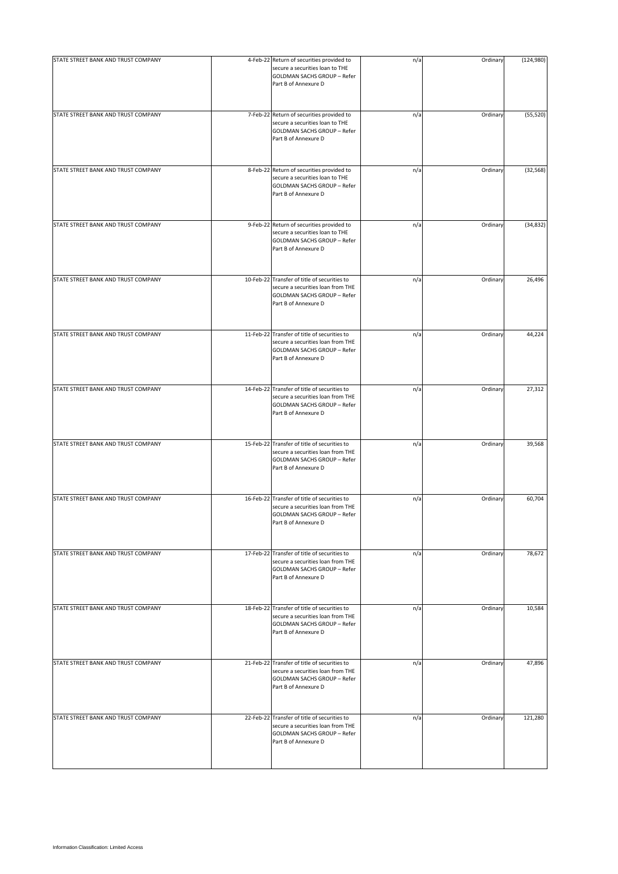| STATE STREET BANK AND TRUST COMPANY | 4-Feb-22 Return of securities provided to<br>secure a securities loan to THE<br><b>GOLDMAN SACHS GROUP - Refer</b><br>Part B of Annexure D      | n/a | Ordinary | (124,980) |
|-------------------------------------|-------------------------------------------------------------------------------------------------------------------------------------------------|-----|----------|-----------|
| STATE STREET BANK AND TRUST COMPANY | 7-Feb-22 Return of securities provided to<br>secure a securities loan to THE<br><b>GOLDMAN SACHS GROUP - Refer</b><br>Part B of Annexure D      | n/a | Ordinary | (55, 520) |
| STATE STREET BANK AND TRUST COMPANY | 8-Feb-22 Return of securities provided to<br>secure a securities loan to THE<br><b>GOLDMAN SACHS GROUP - Refer</b><br>Part B of Annexure D      | n/a | Ordinary | (32, 568) |
| STATE STREET BANK AND TRUST COMPANY | 9-Feb-22 Return of securities provided to<br>secure a securities loan to THE<br><b>GOLDMAN SACHS GROUP - Refer</b><br>Part B of Annexure D      | n/a | Ordinary | (34, 832) |
| STATE STREET BANK AND TRUST COMPANY | 10-Feb-22 Transfer of title of securities to<br>secure a securities loan from THE<br><b>GOLDMAN SACHS GROUP - Refer</b><br>Part B of Annexure D | n/a | Ordinary | 26,496    |
| STATE STREET BANK AND TRUST COMPANY | 11-Feb-22 Transfer of title of securities to<br>secure a securities loan from THE<br><b>GOLDMAN SACHS GROUP - Refer</b><br>Part B of Annexure D | n/a | Ordinary | 44,224    |
| STATE STREET BANK AND TRUST COMPANY | 14-Feb-22 Transfer of title of securities to<br>secure a securities loan from THE<br>GOLDMAN SACHS GROUP - Refer<br>Part B of Annexure D        | n/a | Ordinary | 27,312    |
| STATE STREET BANK AND TRUST COMPANY | 15-Feb-22 Transfer of title of securities to<br>secure a securities loan from THE<br><b>GOLDMAN SACHS GROUP - Refer</b><br>Part B of Annexure D | n/a | Ordinary | 39,568    |
| STATE STREET BANK AND TRUST COMPANY | 16-Feb-22 Transfer of title of securities to<br>secure a securities loan from THE<br><b>GOLDMAN SACHS GROUP - Refer</b><br>Part B of Annexure D | n/a | Ordinary | 60,704    |
| STATE STREET BANK AND TRUST COMPANY | 17-Feb-22 Transfer of title of securities to<br>secure a securities loan from THE<br><b>GOLDMAN SACHS GROUP - Refer</b><br>Part B of Annexure D | n/a | Ordinary | 78,672    |
| STATE STREET BANK AND TRUST COMPANY | 18-Feb-22 Transfer of title of securities to<br>secure a securities loan from THE<br><b>GOLDMAN SACHS GROUP - Refer</b><br>Part B of Annexure D | n/a | Ordinary | 10,584    |
| STATE STREET BANK AND TRUST COMPANY | 21-Feb-22 Transfer of title of securities to<br>secure a securities loan from THE<br>GOLDMAN SACHS GROUP - Refer<br>Part B of Annexure D        | n/a | Ordinary | 47,896    |
| STATE STREET BANK AND TRUST COMPANY | 22-Feb-22 Transfer of title of securities to<br>secure a securities loan from THE<br><b>GOLDMAN SACHS GROUP - Refer</b><br>Part B of Annexure D | n/a | Ordinary | 121,280   |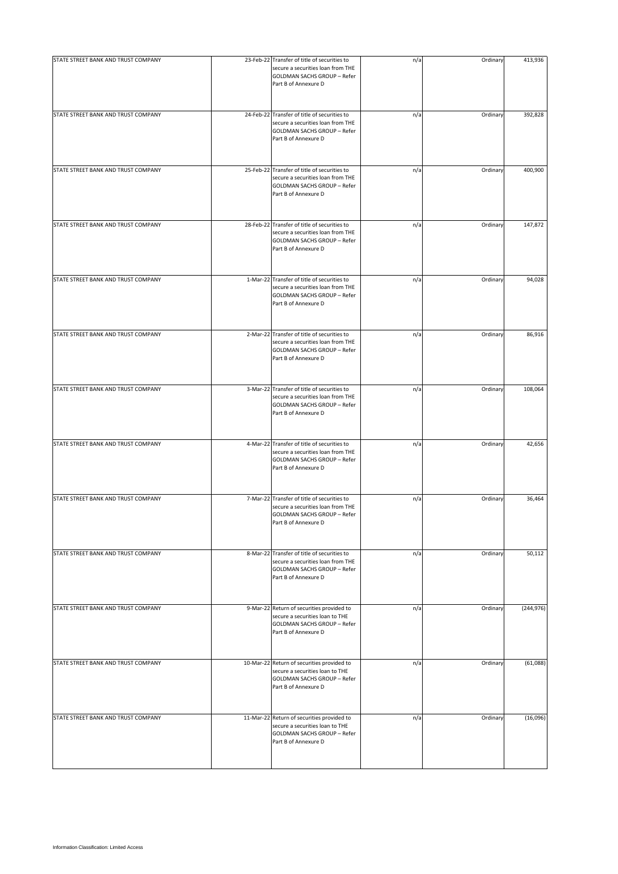| STATE STREET BANK AND TRUST COMPANY | 23-Feb-22 Transfer of title of securities to<br>secure a securities loan from THE<br><b>GOLDMAN SACHS GROUP - Refer</b><br>Part B of Annexure D | n/a | Ordinary | 413,936    |
|-------------------------------------|-------------------------------------------------------------------------------------------------------------------------------------------------|-----|----------|------------|
| STATE STREET BANK AND TRUST COMPANY | 24-Feb-22 Transfer of title of securities to<br>secure a securities loan from THE<br>GOLDMAN SACHS GROUP - Refer<br>Part B of Annexure D        | n/a | Ordinary | 392,828    |
| STATE STREET BANK AND TRUST COMPANY | 25-Feb-22 Transfer of title of securities to<br>secure a securities loan from THE<br><b>GOLDMAN SACHS GROUP - Refer</b><br>Part B of Annexure D | n/a | Ordinary | 400,900    |
| STATE STREET BANK AND TRUST COMPANY | 28-Feb-22 Transfer of title of securities to<br>secure a securities loan from THE<br><b>GOLDMAN SACHS GROUP - Refer</b><br>Part B of Annexure D | n/a | Ordinary | 147,872    |
| STATE STREET BANK AND TRUST COMPANY | 1-Mar-22 Transfer of title of securities to<br>secure a securities loan from THE<br><b>GOLDMAN SACHS GROUP - Refer</b><br>Part B of Annexure D  | n/a | Ordinary | 94,028     |
| STATE STREET BANK AND TRUST COMPANY | 2-Mar-22 Transfer of title of securities to<br>secure a securities loan from THE<br><b>GOLDMAN SACHS GROUP - Refer</b><br>Part B of Annexure D  | n/a | Ordinary | 86,916     |
| STATE STREET BANK AND TRUST COMPANY | 3-Mar-22 Transfer of title of securities to<br>secure a securities loan from THE<br><b>GOLDMAN SACHS GROUP - Refer</b><br>Part B of Annexure D  | n/a | Ordinary | 108,064    |
| STATE STREET BANK AND TRUST COMPANY | 4-Mar-22 Transfer of title of securities to<br>secure a securities loan from THE<br><b>GOLDMAN SACHS GROUP - Refer</b><br>Part B of Annexure D  | n/a | Ordinary | 42,656     |
| STATE STREET BANK AND TRUST COMPANY | 7-Mar-22 Transfer of title of securities to<br>secure a securities loan from THE<br><b>GOLDMAN SACHS GROUP - Refer</b><br>Part B of Annexure D  | n/a | Ordinary | 36,464     |
| STATE STREET BANK AND TRUST COMPANY | 8-Mar-22 Transfer of title of securities to<br>secure a securities loan from THE<br>GOLDMAN SACHS GROUP - Refer<br>Part B of Annexure D         | n/a | Ordinary | 50,112     |
| STATE STREET BANK AND TRUST COMPANY | 9-Mar-22 Return of securities provided to<br>secure a securities loan to THE<br><b>GOLDMAN SACHS GROUP - Refer</b><br>Part B of Annexure D      | n/a | Ordinary | (244, 976) |
| STATE STREET BANK AND TRUST COMPANY | 10-Mar-22 Return of securities provided to<br>secure a securities loan to THE<br>GOLDMAN SACHS GROUP - Refer<br>Part B of Annexure D            | n/a | Ordinary | (61,088)   |
| STATE STREET BANK AND TRUST COMPANY | 11-Mar-22 Return of securities provided to<br>secure a securities loan to THE<br><b>GOLDMAN SACHS GROUP - Refer</b><br>Part B of Annexure D     | n/a | Ordinary | (16,096)   |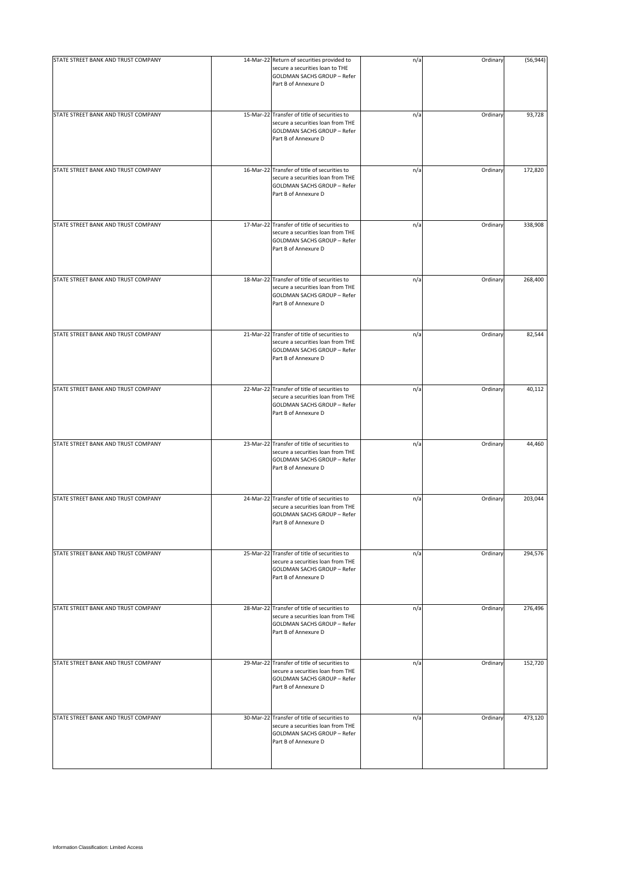| STATE STREET BANK AND TRUST COMPANY | 14-Mar-22 Return of securities provided to                                                                                                      | n/a | Ordinary | (56, 944) |
|-------------------------------------|-------------------------------------------------------------------------------------------------------------------------------------------------|-----|----------|-----------|
|                                     | secure a securities loan to THE<br><b>GOLDMAN SACHS GROUP - Refer</b><br>Part B of Annexure D                                                   |     |          |           |
| STATE STREET BANK AND TRUST COMPANY | 15-Mar-22 Transfer of title of securities to<br>secure a securities loan from THE<br><b>GOLDMAN SACHS GROUP - Refer</b><br>Part B of Annexure D | n/a | Ordinary | 93,728    |
| STATE STREET BANK AND TRUST COMPANY | 16-Mar-22 Transfer of title of securities to<br>secure a securities loan from THE<br><b>GOLDMAN SACHS GROUP - Refer</b><br>Part B of Annexure D | n/a | Ordinary | 172,820   |
| STATE STREET BANK AND TRUST COMPANY | 17-Mar-22 Transfer of title of securities to<br>secure a securities loan from THE<br><b>GOLDMAN SACHS GROUP - Refer</b><br>Part B of Annexure D | n/a | Ordinary | 338,908   |
| STATE STREET BANK AND TRUST COMPANY | 18-Mar-22 Transfer of title of securities to<br>secure a securities loan from THE<br>GOLDMAN SACHS GROUP - Refer<br>Part B of Annexure D        | n/a | Ordinary | 268,400   |
| STATE STREET BANK AND TRUST COMPANY | 21-Mar-22 Transfer of title of securities to<br>secure a securities loan from THE<br><b>GOLDMAN SACHS GROUP - Refer</b><br>Part B of Annexure D | n/a | Ordinary | 82,544    |
| STATE STREET BANK AND TRUST COMPANY | 22-Mar-22 Transfer of title of securities to<br>secure a securities loan from THE<br><b>GOLDMAN SACHS GROUP - Refer</b><br>Part B of Annexure D | n/a | Ordinary | 40,112    |
| STATE STREET BANK AND TRUST COMPANY | 23-Mar-22 Transfer of title of securities to<br>secure a securities loan from THE<br><b>GOLDMAN SACHS GROUP - Refer</b><br>Part B of Annexure D | n/a | Ordinary | 44,460    |
| STATE STREET BANK AND TRUST COMPANY | 24-Mar-22 Transfer of title of securities to<br>secure a securities loan from THE<br><b>GOLDMAN SACHS GROUP - Refer</b><br>Part B of Annexure D | n/a | Ordinary | 203,044   |
| STATE STREET BANK AND TRUST COMPANY | 25-Mar-22 Transfer of title of securities to<br>secure a securities loan from THE<br>GOLDMAN SACHS GROUP - Refer<br>Part B of Annexure D        | n/a | Ordinary | 294,576   |
| STATE STREET BANK AND TRUST COMPANY | 28-Mar-22 Transfer of title of securities to<br>secure a securities loan from THE<br><b>GOLDMAN SACHS GROUP - Refer</b><br>Part B of Annexure D | n/a | Ordinary | 276,496   |
| STATE STREET BANK AND TRUST COMPANY | 29-Mar-22 Transfer of title of securities to<br>secure a securities loan from THE<br><b>GOLDMAN SACHS GROUP - Refer</b><br>Part B of Annexure D | n/a | Ordinary | 152,720   |
| STATE STREET BANK AND TRUST COMPANY | 30-Mar-22 Transfer of title of securities to<br>secure a securities loan from THE<br><b>GOLDMAN SACHS GROUP - Refer</b><br>Part B of Annexure D | n/a | Ordinary | 473,120   |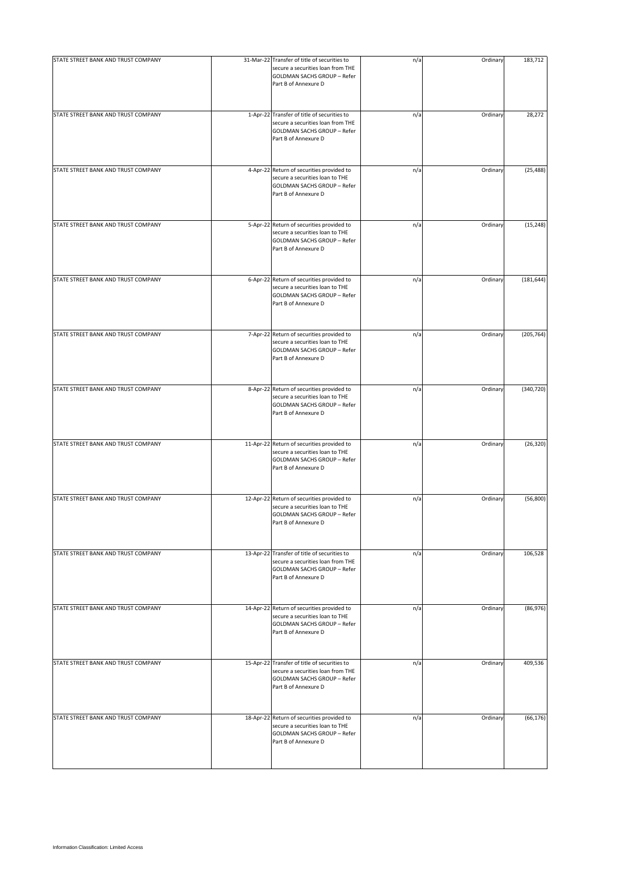| STATE STREET BANK AND TRUST COMPANY | 31-Mar-22 Transfer of title of securities to<br>secure a securities loan from THE<br>GOLDMAN SACHS GROUP - Refer<br>Part B of Annexure D   | n/a | Ordinary | 183,712    |
|-------------------------------------|--------------------------------------------------------------------------------------------------------------------------------------------|-----|----------|------------|
| STATE STREET BANK AND TRUST COMPANY | 1-Apr-22 Transfer of title of securities to<br>secure a securities loan from THE<br>GOLDMAN SACHS GROUP - Refer<br>Part B of Annexure D    | n/a | Ordinary | 28,272     |
| STATE STREET BANK AND TRUST COMPANY | 4-Apr-22 Return of securities provided to<br>secure a securities loan to THE<br>GOLDMAN SACHS GROUP - Refer<br>Part B of Annexure D        | n/a | Ordinary | (25, 488)  |
| STATE STREET BANK AND TRUST COMPANY | 5-Apr-22 Return of securities provided to<br>secure a securities loan to THE<br>GOLDMAN SACHS GROUP - Refer<br>Part B of Annexure D        | n/a | Ordinary | (15, 248)  |
| STATE STREET BANK AND TRUST COMPANY | 6-Apr-22 Return of securities provided to<br>secure a securities loan to THE<br><b>GOLDMAN SACHS GROUP - Refer</b><br>Part B of Annexure D | n/a | Ordinary | (181, 644) |
| STATE STREET BANK AND TRUST COMPANY | 7-Apr-22 Return of securities provided to<br>secure a securities loan to THE<br>GOLDMAN SACHS GROUP - Refer<br>Part B of Annexure D        | n/a | Ordinary | (205, 764) |
| STATE STREET BANK AND TRUST COMPANY | 8-Apr-22 Return of securities provided to<br>secure a securities loan to THE<br>GOLDMAN SACHS GROUP - Refer<br>Part B of Annexure D        | n/a | Ordinary | (340, 720) |
| STATE STREET BANK AND TRUST COMPANY | 11-Apr-22 Return of securities provided to<br>secure a securities loan to THE<br>GOLDMAN SACHS GROUP - Refer<br>Part B of Annexure D       | n/a | Ordinary | (26, 320)  |
| STATE STREET BANK AND TRUST COMPANY | 12-Apr-22 Return of securities provided to<br>secure a securities loan to THE<br>GOLDMAN SACHS GROUP - Refer<br>Part B of Annexure D       | n/a | Ordinary | (56, 800)  |
| STATE STREET BANK AND TRUST COMPANY | 13-Apr-22 Transfer of title of securities to<br>secure a securities loan from THE<br>GOLDMAN SACHS GROUP - Refer<br>Part B of Annexure D   | n/a | Ordinary | 106,528    |
| STATE STREET BANK AND TRUST COMPANY | 14-Apr-22 Return of securities provided to<br>secure a securities loan to THE<br>GOLDMAN SACHS GROUP - Refer<br>Part B of Annexure D       | n/a | Ordinary | (86, 976)  |
| STATE STREET BANK AND TRUST COMPANY | 15-Apr-22 Transfer of title of securities to<br>secure a securities loan from THE<br>GOLDMAN SACHS GROUP - Refer<br>Part B of Annexure D   | n/a | Ordinary | 409,536    |
| STATE STREET BANK AND TRUST COMPANY | 18-Apr-22 Return of securities provided to<br>secure a securities loan to THE<br>GOLDMAN SACHS GROUP - Refer<br>Part B of Annexure D       | n/a | Ordinary | (66, 176)  |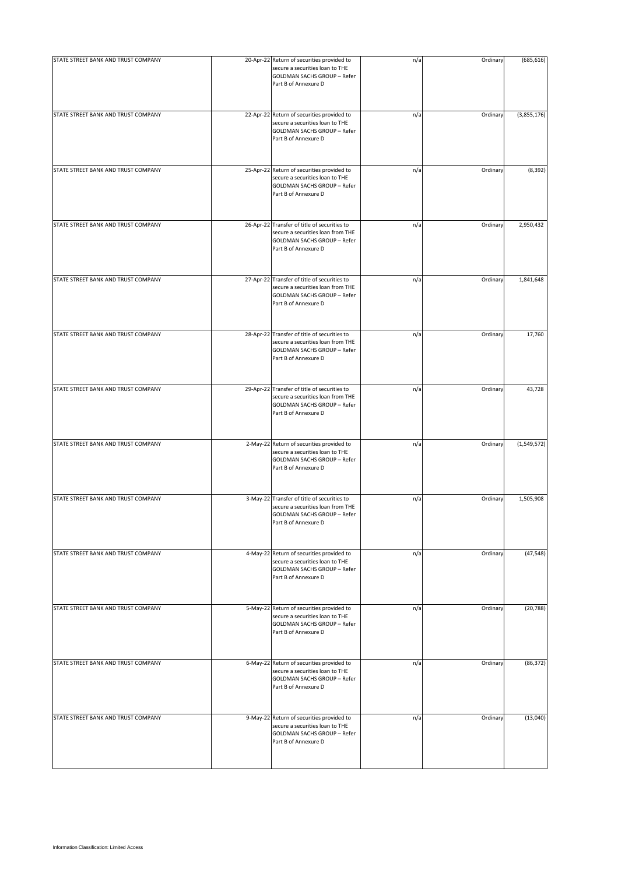| STATE STREET BANK AND TRUST COMPANY | 20-Apr-22 Return of securities provided to                                                                                                      | n/a | Ordinary | (685, 616)  |
|-------------------------------------|-------------------------------------------------------------------------------------------------------------------------------------------------|-----|----------|-------------|
|                                     | secure a securities loan to THE<br>GOLDMAN SACHS GROUP - Refer<br>Part B of Annexure D                                                          |     |          |             |
| STATE STREET BANK AND TRUST COMPANY | 22-Apr-22 Return of securities provided to<br>secure a securities loan to THE<br>GOLDMAN SACHS GROUP - Refer<br>Part B of Annexure D            | n/a | Ordinary | (3,855,176) |
| STATE STREET BANK AND TRUST COMPANY | 25-Apr-22 Return of securities provided to<br>secure a securities loan to THE<br>GOLDMAN SACHS GROUP - Refer<br>Part B of Annexure D            | n/a | Ordinary | (8, 392)    |
| STATE STREET BANK AND TRUST COMPANY | 26-Apr-22 Transfer of title of securities to<br>secure a securities loan from THE<br>GOLDMAN SACHS GROUP - Refer<br>Part B of Annexure D        | n/a | Ordinary | 2,950,432   |
| STATE STREET BANK AND TRUST COMPANY | 27-Apr-22 Transfer of title of securities to<br>secure a securities loan from THE<br><b>GOLDMAN SACHS GROUP - Refer</b><br>Part B of Annexure D | n/a | Ordinary | 1,841,648   |
| STATE STREET BANK AND TRUST COMPANY | 28-Apr-22 Transfer of title of securities to<br>secure a securities loan from THE<br>GOLDMAN SACHS GROUP - Refer<br>Part B of Annexure D        | n/a | Ordinary | 17,760      |
| STATE STREET BANK AND TRUST COMPANY | 29-Apr-22 Transfer of title of securities to<br>secure a securities loan from THE<br>GOLDMAN SACHS GROUP - Refer<br>Part B of Annexure D        | n/a | Ordinary | 43,728      |
| STATE STREET BANK AND TRUST COMPANY | 2-May-22 Return of securities provided to<br>secure a securities loan to THE<br>GOLDMAN SACHS GROUP - Refer<br>Part B of Annexure D             | n/a | Ordinary | (1,549,572) |
| STATE STREET BANK AND TRUST COMPANY | 3-May-22 Transfer of title of securities to<br>secure a securities loan from THE<br>GOLDMAN SACHS GROUP - Refer<br>Part B of Annexure D         | n/a | Ordinary | 1,505,908   |
| STATE STREET BANK AND TRUST COMPANY | 4-May-22 Return of securities provided to<br>secure a securities loan to THE<br><b>GOLDMAN SACHS GROUP - Refer</b><br>Part B of Annexure D      | n/a | Ordinary | (47, 548)   |
| STATE STREET BANK AND TRUST COMPANY | 5-May-22 Return of securities provided to<br>secure a securities loan to THE<br>GOLDMAN SACHS GROUP - Refer<br>Part B of Annexure D             | n/a | Ordinary | (20, 788)   |
| STATE STREET BANK AND TRUST COMPANY | 6-May-22 Return of securities provided to<br>secure a securities loan to THE<br>GOLDMAN SACHS GROUP - Refer<br>Part B of Annexure D             | n/a | Ordinary | (86, 372)   |
| STATE STREET BANK AND TRUST COMPANY | 9-May-22 Return of securities provided to<br>secure a securities loan to THE<br>GOLDMAN SACHS GROUP - Refer<br>Part B of Annexure D             | n/a | Ordinary | (13,040)    |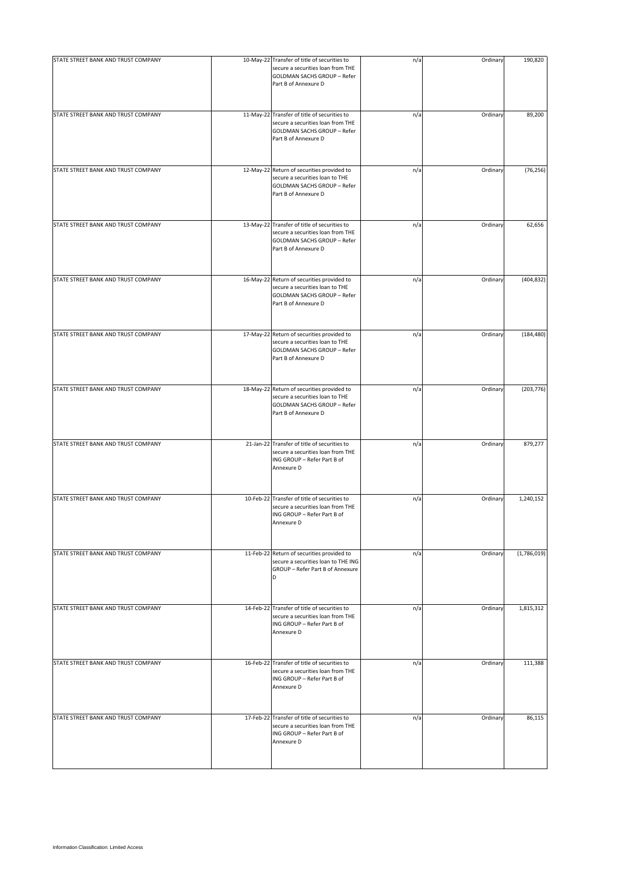| STATE STREET BANK AND TRUST COMPANY | 10-May-22 Transfer of title of securities to<br>secure a securities loan from THE<br>GOLDMAN SACHS GROUP - Refer<br>Part B of Annexure D    | n/a | Ordinary | 190,820     |
|-------------------------------------|---------------------------------------------------------------------------------------------------------------------------------------------|-----|----------|-------------|
| STATE STREET BANK AND TRUST COMPANY | 11-May-22 Transfer of title of securities to<br>secure a securities loan from THE<br>GOLDMAN SACHS GROUP - Refer<br>Part B of Annexure D    | n/a | Ordinary | 89,200      |
| STATE STREET BANK AND TRUST COMPANY | 12-May-22 Return of securities provided to<br>secure a securities loan to THE<br>GOLDMAN SACHS GROUP - Refer<br>Part B of Annexure D        | n/a | Ordinary | (76, 256)   |
| STATE STREET BANK AND TRUST COMPANY | 13-May-22 Transfer of title of securities to<br>secure a securities loan from THE<br>GOLDMAN SACHS GROUP - Refer<br>Part B of Annexure D    | n/a | Ordinary | 62,656      |
| STATE STREET BANK AND TRUST COMPANY | 16-May-22 Return of securities provided to<br>secure a securities loan to THE<br><b>GOLDMAN SACHS GROUP - Refer</b><br>Part B of Annexure D | n/a | Ordinary | (404, 832)  |
| STATE STREET BANK AND TRUST COMPANY | 17-May-22 Return of securities provided to<br>secure a securities loan to THE<br>GOLDMAN SACHS GROUP - Refer<br>Part B of Annexure D        | n/a | Ordinary | (184, 480)  |
| STATE STREET BANK AND TRUST COMPANY | 18-May-22 Return of securities provided to<br>secure a securities loan to THE<br>GOLDMAN SACHS GROUP - Refer<br>Part B of Annexure D        | n/a | Ordinary | (203, 776)  |
| STATE STREET BANK AND TRUST COMPANY | 21-Jan-22 Transfer of title of securities to<br>secure a securities loan from THE<br>ING GROUP - Refer Part B of<br>Annexure D              | n/a | Ordinary | 879,277     |
| STATE STREET BANK AND TRUST COMPANY | 10-Feb-22 Transfer of title of securities to<br>secure a securities loan from THE<br>ING GROUP - Refer Part B of<br>Annexure D              | n/a | Ordinary | 1,240,152   |
| STATE STREET BANK AND TRUST COMPANY | 11-Feb-22 Return of securities provided to<br>secure a securities loan to THE ING<br>GROUP - Refer Part B of Annexure<br>D                  | n/a | Ordinary | (1,786,019) |
| STATE STREET BANK AND TRUST COMPANY | 14-Feb-22 Transfer of title of securities to<br>secure a securities loan from THE<br>ING GROUP - Refer Part B of<br>Annexure D              | n/a | Ordinary | 1,815,312   |
| STATE STREET BANK AND TRUST COMPANY | 16-Feb-22 Transfer of title of securities to<br>secure a securities loan from THE<br>ING GROUP - Refer Part B of<br>Annexure D              | n/a | Ordinary | 111,388     |
| STATE STREET BANK AND TRUST COMPANY | 17-Feb-22 Transfer of title of securities to<br>secure a securities loan from THE<br>ING GROUP - Refer Part B of<br>Annexure D              | n/a | Ordinary | 86,115      |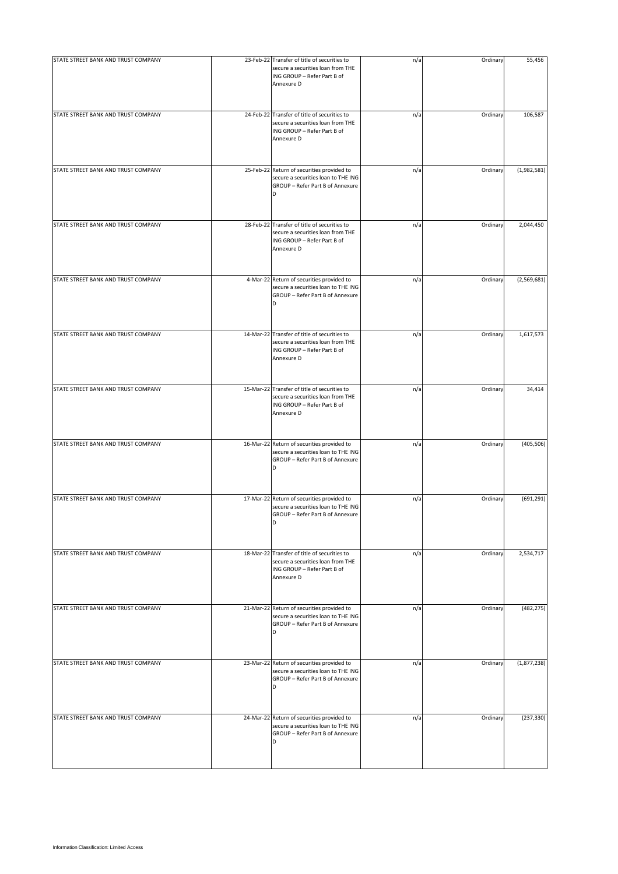| STATE STREET BANK AND TRUST COMPANY | 23-Feb-22 Transfer of title of securities to<br>secure a securities loan from THE<br>ING GROUP - Refer Part B of<br>Annexure D | n/a | Ordinary | 55,456      |
|-------------------------------------|--------------------------------------------------------------------------------------------------------------------------------|-----|----------|-------------|
| STATE STREET BANK AND TRUST COMPANY | 24-Feb-22 Transfer of title of securities to<br>secure a securities loan from THE<br>ING GROUP - Refer Part B of<br>Annexure D | n/a | Ordinary | 106,587     |
| STATE STREET BANK AND TRUST COMPANY | 25-Feb-22 Return of securities provided to<br>secure a securities loan to THE ING<br>GROUP - Refer Part B of Annexure<br>D     | n/a | Ordinary | (1,982,581) |
| STATE STREET BANK AND TRUST COMPANY | 28-Feb-22 Transfer of title of securities to<br>secure a securities loan from THE<br>ING GROUP - Refer Part B of<br>Annexure D | n/a | Ordinary | 2,044,450   |
| STATE STREET BANK AND TRUST COMPANY | 4-Mar-22 Return of securities provided to<br>secure a securities loan to THE ING<br>GROUP - Refer Part B of Annexure<br>D      | n/a | Ordinary | (2,569,681) |
| STATE STREET BANK AND TRUST COMPANY | 14-Mar-22 Transfer of title of securities to<br>secure a securities loan from THE<br>ING GROUP - Refer Part B of<br>Annexure D | n/a | Ordinary | 1,617,573   |
| STATE STREET BANK AND TRUST COMPANY | 15-Mar-22 Transfer of title of securities to<br>secure a securities loan from THE<br>ING GROUP - Refer Part B of<br>Annexure D | n/a | Ordinary | 34,414      |
| STATE STREET BANK AND TRUST COMPANY | 16-Mar-22 Return of securities provided to<br>secure a securities loan to THE ING<br>GROUP - Refer Part B of Annexure<br>D     | n/a | Ordinary | (405, 506)  |
| STATE STREET BANK AND TRUST COMPANY | 17-Mar-22 Return of securities provided to<br>secure a securities loan to THE ING<br>GROUP - Refer Part B of Annexure<br>D     | n/a | Ordinary | (691, 291)  |
| STATE STREET BANK AND TRUST COMPANY | 18-Mar-22 Transfer of title of securities to<br>secure a securities loan from THE<br>ING GROUP - Refer Part B of<br>Annexure D | n/a | Ordinary | 2,534,717   |
| STATE STREET BANK AND TRUST COMPANY | 21-Mar-22 Return of securities provided to<br>secure a securities loan to THE ING<br>GROUP - Refer Part B of Annexure<br>D     | n/a | Ordinary | (482, 275)  |
| STATE STREET BANK AND TRUST COMPANY | 23-Mar-22 Return of securities provided to<br>secure a securities loan to THE ING<br>GROUP - Refer Part B of Annexure<br>D     | n/a | Ordinary | (1,877,238) |
| STATE STREET BANK AND TRUST COMPANY | 24-Mar-22 Return of securities provided to<br>secure a securities loan to THE ING<br>GROUP - Refer Part B of Annexure<br>D     | n/a | Ordinary | (237, 330)  |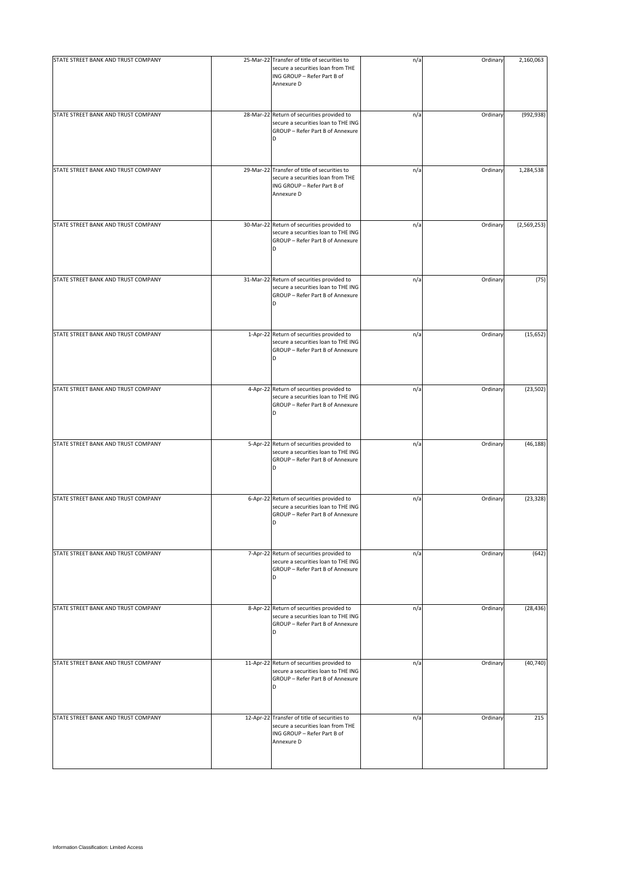| STATE STREET BANK AND TRUST COMPANY | 25-Mar-22 Transfer of title of securities to<br>secure a securities loan from THE<br>ING GROUP - Refer Part B of<br>Annexure D | n/a | Ordinary | 2,160,063   |
|-------------------------------------|--------------------------------------------------------------------------------------------------------------------------------|-----|----------|-------------|
| STATE STREET BANK AND TRUST COMPANY | 28-Mar-22 Return of securities provided to<br>secure a securities loan to THE ING<br>GROUP - Refer Part B of Annexure<br>D     | n/a | Ordinary | (992, 938)  |
| STATE STREET BANK AND TRUST COMPANY | 29-Mar-22 Transfer of title of securities to<br>secure a securities loan from THE<br>ING GROUP - Refer Part B of<br>Annexure D | n/a | Ordinary | 1,284,538   |
| STATE STREET BANK AND TRUST COMPANY | 30-Mar-22 Return of securities provided to<br>secure a securities loan to THE ING<br>GROUP - Refer Part B of Annexure<br>D     | n/a | Ordinary | (2,569,253) |
| STATE STREET BANK AND TRUST COMPANY | 31-Mar-22 Return of securities provided to<br>secure a securities loan to THE ING<br>GROUP - Refer Part B of Annexure<br>D     | n/a | Ordinary | (75)        |
| STATE STREET BANK AND TRUST COMPANY | 1-Apr-22 Return of securities provided to<br>secure a securities loan to THE ING<br>GROUP - Refer Part B of Annexure<br>D      | n/a | Ordinary | (15, 652)   |
| STATE STREET BANK AND TRUST COMPANY | 4-Apr-22 Return of securities provided to<br>secure a securities loan to THE ING<br>GROUP - Refer Part B of Annexure<br>D      | n/a | Ordinary | (23, 502)   |
| STATE STREET BANK AND TRUST COMPANY | 5-Apr-22 Return of securities provided to<br>secure a securities loan to THE ING<br>GROUP - Refer Part B of Annexure<br>D      | n/a | Ordinary | (46, 188)   |
| STATE STREET BANK AND TRUST COMPANY | 6-Apr-22 Return of securities provided to<br>secure a securities loan to THE ING<br>GROUP - Refer Part B of Annexure<br>D      | n/a | Ordinary | (23, 328)   |
| STATE STREET BANK AND TRUST COMPANY | 7-Apr-22 Return of securities provided to<br>secure a securities loan to THE ING<br>GROUP - Refer Part B of Annexure<br>D      | n/a | Ordinary | (642)       |
| STATE STREET BANK AND TRUST COMPANY | 8-Apr-22 Return of securities provided to<br>secure a securities loan to THE ING<br>GROUP - Refer Part B of Annexure<br>D      | n/a | Ordinary | (28, 436)   |
| STATE STREET BANK AND TRUST COMPANY | 11-Apr-22 Return of securities provided to<br>secure a securities loan to THE ING<br>GROUP - Refer Part B of Annexure<br>D     | n/a | Ordinary | (40, 740)   |
| STATE STREET BANK AND TRUST COMPANY | 12-Apr-22 Transfer of title of securities to<br>secure a securities loan from THE<br>ING GROUP - Refer Part B of<br>Annexure D | n/a | Ordinary | 215         |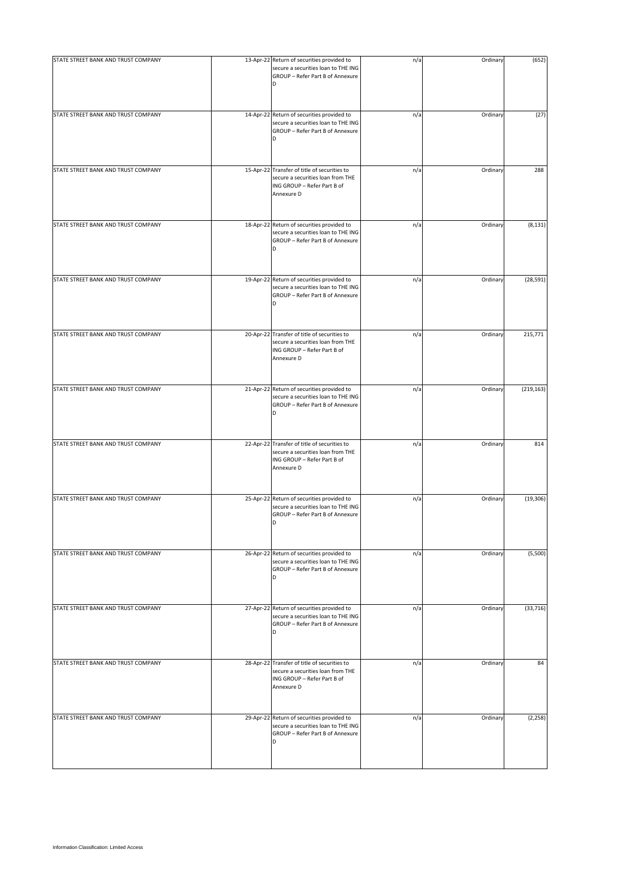| STATE STREET BANK AND TRUST COMPANY | 13-Apr-22 Return of securities provided to<br>secure a securities loan to THE ING<br>GROUP - Refer Part B of Annexure<br>D     | n/a | Ordinary | (652)      |
|-------------------------------------|--------------------------------------------------------------------------------------------------------------------------------|-----|----------|------------|
| STATE STREET BANK AND TRUST COMPANY | 14-Apr-22 Return of securities provided to<br>secure a securities loan to THE ING<br>GROUP - Refer Part B of Annexure<br>D     | n/a | Ordinary | (27)       |
| STATE STREET BANK AND TRUST COMPANY | 15-Apr-22 Transfer of title of securities to<br>secure a securities loan from THE<br>ING GROUP - Refer Part B of<br>Annexure D | n/a | Ordinary | 288        |
| STATE STREET BANK AND TRUST COMPANY | 18-Apr-22 Return of securities provided to<br>secure a securities loan to THE ING<br>GROUP - Refer Part B of Annexure<br>D     | n/a | Ordinary | (8, 131)   |
| STATE STREET BANK AND TRUST COMPANY | 19-Apr-22 Return of securities provided to<br>secure a securities loan to THE ING<br>GROUP - Refer Part B of Annexure<br>D     | n/a | Ordinary | (28, 591)  |
| STATE STREET BANK AND TRUST COMPANY | 20-Apr-22 Transfer of title of securities to<br>secure a securities loan from THE<br>ING GROUP - Refer Part B of<br>Annexure D | n/a | Ordinary | 215,771    |
| STATE STREET BANK AND TRUST COMPANY | 21-Apr-22 Return of securities provided to<br>secure a securities loan to THE ING<br>GROUP - Refer Part B of Annexure<br>D     | n/a | Ordinary | (219, 163) |
| STATE STREET BANK AND TRUST COMPANY | 22-Apr-22 Transfer of title of securities to<br>secure a securities loan from THE<br>ING GROUP - Refer Part B of<br>Annexure D | n/a | Ordinary | 814        |
| STATE STREET BANK AND TRUST COMPANY | 25-Apr-22 Return of securities provided to<br>secure a securities loan to THE ING<br>GROUP - Refer Part B of Annexure<br>D     | n/a | Ordinary | (19, 306)  |
| STATE STREET BANK AND TRUST COMPANY | 26-Apr-22 Return of securities provided to<br>secure a securities loan to THE ING<br>GROUP - Refer Part B of Annexure<br>D     | n/a | Ordinary | (5,500)    |
| STATE STREET BANK AND TRUST COMPANY | 27-Apr-22 Return of securities provided to<br>secure a securities loan to THE ING<br>GROUP - Refer Part B of Annexure<br>D     | n/a | Ordinary | (33, 716)  |
| STATE STREET BANK AND TRUST COMPANY | 28-Apr-22 Transfer of title of securities to<br>secure a securities loan from THE<br>ING GROUP - Refer Part B of<br>Annexure D | n/a | Ordinary | 84         |
| STATE STREET BANK AND TRUST COMPANY | 29-Apr-22 Return of securities provided to<br>secure a securities loan to THE ING<br>GROUP - Refer Part B of Annexure<br>D     | n/a | Ordinary | (2, 258)   |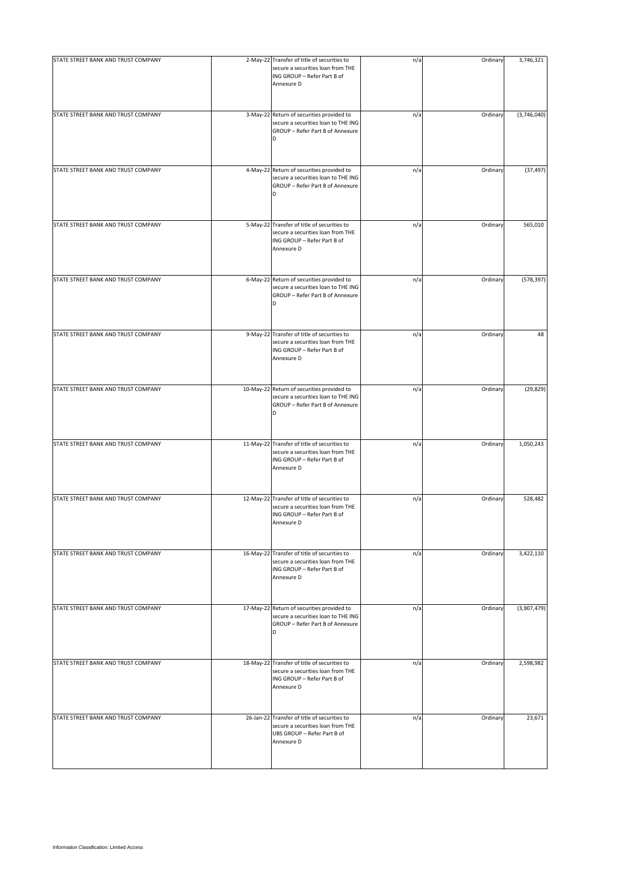| STATE STREET BANK AND TRUST COMPANY | 2-May-22 Transfer of title of securities to<br>secure a securities loan from THE<br>ING GROUP - Refer Part B of<br>Annexure D  | n/a | Ordinary | 3,746,321   |
|-------------------------------------|--------------------------------------------------------------------------------------------------------------------------------|-----|----------|-------------|
| STATE STREET BANK AND TRUST COMPANY | 3-May-22 Return of securities provided to<br>secure a securities loan to THE ING<br>GROUP - Refer Part B of Annexure<br>D      | n/a | Ordinary | (3,746,040) |
| STATE STREET BANK AND TRUST COMPANY | 4-May-22 Return of securities provided to<br>secure a securities loan to THE ING<br>GROUP - Refer Part B of Annexure<br>D      | n/a | Ordinary | (37, 497)   |
| STATE STREET BANK AND TRUST COMPANY | 5-May-22 Transfer of title of securities to<br>secure a securities loan from THE<br>ING GROUP - Refer Part B of<br>Annexure D  | n/a | Ordinary | 565,010     |
| STATE STREET BANK AND TRUST COMPANY | 6-May-22 Return of securities provided to<br>secure a securities loan to THE ING<br>GROUP - Refer Part B of Annexure<br>D      | n/a | Ordinary | (578, 397)  |
| STATE STREET BANK AND TRUST COMPANY | 9-May-22 Transfer of title of securities to<br>secure a securities loan from THE<br>ING GROUP - Refer Part B of<br>Annexure D  | n/a | Ordinary | 48          |
| STATE STREET BANK AND TRUST COMPANY | 10-May-22 Return of securities provided to<br>secure a securities loan to THE ING<br>GROUP - Refer Part B of Annexure<br>D     | n/a | Ordinary | (29, 829)   |
| STATE STREET BANK AND TRUST COMPANY | 11-May-22 Transfer of title of securities to<br>secure a securities loan from THE<br>ING GROUP - Refer Part B of<br>Annexure D | n/a | Ordinary | 1,050,243   |
| STATE STREET BANK AND TRUST COMPANY | 12-May-22 Transfer of title of securities to<br>secure a securities loan from THE<br>ING GROUP - Refer Part B of<br>Annexure D | n/a | Ordinary | 528,482     |
| STATE STREET BANK AND TRUST COMPANY | 16-May-22 Transfer of title of securities to<br>secure a securities loan from THE<br>ING GROUP - Refer Part B of<br>Annexure D | n/a | Ordinary | 3,422,110   |
| STATE STREET BANK AND TRUST COMPANY | 17-May-22 Return of securities provided to<br>secure a securities loan to THE ING<br>GROUP - Refer Part B of Annexure<br>D     | n/a | Ordinary | (3,907,479) |
| STATE STREET BANK AND TRUST COMPANY | 18-May-22 Transfer of title of securities to<br>secure a securities loan from THE<br>ING GROUP - Refer Part B of<br>Annexure D | n/a | Ordinary | 2,598,982   |
| STATE STREET BANK AND TRUST COMPANY | 26-Jan-22 Transfer of title of securities to<br>secure a securities loan from THE<br>UBS GROUP - Refer Part B of<br>Annexure D | n/a | Ordinary | 23,671      |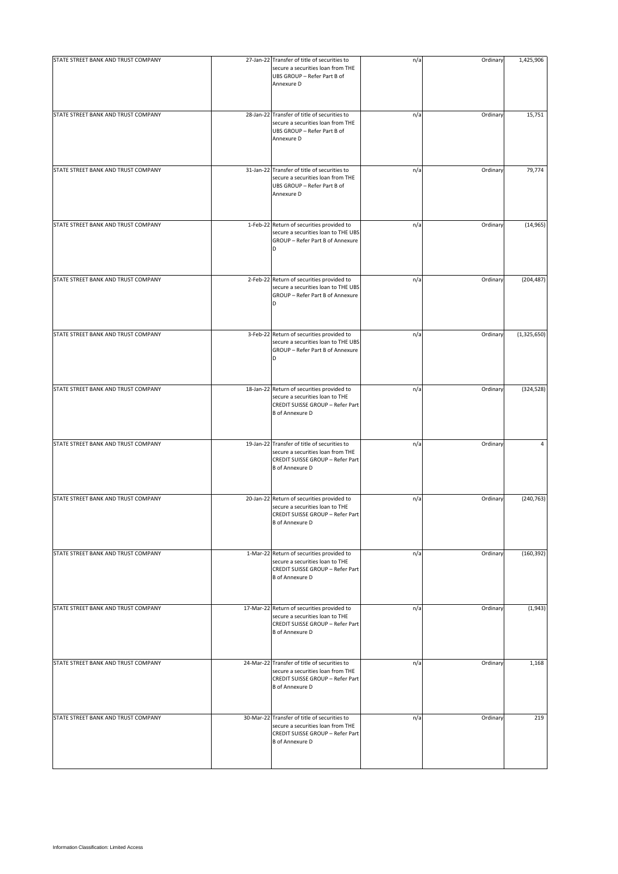| STATE STREET BANK AND TRUST COMPANY | 27-Jan-22 Transfer of title of securities to<br>secure a securities loan from THE<br>UBS GROUP - Refer Part B of<br>Annexure D                  | n/a | Ordinary | 1,425,906   |
|-------------------------------------|-------------------------------------------------------------------------------------------------------------------------------------------------|-----|----------|-------------|
| STATE STREET BANK AND TRUST COMPANY | 28-Jan-22 Transfer of title of securities to<br>secure a securities loan from THE<br>UBS GROUP - Refer Part B of<br>Annexure D                  | n/a | Ordinary | 15,751      |
| STATE STREET BANK AND TRUST COMPANY | 31-Jan-22 Transfer of title of securities to<br>secure a securities loan from THE<br>UBS GROUP - Refer Part B of<br>Annexure D                  | n/a | Ordinary | 79,774      |
| STATE STREET BANK AND TRUST COMPANY | 1-Feb-22 Return of securities provided to<br>secure a securities loan to THE UBS<br>GROUP - Refer Part B of Annexure<br>D                       | n/a | Ordinary | (14, 965)   |
| STATE STREET BANK AND TRUST COMPANY | 2-Feb-22 Return of securities provided to<br>secure a securities loan to THE UBS<br>GROUP - Refer Part B of Annexure<br>D                       | n/a | Ordinary | (204, 487)  |
| STATE STREET BANK AND TRUST COMPANY | 3-Feb-22 Return of securities provided to<br>secure a securities loan to THE UBS<br>GROUP - Refer Part B of Annexure                            | n/a | Ordinary | (1,325,650) |
| STATE STREET BANK AND TRUST COMPANY | 18-Jan-22 Return of securities provided to<br>secure a securities loan to THE<br>CREDIT SUISSE GROUP - Refer Part<br><b>B</b> of Annexure D     | n/a | Ordinary | (324, 528)  |
| STATE STREET BANK AND TRUST COMPANY | 19-Jan-22 Transfer of title of securities to<br>secure a securities loan from THE<br>CREDIT SUISSE GROUP - Refer Part<br><b>B</b> of Annexure D | n/a | Ordinary | 4           |
| STATE STREET BANK AND TRUST COMPANY | 20-Jan-22 Return of securities provided to<br>secure a securities loan to THE<br>CREDIT SUISSE GROUP - Refer Part<br><b>B</b> of Annexure D     | n/a | Ordinary | (240, 763)  |
| STATE STREET BANK AND TRUST COMPANY | 1-Mar-22 Return of securities provided to<br>secure a securities loan to THE<br>CREDIT SUISSE GROUP - Refer Part<br><b>B</b> of Annexure D      | n/a | Ordinary | (160, 392)  |
| STATE STREET BANK AND TRUST COMPANY | 17-Mar-22 Return of securities provided to<br>secure a securities loan to THE<br>CREDIT SUISSE GROUP - Refer Part<br><b>B</b> of Annexure D     | n/a | Ordinary | (1,943)     |
| STATE STREET BANK AND TRUST COMPANY | 24-Mar-22 Transfer of title of securities to<br>secure a securities loan from THE<br>CREDIT SUISSE GROUP - Refer Part<br><b>B</b> of Annexure D | n/a | Ordinary | 1,168       |
| STATE STREET BANK AND TRUST COMPANY | 30-Mar-22 Transfer of title of securities to<br>secure a securities loan from THE<br>CREDIT SUISSE GROUP - Refer Part<br><b>B</b> of Annexure D | n/a | Ordinary | 219         |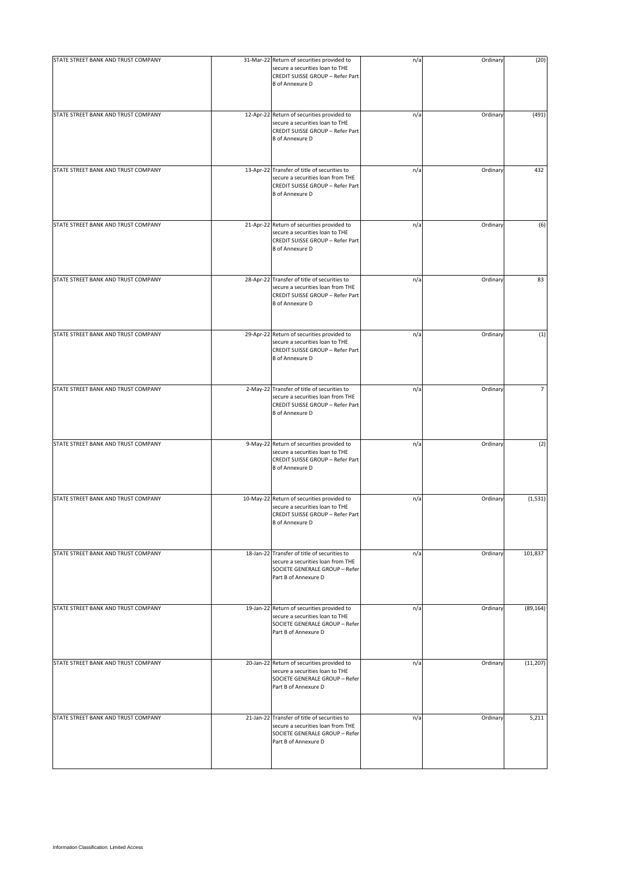| STATE STREET BANK AND TRUST COMPANY | 31-Mar-22 Return of securities provided to<br>secure a securities loan to THE<br>CREDIT SUISSE GROUP - Refer Part<br><b>B</b> of Annexure D     | n/a | Ordinary | (20)      |
|-------------------------------------|-------------------------------------------------------------------------------------------------------------------------------------------------|-----|----------|-----------|
| STATE STREET BANK AND TRUST COMPANY | 12-Apr-22 Return of securities provided to<br>secure a securities loan to THE<br>CREDIT SUISSE GROUP - Refer Part<br><b>B</b> of Annexure D     | n/a | Ordinary | (491)     |
| STATE STREET BANK AND TRUST COMPANY | 13-Apr-22 Transfer of title of securities to<br>secure a securities loan from THE<br>CREDIT SUISSE GROUP - Refer Part<br><b>B</b> of Annexure D | n/a | Ordinary | 432       |
| STATE STREET BANK AND TRUST COMPANY | 21-Apr-22 Return of securities provided to<br>secure a securities loan to THE<br>CREDIT SUISSE GROUP - Refer Part<br><b>B</b> of Annexure D     | n/a | Ordinary | (6)       |
| STATE STREET BANK AND TRUST COMPANY | 28-Apr-22 Transfer of title of securities to<br>secure a securities loan from THE<br>CREDIT SUISSE GROUP - Refer Part<br><b>B</b> of Annexure D | n/a | Ordinary | 83        |
| STATE STREET BANK AND TRUST COMPANY | 29-Apr-22 Return of securities provided to<br>secure a securities loan to THE<br>CREDIT SUISSE GROUP - Refer Part<br><b>B</b> of Annexure D     | n/a | Ordinary | (1)       |
| STATE STREET BANK AND TRUST COMPANY | 2-May-22 Transfer of title of securities to<br>secure a securities loan from THE<br>CREDIT SUISSE GROUP - Refer Part<br><b>B</b> of Annexure D  | n/a | Ordinary |           |
| STATE STREET BANK AND TRUST COMPANY | 9-May-22 Return of securities provided to<br>secure a securities loan to THE<br>CREDIT SUISSE GROUP - Refer Part<br><b>B</b> of Annexure D      | n/a | Ordinary | (2)       |
| STATE STREET BANK AND TRUST COMPANY | 10-May-22 Return of securities provided to<br>secure a securities loan to THE<br>CREDIT SUISSE GROUP - Refer Part<br><b>B</b> of Annexure D     | n/a | Ordinary | (1, 531)  |
| STATE STREET BANK AND TRUST COMPANY | 18-Jan-22 Transfer of title of securities to<br>secure a securities loan from THE<br>SOCIETE GENERALE GROUP - Refer<br>Part B of Annexure D     | n/a | Ordinary | 101,837   |
| STATE STREET BANK AND TRUST COMPANY | 19-Jan-22 Return of securities provided to<br>secure a securities loan to THE<br>SOCIETE GENERALE GROUP - Refer<br>Part B of Annexure D         | n/a | Ordinary | (89, 164) |
| STATE STREET BANK AND TRUST COMPANY | 20-Jan-22 Return of securities provided to<br>secure a securities loan to THE<br>SOCIETE GENERALE GROUP - Refer<br>Part B of Annexure D         | n/a | Ordinary | (11, 207) |
| STATE STREET BANK AND TRUST COMPANY | 21-Jan-22 Transfer of title of securities to<br>secure a securities loan from THE<br>SOCIETE GENERALE GROUP - Refer<br>Part B of Annexure D     | n/a | Ordinary | 5,211     |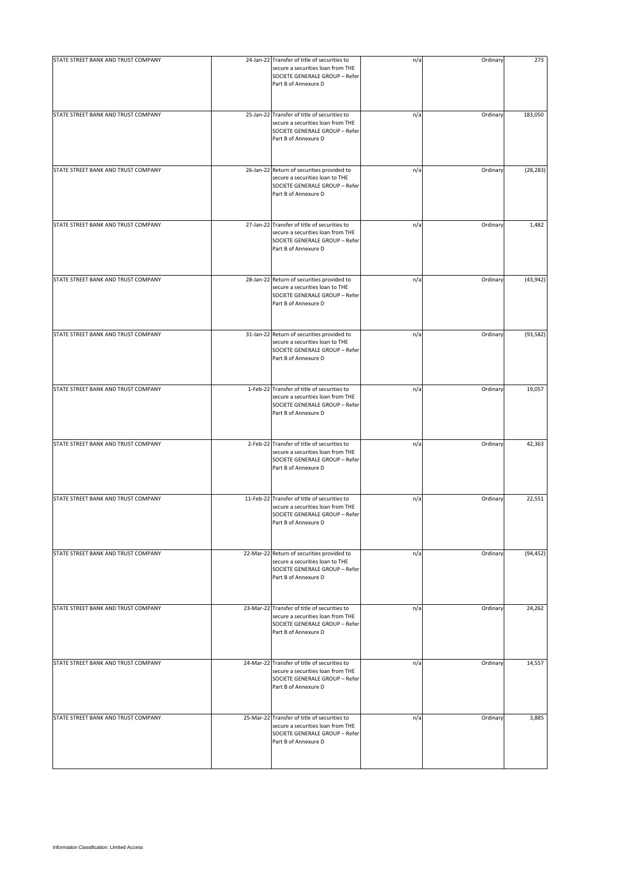| STATE STREET BANK AND TRUST COMPANY | 24-Jan-22 Transfer of title of securities to<br>secure a securities loan from THE<br>SOCIETE GENERALE GROUP - Refer<br>Part B of Annexure D | n/a | Ordinary | 273       |
|-------------------------------------|---------------------------------------------------------------------------------------------------------------------------------------------|-----|----------|-----------|
| STATE STREET BANK AND TRUST COMPANY | 25-Jan-22 Transfer of title of securities to<br>secure a securities loan from THE<br>SOCIETE GENERALE GROUP - Refer<br>Part B of Annexure D | n/a | Ordinary | 183,050   |
| STATE STREET BANK AND TRUST COMPANY | 26-Jan-22 Return of securities provided to<br>secure a securities loan to THE<br>SOCIETE GENERALE GROUP - Refer<br>Part B of Annexure D     | n/a | Ordinary | (28, 283) |
| STATE STREET BANK AND TRUST COMPANY | 27-Jan-22 Transfer of title of securities to<br>secure a securities loan from THE<br>SOCIETE GENERALE GROUP - Refer<br>Part B of Annexure D | n/a | Ordinary | 1,482     |
| STATE STREET BANK AND TRUST COMPANY | 28-Jan-22 Return of securities provided to<br>secure a securities loan to THE<br>SOCIETE GENERALE GROUP - Refer<br>Part B of Annexure D     | n/a | Ordinary | (43, 942) |
| STATE STREET BANK AND TRUST COMPANY | 31-Jan-22 Return of securities provided to<br>secure a securities loan to THE<br>SOCIETE GENERALE GROUP - Refer<br>Part B of Annexure D     | n/a | Ordinary | (93, 582) |
| STATE STREET BANK AND TRUST COMPANY | 1-Feb-22 Transfer of title of securities to<br>secure a securities loan from THE<br>SOCIETE GENERALE GROUP - Refer<br>Part B of Annexure D  | n/a | Ordinary | 19,057    |
| STATE STREET BANK AND TRUST COMPANY | 2-Feb-22 Transfer of title of securities to<br>secure a securities loan from THE<br>SOCIETE GENERALE GROUP - Refer<br>Part B of Annexure D  | n/a | Ordinary | 42,363    |
| STATE STREET BANK AND TRUST COMPANY | 11-Feb-22 Transfer of title of securities to<br>secure a securities loan from THE<br>SOCIETE GENERALE GROUP - Refer<br>Part B of Annexure D | n/a | Ordinary | 22,551    |
| STATE STREET BANK AND TRUST COMPANY | 22-Mar-22 Return of securities provided to<br>secure a securities loan to THE<br>SOCIETE GENERALE GROUP - Refer<br>Part B of Annexure D     | n/a | Ordinary | (94, 452) |
| STATE STREET BANK AND TRUST COMPANY | 23-Mar-22 Transfer of title of securities to<br>secure a securities loan from THE<br>SOCIETE GENERALE GROUP - Refer<br>Part B of Annexure D | n/a | Ordinary | 24,262    |
| STATE STREET BANK AND TRUST COMPANY | 24-Mar-22 Transfer of title of securities to<br>secure a securities loan from THE<br>SOCIETE GENERALE GROUP - Refer<br>Part B of Annexure D | n/a | Ordinary | 14,557    |
| STATE STREET BANK AND TRUST COMPANY | 25-Mar-22 Transfer of title of securities to<br>secure a securities loan from THE<br>SOCIETE GENERALE GROUP - Refer<br>Part B of Annexure D | n/a | Ordinary | 3,885     |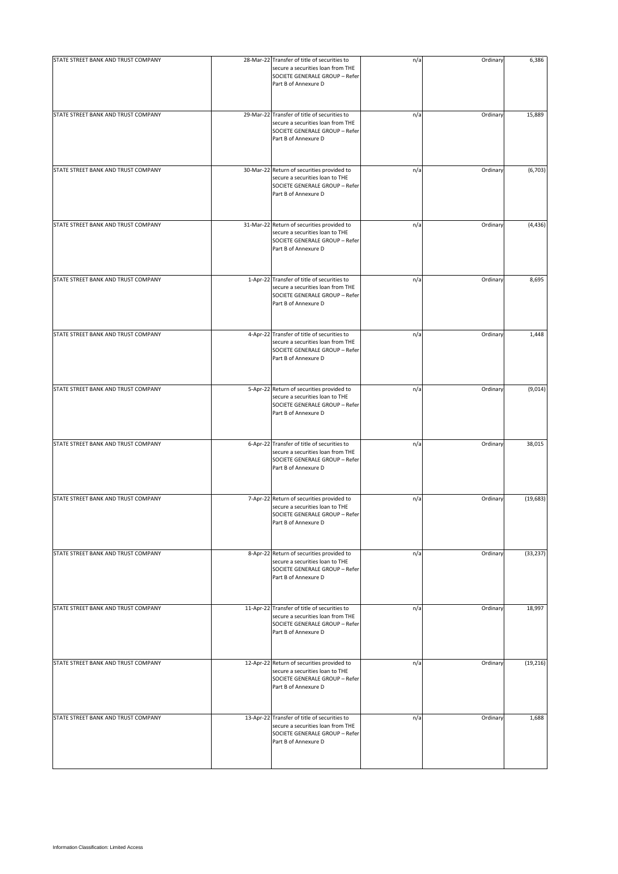| STATE STREET BANK AND TRUST COMPANY | 28-Mar-22 Transfer of title of securities to<br>secure a securities loan from THE<br>SOCIETE GENERALE GROUP - Refer<br>Part B of Annexure D | n/a | Ordinary | 6,386     |
|-------------------------------------|---------------------------------------------------------------------------------------------------------------------------------------------|-----|----------|-----------|
| STATE STREET BANK AND TRUST COMPANY | 29-Mar-22 Transfer of title of securities to<br>secure a securities loan from THE<br>SOCIETE GENERALE GROUP - Refer<br>Part B of Annexure D | n/a | Ordinary | 15,889    |
| STATE STREET BANK AND TRUST COMPANY | 30-Mar-22 Return of securities provided to<br>secure a securities loan to THE<br>SOCIETE GENERALE GROUP - Refer<br>Part B of Annexure D     | n/a | Ordinary | (6,703)   |
| STATE STREET BANK AND TRUST COMPANY | 31-Mar-22 Return of securities provided to<br>secure a securities loan to THE<br>SOCIETE GENERALE GROUP - Refer<br>Part B of Annexure D     | n/a | Ordinary | (4, 436)  |
| STATE STREET BANK AND TRUST COMPANY | 1-Apr-22 Transfer of title of securities to<br>secure a securities loan from THE<br>SOCIETE GENERALE GROUP - Refer<br>Part B of Annexure D  | n/a | Ordinary | 8,695     |
| STATE STREET BANK AND TRUST COMPANY | 4-Apr-22 Transfer of title of securities to<br>secure a securities loan from THE<br>SOCIETE GENERALE GROUP - Refer<br>Part B of Annexure D  | n/a | Ordinary | 1,448     |
| STATE STREET BANK AND TRUST COMPANY | 5-Apr-22 Return of securities provided to<br>secure a securities loan to THE<br>SOCIETE GENERALE GROUP - Refer<br>Part B of Annexure D      | n/a | Ordinary | (9,014)   |
| STATE STREET BANK AND TRUST COMPANY | 6-Apr-22 Transfer of title of securities to<br>secure a securities loan from THE<br>SOCIETE GENERALE GROUP - Refer<br>Part B of Annexure D  | n/a | Ordinary | 38,015    |
| STATE STREET BANK AND TRUST COMPANY | 7-Apr-22 Return of securities provided to<br>secure a securities loan to THE<br>SOCIETE GENERALE GROUP - Refer<br>Part B of Annexure D      | n/a | Ordinary | (19, 683) |
| STATE STREET BANK AND TRUST COMPANY | 8-Apr-22 Return of securities provided to<br>secure a securities loan to THE<br>SOCIETE GENERALE GROUP - Refer<br>Part B of Annexure D      | n/a | Ordinary | (33, 237) |
| STATE STREET BANK AND TRUST COMPANY | 11-Apr-22 Transfer of title of securities to<br>secure a securities loan from THE<br>SOCIETE GENERALE GROUP - Refer<br>Part B of Annexure D | n/a | Ordinary | 18,997    |
| STATE STREET BANK AND TRUST COMPANY | 12-Apr-22 Return of securities provided to<br>secure a securities loan to THE<br>SOCIETE GENERALE GROUP - Refer<br>Part B of Annexure D     | n/a | Ordinary | (19, 216) |
| STATE STREET BANK AND TRUST COMPANY | 13-Apr-22 Transfer of title of securities to<br>secure a securities loan from THE<br>SOCIETE GENERALE GROUP - Refer<br>Part B of Annexure D | n/a | Ordinary | 1,688     |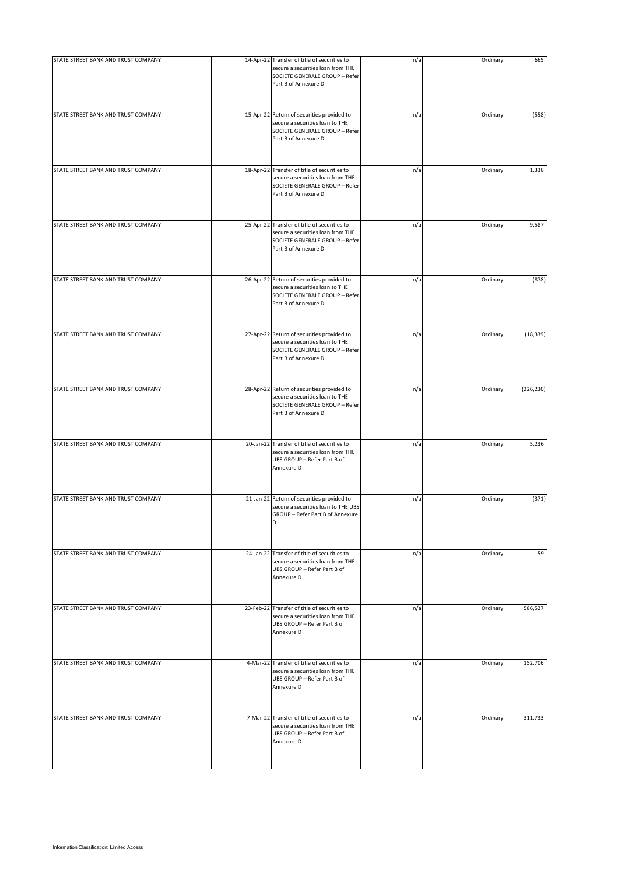| STATE STREET BANK AND TRUST COMPANY | 14-Apr-22 Transfer of title of securities to<br>secure a securities loan from THE<br>SOCIETE GENERALE GROUP - Refer<br>Part B of Annexure D | n/a | Ordinary | 665        |
|-------------------------------------|---------------------------------------------------------------------------------------------------------------------------------------------|-----|----------|------------|
| STATE STREET BANK AND TRUST COMPANY | 15-Apr-22 Return of securities provided to<br>secure a securities loan to THE<br>SOCIETE GENERALE GROUP - Refer<br>Part B of Annexure D     | n/a | Ordinary | (558)      |
| STATE STREET BANK AND TRUST COMPANY | 18-Apr-22 Transfer of title of securities to<br>secure a securities loan from THE<br>SOCIETE GENERALE GROUP - Refer<br>Part B of Annexure D | n/a | Ordinary | 1,338      |
| STATE STREET BANK AND TRUST COMPANY | 25-Apr-22 Transfer of title of securities to<br>secure a securities loan from THE<br>SOCIETE GENERALE GROUP - Refer<br>Part B of Annexure D | n/a | Ordinary | 9,587      |
| STATE STREET BANK AND TRUST COMPANY | 26-Apr-22 Return of securities provided to<br>secure a securities loan to THE<br>SOCIETE GENERALE GROUP - Refer<br>Part B of Annexure D     | n/a | Ordinary | (878)      |
| STATE STREET BANK AND TRUST COMPANY | 27-Apr-22 Return of securities provided to<br>secure a securities loan to THE<br>SOCIETE GENERALE GROUP - Refer<br>Part B of Annexure D     | n/a | Ordinary | (18, 339)  |
| STATE STREET BANK AND TRUST COMPANY | 28-Apr-22 Return of securities provided to<br>secure a securities loan to THE<br>SOCIETE GENERALE GROUP - Refer<br>Part B of Annexure D     | n/a | Ordinary | (226, 230) |
| STATE STREET BANK AND TRUST COMPANY | 20-Jan-22 Transfer of title of securities to<br>secure a securities loan from THE<br>UBS GROUP - Refer Part B of<br>Annexure D              | n/a | Ordinary | 5,236      |
| STATE STREET BANK AND TRUST COMPANY | 21-Jan-22 Return of securities provided to<br>secure a securities loan to THE UBS<br>GROUP - Refer Part B of Annexure<br>D                  | n/a | Ordinary | (371)      |
| STATE STREET BANK AND TRUST COMPANY | 24-Jan-22 Transfer of title of securities to<br>secure a securities loan from THE<br>UBS GROUP - Refer Part B of<br>Annexure D              | n/a | Ordinary | 59         |
| STATE STREET BANK AND TRUST COMPANY | 23-Feb-22 Transfer of title of securities to<br>secure a securities loan from THE<br>UBS GROUP - Refer Part B of<br>Annexure D              | n/a | Ordinary | 586,527    |
| STATE STREET BANK AND TRUST COMPANY | 4-Mar-22 Transfer of title of securities to<br>secure a securities loan from THE<br>UBS GROUP - Refer Part B of<br>Annexure D               | n/a | Ordinary | 152,706    |
| STATE STREET BANK AND TRUST COMPANY | 7-Mar-22 Transfer of title of securities to<br>secure a securities loan from THE<br>UBS GROUP - Refer Part B of<br>Annexure D               | n/a | Ordinary | 311,733    |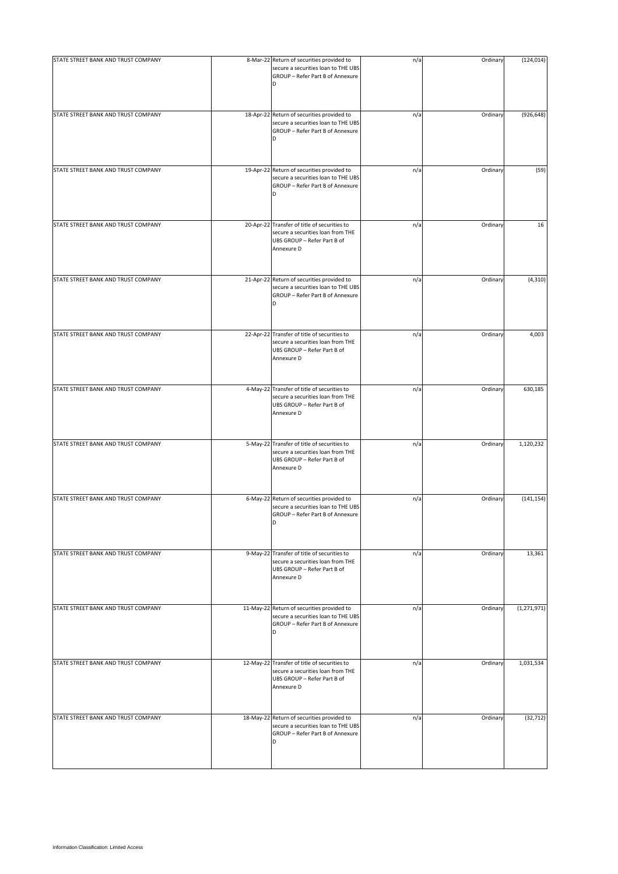| STATE STREET BANK AND TRUST COMPANY | 8-Mar-22 Return of securities provided to<br>secure a securities loan to THE UBS                                               | n/a | Ordinary | (124, 014)    |
|-------------------------------------|--------------------------------------------------------------------------------------------------------------------------------|-----|----------|---------------|
|                                     | GROUP - Refer Part B of Annexure<br>D                                                                                          |     |          |               |
| STATE STREET BANK AND TRUST COMPANY | 18-Apr-22 Return of securities provided to<br>secure a securities loan to THE UBS<br>GROUP - Refer Part B of Annexure<br>D     | n/a | Ordinary | (926, 648)    |
| STATE STREET BANK AND TRUST COMPANY | 19-Apr-22 Return of securities provided to<br>secure a securities loan to THE UBS<br>GROUP - Refer Part B of Annexure<br>D     | n/a | Ordinary | (59)          |
| STATE STREET BANK AND TRUST COMPANY | 20-Apr-22 Transfer of title of securities to<br>secure a securities loan from THE<br>UBS GROUP - Refer Part B of<br>Annexure D | n/a | Ordinary | 16            |
| STATE STREET BANK AND TRUST COMPANY | 21-Apr-22 Return of securities provided to<br>secure a securities loan to THE UBS<br>GROUP - Refer Part B of Annexure<br>D     | n/a | Ordinary | (4, 310)      |
| STATE STREET BANK AND TRUST COMPANY | 22-Apr-22 Transfer of title of securities to<br>secure a securities loan from THE<br>UBS GROUP - Refer Part B of<br>Annexure D | n/a | Ordinary | 4,003         |
| STATE STREET BANK AND TRUST COMPANY | 4-May-22 Transfer of title of securities to<br>secure a securities loan from THE<br>UBS GROUP - Refer Part B of<br>Annexure D  | n/a | Ordinary | 630,185       |
| STATE STREET BANK AND TRUST COMPANY | 5-May-22 Transfer of title of securities to<br>secure a securities loan from THE<br>UBS GROUP - Refer Part B of<br>Annexure D  | n/a | Ordinary | 1,120,232     |
| STATE STREET BANK AND TRUST COMPANY | 6-May-22 Return of securities provided to<br>secure a securities loan to THE UBS<br>GROUP - Refer Part B of Annexure<br>D      | n/a | Ordinary | (141, 154)    |
| STATE STREET BANK AND TRUST COMPANY | 9-May-22 Transfer of title of securities to<br>secure a securities loan from THE<br>UBS GROUP - Refer Part B of<br>Annexure D  | n/a | Ordinary | 13,361        |
| STATE STREET BANK AND TRUST COMPANY | 11-May-22 Return of securities provided to<br>secure a securities loan to THE UBS<br>GROUP - Refer Part B of Annexure<br>D     | n/a | Ordinary | (1, 271, 971) |
| STATE STREET BANK AND TRUST COMPANY | 12-May-22 Transfer of title of securities to<br>secure a securities loan from THE<br>UBS GROUP - Refer Part B of<br>Annexure D | n/a | Ordinary | 1,031,534     |
| STATE STREET BANK AND TRUST COMPANY | 18-May-22 Return of securities provided to<br>secure a securities loan to THE UBS<br>GROUP - Refer Part B of Annexure<br>D     | n/a | Ordinary | (32, 712)     |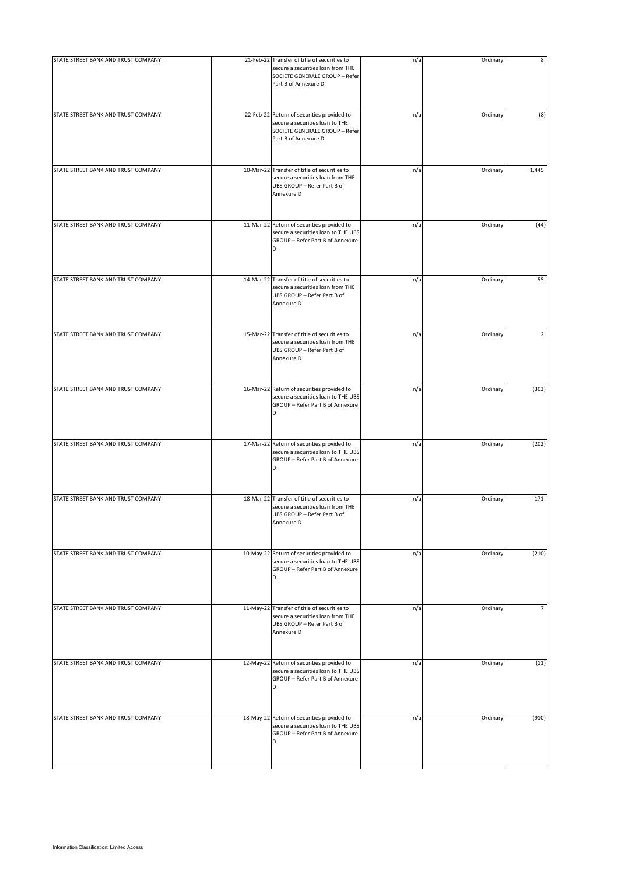| STATE STREET BANK AND TRUST COMPANY | 21-Feb-22 Transfer of title of securities to<br>secure a securities loan from THE<br>SOCIETE GENERALE GROUP - Refer<br>Part B of Annexure D | n/a | Ordinary | 8     |
|-------------------------------------|---------------------------------------------------------------------------------------------------------------------------------------------|-----|----------|-------|
| STATE STREET BANK AND TRUST COMPANY | 22-Feb-22 Return of securities provided to<br>secure a securities loan to THE<br>SOCIETE GENERALE GROUP - Refer<br>Part B of Annexure D     | n/a | Ordinary | (8)   |
| STATE STREET BANK AND TRUST COMPANY | 10-Mar-22 Transfer of title of securities to<br>secure a securities loan from THE<br>UBS GROUP - Refer Part B of<br>Annexure D              | n/a | Ordinary | 1,445 |
| STATE STREET BANK AND TRUST COMPANY | 11-Mar-22 Return of securities provided to<br>secure a securities loan to THE UBS<br>GROUP - Refer Part B of Annexure<br>D                  | n/a | Ordinary | (44)  |
| STATE STREET BANK AND TRUST COMPANY | 14-Mar-22 Transfer of title of securities to<br>secure a securities loan from THE<br>UBS GROUP - Refer Part B of<br>Annexure D              | n/a | Ordinary | 55    |
| STATE STREET BANK AND TRUST COMPANY | 15-Mar-22 Transfer of title of securities to<br>secure a securities loan from THE<br>UBS GROUP - Refer Part B of<br>Annexure D              | n/a | Ordinary | 2     |
| STATE STREET BANK AND TRUST COMPANY | 16-Mar-22 Return of securities provided to<br>secure a securities loan to THE UBS<br>GROUP - Refer Part B of Annexure<br>D                  | n/a | Ordinary | (303) |
| STATE STREET BANK AND TRUST COMPANY | 17-Mar-22 Return of securities provided to<br>secure a securities loan to THE UBS<br>GROUP - Refer Part B of Annexure<br>D                  | n/a | Ordinary | (202) |
| STATE STREET BANK AND TRUST COMPANY | 18-Mar-22 Transfer of title of securities to<br>secure a securities loan from THE<br>UBS GROUP - Refer Part B of<br>Annexure D              | n/a | Ordinary | 171   |
| STATE STREET BANK AND TRUST COMPANY | 10-May-22 Return of securities provided to<br>secure a securities loan to THE UBS<br>GROUP - Refer Part B of Annexure<br>D                  | n/a | Ordinary | (210) |
| STATE STREET BANK AND TRUST COMPANY | 11-May-22 Transfer of title of securities to<br>secure a securities loan from THE<br>UBS GROUP - Refer Part B of<br>Annexure D              | n/a | Ordinary | 7     |
| STATE STREET BANK AND TRUST COMPANY | 12-May-22 Return of securities provided to<br>secure a securities loan to THE UBS<br>GROUP - Refer Part B of Annexure<br>D                  | n/a | Ordinary | (11)  |
| STATE STREET BANK AND TRUST COMPANY | 18-May-22 Return of securities provided to<br>secure a securities loan to THE UBS<br>GROUP - Refer Part B of Annexure<br>D                  | n/a | Ordinary | (910) |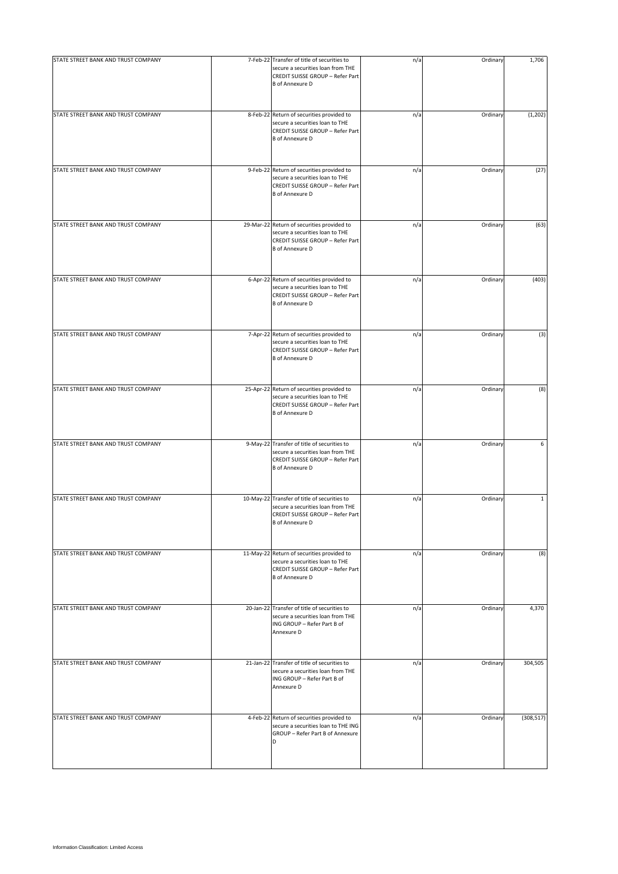| STATE STREET BANK AND TRUST COMPANY | 7-Feb-22 Transfer of title of securities to<br>secure a securities loan from THE<br>CREDIT SUISSE GROUP - Refer Part<br><b>B</b> of Annexure D  | n/a | Ordinary | 1,706        |
|-------------------------------------|-------------------------------------------------------------------------------------------------------------------------------------------------|-----|----------|--------------|
| STATE STREET BANK AND TRUST COMPANY | 8-Feb-22 Return of securities provided to<br>secure a securities loan to THE<br>CREDIT SUISSE GROUP - Refer Part<br><b>B</b> of Annexure D      | n/a | Ordinary | (1, 202)     |
| STATE STREET BANK AND TRUST COMPANY | 9-Feb-22 Return of securities provided to<br>secure a securities loan to THE<br>CREDIT SUISSE GROUP - Refer Part<br><b>B</b> of Annexure D      | n/a | Ordinary | (27)         |
| STATE STREET BANK AND TRUST COMPANY | 29-Mar-22 Return of securities provided to<br>secure a securities loan to THE<br>CREDIT SUISSE GROUP - Refer Part<br><b>B</b> of Annexure D     | n/a | Ordinary | (63)         |
| STATE STREET BANK AND TRUST COMPANY | 6-Apr-22 Return of securities provided to<br>secure a securities loan to THE<br>CREDIT SUISSE GROUP - Refer Part<br><b>B</b> of Annexure D      | n/a | Ordinary | (403)        |
| STATE STREET BANK AND TRUST COMPANY | 7-Apr-22 Return of securities provided to<br>secure a securities loan to THE<br>CREDIT SUISSE GROUP - Refer Part<br><b>B</b> of Annexure D      | n/a | Ordinary | (3)          |
| STATE STREET BANK AND TRUST COMPANY | 25-Apr-22 Return of securities provided to<br>secure a securities loan to THE<br>CREDIT SUISSE GROUP - Refer Part<br><b>B</b> of Annexure D     | n/a | Ordinary | (8)          |
| STATE STREET BANK AND TRUST COMPANY | 9-May-22 Transfer of title of securities to<br>secure a securities loan from THE<br>CREDIT SUISSE GROUP - Refer Part<br><b>B</b> of Annexure D  | n/a | Ordinary | 6            |
| STATE STREET BANK AND TRUST COMPANY | 10-May-22 Transfer of title of securities to<br>secure a securities loan from THE<br>CREDIT SUISSE GROUP - Refer Part<br><b>B</b> of Annexure D | n/a | Ordinary | $\mathbf{1}$ |
| STATE STREET BANK AND TRUST COMPANY | 11-May-22 Return of securities provided to<br>secure a securities loan to THE<br>CREDIT SUISSE GROUP - Refer Part<br><b>B</b> of Annexure D     | n/a | Ordinary | (8)          |
| STATE STREET BANK AND TRUST COMPANY | 20-Jan-22 Transfer of title of securities to<br>secure a securities loan from THE<br>ING GROUP - Refer Part B of<br>Annexure D                  | n/a | Ordinary | 4,370        |
| STATE STREET BANK AND TRUST COMPANY | 21-Jan-22 Transfer of title of securities to<br>secure a securities loan from THE<br>ING GROUP - Refer Part B of<br>Annexure D                  | n/a | Ordinary | 304,505      |
| STATE STREET BANK AND TRUST COMPANY | 4-Feb-22 Return of securities provided to<br>secure a securities loan to THE ING<br>GROUP - Refer Part B of Annexure<br>D                       | n/a | Ordinary | (308, 517)   |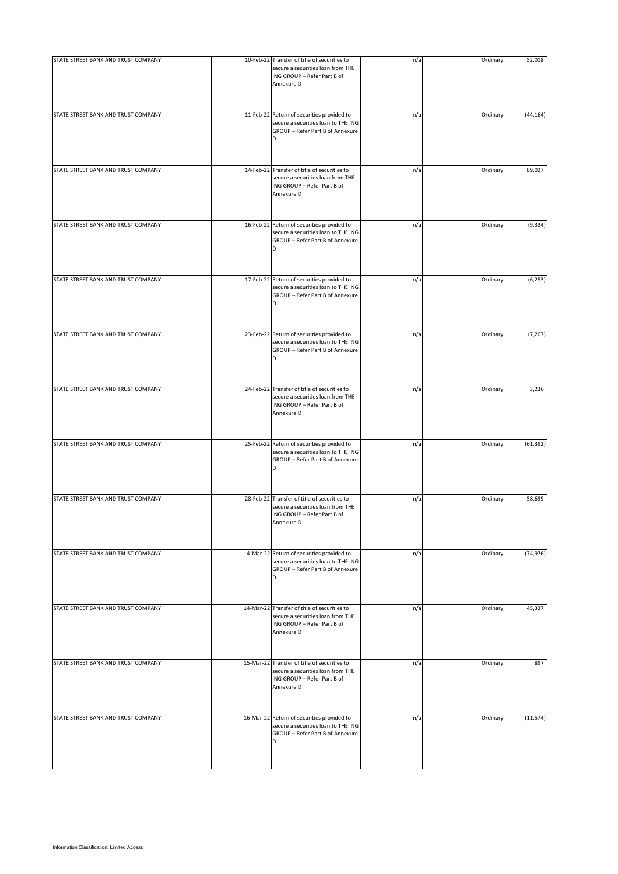| STATE STREET BANK AND TRUST COMPANY | 10-Feb-22 Transfer of title of securities to<br>secure a securities loan from THE<br>ING GROUP - Refer Part B of<br>Annexure D | n/a | Ordinary | 52,018    |
|-------------------------------------|--------------------------------------------------------------------------------------------------------------------------------|-----|----------|-----------|
| STATE STREET BANK AND TRUST COMPANY | 11-Feb-22 Return of securities provided to<br>secure a securities loan to THE ING<br>GROUP - Refer Part B of Annexure<br>D     | n/a | Ordinary | (44, 164) |
| STATE STREET BANK AND TRUST COMPANY | 14-Feb-22 Transfer of title of securities to<br>secure a securities loan from THE<br>ING GROUP - Refer Part B of<br>Annexure D | n/a | Ordinary | 89,027    |
| STATE STREET BANK AND TRUST COMPANY | 16-Feb-22 Return of securities provided to<br>secure a securities loan to THE ING<br>GROUP - Refer Part B of Annexure<br>D     | n/a | Ordinary | (9, 334)  |
| STATE STREET BANK AND TRUST COMPANY | 17-Feb-22 Return of securities provided to<br>secure a securities loan to THE ING<br>GROUP - Refer Part B of Annexure<br>D     | n/a | Ordinary | (6, 253)  |
| STATE STREET BANK AND TRUST COMPANY | 23-Feb-22 Return of securities provided to<br>secure a securities loan to THE ING<br>GROUP - Refer Part B of Annexure          | n/a | Ordinary | (7, 207)  |
| STATE STREET BANK AND TRUST COMPANY | 24-Feb-22 Transfer of title of securities to<br>secure a securities loan from THE<br>ING GROUP - Refer Part B of<br>Annexure D | n/a | Ordinary | 3,236     |
| STATE STREET BANK AND TRUST COMPANY | 25-Feb-22 Return of securities provided to<br>secure a securities loan to THE ING<br>GROUP - Refer Part B of Annexure<br>D     | n/a | Ordinary | (61, 392) |
| STATE STREET BANK AND TRUST COMPANY | 28-Feb-22 Transfer of title of securities to<br>secure a securities loan from THE<br>ING GROUP - Refer Part B of<br>Annexure D | n/a | Ordinary | 58,699    |
| STATE STREET BANK AND TRUST COMPANY | 4-Mar-22 Return of securities provided to<br>secure a securities loan to THE ING<br>GROUP - Refer Part B of Annexure<br>D      | n/a | Ordinary | (74, 976) |
| STATE STREET BANK AND TRUST COMPANY | 14-Mar-22 Transfer of title of securities to<br>secure a securities loan from THE<br>ING GROUP - Refer Part B of<br>Annexure D | n/a | Ordinary | 45,337    |
| STATE STREET BANK AND TRUST COMPANY | 15-Mar-22 Transfer of title of securities to<br>secure a securities loan from THE<br>ING GROUP - Refer Part B of<br>Annexure D | n/a | Ordinary | 897       |
| STATE STREET BANK AND TRUST COMPANY | 16-Mar-22 Return of securities provided to<br>secure a securities loan to THE ING<br>GROUP - Refer Part B of Annexure<br>D     | n/a | Ordinary | (11, 574) |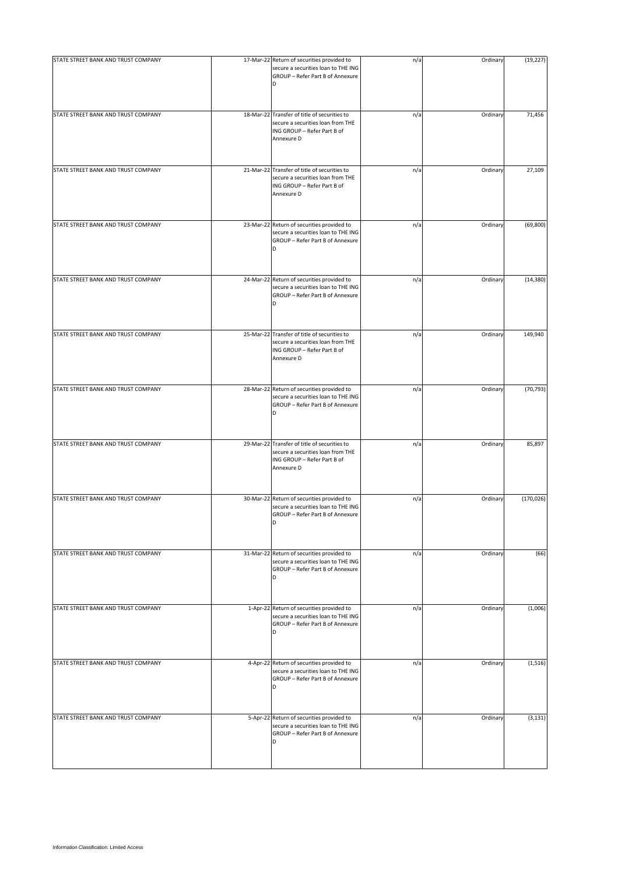| STATE STREET BANK AND TRUST COMPANY | 17-Mar-22 Return of securities provided to<br>secure a securities loan to THE ING<br>GROUP - Refer Part B of Annexure<br>D     | n/a | Ordinary | (19, 227)  |
|-------------------------------------|--------------------------------------------------------------------------------------------------------------------------------|-----|----------|------------|
| STATE STREET BANK AND TRUST COMPANY | 18-Mar-22 Transfer of title of securities to<br>secure a securities loan from THE<br>ING GROUP - Refer Part B of<br>Annexure D | n/a | Ordinary | 71,456     |
| STATE STREET BANK AND TRUST COMPANY | 21-Mar-22 Transfer of title of securities to<br>secure a securities loan from THE<br>ING GROUP - Refer Part B of<br>Annexure D | n/a | Ordinary | 27,109     |
| STATE STREET BANK AND TRUST COMPANY | 23-Mar-22 Return of securities provided to<br>secure a securities loan to THE ING<br>GROUP - Refer Part B of Annexure<br>D     | n/a | Ordinary | (69, 800)  |
| STATE STREET BANK AND TRUST COMPANY | 24-Mar-22 Return of securities provided to<br>secure a securities loan to THE ING<br>GROUP - Refer Part B of Annexure<br>D     | n/a | Ordinary | (14, 380)  |
| STATE STREET BANK AND TRUST COMPANY | 25-Mar-22 Transfer of title of securities to<br>secure a securities loan from THE<br>ING GROUP - Refer Part B of<br>Annexure D | n/a | Ordinary | 149,940    |
| STATE STREET BANK AND TRUST COMPANY | 28-Mar-22 Return of securities provided to<br>secure a securities loan to THE ING<br>GROUP - Refer Part B of Annexure<br>D     | n/a | Ordinary | (70, 793)  |
| STATE STREET BANK AND TRUST COMPANY | 29-Mar-22 Transfer of title of securities to<br>secure a securities loan from THE<br>ING GROUP - Refer Part B of<br>Annexure D | n/a | Ordinary | 85,897     |
| STATE STREET BANK AND TRUST COMPANY | 30-Mar-22 Return of securities provided to<br>secure a securities loan to THE ING<br>GROUP - Refer Part B of Annexure<br>D     | n/a | Ordinary | (170, 026) |
| STATE STREET BANK AND TRUST COMPANY | 31-Mar-22 Return of securities provided to<br>secure a securities loan to THE ING<br>GROUP - Refer Part B of Annexure<br>D     | n/a | Ordinary | (66)       |
| STATE STREET BANK AND TRUST COMPANY | 1-Apr-22 Return of securities provided to<br>secure a securities loan to THE ING<br>GROUP - Refer Part B of Annexure<br>D      | n/a | Ordinary | (1,006)    |
| STATE STREET BANK AND TRUST COMPANY | 4-Apr-22 Return of securities provided to<br>secure a securities loan to THE ING<br>GROUP - Refer Part B of Annexure<br>D      | n/a | Ordinary | (1, 516)   |
| STATE STREET BANK AND TRUST COMPANY | 5-Apr-22 Return of securities provided to<br>secure a securities loan to THE ING<br>GROUP - Refer Part B of Annexure<br>D      | n/a | Ordinary | (3, 131)   |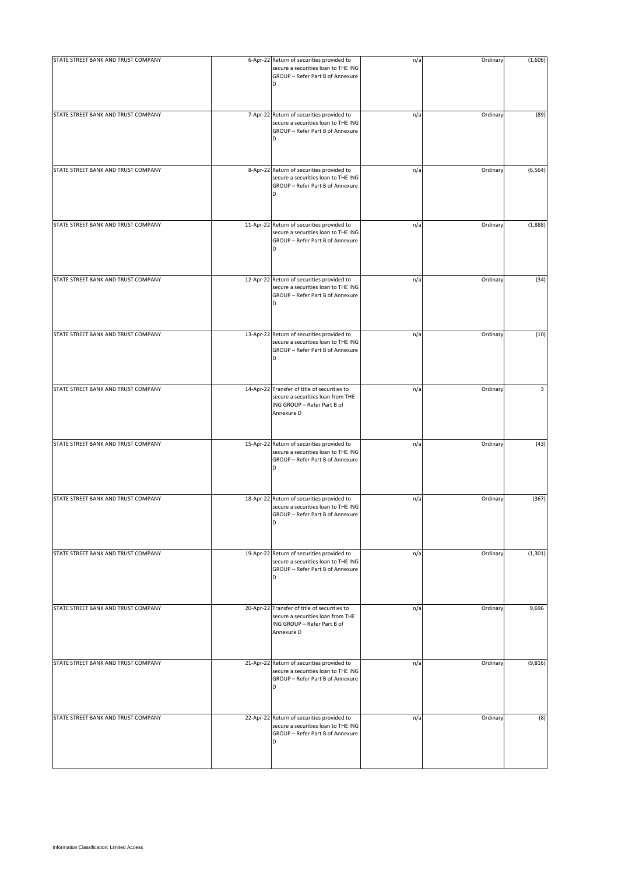| STATE STREET BANK AND TRUST COMPANY | 6-Apr-22 Return of securities provided to<br>secure a securities loan to THE ING<br>GROUP - Refer Part B of Annexure<br>D      | n/a | Ordinary | (1,606)  |
|-------------------------------------|--------------------------------------------------------------------------------------------------------------------------------|-----|----------|----------|
| STATE STREET BANK AND TRUST COMPANY | 7-Apr-22 Return of securities provided to<br>secure a securities loan to THE ING<br>GROUP - Refer Part B of Annexure<br>D      | n/a | Ordinary | (89)     |
| STATE STREET BANK AND TRUST COMPANY | 8-Apr-22 Return of securities provided to<br>secure a securities loan to THE ING<br>GROUP - Refer Part B of Annexure<br>D      | n/a | Ordinary | (6, 564) |
| STATE STREET BANK AND TRUST COMPANY | 11-Apr-22 Return of securities provided to<br>secure a securities loan to THE ING<br>GROUP - Refer Part B of Annexure<br>D     | n/a | Ordinary | (1,888)  |
| STATE STREET BANK AND TRUST COMPANY | 12-Apr-22 Return of securities provided to<br>secure a securities loan to THE ING<br>GROUP - Refer Part B of Annexure<br>D     | n/a | Ordinary | (34)     |
| STATE STREET BANK AND TRUST COMPANY | 13-Apr-22 Return of securities provided to<br>secure a securities loan to THE ING<br>GROUP - Refer Part B of Annexure<br>D     | n/a | Ordinary | (10)     |
| STATE STREET BANK AND TRUST COMPANY | 14-Apr-22 Transfer of title of securities to<br>secure a securities loan from THE<br>ING GROUP - Refer Part B of<br>Annexure D | n/a | Ordinary | 3        |
| STATE STREET BANK AND TRUST COMPANY | 15-Apr-22 Return of securities provided to<br>secure a securities loan to THE ING<br>GROUP - Refer Part B of Annexure<br>D     | n/a | Ordinary | (43)     |
| STATE STREET BANK AND TRUST COMPANY | 18-Apr-22 Return of securities provided to<br>secure a securities loan to THE ING<br>GROUP - Refer Part B of Annexure<br>D     | n/a | Ordinary | (367)    |
| STATE STREET BANK AND TRUST COMPANY | 19-Apr-22 Return of securities provided to<br>secure a securities loan to THE ING<br>GROUP - Refer Part B of Annexure<br>D     | n/a | Ordinary | (1, 301) |
| STATE STREET BANK AND TRUST COMPANY | 20-Apr-22 Transfer of title of securities to<br>secure a securities loan from THE<br>ING GROUP - Refer Part B of<br>Annexure D | n/a | Ordinary | 9,696    |
| STATE STREET BANK AND TRUST COMPANY | 21-Apr-22 Return of securities provided to<br>secure a securities loan to THE ING<br>GROUP - Refer Part B of Annexure<br>D     | n/a | Ordinary | (9, 816) |
| STATE STREET BANK AND TRUST COMPANY | 22-Apr-22 Return of securities provided to<br>secure a securities loan to THE ING<br>GROUP - Refer Part B of Annexure<br>D     | n/a | Ordinary | (8)      |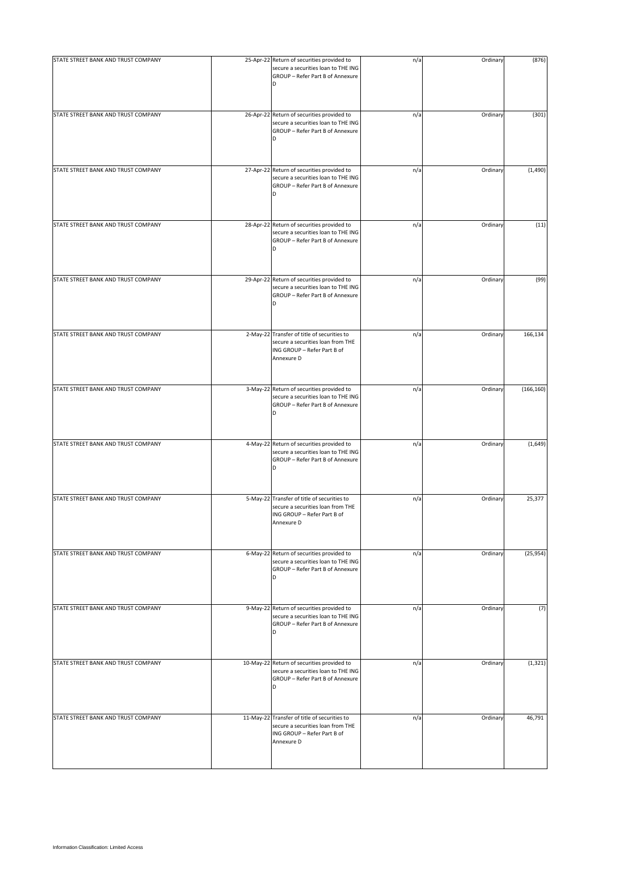| STATE STREET BANK AND TRUST COMPANY | 25-Apr-22 Return of securities provided to<br>secure a securities loan to THE ING<br>GROUP - Refer Part B of Annexure<br>D     | n/a | Ordinary | (876)      |
|-------------------------------------|--------------------------------------------------------------------------------------------------------------------------------|-----|----------|------------|
| STATE STREET BANK AND TRUST COMPANY | 26-Apr-22 Return of securities provided to<br>secure a securities loan to THE ING<br>GROUP - Refer Part B of Annexure<br>D     | n/a | Ordinary | (301)      |
| STATE STREET BANK AND TRUST COMPANY | 27-Apr-22 Return of securities provided to<br>secure a securities loan to THE ING<br>GROUP - Refer Part B of Annexure<br>D     | n/a | Ordinary | (1,490)    |
| STATE STREET BANK AND TRUST COMPANY | 28-Apr-22 Return of securities provided to<br>secure a securities loan to THE ING<br>GROUP - Refer Part B of Annexure<br>D     | n/a | Ordinary | (11)       |
| STATE STREET BANK AND TRUST COMPANY | 29-Apr-22 Return of securities provided to<br>secure a securities loan to THE ING<br>GROUP - Refer Part B of Annexure<br>D     | n/a | Ordinary | (99)       |
| STATE STREET BANK AND TRUST COMPANY | 2-May-22 Transfer of title of securities to<br>secure a securities loan from THE<br>ING GROUP - Refer Part B of<br>Annexure D  | n/a | Ordinary | 166,134    |
| STATE STREET BANK AND TRUST COMPANY | 3-May-22 Return of securities provided to<br>secure a securities loan to THE ING<br>GROUP - Refer Part B of Annexure<br>D      | n/a | Ordinary | (166, 160) |
| STATE STREET BANK AND TRUST COMPANY | 4-May-22 Return of securities provided to<br>secure a securities loan to THE ING<br>GROUP - Refer Part B of Annexure<br>D      | n/a | Ordinary | (1,649)    |
| STATE STREET BANK AND TRUST COMPANY | 5-May-22 Transfer of title of securities to<br>secure a securities loan from THE<br>ING GROUP - Refer Part B of<br>Annexure D  | n/a | Ordinary | 25,377     |
| STATE STREET BANK AND TRUST COMPANY | 6-May-22 Return of securities provided to<br>secure a securities loan to THE ING<br>GROUP - Refer Part B of Annexure<br>D      | n/a | Ordinary | (25, 954)  |
| STATE STREET BANK AND TRUST COMPANY | 9-May-22 Return of securities provided to<br>secure a securities loan to THE ING<br>GROUP - Refer Part B of Annexure<br>D      | n/a | Ordinary | (7)        |
| STATE STREET BANK AND TRUST COMPANY | 10-May-22 Return of securities provided to<br>secure a securities loan to THE ING<br>GROUP - Refer Part B of Annexure<br>D     | n/a | Ordinary | (1, 321)   |
| STATE STREET BANK AND TRUST COMPANY | 11-May-22 Transfer of title of securities to<br>secure a securities loan from THE<br>ING GROUP - Refer Part B of<br>Annexure D | n/a | Ordinary | 46,791     |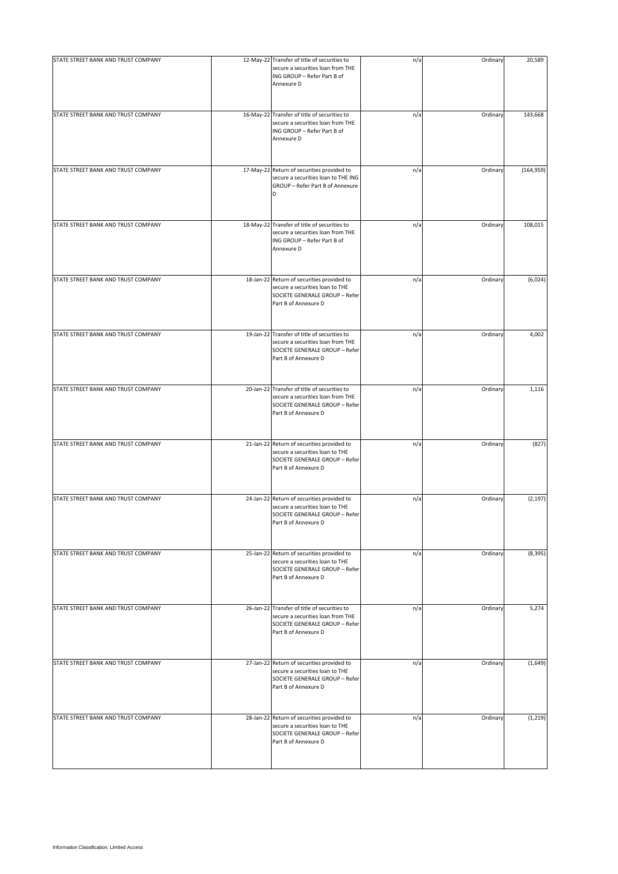| STATE STREET BANK AND TRUST COMPANY | 12-May-22 Transfer of title of securities to<br>secure a securities loan from THE<br>ING GROUP - Refer Part B of<br>Annexure D              | n/a | Ordinary | 20,589     |
|-------------------------------------|---------------------------------------------------------------------------------------------------------------------------------------------|-----|----------|------------|
| STATE STREET BANK AND TRUST COMPANY | 16-May-22 Transfer of title of securities to<br>secure a securities loan from THE<br>ING GROUP - Refer Part B of<br>Annexure D              | n/a | Ordinary | 143,668    |
| STATE STREET BANK AND TRUST COMPANY | 17-May-22 Return of securities provided to<br>secure a securities loan to THE ING<br>GROUP - Refer Part B of Annexure<br>D                  | n/a | Ordinary | (164, 959) |
| STATE STREET BANK AND TRUST COMPANY | 18-May-22 Transfer of title of securities to<br>secure a securities loan from THE<br>ING GROUP - Refer Part B of<br>Annexure D              | n/a | Ordinary | 108,015    |
| STATE STREET BANK AND TRUST COMPANY | 18-Jan-22 Return of securities provided to<br>secure a securities loan to THE<br>SOCIETE GENERALE GROUP - Refer<br>Part B of Annexure D     | n/a | Ordinary | (6,024)    |
| STATE STREET BANK AND TRUST COMPANY | 19-Jan-22 Transfer of title of securities to<br>secure a securities loan from THE<br>SOCIETE GENERALE GROUP - Refer<br>Part B of Annexure D | n/a | Ordinary | 4,002      |
| STATE STREET BANK AND TRUST COMPANY | 20-Jan-22 Transfer of title of securities to<br>secure a securities loan from THE<br>SOCIETE GENERALE GROUP - Refer<br>Part B of Annexure D | n/a | Ordinary | 1,116      |
| STATE STREET BANK AND TRUST COMPANY | 21-Jan-22 Return of securities provided to<br>secure a securities loan to THE<br>SOCIETE GENERALE GROUP - Refer<br>Part B of Annexure D     | n/a | Ordinary | (827)      |
| STATE STREET BANK AND TRUST COMPANY | 24-Jan-22 Return of securities provided to<br>secure a securities loan to THE<br>SOCIETE GENERALE GROUP - Refer<br>Part B of Annexure D     | n/a | Ordinary | (2, 197)   |
| STATE STREET BANK AND TRUST COMPANY | 25-Jan-22 Return of securities provided to<br>secure a securities loan to THE<br>SOCIETE GENERALE GROUP - Refer<br>Part B of Annexure D     | n/a | Ordinary | (8, 395)   |
| STATE STREET BANK AND TRUST COMPANY | 26-Jan-22 Transfer of title of securities to<br>secure a securities loan from THE<br>SOCIETE GENERALE GROUP - Refer<br>Part B of Annexure D | n/a | Ordinary | 5,274      |
| STATE STREET BANK AND TRUST COMPANY | 27-Jan-22 Return of securities provided to<br>secure a securities loan to THE<br>SOCIETE GENERALE GROUP - Refer<br>Part B of Annexure D     | n/a | Ordinary | (1,649)    |
| STATE STREET BANK AND TRUST COMPANY | 28-Jan-22 Return of securities provided to<br>secure a securities loan to THE<br>SOCIETE GENERALE GROUP - Refer<br>Part B of Annexure D     | n/a | Ordinary | (1, 219)   |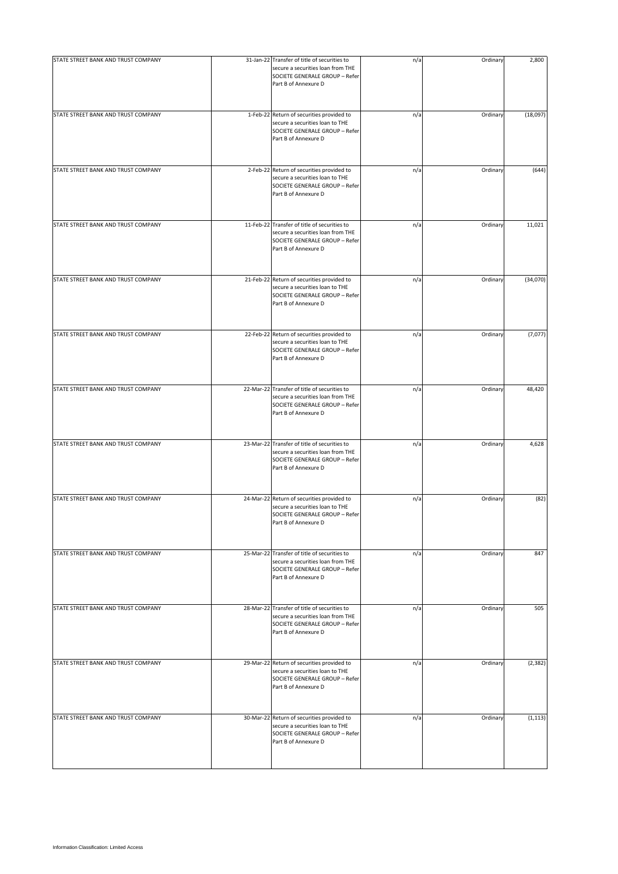| STATE STREET BANK AND TRUST COMPANY | 31-Jan-22 Transfer of title of securities to<br>secure a securities loan from THE<br>SOCIETE GENERALE GROUP - Refer<br>Part B of Annexure D | n/a | Ordinary | 2,800    |
|-------------------------------------|---------------------------------------------------------------------------------------------------------------------------------------------|-----|----------|----------|
| STATE STREET BANK AND TRUST COMPANY | 1-Feb-22 Return of securities provided to<br>secure a securities loan to THE<br>SOCIETE GENERALE GROUP - Refer<br>Part B of Annexure D      | n/a | Ordinary | (18,097) |
| STATE STREET BANK AND TRUST COMPANY | 2-Feb-22 Return of securities provided to<br>secure a securities loan to THE<br>SOCIETE GENERALE GROUP - Refer<br>Part B of Annexure D      | n/a | Ordinary | (644)    |
| STATE STREET BANK AND TRUST COMPANY | 11-Feb-22 Transfer of title of securities to<br>secure a securities loan from THE<br>SOCIETE GENERALE GROUP - Refer<br>Part B of Annexure D | n/a | Ordinary | 11,021   |
| STATE STREET BANK AND TRUST COMPANY | 21-Feb-22 Return of securities provided to<br>secure a securities loan to THE<br>SOCIETE GENERALE GROUP - Refer<br>Part B of Annexure D     | n/a | Ordinary | (34,070) |
| STATE STREET BANK AND TRUST COMPANY | 22-Feb-22 Return of securities provided to<br>secure a securities loan to THE<br>SOCIETE GENERALE GROUP - Refer<br>Part B of Annexure D     | n/a | Ordinary | (7,077)  |
| STATE STREET BANK AND TRUST COMPANY | 22-Mar-22 Transfer of title of securities to<br>secure a securities loan from THE<br>SOCIETE GENERALE GROUP - Refer<br>Part B of Annexure D | n/a | Ordinary | 48,420   |
| STATE STREET BANK AND TRUST COMPANY | 23-Mar-22 Transfer of title of securities to<br>secure a securities loan from THE<br>SOCIETE GENERALE GROUP - Refer<br>Part B of Annexure D | n/a | Ordinary | 4,628    |
| STATE STREET BANK AND TRUST COMPANY | 24-Mar-22 Return of securities provided to<br>secure a securities loan to THE<br>SOCIETE GENERALE GROUP - Refer<br>Part B of Annexure D     | n/a | Ordinary | (82)     |
| STATE STREET BANK AND TRUST COMPANY | 25-Mar-22 Transfer of title of securities to<br>secure a securities loan from THE<br>SOCIETE GENERALE GROUP - Refer<br>Part B of Annexure D | n/a | Ordinary | 847      |
| STATE STREET BANK AND TRUST COMPANY | 28-Mar-22 Transfer of title of securities to<br>secure a securities loan from THE<br>SOCIETE GENERALE GROUP - Refer<br>Part B of Annexure D | n/a | Ordinary | 505      |
| STATE STREET BANK AND TRUST COMPANY | 29-Mar-22 Return of securities provided to<br>secure a securities loan to THE<br>SOCIETE GENERALE GROUP - Refer<br>Part B of Annexure D     | n/a | Ordinary | (2, 382) |
| STATE STREET BANK AND TRUST COMPANY | 30-Mar-22 Return of securities provided to<br>secure a securities loan to THE<br>SOCIETE GENERALE GROUP - Refer<br>Part B of Annexure D     | n/a | Ordinary | (1, 113) |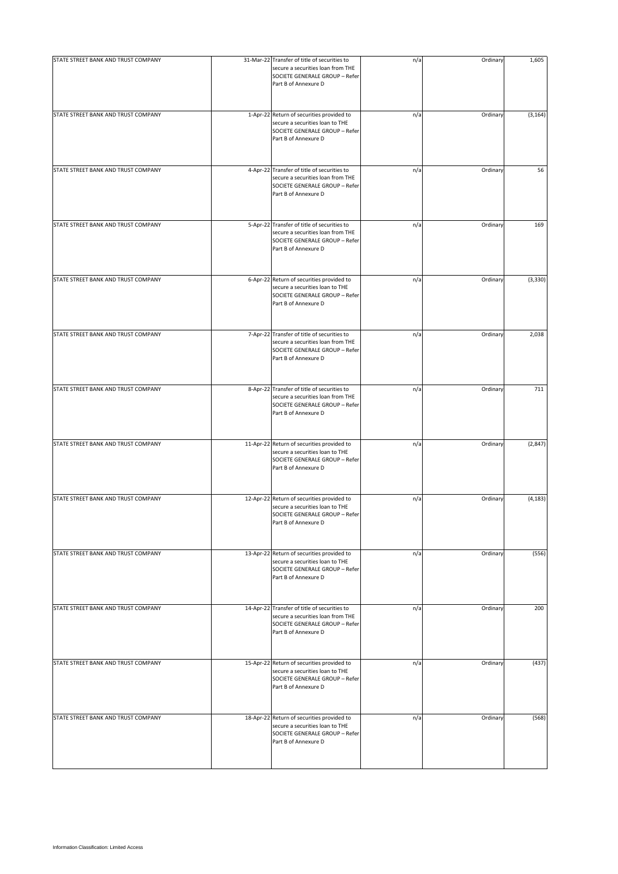| STATE STREET BANK AND TRUST COMPANY | 31-Mar-22 Transfer of title of securities to<br>secure a securities loan from THE<br>SOCIETE GENERALE GROUP - Refer<br>Part B of Annexure D | n/a | Ordinary | 1,605    |
|-------------------------------------|---------------------------------------------------------------------------------------------------------------------------------------------|-----|----------|----------|
| STATE STREET BANK AND TRUST COMPANY | 1-Apr-22 Return of securities provided to<br>secure a securities loan to THE<br>SOCIETE GENERALE GROUP - Refer<br>Part B of Annexure D      | n/a | Ordinary | (3, 164) |
| STATE STREET BANK AND TRUST COMPANY | 4-Apr-22 Transfer of title of securities to<br>secure a securities loan from THE<br>SOCIETE GENERALE GROUP - Refer<br>Part B of Annexure D  | n/a | Ordinary | 56       |
| STATE STREET BANK AND TRUST COMPANY | 5-Apr-22 Transfer of title of securities to<br>secure a securities loan from THE<br>SOCIETE GENERALE GROUP - Refer<br>Part B of Annexure D  | n/a | Ordinary | 169      |
| STATE STREET BANK AND TRUST COMPANY | 6-Apr-22 Return of securities provided to<br>secure a securities loan to THE<br>SOCIETE GENERALE GROUP - Refer<br>Part B of Annexure D      | n/a | Ordinary | (3, 330) |
| STATE STREET BANK AND TRUST COMPANY | 7-Apr-22 Transfer of title of securities to<br>secure a securities loan from THE<br>SOCIETE GENERALE GROUP - Refer<br>Part B of Annexure D  | n/a | Ordinary | 2,038    |
| STATE STREET BANK AND TRUST COMPANY | 8-Apr-22 Transfer of title of securities to<br>secure a securities loan from THE<br>SOCIETE GENERALE GROUP - Refer<br>Part B of Annexure D  | n/a | Ordinary | 711      |
| STATE STREET BANK AND TRUST COMPANY | 11-Apr-22 Return of securities provided to<br>secure a securities loan to THE<br>SOCIETE GENERALE GROUP - Refer<br>Part B of Annexure D     | n/a | Ordinary | (2, 847) |
| STATE STREET BANK AND TRUST COMPANY | 12-Apr-22 Return of securities provided to<br>secure a securities loan to THE<br>SOCIETE GENERALE GROUP - Refer<br>Part B of Annexure D     | n/a | Ordinary | (4, 183) |
| STATE STREET BANK AND TRUST COMPANY | 13-Apr-22 Return of securities provided to<br>secure a securities loan to THE<br>SOCIETE GENERALE GROUP - Refer<br>Part B of Annexure D     | n/a | Ordinary | (556)    |
| STATE STREET BANK AND TRUST COMPANY | 14-Apr-22 Transfer of title of securities to<br>secure a securities loan from THE<br>SOCIETE GENERALE GROUP - Refer<br>Part B of Annexure D | n/a | Ordinary | 200      |
| STATE STREET BANK AND TRUST COMPANY | 15-Apr-22 Return of securities provided to<br>secure a securities loan to THE<br>SOCIETE GENERALE GROUP - Refer<br>Part B of Annexure D     | n/a | Ordinary | (437)    |
| STATE STREET BANK AND TRUST COMPANY | 18-Apr-22 Return of securities provided to<br>secure a securities loan to THE<br>SOCIETE GENERALE GROUP - Refer<br>Part B of Annexure D     | n/a | Ordinary | (568)    |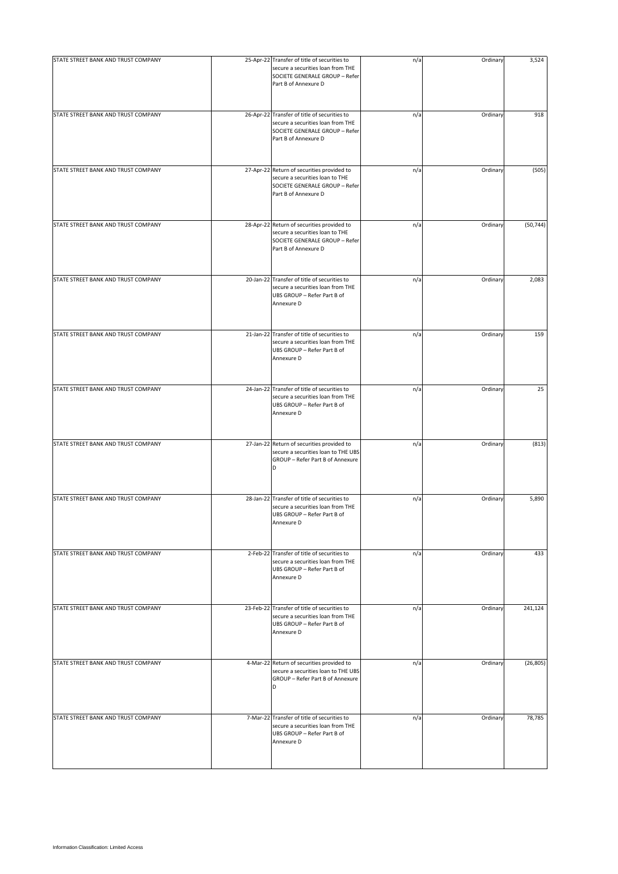| STATE STREET BANK AND TRUST COMPANY | 25-Apr-22 Transfer of title of securities to<br>secure a securities loan from THE<br>SOCIETE GENERALE GROUP - Refer<br>Part B of Annexure D | n/a | Ordinary | 3,524     |
|-------------------------------------|---------------------------------------------------------------------------------------------------------------------------------------------|-----|----------|-----------|
| STATE STREET BANK AND TRUST COMPANY | 26-Apr-22 Transfer of title of securities to<br>secure a securities loan from THE<br>SOCIETE GENERALE GROUP - Refer<br>Part B of Annexure D | n/a | Ordinary | 918       |
| STATE STREET BANK AND TRUST COMPANY | 27-Apr-22 Return of securities provided to<br>secure a securities loan to THE<br>SOCIETE GENERALE GROUP - Refer<br>Part B of Annexure D     | n/a | Ordinary | (505)     |
| STATE STREET BANK AND TRUST COMPANY | 28-Apr-22 Return of securities provided to<br>secure a securities loan to THE<br>SOCIETE GENERALE GROUP - Refer<br>Part B of Annexure D     | n/a | Ordinary | (50, 744) |
| STATE STREET BANK AND TRUST COMPANY | 20-Jan-22 Transfer of title of securities to<br>secure a securities loan from THE<br>UBS GROUP - Refer Part B of<br>Annexure D              | n/a | Ordinary | 2,083     |
| STATE STREET BANK AND TRUST COMPANY | 21-Jan-22 Transfer of title of securities to<br>secure a securities loan from THE<br>UBS GROUP - Refer Part B of<br>Annexure D              | n/a | Ordinary | 159       |
| STATE STREET BANK AND TRUST COMPANY | 24-Jan-22 Transfer of title of securities to<br>secure a securities loan from THE<br>UBS GROUP - Refer Part B of<br>Annexure D              | n/a | Ordinary | 25        |
| STATE STREET BANK AND TRUST COMPANY | 27-Jan-22 Return of securities provided to<br>secure a securities loan to THE UBS<br>GROUP - Refer Part B of Annexure<br>D                  | n/a | Ordinary | (813)     |
| STATE STREET BANK AND TRUST COMPANY | 28-Jan-22 Transfer of title of securities to<br>secure a securities loan from THE<br>UBS GROUP - Refer Part B of<br>Annexure D              | n/a | Ordinary | 5,890     |
| STATE STREET BANK AND TRUST COMPANY | 2-Feb-22 Transfer of title of securities to<br>secure a securities loan from THE<br>UBS GROUP - Refer Part B of<br>Annexure D               | n/a | Ordinary | 433       |
| STATE STREET BANK AND TRUST COMPANY | 23-Feb-22 Transfer of title of securities to<br>secure a securities loan from THE<br>UBS GROUP - Refer Part B of<br>Annexure D              | n/a | Ordinary | 241,124   |
| STATE STREET BANK AND TRUST COMPANY | 4-Mar-22 Return of securities provided to<br>secure a securities loan to THE UBS<br>GROUP - Refer Part B of Annexure<br>D                   | n/a | Ordinary | (26, 805) |
| STATE STREET BANK AND TRUST COMPANY | 7-Mar-22 Transfer of title of securities to<br>secure a securities loan from THE<br>UBS GROUP - Refer Part B of<br>Annexure D               | n/a | Ordinary | 78,785    |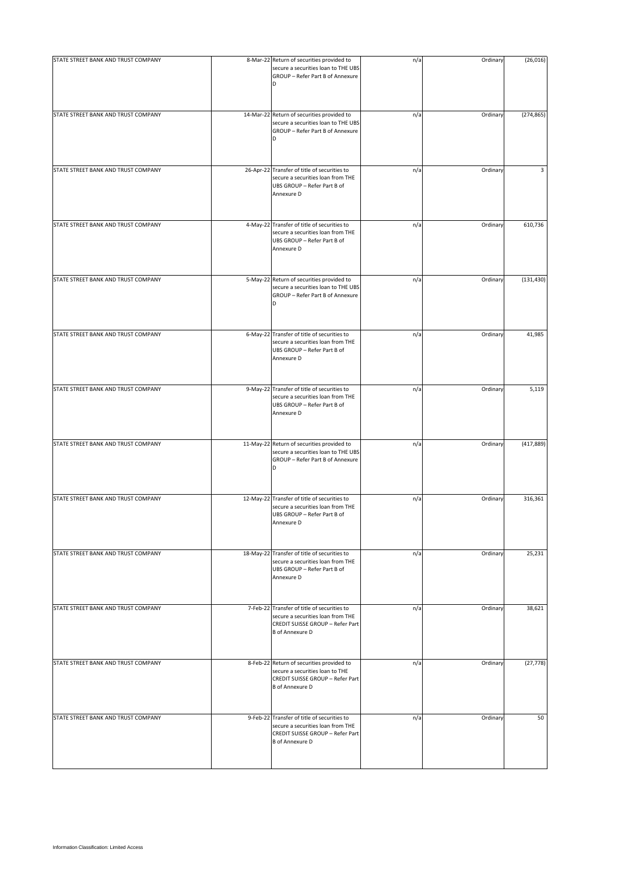| STATE STREET BANK AND TRUST COMPANY | 8-Mar-22 Return of securities provided to                                                                                                      | n/a | Ordinary | (26, 016)  |
|-------------------------------------|------------------------------------------------------------------------------------------------------------------------------------------------|-----|----------|------------|
|                                     | secure a securities loan to THE UBS<br>GROUP - Refer Part B of Annexure<br>D                                                                   |     |          |            |
| STATE STREET BANK AND TRUST COMPANY | 14-Mar-22 Return of securities provided to<br>secure a securities loan to THE UBS<br>GROUP - Refer Part B of Annexure<br>D                     | n/a | Ordinary | (274, 865) |
| STATE STREET BANK AND TRUST COMPANY | 26-Apr-22 Transfer of title of securities to<br>secure a securities loan from THE<br>UBS GROUP - Refer Part B of<br>Annexure D                 | n/a | Ordinary | 3          |
| STATE STREET BANK AND TRUST COMPANY | 4-May-22 Transfer of title of securities to<br>secure a securities loan from THE<br>UBS GROUP - Refer Part B of<br>Annexure D                  | n/a | Ordinary | 610,736    |
| STATE STREET BANK AND TRUST COMPANY | 5-May-22 Return of securities provided to<br>secure a securities loan to THE UBS<br>GROUP - Refer Part B of Annexure<br>D                      | n/a | Ordinary | (131, 430) |
| STATE STREET BANK AND TRUST COMPANY | 6-May-22 Transfer of title of securities to<br>secure a securities loan from THE<br>UBS GROUP - Refer Part B of<br>Annexure D                  | n/a | Ordinary | 41,985     |
| STATE STREET BANK AND TRUST COMPANY | 9-May-22 Transfer of title of securities to<br>secure a securities loan from THE<br>UBS GROUP - Refer Part B of<br>Annexure D                  | n/a | Ordinary | 5,119      |
| STATE STREET BANK AND TRUST COMPANY | 11-May-22 Return of securities provided to<br>secure a securities loan to THE UBS<br>GROUP - Refer Part B of Annexure<br>D                     | n/a | Ordinary | (417, 889) |
| STATE STREET BANK AND TRUST COMPANY | 12-May-22 Transfer of title of securities to<br>secure a securities loan from THE<br>UBS GROUP - Refer Part B of<br>Annexure D                 | n/a | Ordinary | 316,361    |
| STATE STREET BANK AND TRUST COMPANY | 18-May-22 Transfer of title of securities to<br>secure a securities loan from THE<br>UBS GROUP - Refer Part B of<br>Annexure D                 | n/a | Ordinary | 25,231     |
| STATE STREET BANK AND TRUST COMPANY | 7-Feb-22 Transfer of title of securities to<br>secure a securities loan from THE<br>CREDIT SUISSE GROUP - Refer Part<br><b>B</b> of Annexure D | n/a | Ordinary | 38,621     |
| STATE STREET BANK AND TRUST COMPANY | 8-Feb-22 Return of securities provided to<br>secure a securities loan to THE<br>CREDIT SUISSE GROUP - Refer Part<br><b>B</b> of Annexure D     | n/a | Ordinary | (27, 778)  |
| STATE STREET BANK AND TRUST COMPANY | 9-Feb-22 Transfer of title of securities to<br>secure a securities loan from THE<br>CREDIT SUISSE GROUP - Refer Part<br><b>B</b> of Annexure D | n/a | Ordinary | 50         |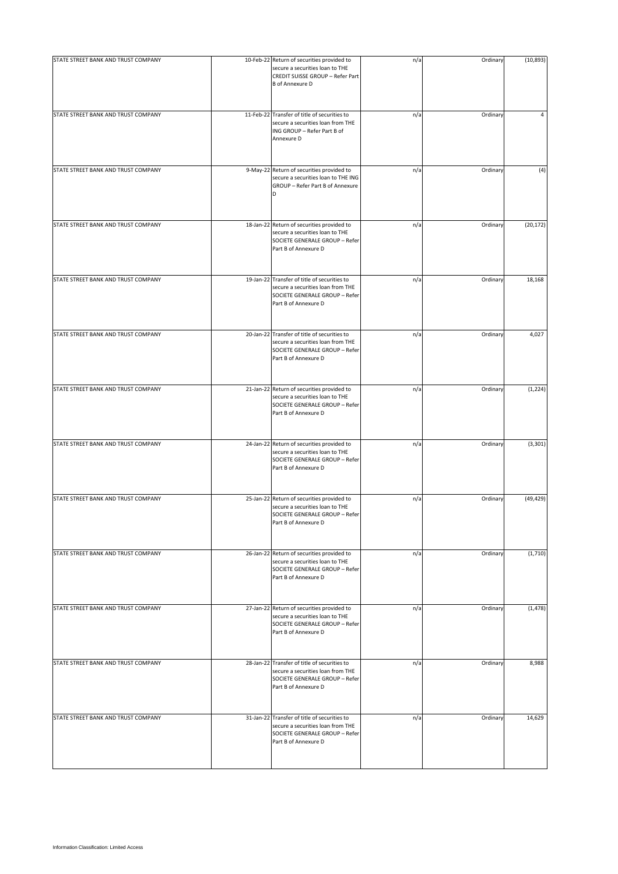| STATE STREET BANK AND TRUST COMPANY | 10-Feb-22 Return of securities provided to<br>secure a securities loan to THE<br>CREDIT SUISSE GROUP - Refer Part<br><b>B</b> of Annexure D | n/a | Ordinary | (10, 893) |
|-------------------------------------|---------------------------------------------------------------------------------------------------------------------------------------------|-----|----------|-----------|
| STATE STREET BANK AND TRUST COMPANY | 11-Feb-22 Transfer of title of securities to<br>secure a securities loan from THE<br>ING GROUP - Refer Part B of<br>Annexure D              | n/a | Ordinary | 4         |
| STATE STREET BANK AND TRUST COMPANY | 9-May-22 Return of securities provided to<br>secure a securities loan to THE ING<br>GROUP - Refer Part B of Annexure<br>D                   | n/a | Ordinary | (4)       |
| STATE STREET BANK AND TRUST COMPANY | 18-Jan-22 Return of securities provided to<br>secure a securities loan to THE<br>SOCIETE GENERALE GROUP - Refer<br>Part B of Annexure D     | n/a | Ordinary | (20, 172) |
| STATE STREET BANK AND TRUST COMPANY | 19-Jan-22 Transfer of title of securities to<br>secure a securities loan from THE<br>SOCIETE GENERALE GROUP - Refer<br>Part B of Annexure D | n/a | Ordinary | 18,168    |
| STATE STREET BANK AND TRUST COMPANY | 20-Jan-22 Transfer of title of securities to<br>secure a securities loan from THE<br>SOCIETE GENERALE GROUP - Refer<br>Part B of Annexure D | n/a | Ordinary | 4,027     |
| STATE STREET BANK AND TRUST COMPANY | 21-Jan-22 Return of securities provided to<br>secure a securities loan to THE<br>SOCIETE GENERALE GROUP - Refer<br>Part B of Annexure D     | n/a | Ordinary | (1, 224)  |
| STATE STREET BANK AND TRUST COMPANY | 24-Jan-22 Return of securities provided to<br>secure a securities loan to THE<br>SOCIETE GENERALE GROUP - Refer<br>Part B of Annexure D     | n/a | Ordinary | (3, 301)  |
| STATE STREET BANK AND TRUST COMPANY | 25-Jan-22 Return of securities provided to<br>secure a securities loan to THE<br>SOCIETE GENERALE GROUP - Refer<br>Part B of Annexure D     | n/a | Ordinary | (49, 429) |
| STATE STREET BANK AND TRUST COMPANY | 26-Jan-22 Return of securities provided to<br>secure a securities loan to THE<br>SOCIETE GENERALE GROUP - Refer<br>Part B of Annexure D     | n/a | Ordinary | (1,710)   |
| STATE STREET BANK AND TRUST COMPANY | 27-Jan-22 Return of securities provided to<br>secure a securities loan to THE<br>SOCIETE GENERALE GROUP - Refer<br>Part B of Annexure D     | n/a | Ordinary | (1, 478)  |
| STATE STREET BANK AND TRUST COMPANY | 28-Jan-22 Transfer of title of securities to<br>secure a securities loan from THE<br>SOCIETE GENERALE GROUP - Refer<br>Part B of Annexure D | n/a | Ordinary | 8,988     |
| STATE STREET BANK AND TRUST COMPANY | 31-Jan-22 Transfer of title of securities to<br>secure a securities loan from THE<br>SOCIETE GENERALE GROUP - Refer<br>Part B of Annexure D | n/a | Ordinary | 14,629    |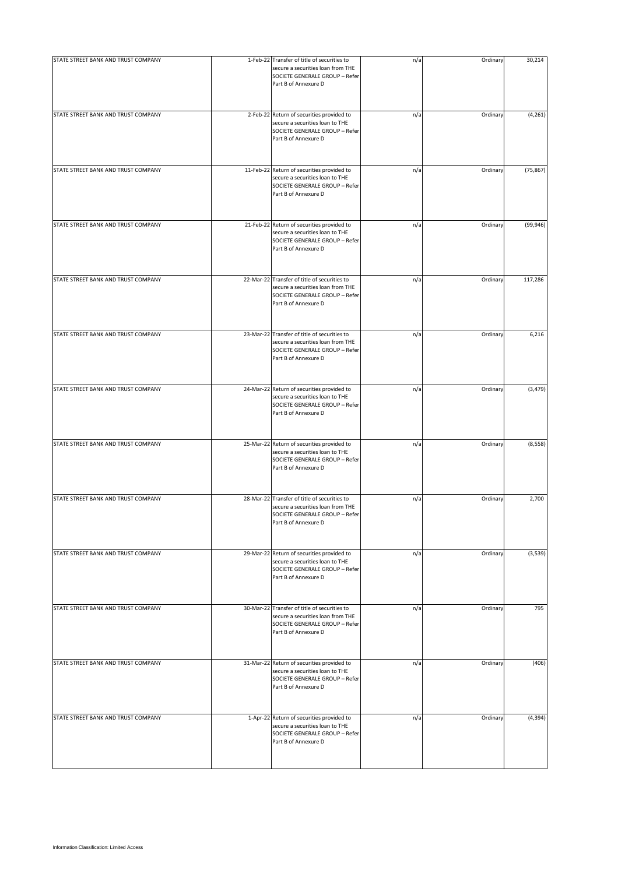| STATE STREET BANK AND TRUST COMPANY | 1-Feb-22 Transfer of title of securities to<br>secure a securities loan from THE<br>SOCIETE GENERALE GROUP - Refer<br>Part B of Annexure D  | n/a | Ordinary | 30,214    |
|-------------------------------------|---------------------------------------------------------------------------------------------------------------------------------------------|-----|----------|-----------|
| STATE STREET BANK AND TRUST COMPANY | 2-Feb-22 Return of securities provided to                                                                                                   | n/a | Ordinary | (4, 261)  |
|                                     | secure a securities loan to THE<br>SOCIETE GENERALE GROUP - Refer<br>Part B of Annexure D                                                   |     |          |           |
| STATE STREET BANK AND TRUST COMPANY | 11-Feb-22 Return of securities provided to<br>secure a securities loan to THE<br>SOCIETE GENERALE GROUP - Refer<br>Part B of Annexure D     | n/a | Ordinary | (75, 867) |
| STATE STREET BANK AND TRUST COMPANY | 21-Feb-22 Return of securities provided to<br>secure a securities loan to THE<br>SOCIETE GENERALE GROUP - Refer<br>Part B of Annexure D     | n/a | Ordinary | (99, 946) |
| STATE STREET BANK AND TRUST COMPANY | 22-Mar-22 Transfer of title of securities to<br>secure a securities loan from THE<br>SOCIETE GENERALE GROUP - Refer<br>Part B of Annexure D | n/a | Ordinary | 117,286   |
| STATE STREET BANK AND TRUST COMPANY | 23-Mar-22 Transfer of title of securities to<br>secure a securities loan from THE<br>SOCIETE GENERALE GROUP - Refer<br>Part B of Annexure D | n/a | Ordinary | 6,216     |
| STATE STREET BANK AND TRUST COMPANY | 24-Mar-22 Return of securities provided to<br>secure a securities loan to THE<br>SOCIETE GENERALE GROUP - Refer<br>Part B of Annexure D     | n/a | Ordinary | (3, 479)  |
| STATE STREET BANK AND TRUST COMPANY | 25-Mar-22 Return of securities provided to<br>secure a securities loan to THE<br>SOCIETE GENERALE GROUP - Refer<br>Part B of Annexure D     | n/a | Ordinary | (8, 558)  |
| STATE STREET BANK AND TRUST COMPANY | 28-Mar-22 Transfer of title of securities to<br>secure a securities loan from THE<br>SOCIETE GENERALE GROUP - Refer<br>Part B of Annexure D | n/a | Ordinary | 2,700     |
| STATE STREET BANK AND TRUST COMPANY | 29-Mar-22 Return of securities provided to<br>secure a securities loan to THE<br>SOCIETE GENERALE GROUP - Refer<br>Part B of Annexure D     | n/a | Ordinary | (3,539)   |
| STATE STREET BANK AND TRUST COMPANY | 30-Mar-22 Transfer of title of securities to<br>secure a securities loan from THE<br>SOCIETE GENERALE GROUP - Refer<br>Part B of Annexure D | n/a | Ordinary | 795       |
| STATE STREET BANK AND TRUST COMPANY | 31-Mar-22 Return of securities provided to<br>secure a securities loan to THE<br>SOCIETE GENERALE GROUP - Refer<br>Part B of Annexure D     | n/a | Ordinary | (406)     |
| STATE STREET BANK AND TRUST COMPANY | 1-Apr-22 Return of securities provided to<br>secure a securities loan to THE<br>SOCIETE GENERALE GROUP - Refer<br>Part B of Annexure D      | n/a | Ordinary | (4, 394)  |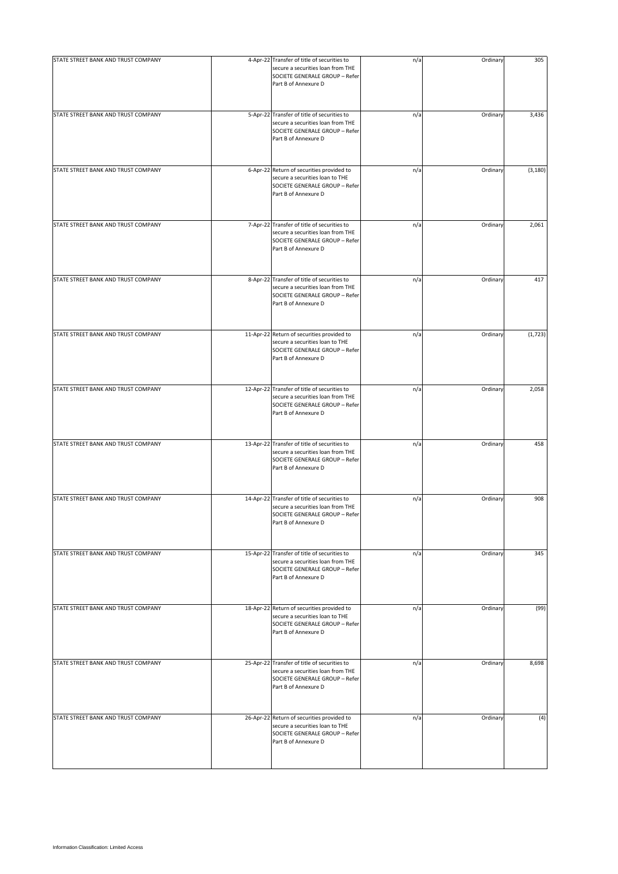| STATE STREET BANK AND TRUST COMPANY | 4-Apr-22 Transfer of title of securities to<br>secure a securities loan from THE<br>SOCIETE GENERALE GROUP - Refer<br>Part B of Annexure D  | n/a | Ordinary | 305      |
|-------------------------------------|---------------------------------------------------------------------------------------------------------------------------------------------|-----|----------|----------|
| STATE STREET BANK AND TRUST COMPANY | 5-Apr-22 Transfer of title of securities to<br>secure a securities loan from THE<br>SOCIETE GENERALE GROUP - Refer<br>Part B of Annexure D  | n/a | Ordinary | 3,436    |
| STATE STREET BANK AND TRUST COMPANY | 6-Apr-22 Return of securities provided to<br>secure a securities loan to THE<br>SOCIETE GENERALE GROUP - Refer<br>Part B of Annexure D      | n/a | Ordinary | (3, 180) |
| STATE STREET BANK AND TRUST COMPANY | 7-Apr-22 Transfer of title of securities to<br>secure a securities loan from THE<br>SOCIETE GENERALE GROUP - Refer<br>Part B of Annexure D  | n/a | Ordinary | 2,061    |
| STATE STREET BANK AND TRUST COMPANY | 8-Apr-22 Transfer of title of securities to<br>secure a securities loan from THE<br>SOCIETE GENERALE GROUP - Refer<br>Part B of Annexure D  | n/a | Ordinary | 417      |
| STATE STREET BANK AND TRUST COMPANY | 11-Apr-22 Return of securities provided to<br>secure a securities loan to THE<br>SOCIETE GENERALE GROUP - Refer<br>Part B of Annexure D     | n/a | Ordinary | (1, 723) |
| STATE STREET BANK AND TRUST COMPANY | 12-Apr-22 Transfer of title of securities to<br>secure a securities loan from THE<br>SOCIETE GENERALE GROUP - Refer<br>Part B of Annexure D | n/a | Ordinary | 2,058    |
| STATE STREET BANK AND TRUST COMPANY | 13-Apr-22 Transfer of title of securities to<br>secure a securities loan from THE<br>SOCIETE GENERALE GROUP - Refer<br>Part B of Annexure D | n/a | Ordinary | 458      |
| STATE STREET BANK AND TRUST COMPANY | 14-Apr-22 Transfer of title of securities to<br>secure a securities loan from THE<br>SOCIETE GENERALE GROUP - Refer<br>Part B of Annexure D | n/a | Ordinary | 908      |
| STATE STREET BANK AND TRUST COMPANY | 15-Apr-22 Transfer of title of securities to<br>secure a securities loan from THE<br>SOCIETE GENERALE GROUP - Refer<br>Part B of Annexure D | n/a | Ordinary | 345      |
| STATE STREET BANK AND TRUST COMPANY | 18-Apr-22 Return of securities provided to<br>secure a securities loan to THE<br>SOCIETE GENERALE GROUP - Refer<br>Part B of Annexure D     | n/a | Ordinary | (99)     |
| STATE STREET BANK AND TRUST COMPANY | 25-Apr-22 Transfer of title of securities to<br>secure a securities loan from THE<br>SOCIETE GENERALE GROUP - Refer<br>Part B of Annexure D | n/a | Ordinary | 8,698    |
| STATE STREET BANK AND TRUST COMPANY | 26-Apr-22 Return of securities provided to<br>secure a securities loan to THE<br>SOCIETE GENERALE GROUP - Refer<br>Part B of Annexure D     | n/a | Ordinary | (4)      |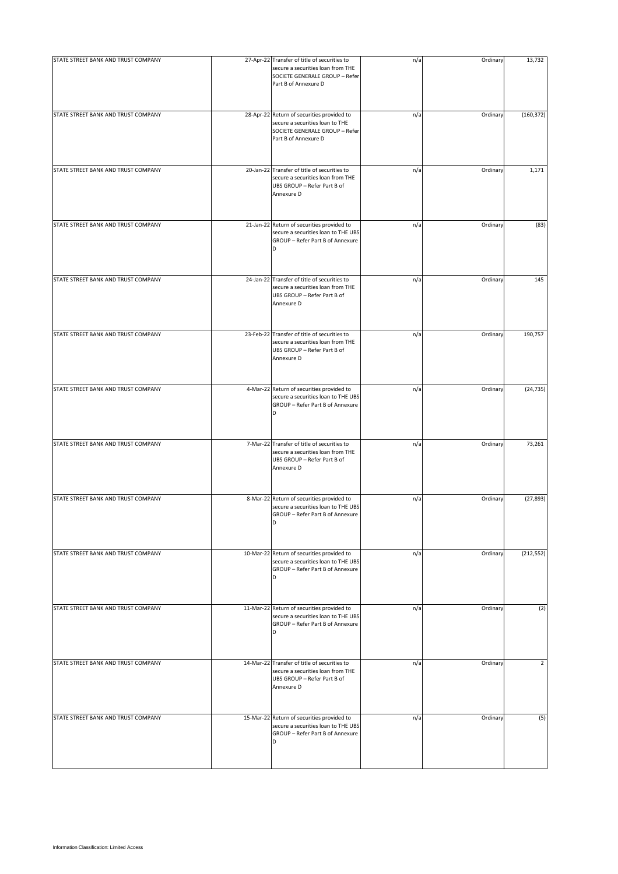| STATE STREET BANK AND TRUST COMPANY | 27-Apr-22 Transfer of title of securities to<br>secure a securities loan from THE<br>SOCIETE GENERALE GROUP - Refer<br>Part B of Annexure D | n/a | Ordinary | 13,732         |
|-------------------------------------|---------------------------------------------------------------------------------------------------------------------------------------------|-----|----------|----------------|
| STATE STREET BANK AND TRUST COMPANY | 28-Apr-22 Return of securities provided to<br>secure a securities loan to THE<br>SOCIETE GENERALE GROUP - Refer<br>Part B of Annexure D     | n/a | Ordinary | (160, 372)     |
| STATE STREET BANK AND TRUST COMPANY | 20-Jan-22 Transfer of title of securities to<br>secure a securities loan from THE<br>UBS GROUP - Refer Part B of<br>Annexure D              | n/a | Ordinary | 1,171          |
| STATE STREET BANK AND TRUST COMPANY | 21-Jan-22 Return of securities provided to<br>secure a securities loan to THE UBS<br>GROUP - Refer Part B of Annexure<br>D                  | n/a | Ordinary | (83)           |
| STATE STREET BANK AND TRUST COMPANY | 24-Jan-22 Transfer of title of securities to<br>secure a securities loan from THE<br>UBS GROUP - Refer Part B of<br>Annexure D              | n/a | Ordinary | 145            |
| STATE STREET BANK AND TRUST COMPANY | 23-Feb-22 Transfer of title of securities to<br>secure a securities loan from THE<br>UBS GROUP - Refer Part B of<br>Annexure D              | n/a | Ordinary | 190,757        |
| STATE STREET BANK AND TRUST COMPANY | 4-Mar-22 Return of securities provided to<br>secure a securities loan to THE UBS<br>GROUP - Refer Part B of Annexure<br>D                   | n/a | Ordinary | (24, 735)      |
| STATE STREET BANK AND TRUST COMPANY | 7-Mar-22 Transfer of title of securities to<br>secure a securities loan from THE<br>UBS GROUP - Refer Part B of<br>Annexure D               | n/a | Ordinary | 73,261         |
| STATE STREET BANK AND TRUST COMPANY | 8-Mar-22 Return of securities provided to<br>secure a securities loan to THE UBS<br>GROUP - Refer Part B of Annexure<br>D                   | n/a | Ordinary | (27, 893)      |
| STATE STREET BANK AND TRUST COMPANY | 10-Mar-22 Return of securities provided to<br>secure a securities loan to THE UBS<br>GROUP - Refer Part B of Annexure<br>D                  | n/a | Ordinary | (212, 552)     |
| STATE STREET BANK AND TRUST COMPANY | 11-Mar-22 Return of securities provided to<br>secure a securities loan to THE UBS<br>GROUP - Refer Part B of Annexure<br>D                  | n/a | Ordinary | (2)            |
| STATE STREET BANK AND TRUST COMPANY | 14-Mar-22 Transfer of title of securities to<br>secure a securities loan from THE<br>UBS GROUP - Refer Part B of<br>Annexure D              | n/a | Ordinary | $\overline{2}$ |
| STATE STREET BANK AND TRUST COMPANY | 15-Mar-22 Return of securities provided to<br>secure a securities loan to THE UBS<br>GROUP - Refer Part B of Annexure<br>D                  | n/a | Ordinary | (5)            |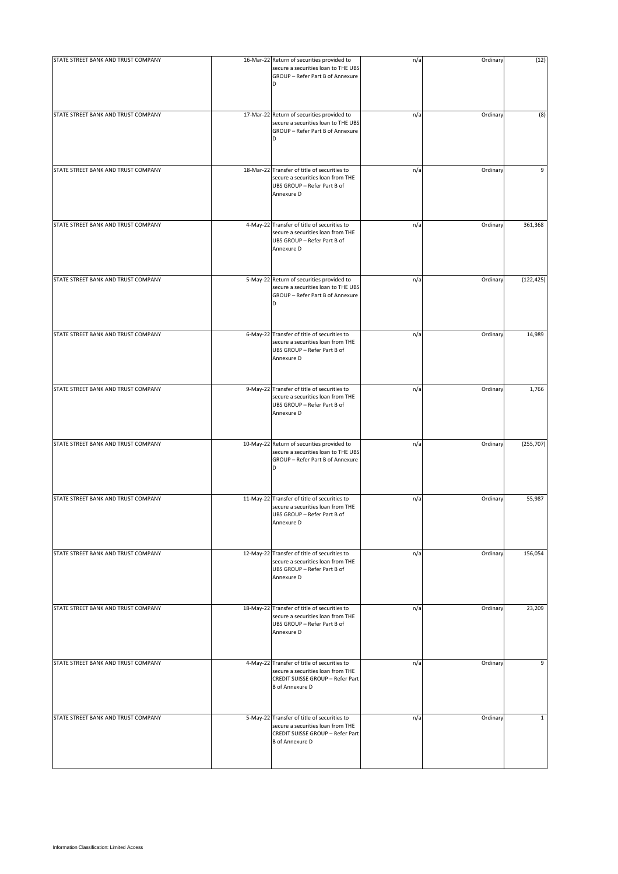| STATE STREET BANK AND TRUST COMPANY | 16-Mar-22 Return of securities provided to<br>secure a securities loan to THE UBS<br>GROUP - Refer Part B of Annexure<br>D                     | n/a | Ordinary | (12)         |
|-------------------------------------|------------------------------------------------------------------------------------------------------------------------------------------------|-----|----------|--------------|
| STATE STREET BANK AND TRUST COMPANY | 17-Mar-22 Return of securities provided to<br>secure a securities loan to THE UBS<br>GROUP - Refer Part B of Annexure<br>D                     | n/a | Ordinary | (8)          |
| STATE STREET BANK AND TRUST COMPANY | 18-Mar-22 Transfer of title of securities to<br>secure a securities loan from THE<br>UBS GROUP - Refer Part B of<br>Annexure D                 | n/a | Ordinary | 9            |
| STATE STREET BANK AND TRUST COMPANY | 4-May-22 Transfer of title of securities to<br>secure a securities loan from THE<br>UBS GROUP - Refer Part B of<br>Annexure D                  | n/a | Ordinary | 361,368      |
| STATE STREET BANK AND TRUST COMPANY | 5-May-22 Return of securities provided to<br>secure a securities loan to THE UBS<br>GROUP - Refer Part B of Annexure<br>D                      | n/a | Ordinary | (122, 425)   |
| STATE STREET BANK AND TRUST COMPANY | 6-May-22 Transfer of title of securities to<br>secure a securities loan from THE<br>UBS GROUP - Refer Part B of<br>Annexure D                  | n/a | Ordinary | 14,989       |
| STATE STREET BANK AND TRUST COMPANY | 9-May-22 Transfer of title of securities to<br>secure a securities loan from THE<br>UBS GROUP - Refer Part B of<br>Annexure D                  | n/a | Ordinary | 1,766        |
| STATE STREET BANK AND TRUST COMPANY | 10-May-22 Return of securities provided to<br>secure a securities loan to THE UBS<br>GROUP - Refer Part B of Annexure<br>D                     | n/a | Ordinary | (255,707)    |
| STATE STREET BANK AND TRUST COMPANY | 11-May-22 Transfer of title of securities to<br>secure a securities loan from THE<br>UBS GROUP - Refer Part B of<br>Annexure D                 | n/a | Ordinary | 55,987       |
| STATE STREET BANK AND TRUST COMPANY | 12-May-22 Transfer of title of securities to<br>secure a securities loan from THE<br>UBS GROUP - Refer Part B of<br>Annexure D                 | n/a | Ordinary | 156,054      |
| STATE STREET BANK AND TRUST COMPANY | 18-May-22 Transfer of title of securities to<br>secure a securities loan from THE<br>UBS GROUP - Refer Part B of<br>Annexure D                 | n/a | Ordinary | 23,209       |
| STATE STREET BANK AND TRUST COMPANY | 4-May-22 Transfer of title of securities to<br>secure a securities loan from THE<br>CREDIT SUISSE GROUP - Refer Part<br><b>B</b> of Annexure D | n/a | Ordinary | 9            |
| STATE STREET BANK AND TRUST COMPANY | 5-May-22 Transfer of title of securities to<br>secure a securities loan from THE<br>CREDIT SUISSE GROUP - Refer Part<br><b>B</b> of Annexure D | n/a | Ordinary | $\mathbf{1}$ |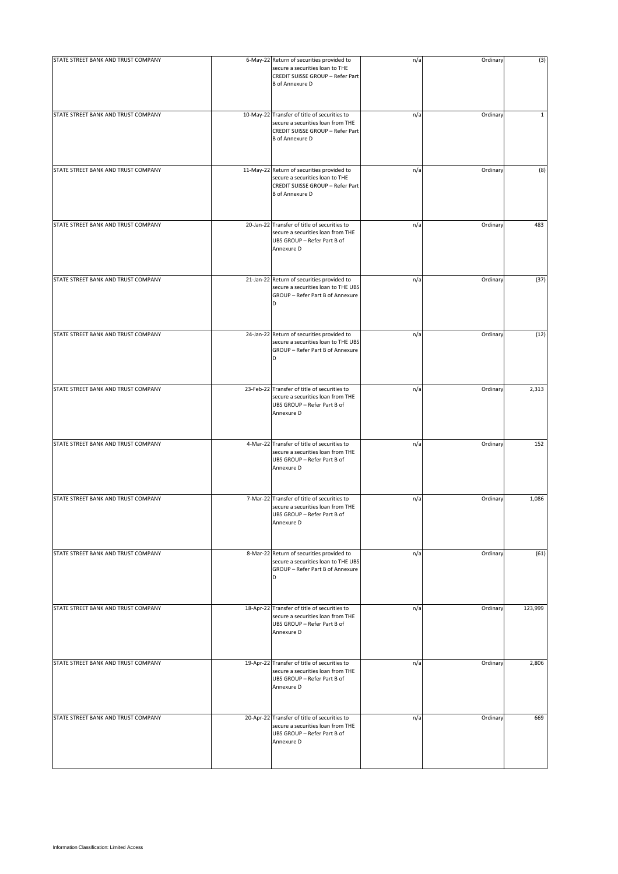| STATE STREET BANK AND TRUST COMPANY | 6-May-22 Return of securities provided to<br>secure a securities loan to THE<br>CREDIT SUISSE GROUP - Refer Part<br><b>B</b> of Annexure D      | n/a | Ordinary | (3)         |
|-------------------------------------|-------------------------------------------------------------------------------------------------------------------------------------------------|-----|----------|-------------|
| STATE STREET BANK AND TRUST COMPANY | 10-May-22 Transfer of title of securities to<br>secure a securities loan from THE<br>CREDIT SUISSE GROUP - Refer Part<br><b>B</b> of Annexure D | n/a | Ordinary | $\mathbf 1$ |
| STATE STREET BANK AND TRUST COMPANY | 11-May-22 Return of securities provided to<br>secure a securities loan to THE<br>CREDIT SUISSE GROUP - Refer Part<br><b>B</b> of Annexure D     | n/a | Ordinary | (8)         |
| STATE STREET BANK AND TRUST COMPANY | 20-Jan-22 Transfer of title of securities to<br>secure a securities loan from THE<br>UBS GROUP - Refer Part B of<br>Annexure D                  | n/a | Ordinary | 483         |
| STATE STREET BANK AND TRUST COMPANY | 21-Jan-22 Return of securities provided to<br>secure a securities loan to THE UBS<br>GROUP - Refer Part B of Annexure<br>D                      | n/a | Ordinary | (37)        |
| STATE STREET BANK AND TRUST COMPANY | 24-Jan-22 Return of securities provided to<br>secure a securities loan to THE UBS<br>GROUP - Refer Part B of Annexure                           | n/a | Ordinary | (12)        |
| STATE STREET BANK AND TRUST COMPANY | 23-Feb-22 Transfer of title of securities to<br>secure a securities loan from THE<br>UBS GROUP - Refer Part B of<br>Annexure D                  | n/a | Ordinary | 2,313       |
| STATE STREET BANK AND TRUST COMPANY | 4-Mar-22 Transfer of title of securities to<br>secure a securities loan from THE<br>UBS GROUP - Refer Part B of<br>Annexure D                   | n/a | Ordinary | 152         |
| STATE STREET BANK AND TRUST COMPANY | 7-Mar-22 Transfer of title of securities to<br>secure a securities loan from THE<br>UBS GROUP - Refer Part B of<br>Annexure D                   | n/a | Ordinary | 1,086       |
| STATE STREET BANK AND TRUST COMPANY | 8-Mar-22 Return of securities provided to<br>secure a securities loan to THE UBS<br>GROUP - Refer Part B of Annexure<br>D                       | n/a | Ordinary | (61)        |
| STATE STREET BANK AND TRUST COMPANY | 18-Apr-22 Transfer of title of securities to<br>secure a securities loan from THE<br>UBS GROUP - Refer Part B of<br>Annexure D                  | n/a | Ordinary | 123,999     |
| STATE STREET BANK AND TRUST COMPANY | 19-Apr-22 Transfer of title of securities to<br>secure a securities loan from THE<br>UBS GROUP - Refer Part B of<br>Annexure D                  | n/a | Ordinary | 2,806       |
| STATE STREET BANK AND TRUST COMPANY | 20-Apr-22 Transfer of title of securities to<br>secure a securities loan from THE<br>UBS GROUP - Refer Part B of<br>Annexure D                  | n/a | Ordinary | 669         |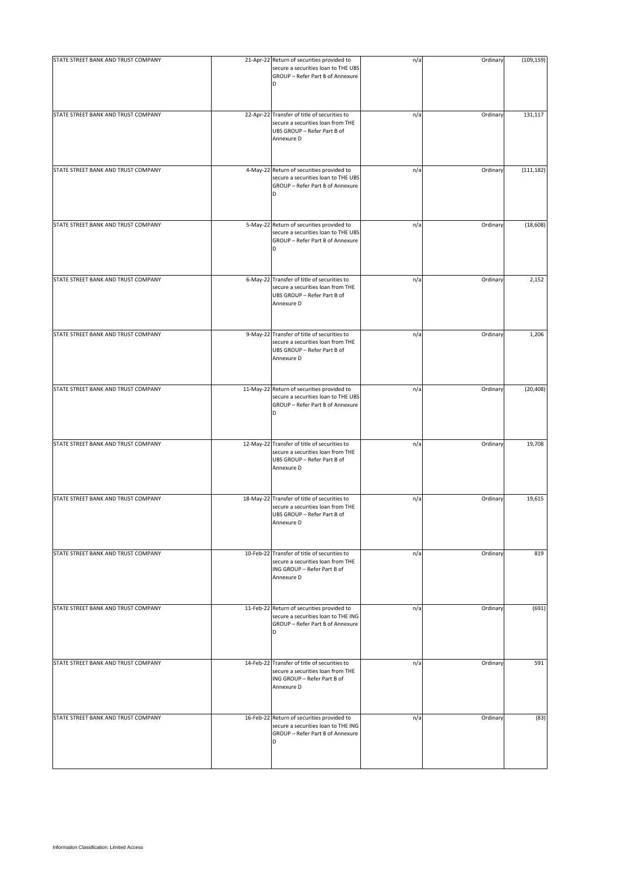| STATE STREET BANK AND TRUST COMPANY | 21-Apr-22 Return of securities provided to                                                                                     | n/a | Ordinary | (109, 159) |
|-------------------------------------|--------------------------------------------------------------------------------------------------------------------------------|-----|----------|------------|
|                                     | secure a securities loan to THE UBS<br>GROUP - Refer Part B of Annexure<br>D                                                   |     |          |            |
| STATE STREET BANK AND TRUST COMPANY | 22-Apr-22 Transfer of title of securities to<br>secure a securities loan from THE<br>UBS GROUP - Refer Part B of<br>Annexure D | n/a | Ordinary | 131,117    |
| STATE STREET BANK AND TRUST COMPANY | 4-May-22 Return of securities provided to<br>secure a securities loan to THE UBS<br>GROUP - Refer Part B of Annexure<br>D      | n/a | Ordinary | (111, 182) |
| STATE STREET BANK AND TRUST COMPANY | 5-May-22 Return of securities provided to<br>secure a securities loan to THE UBS<br>GROUP - Refer Part B of Annexure<br>D      | n/a | Ordinary | (18, 608)  |
| STATE STREET BANK AND TRUST COMPANY | 6-May-22 Transfer of title of securities to<br>secure a securities loan from THE<br>UBS GROUP - Refer Part B of<br>Annexure D  | n/a | Ordinary | 2,152      |
| STATE STREET BANK AND TRUST COMPANY | 9-May-22 Transfer of title of securities to<br>secure a securities loan from THE<br>UBS GROUP - Refer Part B of<br>Annexure D  | n/a | Ordinary | 1,206      |
| STATE STREET BANK AND TRUST COMPANY | 11-May-22 Return of securities provided to<br>secure a securities loan to THE UBS<br>GROUP - Refer Part B of Annexure<br>D     | n/a | Ordinary | (20, 408)  |
| STATE STREET BANK AND TRUST COMPANY | 12-May-22 Transfer of title of securities to<br>secure a securities loan from THE<br>UBS GROUP - Refer Part B of<br>Annexure D | n/a | Ordinary | 19,708     |
| STATE STREET BANK AND TRUST COMPANY | 18-May-22 Transfer of title of securities to<br>secure a securities loan from THE<br>UBS GROUP - Refer Part B of<br>Annexure D | n/a | Ordinary | 19,615     |
| STATE STREET BANK AND TRUST COMPANY | 10-Feb-22 Transfer of title of securities to<br>secure a securities loan from THE<br>ING GROUP - Refer Part B of<br>Annexure D | n/a | Ordinary | 819        |
| STATE STREET BANK AND TRUST COMPANY | 11-Feb-22 Return of securities provided to<br>secure a securities loan to THE ING<br>GROUP - Refer Part B of Annexure<br>D     | n/a | Ordinary | (691)      |
| STATE STREET BANK AND TRUST COMPANY | 14-Feb-22 Transfer of title of securities to<br>secure a securities loan from THE<br>ING GROUP - Refer Part B of<br>Annexure D | n/a | Ordinary | 591        |
| STATE STREET BANK AND TRUST COMPANY | 16-Feb-22 Return of securities provided to<br>secure a securities loan to THE ING<br>GROUP - Refer Part B of Annexure<br>D     | n/a | Ordinary | (83)       |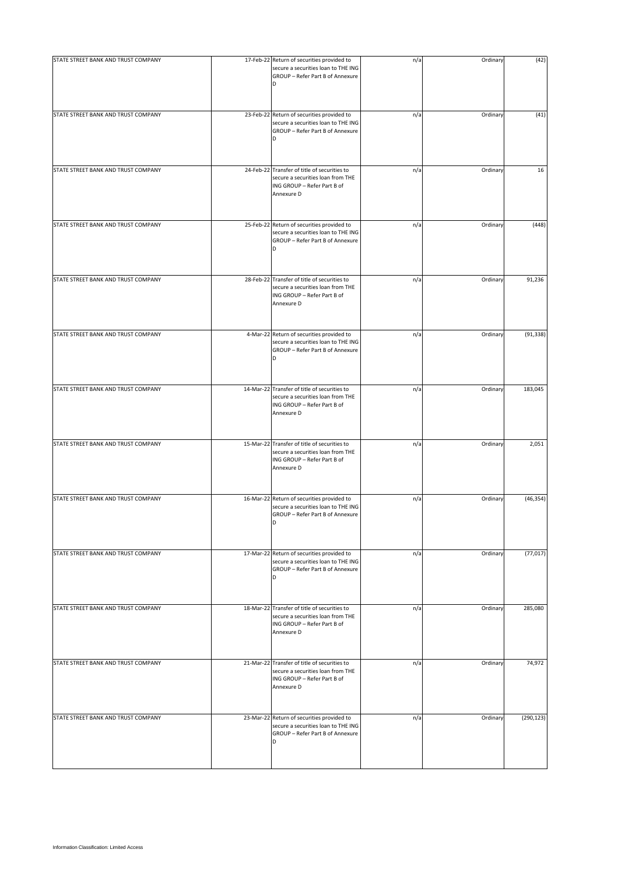| STATE STREET BANK AND TRUST COMPANY | 17-Feb-22 Return of securities provided to<br>secure a securities loan to THE ING<br>GROUP - Refer Part B of Annexure<br>D     | n/a | Ordinary | (42)       |
|-------------------------------------|--------------------------------------------------------------------------------------------------------------------------------|-----|----------|------------|
| STATE STREET BANK AND TRUST COMPANY | 23-Feb-22 Return of securities provided to<br>secure a securities loan to THE ING<br>GROUP - Refer Part B of Annexure<br>D     | n/a | Ordinary | (41)       |
| STATE STREET BANK AND TRUST COMPANY | 24-Feb-22 Transfer of title of securities to<br>secure a securities loan from THE<br>ING GROUP - Refer Part B of<br>Annexure D | n/a | Ordinary | 16         |
| STATE STREET BANK AND TRUST COMPANY | 25-Feb-22 Return of securities provided to<br>secure a securities loan to THE ING<br>GROUP - Refer Part B of Annexure<br>D     | n/a | Ordinary | (448)      |
| STATE STREET BANK AND TRUST COMPANY | 28-Feb-22 Transfer of title of securities to<br>secure a securities loan from THE<br>ING GROUP - Refer Part B of<br>Annexure D | n/a | Ordinary | 91,236     |
| STATE STREET BANK AND TRUST COMPANY | 4-Mar-22 Return of securities provided to<br>secure a securities loan to THE ING<br>GROUP - Refer Part B of Annexure<br>D      | n/a | Ordinary | (91, 338)  |
| STATE STREET BANK AND TRUST COMPANY | 14-Mar-22 Transfer of title of securities to<br>secure a securities loan from THE<br>ING GROUP - Refer Part B of<br>Annexure D | n/a | Ordinary | 183,045    |
| STATE STREET BANK AND TRUST COMPANY | 15-Mar-22 Transfer of title of securities to<br>secure a securities loan from THE<br>ING GROUP - Refer Part B of<br>Annexure D | n/a | Ordinary | 2,051      |
| STATE STREET BANK AND TRUST COMPANY | 16-Mar-22 Return of securities provided to<br>secure a securities loan to THE ING<br>GROUP - Refer Part B of Annexure<br>D     | n/a | Ordinary | (46, 354)  |
| STATE STREET BANK AND TRUST COMPANY | 17-Mar-22 Return of securities provided to<br>secure a securities loan to THE ING<br>GROUP - Refer Part B of Annexure<br>D     | n/a | Ordinary | (77, 017)  |
| STATE STREET BANK AND TRUST COMPANY | 18-Mar-22 Transfer of title of securities to<br>secure a securities loan from THE<br>ING GROUP - Refer Part B of<br>Annexure D | n/a | Ordinary | 285,080    |
| STATE STREET BANK AND TRUST COMPANY | 21-Mar-22 Transfer of title of securities to<br>secure a securities loan from THE<br>ING GROUP - Refer Part B of<br>Annexure D | n/a | Ordinary | 74,972     |
| STATE STREET BANK AND TRUST COMPANY | 23-Mar-22 Return of securities provided to<br>secure a securities loan to THE ING<br>GROUP - Refer Part B of Annexure<br>D     | n/a | Ordinary | (290, 123) |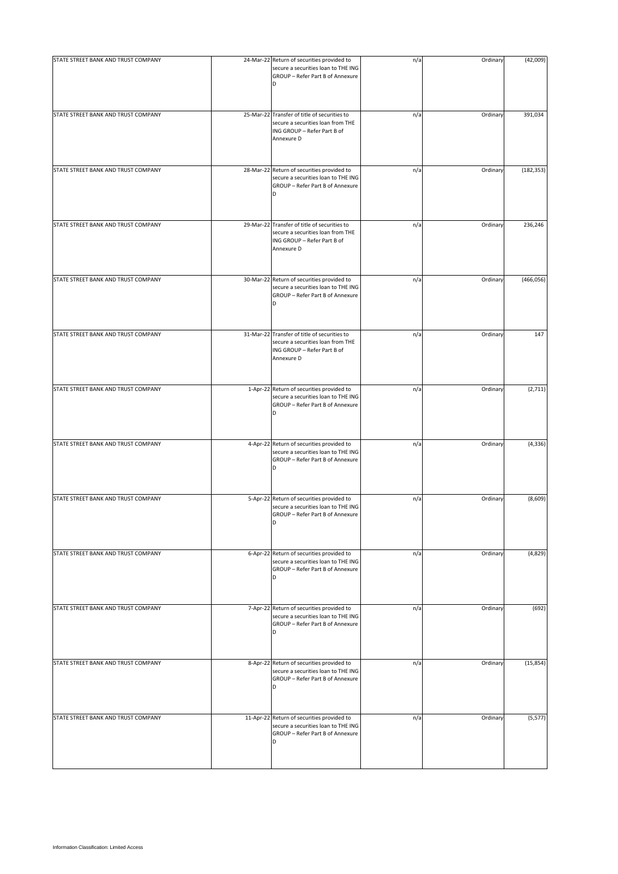| STATE STREET BANK AND TRUST COMPANY | 24-Mar-22 Return of securities provided to                                                                                     | n/a | Ordinary | (42,009)   |
|-------------------------------------|--------------------------------------------------------------------------------------------------------------------------------|-----|----------|------------|
|                                     | secure a securities loan to THE ING<br>GROUP - Refer Part B of Annexure<br>D                                                   |     |          |            |
| STATE STREET BANK AND TRUST COMPANY | 25-Mar-22 Transfer of title of securities to<br>secure a securities loan from THE<br>ING GROUP - Refer Part B of<br>Annexure D | n/a | Ordinary | 391,034    |
| STATE STREET BANK AND TRUST COMPANY | 28-Mar-22 Return of securities provided to<br>secure a securities loan to THE ING<br>GROUP - Refer Part B of Annexure<br>D     | n/a | Ordinary | (182, 353) |
| STATE STREET BANK AND TRUST COMPANY | 29-Mar-22 Transfer of title of securities to<br>secure a securities loan from THE<br>ING GROUP - Refer Part B of<br>Annexure D | n/a | Ordinary | 236,246    |
| STATE STREET BANK AND TRUST COMPANY | 30-Mar-22 Return of securities provided to<br>secure a securities loan to THE ING<br>GROUP - Refer Part B of Annexure<br>D     | n/a | Ordinary | (466, 056) |
| STATE STREET BANK AND TRUST COMPANY | 31-Mar-22 Transfer of title of securities to<br>secure a securities loan from THE<br>ING GROUP - Refer Part B of<br>Annexure D | n/a | Ordinary | 147        |
| STATE STREET BANK AND TRUST COMPANY | 1-Apr-22 Return of securities provided to<br>secure a securities loan to THE ING<br>GROUP - Refer Part B of Annexure<br>D      | n/a | Ordinary | (2,711)    |
| STATE STREET BANK AND TRUST COMPANY | 4-Apr-22 Return of securities provided to<br>secure a securities loan to THE ING<br>GROUP - Refer Part B of Annexure<br>D      | n/a | Ordinary | (4, 336)   |
| STATE STREET BANK AND TRUST COMPANY | 5-Apr-22 Return of securities provided to<br>secure a securities loan to THE ING<br>GROUP - Refer Part B of Annexure<br>D      | n/a | Ordinary | (8,609)    |
| STATE STREET BANK AND TRUST COMPANY | 6-Apr-22 Return of securities provided to<br>secure a securities loan to THE ING<br>GROUP - Refer Part B of Annexure<br>D      | n/a | Ordinary | (4,829)    |
| STATE STREET BANK AND TRUST COMPANY | 7-Apr-22 Return of securities provided to<br>secure a securities loan to THE ING<br>GROUP - Refer Part B of Annexure<br>D      | n/a | Ordinary | (692)      |
| STATE STREET BANK AND TRUST COMPANY | 8-Apr-22 Return of securities provided to<br>secure a securities loan to THE ING<br>GROUP - Refer Part B of Annexure<br>D      | n/a | Ordinary | (15, 854)  |
| STATE STREET BANK AND TRUST COMPANY | 11-Apr-22 Return of securities provided to<br>secure a securities loan to THE ING<br>GROUP - Refer Part B of Annexure<br>D     | n/a | Ordinary | (5, 577)   |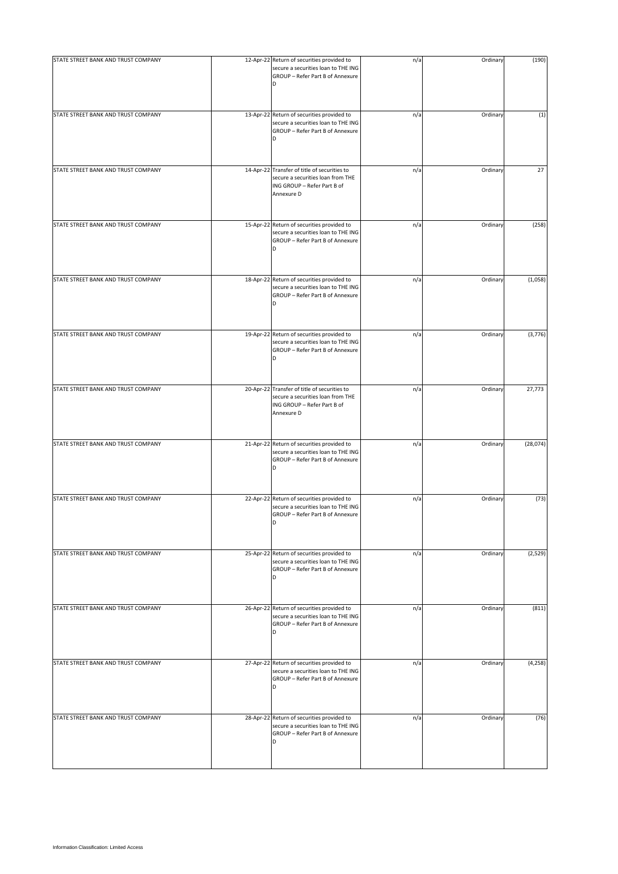| STATE STREET BANK AND TRUST COMPANY | 12-Apr-22 Return of securities provided to<br>secure a securities loan to THE ING<br>GROUP - Refer Part B of Annexure<br>D     | n/a | Ordinary | (190)    |
|-------------------------------------|--------------------------------------------------------------------------------------------------------------------------------|-----|----------|----------|
| STATE STREET BANK AND TRUST COMPANY | 13-Apr-22 Return of securities provided to<br>secure a securities loan to THE ING<br>GROUP - Refer Part B of Annexure<br>D     | n/a | Ordinary | (1)      |
| STATE STREET BANK AND TRUST COMPANY | 14-Apr-22 Transfer of title of securities to<br>secure a securities loan from THE<br>ING GROUP - Refer Part B of<br>Annexure D | n/a | Ordinary | 27       |
| STATE STREET BANK AND TRUST COMPANY | 15-Apr-22 Return of securities provided to<br>secure a securities loan to THE ING<br>GROUP - Refer Part B of Annexure<br>D     | n/a | Ordinary | (258)    |
| STATE STREET BANK AND TRUST COMPANY | 18-Apr-22 Return of securities provided to<br>secure a securities loan to THE ING<br>GROUP - Refer Part B of Annexure<br>D     | n/a | Ordinary | (1,058)  |
| STATE STREET BANK AND TRUST COMPANY | 19-Apr-22 Return of securities provided to<br>secure a securities loan to THE ING<br>GROUP - Refer Part B of Annexure          | n/a | Ordinary | (3,776)  |
| STATE STREET BANK AND TRUST COMPANY | 20-Apr-22 Transfer of title of securities to<br>secure a securities loan from THE<br>ING GROUP - Refer Part B of<br>Annexure D | n/a | Ordinary | 27,773   |
| STATE STREET BANK AND TRUST COMPANY | 21-Apr-22 Return of securities provided to<br>secure a securities loan to THE ING<br>GROUP - Refer Part B of Annexure<br>D     | n/a | Ordinary | (28,074) |
| STATE STREET BANK AND TRUST COMPANY | 22-Apr-22 Return of securities provided to<br>secure a securities loan to THE ING<br>GROUP - Refer Part B of Annexure<br>D     | n/a | Ordinary | (73)     |
| STATE STREET BANK AND TRUST COMPANY | 25-Apr-22 Return of securities provided to<br>secure a securities loan to THE ING<br>GROUP - Refer Part B of Annexure<br>D     | n/a | Ordinary | (2,529)  |
| STATE STREET BANK AND TRUST COMPANY | 26-Apr-22 Return of securities provided to<br>secure a securities loan to THE ING<br>GROUP - Refer Part B of Annexure<br>D     | n/a | Ordinary | (811)    |
| STATE STREET BANK AND TRUST COMPANY | 27-Apr-22 Return of securities provided to<br>secure a securities loan to THE ING<br>GROUP - Refer Part B of Annexure<br>D     | n/a | Ordinary | (4, 258) |
| STATE STREET BANK AND TRUST COMPANY | 28-Apr-22 Return of securities provided to<br>secure a securities loan to THE ING<br>GROUP - Refer Part B of Annexure<br>D     | n/a | Ordinary | (76)     |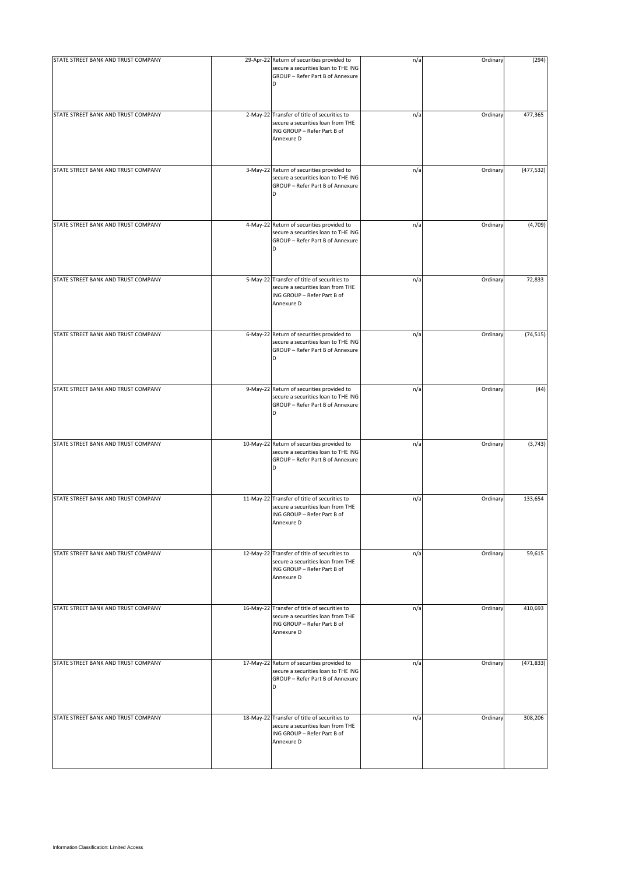| STATE STREET BANK AND TRUST COMPANY | 29-Apr-22 Return of securities provided to<br>secure a securities loan to THE ING<br>GROUP - Refer Part B of Annexure<br>D     | n/a | Ordinary | (294)      |
|-------------------------------------|--------------------------------------------------------------------------------------------------------------------------------|-----|----------|------------|
| STATE STREET BANK AND TRUST COMPANY | 2-May-22 Transfer of title of securities to<br>secure a securities loan from THE<br>ING GROUP - Refer Part B of<br>Annexure D  | n/a | Ordinary | 477,365    |
| STATE STREET BANK AND TRUST COMPANY | 3-May-22 Return of securities provided to<br>secure a securities loan to THE ING<br>GROUP - Refer Part B of Annexure<br>D      | n/a | Ordinary | (477, 532) |
| STATE STREET BANK AND TRUST COMPANY | 4-May-22 Return of securities provided to<br>secure a securities loan to THE ING<br>GROUP - Refer Part B of Annexure<br>D      | n/a | Ordinary | (4,709)    |
| STATE STREET BANK AND TRUST COMPANY | 5-May-22 Transfer of title of securities to<br>secure a securities loan from THE<br>ING GROUP - Refer Part B of<br>Annexure D  | n/a | Ordinary | 72,833     |
| STATE STREET BANK AND TRUST COMPANY | 6-May-22 Return of securities provided to<br>secure a securities loan to THE ING<br>GROUP - Refer Part B of Annexure           | n/a | Ordinary | (74, 515)  |
| STATE STREET BANK AND TRUST COMPANY | 9-May-22 Return of securities provided to<br>secure a securities loan to THE ING<br>GROUP - Refer Part B of Annexure<br>D      | n/a | Ordinary | (44)       |
| STATE STREET BANK AND TRUST COMPANY | 10-May-22 Return of securities provided to<br>secure a securities loan to THE ING<br>GROUP - Refer Part B of Annexure<br>D     | n/a | Ordinary | (3, 743)   |
| STATE STREET BANK AND TRUST COMPANY | 11-May-22 Transfer of title of securities to<br>secure a securities loan from THE<br>ING GROUP - Refer Part B of<br>Annexure D | n/a | Ordinary | 133,654    |
| STATE STREET BANK AND TRUST COMPANY | 12-May-22 Transfer of title of securities to<br>secure a securities loan from THE<br>ING GROUP - Refer Part B of<br>Annexure D | n/a | Ordinary | 59,615     |
| STATE STREET BANK AND TRUST COMPANY | 16-May-22 Transfer of title of securities to<br>secure a securities loan from THE<br>ING GROUP - Refer Part B of<br>Annexure D | n/a | Ordinary | 410,693    |
| STATE STREET BANK AND TRUST COMPANY | 17-May-22 Return of securities provided to<br>secure a securities loan to THE ING<br>GROUP - Refer Part B of Annexure<br>D     | n/a | Ordinary | (471, 833) |
| STATE STREET BANK AND TRUST COMPANY | 18-May-22 Transfer of title of securities to<br>secure a securities loan from THE<br>ING GROUP - Refer Part B of<br>Annexure D | n/a | Ordinary | 308,206    |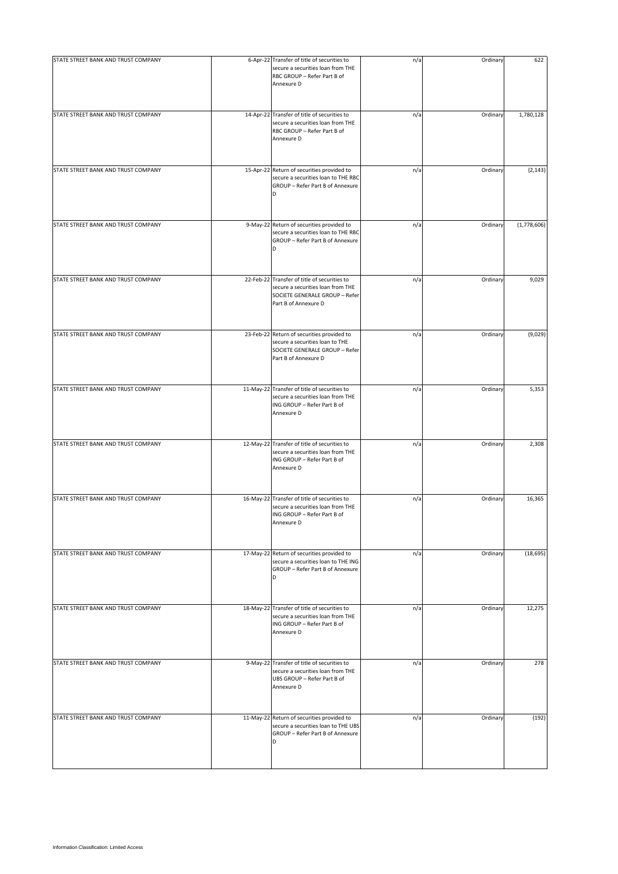| STATE STREET BANK AND TRUST COMPANY | 6-Apr-22 Transfer of title of securities to<br>secure a securities loan from THE<br>RBC GROUP - Refer Part B of<br>Annexure D               | n/a | Ordinary | 622         |
|-------------------------------------|---------------------------------------------------------------------------------------------------------------------------------------------|-----|----------|-------------|
| STATE STREET BANK AND TRUST COMPANY | 14-Apr-22 Transfer of title of securities to<br>secure a securities loan from THE<br>RBC GROUP - Refer Part B of<br>Annexure D              | n/a | Ordinary | 1,780,128   |
| STATE STREET BANK AND TRUST COMPANY | 15-Apr-22 Return of securities provided to<br>secure a securities loan to THE RBC<br>GROUP - Refer Part B of Annexure<br>D                  | n/a | Ordinary | (2, 143)    |
| STATE STREET BANK AND TRUST COMPANY | 9-May-22 Return of securities provided to<br>secure a securities loan to THE RBC<br>GROUP - Refer Part B of Annexure<br>D                   | n/a | Ordinary | (1,778,606) |
| STATE STREET BANK AND TRUST COMPANY | 22-Feb-22 Transfer of title of securities to<br>secure a securities loan from THE<br>SOCIETE GENERALE GROUP - Refer<br>Part B of Annexure D | n/a | Ordinary | 9,029       |
| STATE STREET BANK AND TRUST COMPANY | 23-Feb-22 Return of securities provided to<br>secure a securities loan to THE<br>SOCIETE GENERALE GROUP - Refer<br>Part B of Annexure D     | n/a | Ordinary | (9,029)     |
| STATE STREET BANK AND TRUST COMPANY | 11-May-22 Transfer of title of securities to<br>secure a securities loan from THE<br>ING GROUP - Refer Part B of<br>Annexure D              | n/a | Ordinary | 5,353       |
| STATE STREET BANK AND TRUST COMPANY | 12-May-22 Transfer of title of securities to<br>secure a securities loan from THE<br>ING GROUP - Refer Part B of<br>Annexure D              | n/a | Ordinary | 2,308       |
| STATE STREET BANK AND TRUST COMPANY | 16-May-22 Transfer of title of securities to<br>secure a securities loan from THE<br>ING GROUP - Refer Part B of<br>Annexure D              | n/a | Ordinary | 16,365      |
| STATE STREET BANK AND TRUST COMPANY | 17-May-22 Return of securities provided to<br>secure a securities loan to THE ING<br>GROUP - Refer Part B of Annexure<br>D                  | n/a | Ordinary | (18, 695)   |
| STATE STREET BANK AND TRUST COMPANY | 18-May-22 Transfer of title of securities to<br>secure a securities loan from THE<br>ING GROUP - Refer Part B of<br>Annexure D              | n/a | Ordinary | 12,275      |
| STATE STREET BANK AND TRUST COMPANY | 9-May-22 Transfer of title of securities to<br>secure a securities loan from THE<br>UBS GROUP - Refer Part B of<br>Annexure D               | n/a | Ordinary | 278         |
| STATE STREET BANK AND TRUST COMPANY | 11-May-22 Return of securities provided to<br>secure a securities loan to THE UBS<br>GROUP - Refer Part B of Annexure<br>D                  | n/a | Ordinary | (192)       |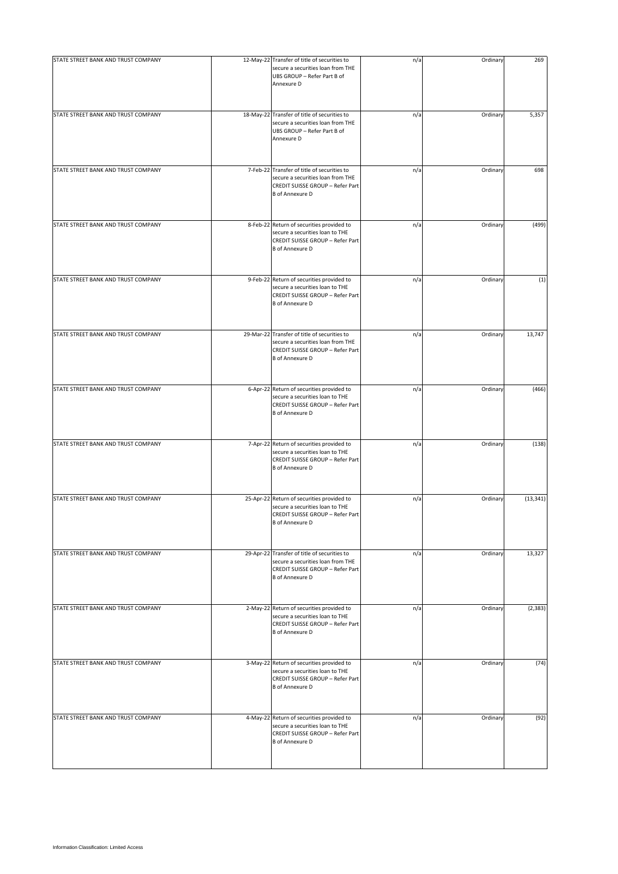| STATE STREET BANK AND TRUST COMPANY | 12-May-22 Transfer of title of securities to<br>secure a securities loan from THE<br>UBS GROUP - Refer Part B of<br>Annexure D                  | n/a | Ordinary | 269       |
|-------------------------------------|-------------------------------------------------------------------------------------------------------------------------------------------------|-----|----------|-----------|
| STATE STREET BANK AND TRUST COMPANY | 18-May-22 Transfer of title of securities to<br>secure a securities loan from THE<br>UBS GROUP - Refer Part B of<br>Annexure D                  | n/a | Ordinary | 5,357     |
| STATE STREET BANK AND TRUST COMPANY | 7-Feb-22 Transfer of title of securities to<br>secure a securities loan from THE<br>CREDIT SUISSE GROUP - Refer Part<br><b>B</b> of Annexure D  | n/a | Ordinary | 698       |
| STATE STREET BANK AND TRUST COMPANY | 8-Feb-22 Return of securities provided to<br>secure a securities loan to THE<br>CREDIT SUISSE GROUP - Refer Part<br><b>B</b> of Annexure D      | n/a | Ordinary | (499)     |
| STATE STREET BANK AND TRUST COMPANY | 9-Feb-22 Return of securities provided to<br>secure a securities loan to THE<br>CREDIT SUISSE GROUP - Refer Part<br><b>B</b> of Annexure D      | n/a | Ordinary | (1)       |
| STATE STREET BANK AND TRUST COMPANY | 29-Mar-22 Transfer of title of securities to<br>secure a securities loan from THE<br>CREDIT SUISSE GROUP - Refer Part<br><b>B</b> of Annexure D | n/a | Ordinary | 13,747    |
| STATE STREET BANK AND TRUST COMPANY | 6-Apr-22 Return of securities provided to<br>secure a securities loan to THE<br>CREDIT SUISSE GROUP - Refer Part<br><b>B</b> of Annexure D      | n/a | Ordinary | (466)     |
| STATE STREET BANK AND TRUST COMPANY | 7-Apr-22 Return of securities provided to<br>secure a securities loan to THE<br>CREDIT SUISSE GROUP - Refer Part<br><b>B</b> of Annexure D      | n/a | Ordinary | (138)     |
| STATE STREET BANK AND TRUST COMPANY | 25-Apr-22 Return of securities provided to<br>secure a securities loan to THE<br>CREDIT SUISSE GROUP - Refer Part<br><b>B</b> of Annexure D     | n/a | Ordinary | (13, 341) |
| STATE STREET BANK AND TRUST COMPANY | 29-Apr-22 Transfer of title of securities to<br>secure a securities loan from THE<br>CREDIT SUISSE GROUP - Refer Part<br><b>B</b> of Annexure D | n/a | Ordinary | 13,327    |
| STATE STREET BANK AND TRUST COMPANY | 2-May-22 Return of securities provided to<br>secure a securities loan to THE<br>CREDIT SUISSE GROUP - Refer Part<br><b>B</b> of Annexure D      | n/a | Ordinary | (2, 383)  |
| STATE STREET BANK AND TRUST COMPANY | 3-May-22 Return of securities provided to<br>secure a securities loan to THE<br>CREDIT SUISSE GROUP - Refer Part<br><b>B</b> of Annexure D      | n/a | Ordinary | (74)      |
| STATE STREET BANK AND TRUST COMPANY | 4-May-22 Return of securities provided to<br>secure a securities loan to THE<br>CREDIT SUISSE GROUP - Refer Part<br><b>B</b> of Annexure D      | n/a | Ordinary | (92)      |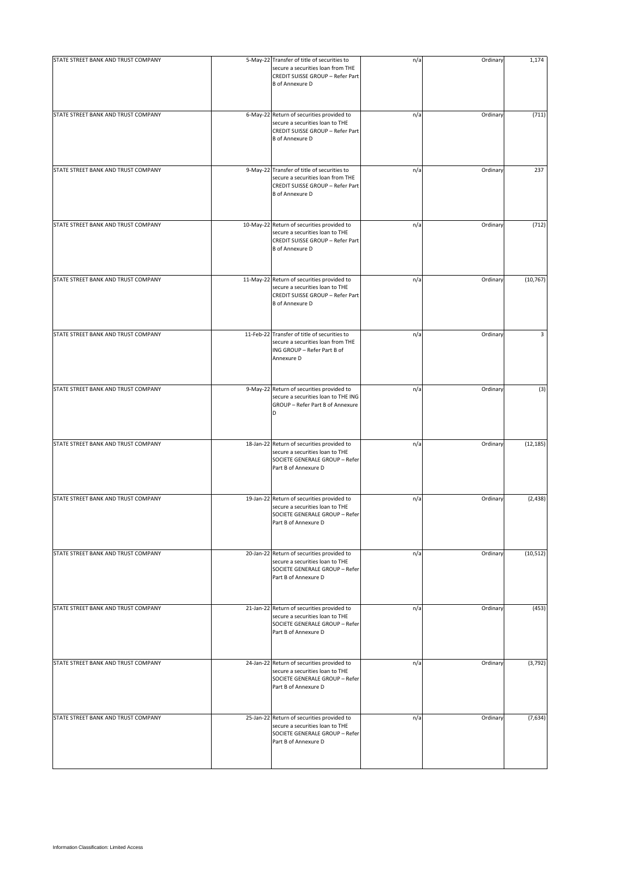| STATE STREET BANK AND TRUST COMPANY | 5-May-22 Transfer of title of securities to<br>secure a securities loan from THE<br>CREDIT SUISSE GROUP - Refer Part<br><b>B</b> of Annexure D | n/a | Ordinary | 1,174     |
|-------------------------------------|------------------------------------------------------------------------------------------------------------------------------------------------|-----|----------|-----------|
| STATE STREET BANK AND TRUST COMPANY | 6-May-22 Return of securities provided to<br>secure a securities loan to THE<br>CREDIT SUISSE GROUP - Refer Part<br><b>B</b> of Annexure D     | n/a | Ordinary | (711)     |
| STATE STREET BANK AND TRUST COMPANY | 9-May-22 Transfer of title of securities to<br>secure a securities loan from THE<br>CREDIT SUISSE GROUP - Refer Part<br><b>B</b> of Annexure D | n/a | Ordinary | 237       |
| STATE STREET BANK AND TRUST COMPANY | 10-May-22 Return of securities provided to<br>secure a securities loan to THE<br>CREDIT SUISSE GROUP - Refer Part<br><b>B</b> of Annexure D    | n/a | Ordinary | (712)     |
| STATE STREET BANK AND TRUST COMPANY | 11-May-22 Return of securities provided to<br>secure a securities loan to THE<br>CREDIT SUISSE GROUP - Refer Part<br><b>B</b> of Annexure D    | n/a | Ordinary | (10, 767) |
| STATE STREET BANK AND TRUST COMPANY | 11-Feb-22 Transfer of title of securities to<br>secure a securities loan from THE<br>ING GROUP - Refer Part B of<br>Annexure D                 | n/a | Ordinary | 3         |
| STATE STREET BANK AND TRUST COMPANY | 9-May-22 Return of securities provided to<br>secure a securities loan to THE ING<br>GROUP - Refer Part B of Annexure<br>D                      | n/a | Ordinary | (3)       |
| STATE STREET BANK AND TRUST COMPANY | 18-Jan-22 Return of securities provided to<br>secure a securities loan to THE<br>SOCIETE GENERALE GROUP - Refer<br>Part B of Annexure D        | n/a | Ordinary | (12, 185) |
| STATE STREET BANK AND TRUST COMPANY | 19-Jan-22 Return of securities provided to<br>secure a securities loan to THE<br>SOCIETE GENERALE GROUP - Refer<br>Part B of Annexure D        | n/a | Ordinary | (2, 438)  |
| STATE STREET BANK AND TRUST COMPANY | 20-Jan-22 Return of securities provided to<br>secure a securities loan to THE<br>SOCIETE GENERALE GROUP - Refer<br>Part B of Annexure D        | n/a | Ordinary | (10, 512) |
| STATE STREET BANK AND TRUST COMPANY | 21-Jan-22 Return of securities provided to<br>secure a securities loan to THE<br>SOCIETE GENERALE GROUP - Refer<br>Part B of Annexure D        | n/a | Ordinary | (453)     |
| STATE STREET BANK AND TRUST COMPANY | 24-Jan-22 Return of securities provided to<br>secure a securities loan to THE<br>SOCIETE GENERALE GROUP - Refer<br>Part B of Annexure D        | n/a | Ordinary | (3, 792)  |
| STATE STREET BANK AND TRUST COMPANY | 25-Jan-22 Return of securities provided to<br>secure a securities loan to THE<br>SOCIETE GENERALE GROUP - Refer<br>Part B of Annexure D        | n/a | Ordinary | (7,634)   |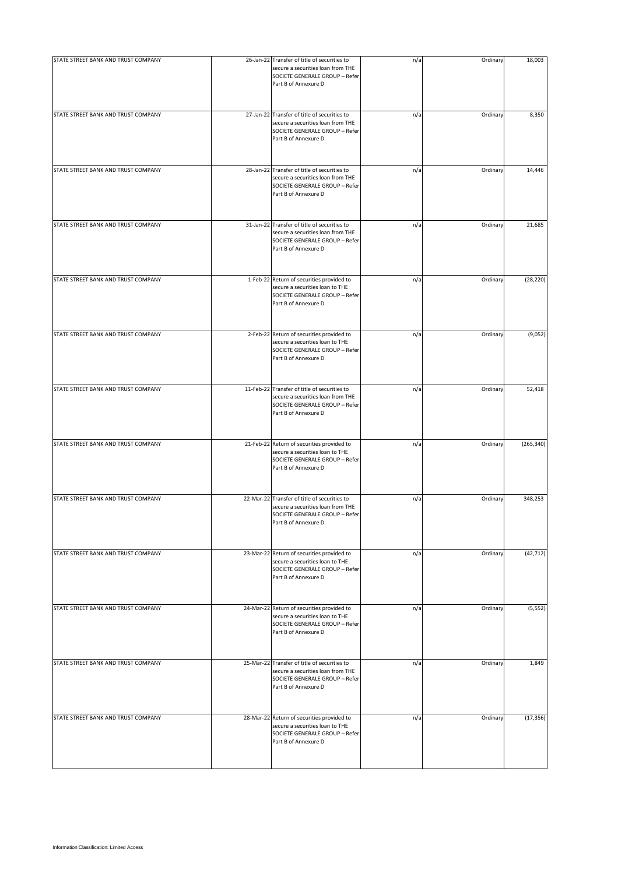| STATE STREET BANK AND TRUST COMPANY | 26-Jan-22 Transfer of title of securities to<br>secure a securities loan from THE<br>SOCIETE GENERALE GROUP - Refer<br>Part B of Annexure D | n/a | Ordinary | 18,003     |
|-------------------------------------|---------------------------------------------------------------------------------------------------------------------------------------------|-----|----------|------------|
| STATE STREET BANK AND TRUST COMPANY | 27-Jan-22 Transfer of title of securities to<br>secure a securities loan from THE<br>SOCIETE GENERALE GROUP - Refer<br>Part B of Annexure D | n/a | Ordinary | 8,350      |
| STATE STREET BANK AND TRUST COMPANY | 28-Jan-22 Transfer of title of securities to<br>secure a securities loan from THE<br>SOCIETE GENERALE GROUP - Refer<br>Part B of Annexure D | n/a | Ordinary | 14,446     |
| STATE STREET BANK AND TRUST COMPANY | 31-Jan-22 Transfer of title of securities to<br>secure a securities loan from THE<br>SOCIETE GENERALE GROUP - Refer<br>Part B of Annexure D | n/a | Ordinary | 21,685     |
| STATE STREET BANK AND TRUST COMPANY | 1-Feb-22 Return of securities provided to<br>secure a securities loan to THE<br>SOCIETE GENERALE GROUP - Refer<br>Part B of Annexure D      | n/a | Ordinary | (28, 220)  |
| STATE STREET BANK AND TRUST COMPANY | 2-Feb-22 Return of securities provided to<br>secure a securities loan to THE<br>SOCIETE GENERALE GROUP - Refer<br>Part B of Annexure D      | n/a | Ordinary | (9,052)    |
| STATE STREET BANK AND TRUST COMPANY | 11-Feb-22 Transfer of title of securities to<br>secure a securities loan from THE<br>SOCIETE GENERALE GROUP - Refer<br>Part B of Annexure D | n/a | Ordinary | 52,418     |
| STATE STREET BANK AND TRUST COMPANY | 21-Feb-22 Return of securities provided to<br>secure a securities loan to THE<br>SOCIETE GENERALE GROUP - Refer<br>Part B of Annexure D     | n/a | Ordinary | (265, 340) |
| STATE STREET BANK AND TRUST COMPANY | 22-Mar-22 Transfer of title of securities to<br>secure a securities loan from THE<br>SOCIETE GENERALE GROUP - Refer<br>Part B of Annexure D | n/a | Ordinary | 348,253    |
| STATE STREET BANK AND TRUST COMPANY | 23-Mar-22 Return of securities provided to<br>secure a securities loan to THE<br>SOCIETE GENERALE GROUP - Refer<br>Part B of Annexure D     | n/a | Ordinary | (42, 712)  |
| STATE STREET BANK AND TRUST COMPANY | 24-Mar-22 Return of securities provided to<br>secure a securities loan to THE<br>SOCIETE GENERALE GROUP - Refer<br>Part B of Annexure D     | n/a | Ordinary | (5, 552)   |
| STATE STREET BANK AND TRUST COMPANY | 25-Mar-22 Transfer of title of securities to<br>secure a securities loan from THE<br>SOCIETE GENERALE GROUP - Refer<br>Part B of Annexure D | n/a | Ordinary | 1,849      |
| STATE STREET BANK AND TRUST COMPANY | 28-Mar-22 Return of securities provided to<br>secure a securities loan to THE<br>SOCIETE GENERALE GROUP - Refer<br>Part B of Annexure D     | n/a | Ordinary | (17, 356)  |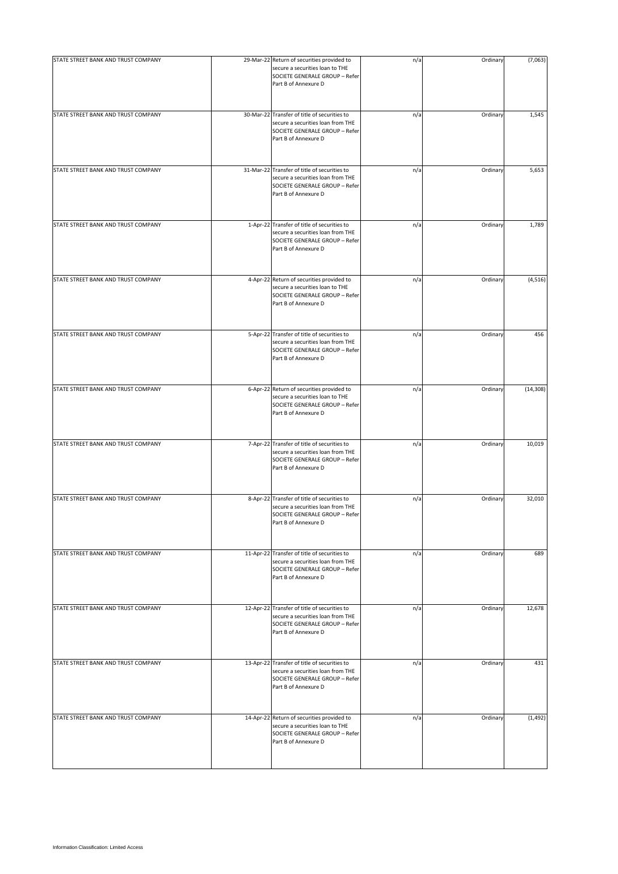| STATE STREET BANK AND TRUST COMPANY | 29-Mar-22 Return of securities provided to<br>secure a securities loan to THE<br>SOCIETE GENERALE GROUP - Refer<br>Part B of Annexure D     | n/a | Ordinary | (7,063)   |
|-------------------------------------|---------------------------------------------------------------------------------------------------------------------------------------------|-----|----------|-----------|
| STATE STREET BANK AND TRUST COMPANY | 30-Mar-22 Transfer of title of securities to<br>secure a securities loan from THE<br>SOCIETE GENERALE GROUP - Refer<br>Part B of Annexure D | n/a | Ordinary | 1,545     |
| STATE STREET BANK AND TRUST COMPANY | 31-Mar-22 Transfer of title of securities to<br>secure a securities loan from THE<br>SOCIETE GENERALE GROUP - Refer<br>Part B of Annexure D | n/a | Ordinary | 5,653     |
| STATE STREET BANK AND TRUST COMPANY | 1-Apr-22 Transfer of title of securities to<br>secure a securities loan from THE<br>SOCIETE GENERALE GROUP - Refer<br>Part B of Annexure D  | n/a | Ordinary | 1,789     |
| STATE STREET BANK AND TRUST COMPANY | 4-Apr-22 Return of securities provided to<br>secure a securities loan to THE<br>SOCIETE GENERALE GROUP - Refer<br>Part B of Annexure D      | n/a | Ordinary | (4, 516)  |
| STATE STREET BANK AND TRUST COMPANY | 5-Apr-22 Transfer of title of securities to<br>secure a securities loan from THE<br>SOCIETE GENERALE GROUP - Refer<br>Part B of Annexure D  | n/a | Ordinary | 456       |
| STATE STREET BANK AND TRUST COMPANY | 6-Apr-22 Return of securities provided to<br>secure a securities loan to THE<br>SOCIETE GENERALE GROUP - Refer<br>Part B of Annexure D      | n/a | Ordinary | (14, 308) |
| STATE STREET BANK AND TRUST COMPANY | 7-Apr-22 Transfer of title of securities to<br>secure a securities loan from THE<br>SOCIETE GENERALE GROUP - Refer<br>Part B of Annexure D  | n/a | Ordinary | 10,019    |
| STATE STREET BANK AND TRUST COMPANY | 8-Apr-22 Transfer of title of securities to<br>secure a securities loan from THE<br>SOCIETE GENERALE GROUP - Refer<br>Part B of Annexure D  | n/a | Ordinary | 32,010    |
| STATE STREET BANK AND TRUST COMPANY | 11-Apr-22 Transfer of title of securities to<br>secure a securities loan from THE<br>SOCIETE GENERALE GROUP - Refer<br>Part B of Annexure D | n/a | Ordinary | 689       |
| STATE STREET BANK AND TRUST COMPANY | 12-Apr-22 Transfer of title of securities to<br>secure a securities loan from THE<br>SOCIETE GENERALE GROUP - Refer<br>Part B of Annexure D | n/a | Ordinary | 12,678    |
| STATE STREET BANK AND TRUST COMPANY | 13-Apr-22 Transfer of title of securities to<br>secure a securities loan from THE<br>SOCIETE GENERALE GROUP - Refer<br>Part B of Annexure D | n/a | Ordinary | 431       |
| STATE STREET BANK AND TRUST COMPANY | 14-Apr-22 Return of securities provided to<br>secure a securities loan to THE<br>SOCIETE GENERALE GROUP - Refer<br>Part B of Annexure D     | n/a | Ordinary | (1, 492)  |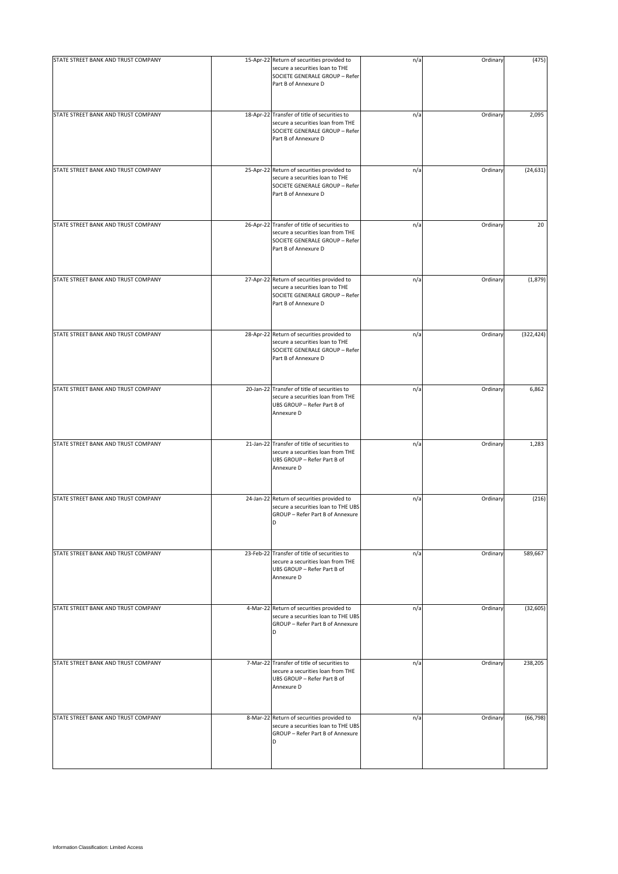| STATE STREET BANK AND TRUST COMPANY | 15-Apr-22 Return of securities provided to<br>secure a securities loan to THE<br>SOCIETE GENERALE GROUP - Refer<br>Part B of Annexure D     | n/a | Ordinary | (475)      |
|-------------------------------------|---------------------------------------------------------------------------------------------------------------------------------------------|-----|----------|------------|
| STATE STREET BANK AND TRUST COMPANY | 18-Apr-22 Transfer of title of securities to<br>secure a securities loan from THE<br>SOCIETE GENERALE GROUP - Refer<br>Part B of Annexure D | n/a | Ordinary | 2,095      |
| STATE STREET BANK AND TRUST COMPANY | 25-Apr-22 Return of securities provided to<br>secure a securities loan to THE<br>SOCIETE GENERALE GROUP - Refer<br>Part B of Annexure D     | n/a | Ordinary | (24, 631)  |
| STATE STREET BANK AND TRUST COMPANY | 26-Apr-22 Transfer of title of securities to<br>secure a securities loan from THE<br>SOCIETE GENERALE GROUP - Refer<br>Part B of Annexure D | n/a | Ordinary | 20         |
| STATE STREET BANK AND TRUST COMPANY | 27-Apr-22 Return of securities provided to<br>secure a securities loan to THE<br>SOCIETE GENERALE GROUP - Refer<br>Part B of Annexure D     | n/a | Ordinary | (1,879)    |
| STATE STREET BANK AND TRUST COMPANY | 28-Apr-22 Return of securities provided to<br>secure a securities loan to THE<br>SOCIETE GENERALE GROUP - Refer<br>Part B of Annexure D     | n/a | Ordinary | (322, 424) |
| STATE STREET BANK AND TRUST COMPANY | 20-Jan-22 Transfer of title of securities to<br>secure a securities loan from THE<br>UBS GROUP - Refer Part B of<br>Annexure D              | n/a | Ordinary | 6,862      |
| STATE STREET BANK AND TRUST COMPANY | 21-Jan-22 Transfer of title of securities to<br>secure a securities loan from THE<br>UBS GROUP - Refer Part B of<br>Annexure D              | n/a | Ordinary | 1,283      |
| STATE STREET BANK AND TRUST COMPANY | 24-Jan-22 Return of securities provided to<br>secure a securities loan to THE UBS<br>GROUP - Refer Part B of Annexure<br>D                  | n/a | Ordinary | (216)      |
| STATE STREET BANK AND TRUST COMPANY | 23-Feb-22 Transfer of title of securities to<br>secure a securities loan from THE<br>UBS GROUP - Refer Part B of<br>Annexure D              | n/a | Ordinary | 589,667    |
| STATE STREET BANK AND TRUST COMPANY | 4-Mar-22 Return of securities provided to<br>secure a securities loan to THE UBS<br>GROUP - Refer Part B of Annexure<br>D                   | n/a | Ordinary | (32, 605)  |
| STATE STREET BANK AND TRUST COMPANY | 7-Mar-22 Transfer of title of securities to<br>secure a securities loan from THE<br>UBS GROUP - Refer Part B of<br>Annexure D               | n/a | Ordinary | 238,205    |
| STATE STREET BANK AND TRUST COMPANY | 8-Mar-22 Return of securities provided to<br>secure a securities loan to THE UBS<br>GROUP - Refer Part B of Annexure<br>D                   | n/a | Ordinary | (66, 798)  |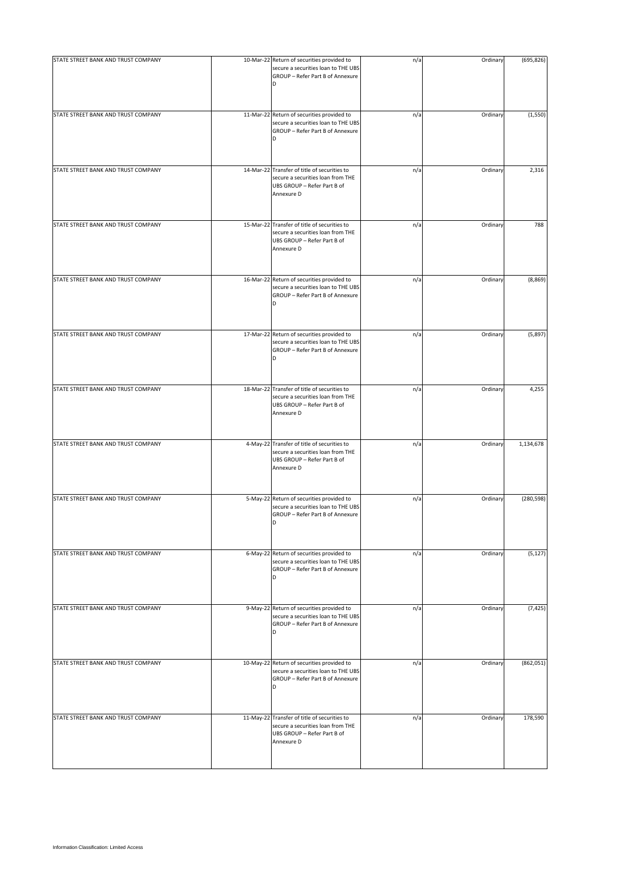| STATE STREET BANK AND TRUST COMPANY | 10-Mar-22 Return of securities provided to<br>secure a securities loan to THE UBS<br>GROUP - Refer Part B of Annexure<br>D     | n/a | Ordinary | (695, 826) |
|-------------------------------------|--------------------------------------------------------------------------------------------------------------------------------|-----|----------|------------|
| STATE STREET BANK AND TRUST COMPANY | 11-Mar-22 Return of securities provided to<br>secure a securities loan to THE UBS<br>GROUP - Refer Part B of Annexure<br>D     | n/a | Ordinary | (1, 550)   |
| STATE STREET BANK AND TRUST COMPANY | 14-Mar-22 Transfer of title of securities to<br>secure a securities loan from THE<br>UBS GROUP - Refer Part B of<br>Annexure D | n/a | Ordinary | 2,316      |
| STATE STREET BANK AND TRUST COMPANY | 15-Mar-22 Transfer of title of securities to<br>secure a securities loan from THE<br>UBS GROUP - Refer Part B of<br>Annexure D | n/a | Ordinary | 788        |
| STATE STREET BANK AND TRUST COMPANY | 16-Mar-22 Return of securities provided to<br>secure a securities loan to THE UBS<br>GROUP - Refer Part B of Annexure<br>D     | n/a | Ordinary | (8,869)    |
| STATE STREET BANK AND TRUST COMPANY | 17-Mar-22 Return of securities provided to<br>secure a securities loan to THE UBS<br>GROUP - Refer Part B of Annexure          | n/a | Ordinary | (5,897)    |
| STATE STREET BANK AND TRUST COMPANY | 18-Mar-22 Transfer of title of securities to<br>secure a securities loan from THE<br>UBS GROUP - Refer Part B of<br>Annexure D | n/a | Ordinary | 4,255      |
| STATE STREET BANK AND TRUST COMPANY | 4-May-22 Transfer of title of securities to<br>secure a securities loan from THE<br>UBS GROUP - Refer Part B of<br>Annexure D  | n/a | Ordinary | 1,134,678  |
| STATE STREET BANK AND TRUST COMPANY | 5-May-22 Return of securities provided to<br>secure a securities loan to THE UBS<br>GROUP - Refer Part B of Annexure<br>D      | n/a | Ordinary | (280, 598) |
| STATE STREET BANK AND TRUST COMPANY | 6-May-22 Return of securities provided to<br>secure a securities loan to THE UBS<br>GROUP - Refer Part B of Annexure<br>D      | n/a | Ordinary | (5, 127)   |
| STATE STREET BANK AND TRUST COMPANY | 9-May-22 Return of securities provided to<br>secure a securities loan to THE UBS<br>GROUP - Refer Part B of Annexure<br>D      | n/a | Ordinary | (7, 425)   |
| STATE STREET BANK AND TRUST COMPANY | 10-May-22 Return of securities provided to<br>secure a securities loan to THE UBS<br>GROUP - Refer Part B of Annexure<br>D     | n/a | Ordinary | (862, 051) |
| STATE STREET BANK AND TRUST COMPANY | 11-May-22 Transfer of title of securities to<br>secure a securities loan from THE<br>UBS GROUP - Refer Part B of<br>Annexure D | n/a | Ordinary | 178,590    |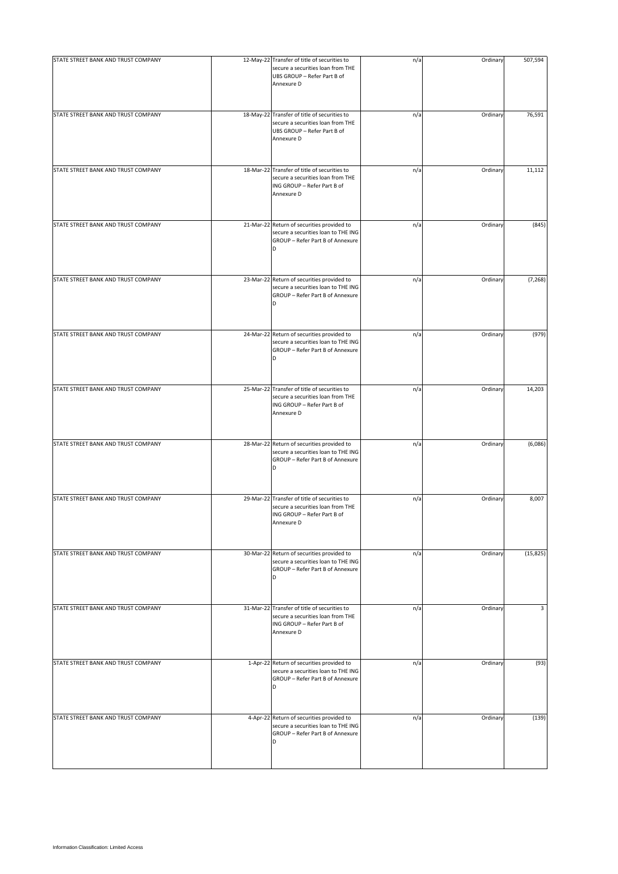| STATE STREET BANK AND TRUST COMPANY | 12-May-22 Transfer of title of securities to<br>secure a securities loan from THE<br>UBS GROUP - Refer Part B of<br>Annexure D       | n/a | Ordinary | 507,594   |
|-------------------------------------|--------------------------------------------------------------------------------------------------------------------------------------|-----|----------|-----------|
| STATE STREET BANK AND TRUST COMPANY | 18-May-22 Transfer of title of securities to<br>secure a securities loan from THE<br>UBS GROUP - Refer Part B of<br>Annexure D       | n/a | Ordinary | 76,591    |
| STATE STREET BANK AND TRUST COMPANY | 18-Mar-22 Transfer of title of securities to<br>secure a securities loan from THE<br>ING GROUP - Refer Part B of<br>Annexure D       | n/a | Ordinary | 11,112    |
| STATE STREET BANK AND TRUST COMPANY | 21-Mar-22 Return of securities provided to<br>secure a securities loan to THE ING<br>GROUP - Refer Part B of Annexure<br>D           | n/a | Ordinary | (845)     |
| STATE STREET BANK AND TRUST COMPANY | 23-Mar-22 Return of securities provided to<br>secure a securities loan to THE ING<br>GROUP - Refer Part B of Annexure<br>D           | n/a | Ordinary | (7, 268)  |
| STATE STREET BANK AND TRUST COMPANY | 24-Mar-22 Return of securities provided to<br>secure a securities loan to THE ING<br>GROUP - Refer Part B of Annexure                | n/a | Ordinary | (979)     |
| STATE STREET BANK AND TRUST COMPANY | 25-Mar-22 Transfer of title of securities to<br>secure a securities loan from THE<br>ING GROUP - Refer Part B of<br>Annexure D       | n/a | Ordinary | 14,203    |
| STATE STREET BANK AND TRUST COMPANY | 28-Mar-22 Return of securities provided to<br>secure a securities loan to THE ING<br>GROUP - Refer Part B of Annexure<br>D           | n/a | Ordinary | (6,086)   |
| STATE STREET BANK AND TRUST COMPANY | 29-Mar-22 Transfer of title of securities to<br>secure a securities loan from THE<br>ING GROUP - Refer Part B of<br>Annexure D       | n/a | Ordinary | 8,007     |
| STATE STREET BANK AND TRUST COMPANY | 30-Mar-22 Return of securities provided to<br>secure a securities loan to THE ING<br>GROUP - Refer Part B of Annexure<br>D           | n/a | Ordinary | (15, 825) |
| STATE STREET BANK AND TRUST COMPANY | 31-Mar-22 Transfer of title of securities to<br>secure a securities loan from THE<br>ING GROUP - Refer Part B of<br>Annexure D       | n/a | Ordinary | 3         |
| STATE STREET BANK AND TRUST COMPANY | 1-Apr-22 Return of securities provided to<br>secure a securities loan to THE ING<br>GROUP - Refer Part B of Annexure<br><sub>D</sub> | n/a | Ordinary | (93)      |
| STATE STREET BANK AND TRUST COMPANY | 4-Apr-22 Return of securities provided to<br>secure a securities loan to THE ING<br>GROUP - Refer Part B of Annexure<br>D            | n/a | Ordinary | (139)     |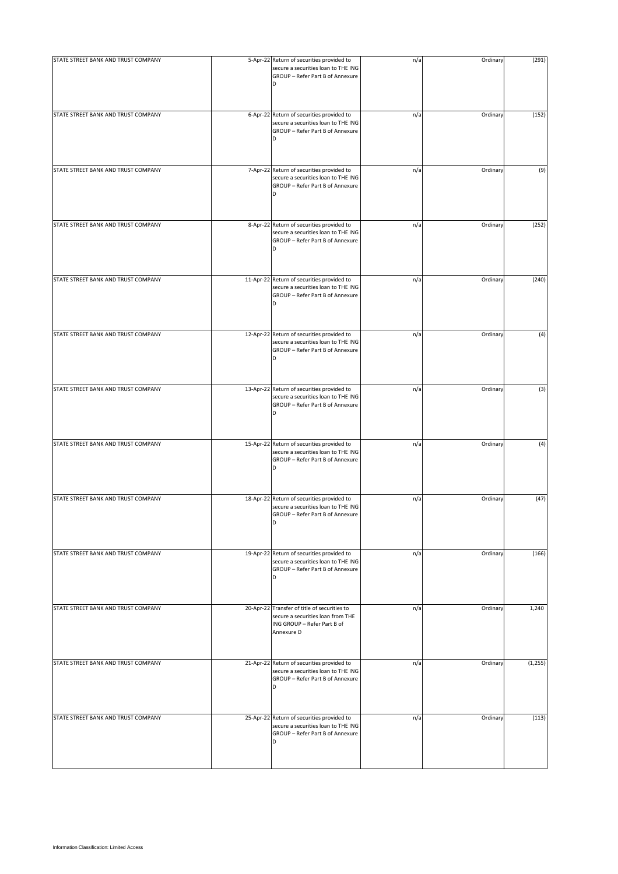| STATE STREET BANK AND TRUST COMPANY | 5-Apr-22 Return of securities provided to<br>secure a securities loan to THE ING<br>GROUP - Refer Part B of Annexure<br>D      | n/a | Ordinary | (291)    |
|-------------------------------------|--------------------------------------------------------------------------------------------------------------------------------|-----|----------|----------|
| STATE STREET BANK AND TRUST COMPANY | 6-Apr-22 Return of securities provided to<br>secure a securities loan to THE ING<br>GROUP - Refer Part B of Annexure<br>D      | n/a | Ordinary | (152)    |
| STATE STREET BANK AND TRUST COMPANY | 7-Apr-22 Return of securities provided to<br>secure a securities loan to THE ING<br>GROUP - Refer Part B of Annexure<br>D      | n/a | Ordinary | (9)      |
| STATE STREET BANK AND TRUST COMPANY | 8-Apr-22 Return of securities provided to<br>secure a securities loan to THE ING<br>GROUP - Refer Part B of Annexure<br>D      | n/a | Ordinary | (252)    |
| STATE STREET BANK AND TRUST COMPANY | 11-Apr-22 Return of securities provided to<br>secure a securities loan to THE ING<br>GROUP - Refer Part B of Annexure<br>D     | n/a | Ordinary | (240)    |
| STATE STREET BANK AND TRUST COMPANY | 12-Apr-22 Return of securities provided to<br>secure a securities loan to THE ING<br>GROUP - Refer Part B of Annexure<br>D     | n/a | Ordinary | (4)      |
| STATE STREET BANK AND TRUST COMPANY | 13-Apr-22 Return of securities provided to<br>secure a securities loan to THE ING<br>GROUP - Refer Part B of Annexure<br>D     | n/a | Ordinary | (3)      |
| STATE STREET BANK AND TRUST COMPANY | 15-Apr-22 Return of securities provided to<br>secure a securities loan to THE ING<br>GROUP - Refer Part B of Annexure<br>D     | n/a | Ordinary | (4)      |
| STATE STREET BANK AND TRUST COMPANY | 18-Apr-22 Return of securities provided to<br>secure a securities loan to THE ING<br>GROUP - Refer Part B of Annexure<br>D     | n/a | Ordinary | (47)     |
| STATE STREET BANK AND TRUST COMPANY | 19-Apr-22 Return of securities provided to<br>secure a securities loan to THE ING<br>GROUP - Refer Part B of Annexure<br>D     | n/a | Ordinary | (166)    |
| STATE STREET BANK AND TRUST COMPANY | 20-Apr-22 Transfer of title of securities to<br>secure a securities loan from THE<br>ING GROUP - Refer Part B of<br>Annexure D | n/a | Ordinary | 1,240    |
| STATE STREET BANK AND TRUST COMPANY | 21-Apr-22 Return of securities provided to<br>secure a securities loan to THE ING<br>GROUP - Refer Part B of Annexure<br>D     | n/a | Ordinary | (1, 255) |
| STATE STREET BANK AND TRUST COMPANY | 25-Apr-22 Return of securities provided to<br>secure a securities loan to THE ING<br>GROUP - Refer Part B of Annexure<br>D     | n/a | Ordinary | (113)    |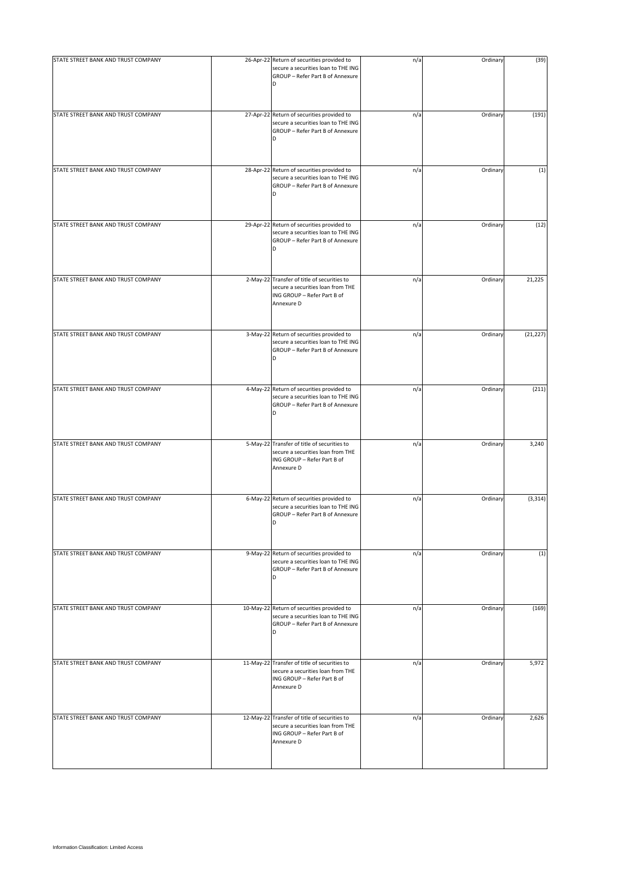| STATE STREET BANK AND TRUST COMPANY | 26-Apr-22 Return of securities provided to<br>secure a securities loan to THE ING<br>GROUP - Refer Part B of Annexure<br>D     | n/a | Ordinary | (39)      |
|-------------------------------------|--------------------------------------------------------------------------------------------------------------------------------|-----|----------|-----------|
| STATE STREET BANK AND TRUST COMPANY | 27-Apr-22 Return of securities provided to<br>secure a securities loan to THE ING<br>GROUP - Refer Part B of Annexure<br>D     | n/a | Ordinary | (191)     |
| STATE STREET BANK AND TRUST COMPANY | 28-Apr-22 Return of securities provided to<br>secure a securities loan to THE ING<br>GROUP - Refer Part B of Annexure<br>D     | n/a | Ordinary | (1)       |
| STATE STREET BANK AND TRUST COMPANY | 29-Apr-22 Return of securities provided to<br>secure a securities loan to THE ING<br>GROUP - Refer Part B of Annexure<br>D     | n/a | Ordinary | (12)      |
| STATE STREET BANK AND TRUST COMPANY | 2-May-22 Transfer of title of securities to<br>secure a securities loan from THE<br>ING GROUP - Refer Part B of<br>Annexure D  | n/a | Ordinary | 21,225    |
| STATE STREET BANK AND TRUST COMPANY | 3-May-22 Return of securities provided to<br>secure a securities loan to THE ING<br>GROUP - Refer Part B of Annexure           | n/a | Ordinary | (21, 227) |
| STATE STREET BANK AND TRUST COMPANY | 4-May-22 Return of securities provided to<br>secure a securities loan to THE ING<br>GROUP - Refer Part B of Annexure<br>D      | n/a | Ordinary | (211)     |
| STATE STREET BANK AND TRUST COMPANY | 5-May-22 Transfer of title of securities to<br>secure a securities loan from THE<br>ING GROUP - Refer Part B of<br>Annexure D  | n/a | Ordinary | 3,240     |
| STATE STREET BANK AND TRUST COMPANY | 6-May-22 Return of securities provided to<br>secure a securities loan to THE ING<br>GROUP - Refer Part B of Annexure<br>D      | n/a | Ordinary | (3, 314)  |
| STATE STREET BANK AND TRUST COMPANY | 9-May-22 Return of securities provided to<br>secure a securities loan to THE ING<br>GROUP - Refer Part B of Annexure<br>D      | n/a | Ordinary | (1)       |
| STATE STREET BANK AND TRUST COMPANY | 10-May-22 Return of securities provided to<br>secure a securities loan to THE ING<br>GROUP - Refer Part B of Annexure<br>D     | n/a | Ordinary | (169)     |
| STATE STREET BANK AND TRUST COMPANY | 11-May-22 Transfer of title of securities to<br>secure a securities loan from THE<br>ING GROUP - Refer Part B of<br>Annexure D | n/a | Ordinary | 5,972     |
| STATE STREET BANK AND TRUST COMPANY | 12-May-22 Transfer of title of securities to<br>secure a securities loan from THE<br>ING GROUP - Refer Part B of<br>Annexure D | n/a | Ordinary | 2,626     |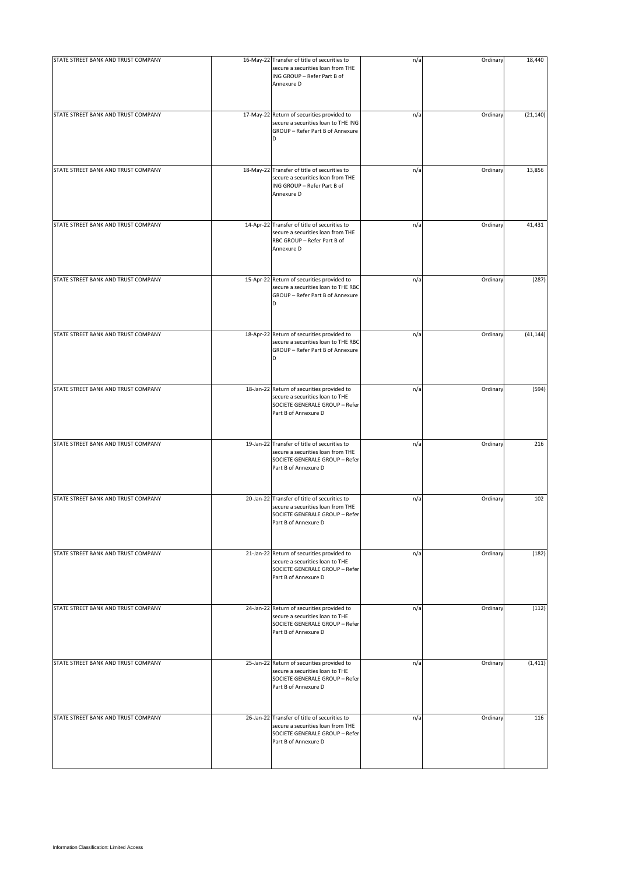| STATE STREET BANK AND TRUST COMPANY | 16-May-22 Transfer of title of securities to<br>secure a securities loan from THE<br>ING GROUP - Refer Part B of<br>Annexure D              | n/a | Ordinary | 18,440    |
|-------------------------------------|---------------------------------------------------------------------------------------------------------------------------------------------|-----|----------|-----------|
| STATE STREET BANK AND TRUST COMPANY | 17-May-22 Return of securities provided to<br>secure a securities loan to THE ING<br>GROUP - Refer Part B of Annexure                       | n/a | Ordinary | (21, 140) |
| STATE STREET BANK AND TRUST COMPANY | 18-May-22 Transfer of title of securities to<br>secure a securities loan from THE<br>ING GROUP - Refer Part B of<br>Annexure D              | n/a | Ordinary | 13,856    |
| STATE STREET BANK AND TRUST COMPANY | 14-Apr-22 Transfer of title of securities to<br>secure a securities loan from THE<br>RBC GROUP - Refer Part B of<br>Annexure D              | n/a | Ordinary | 41,431    |
| STATE STREET BANK AND TRUST COMPANY | 15-Apr-22 Return of securities provided to<br>secure a securities loan to THE RBC<br>GROUP - Refer Part B of Annexure<br>D                  | n/a | Ordinary | (287)     |
| STATE STREET BANK AND TRUST COMPANY | 18-Apr-22 Return of securities provided to<br>secure a securities loan to THE RBC<br>GROUP - Refer Part B of Annexure<br>D                  | n/a | Ordinary | (41, 144) |
| STATE STREET BANK AND TRUST COMPANY | 18-Jan-22 Return of securities provided to<br>secure a securities loan to THE<br>SOCIETE GENERALE GROUP - Refer<br>Part B of Annexure D     | n/a | Ordinary | (594)     |
| STATE STREET BANK AND TRUST COMPANY | 19-Jan-22 Transfer of title of securities to<br>secure a securities loan from THE<br>SOCIETE GENERALE GROUP - Refer<br>Part B of Annexure D | n/a | Ordinary | 216       |
| STATE STREET BANK AND TRUST COMPANY | 20-Jan-22 Transfer of title of securities to<br>secure a securities loan from THE<br>SOCIETE GENERALE GROUP - Refer<br>Part B of Annexure D | n/a | Ordinary | 102       |
| STATE STREET BANK AND TRUST COMPANY | 21-Jan-22 Return of securities provided to<br>secure a securities loan to THE<br>SOCIETE GENERALE GROUP - Refer<br>Part B of Annexure D     | n/a | Ordinary | (182)     |
| STATE STREET BANK AND TRUST COMPANY | 24-Jan-22 Return of securities provided to<br>secure a securities loan to THE<br>SOCIETE GENERALE GROUP - Refer<br>Part B of Annexure D     | n/a | Ordinary | (112)     |
| STATE STREET BANK AND TRUST COMPANY | 25-Jan-22 Return of securities provided to<br>secure a securities loan to THE<br>SOCIETE GENERALE GROUP - Refer<br>Part B of Annexure D     | n/a | Ordinary | (1, 411)  |
| STATE STREET BANK AND TRUST COMPANY | 26-Jan-22 Transfer of title of securities to<br>secure a securities loan from THE<br>SOCIETE GENERALE GROUP - Refer<br>Part B of Annexure D | n/a | Ordinary | 116       |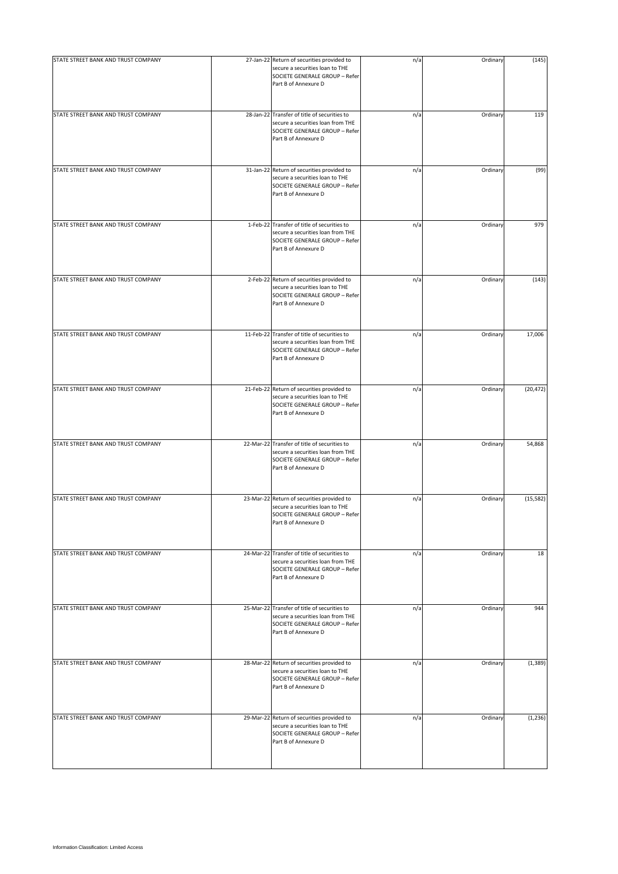| STATE STREET BANK AND TRUST COMPANY | 27-Jan-22 Return of securities provided to<br>secure a securities loan to THE<br>SOCIETE GENERALE GROUP - Refer<br>Part B of Annexure D     | n/a | Ordinary | (145)     |
|-------------------------------------|---------------------------------------------------------------------------------------------------------------------------------------------|-----|----------|-----------|
| STATE STREET BANK AND TRUST COMPANY | 28-Jan-22 Transfer of title of securities to<br>secure a securities loan from THE<br>SOCIETE GENERALE GROUP - Refer<br>Part B of Annexure D | n/a | Ordinary | 119       |
| STATE STREET BANK AND TRUST COMPANY | 31-Jan-22 Return of securities provided to<br>secure a securities loan to THE<br>SOCIETE GENERALE GROUP - Refer<br>Part B of Annexure D     | n/a | Ordinary | (99)      |
| STATE STREET BANK AND TRUST COMPANY | 1-Feb-22 Transfer of title of securities to<br>secure a securities loan from THE<br>SOCIETE GENERALE GROUP - Refer<br>Part B of Annexure D  | n/a | Ordinary | 979       |
| STATE STREET BANK AND TRUST COMPANY | 2-Feb-22 Return of securities provided to<br>secure a securities loan to THE<br>SOCIETE GENERALE GROUP - Refer<br>Part B of Annexure D      | n/a | Ordinary | (143)     |
| STATE STREET BANK AND TRUST COMPANY | 11-Feb-22 Transfer of title of securities to<br>secure a securities loan from THE<br>SOCIETE GENERALE GROUP - Refer<br>Part B of Annexure D | n/a | Ordinary | 17,006    |
| STATE STREET BANK AND TRUST COMPANY | 21-Feb-22 Return of securities provided to<br>secure a securities loan to THE<br>SOCIETE GENERALE GROUP - Refer<br>Part B of Annexure D     | n/a | Ordinary | (20, 472) |
| STATE STREET BANK AND TRUST COMPANY | 22-Mar-22 Transfer of title of securities to<br>secure a securities loan from THE<br>SOCIETE GENERALE GROUP - Refer<br>Part B of Annexure D | n/a | Ordinary | 54,868    |
| STATE STREET BANK AND TRUST COMPANY | 23-Mar-22 Return of securities provided to<br>secure a securities loan to THE<br>SOCIETE GENERALE GROUP - Refer<br>Part B of Annexure D     | n/a | Ordinary | (15, 582) |
| STATE STREET BANK AND TRUST COMPANY | 24-Mar-22 Transfer of title of securities to<br>secure a securities loan from THE<br>SOCIETE GENERALE GROUP - Refer<br>Part B of Annexure D | n/a | Ordinary | 18        |
| STATE STREET BANK AND TRUST COMPANY | 25-Mar-22 Transfer of title of securities to<br>secure a securities loan from THE<br>SOCIETE GENERALE GROUP - Refer<br>Part B of Annexure D | n/a | Ordinary | 944       |
| STATE STREET BANK AND TRUST COMPANY | 28-Mar-22 Return of securities provided to<br>secure a securities loan to THE<br>SOCIETE GENERALE GROUP - Refer<br>Part B of Annexure D     | n/a | Ordinary | (1, 389)  |
| STATE STREET BANK AND TRUST COMPANY | 29-Mar-22 Return of securities provided to<br>secure a securities loan to THE<br>SOCIETE GENERALE GROUP - Refer<br>Part B of Annexure D     | n/a | Ordinary | (1, 236)  |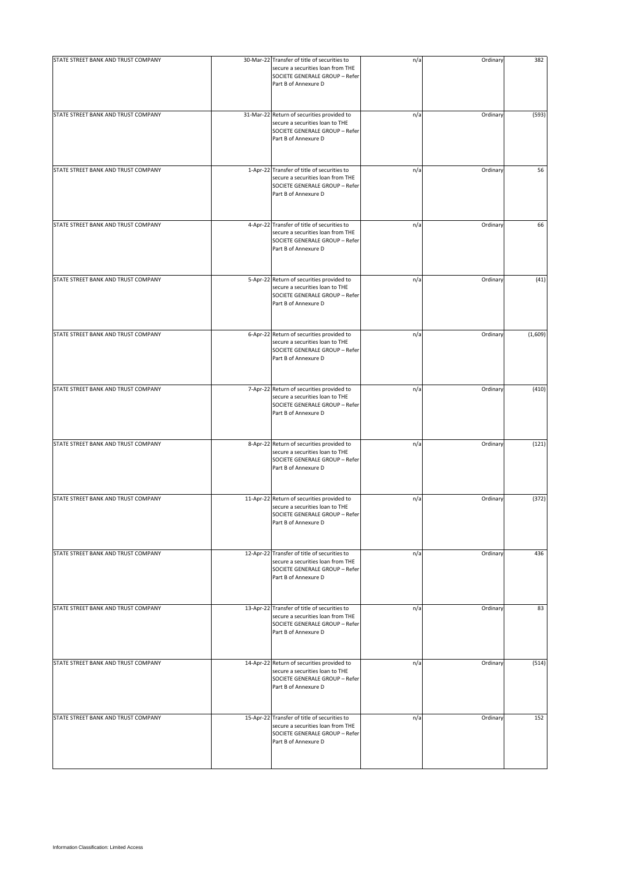| STATE STREET BANK AND TRUST COMPANY | 30-Mar-22 Transfer of title of securities to<br>secure a securities loan from THE<br>SOCIETE GENERALE GROUP - Refer<br>Part B of Annexure D | n/a | Ordinary | 382     |
|-------------------------------------|---------------------------------------------------------------------------------------------------------------------------------------------|-----|----------|---------|
| STATE STREET BANK AND TRUST COMPANY | 31-Mar-22 Return of securities provided to<br>secure a securities loan to THE<br>SOCIETE GENERALE GROUP - Refer<br>Part B of Annexure D     | n/a | Ordinary | (593)   |
| STATE STREET BANK AND TRUST COMPANY | 1-Apr-22 Transfer of title of securities to<br>secure a securities loan from THE<br>SOCIETE GENERALE GROUP - Refer<br>Part B of Annexure D  | n/a | Ordinary | 56      |
| STATE STREET BANK AND TRUST COMPANY | 4-Apr-22 Transfer of title of securities to<br>secure a securities loan from THE<br>SOCIETE GENERALE GROUP - Refer<br>Part B of Annexure D  | n/a | Ordinary | 66      |
| STATE STREET BANK AND TRUST COMPANY | 5-Apr-22 Return of securities provided to<br>secure a securities loan to THE<br>SOCIETE GENERALE GROUP - Refer<br>Part B of Annexure D      | n/a | Ordinary | (41)    |
| STATE STREET BANK AND TRUST COMPANY | 6-Apr-22 Return of securities provided to<br>secure a securities loan to THE<br>SOCIETE GENERALE GROUP - Refer<br>Part B of Annexure D      | n/a | Ordinary | (1,609) |
| STATE STREET BANK AND TRUST COMPANY | 7-Apr-22 Return of securities provided to<br>secure a securities loan to THE<br>SOCIETE GENERALE GROUP - Refer<br>Part B of Annexure D      | n/a | Ordinary | (410)   |
| STATE STREET BANK AND TRUST COMPANY | 8-Apr-22 Return of securities provided to<br>secure a securities loan to THE<br>SOCIETE GENERALE GROUP - Refer<br>Part B of Annexure D      | n/a | Ordinary | (121)   |
| STATE STREET BANK AND TRUST COMPANY | 11-Apr-22 Return of securities provided to<br>secure a securities loan to THE<br>SOCIETE GENERALE GROUP - Refer<br>Part B of Annexure D     | n/a | Ordinary | (372)   |
| STATE STREET BANK AND TRUST COMPANY | 12-Apr-22 Transfer of title of securities to<br>secure a securities loan from THE<br>SOCIETE GENERALE GROUP - Refer<br>Part B of Annexure D | n/a | Ordinary | 436     |
| STATE STREET BANK AND TRUST COMPANY | 13-Apr-22 Transfer of title of securities to<br>secure a securities loan from THE<br>SOCIETE GENERALE GROUP - Refer<br>Part B of Annexure D | n/a | Ordinary | 83      |
| STATE STREET BANK AND TRUST COMPANY | 14-Apr-22 Return of securities provided to<br>secure a securities loan to THE<br>SOCIETE GENERALE GROUP - Refer<br>Part B of Annexure D     | n/a | Ordinary | (514)   |
| STATE STREET BANK AND TRUST COMPANY | 15-Apr-22 Transfer of title of securities to<br>secure a securities loan from THE<br>SOCIETE GENERALE GROUP - Refer<br>Part B of Annexure D | n/a | Ordinary | 152     |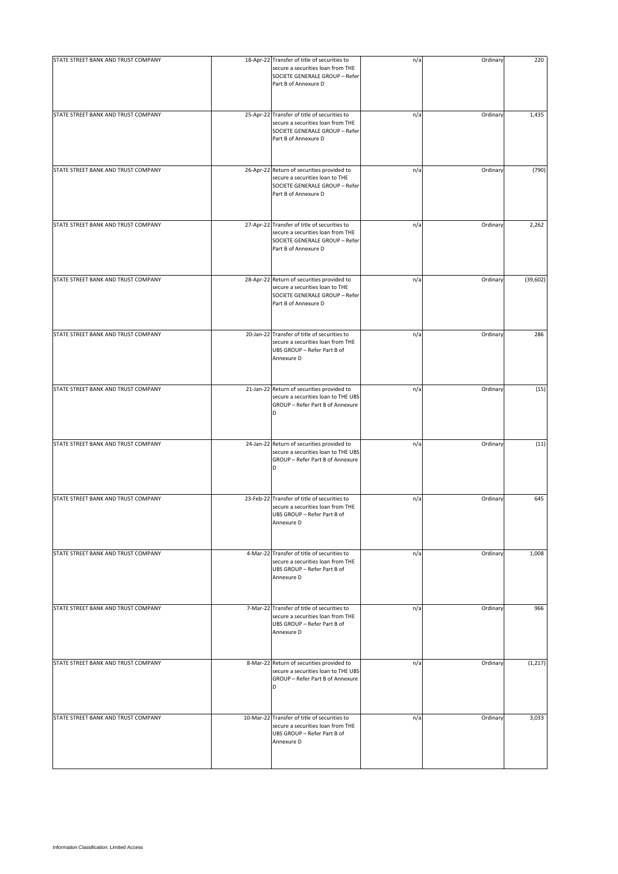| STATE STREET BANK AND TRUST COMPANY | 18-Apr-22 Transfer of title of securities to<br>secure a securities loan from THE<br>SOCIETE GENERALE GROUP - Refer<br>Part B of Annexure D | n/a | Ordinary | 220       |
|-------------------------------------|---------------------------------------------------------------------------------------------------------------------------------------------|-----|----------|-----------|
| STATE STREET BANK AND TRUST COMPANY | 25-Apr-22 Transfer of title of securities to<br>secure a securities loan from THE<br>SOCIETE GENERALE GROUP - Refer<br>Part B of Annexure D | n/a | Ordinary | 1,435     |
| STATE STREET BANK AND TRUST COMPANY | 26-Apr-22 Return of securities provided to<br>secure a securities loan to THE<br>SOCIETE GENERALE GROUP - Refer<br>Part B of Annexure D     | n/a | Ordinary | (790)     |
| STATE STREET BANK AND TRUST COMPANY | 27-Apr-22 Transfer of title of securities to<br>secure a securities loan from THE<br>SOCIETE GENERALE GROUP - Refer<br>Part B of Annexure D | n/a | Ordinary | 2,262     |
| STATE STREET BANK AND TRUST COMPANY | 28-Apr-22 Return of securities provided to<br>secure a securities loan to THE<br>SOCIETE GENERALE GROUP - Refer<br>Part B of Annexure D     | n/a | Ordinary | (39, 602) |
| STATE STREET BANK AND TRUST COMPANY | 20-Jan-22 Transfer of title of securities to<br>secure a securities loan from THE<br>UBS GROUP - Refer Part B of<br>Annexure D              | n/a | Ordinary | 286       |
| STATE STREET BANK AND TRUST COMPANY | 21-Jan-22 Return of securities provided to<br>secure a securities loan to THE UBS<br>GROUP - Refer Part B of Annexure<br>D                  | n/a | Ordinary | (15)      |
| STATE STREET BANK AND TRUST COMPANY | 24-Jan-22 Return of securities provided to<br>secure a securities loan to THE UBS<br>GROUP - Refer Part B of Annexure<br>D                  | n/a | Ordinary | (11)      |
| STATE STREET BANK AND TRUST COMPANY | 23-Feb-22 Transfer of title of securities to<br>secure a securities loan from THE<br>UBS GROUP - Refer Part B of<br>Annexure D              | n/a | Ordinary | 645       |
| STATE STREET BANK AND TRUST COMPANY | 4-Mar-22 Transfer of title of securities to<br>secure a securities loan from THE<br>UBS GROUP - Refer Part B of<br>Annexure D               | n/a | Ordinary | 1,008     |
| STATE STREET BANK AND TRUST COMPANY | 7-Mar-22 Transfer of title of securities to<br>secure a securities loan from THE<br>UBS GROUP - Refer Part B of<br>Annexure D               | n/a | Ordinary | 966       |
| STATE STREET BANK AND TRUST COMPANY | 8-Mar-22 Return of securities provided to<br>secure a securities loan to THE UBS<br>GROUP - Refer Part B of Annexure<br>D                   | n/a | Ordinary | (1, 217)  |
| STATE STREET BANK AND TRUST COMPANY | 10-Mar-22 Transfer of title of securities to<br>secure a securities loan from THE<br>UBS GROUP - Refer Part B of<br>Annexure D              | n/a | Ordinary | 3,033     |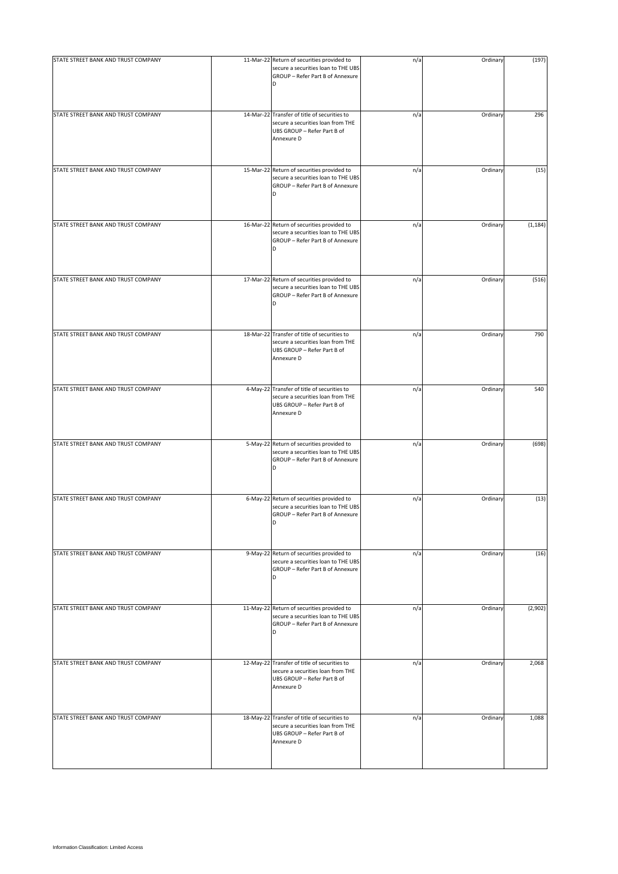| STATE STREET BANK AND TRUST COMPANY | 11-Mar-22 Return of securities provided to<br>secure a securities loan to THE UBS<br>GROUP - Refer Part B of Annexure<br>D     | n/a | Ordinary | (197)    |
|-------------------------------------|--------------------------------------------------------------------------------------------------------------------------------|-----|----------|----------|
| STATE STREET BANK AND TRUST COMPANY | 14-Mar-22 Transfer of title of securities to<br>secure a securities loan from THE<br>UBS GROUP - Refer Part B of<br>Annexure D | n/a | Ordinary | 296      |
| STATE STREET BANK AND TRUST COMPANY | 15-Mar-22 Return of securities provided to<br>secure a securities loan to THE UBS<br>GROUP - Refer Part B of Annexure<br>D     | n/a | Ordinary | (15)     |
| STATE STREET BANK AND TRUST COMPANY | 16-Mar-22 Return of securities provided to<br>secure a securities loan to THE UBS<br>GROUP - Refer Part B of Annexure<br>D     | n/a | Ordinary | (1, 184) |
| STATE STREET BANK AND TRUST COMPANY | 17-Mar-22 Return of securities provided to<br>secure a securities loan to THE UBS<br>GROUP - Refer Part B of Annexure<br>D     | n/a | Ordinary | (516)    |
| STATE STREET BANK AND TRUST COMPANY | 18-Mar-22 Transfer of title of securities to<br>secure a securities loan from THE<br>UBS GROUP - Refer Part B of<br>Annexure D | n/a | Ordinary | 790      |
| STATE STREET BANK AND TRUST COMPANY | 4-May-22 Transfer of title of securities to<br>secure a securities loan from THE<br>UBS GROUP - Refer Part B of<br>Annexure D  | n/a | Ordinary | 540      |
| STATE STREET BANK AND TRUST COMPANY | 5-May-22 Return of securities provided to<br>secure a securities loan to THE UBS<br>GROUP - Refer Part B of Annexure<br>D      | n/a | Ordinary | (698)    |
| STATE STREET BANK AND TRUST COMPANY | 6-May-22 Return of securities provided to<br>secure a securities loan to THE UBS<br>GROUP - Refer Part B of Annexure<br>D      | n/a | Ordinary | (13)     |
| STATE STREET BANK AND TRUST COMPANY | 9-May-22 Return of securities provided to<br>secure a securities loan to THE UBS<br>GROUP - Refer Part B of Annexure<br>D      | n/a | Ordinary | (16)     |
| STATE STREET BANK AND TRUST COMPANY | 11-May-22 Return of securities provided to<br>secure a securities loan to THE UBS<br>GROUP - Refer Part B of Annexure<br>D     | n/a | Ordinary | (2,902)  |
| STATE STREET BANK AND TRUST COMPANY | 12-May-22 Transfer of title of securities to<br>secure a securities loan from THE<br>UBS GROUP - Refer Part B of<br>Annexure D | n/a | Ordinary | 2,068    |
| STATE STREET BANK AND TRUST COMPANY | 18-May-22 Transfer of title of securities to<br>secure a securities loan from THE<br>UBS GROUP - Refer Part B of<br>Annexure D | n/a | Ordinary | 1,088    |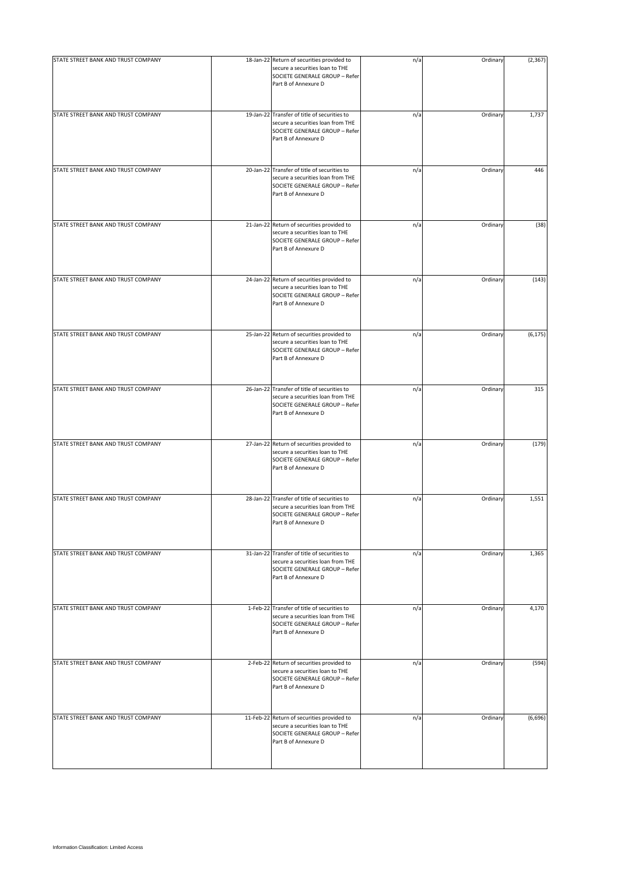| STATE STREET BANK AND TRUST COMPANY | 18-Jan-22 Return of securities provided to                                                                                                  | n/a | Ordinary | (2, 367) |
|-------------------------------------|---------------------------------------------------------------------------------------------------------------------------------------------|-----|----------|----------|
|                                     | secure a securities loan to THE<br>SOCIETE GENERALE GROUP - Refer<br>Part B of Annexure D                                                   |     |          |          |
| STATE STREET BANK AND TRUST COMPANY | 19-Jan-22 Transfer of title of securities to<br>secure a securities loan from THE<br>SOCIETE GENERALE GROUP - Refer<br>Part B of Annexure D | n/a | Ordinary | 1,737    |
| STATE STREET BANK AND TRUST COMPANY | 20-Jan-22 Transfer of title of securities to<br>secure a securities loan from THE<br>SOCIETE GENERALE GROUP - Refer<br>Part B of Annexure D | n/a | Ordinary | 446      |
| STATE STREET BANK AND TRUST COMPANY | 21-Jan-22 Return of securities provided to<br>secure a securities loan to THE<br>SOCIETE GENERALE GROUP - Refer<br>Part B of Annexure D     | n/a | Ordinary | (38)     |
| STATE STREET BANK AND TRUST COMPANY | 24-Jan-22 Return of securities provided to<br>secure a securities loan to THE<br>SOCIETE GENERALE GROUP - Refer<br>Part B of Annexure D     | n/a | Ordinary | (143)    |
| STATE STREET BANK AND TRUST COMPANY | 25-Jan-22 Return of securities provided to<br>secure a securities loan to THE<br>SOCIETE GENERALE GROUP - Refer<br>Part B of Annexure D     | n/a | Ordinary | (6, 175) |
| STATE STREET BANK AND TRUST COMPANY | 26-Jan-22 Transfer of title of securities to<br>secure a securities loan from THE<br>SOCIETE GENERALE GROUP - Refer<br>Part B of Annexure D | n/a | Ordinary | 315      |
| STATE STREET BANK AND TRUST COMPANY | 27-Jan-22 Return of securities provided to<br>secure a securities loan to THE<br>SOCIETE GENERALE GROUP - Refer<br>Part B of Annexure D     | n/a | Ordinary | (179)    |
| STATE STREET BANK AND TRUST COMPANY | 28-Jan-22 Transfer of title of securities to<br>secure a securities loan from THE<br>SOCIETE GENERALE GROUP - Refer<br>Part B of Annexure D | n/a | Ordinary | 1,551    |
| STATE STREET BANK AND TRUST COMPANY | 31-Jan-22 Transfer of title of securities to<br>secure a securities loan from THE<br>SOCIETE GENERALE GROUP - Refer<br>Part B of Annexure D | n/a | Ordinary | 1,365    |
| STATE STREET BANK AND TRUST COMPANY | 1-Feb-22 Transfer of title of securities to<br>secure a securities loan from THE<br>SOCIETE GENERALE GROUP - Refer<br>Part B of Annexure D  | n/a | Ordinary | 4,170    |
| STATE STREET BANK AND TRUST COMPANY | 2-Feb-22 Return of securities provided to<br>secure a securities loan to THE<br>SOCIETE GENERALE GROUP - Refer<br>Part B of Annexure D      | n/a | Ordinary | (594)    |
| STATE STREET BANK AND TRUST COMPANY | 11-Feb-22 Return of securities provided to<br>secure a securities loan to THE<br>SOCIETE GENERALE GROUP - Refer<br>Part B of Annexure D     | n/a | Ordinary | (6,696)  |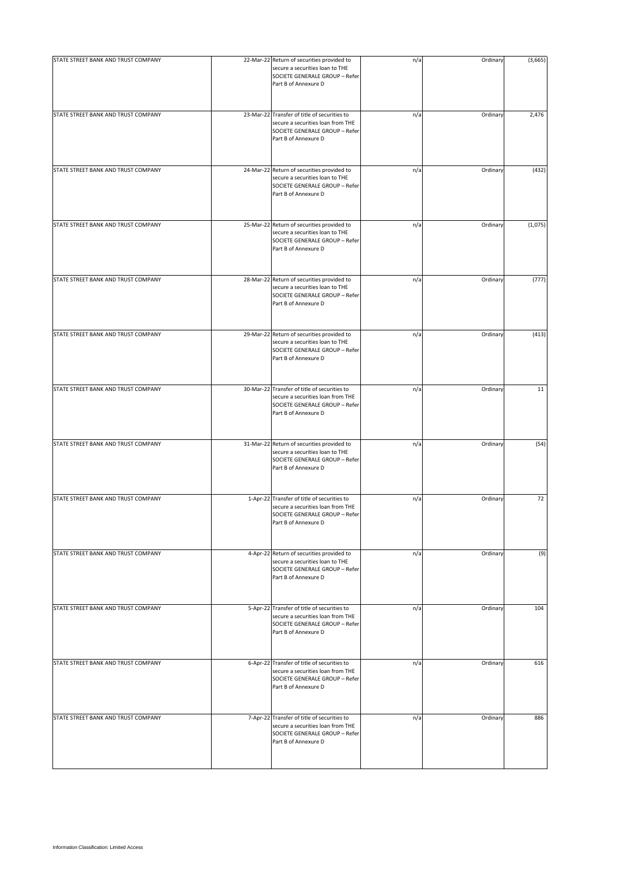| STATE STREET BANK AND TRUST COMPANY | 22-Mar-22 Return of securities provided to<br>secure a securities loan to THE<br>SOCIETE GENERALE GROUP - Refer<br>Part B of Annexure D     | n/a | Ordinary | (3,665) |
|-------------------------------------|---------------------------------------------------------------------------------------------------------------------------------------------|-----|----------|---------|
| STATE STREET BANK AND TRUST COMPANY | 23-Mar-22 Transfer of title of securities to<br>secure a securities loan from THE<br>SOCIETE GENERALE GROUP - Refer<br>Part B of Annexure D | n/a | Ordinary | 2,476   |
| STATE STREET BANK AND TRUST COMPANY | 24-Mar-22 Return of securities provided to<br>secure a securities loan to THE<br>SOCIETE GENERALE GROUP - Refer<br>Part B of Annexure D     | n/a | Ordinary | (432)   |
| STATE STREET BANK AND TRUST COMPANY | 25-Mar-22 Return of securities provided to<br>secure a securities loan to THE<br>SOCIETE GENERALE GROUP - Refer<br>Part B of Annexure D     | n/a | Ordinary | (1,075) |
| STATE STREET BANK AND TRUST COMPANY | 28-Mar-22 Return of securities provided to<br>secure a securities loan to THE<br>SOCIETE GENERALE GROUP - Refer<br>Part B of Annexure D     | n/a | Ordinary | (777)   |
| STATE STREET BANK AND TRUST COMPANY | 29-Mar-22 Return of securities provided to<br>secure a securities loan to THE<br>SOCIETE GENERALE GROUP - Refer<br>Part B of Annexure D     | n/a | Ordinary | (413)   |
| STATE STREET BANK AND TRUST COMPANY | 30-Mar-22 Transfer of title of securities to<br>secure a securities loan from THE<br>SOCIETE GENERALE GROUP - Refer<br>Part B of Annexure D | n/a | Ordinary | 11      |
| STATE STREET BANK AND TRUST COMPANY | 31-Mar-22 Return of securities provided to<br>secure a securities loan to THE<br>SOCIETE GENERALE GROUP - Refer<br>Part B of Annexure D     | n/a | Ordinary | (54)    |
| STATE STREET BANK AND TRUST COMPANY | 1-Apr-22 Transfer of title of securities to<br>secure a securities loan from THE<br>SOCIETE GENERALE GROUP - Refer<br>Part B of Annexure D  | n/a | Ordinary | 72      |
| STATE STREET BANK AND TRUST COMPANY | 4-Apr-22 Return of securities provided to<br>secure a securities loan to THE<br>SOCIETE GENERALE GROUP - Refer<br>Part B of Annexure D      | n/a | Ordinary | (9)     |
| STATE STREET BANK AND TRUST COMPANY | 5-Apr-22 Transfer of title of securities to<br>secure a securities loan from THE<br>SOCIETE GENERALE GROUP - Refer<br>Part B of Annexure D  | n/a | Ordinary | 104     |
| STATE STREET BANK AND TRUST COMPANY | 6-Apr-22 Transfer of title of securities to<br>secure a securities loan from THE<br>SOCIETE GENERALE GROUP - Refer<br>Part B of Annexure D  | n/a | Ordinary | 616     |
| STATE STREET BANK AND TRUST COMPANY | 7-Apr-22 Transfer of title of securities to<br>secure a securities loan from THE<br>SOCIETE GENERALE GROUP - Refer<br>Part B of Annexure D  | n/a | Ordinary | 886     |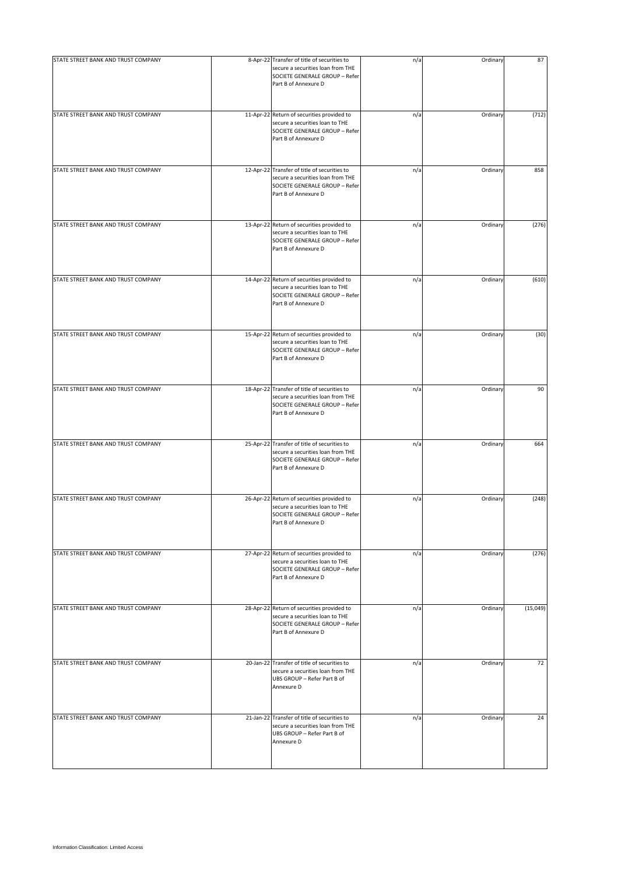| STATE STREET BANK AND TRUST COMPANY | 8-Apr-22 Transfer of title of securities to<br>secure a securities loan from THE<br>SOCIETE GENERALE GROUP - Refer<br>Part B of Annexure D  | n/a | Ordinary | 87       |
|-------------------------------------|---------------------------------------------------------------------------------------------------------------------------------------------|-----|----------|----------|
| STATE STREET BANK AND TRUST COMPANY | 11-Apr-22 Return of securities provided to<br>secure a securities loan to THE<br>SOCIETE GENERALE GROUP - Refer<br>Part B of Annexure D     | n/a | Ordinary | (712)    |
| STATE STREET BANK AND TRUST COMPANY | 12-Apr-22 Transfer of title of securities to<br>secure a securities loan from THE<br>SOCIETE GENERALE GROUP - Refer<br>Part B of Annexure D | n/a | Ordinary | 858      |
| STATE STREET BANK AND TRUST COMPANY | 13-Apr-22 Return of securities provided to<br>secure a securities loan to THE<br>SOCIETE GENERALE GROUP - Refer<br>Part B of Annexure D     | n/a | Ordinary | (276)    |
| STATE STREET BANK AND TRUST COMPANY | 14-Apr-22 Return of securities provided to<br>secure a securities loan to THE<br>SOCIETE GENERALE GROUP - Refer<br>Part B of Annexure D     | n/a | Ordinary | (610)    |
| STATE STREET BANK AND TRUST COMPANY | 15-Apr-22 Return of securities provided to<br>secure a securities loan to THE<br>SOCIETE GENERALE GROUP - Refer<br>Part B of Annexure D     | n/a | Ordinary | (30)     |
| STATE STREET BANK AND TRUST COMPANY | 18-Apr-22 Transfer of title of securities to<br>secure a securities loan from THE<br>SOCIETE GENERALE GROUP - Refer<br>Part B of Annexure D | n/a | Ordinary | 90       |
| STATE STREET BANK AND TRUST COMPANY | 25-Apr-22 Transfer of title of securities to<br>secure a securities loan from THE<br>SOCIETE GENERALE GROUP - Refer<br>Part B of Annexure D | n/a | Ordinary | 664      |
| STATE STREET BANK AND TRUST COMPANY | 26-Apr-22 Return of securities provided to<br>secure a securities loan to THE<br>SOCIETE GENERALE GROUP - Refer<br>Part B of Annexure D     | n/a | Ordinary | (248)    |
| STATE STREET BANK AND TRUST COMPANY | 27-Apr-22 Return of securities provided to<br>secure a securities loan to THE<br>SOCIETE GENERALE GROUP - Refer<br>Part B of Annexure D     | n/a | Ordinary | (276)    |
| STATE STREET BANK AND TRUST COMPANY | 28-Apr-22 Return of securities provided to<br>secure a securities loan to THE<br>SOCIETE GENERALE GROUP - Refer<br>Part B of Annexure D     | n/a | Ordinary | (15,049) |
| STATE STREET BANK AND TRUST COMPANY | 20-Jan-22 Transfer of title of securities to<br>secure a securities loan from THE<br>UBS GROUP - Refer Part B of<br>Annexure D              | n/a | Ordinary | 72       |
| STATE STREET BANK AND TRUST COMPANY | 21-Jan-22 Transfer of title of securities to<br>secure a securities loan from THE<br>UBS GROUP - Refer Part B of<br>Annexure D              | n/a | Ordinary | 24       |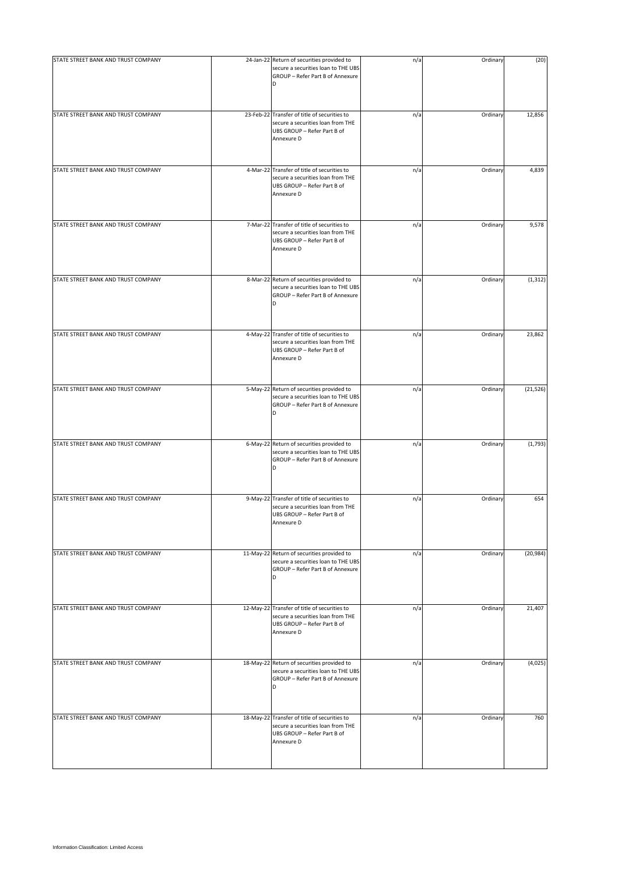| STATE STREET BANK AND TRUST COMPANY | 24-Jan-22 Return of securities provided to<br>secure a securities loan to THE UBS<br>GROUP - Refer Part B of Annexure<br>D     | n/a | Ordinary | (20)      |
|-------------------------------------|--------------------------------------------------------------------------------------------------------------------------------|-----|----------|-----------|
| STATE STREET BANK AND TRUST COMPANY | 23-Feb-22 Transfer of title of securities to<br>secure a securities loan from THE<br>UBS GROUP - Refer Part B of<br>Annexure D | n/a | Ordinary | 12,856    |
| STATE STREET BANK AND TRUST COMPANY | 4-Mar-22 Transfer of title of securities to<br>secure a securities loan from THE<br>UBS GROUP - Refer Part B of<br>Annexure D  | n/a | Ordinary | 4,839     |
| STATE STREET BANK AND TRUST COMPANY | 7-Mar-22 Transfer of title of securities to<br>secure a securities loan from THE<br>UBS GROUP - Refer Part B of<br>Annexure D  | n/a | Ordinary | 9,578     |
| STATE STREET BANK AND TRUST COMPANY | 8-Mar-22 Return of securities provided to<br>secure a securities loan to THE UBS<br>GROUP - Refer Part B of Annexure<br>D      | n/a | Ordinary | (1, 312)  |
| STATE STREET BANK AND TRUST COMPANY | 4-May-22 Transfer of title of securities to<br>secure a securities loan from THE<br>UBS GROUP - Refer Part B of<br>Annexure D  | n/a | Ordinary | 23,862    |
| STATE STREET BANK AND TRUST COMPANY | 5-May-22 Return of securities provided to<br>secure a securities loan to THE UBS<br>GROUP - Refer Part B of Annexure<br>D      | n/a | Ordinary | (21, 526) |
| STATE STREET BANK AND TRUST COMPANY | 6-May-22 Return of securities provided to<br>secure a securities loan to THE UBS<br>GROUP - Refer Part B of Annexure<br>D      | n/a | Ordinary | (1,793)   |
| STATE STREET BANK AND TRUST COMPANY | 9-May-22 Transfer of title of securities to<br>secure a securities loan from THE<br>UBS GROUP - Refer Part B of<br>Annexure D  | n/a | Ordinary | 654       |
| STATE STREET BANK AND TRUST COMPANY | 11-May-22 Return of securities provided to<br>secure a securities loan to THE UBS<br>GROUP - Refer Part B of Annexure<br>D     | n/a | Ordinary | (20, 984) |
| STATE STREET BANK AND TRUST COMPANY | 12-May-22 Transfer of title of securities to<br>secure a securities loan from THE<br>UBS GROUP - Refer Part B of<br>Annexure D | n/a | Ordinary | 21,407    |
| STATE STREET BANK AND TRUST COMPANY | 18-May-22 Return of securities provided to<br>secure a securities loan to THE UBS<br>GROUP - Refer Part B of Annexure<br>D     | n/a | Ordinary | (4,025)   |
| STATE STREET BANK AND TRUST COMPANY | 18-May-22 Transfer of title of securities to<br>secure a securities loan from THE<br>UBS GROUP - Refer Part B of<br>Annexure D | n/a | Ordinary | 760       |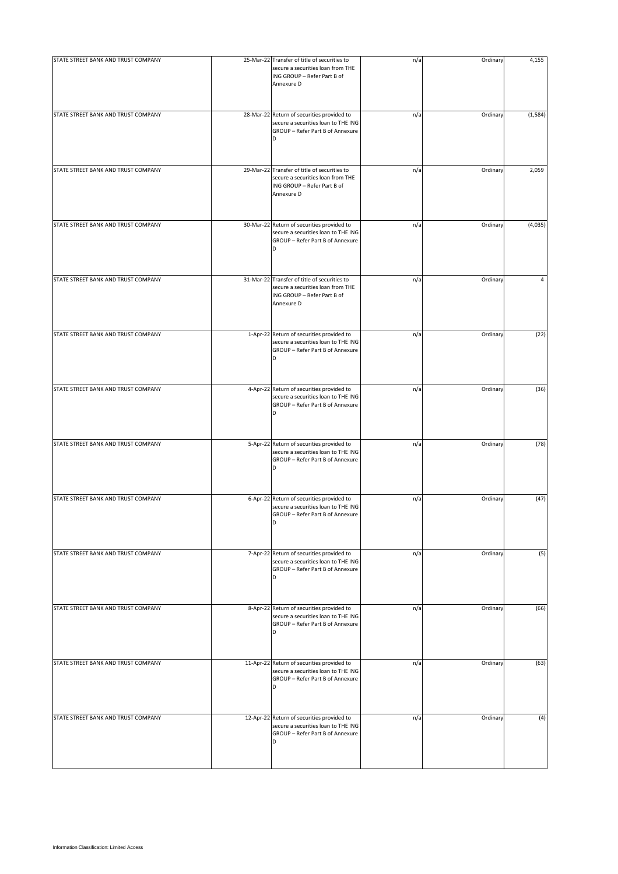| STATE STREET BANK AND TRUST COMPANY | 25-Mar-22 Transfer of title of securities to<br>secure a securities loan from THE<br>ING GROUP - Refer Part B of<br>Annexure D | n/a | Ordinary | 4,155    |
|-------------------------------------|--------------------------------------------------------------------------------------------------------------------------------|-----|----------|----------|
| STATE STREET BANK AND TRUST COMPANY | 28-Mar-22 Return of securities provided to<br>secure a securities loan to THE ING<br>GROUP - Refer Part B of Annexure          | n/a | Ordinary | (1, 584) |
| STATE STREET BANK AND TRUST COMPANY | 29-Mar-22 Transfer of title of securities to<br>secure a securities loan from THE<br>ING GROUP - Refer Part B of<br>Annexure D | n/a | Ordinary | 2,059    |
| STATE STREET BANK AND TRUST COMPANY | 30-Mar-22 Return of securities provided to<br>secure a securities loan to THE ING<br>GROUP - Refer Part B of Annexure<br>D     | n/a | Ordinary | (4,035)  |
| STATE STREET BANK AND TRUST COMPANY | 31-Mar-22 Transfer of title of securities to<br>secure a securities loan from THE<br>ING GROUP - Refer Part B of<br>Annexure D | n/a | Ordinary | 4        |
| STATE STREET BANK AND TRUST COMPANY | 1-Apr-22 Return of securities provided to<br>secure a securities loan to THE ING<br>GROUP - Refer Part B of Annexure           | n/a | Ordinary | (22)     |
| STATE STREET BANK AND TRUST COMPANY | 4-Apr-22 Return of securities provided to<br>secure a securities loan to THE ING<br>GROUP - Refer Part B of Annexure<br>D      | n/a | Ordinary | (36)     |
| STATE STREET BANK AND TRUST COMPANY | 5-Apr-22 Return of securities provided to<br>secure a securities loan to THE ING<br>GROUP - Refer Part B of Annexure<br>D      | n/a | Ordinary | (78)     |
| STATE STREET BANK AND TRUST COMPANY | 6-Apr-22 Return of securities provided to<br>secure a securities loan to THE ING<br>GROUP - Refer Part B of Annexure<br>D      | n/a | Ordinary | (47)     |
| STATE STREET BANK AND TRUST COMPANY | 7-Apr-22 Return of securities provided to<br>secure a securities loan to THE ING<br>GROUP - Refer Part B of Annexure<br>D      | n/a | Ordinary | (5)      |
| STATE STREET BANK AND TRUST COMPANY | 8-Apr-22 Return of securities provided to<br>secure a securities loan to THE ING<br>GROUP - Refer Part B of Annexure<br>D      | n/a | Ordinary | (66)     |
| STATE STREET BANK AND TRUST COMPANY | 11-Apr-22 Return of securities provided to<br>secure a securities loan to THE ING<br>GROUP - Refer Part B of Annexure<br>D     | n/a | Ordinary | (63)     |
| STATE STREET BANK AND TRUST COMPANY | 12-Apr-22 Return of securities provided to<br>secure a securities loan to THE ING<br>GROUP - Refer Part B of Annexure<br>D     | n/a | Ordinary | (4)      |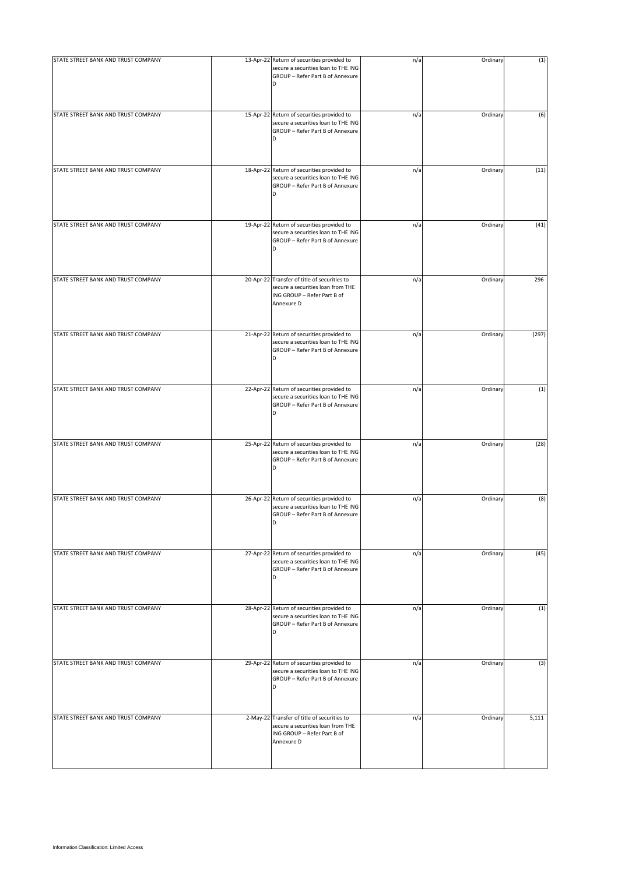| STATE STREET BANK AND TRUST COMPANY | 13-Apr-22 Return of securities provided to<br>secure a securities loan to THE ING<br>GROUP - Refer Part B of Annexure<br>D     | n/a | Ordinary | (1)   |
|-------------------------------------|--------------------------------------------------------------------------------------------------------------------------------|-----|----------|-------|
| STATE STREET BANK AND TRUST COMPANY | 15-Apr-22 Return of securities provided to<br>secure a securities loan to THE ING<br>GROUP - Refer Part B of Annexure<br>D     | n/a | Ordinary | (6)   |
| STATE STREET BANK AND TRUST COMPANY | 18-Apr-22 Return of securities provided to<br>secure a securities loan to THE ING<br>GROUP - Refer Part B of Annexure<br>D     | n/a | Ordinary | (11)  |
| STATE STREET BANK AND TRUST COMPANY | 19-Apr-22 Return of securities provided to<br>secure a securities loan to THE ING<br>GROUP - Refer Part B of Annexure<br>D     | n/a | Ordinary | (41)  |
| STATE STREET BANK AND TRUST COMPANY | 20-Apr-22 Transfer of title of securities to<br>secure a securities loan from THE<br>ING GROUP - Refer Part B of<br>Annexure D | n/a | Ordinary | 296   |
| STATE STREET BANK AND TRUST COMPANY | 21-Apr-22 Return of securities provided to<br>secure a securities loan to THE ING<br>GROUP - Refer Part B of Annexure          | n/a | Ordinary | (297) |
| STATE STREET BANK AND TRUST COMPANY | 22-Apr-22 Return of securities provided to<br>secure a securities loan to THE ING<br>GROUP - Refer Part B of Annexure<br>D     | n/a | Ordinary | (1)   |
| STATE STREET BANK AND TRUST COMPANY | 25-Apr-22 Return of securities provided to<br>secure a securities loan to THE ING<br>GROUP - Refer Part B of Annexure<br>D     | n/a | Ordinary | (28)  |
| STATE STREET BANK AND TRUST COMPANY | 26-Apr-22 Return of securities provided to<br>secure a securities loan to THE ING<br>GROUP - Refer Part B of Annexure<br>D     | n/a | Ordinary | (8)   |
| STATE STREET BANK AND TRUST COMPANY | 27-Apr-22 Return of securities provided to<br>secure a securities loan to THE ING<br>GROUP - Refer Part B of Annexure<br>D     | n/a | Ordinary | (45)  |
| STATE STREET BANK AND TRUST COMPANY | 28-Apr-22 Return of securities provided to<br>secure a securities loan to THE ING<br>GROUP - Refer Part B of Annexure<br>D     | n/a | Ordinary | (1)   |
| STATE STREET BANK AND TRUST COMPANY | 29-Apr-22 Return of securities provided to<br>secure a securities loan to THE ING<br>GROUP - Refer Part B of Annexure<br>D     | n/a | Ordinary | (3)   |
| STATE STREET BANK AND TRUST COMPANY | 2-May-22 Transfer of title of securities to<br>secure a securities loan from THE<br>ING GROUP - Refer Part B of<br>Annexure D  | n/a | Ordinary | 5,111 |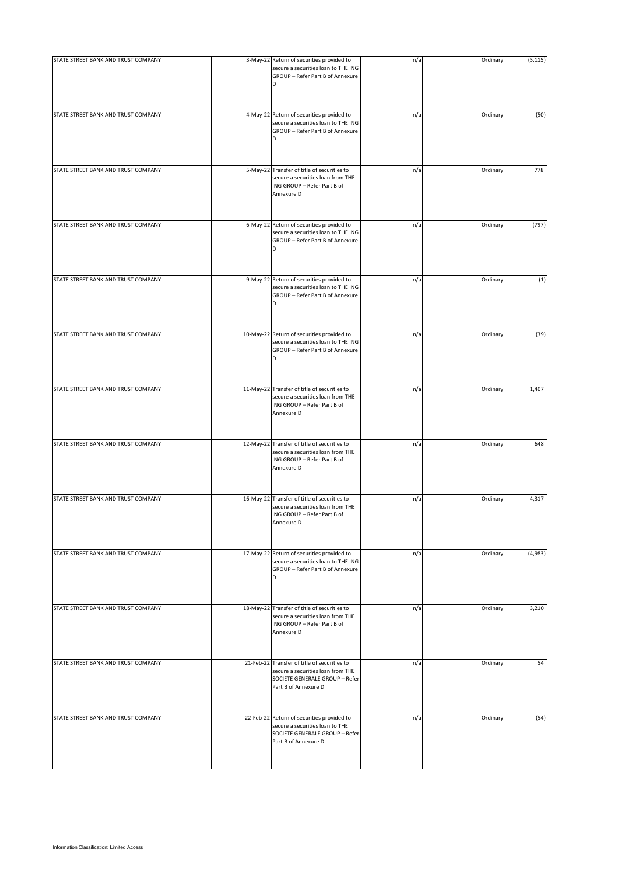| STATE STREET BANK AND TRUST COMPANY | 3-May-22 Return of securities provided to<br>secure a securities loan to THE ING<br>GROUP - Refer Part B of Annexure<br>D                   | n/a | Ordinary | (5, 115) |
|-------------------------------------|---------------------------------------------------------------------------------------------------------------------------------------------|-----|----------|----------|
| STATE STREET BANK AND TRUST COMPANY | 4-May-22 Return of securities provided to<br>secure a securities loan to THE ING<br>GROUP - Refer Part B of Annexure<br>D                   | n/a | Ordinary | (50)     |
| STATE STREET BANK AND TRUST COMPANY | 5-May-22 Transfer of title of securities to<br>secure a securities loan from THE<br>ING GROUP - Refer Part B of<br>Annexure D               | n/a | Ordinary | 778      |
| STATE STREET BANK AND TRUST COMPANY | 6-May-22 Return of securities provided to<br>secure a securities loan to THE ING<br>GROUP - Refer Part B of Annexure<br>D                   | n/a | Ordinary | (797)    |
| STATE STREET BANK AND TRUST COMPANY | 9-May-22 Return of securities provided to<br>secure a securities loan to THE ING<br>GROUP - Refer Part B of Annexure<br>D                   | n/a | Ordinary | (1)      |
| STATE STREET BANK AND TRUST COMPANY | 10-May-22 Return of securities provided to<br>secure a securities loan to THE ING<br>GROUP - Refer Part B of Annexure<br>D                  | n/a | Ordinary | (39)     |
| STATE STREET BANK AND TRUST COMPANY | 11-May-22 Transfer of title of securities to<br>secure a securities loan from THE<br>ING GROUP - Refer Part B of<br>Annexure D              | n/a | Ordinary | 1,407    |
| STATE STREET BANK AND TRUST COMPANY | 12-May-22 Transfer of title of securities to<br>secure a securities loan from THE<br>ING GROUP - Refer Part B of<br>Annexure D              | n/a | Ordinary | 648      |
| STATE STREET BANK AND TRUST COMPANY | 16-May-22 Transfer of title of securities to<br>secure a securities loan from THE<br>ING GROUP - Refer Part B of<br>Annexure D              | n/a | Ordinary | 4,317    |
| STATE STREET BANK AND TRUST COMPANY | 17-May-22 Return of securities provided to<br>secure a securities loan to THE ING<br>GROUP - Refer Part B of Annexure<br>D                  | n/a | Ordinary | (4,983)  |
| STATE STREET BANK AND TRUST COMPANY | 18-May-22 Transfer of title of securities to<br>secure a securities loan from THE<br>ING GROUP - Refer Part B of<br>Annexure D              | n/a | Ordinary | 3,210    |
| STATE STREET BANK AND TRUST COMPANY | 21-Feb-22 Transfer of title of securities to<br>secure a securities loan from THE<br>SOCIETE GENERALE GROUP - Refer<br>Part B of Annexure D | n/a | Ordinary | 54       |
| STATE STREET BANK AND TRUST COMPANY | 22-Feb-22 Return of securities provided to<br>secure a securities loan to THE<br>SOCIETE GENERALE GROUP - Refer<br>Part B of Annexure D     | n/a | Ordinary | (54)     |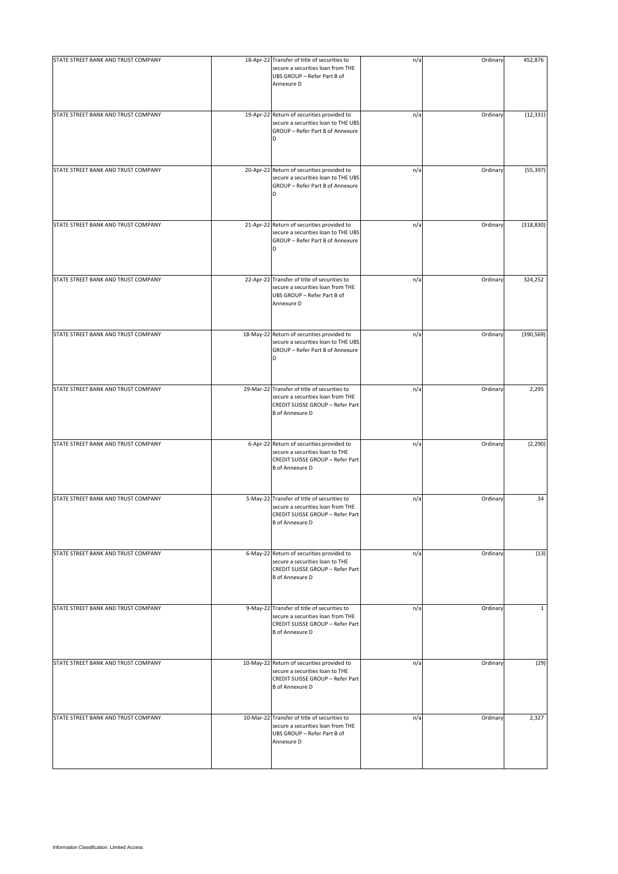| STATE STREET BANK AND TRUST COMPANY | 18-Apr-22 Transfer of title of securities to<br>secure a securities loan from THE<br>UBS GROUP - Refer Part B of<br>Annexure D                  | n/a | Ordinary | 452,876      |
|-------------------------------------|-------------------------------------------------------------------------------------------------------------------------------------------------|-----|----------|--------------|
| STATE STREET BANK AND TRUST COMPANY | 19-Apr-22 Return of securities provided to<br>secure a securities loan to THE UBS<br>GROUP - Refer Part B of Annexure<br>D                      | n/a | Ordinary | (12, 331)    |
| STATE STREET BANK AND TRUST COMPANY | 20-Apr-22 Return of securities provided to<br>secure a securities loan to THE UBS<br>GROUP - Refer Part B of Annexure<br>D                      | n/a | Ordinary | (55, 397)    |
| STATE STREET BANK AND TRUST COMPANY | 21-Apr-22 Return of securities provided to<br>secure a securities loan to THE UBS<br>GROUP - Refer Part B of Annexure<br>D                      | n/a | Ordinary | (318, 830)   |
| STATE STREET BANK AND TRUST COMPANY | 22-Apr-22 Transfer of title of securities to<br>secure a securities loan from THE<br>UBS GROUP - Refer Part B of<br>Annexure D                  | n/a | Ordinary | 324,252      |
| STATE STREET BANK AND TRUST COMPANY | 18-May-22 Return of securities provided to<br>secure a securities loan to THE UBS<br>GROUP - Refer Part B of Annexure                           | n/a | Ordinary | (390, 569)   |
| STATE STREET BANK AND TRUST COMPANY | 29-Mar-22 Transfer of title of securities to<br>secure a securities loan from THE<br>CREDIT SUISSE GROUP - Refer Part<br><b>B</b> of Annexure D | n/a | Ordinary | 2,295        |
| STATE STREET BANK AND TRUST COMPANY | 6-Apr-22 Return of securities provided to<br>secure a securities loan to THE<br>CREDIT SUISSE GROUP - Refer Part<br><b>B</b> of Annexure D      | n/a | Ordinary | (2, 290)     |
| STATE STREET BANK AND TRUST COMPANY | 5-May-22 Transfer of title of securities to<br>secure a securities loan from THE<br>CREDIT SUISSE GROUP - Refer Part<br><b>B</b> of Annexure D  | n/a | Ordinary | 34           |
| STATE STREET BANK AND TRUST COMPANY | 6-May-22 Return of securities provided to<br>secure a securities loan to THE<br>CREDIT SUISSE GROUP - Refer Part<br><b>B</b> of Annexure D      | n/a | Ordinary | (13)         |
| STATE STREET BANK AND TRUST COMPANY | 9-May-22 Transfer of title of securities to<br>secure a securities loan from THE<br>CREDIT SUISSE GROUP - Refer Part<br><b>B</b> of Annexure D  | n/a | Ordinary | $\mathbf{1}$ |
| STATE STREET BANK AND TRUST COMPANY | 10-May-22 Return of securities provided to<br>secure a securities loan to THE<br>CREDIT SUISSE GROUP - Refer Part<br><b>B</b> of Annexure D     | n/a | Ordinary | (29)         |
| STATE STREET BANK AND TRUST COMPANY | 10-Mar-22 Transfer of title of securities to<br>secure a securities loan from THE<br>UBS GROUP - Refer Part B of<br>Annexure D                  | n/a | Ordinary | 2,327        |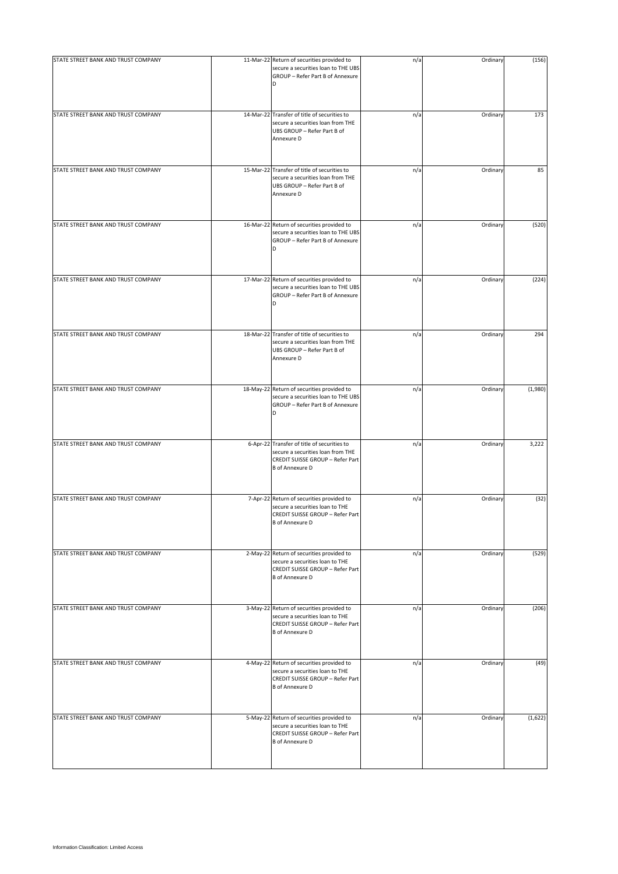| STATE STREET BANK AND TRUST COMPANY | 11-Mar-22 Return of securities provided to<br>secure a securities loan to THE UBS<br>GROUP - Refer Part B of Annexure                          | n/a | Ordinary | (156)   |
|-------------------------------------|------------------------------------------------------------------------------------------------------------------------------------------------|-----|----------|---------|
| STATE STREET BANK AND TRUST COMPANY | 14-Mar-22 Transfer of title of securities to<br>secure a securities loan from THE<br>UBS GROUP - Refer Part B of<br>Annexure D                 | n/a | Ordinary | 173     |
| STATE STREET BANK AND TRUST COMPANY | 15-Mar-22 Transfer of title of securities to<br>secure a securities loan from THE<br>UBS GROUP - Refer Part B of<br>Annexure D                 | n/a | Ordinary | 85      |
| STATE STREET BANK AND TRUST COMPANY | 16-Mar-22 Return of securities provided to<br>secure a securities loan to THE UBS<br>GROUP - Refer Part B of Annexure<br>D                     | n/a | Ordinary | (520)   |
| STATE STREET BANK AND TRUST COMPANY | 17-Mar-22 Return of securities provided to<br>secure a securities loan to THE UBS<br>GROUP - Refer Part B of Annexure<br>D                     | n/a | Ordinary | (224)   |
| STATE STREET BANK AND TRUST COMPANY | 18-Mar-22 Transfer of title of securities to<br>secure a securities loan from THE<br>UBS GROUP - Refer Part B of<br>Annexure D                 | n/a | Ordinary | 294     |
| STATE STREET BANK AND TRUST COMPANY | 18-May-22 Return of securities provided to<br>secure a securities loan to THE UBS<br>GROUP - Refer Part B of Annexure<br>D                     | n/a | Ordinary | (1,980) |
| STATE STREET BANK AND TRUST COMPANY | 6-Apr-22 Transfer of title of securities to<br>secure a securities loan from THE<br>CREDIT SUISSE GROUP - Refer Part<br><b>B</b> of Annexure D | n/a | Ordinary | 3,222   |
| STATE STREET BANK AND TRUST COMPANY | 7-Apr-22 Return of securities provided to<br>secure a securities loan to THE<br>CREDIT SUISSE GROUP - Refer Part<br><b>B</b> of Annexure D     | n/a | Ordinary | (32)    |
| STATE STREET BANK AND TRUST COMPANY | 2-May-22 Return of securities provided to<br>secure a securities loan to THE<br>CREDIT SUISSE GROUP - Refer Part<br><b>B</b> of Annexure D     | n/a | Ordinary | (529)   |
| STATE STREET BANK AND TRUST COMPANY | 3-May-22 Return of securities provided to<br>secure a securities loan to THE<br>CREDIT SUISSE GROUP - Refer Part<br><b>B</b> of Annexure D     | n/a | Ordinary | (206)   |
| STATE STREET BANK AND TRUST COMPANY | 4-May-22 Return of securities provided to<br>secure a securities loan to THE<br>CREDIT SUISSE GROUP - Refer Part<br><b>B</b> of Annexure D     | n/a | Ordinary | (49)    |
| STATE STREET BANK AND TRUST COMPANY | 5-May-22 Return of securities provided to<br>secure a securities loan to THE<br>CREDIT SUISSE GROUP - Refer Part<br><b>B</b> of Annexure D     | n/a | Ordinary | (1,622) |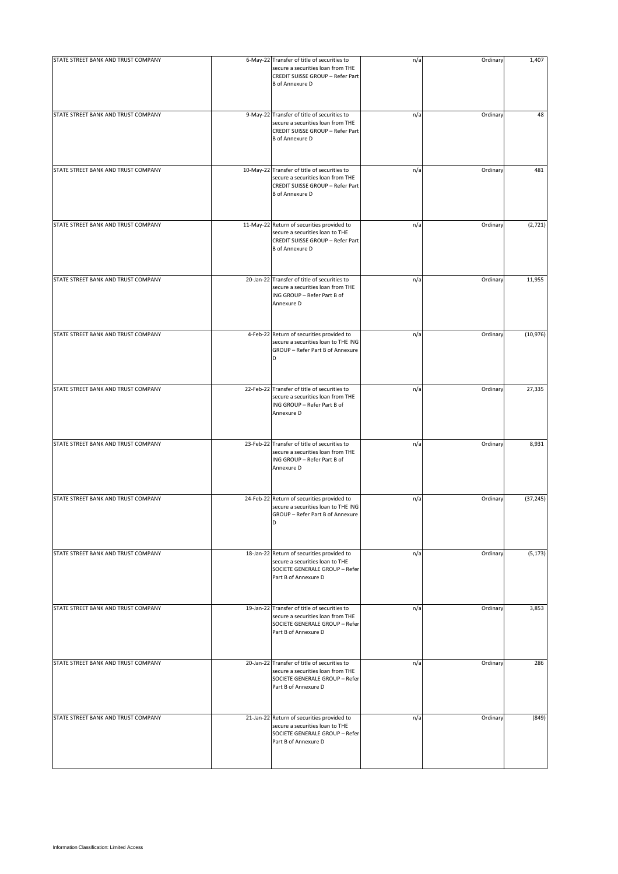| STATE STREET BANK AND TRUST COMPANY | 6-May-22 Transfer of title of securities to<br>secure a securities loan from THE<br>CREDIT SUISSE GROUP - Refer Part<br><b>B</b> of Annexure D  | n/a | Ordinary | 1,407     |
|-------------------------------------|-------------------------------------------------------------------------------------------------------------------------------------------------|-----|----------|-----------|
| STATE STREET BANK AND TRUST COMPANY | 9-May-22 Transfer of title of securities to<br>secure a securities loan from THE<br>CREDIT SUISSE GROUP - Refer Part<br><b>B</b> of Annexure D  | n/a | Ordinary | 48        |
| STATE STREET BANK AND TRUST COMPANY | 10-May-22 Transfer of title of securities to<br>secure a securities loan from THE<br>CREDIT SUISSE GROUP - Refer Part<br><b>B</b> of Annexure D | n/a | Ordinary | 481       |
| STATE STREET BANK AND TRUST COMPANY | 11-May-22 Return of securities provided to<br>secure a securities loan to THE<br>CREDIT SUISSE GROUP - Refer Part<br><b>B</b> of Annexure D     | n/a | Ordinary | (2,721)   |
| STATE STREET BANK AND TRUST COMPANY | 20-Jan-22 Transfer of title of securities to<br>secure a securities loan from THE<br>ING GROUP - Refer Part B of<br>Annexure D                  | n/a | Ordinary | 11,955    |
| STATE STREET BANK AND TRUST COMPANY | 4-Feb-22 Return of securities provided to<br>secure a securities loan to THE ING<br>GROUP - Refer Part B of Annexure                            | n/a | Ordinary | (10, 976) |
| STATE STREET BANK AND TRUST COMPANY | 22-Feb-22 Transfer of title of securities to<br>secure a securities loan from THE<br>ING GROUP - Refer Part B of<br>Annexure D                  | n/a | Ordinary | 27,335    |
| STATE STREET BANK AND TRUST COMPANY | 23-Feb-22 Transfer of title of securities to<br>secure a securities loan from THE<br>ING GROUP - Refer Part B of<br>Annexure D                  | n/a | Ordinary | 8,931     |
| STATE STREET BANK AND TRUST COMPANY | 24-Feb-22 Return of securities provided to<br>secure a securities loan to THE ING<br>GROUP - Refer Part B of Annexure<br>D                      | n/a | Ordinary | (37, 245) |
| STATE STREET BANK AND TRUST COMPANY | 18-Jan-22 Return of securities provided to<br>secure a securities loan to THE<br>SOCIETE GENERALE GROUP - Refer<br>Part B of Annexure D         | n/a | Ordinary | (5, 173)  |
| STATE STREET BANK AND TRUST COMPANY | 19-Jan-22 Transfer of title of securities to<br>secure a securities loan from THE<br>SOCIETE GENERALE GROUP - Refer<br>Part B of Annexure D     | n/a | Ordinary | 3,853     |
| STATE STREET BANK AND TRUST COMPANY | 20-Jan-22 Transfer of title of securities to<br>secure a securities loan from THE<br>SOCIETE GENERALE GROUP - Refer<br>Part B of Annexure D     | n/a | Ordinary | 286       |
| STATE STREET BANK AND TRUST COMPANY | 21-Jan-22 Return of securities provided to<br>secure a securities loan to THE<br>SOCIETE GENERALE GROUP - Refer<br>Part B of Annexure D         | n/a | Ordinary | (849)     |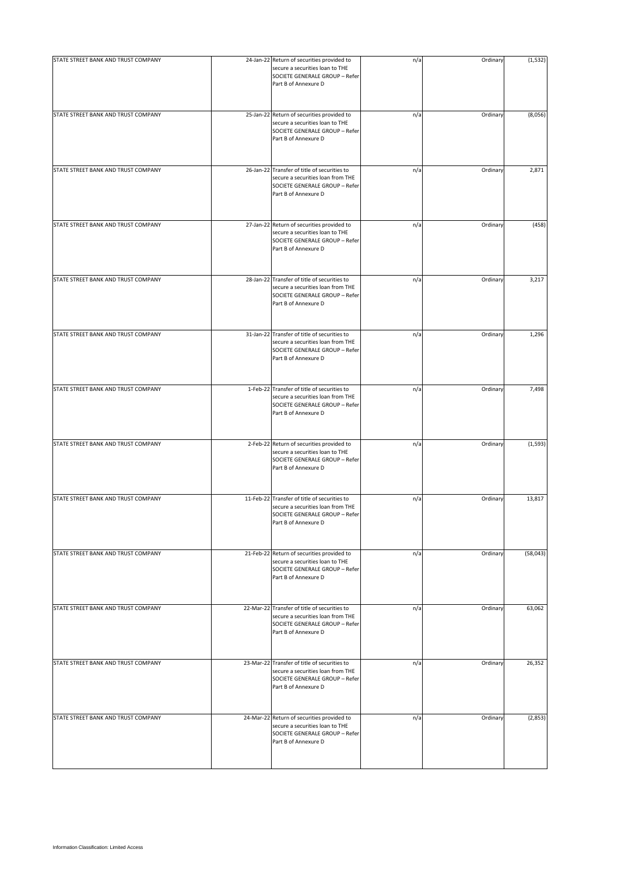| STATE STREET BANK AND TRUST COMPANY | 24-Jan-22 Return of securities provided to<br>secure a securities loan to THE<br>SOCIETE GENERALE GROUP - Refer<br>Part B of Annexure D     | n/a | Ordinary | (1, 532) |
|-------------------------------------|---------------------------------------------------------------------------------------------------------------------------------------------|-----|----------|----------|
| STATE STREET BANK AND TRUST COMPANY | 25-Jan-22 Return of securities provided to<br>secure a securities loan to THE<br>SOCIETE GENERALE GROUP - Refer<br>Part B of Annexure D     | n/a | Ordinary | (8,056)  |
| STATE STREET BANK AND TRUST COMPANY | 26-Jan-22 Transfer of title of securities to<br>secure a securities loan from THE<br>SOCIETE GENERALE GROUP - Refer<br>Part B of Annexure D | n/a | Ordinary | 2,871    |
| STATE STREET BANK AND TRUST COMPANY | 27-Jan-22 Return of securities provided to<br>secure a securities loan to THE<br>SOCIETE GENERALE GROUP - Refer<br>Part B of Annexure D     | n/a | Ordinary | (458)    |
| STATE STREET BANK AND TRUST COMPANY | 28-Jan-22 Transfer of title of securities to<br>secure a securities loan from THE<br>SOCIETE GENERALE GROUP - Refer<br>Part B of Annexure D | n/a | Ordinary | 3,217    |
| STATE STREET BANK AND TRUST COMPANY | 31-Jan-22 Transfer of title of securities to<br>secure a securities loan from THE<br>SOCIETE GENERALE GROUP - Refer<br>Part B of Annexure D | n/a | Ordinary | 1,296    |
| STATE STREET BANK AND TRUST COMPANY | 1-Feb-22 Transfer of title of securities to<br>secure a securities loan from THE<br>SOCIETE GENERALE GROUP - Refer<br>Part B of Annexure D  | n/a | Ordinary | 7,498    |
| STATE STREET BANK AND TRUST COMPANY | 2-Feb-22 Return of securities provided to<br>secure a securities loan to THE<br>SOCIETE GENERALE GROUP - Refer<br>Part B of Annexure D      | n/a | Ordinary | (1, 593) |
| STATE STREET BANK AND TRUST COMPANY | 11-Feb-22 Transfer of title of securities to<br>secure a securities loan from THE<br>SOCIETE GENERALE GROUP - Refer<br>Part B of Annexure D | n/a | Ordinary | 13,817   |
| STATE STREET BANK AND TRUST COMPANY | 21-Feb-22 Return of securities provided to<br>secure a securities loan to THE<br>SOCIETE GENERALE GROUP - Refer<br>Part B of Annexure D     | n/a | Ordinary | (58,043) |
| STATE STREET BANK AND TRUST COMPANY | 22-Mar-22 Transfer of title of securities to<br>secure a securities loan from THE<br>SOCIETE GENERALE GROUP - Refer<br>Part B of Annexure D | n/a | Ordinary | 63,062   |
| STATE STREET BANK AND TRUST COMPANY | 23-Mar-22 Transfer of title of securities to<br>secure a securities loan from THE<br>SOCIETE GENERALE GROUP - Refer<br>Part B of Annexure D | n/a | Ordinary | 26,352   |
| STATE STREET BANK AND TRUST COMPANY | 24-Mar-22 Return of securities provided to<br>secure a securities loan to THE<br>SOCIETE GENERALE GROUP - Refer<br>Part B of Annexure D     | n/a | Ordinary | (2,853)  |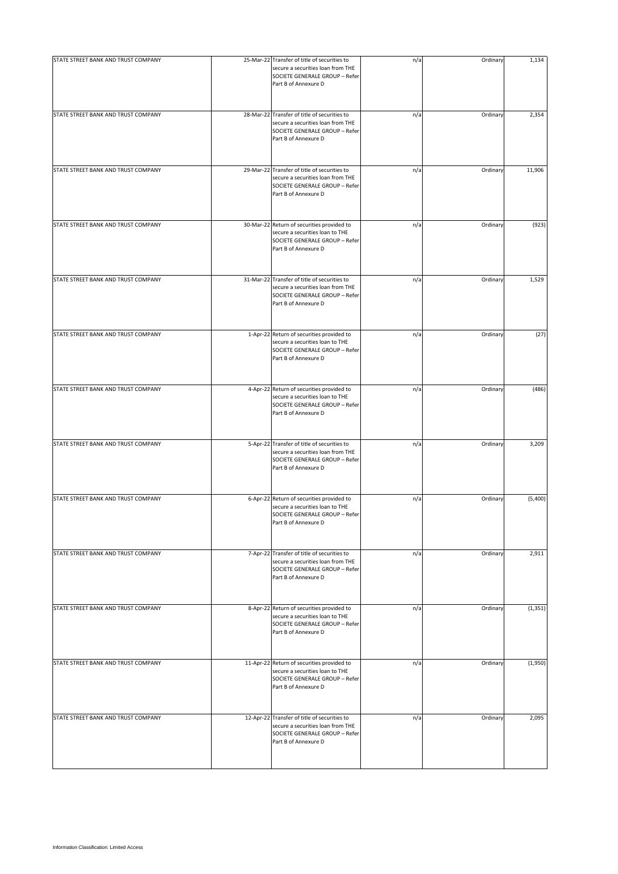| STATE STREET BANK AND TRUST COMPANY | 25-Mar-22 Transfer of title of securities to<br>secure a securities loan from THE<br>SOCIETE GENERALE GROUP - Refer<br>Part B of Annexure D | n/a | Ordinary | 1,134    |
|-------------------------------------|---------------------------------------------------------------------------------------------------------------------------------------------|-----|----------|----------|
| STATE STREET BANK AND TRUST COMPANY | 28-Mar-22 Transfer of title of securities to<br>secure a securities loan from THE<br>SOCIETE GENERALE GROUP - Refer<br>Part B of Annexure D | n/a | Ordinary | 2,354    |
| STATE STREET BANK AND TRUST COMPANY | 29-Mar-22 Transfer of title of securities to<br>secure a securities loan from THE<br>SOCIETE GENERALE GROUP - Refer<br>Part B of Annexure D | n/a | Ordinary | 11,906   |
| STATE STREET BANK AND TRUST COMPANY | 30-Mar-22 Return of securities provided to<br>secure a securities loan to THE<br>SOCIETE GENERALE GROUP - Refer<br>Part B of Annexure D     | n/a | Ordinary | (923)    |
| STATE STREET BANK AND TRUST COMPANY | 31-Mar-22 Transfer of title of securities to<br>secure a securities loan from THE<br>SOCIETE GENERALE GROUP - Refer<br>Part B of Annexure D | n/a | Ordinary | 1,529    |
| STATE STREET BANK AND TRUST COMPANY | 1-Apr-22 Return of securities provided to<br>secure a securities loan to THE<br>SOCIETE GENERALE GROUP - Refer<br>Part B of Annexure D      | n/a | Ordinary | (27)     |
| STATE STREET BANK AND TRUST COMPANY | 4-Apr-22 Return of securities provided to<br>secure a securities loan to THE<br>SOCIETE GENERALE GROUP - Refer<br>Part B of Annexure D      | n/a | Ordinary | (486)    |
| STATE STREET BANK AND TRUST COMPANY | 5-Apr-22 Transfer of title of securities to<br>secure a securities loan from THE<br>SOCIETE GENERALE GROUP - Refer<br>Part B of Annexure D  | n/a | Ordinary | 3,209    |
| STATE STREET BANK AND TRUST COMPANY | 6-Apr-22 Return of securities provided to<br>secure a securities loan to THE<br>SOCIETE GENERALE GROUP - Refer<br>Part B of Annexure D      | n/a | Ordinary | (5,400)  |
| STATE STREET BANK AND TRUST COMPANY | 7-Apr-22 Transfer of title of securities to<br>secure a securities loan from THE<br>SOCIETE GENERALE GROUP - Refer<br>Part B of Annexure D  | n/a | Ordinary | 2,911    |
| STATE STREET BANK AND TRUST COMPANY | 8-Apr-22 Return of securities provided to<br>secure a securities loan to THE<br>SOCIETE GENERALE GROUP - Refer<br>Part B of Annexure D      | n/a | Ordinary | (1, 351) |
| STATE STREET BANK AND TRUST COMPANY | 11-Apr-22 Return of securities provided to<br>secure a securities loan to THE<br>SOCIETE GENERALE GROUP - Refer<br>Part B of Annexure D     | n/a | Ordinary | (1,950)  |
| STATE STREET BANK AND TRUST COMPANY | 12-Apr-22 Transfer of title of securities to<br>secure a securities loan from THE<br>SOCIETE GENERALE GROUP - Refer<br>Part B of Annexure D | n/a | Ordinary | 2,095    |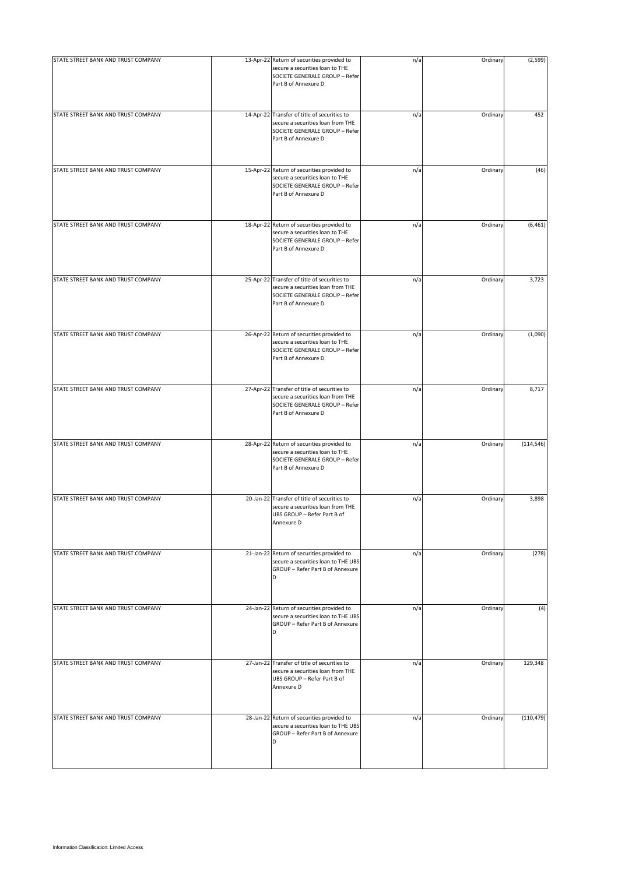| STATE STREET BANK AND TRUST COMPANY | 13-Apr-22 Return of securities provided to<br>secure a securities loan to THE<br>SOCIETE GENERALE GROUP - Refer                             | n/a | Ordinary | (2, 599)   |
|-------------------------------------|---------------------------------------------------------------------------------------------------------------------------------------------|-----|----------|------------|
|                                     | Part B of Annexure D                                                                                                                        |     |          |            |
| STATE STREET BANK AND TRUST COMPANY | 14-Apr-22 Transfer of title of securities to<br>secure a securities loan from THE<br>SOCIETE GENERALE GROUP - Refer<br>Part B of Annexure D | n/a | Ordinary | 452        |
| STATE STREET BANK AND TRUST COMPANY | 15-Apr-22 Return of securities provided to<br>secure a securities loan to THE<br>SOCIETE GENERALE GROUP - Refer<br>Part B of Annexure D     | n/a | Ordinary | (46)       |
| STATE STREET BANK AND TRUST COMPANY | 18-Apr-22 Return of securities provided to<br>secure a securities loan to THE<br>SOCIETE GENERALE GROUP - Refer<br>Part B of Annexure D     | n/a | Ordinary | (6, 461)   |
| STATE STREET BANK AND TRUST COMPANY | 25-Apr-22 Transfer of title of securities to<br>secure a securities loan from THE<br>SOCIETE GENERALE GROUP - Refer<br>Part B of Annexure D | n/a | Ordinary | 3,723      |
| STATE STREET BANK AND TRUST COMPANY | 26-Apr-22 Return of securities provided to<br>secure a securities loan to THE<br>SOCIETE GENERALE GROUP - Refer<br>Part B of Annexure D     | n/a | Ordinary | (1,090)    |
| STATE STREET BANK AND TRUST COMPANY | 27-Apr-22 Transfer of title of securities to<br>secure a securities loan from THE<br>SOCIETE GENERALE GROUP - Refer<br>Part B of Annexure D | n/a | Ordinary | 8,717      |
| STATE STREET BANK AND TRUST COMPANY | 28-Apr-22 Return of securities provided to<br>secure a securities loan to THE<br>SOCIETE GENERALE GROUP - Refer<br>Part B of Annexure D     | n/a | Ordinary | (114, 546) |
| STATE STREET BANK AND TRUST COMPANY | 20-Jan-22 Transfer of title of securities to<br>secure a securities loan from THE<br>UBS GROUP - Refer Part B of<br>Annexure D              | n/a | Ordinary | 3,898      |
| STATE STREET BANK AND TRUST COMPANY | 21-Jan-22 Return of securities provided to<br>secure a securities loan to THE UBS<br>GROUP - Refer Part B of Annexure<br>D                  | n/a | Ordinary | (278)      |
| STATE STREET BANK AND TRUST COMPANY | 24-Jan-22 Return of securities provided to<br>secure a securities loan to THE UBS<br>GROUP - Refer Part B of Annexure<br>D                  | n/a | Ordinary | (4)        |
| STATE STREET BANK AND TRUST COMPANY | 27-Jan-22 Transfer of title of securities to<br>secure a securities loan from THE<br>UBS GROUP - Refer Part B of<br>Annexure D              | n/a | Ordinary | 129,348    |
| STATE STREET BANK AND TRUST COMPANY | 28-Jan-22 Return of securities provided to<br>secure a securities loan to THE UBS<br>GROUP - Refer Part B of Annexure<br>D                  | n/a | Ordinary | (110, 479) |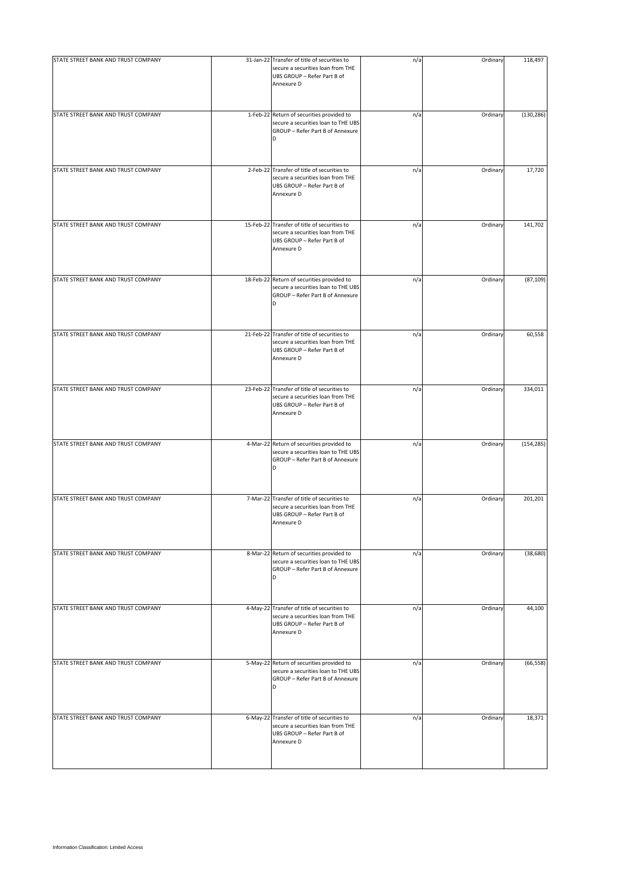| STATE STREET BANK AND TRUST COMPANY | 31-Jan-22 Transfer of title of securities to<br>secure a securities loan from THE<br>UBS GROUP - Refer Part B of<br>Annexure D | n/a | Ordinary | 118,497    |
|-------------------------------------|--------------------------------------------------------------------------------------------------------------------------------|-----|----------|------------|
| STATE STREET BANK AND TRUST COMPANY | 1-Feb-22 Return of securities provided to<br>secure a securities loan to THE UBS<br>GROUP - Refer Part B of Annexure<br>D      | n/a | Ordinary | (130, 286) |
| STATE STREET BANK AND TRUST COMPANY | 2-Feb-22 Transfer of title of securities to<br>secure a securities loan from THE<br>UBS GROUP - Refer Part B of<br>Annexure D  | n/a | Ordinary | 17,720     |
| STATE STREET BANK AND TRUST COMPANY | 15-Feb-22 Transfer of title of securities to<br>secure a securities loan from THE<br>UBS GROUP - Refer Part B of<br>Annexure D | n/a | Ordinary | 141,702    |
| STATE STREET BANK AND TRUST COMPANY | 18-Feb-22 Return of securities provided to<br>secure a securities loan to THE UBS<br>GROUP - Refer Part B of Annexure<br>D     | n/a | Ordinary | (87, 109)  |
| STATE STREET BANK AND TRUST COMPANY | 21-Feb-22 Transfer of title of securities to<br>secure a securities loan from THE<br>UBS GROUP - Refer Part B of<br>Annexure D | n/a | Ordinary | 60,558     |
| STATE STREET BANK AND TRUST COMPANY | 23-Feb-22 Transfer of title of securities to<br>secure a securities loan from THE<br>UBS GROUP - Refer Part B of<br>Annexure D | n/a | Ordinary | 334,011    |
| STATE STREET BANK AND TRUST COMPANY | 4-Mar-22 Return of securities provided to<br>secure a securities loan to THE UBS<br>GROUP - Refer Part B of Annexure<br>D      | n/a | Ordinary | (154, 285) |
| STATE STREET BANK AND TRUST COMPANY | 7-Mar-22 Transfer of title of securities to<br>secure a securities loan from THE<br>UBS GROUP - Refer Part B of<br>Annexure D  | n/a | Ordinary | 201,201    |
| STATE STREET BANK AND TRUST COMPANY | 8-Mar-22 Return of securities provided to<br>secure a securities loan to THE UBS<br>GROUP - Refer Part B of Annexure<br>D      | n/a | Ordinary | (38, 680)  |
| STATE STREET BANK AND TRUST COMPANY | 4-May-22 Transfer of title of securities to<br>secure a securities loan from THE<br>UBS GROUP - Refer Part B of<br>Annexure D  | n/a | Ordinary | 44,100     |
| STATE STREET BANK AND TRUST COMPANY | 5-May-22 Return of securities provided to<br>secure a securities loan to THE UBS<br>GROUP - Refer Part B of Annexure<br>D      | n/a | Ordinary | (66, 558)  |
| STATE STREET BANK AND TRUST COMPANY | 6-May-22 Transfer of title of securities to<br>secure a securities loan from THE<br>UBS GROUP - Refer Part B of<br>Annexure D  | n/a | Ordinary | 18,371     |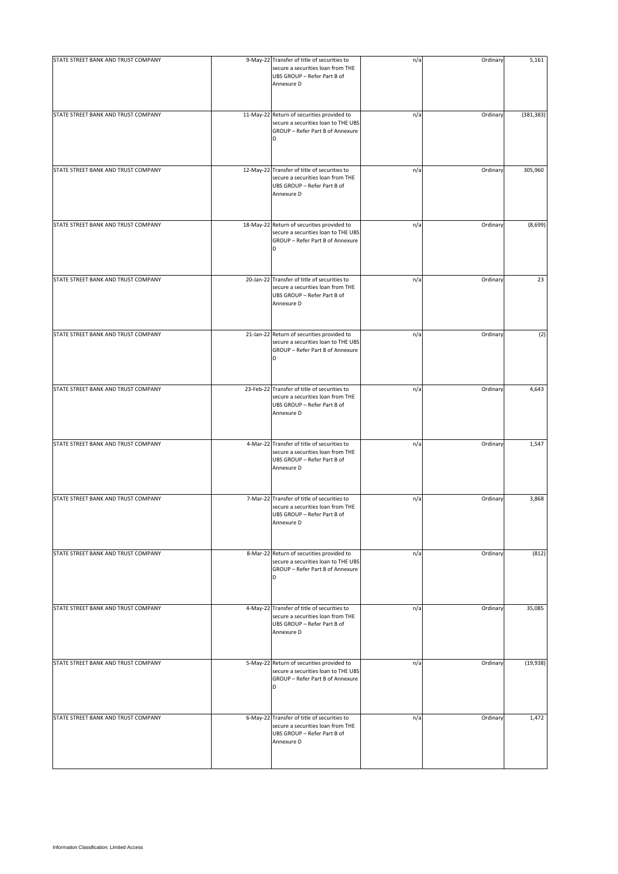| STATE STREET BANK AND TRUST COMPANY | 9-May-22 Transfer of title of securities to<br>secure a securities loan from THE<br>UBS GROUP - Refer Part B of<br>Annexure D  | n/a | Ordinary | 5,161      |
|-------------------------------------|--------------------------------------------------------------------------------------------------------------------------------|-----|----------|------------|
| STATE STREET BANK AND TRUST COMPANY | 11-May-22 Return of securities provided to<br>secure a securities loan to THE UBS<br>GROUP - Refer Part B of Annexure          | n/a | Ordinary | (381, 383) |
| STATE STREET BANK AND TRUST COMPANY | 12-May-22 Transfer of title of securities to<br>secure a securities loan from THE<br>UBS GROUP - Refer Part B of<br>Annexure D | n/a | Ordinary | 305,960    |
| STATE STREET BANK AND TRUST COMPANY | 18-May-22 Return of securities provided to<br>secure a securities loan to THE UBS<br>GROUP - Refer Part B of Annexure<br>D     | n/a | Ordinary | (8,699)    |
| STATE STREET BANK AND TRUST COMPANY | 20-Jan-22 Transfer of title of securities to<br>secure a securities loan from THE<br>UBS GROUP - Refer Part B of<br>Annexure D | n/a | Ordinary | 23         |
| STATE STREET BANK AND TRUST COMPANY | 21-Jan-22 Return of securities provided to<br>secure a securities loan to THE UBS<br>GROUP - Refer Part B of Annexure          | n/a | Ordinary | (2)        |
| STATE STREET BANK AND TRUST COMPANY | 23-Feb-22 Transfer of title of securities to<br>secure a securities loan from THE<br>UBS GROUP - Refer Part B of<br>Annexure D | n/a | Ordinary | 4,643      |
| STATE STREET BANK AND TRUST COMPANY | 4-Mar-22 Transfer of title of securities to<br>secure a securities loan from THE<br>UBS GROUP - Refer Part B of<br>Annexure D  | n/a | Ordinary | 1,547      |
| STATE STREET BANK AND TRUST COMPANY | 7-Mar-22 Transfer of title of securities to<br>secure a securities loan from THE<br>UBS GROUP - Refer Part B of<br>Annexure D  | n/a | Ordinary | 3,868      |
| STATE STREET BANK AND TRUST COMPANY | 8-Mar-22 Return of securities provided to<br>secure a securities loan to THE UBS<br>GROUP - Refer Part B of Annexure<br>D      | n/a | Ordinary | (812)      |
| STATE STREET BANK AND TRUST COMPANY | 4-May-22 Transfer of title of securities to<br>secure a securities loan from THE<br>UBS GROUP - Refer Part B of<br>Annexure D  | n/a | Ordinary | 35,085     |
| STATE STREET BANK AND TRUST COMPANY | 5-May-22 Return of securities provided to<br>secure a securities loan to THE UBS<br>GROUP - Refer Part B of Annexure<br>D      | n/a | Ordinary | (19, 938)  |
| STATE STREET BANK AND TRUST COMPANY | 6-May-22 Transfer of title of securities to<br>secure a securities loan from THE<br>UBS GROUP - Refer Part B of<br>Annexure D  | n/a | Ordinary | 1,472      |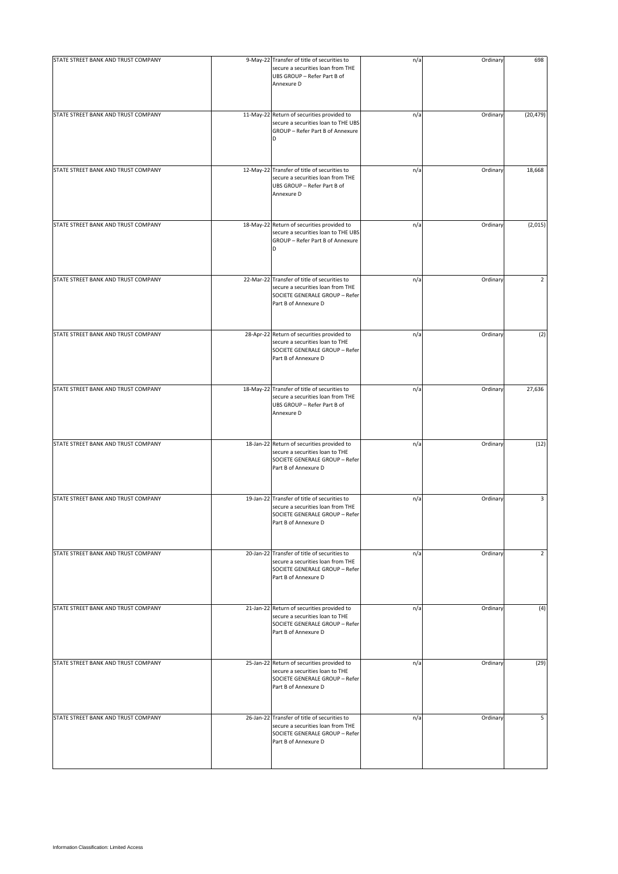| STATE STREET BANK AND TRUST COMPANY | 9-May-22 Transfer of title of securities to<br>secure a securities loan from THE<br>UBS GROUP - Refer Part B of<br>Annexure D               | n/a | Ordinary | 698            |
|-------------------------------------|---------------------------------------------------------------------------------------------------------------------------------------------|-----|----------|----------------|
| STATE STREET BANK AND TRUST COMPANY | 11-May-22 Return of securities provided to<br>secure a securities loan to THE UBS<br>GROUP - Refer Part B of Annexure<br>D                  | n/a | Ordinary | (20, 479)      |
| STATE STREET BANK AND TRUST COMPANY | 12-May-22 Transfer of title of securities to<br>secure a securities loan from THE<br>UBS GROUP - Refer Part B of<br>Annexure D              | n/a | Ordinary | 18,668         |
| STATE STREET BANK AND TRUST COMPANY | 18-May-22 Return of securities provided to<br>secure a securities loan to THE UBS<br>GROUP - Refer Part B of Annexure<br>D                  | n/a | Ordinary | (2,015)        |
| STATE STREET BANK AND TRUST COMPANY | 22-Mar-22 Transfer of title of securities to<br>secure a securities loan from THE<br>SOCIETE GENERALE GROUP - Refer<br>Part B of Annexure D | n/a | Ordinary | 2              |
| STATE STREET BANK AND TRUST COMPANY | 28-Apr-22 Return of securities provided to<br>secure a securities loan to THE<br>SOCIETE GENERALE GROUP - Refer<br>Part B of Annexure D     | n/a | Ordinary | (2)            |
| STATE STREET BANK AND TRUST COMPANY | 18-May-22 Transfer of title of securities to<br>secure a securities loan from THE<br>UBS GROUP - Refer Part B of<br>Annexure D              | n/a | Ordinary | 27,636         |
| STATE STREET BANK AND TRUST COMPANY | 18-Jan-22 Return of securities provided to<br>secure a securities loan to THE<br>SOCIETE GENERALE GROUP - Refer<br>Part B of Annexure D     | n/a | Ordinary | (12)           |
| STATE STREET BANK AND TRUST COMPANY | 19-Jan-22 Transfer of title of securities to<br>secure a securities loan from THE<br>SOCIETE GENERALE GROUP - Refer<br>Part B of Annexure D | n/a | Ordinary | 3              |
| STATE STREET BANK AND TRUST COMPANY | 20-Jan-22 Transfer of title of securities to<br>secure a securities loan from THE<br>SOCIETE GENERALE GROUP - Refer<br>Part B of Annexure D | n/a | Ordinary | $\overline{2}$ |
| STATE STREET BANK AND TRUST COMPANY | 21-Jan-22 Return of securities provided to<br>secure a securities loan to THE<br>SOCIETE GENERALE GROUP - Refer<br>Part B of Annexure D     | n/a | Ordinary | (4)            |
| STATE STREET BANK AND TRUST COMPANY | 25-Jan-22 Return of securities provided to<br>secure a securities loan to THE<br>SOCIETE GENERALE GROUP - Refer<br>Part B of Annexure D     | n/a | Ordinary | (29)           |
| STATE STREET BANK AND TRUST COMPANY | 26-Jan-22 Transfer of title of securities to<br>secure a securities loan from THE<br>SOCIETE GENERALE GROUP - Refer<br>Part B of Annexure D | n/a | Ordinary | 5              |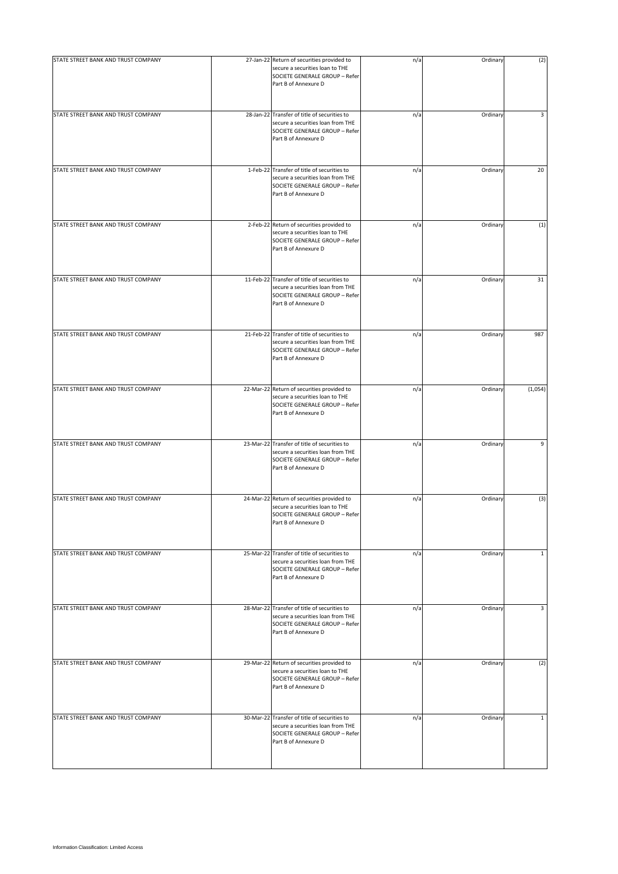| STATE STREET BANK AND TRUST COMPANY | 27-Jan-22 Return of securities provided to<br>secure a securities loan to THE<br>SOCIETE GENERALE GROUP - Refer<br>Part B of Annexure D     | n/a | Ordinary | (2)          |
|-------------------------------------|---------------------------------------------------------------------------------------------------------------------------------------------|-----|----------|--------------|
| STATE STREET BANK AND TRUST COMPANY | 28-Jan-22 Transfer of title of securities to<br>secure a securities loan from THE<br>SOCIETE GENERALE GROUP - Refer<br>Part B of Annexure D | n/a | Ordinary | 3            |
| STATE STREET BANK AND TRUST COMPANY | 1-Feb-22 Transfer of title of securities to<br>secure a securities loan from THE<br>SOCIETE GENERALE GROUP - Refer<br>Part B of Annexure D  | n/a | Ordinary | 20           |
| STATE STREET BANK AND TRUST COMPANY | 2-Feb-22 Return of securities provided to<br>secure a securities loan to THE<br>SOCIETE GENERALE GROUP - Refer<br>Part B of Annexure D      | n/a | Ordinary | (1)          |
| STATE STREET BANK AND TRUST COMPANY | 11-Feb-22 Transfer of title of securities to<br>secure a securities loan from THE<br>SOCIETE GENERALE GROUP - Refer<br>Part B of Annexure D | n/a | Ordinary | 31           |
| STATE STREET BANK AND TRUST COMPANY | 21-Feb-22 Transfer of title of securities to<br>secure a securities loan from THE<br>SOCIETE GENERALE GROUP - Refer<br>Part B of Annexure D | n/a | Ordinary | 987          |
| STATE STREET BANK AND TRUST COMPANY | 22-Mar-22 Return of securities provided to<br>secure a securities loan to THE<br>SOCIETE GENERALE GROUP - Refer<br>Part B of Annexure D     | n/a | Ordinary | (1,054)      |
| STATE STREET BANK AND TRUST COMPANY | 23-Mar-22 Transfer of title of securities to<br>secure a securities loan from THE<br>SOCIETE GENERALE GROUP - Refer<br>Part B of Annexure D | n/a | Ordinary | 9            |
| STATE STREET BANK AND TRUST COMPANY | 24-Mar-22 Return of securities provided to<br>secure a securities loan to THE<br>SOCIETE GENERALE GROUP - Refer<br>Part B of Annexure D     | n/a | Ordinary | (3)          |
| STATE STREET BANK AND TRUST COMPANY | 25-Mar-22 Transfer of title of securities to<br>secure a securities loan from THE<br>SOCIETE GENERALE GROUP - Refer<br>Part B of Annexure D | n/a | Ordinary | $\mathbf{1}$ |
| STATE STREET BANK AND TRUST COMPANY | 28-Mar-22 Transfer of title of securities to<br>secure a securities loan from THE<br>SOCIETE GENERALE GROUP - Refer<br>Part B of Annexure D | n/a | Ordinary | 3            |
| STATE STREET BANK AND TRUST COMPANY | 29-Mar-22 Return of securities provided to<br>secure a securities loan to THE<br>SOCIETE GENERALE GROUP - Refer<br>Part B of Annexure D     | n/a | Ordinary | (2)          |
| STATE STREET BANK AND TRUST COMPANY | 30-Mar-22 Transfer of title of securities to<br>secure a securities loan from THE<br>SOCIETE GENERALE GROUP - Refer<br>Part B of Annexure D | n/a | Ordinary | $\mathbf{1}$ |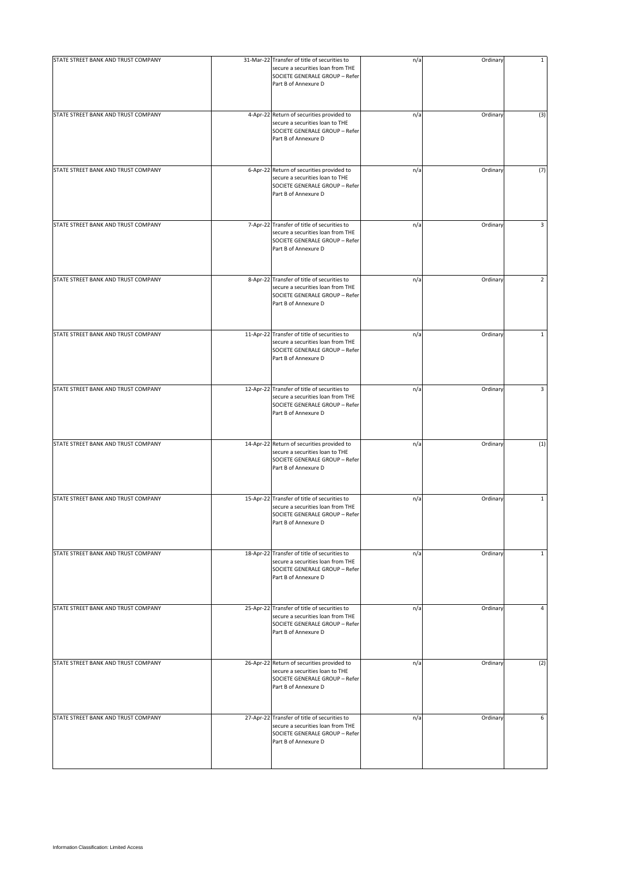| STATE STREET BANK AND TRUST COMPANY | 31-Mar-22 Transfer of title of securities to<br>secure a securities loan from THE<br>SOCIETE GENERALE GROUP - Refer<br>Part B of Annexure D | n/a | Ordinary | 1            |
|-------------------------------------|---------------------------------------------------------------------------------------------------------------------------------------------|-----|----------|--------------|
| STATE STREET BANK AND TRUST COMPANY | 4-Apr-22 Return of securities provided to<br>secure a securities loan to THE<br>SOCIETE GENERALE GROUP - Refer<br>Part B of Annexure D      | n/a | Ordinary | (3)          |
| STATE STREET BANK AND TRUST COMPANY | 6-Apr-22 Return of securities provided to<br>secure a securities loan to THE<br>SOCIETE GENERALE GROUP - Refer<br>Part B of Annexure D      | n/a | Ordinary | (7)          |
| STATE STREET BANK AND TRUST COMPANY | 7-Apr-22 Transfer of title of securities to<br>secure a securities loan from THE<br>SOCIETE GENERALE GROUP - Refer<br>Part B of Annexure D  | n/a | Ordinary | 3            |
| STATE STREET BANK AND TRUST COMPANY | 8-Apr-22 Transfer of title of securities to<br>secure a securities loan from THE<br>SOCIETE GENERALE GROUP - Refer<br>Part B of Annexure D  | n/a | Ordinary | 2            |
| STATE STREET BANK AND TRUST COMPANY | 11-Apr-22 Transfer of title of securities to<br>secure a securities loan from THE<br>SOCIETE GENERALE GROUP - Refer<br>Part B of Annexure D | n/a | Ordinary | $\mathbf{1}$ |
| STATE STREET BANK AND TRUST COMPANY | 12-Apr-22 Transfer of title of securities to<br>secure a securities loan from THE<br>SOCIETE GENERALE GROUP - Refer<br>Part B of Annexure D | n/a | Ordinary | 3            |
| STATE STREET BANK AND TRUST COMPANY | 14-Apr-22 Return of securities provided to<br>secure a securities loan to THE<br>SOCIETE GENERALE GROUP - Refer<br>Part B of Annexure D     | n/a | Ordinary | (1)          |
| STATE STREET BANK AND TRUST COMPANY | 15-Apr-22 Transfer of title of securities to<br>secure a securities loan from THE<br>SOCIETE GENERALE GROUP - Refer<br>Part B of Annexure D | n/a | Ordinary | $\mathbf{1}$ |
| STATE STREET BANK AND TRUST COMPANY | 18-Apr-22 Transfer of title of securities to<br>secure a securities loan from THE<br>SOCIETE GENERALE GROUP - Refer<br>Part B of Annexure D | n/a | Ordinary | $\mathbf{1}$ |
| STATE STREET BANK AND TRUST COMPANY | 25-Apr-22 Transfer of title of securities to<br>secure a securities loan from THE<br>SOCIETE GENERALE GROUP - Refer<br>Part B of Annexure D | n/a | Ordinary | 4            |
| STATE STREET BANK AND TRUST COMPANY | 26-Apr-22 Return of securities provided to<br>secure a securities loan to THE<br>SOCIETE GENERALE GROUP - Refer<br>Part B of Annexure D     | n/a | Ordinary | (2)          |
| STATE STREET BANK AND TRUST COMPANY | 27-Apr-22 Transfer of title of securities to<br>secure a securities loan from THE<br>SOCIETE GENERALE GROUP - Refer<br>Part B of Annexure D | n/a | Ordinary | 6            |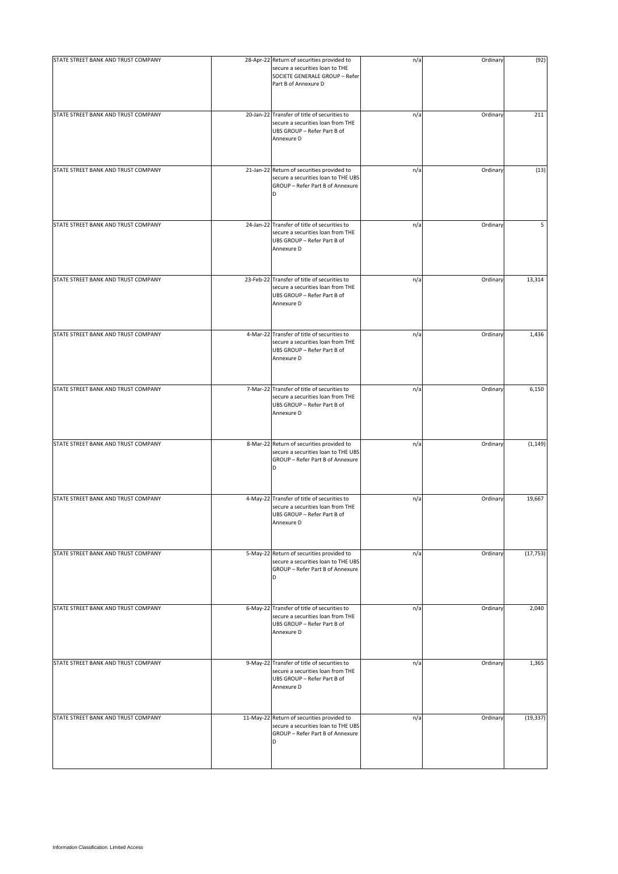| STATE STREET BANK AND TRUST COMPANY | 28-Apr-22 Return of securities provided to<br>secure a securities loan to THE<br>SOCIETE GENERALE GROUP - Refer<br>Part B of Annexure D | n/a | Ordinary | (92)      |
|-------------------------------------|-----------------------------------------------------------------------------------------------------------------------------------------|-----|----------|-----------|
| STATE STREET BANK AND TRUST COMPANY | 20-Jan-22 Transfer of title of securities to<br>secure a securities loan from THE<br>UBS GROUP - Refer Part B of<br>Annexure D          | n/a | Ordinary | 211       |
| STATE STREET BANK AND TRUST COMPANY | 21-Jan-22 Return of securities provided to<br>secure a securities loan to THE UBS<br>GROUP - Refer Part B of Annexure<br>D              | n/a | Ordinary | (13)      |
| STATE STREET BANK AND TRUST COMPANY | 24-Jan-22 Transfer of title of securities to<br>secure a securities loan from THE<br>UBS GROUP - Refer Part B of<br>Annexure D          | n/a | Ordinary | 5         |
| STATE STREET BANK AND TRUST COMPANY | 23-Feb-22 Transfer of title of securities to<br>secure a securities loan from THE<br>UBS GROUP - Refer Part B of<br>Annexure D          | n/a | Ordinary | 13,314    |
| STATE STREET BANK AND TRUST COMPANY | 4-Mar-22 Transfer of title of securities to<br>secure a securities loan from THE<br>UBS GROUP - Refer Part B of<br>Annexure D           | n/a | Ordinary | 1,436     |
| STATE STREET BANK AND TRUST COMPANY | 7-Mar-22 Transfer of title of securities to<br>secure a securities loan from THE<br>UBS GROUP - Refer Part B of<br>Annexure D           | n/a | Ordinary | 6,150     |
| STATE STREET BANK AND TRUST COMPANY | 8-Mar-22 Return of securities provided to<br>secure a securities loan to THE UBS<br>GROUP - Refer Part B of Annexure<br>D               | n/a | Ordinary | (1, 149)  |
| STATE STREET BANK AND TRUST COMPANY | 4-May-22 Transfer of title of securities to<br>secure a securities loan from THE<br>UBS GROUP - Refer Part B of<br>Annexure D           | n/a | Ordinary | 19,667    |
| STATE STREET BANK AND TRUST COMPANY | 5-May-22 Return of securities provided to<br>secure a securities loan to THE UBS<br>GROUP - Refer Part B of Annexure<br>D               | n/a | Ordinary | (17, 753) |
| STATE STREET BANK AND TRUST COMPANY | 6-May-22 Transfer of title of securities to<br>secure a securities loan from THE<br>UBS GROUP - Refer Part B of<br>Annexure D           | n/a | Ordinary | 2,040     |
| STATE STREET BANK AND TRUST COMPANY | 9-May-22 Transfer of title of securities to<br>secure a securities loan from THE<br>UBS GROUP - Refer Part B of<br>Annexure D           | n/a | Ordinary | 1,365     |
| STATE STREET BANK AND TRUST COMPANY | 11-May-22 Return of securities provided to<br>secure a securities loan to THE UBS<br>GROUP - Refer Part B of Annexure<br>D              | n/a | Ordinary | (19, 337) |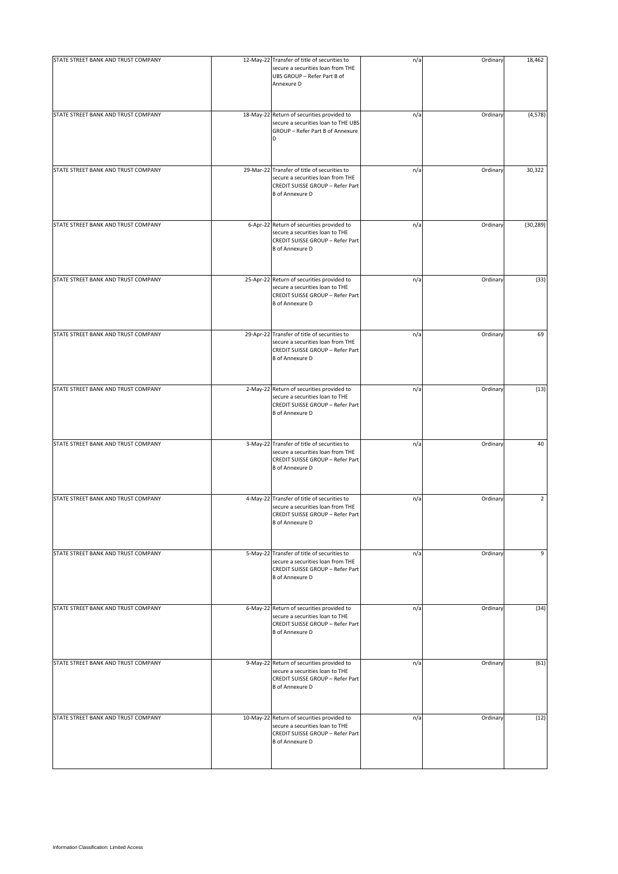| STATE STREET BANK AND TRUST COMPANY | 12-May-22 Transfer of title of securities to<br>secure a securities loan from THE<br>UBS GROUP - Refer Part B of<br>Annexure D                  | n/a | Ordinary | 18,462         |
|-------------------------------------|-------------------------------------------------------------------------------------------------------------------------------------------------|-----|----------|----------------|
| STATE STREET BANK AND TRUST COMPANY | 18-May-22 Return of securities provided to<br>secure a securities loan to THE UBS<br>GROUP - Refer Part B of Annexure                           | n/a | Ordinary | (4, 578)       |
| STATE STREET BANK AND TRUST COMPANY | 29-Mar-22 Transfer of title of securities to<br>secure a securities loan from THE<br>CREDIT SUISSE GROUP - Refer Part<br><b>B</b> of Annexure D | n/a | Ordinary | 30,322         |
| STATE STREET BANK AND TRUST COMPANY | 6-Apr-22 Return of securities provided to<br>secure a securities loan to THE<br>CREDIT SUISSE GROUP - Refer Part<br><b>B</b> of Annexure D      | n/a | Ordinary | (30, 289)      |
| STATE STREET BANK AND TRUST COMPANY | 25-Apr-22 Return of securities provided to<br>secure a securities loan to THE<br>CREDIT SUISSE GROUP - Refer Part<br><b>B</b> of Annexure D     | n/a | Ordinary | (33)           |
| STATE STREET BANK AND TRUST COMPANY | 29-Apr-22 Transfer of title of securities to<br>secure a securities loan from THE<br>CREDIT SUISSE GROUP - Refer Part<br><b>B</b> of Annexure D | n/a | Ordinary | 69             |
| STATE STREET BANK AND TRUST COMPANY | 2-May-22 Return of securities provided to<br>secure a securities loan to THE<br>CREDIT SUISSE GROUP - Refer Part<br><b>B</b> of Annexure D      | n/a | Ordinary | (13)           |
| STATE STREET BANK AND TRUST COMPANY | 3-May-22 Transfer of title of securities to<br>secure a securities loan from THE<br>CREDIT SUISSE GROUP - Refer Part<br><b>B</b> of Annexure D  | n/a | Ordinary | 40             |
| STATE STREET BANK AND TRUST COMPANY | 4-May-22 Transfer of title of securities to<br>secure a securities loan from THE<br>CREDIT SUISSE GROUP - Refer Part<br><b>B</b> of Annexure D  | n/a | Ordinary | $\overline{2}$ |
| STATE STREET BANK AND TRUST COMPANY | 5-May-22 Transfer of title of securities to<br>secure a securities loan from THE<br>CREDIT SUISSE GROUP - Refer Part<br><b>B</b> of Annexure D  | n/a | Ordinary | 9              |
| STATE STREET BANK AND TRUST COMPANY | 6-May-22 Return of securities provided to<br>secure a securities loan to THE<br>CREDIT SUISSE GROUP - Refer Part<br><b>B</b> of Annexure D      | n/a | Ordinary | (34)           |
| STATE STREET BANK AND TRUST COMPANY | 9-May-22 Return of securities provided to<br>secure a securities loan to THE<br>CREDIT SUISSE GROUP - Refer Part<br><b>B</b> of Annexure D      | n/a | Ordinary | (61)           |
| STATE STREET BANK AND TRUST COMPANY | 10-May-22 Return of securities provided to<br>secure a securities loan to THE<br>CREDIT SUISSE GROUP - Refer Part<br><b>B</b> of Annexure D     | n/a | Ordinary | (12)           |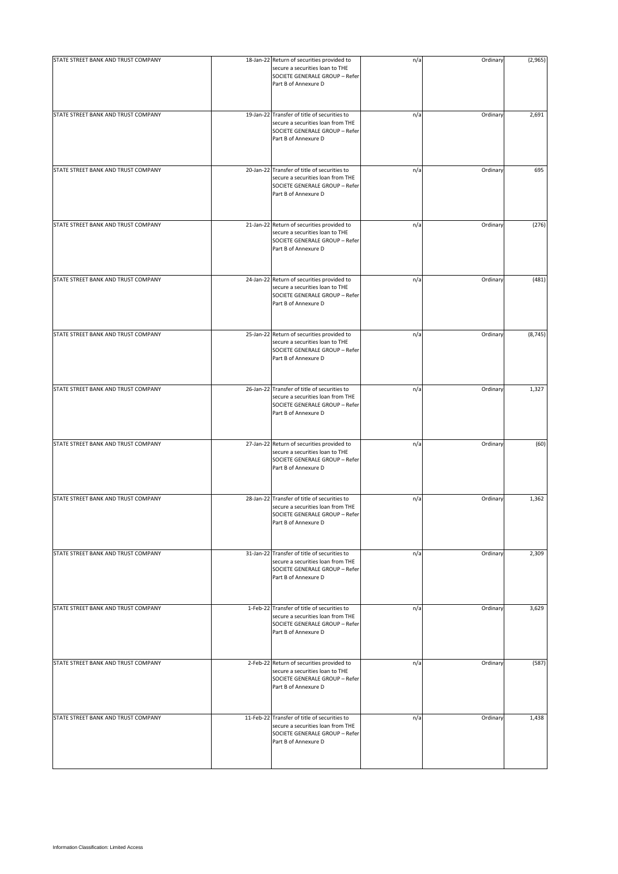| STATE STREET BANK AND TRUST COMPANY | 18-Jan-22 Return of securities provided to<br>secure a securities loan to THE                                                               | n/a | Ordinary | (2,965)  |
|-------------------------------------|---------------------------------------------------------------------------------------------------------------------------------------------|-----|----------|----------|
|                                     | SOCIETE GENERALE GROUP - Refer<br>Part B of Annexure D                                                                                      |     |          |          |
| STATE STREET BANK AND TRUST COMPANY | 19-Jan-22 Transfer of title of securities to<br>secure a securities loan from THE<br>SOCIETE GENERALE GROUP - Refer<br>Part B of Annexure D | n/a | Ordinary | 2,691    |
| STATE STREET BANK AND TRUST COMPANY | 20-Jan-22 Transfer of title of securities to<br>secure a securities loan from THE<br>SOCIETE GENERALE GROUP - Refer<br>Part B of Annexure D | n/a | Ordinary | 695      |
| STATE STREET BANK AND TRUST COMPANY | 21-Jan-22 Return of securities provided to<br>secure a securities loan to THE<br>SOCIETE GENERALE GROUP - Refer<br>Part B of Annexure D     | n/a | Ordinary | (276)    |
| STATE STREET BANK AND TRUST COMPANY | 24-Jan-22 Return of securities provided to<br>secure a securities loan to THE<br>SOCIETE GENERALE GROUP - Refer<br>Part B of Annexure D     | n/a | Ordinary | (481)    |
| STATE STREET BANK AND TRUST COMPANY | 25-Jan-22 Return of securities provided to<br>secure a securities loan to THE<br>SOCIETE GENERALE GROUP - Refer<br>Part B of Annexure D     | n/a | Ordinary | (8, 745) |
| STATE STREET BANK AND TRUST COMPANY | 26-Jan-22 Transfer of title of securities to<br>secure a securities loan from THE<br>SOCIETE GENERALE GROUP - Refer<br>Part B of Annexure D | n/a | Ordinary | 1,327    |
| STATE STREET BANK AND TRUST COMPANY | 27-Jan-22 Return of securities provided to<br>secure a securities loan to THE<br>SOCIETE GENERALE GROUP - Refer<br>Part B of Annexure D     | n/a | Ordinary | (60)     |
| STATE STREET BANK AND TRUST COMPANY | 28-Jan-22 Transfer of title of securities to<br>secure a securities loan from THE<br>SOCIETE GENERALE GROUP - Refer<br>Part B of Annexure D | n/a | Ordinary | 1,362    |
| STATE STREET BANK AND TRUST COMPANY | 31-Jan-22 Transfer of title of securities to<br>secure a securities loan from THE<br>SOCIETE GENERALE GROUP - Refer<br>Part B of Annexure D | n/a | Ordinary | 2,309    |
| STATE STREET BANK AND TRUST COMPANY | 1-Feb-22 Transfer of title of securities to<br>secure a securities loan from THE<br>SOCIETE GENERALE GROUP - Refer<br>Part B of Annexure D  | n/a | Ordinary | 3,629    |
| STATE STREET BANK AND TRUST COMPANY | 2-Feb-22 Return of securities provided to<br>secure a securities loan to THE<br>SOCIETE GENERALE GROUP - Refer<br>Part B of Annexure D      | n/a | Ordinary | (587)    |
| STATE STREET BANK AND TRUST COMPANY | 11-Feb-22 Transfer of title of securities to<br>secure a securities loan from THE<br>SOCIETE GENERALE GROUP - Refer<br>Part B of Annexure D | n/a | Ordinary | 1,438    |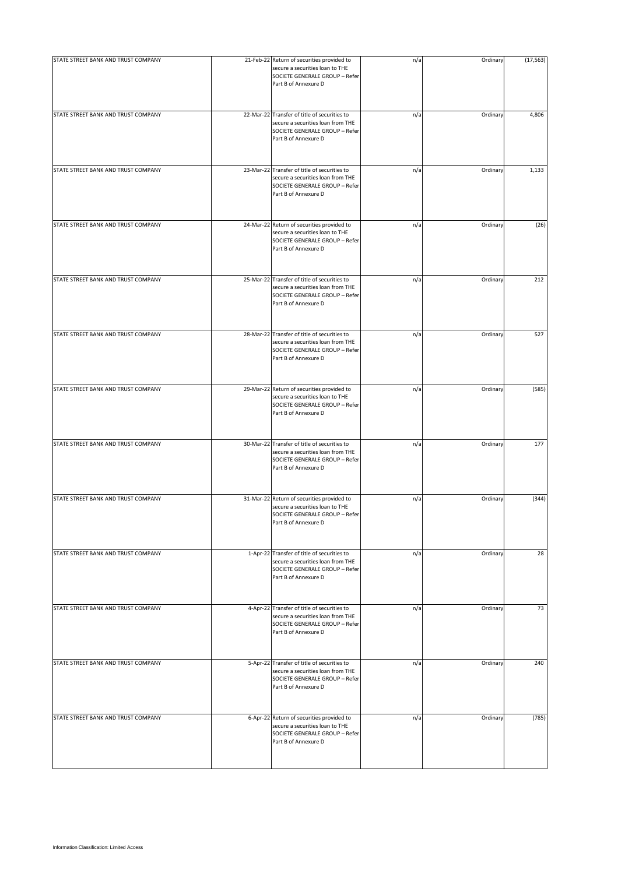| STATE STREET BANK AND TRUST COMPANY | 21-Feb-22 Return of securities provided to<br>secure a securities loan to THE<br>SOCIETE GENERALE GROUP - Refer<br>Part B of Annexure D     | n/a | Ordinary | (17, 563) |
|-------------------------------------|---------------------------------------------------------------------------------------------------------------------------------------------|-----|----------|-----------|
| STATE STREET BANK AND TRUST COMPANY | 22-Mar-22 Transfer of title of securities to<br>secure a securities loan from THE<br>SOCIETE GENERALE GROUP - Refer<br>Part B of Annexure D | n/a | Ordinary | 4,806     |
| STATE STREET BANK AND TRUST COMPANY | 23-Mar-22 Transfer of title of securities to<br>secure a securities loan from THE<br>SOCIETE GENERALE GROUP - Refer<br>Part B of Annexure D | n/a | Ordinary | 1,133     |
| STATE STREET BANK AND TRUST COMPANY | 24-Mar-22 Return of securities provided to<br>secure a securities loan to THE<br>SOCIETE GENERALE GROUP - Refer<br>Part B of Annexure D     | n/a | Ordinary | (26)      |
| STATE STREET BANK AND TRUST COMPANY | 25-Mar-22 Transfer of title of securities to<br>secure a securities loan from THE<br>SOCIETE GENERALE GROUP - Refer<br>Part B of Annexure D | n/a | Ordinary | 212       |
| STATE STREET BANK AND TRUST COMPANY | 28-Mar-22 Transfer of title of securities to<br>secure a securities loan from THE<br>SOCIETE GENERALE GROUP - Refer<br>Part B of Annexure D | n/a | Ordinary | 527       |
| STATE STREET BANK AND TRUST COMPANY | 29-Mar-22 Return of securities provided to<br>secure a securities loan to THE<br>SOCIETE GENERALE GROUP - Refer<br>Part B of Annexure D     | n/a | Ordinary | (585)     |
| STATE STREET BANK AND TRUST COMPANY | 30-Mar-22 Transfer of title of securities to<br>secure a securities loan from THE<br>SOCIETE GENERALE GROUP - Refer<br>Part B of Annexure D | n/a | Ordinary | 177       |
| STATE STREET BANK AND TRUST COMPANY | 31-Mar-22 Return of securities provided to<br>secure a securities loan to THE<br>SOCIETE GENERALE GROUP - Refer<br>Part B of Annexure D     | n/a | Ordinary | (344)     |
| STATE STREET BANK AND TRUST COMPANY | 1-Apr-22 Transfer of title of securities to<br>secure a securities loan from THE<br>SOCIETE GENERALE GROUP - Refer<br>Part B of Annexure D  | n/a | Ordinary | 28        |
| STATE STREET BANK AND TRUST COMPANY | 4-Apr-22 Transfer of title of securities to<br>secure a securities loan from THE<br>SOCIETE GENERALE GROUP - Refer<br>Part B of Annexure D  | n/a | Ordinary | 73        |
| STATE STREET BANK AND TRUST COMPANY | 5-Apr-22 Transfer of title of securities to<br>secure a securities loan from THE<br>SOCIETE GENERALE GROUP - Refer<br>Part B of Annexure D  | n/a | Ordinary | 240       |
| STATE STREET BANK AND TRUST COMPANY | 6-Apr-22 Return of securities provided to<br>secure a securities loan to THE<br>SOCIETE GENERALE GROUP - Refer<br>Part B of Annexure D      | n/a | Ordinary | (785)     |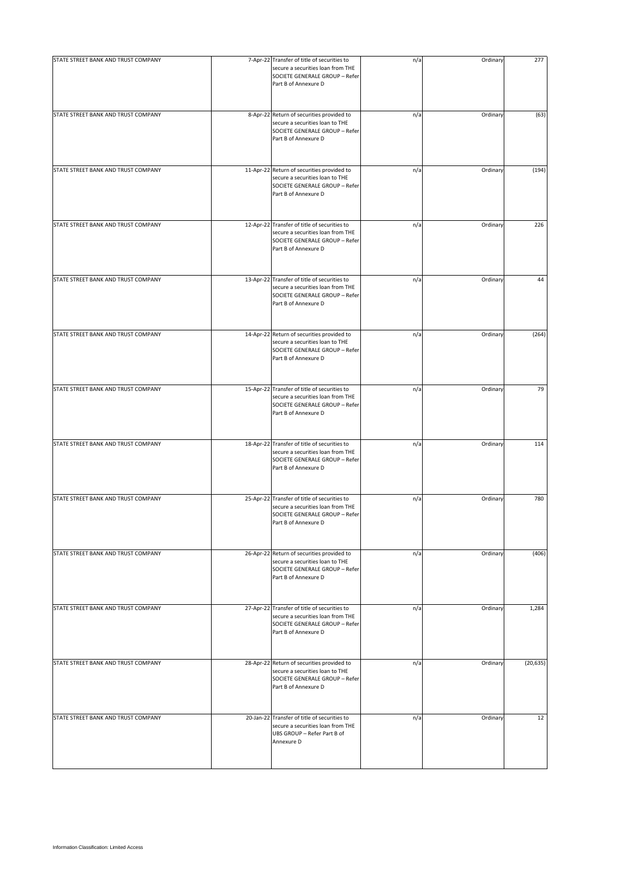| STATE STREET BANK AND TRUST COMPANY | 7-Apr-22 Transfer of title of securities to<br>secure a securities loan from THE<br>SOCIETE GENERALE GROUP - Refer<br>Part B of Annexure D  | n/a | Ordinary | 277       |
|-------------------------------------|---------------------------------------------------------------------------------------------------------------------------------------------|-----|----------|-----------|
| STATE STREET BANK AND TRUST COMPANY | 8-Apr-22 Return of securities provided to<br>secure a securities loan to THE<br>SOCIETE GENERALE GROUP - Refer<br>Part B of Annexure D      | n/a | Ordinary | (63)      |
| STATE STREET BANK AND TRUST COMPANY | 11-Apr-22 Return of securities provided to<br>secure a securities loan to THE<br>SOCIETE GENERALE GROUP - Refer<br>Part B of Annexure D     | n/a | Ordinary | (194)     |
| STATE STREET BANK AND TRUST COMPANY | 12-Apr-22 Transfer of title of securities to<br>secure a securities loan from THE<br>SOCIETE GENERALE GROUP - Refer<br>Part B of Annexure D | n/a | Ordinary | 226       |
| STATE STREET BANK AND TRUST COMPANY | 13-Apr-22 Transfer of title of securities to<br>secure a securities loan from THE<br>SOCIETE GENERALE GROUP - Refer<br>Part B of Annexure D | n/a | Ordinary | 44        |
| STATE STREET BANK AND TRUST COMPANY | 14-Apr-22 Return of securities provided to<br>secure a securities loan to THE<br>SOCIETE GENERALE GROUP - Refer<br>Part B of Annexure D     | n/a | Ordinary | (264)     |
| STATE STREET BANK AND TRUST COMPANY | 15-Apr-22 Transfer of title of securities to<br>secure a securities loan from THE<br>SOCIETE GENERALE GROUP - Refer<br>Part B of Annexure D | n/a | Ordinary | 79        |
| STATE STREET BANK AND TRUST COMPANY | 18-Apr-22 Transfer of title of securities to<br>secure a securities loan from THE<br>SOCIETE GENERALE GROUP - Refer<br>Part B of Annexure D | n/a | Ordinary | 114       |
| STATE STREET BANK AND TRUST COMPANY | 25-Apr-22 Transfer of title of securities to<br>secure a securities loan from THE<br>SOCIETE GENERALE GROUP - Refer<br>Part B of Annexure D | n/a | Ordinary | 780       |
| STATE STREET BANK AND TRUST COMPANY | 26-Apr-22 Return of securities provided to<br>secure a securities loan to THE<br>SOCIETE GENERALE GROUP - Refer<br>Part B of Annexure D     | n/a | Ordinary | (406)     |
| STATE STREET BANK AND TRUST COMPANY | 27-Apr-22 Transfer of title of securities to<br>secure a securities loan from THE<br>SOCIETE GENERALE GROUP - Refer<br>Part B of Annexure D | n/a | Ordinary | 1,284     |
| STATE STREET BANK AND TRUST COMPANY | 28-Apr-22 Return of securities provided to<br>secure a securities loan to THE<br>SOCIETE GENERALE GROUP - Refer<br>Part B of Annexure D     | n/a | Ordinary | (20, 635) |
| STATE STREET BANK AND TRUST COMPANY | 20-Jan-22 Transfer of title of securities to<br>secure a securities loan from THE<br>UBS GROUP - Refer Part B of<br>Annexure D              | n/a | Ordinary | 12        |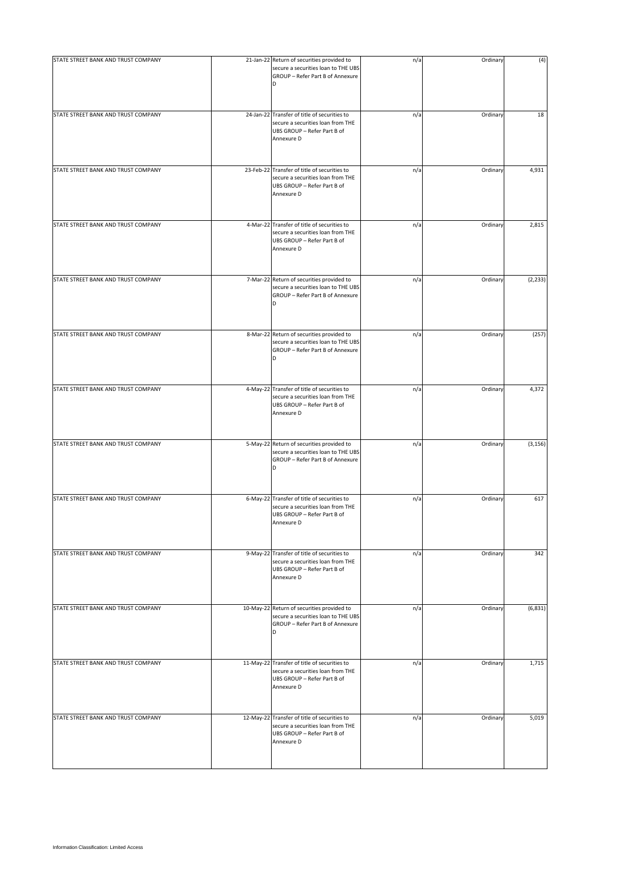| STATE STREET BANK AND TRUST COMPANY | 21-Jan-22 Return of securities provided to                                                                                     | n/a | Ordinary | (4)      |
|-------------------------------------|--------------------------------------------------------------------------------------------------------------------------------|-----|----------|----------|
|                                     | secure a securities loan to THE UBS<br>GROUP - Refer Part B of Annexure<br>D                                                   |     |          |          |
| STATE STREET BANK AND TRUST COMPANY | 24-Jan-22 Transfer of title of securities to<br>secure a securities loan from THE<br>UBS GROUP - Refer Part B of<br>Annexure D | n/a | Ordinary | 18       |
| STATE STREET BANK AND TRUST COMPANY | 23-Feb-22 Transfer of title of securities to<br>secure a securities loan from THE<br>UBS GROUP - Refer Part B of<br>Annexure D | n/a | Ordinary | 4,931    |
| STATE STREET BANK AND TRUST COMPANY | 4-Mar-22 Transfer of title of securities to<br>secure a securities loan from THE<br>UBS GROUP - Refer Part B of<br>Annexure D  | n/a | Ordinary | 2,815    |
| STATE STREET BANK AND TRUST COMPANY | 7-Mar-22 Return of securities provided to<br>secure a securities loan to THE UBS<br>GROUP - Refer Part B of Annexure<br>D      | n/a | Ordinary | (2, 233) |
| STATE STREET BANK AND TRUST COMPANY | 8-Mar-22 Return of securities provided to<br>secure a securities loan to THE UBS<br>GROUP - Refer Part B of Annexure<br>D      | n/a | Ordinary | (257)    |
| STATE STREET BANK AND TRUST COMPANY | 4-May-22 Transfer of title of securities to<br>secure a securities loan from THE<br>UBS GROUP - Refer Part B of<br>Annexure D  | n/a | Ordinary | 4,372    |
| STATE STREET BANK AND TRUST COMPANY | 5-May-22 Return of securities provided to<br>secure a securities loan to THE UBS<br>GROUP - Refer Part B of Annexure<br>D      | n/a | Ordinary | (3, 156) |
| STATE STREET BANK AND TRUST COMPANY | 6-May-22 Transfer of title of securities to<br>secure a securities loan from THE<br>UBS GROUP - Refer Part B of<br>Annexure D  | n/a | Ordinary | 617      |
| STATE STREET BANK AND TRUST COMPANY | 9-May-22 Transfer of title of securities to<br>secure a securities loan from THE<br>UBS GROUP - Refer Part B of<br>Annexure D  | n/a | Ordinary | 342      |
| STATE STREET BANK AND TRUST COMPANY | 10-May-22 Return of securities provided to<br>secure a securities loan to THE UBS<br>GROUP - Refer Part B of Annexure<br>D     | n/a | Ordinary | (6, 831) |
| STATE STREET BANK AND TRUST COMPANY | 11-May-22 Transfer of title of securities to<br>secure a securities loan from THE<br>UBS GROUP - Refer Part B of<br>Annexure D | n/a | Ordinary | 1,715    |
| STATE STREET BANK AND TRUST COMPANY | 12-May-22 Transfer of title of securities to<br>secure a securities loan from THE<br>UBS GROUP - Refer Part B of<br>Annexure D | n/a | Ordinary | 5,019    |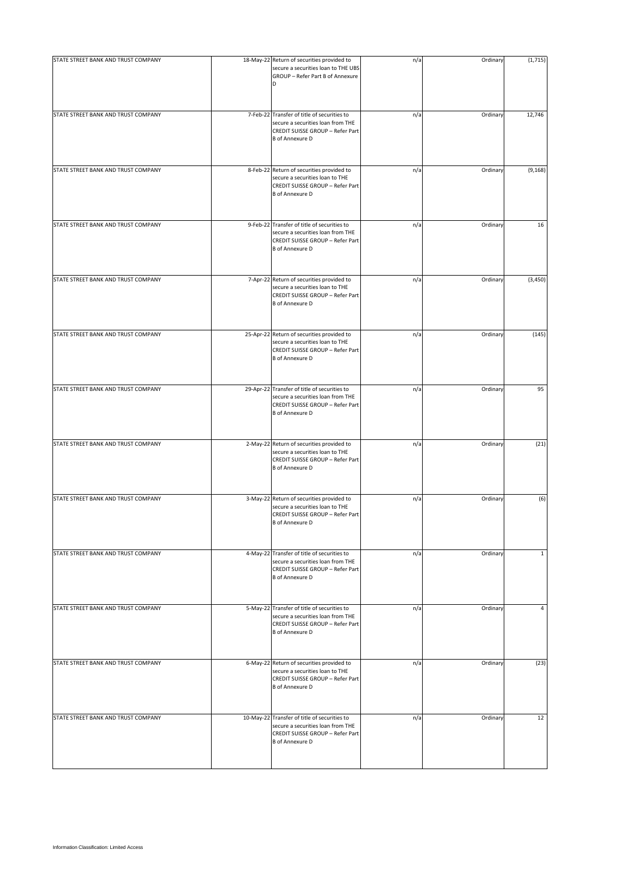| STATE STREET BANK AND TRUST COMPANY | 18-May-22 Return of securities provided to                                                                                                      | n/a | Ordinary | (1, 715)     |
|-------------------------------------|-------------------------------------------------------------------------------------------------------------------------------------------------|-----|----------|--------------|
|                                     | secure a securities loan to THE UBS<br>GROUP - Refer Part B of Annexure<br>D                                                                    |     |          |              |
| STATE STREET BANK AND TRUST COMPANY | 7-Feb-22 Transfer of title of securities to<br>secure a securities loan from THE<br>CREDIT SUISSE GROUP - Refer Part<br><b>B</b> of Annexure D  | n/a | Ordinary | 12,746       |
| STATE STREET BANK AND TRUST COMPANY | 8-Feb-22 Return of securities provided to<br>secure a securities loan to THE<br>CREDIT SUISSE GROUP - Refer Part<br><b>B</b> of Annexure D      | n/a | Ordinary | (9, 168)     |
| STATE STREET BANK AND TRUST COMPANY | 9-Feb-22 Transfer of title of securities to<br>secure a securities loan from THE<br>CREDIT SUISSE GROUP - Refer Part<br><b>B</b> of Annexure D  | n/a | Ordinary | 16           |
| STATE STREET BANK AND TRUST COMPANY | 7-Apr-22 Return of securities provided to<br>secure a securities loan to THE<br>CREDIT SUISSE GROUP - Refer Part<br><b>B</b> of Annexure D      | n/a | Ordinary | (3, 450)     |
| STATE STREET BANK AND TRUST COMPANY | 25-Apr-22 Return of securities provided to<br>secure a securities loan to THE<br>CREDIT SUISSE GROUP - Refer Part<br><b>B</b> of Annexure D     | n/a | Ordinary | (145)        |
| STATE STREET BANK AND TRUST COMPANY | 29-Apr-22 Transfer of title of securities to<br>secure a securities loan from THE<br>CREDIT SUISSE GROUP - Refer Part<br><b>B</b> of Annexure D | n/a | Ordinary | 95           |
| STATE STREET BANK AND TRUST COMPANY | 2-May-22 Return of securities provided to<br>secure a securities loan to THE<br>CREDIT SUISSE GROUP - Refer Part<br><b>B</b> of Annexure D      | n/a | Ordinary | (21)         |
| STATE STREET BANK AND TRUST COMPANY | 3-May-22 Return of securities provided to<br>secure a securities loan to THE<br>CREDIT SUISSE GROUP - Refer Part<br><b>B</b> of Annexure D      | n/a | Ordinary | (6)          |
| STATE STREET BANK AND TRUST COMPANY | 4-May-22 Transfer of title of securities to<br>secure a securities loan from THE<br>CREDIT SUISSE GROUP - Refer Part<br><b>B</b> of Annexure D  | n/a | Ordinary | $\mathbf{1}$ |
| STATE STREET BANK AND TRUST COMPANY | 5-May-22 Transfer of title of securities to<br>secure a securities loan from THE<br>CREDIT SUISSE GROUP - Refer Part<br><b>B</b> of Annexure D  | n/a | Ordinary | 4            |
| STATE STREET BANK AND TRUST COMPANY | 6-May-22 Return of securities provided to<br>secure a securities loan to THE<br>CREDIT SUISSE GROUP - Refer Part<br><b>B</b> of Annexure D      | n/a | Ordinary | (23)         |
| STATE STREET BANK AND TRUST COMPANY | 10-May-22 Transfer of title of securities to<br>secure a securities loan from THE<br>CREDIT SUISSE GROUP - Refer Part<br><b>B</b> of Annexure D | n/a | Ordinary | 12           |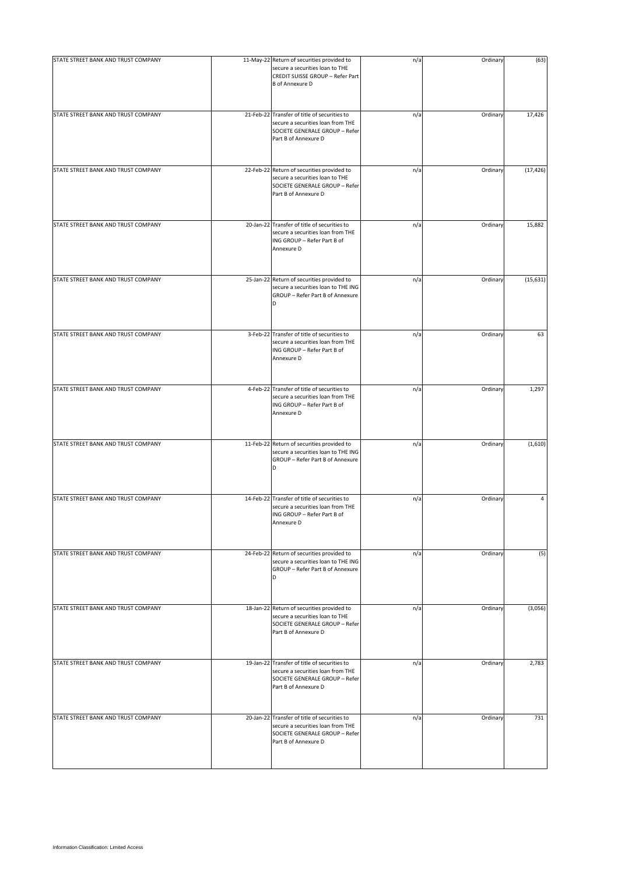| STATE STREET BANK AND TRUST COMPANY | 11-May-22 Return of securities provided to<br>secure a securities loan to THE<br>CREDIT SUISSE GROUP - Refer Part<br><b>B</b> of Annexure D | n/a | Ordinary | (63)      |
|-------------------------------------|---------------------------------------------------------------------------------------------------------------------------------------------|-----|----------|-----------|
| STATE STREET BANK AND TRUST COMPANY | 21-Feb-22 Transfer of title of securities to<br>secure a securities loan from THE<br>SOCIETE GENERALE GROUP - Refer<br>Part B of Annexure D | n/a | Ordinary | 17,426    |
| STATE STREET BANK AND TRUST COMPANY | 22-Feb-22 Return of securities provided to<br>secure a securities loan to THE<br>SOCIETE GENERALE GROUP - Refer<br>Part B of Annexure D     | n/a | Ordinary | (17, 426) |
| STATE STREET BANK AND TRUST COMPANY | 20-Jan-22 Transfer of title of securities to<br>secure a securities loan from THE<br>ING GROUP - Refer Part B of<br>Annexure D              | n/a | Ordinary | 15,882    |
| STATE STREET BANK AND TRUST COMPANY | 25-Jan-22 Return of securities provided to<br>secure a securities loan to THE ING<br>GROUP - Refer Part B of Annexure<br>D                  | n/a | Ordinary | (15, 631) |
| STATE STREET BANK AND TRUST COMPANY | 3-Feb-22 Transfer of title of securities to<br>secure a securities loan from THE<br>ING GROUP - Refer Part B of<br>Annexure D               | n/a | Ordinary | 63        |
| STATE STREET BANK AND TRUST COMPANY | 4-Feb-22 Transfer of title of securities to<br>secure a securities loan from THE<br>ING GROUP - Refer Part B of<br>Annexure D               | n/a | Ordinary | 1,297     |
| STATE STREET BANK AND TRUST COMPANY | 11-Feb-22 Return of securities provided to<br>secure a securities loan to THE ING<br>GROUP - Refer Part B of Annexure<br>D                  | n/a | Ordinary | (1,610)   |
| STATE STREET BANK AND TRUST COMPANY | 14-Feb-22 Transfer of title of securities to<br>secure a securities loan from THE<br>ING GROUP - Refer Part B of<br>Annexure D              | n/a | Ordinary | 4         |
| STATE STREET BANK AND TRUST COMPANY | 24-Feb-22 Return of securities provided to<br>secure a securities loan to THE ING<br>GROUP - Refer Part B of Annexure<br>D                  | n/a | Ordinary | (5)       |
| STATE STREET BANK AND TRUST COMPANY | 18-Jan-22 Return of securities provided to<br>secure a securities loan to THE<br>SOCIETE GENERALE GROUP - Refer<br>Part B of Annexure D     | n/a | Ordinary | (3,056)   |
| STATE STREET BANK AND TRUST COMPANY | 19-Jan-22 Transfer of title of securities to<br>secure a securities loan from THE<br>SOCIETE GENERALE GROUP - Refer<br>Part B of Annexure D | n/a | Ordinary | 2,783     |
| STATE STREET BANK AND TRUST COMPANY | 20-Jan-22 Transfer of title of securities to<br>secure a securities loan from THE<br>SOCIETE GENERALE GROUP - Refer<br>Part B of Annexure D | n/a | Ordinary | 731       |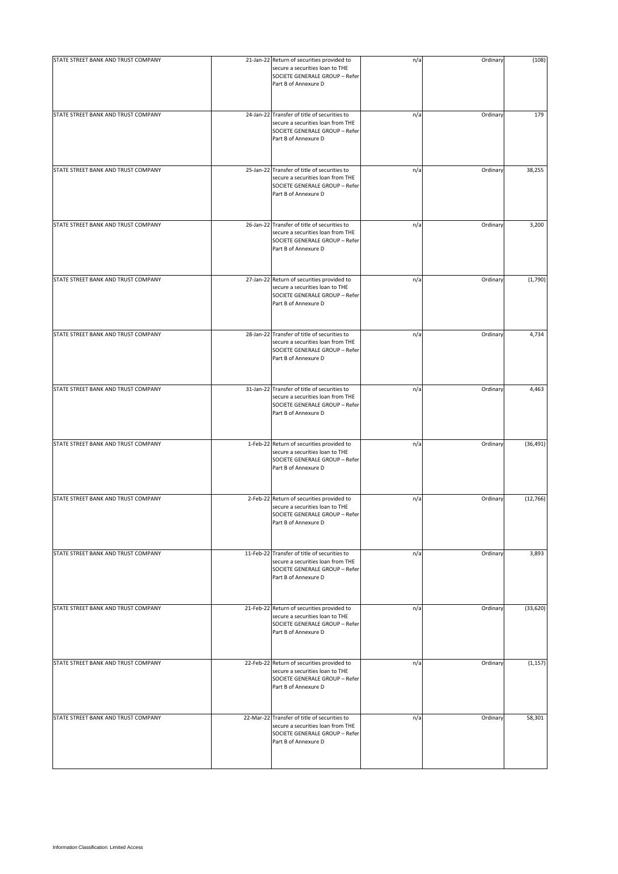| STATE STREET BANK AND TRUST COMPANY | 21-Jan-22 Return of securities provided to                                                                                                  | n/a | Ordinary | (108)     |
|-------------------------------------|---------------------------------------------------------------------------------------------------------------------------------------------|-----|----------|-----------|
|                                     | secure a securities loan to THE<br>SOCIETE GENERALE GROUP - Refer<br>Part B of Annexure D                                                   |     |          |           |
| STATE STREET BANK AND TRUST COMPANY | 24-Jan-22 Transfer of title of securities to<br>secure a securities loan from THE<br>SOCIETE GENERALE GROUP - Refer<br>Part B of Annexure D | n/a | Ordinary | 179       |
| STATE STREET BANK AND TRUST COMPANY | 25-Jan-22 Transfer of title of securities to<br>secure a securities loan from THE<br>SOCIETE GENERALE GROUP - Refer<br>Part B of Annexure D | n/a | Ordinary | 38,255    |
| STATE STREET BANK AND TRUST COMPANY | 26-Jan-22 Transfer of title of securities to<br>secure a securities loan from THE<br>SOCIETE GENERALE GROUP - Refer<br>Part B of Annexure D | n/a | Ordinary | 3,200     |
| STATE STREET BANK AND TRUST COMPANY | 27-Jan-22 Return of securities provided to<br>secure a securities loan to THE<br>SOCIETE GENERALE GROUP - Refer<br>Part B of Annexure D     | n/a | Ordinary | (1,790)   |
| STATE STREET BANK AND TRUST COMPANY | 28-Jan-22 Transfer of title of securities to<br>secure a securities loan from THE<br>SOCIETE GENERALE GROUP - Refer<br>Part B of Annexure D | n/a | Ordinary | 4,734     |
| STATE STREET BANK AND TRUST COMPANY | 31-Jan-22 Transfer of title of securities to<br>secure a securities loan from THE<br>SOCIETE GENERALE GROUP - Refer<br>Part B of Annexure D | n/a | Ordinary | 4,463     |
| STATE STREET BANK AND TRUST COMPANY | 1-Feb-22 Return of securities provided to<br>secure a securities loan to THE<br>SOCIETE GENERALE GROUP - Refer<br>Part B of Annexure D      | n/a | Ordinary | (36, 491) |
| STATE STREET BANK AND TRUST COMPANY | 2-Feb-22 Return of securities provided to<br>secure a securities loan to THE<br>SOCIETE GENERALE GROUP - Refer<br>Part B of Annexure D      | n/a | Ordinary | (12, 766) |
| STATE STREET BANK AND TRUST COMPANY | 11-Feb-22 Transfer of title of securities to<br>secure a securities loan from THE<br>SOCIETE GENERALE GROUP - Refer<br>Part B of Annexure D | n/a | Ordinary | 3,893     |
| STATE STREET BANK AND TRUST COMPANY | 21-Feb-22 Return of securities provided to<br>secure a securities loan to THE<br>SOCIETE GENERALE GROUP - Refer<br>Part B of Annexure D     | n/a | Ordinary | (33, 620) |
| STATE STREET BANK AND TRUST COMPANY | 22-Feb-22 Return of securities provided to<br>secure a securities loan to THE<br>SOCIETE GENERALE GROUP - Refer<br>Part B of Annexure D     | n/a | Ordinary | (1, 157)  |
| STATE STREET BANK AND TRUST COMPANY | 22-Mar-22 Transfer of title of securities to<br>secure a securities loan from THE<br>SOCIETE GENERALE GROUP - Refer<br>Part B of Annexure D | n/a | Ordinary | 58,301    |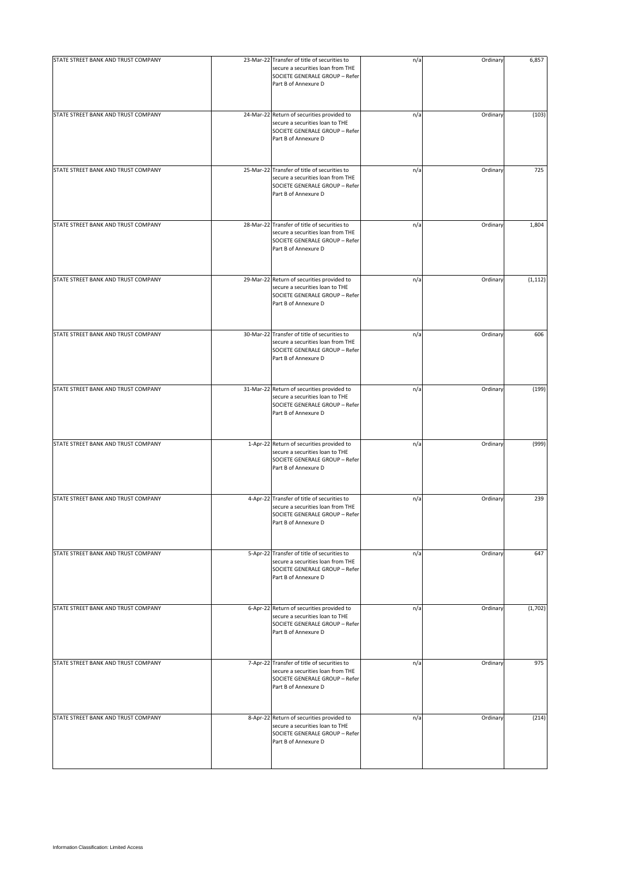| STATE STREET BANK AND TRUST COMPANY | 23-Mar-22 Transfer of title of securities to<br>secure a securities loan from THE<br>SOCIETE GENERALE GROUP - Refer<br>Part B of Annexure D | n/a | Ordinary | 6,857    |
|-------------------------------------|---------------------------------------------------------------------------------------------------------------------------------------------|-----|----------|----------|
| STATE STREET BANK AND TRUST COMPANY | 24-Mar-22 Return of securities provided to<br>secure a securities loan to THE<br>SOCIETE GENERALE GROUP - Refer<br>Part B of Annexure D     | n/a | Ordinary | (103)    |
| STATE STREET BANK AND TRUST COMPANY | 25-Mar-22 Transfer of title of securities to<br>secure a securities loan from THE<br>SOCIETE GENERALE GROUP - Refer<br>Part B of Annexure D | n/a | Ordinary | 725      |
| STATE STREET BANK AND TRUST COMPANY | 28-Mar-22 Transfer of title of securities to<br>secure a securities loan from THE<br>SOCIETE GENERALE GROUP - Refer<br>Part B of Annexure D | n/a | Ordinary | 1,804    |
| STATE STREET BANK AND TRUST COMPANY | 29-Mar-22 Return of securities provided to<br>secure a securities loan to THE<br>SOCIETE GENERALE GROUP - Refer<br>Part B of Annexure D     | n/a | Ordinary | (1, 112) |
| STATE STREET BANK AND TRUST COMPANY | 30-Mar-22 Transfer of title of securities to<br>secure a securities loan from THE<br>SOCIETE GENERALE GROUP - Refer<br>Part B of Annexure D | n/a | Ordinary | 606      |
| STATE STREET BANK AND TRUST COMPANY | 31-Mar-22 Return of securities provided to<br>secure a securities loan to THE<br>SOCIETE GENERALE GROUP - Refer<br>Part B of Annexure D     | n/a | Ordinary | (199)    |
| STATE STREET BANK AND TRUST COMPANY | 1-Apr-22 Return of securities provided to<br>secure a securities loan to THE<br>SOCIETE GENERALE GROUP - Refer<br>Part B of Annexure D      | n/a | Ordinary | (999)    |
| STATE STREET BANK AND TRUST COMPANY | 4-Apr-22 Transfer of title of securities to<br>secure a securities loan from THE<br>SOCIETE GENERALE GROUP - Refer<br>Part B of Annexure D  | n/a | Ordinary | 239      |
| STATE STREET BANK AND TRUST COMPANY | 5-Apr-22 Transfer of title of securities to<br>secure a securities loan from THE<br>SOCIETE GENERALE GROUP - Refer<br>Part B of Annexure D  | n/a | Ordinary | 647      |
| STATE STREET BANK AND TRUST COMPANY | 6-Apr-22 Return of securities provided to<br>secure a securities loan to THE<br>SOCIETE GENERALE GROUP - Refer<br>Part B of Annexure D      | n/a | Ordinary | (1,702)  |
| STATE STREET BANK AND TRUST COMPANY | 7-Apr-22 Transfer of title of securities to<br>secure a securities loan from THE<br>SOCIETE GENERALE GROUP - Refer<br>Part B of Annexure D  | n/a | Ordinary | 975      |
| STATE STREET BANK AND TRUST COMPANY | 8-Apr-22 Return of securities provided to<br>secure a securities loan to THE<br>SOCIETE GENERALE GROUP - Refer<br>Part B of Annexure D      | n/a | Ordinary | (214)    |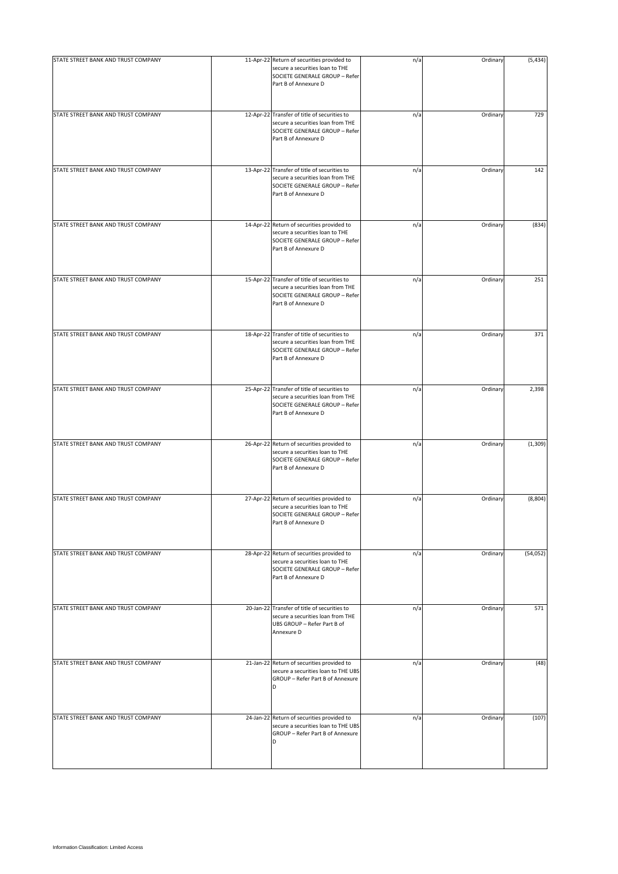| STATE STREET BANK AND TRUST COMPANY | 11-Apr-22 Return of securities provided to<br>secure a securities loan to THE<br>SOCIETE GENERALE GROUP - Refer<br>Part B of Annexure D     | n/a | Ordinary | (5, 434)  |
|-------------------------------------|---------------------------------------------------------------------------------------------------------------------------------------------|-----|----------|-----------|
| STATE STREET BANK AND TRUST COMPANY | 12-Apr-22 Transfer of title of securities to<br>secure a securities loan from THE<br>SOCIETE GENERALE GROUP - Refer<br>Part B of Annexure D | n/a | Ordinary | 729       |
| STATE STREET BANK AND TRUST COMPANY | 13-Apr-22 Transfer of title of securities to<br>secure a securities loan from THE<br>SOCIETE GENERALE GROUP - Refer<br>Part B of Annexure D | n/a | Ordinary | 142       |
| STATE STREET BANK AND TRUST COMPANY | 14-Apr-22 Return of securities provided to<br>secure a securities loan to THE<br>SOCIETE GENERALE GROUP - Refer<br>Part B of Annexure D     | n/a | Ordinary | (834)     |
| STATE STREET BANK AND TRUST COMPANY | 15-Apr-22 Transfer of title of securities to<br>secure a securities loan from THE<br>SOCIETE GENERALE GROUP - Refer<br>Part B of Annexure D | n/a | Ordinary | 251       |
| STATE STREET BANK AND TRUST COMPANY | 18-Apr-22 Transfer of title of securities to<br>secure a securities loan from THE<br>SOCIETE GENERALE GROUP - Refer<br>Part B of Annexure D | n/a | Ordinary | 371       |
| STATE STREET BANK AND TRUST COMPANY | 25-Apr-22 Transfer of title of securities to<br>secure a securities loan from THE<br>SOCIETE GENERALE GROUP - Refer<br>Part B of Annexure D | n/a | Ordinary | 2,398     |
| STATE STREET BANK AND TRUST COMPANY | 26-Apr-22 Return of securities provided to<br>secure a securities loan to THE<br>SOCIETE GENERALE GROUP - Refer<br>Part B of Annexure D     | n/a | Ordinary | (1, 309)  |
| STATE STREET BANK AND TRUST COMPANY | 27-Apr-22 Return of securities provided to<br>secure a securities loan to THE<br>SOCIETE GENERALE GROUP - Refer<br>Part B of Annexure D     | n/a | Ordinary | (8,804)   |
| STATE STREET BANK AND TRUST COMPANY | 28-Apr-22 Return of securities provided to<br>secure a securities loan to THE<br>SOCIETE GENERALE GROUP - Refer<br>Part B of Annexure D     | n/a | Ordinary | (54, 052) |
| STATE STREET BANK AND TRUST COMPANY | 20-Jan-22 Transfer of title of securities to<br>secure a securities loan from THE<br>UBS GROUP - Refer Part B of<br>Annexure D              | n/a | Ordinary | 571       |
| STATE STREET BANK AND TRUST COMPANY | 21-Jan-22 Return of securities provided to<br>secure a securities loan to THE UBS<br>GROUP - Refer Part B of Annexure<br>D                  | n/a | Ordinary | (48)      |
| STATE STREET BANK AND TRUST COMPANY | 24-Jan-22 Return of securities provided to<br>secure a securities loan to THE UBS<br>GROUP - Refer Part B of Annexure<br>D                  | n/a | Ordinary | (107)     |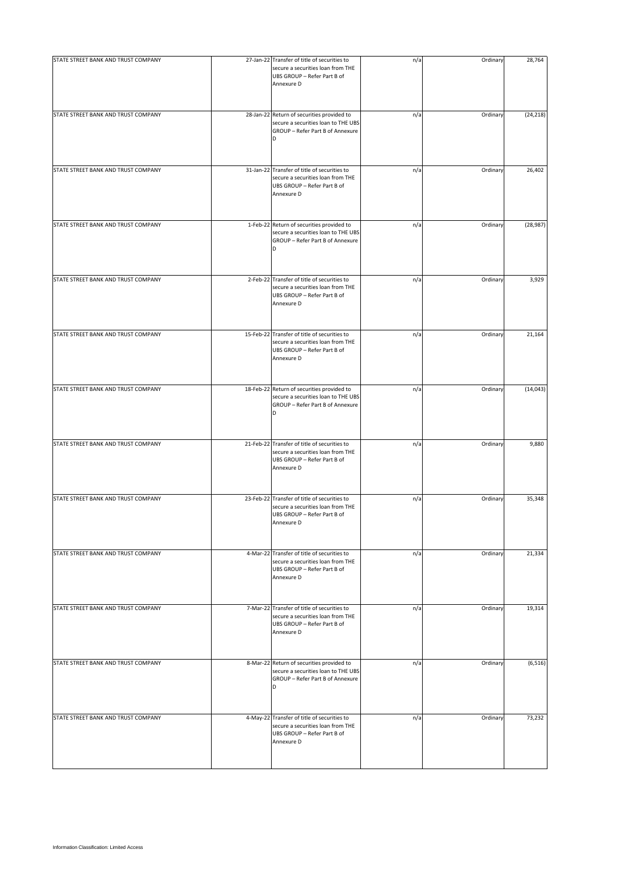| STATE STREET BANK AND TRUST COMPANY | 27-Jan-22 Transfer of title of securities to<br>secure a securities loan from THE<br>UBS GROUP - Refer Part B of<br>Annexure D | n/a | Ordinary | 28,764    |
|-------------------------------------|--------------------------------------------------------------------------------------------------------------------------------|-----|----------|-----------|
| STATE STREET BANK AND TRUST COMPANY | 28-Jan-22 Return of securities provided to<br>secure a securities loan to THE UBS<br>GROUP - Refer Part B of Annexure<br>D     | n/a | Ordinary | (24, 218) |
| STATE STREET BANK AND TRUST COMPANY | 31-Jan-22 Transfer of title of securities to<br>secure a securities loan from THE<br>UBS GROUP - Refer Part B of<br>Annexure D | n/a | Ordinary | 26,402    |
| STATE STREET BANK AND TRUST COMPANY | 1-Feb-22 Return of securities provided to<br>secure a securities loan to THE UBS<br>GROUP - Refer Part B of Annexure<br>D      | n/a | Ordinary | (28, 987) |
| STATE STREET BANK AND TRUST COMPANY | 2-Feb-22 Transfer of title of securities to<br>secure a securities loan from THE<br>UBS GROUP - Refer Part B of<br>Annexure D  | n/a | Ordinary | 3,929     |
| STATE STREET BANK AND TRUST COMPANY | 15-Feb-22 Transfer of title of securities to<br>secure a securities loan from THE<br>UBS GROUP - Refer Part B of<br>Annexure D | n/a | Ordinary | 21,164    |
| STATE STREET BANK AND TRUST COMPANY | 18-Feb-22 Return of securities provided to<br>secure a securities loan to THE UBS<br>GROUP - Refer Part B of Annexure<br>D     | n/a | Ordinary | (14, 043) |
| STATE STREET BANK AND TRUST COMPANY | 21-Feb-22 Transfer of title of securities to<br>secure a securities loan from THE<br>UBS GROUP - Refer Part B of<br>Annexure D | n/a | Ordinary | 9,880     |
| STATE STREET BANK AND TRUST COMPANY | 23-Feb-22 Transfer of title of securities to<br>secure a securities loan from THE<br>UBS GROUP - Refer Part B of<br>Annexure D | n/a | Ordinary | 35,348    |
| STATE STREET BANK AND TRUST COMPANY | 4-Mar-22 Transfer of title of securities to<br>secure a securities loan from THE<br>UBS GROUP - Refer Part B of<br>Annexure D  | n/a | Ordinary | 21,334    |
| STATE STREET BANK AND TRUST COMPANY | 7-Mar-22 Transfer of title of securities to<br>secure a securities loan from THE<br>UBS GROUP - Refer Part B of<br>Annexure D  | n/a | Ordinary | 19,314    |
| STATE STREET BANK AND TRUST COMPANY | 8-Mar-22 Return of securities provided to<br>secure a securities loan to THE UBS<br>GROUP - Refer Part B of Annexure<br>D      | n/a | Ordinary | (6, 516)  |
| STATE STREET BANK AND TRUST COMPANY | 4-May-22 Transfer of title of securities to<br>secure a securities loan from THE<br>UBS GROUP - Refer Part B of<br>Annexure D  | n/a | Ordinary | 73,232    |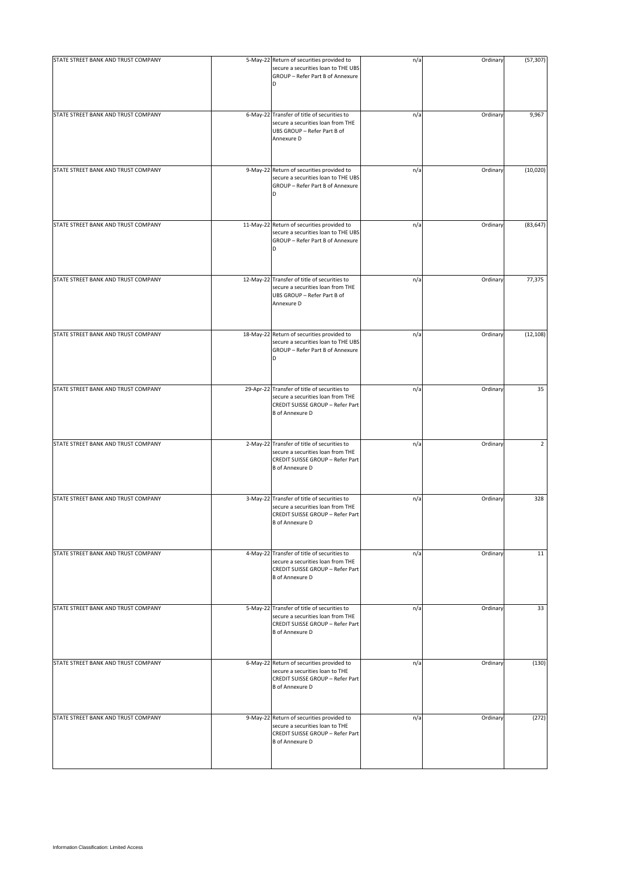| STATE STREET BANK AND TRUST COMPANY | 5-May-22 Return of securities provided to<br>secure a securities loan to THE UBS<br>GROUP - Refer Part B of Annexure<br>D                       | n/a | Ordinary | (57, 307) |
|-------------------------------------|-------------------------------------------------------------------------------------------------------------------------------------------------|-----|----------|-----------|
| STATE STREET BANK AND TRUST COMPANY | 6-May-22 Transfer of title of securities to<br>secure a securities loan from THE<br>UBS GROUP - Refer Part B of<br>Annexure D                   | n/a | Ordinary | 9,967     |
| STATE STREET BANK AND TRUST COMPANY | 9-May-22 Return of securities provided to<br>secure a securities loan to THE UBS<br>GROUP - Refer Part B of Annexure<br>D                       | n/a | Ordinary | (10,020)  |
| STATE STREET BANK AND TRUST COMPANY | 11-May-22 Return of securities provided to<br>secure a securities loan to THE UBS<br>GROUP - Refer Part B of Annexure<br>D                      | n/a | Ordinary | (83, 647) |
| STATE STREET BANK AND TRUST COMPANY | 12-May-22 Transfer of title of securities to<br>secure a securities loan from THE<br>UBS GROUP - Refer Part B of<br>Annexure D                  | n/a | Ordinary | 77,375    |
| STATE STREET BANK AND TRUST COMPANY | 18-May-22 Return of securities provided to<br>secure a securities loan to THE UBS<br>GROUP - Refer Part B of Annexure                           | n/a | Ordinary | (12, 108) |
| STATE STREET BANK AND TRUST COMPANY | 29-Apr-22 Transfer of title of securities to<br>secure a securities loan from THE<br>CREDIT SUISSE GROUP - Refer Part<br><b>B</b> of Annexure D | n/a | Ordinary | 35        |
| STATE STREET BANK AND TRUST COMPANY | 2-May-22 Transfer of title of securities to<br>secure a securities loan from THE<br>CREDIT SUISSE GROUP - Refer Part<br><b>B</b> of Annexure D  | n/a | Ordinary | 2         |
| STATE STREET BANK AND TRUST COMPANY | 3-May-22 Transfer of title of securities to<br>secure a securities loan from THE<br>CREDIT SUISSE GROUP - Refer Part<br><b>B</b> of Annexure D  | n/a | Ordinary | 328       |
| STATE STREET BANK AND TRUST COMPANY | 4-May-22 Transfer of title of securities to<br>secure a securities loan from THE<br>CREDIT SUISSE GROUP - Refer Part<br><b>B</b> of Annexure D  | n/a | Ordinary | 11        |
| STATE STREET BANK AND TRUST COMPANY | 5-May-22 Transfer of title of securities to<br>secure a securities loan from THE<br>CREDIT SUISSE GROUP - Refer Part<br><b>B</b> of Annexure D  | n/a | Ordinary | 33        |
| STATE STREET BANK AND TRUST COMPANY | 6-May-22 Return of securities provided to<br>secure a securities loan to THE<br>CREDIT SUISSE GROUP - Refer Part<br><b>B</b> of Annexure D      | n/a | Ordinary | (130)     |
| STATE STREET BANK AND TRUST COMPANY | 9-May-22 Return of securities provided to<br>secure a securities loan to THE<br>CREDIT SUISSE GROUP - Refer Part<br><b>B</b> of Annexure D      | n/a | Ordinary | (272)     |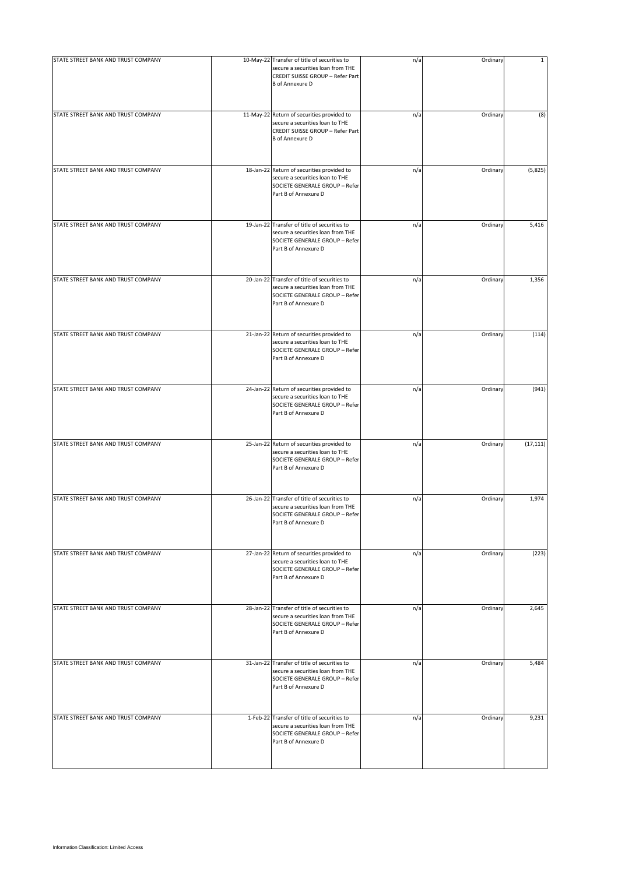| STATE STREET BANK AND TRUST COMPANY | 10-May-22 Transfer of title of securities to<br>secure a securities loan from THE<br>CREDIT SUISSE GROUP - Refer Part<br><b>B</b> of Annexure D | n/a | Ordinary | $\mathbf{1}$ |
|-------------------------------------|-------------------------------------------------------------------------------------------------------------------------------------------------|-----|----------|--------------|
| STATE STREET BANK AND TRUST COMPANY | 11-May-22 Return of securities provided to<br>secure a securities loan to THE<br>CREDIT SUISSE GROUP - Refer Part<br><b>B</b> of Annexure D     | n/a | Ordinary | (8)          |
| STATE STREET BANK AND TRUST COMPANY | 18-Jan-22 Return of securities provided to<br>secure a securities loan to THE<br>SOCIETE GENERALE GROUP - Refer<br>Part B of Annexure D         | n/a | Ordinary | (5,825)      |
| STATE STREET BANK AND TRUST COMPANY | 19-Jan-22 Transfer of title of securities to<br>secure a securities loan from THE<br>SOCIETE GENERALE GROUP - Refer<br>Part B of Annexure D     | n/a | Ordinary | 5,416        |
| STATE STREET BANK AND TRUST COMPANY | 20-Jan-22 Transfer of title of securities to<br>secure a securities loan from THE<br>SOCIETE GENERALE GROUP - Refer<br>Part B of Annexure D     | n/a | Ordinary | 1,356        |
| STATE STREET BANK AND TRUST COMPANY | 21-Jan-22 Return of securities provided to<br>secure a securities loan to THE<br>SOCIETE GENERALE GROUP - Refer<br>Part B of Annexure D         | n/a | Ordinary | (114)        |
| STATE STREET BANK AND TRUST COMPANY | 24-Jan-22 Return of securities provided to<br>secure a securities loan to THE<br>SOCIETE GENERALE GROUP - Refer<br>Part B of Annexure D         | n/a | Ordinary | (941)        |
| STATE STREET BANK AND TRUST COMPANY | 25-Jan-22 Return of securities provided to<br>secure a securities loan to THE<br>SOCIETE GENERALE GROUP - Refer<br>Part B of Annexure D         | n/a | Ordinary | (17, 111)    |
| STATE STREET BANK AND TRUST COMPANY | 26-Jan-22 Transfer of title of securities to<br>secure a securities loan from THE<br>SOCIETE GENERALE GROUP - Refer<br>Part B of Annexure D     | n/a | Ordinary | 1,974        |
| STATE STREET BANK AND TRUST COMPANY | 27-Jan-22 Return of securities provided to<br>secure a securities loan to THE<br>SOCIETE GENERALE GROUP - Refer<br>Part B of Annexure D         | n/a | Ordinary | (223)        |
| STATE STREET BANK AND TRUST COMPANY | 28-Jan-22 Transfer of title of securities to<br>secure a securities loan from THE<br>SOCIETE GENERALE GROUP - Refer<br>Part B of Annexure D     | n/a | Ordinary | 2,645        |
| STATE STREET BANK AND TRUST COMPANY | 31-Jan-22 Transfer of title of securities to<br>secure a securities loan from THE<br>SOCIETE GENERALE GROUP - Refer<br>Part B of Annexure D     | n/a | Ordinary | 5,484        |
| STATE STREET BANK AND TRUST COMPANY | 1-Feb-22 Transfer of title of securities to<br>secure a securities loan from THE<br>SOCIETE GENERALE GROUP - Refer<br>Part B of Annexure D      | n/a | Ordinary | 9,231        |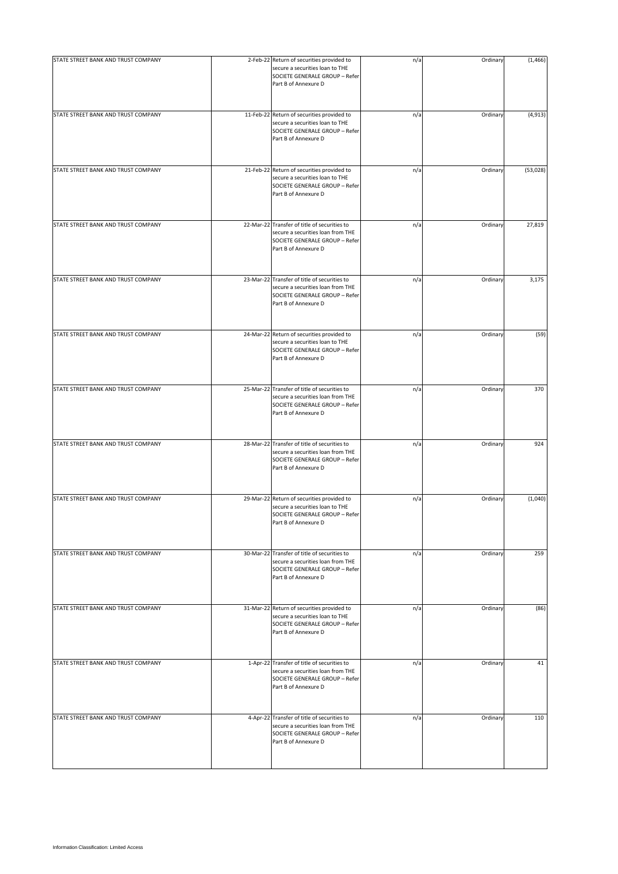| STATE STREET BANK AND TRUST COMPANY | 2-Feb-22 Return of securities provided to                                                                                                   | n/a | Ordinary | (1, 466) |
|-------------------------------------|---------------------------------------------------------------------------------------------------------------------------------------------|-----|----------|----------|
|                                     | secure a securities loan to THE<br>SOCIETE GENERALE GROUP - Refer<br>Part B of Annexure D                                                   |     |          |          |
| STATE STREET BANK AND TRUST COMPANY | 11-Feb-22 Return of securities provided to<br>secure a securities loan to THE<br>SOCIETE GENERALE GROUP - Refer<br>Part B of Annexure D     | n/a | Ordinary | (4, 913) |
| STATE STREET BANK AND TRUST COMPANY | 21-Feb-22 Return of securities provided to<br>secure a securities loan to THE<br>SOCIETE GENERALE GROUP - Refer<br>Part B of Annexure D     | n/a | Ordinary | (53,028) |
| STATE STREET BANK AND TRUST COMPANY | 22-Mar-22 Transfer of title of securities to<br>secure a securities loan from THE<br>SOCIETE GENERALE GROUP - Refer<br>Part B of Annexure D | n/a | Ordinary | 27,819   |
| STATE STREET BANK AND TRUST COMPANY | 23-Mar-22 Transfer of title of securities to<br>secure a securities loan from THE<br>SOCIETE GENERALE GROUP - Refer<br>Part B of Annexure D | n/a | Ordinary | 3,175    |
| STATE STREET BANK AND TRUST COMPANY | 24-Mar-22 Return of securities provided to<br>secure a securities loan to THE<br>SOCIETE GENERALE GROUP - Refer<br>Part B of Annexure D     | n/a | Ordinary | (59)     |
| STATE STREET BANK AND TRUST COMPANY | 25-Mar-22 Transfer of title of securities to<br>secure a securities loan from THE<br>SOCIETE GENERALE GROUP - Refer<br>Part B of Annexure D | n/a | Ordinary | 370      |
| STATE STREET BANK AND TRUST COMPANY | 28-Mar-22 Transfer of title of securities to<br>secure a securities loan from THE<br>SOCIETE GENERALE GROUP - Refer<br>Part B of Annexure D | n/a | Ordinary | 924      |
| STATE STREET BANK AND TRUST COMPANY | 29-Mar-22 Return of securities provided to<br>secure a securities loan to THE<br>SOCIETE GENERALE GROUP - Refer<br>Part B of Annexure D     | n/a | Ordinary | (1,040)  |
| STATE STREET BANK AND TRUST COMPANY | 30-Mar-22 Transfer of title of securities to<br>secure a securities loan from THE<br>SOCIETE GENERALE GROUP - Refer<br>Part B of Annexure D | n/a | Ordinary | 259      |
| STATE STREET BANK AND TRUST COMPANY | 31-Mar-22 Return of securities provided to<br>secure a securities loan to THE<br>SOCIETE GENERALE GROUP - Refer<br>Part B of Annexure D     | n/a | Ordinary | (86)     |
| STATE STREET BANK AND TRUST COMPANY | 1-Apr-22 Transfer of title of securities to<br>secure a securities loan from THE<br>SOCIETE GENERALE GROUP - Refer<br>Part B of Annexure D  | n/a | Ordinary | 41       |
| STATE STREET BANK AND TRUST COMPANY | 4-Apr-22 Transfer of title of securities to<br>secure a securities loan from THE<br>SOCIETE GENERALE GROUP - Refer<br>Part B of Annexure D  | n/a | Ordinary | 110      |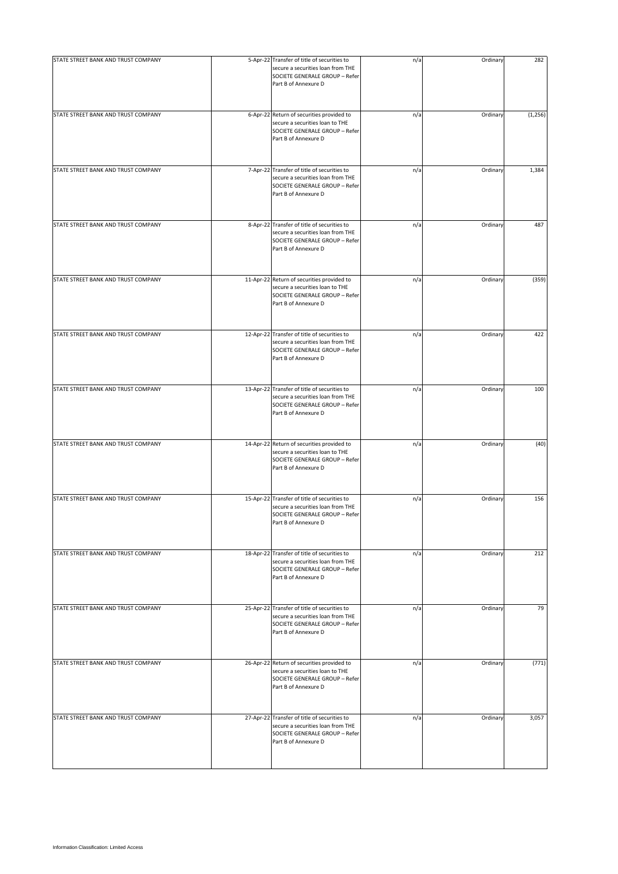| STATE STREET BANK AND TRUST COMPANY | 5-Apr-22 Transfer of title of securities to<br>secure a securities loan from THE<br>SOCIETE GENERALE GROUP - Refer<br>Part B of Annexure D  | n/a | Ordinary | 282      |
|-------------------------------------|---------------------------------------------------------------------------------------------------------------------------------------------|-----|----------|----------|
| STATE STREET BANK AND TRUST COMPANY | 6-Apr-22 Return of securities provided to<br>secure a securities loan to THE<br>SOCIETE GENERALE GROUP - Refer<br>Part B of Annexure D      | n/a | Ordinary | (1, 256) |
| STATE STREET BANK AND TRUST COMPANY | 7-Apr-22 Transfer of title of securities to<br>secure a securities loan from THE<br>SOCIETE GENERALE GROUP - Refer                          | n/a | Ordinary | 1,384    |
| STATE STREET BANK AND TRUST COMPANY | Part B of Annexure D<br>8-Apr-22 Transfer of title of securities to                                                                         | n/a | Ordinary | 487      |
|                                     | secure a securities loan from THE<br>SOCIETE GENERALE GROUP - Refer<br>Part B of Annexure D                                                 |     |          |          |
| STATE STREET BANK AND TRUST COMPANY | 11-Apr-22 Return of securities provided to<br>secure a securities loan to THE<br>SOCIETE GENERALE GROUP - Refer<br>Part B of Annexure D     | n/a | Ordinary | (359)    |
| STATE STREET BANK AND TRUST COMPANY | 12-Apr-22 Transfer of title of securities to<br>secure a securities loan from THE<br>SOCIETE GENERALE GROUP - Refer<br>Part B of Annexure D | n/a | Ordinary | 422      |
| STATE STREET BANK AND TRUST COMPANY | 13-Apr-22 Transfer of title of securities to<br>secure a securities loan from THE<br>SOCIETE GENERALE GROUP - Refer<br>Part B of Annexure D | n/a | Ordinary | 100      |
| STATE STREET BANK AND TRUST COMPANY | 14-Apr-22 Return of securities provided to<br>secure a securities loan to THE<br>SOCIETE GENERALE GROUP - Refer<br>Part B of Annexure D     | n/a | Ordinary | (40)     |
| STATE STREET BANK AND TRUST COMPANY | 15-Apr-22 Transfer of title of securities to<br>secure a securities loan from THE<br>SOCIETE GENERALE GROUP - Refer<br>Part B of Annexure D | n/a | Ordinary | 156      |
| STATE STREET BANK AND TRUST COMPANY | 18-Apr-22 Transfer of title of securities to<br>secure a securities loan from THE<br>SOCIETE GENERALE GROUP - Refer<br>Part B of Annexure D | n/a | Ordinary | 212      |
| STATE STREET BANK AND TRUST COMPANY | 25-Apr-22 Transfer of title of securities to<br>secure a securities loan from THE<br>SOCIETE GENERALE GROUP - Refer<br>Part B of Annexure D | n/a | Ordinary | 79       |
| STATE STREET BANK AND TRUST COMPANY | 26-Apr-22 Return of securities provided to<br>secure a securities loan to THE<br>SOCIETE GENERALE GROUP - Refer<br>Part B of Annexure D     | n/a | Ordinary | (771)    |
| STATE STREET BANK AND TRUST COMPANY | 27-Apr-22 Transfer of title of securities to<br>secure a securities loan from THE<br>SOCIETE GENERALE GROUP - Refer<br>Part B of Annexure D | n/a | Ordinary | 3,057    |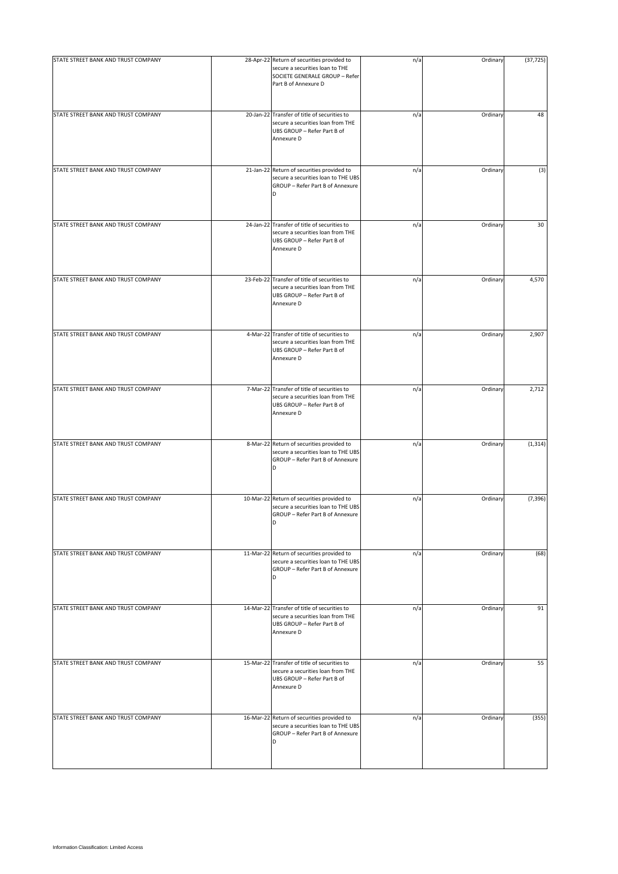| STATE STREET BANK AND TRUST COMPANY | 28-Apr-22 Return of securities provided to<br>secure a securities loan to THE<br>SOCIETE GENERALE GROUP - Refer<br>Part B of Annexure D | n/a | Ordinary | (37, 725) |
|-------------------------------------|-----------------------------------------------------------------------------------------------------------------------------------------|-----|----------|-----------|
| STATE STREET BANK AND TRUST COMPANY | 20-Jan-22 Transfer of title of securities to<br>secure a securities loan from THE<br>UBS GROUP - Refer Part B of<br>Annexure D          | n/a | Ordinary | 48        |
| STATE STREET BANK AND TRUST COMPANY | 21-Jan-22 Return of securities provided to<br>secure a securities loan to THE UBS<br>GROUP - Refer Part B of Annexure<br>D              | n/a | Ordinary | (3)       |
| STATE STREET BANK AND TRUST COMPANY | 24-Jan-22 Transfer of title of securities to<br>secure a securities loan from THE<br>UBS GROUP - Refer Part B of<br>Annexure D          | n/a | Ordinary | 30        |
| STATE STREET BANK AND TRUST COMPANY | 23-Feb-22 Transfer of title of securities to<br>secure a securities loan from THE<br>UBS GROUP - Refer Part B of<br>Annexure D          | n/a | Ordinary | 4,570     |
| STATE STREET BANK AND TRUST COMPANY | 4-Mar-22 Transfer of title of securities to<br>secure a securities loan from THE<br>UBS GROUP - Refer Part B of<br>Annexure D           | n/a | Ordinary | 2,907     |
| STATE STREET BANK AND TRUST COMPANY | 7-Mar-22 Transfer of title of securities to<br>secure a securities loan from THE<br>UBS GROUP - Refer Part B of<br>Annexure D           | n/a | Ordinary | 2,712     |
| STATE STREET BANK AND TRUST COMPANY | 8-Mar-22 Return of securities provided to<br>secure a securities loan to THE UBS<br>GROUP - Refer Part B of Annexure<br>D               | n/a | Ordinary | (1, 314)  |
| STATE STREET BANK AND TRUST COMPANY | 10-Mar-22 Return of securities provided to<br>secure a securities loan to THE UBS<br>GROUP - Refer Part B of Annexure<br>D              | n/a | Ordinary | (7, 396)  |
| STATE STREET BANK AND TRUST COMPANY | 11-Mar-22 Return of securities provided to<br>secure a securities loan to THE UBS<br>GROUP - Refer Part B of Annexure<br>D              | n/a | Ordinary | (68)      |
| STATE STREET BANK AND TRUST COMPANY | 14-Mar-22 Transfer of title of securities to<br>secure a securities loan from THE<br>UBS GROUP - Refer Part B of<br>Annexure D          | n/a | Ordinary | 91        |
| STATE STREET BANK AND TRUST COMPANY | 15-Mar-22 Transfer of title of securities to<br>secure a securities loan from THE<br>UBS GROUP - Refer Part B of<br>Annexure D          | n/a | Ordinary | 55        |
| STATE STREET BANK AND TRUST COMPANY | 16-Mar-22 Return of securities provided to<br>secure a securities loan to THE UBS<br>GROUP - Refer Part B of Annexure<br>D              | n/a | Ordinary | (355)     |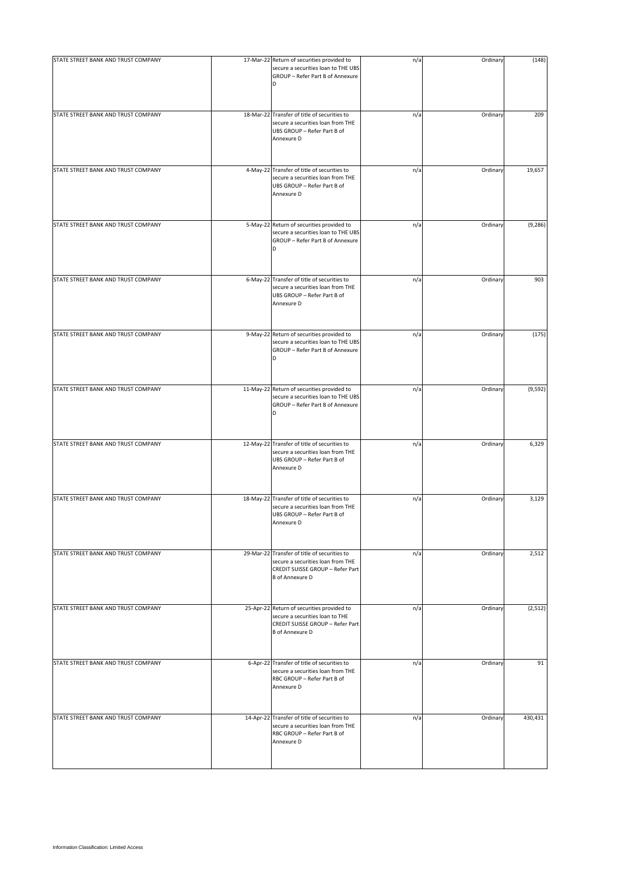| STATE STREET BANK AND TRUST COMPANY | 17-Mar-22 Return of securities provided to<br>secure a securities loan to THE UBS<br>GROUP - Refer Part B of Annexure                           | n/a | Ordinary | (148)    |
|-------------------------------------|-------------------------------------------------------------------------------------------------------------------------------------------------|-----|----------|----------|
| STATE STREET BANK AND TRUST COMPANY | 18-Mar-22 Transfer of title of securities to<br>secure a securities loan from THE<br>UBS GROUP - Refer Part B of<br>Annexure D                  | n/a | Ordinary | 209      |
| STATE STREET BANK AND TRUST COMPANY | 4-May-22 Transfer of title of securities to<br>secure a securities loan from THE<br>UBS GROUP - Refer Part B of<br>Annexure D                   | n/a | Ordinary | 19,657   |
| STATE STREET BANK AND TRUST COMPANY | 5-May-22 Return of securities provided to<br>secure a securities loan to THE UBS<br>GROUP - Refer Part B of Annexure<br>D                       | n/a | Ordinary | (9, 286) |
| STATE STREET BANK AND TRUST COMPANY | 6-May-22 Transfer of title of securities to<br>secure a securities loan from THE<br>UBS GROUP - Refer Part B of<br>Annexure D                   | n/a | Ordinary | 903      |
| STATE STREET BANK AND TRUST COMPANY | 9-May-22 Return of securities provided to<br>secure a securities loan to THE UBS<br>GROUP - Refer Part B of Annexure                            | n/a | Ordinary | (175)    |
| STATE STREET BANK AND TRUST COMPANY | 11-May-22 Return of securities provided to<br>secure a securities loan to THE UBS<br>GROUP - Refer Part B of Annexure<br>D                      | n/a | Ordinary | (9, 592) |
| STATE STREET BANK AND TRUST COMPANY | 12-May-22 Transfer of title of securities to<br>secure a securities loan from THE<br>UBS GROUP - Refer Part B of<br>Annexure D                  | n/a | Ordinary | 6,329    |
| STATE STREET BANK AND TRUST COMPANY | 18-May-22 Transfer of title of securities to<br>secure a securities loan from THE<br>UBS GROUP - Refer Part B of<br>Annexure D                  | n/a | Ordinary | 3,129    |
| STATE STREET BANK AND TRUST COMPANY | 29-Mar-22 Transfer of title of securities to<br>secure a securities loan from THE<br>CREDIT SUISSE GROUP - Refer Part<br><b>B</b> of Annexure D | n/a | Ordinary | 2,512    |
| STATE STREET BANK AND TRUST COMPANY | 25-Apr-22 Return of securities provided to<br>secure a securities loan to THE<br>CREDIT SUISSE GROUP - Refer Part<br><b>B</b> of Annexure D     | n/a | Ordinary | (2, 512) |
| STATE STREET BANK AND TRUST COMPANY | 6-Apr-22 Transfer of title of securities to<br>secure a securities loan from THE<br>RBC GROUP - Refer Part B of<br>Annexure D                   | n/a | Ordinary | 91       |
| STATE STREET BANK AND TRUST COMPANY | 14-Apr-22 Transfer of title of securities to<br>secure a securities loan from THE<br>RBC GROUP - Refer Part B of<br>Annexure D                  | n/a | Ordinary | 430,431  |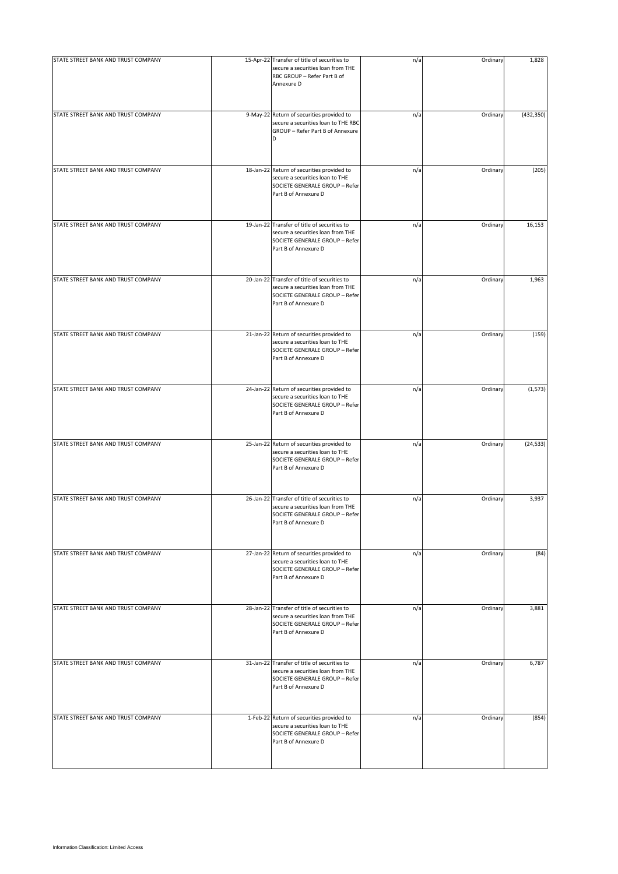| STATE STREET BANK AND TRUST COMPANY | 15-Apr-22 Transfer of title of securities to<br>secure a securities loan from THE<br>RBC GROUP - Refer Part B of<br>Annexure D              | n/a | Ordinary | 1,828      |
|-------------------------------------|---------------------------------------------------------------------------------------------------------------------------------------------|-----|----------|------------|
| STATE STREET BANK AND TRUST COMPANY | 9-May-22 Return of securities provided to<br>secure a securities loan to THE RBC<br>GROUP - Refer Part B of Annexure<br>D                   | n/a | Ordinary | (432, 350) |
| STATE STREET BANK AND TRUST COMPANY | 18-Jan-22 Return of securities provided to<br>secure a securities loan to THE<br>SOCIETE GENERALE GROUP - Refer<br>Part B of Annexure D     | n/a | Ordinary | (205)      |
| STATE STREET BANK AND TRUST COMPANY | 19-Jan-22 Transfer of title of securities to<br>secure a securities loan from THE<br>SOCIETE GENERALE GROUP - Refer<br>Part B of Annexure D | n/a | Ordinary | 16,153     |
| STATE STREET BANK AND TRUST COMPANY | 20-Jan-22 Transfer of title of securities to<br>secure a securities loan from THE<br>SOCIETE GENERALE GROUP - Refer<br>Part B of Annexure D | n/a | Ordinary | 1,963      |
| STATE STREET BANK AND TRUST COMPANY | 21-Jan-22 Return of securities provided to<br>secure a securities loan to THE<br>SOCIETE GENERALE GROUP - Refer<br>Part B of Annexure D     | n/a | Ordinary | (159)      |
| STATE STREET BANK AND TRUST COMPANY | 24-Jan-22 Return of securities provided to<br>secure a securities loan to THE<br>SOCIETE GENERALE GROUP - Refer<br>Part B of Annexure D     | n/a | Ordinary | (1, 573)   |
| STATE STREET BANK AND TRUST COMPANY | 25-Jan-22 Return of securities provided to<br>secure a securities loan to THE<br>SOCIETE GENERALE GROUP - Refer<br>Part B of Annexure D     | n/a | Ordinary | (24, 533)  |
| STATE STREET BANK AND TRUST COMPANY | 26-Jan-22 Transfer of title of securities to<br>secure a securities loan from THE<br>SOCIETE GENERALE GROUP - Refer<br>Part B of Annexure D | n/a | Ordinary | 3,937      |
| STATE STREET BANK AND TRUST COMPANY | 27-Jan-22 Return of securities provided to<br>secure a securities loan to THE<br>SOCIETE GENERALE GROUP - Refer<br>Part B of Annexure D     | n/a | Ordinary | (84)       |
| STATE STREET BANK AND TRUST COMPANY | 28-Jan-22 Transfer of title of securities to<br>secure a securities loan from THE<br>SOCIETE GENERALE GROUP - Refer<br>Part B of Annexure D | n/a | Ordinary | 3,881      |
| STATE STREET BANK AND TRUST COMPANY | 31-Jan-22 Transfer of title of securities to<br>secure a securities loan from THE<br>SOCIETE GENERALE GROUP - Refer<br>Part B of Annexure D | n/a | Ordinary | 6,787      |
| STATE STREET BANK AND TRUST COMPANY | 1-Feb-22 Return of securities provided to<br>secure a securities loan to THE<br>SOCIETE GENERALE GROUP - Refer<br>Part B of Annexure D      | n/a | Ordinary | (854)      |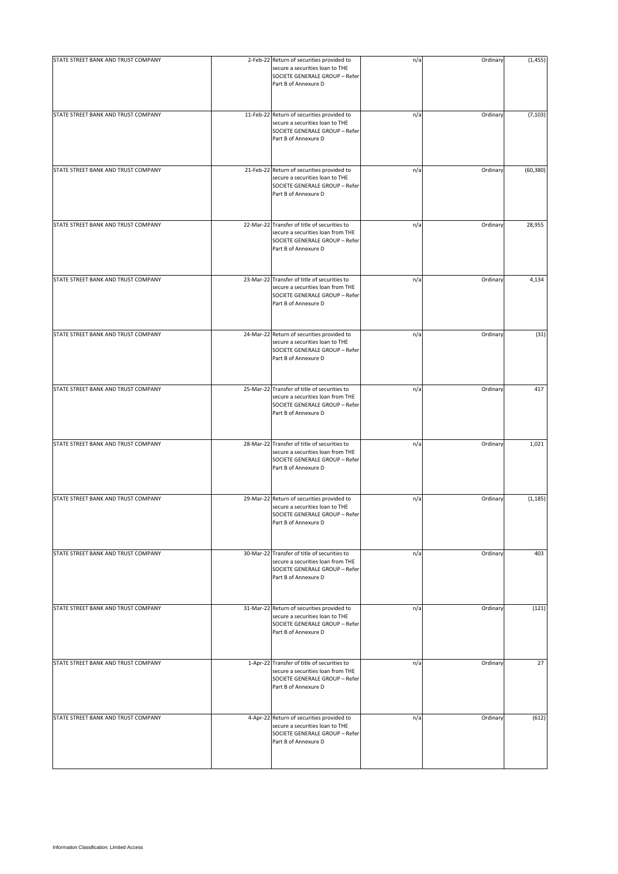| STATE STREET BANK AND TRUST COMPANY | 2-Feb-22 Return of securities provided to<br>secure a securities loan to THE<br>SOCIETE GENERALE GROUP - Refer<br>Part B of Annexure D      | n/a | Ordinary | (1, 455)  |
|-------------------------------------|---------------------------------------------------------------------------------------------------------------------------------------------|-----|----------|-----------|
| STATE STREET BANK AND TRUST COMPANY | 11-Feb-22 Return of securities provided to<br>secure a securities loan to THE<br>SOCIETE GENERALE GROUP - Refer<br>Part B of Annexure D     | n/a | Ordinary | (7, 103)  |
| STATE STREET BANK AND TRUST COMPANY | 21-Feb-22 Return of securities provided to<br>secure a securities loan to THE<br>SOCIETE GENERALE GROUP - Refer<br>Part B of Annexure D     | n/a | Ordinary | (60, 380) |
| STATE STREET BANK AND TRUST COMPANY | 22-Mar-22 Transfer of title of securities to<br>secure a securities loan from THE<br>SOCIETE GENERALE GROUP - Refer<br>Part B of Annexure D | n/a | Ordinary | 28,955    |
| STATE STREET BANK AND TRUST COMPANY | 23-Mar-22 Transfer of title of securities to<br>secure a securities loan from THE<br>SOCIETE GENERALE GROUP - Refer<br>Part B of Annexure D | n/a | Ordinary | 4,134     |
| STATE STREET BANK AND TRUST COMPANY | 24-Mar-22 Return of securities provided to<br>secure a securities loan to THE<br>SOCIETE GENERALE GROUP - Refer<br>Part B of Annexure D     | n/a | Ordinary | (31)      |
| STATE STREET BANK AND TRUST COMPANY | 25-Mar-22 Transfer of title of securities to<br>secure a securities loan from THE<br>SOCIETE GENERALE GROUP - Refer<br>Part B of Annexure D | n/a | Ordinary | 417       |
| STATE STREET BANK AND TRUST COMPANY | 28-Mar-22 Transfer of title of securities to<br>secure a securities loan from THE<br>SOCIETE GENERALE GROUP - Refer<br>Part B of Annexure D | n/a | Ordinary | 1,021     |
| STATE STREET BANK AND TRUST COMPANY | 29-Mar-22 Return of securities provided to<br>secure a securities loan to THE<br>SOCIETE GENERALE GROUP - Refer<br>Part B of Annexure D     | n/a | Ordinary | (1, 185)  |
| STATE STREET BANK AND TRUST COMPANY | 30-Mar-22 Transfer of title of securities to<br>secure a securities loan from THE<br>SOCIETE GENERALE GROUP - Refer<br>Part B of Annexure D | n/a | Ordinary | 403       |
| STATE STREET BANK AND TRUST COMPANY | 31-Mar-22 Return of securities provided to<br>secure a securities loan to THE<br>SOCIETE GENERALE GROUP - Refer<br>Part B of Annexure D     | n/a | Ordinary | (121)     |
| STATE STREET BANK AND TRUST COMPANY | 1-Apr-22 Transfer of title of securities to<br>secure a securities loan from THE<br>SOCIETE GENERALE GROUP - Refer<br>Part B of Annexure D  | n/a | Ordinary | 27        |
| STATE STREET BANK AND TRUST COMPANY | 4-Apr-22 Return of securities provided to<br>secure a securities loan to THE<br>SOCIETE GENERALE GROUP - Refer<br>Part B of Annexure D      | n/a | Ordinary | (612)     |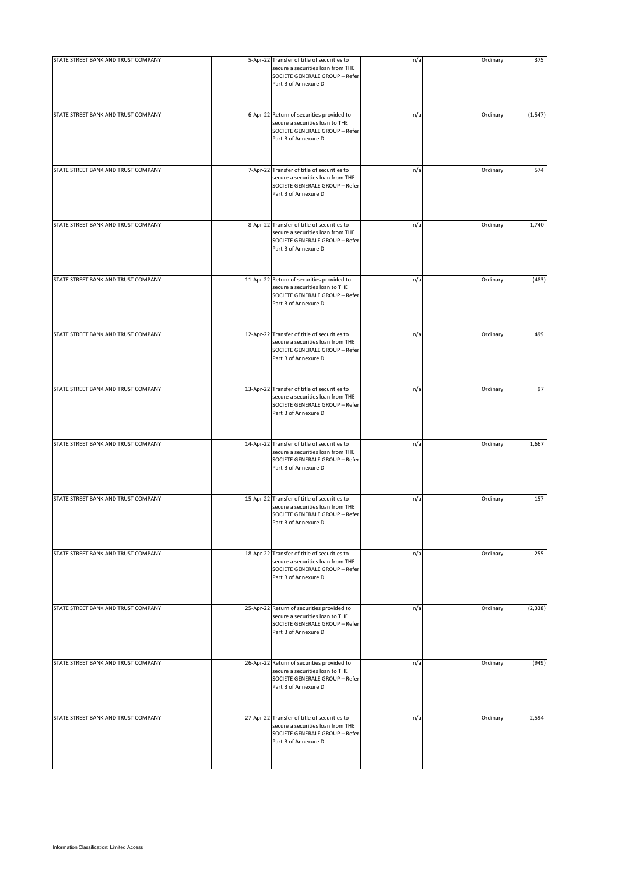| STATE STREET BANK AND TRUST COMPANY | 5-Apr-22 Transfer of title of securities to<br>secure a securities loan from THE<br>SOCIETE GENERALE GROUP - Refer<br>Part B of Annexure D  | n/a | Ordinary | 375      |
|-------------------------------------|---------------------------------------------------------------------------------------------------------------------------------------------|-----|----------|----------|
| STATE STREET BANK AND TRUST COMPANY | 6-Apr-22 Return of securities provided to<br>secure a securities loan to THE<br>SOCIETE GENERALE GROUP - Refer<br>Part B of Annexure D      | n/a | Ordinary | (1, 547) |
| STATE STREET BANK AND TRUST COMPANY | 7-Apr-22 Transfer of title of securities to<br>secure a securities loan from THE<br>SOCIETE GENERALE GROUP - Refer<br>Part B of Annexure D  | n/a | Ordinary | 574      |
| STATE STREET BANK AND TRUST COMPANY | 8-Apr-22 Transfer of title of securities to<br>secure a securities loan from THE<br>SOCIETE GENERALE GROUP - Refer<br>Part B of Annexure D  | n/a | Ordinary | 1,740    |
| STATE STREET BANK AND TRUST COMPANY | 11-Apr-22 Return of securities provided to<br>secure a securities loan to THE<br>SOCIETE GENERALE GROUP - Refer<br>Part B of Annexure D     | n/a | Ordinary | (483)    |
| STATE STREET BANK AND TRUST COMPANY | 12-Apr-22 Transfer of title of securities to<br>secure a securities loan from THE<br>SOCIETE GENERALE GROUP - Refer<br>Part B of Annexure D | n/a | Ordinary | 499      |
| STATE STREET BANK AND TRUST COMPANY | 13-Apr-22 Transfer of title of securities to<br>secure a securities loan from THE<br>SOCIETE GENERALE GROUP - Refer<br>Part B of Annexure D | n/a | Ordinary | 97       |
| STATE STREET BANK AND TRUST COMPANY | 14-Apr-22 Transfer of title of securities to<br>secure a securities loan from THE<br>SOCIETE GENERALE GROUP - Refer<br>Part B of Annexure D | n/a | Ordinary | 1,667    |
| STATE STREET BANK AND TRUST COMPANY | 15-Apr-22 Transfer of title of securities to<br>secure a securities loan from THE<br>SOCIETE GENERALE GROUP - Refer<br>Part B of Annexure D | n/a | Ordinary | 157      |
| STATE STREET BANK AND TRUST COMPANY | 18-Apr-22 Transfer of title of securities to<br>secure a securities loan from THE<br>SOCIETE GENERALE GROUP - Refer<br>Part B of Annexure D | n/a | Ordinary | 255      |
| STATE STREET BANK AND TRUST COMPANY | 25-Apr-22 Return of securities provided to<br>secure a securities loan to THE<br>SOCIETE GENERALE GROUP - Refer<br>Part B of Annexure D     | n/a | Ordinary | (2, 338) |
| STATE STREET BANK AND TRUST COMPANY | 26-Apr-22 Return of securities provided to<br>secure a securities loan to THE<br>SOCIETE GENERALE GROUP - Refer<br>Part B of Annexure D     | n/a | Ordinary | (949)    |
| STATE STREET BANK AND TRUST COMPANY | 27-Apr-22 Transfer of title of securities to<br>secure a securities loan from THE<br>SOCIETE GENERALE GROUP - Refer<br>Part B of Annexure D | n/a | Ordinary | 2,594    |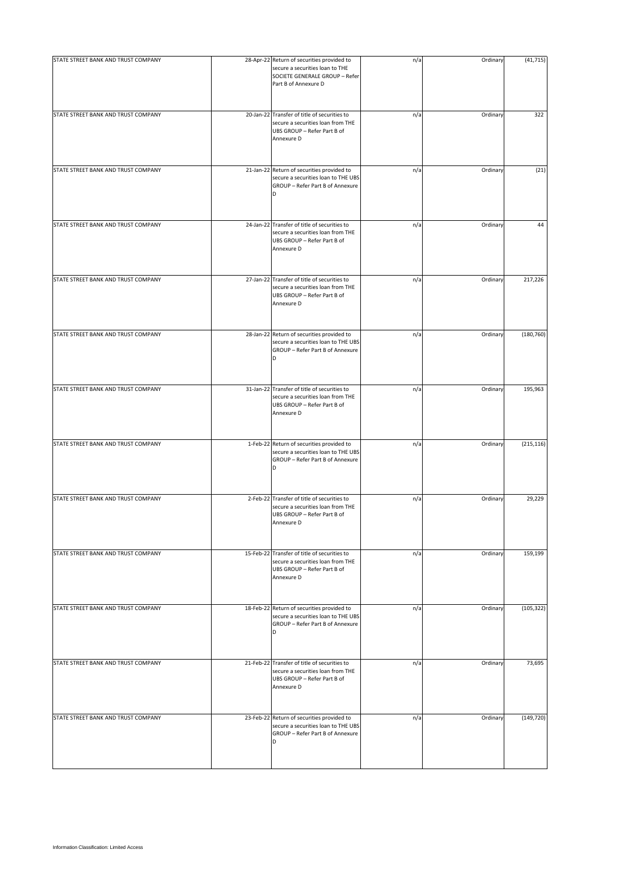| STATE STREET BANK AND TRUST COMPANY | 28-Apr-22 Return of securities provided to                                                                                     | n/a | Ordinary | (41, 715)  |
|-------------------------------------|--------------------------------------------------------------------------------------------------------------------------------|-----|----------|------------|
|                                     | secure a securities loan to THE<br>SOCIETE GENERALE GROUP - Refer<br>Part B of Annexure D                                      |     |          |            |
| STATE STREET BANK AND TRUST COMPANY | 20-Jan-22 Transfer of title of securities to<br>secure a securities loan from THE<br>UBS GROUP - Refer Part B of<br>Annexure D | n/a | Ordinary | 322        |
| STATE STREET BANK AND TRUST COMPANY | 21-Jan-22 Return of securities provided to<br>secure a securities loan to THE UBS<br>GROUP - Refer Part B of Annexure<br>D     | n/a | Ordinary | (21)       |
| STATE STREET BANK AND TRUST COMPANY | 24-Jan-22 Transfer of title of securities to<br>secure a securities loan from THE<br>UBS GROUP - Refer Part B of<br>Annexure D | n/a | Ordinary | 44         |
| STATE STREET BANK AND TRUST COMPANY | 27-Jan-22 Transfer of title of securities to<br>secure a securities loan from THE<br>UBS GROUP - Refer Part B of<br>Annexure D | n/a | Ordinary | 217,226    |
| STATE STREET BANK AND TRUST COMPANY | 28-Jan-22 Return of securities provided to<br>secure a securities loan to THE UBS<br>GROUP - Refer Part B of Annexure<br>D     | n/a | Ordinary | (180, 760) |
| STATE STREET BANK AND TRUST COMPANY | 31-Jan-22 Transfer of title of securities to<br>secure a securities loan from THE<br>UBS GROUP - Refer Part B of<br>Annexure D | n/a | Ordinary | 195,963    |
| STATE STREET BANK AND TRUST COMPANY | 1-Feb-22 Return of securities provided to<br>secure a securities loan to THE UBS<br>GROUP - Refer Part B of Annexure<br>D      | n/a | Ordinary | (215, 116) |
| STATE STREET BANK AND TRUST COMPANY | 2-Feb-22 Transfer of title of securities to<br>secure a securities loan from THE<br>UBS GROUP - Refer Part B of<br>Annexure D  | n/a | Ordinary | 29,229     |
| STATE STREET BANK AND TRUST COMPANY | 15-Feb-22 Transfer of title of securities to<br>secure a securities loan from THE<br>UBS GROUP - Refer Part B of<br>Annexure D | n/a | Ordinary | 159,199    |
| STATE STREET BANK AND TRUST COMPANY | 18-Feb-22 Return of securities provided to<br>secure a securities loan to THE UBS<br>GROUP - Refer Part B of Annexure<br>D     | n/a | Ordinary | (105, 322) |
| STATE STREET BANK AND TRUST COMPANY | 21-Feb-22 Transfer of title of securities to<br>secure a securities loan from THE<br>UBS GROUP - Refer Part B of<br>Annexure D | n/a | Ordinary | 73,695     |
| STATE STREET BANK AND TRUST COMPANY | 23-Feb-22 Return of securities provided to<br>secure a securities loan to THE UBS<br>GROUP - Refer Part B of Annexure<br>D     | n/a | Ordinary | (149, 720) |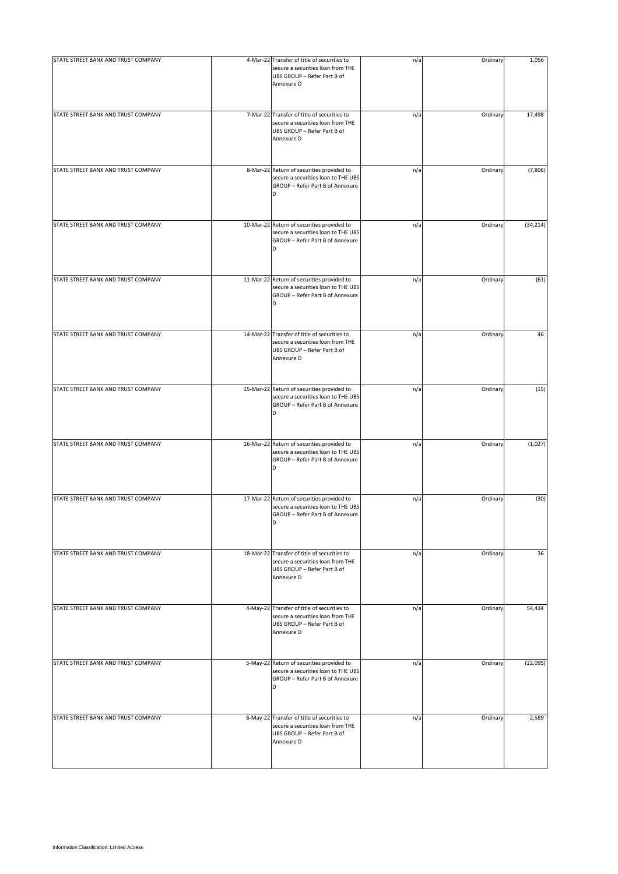| STATE STREET BANK AND TRUST COMPANY | 4-Mar-22 Transfer of title of securities to<br>secure a securities loan from THE<br>UBS GROUP - Refer Part B of<br>Annexure D  | n/a | Ordinary | 1,056     |
|-------------------------------------|--------------------------------------------------------------------------------------------------------------------------------|-----|----------|-----------|
| STATE STREET BANK AND TRUST COMPANY | 7-Mar-22 Transfer of title of securities to<br>secure a securities loan from THE<br>UBS GROUP - Refer Part B of<br>Annexure D  | n/a | Ordinary | 17,498    |
| STATE STREET BANK AND TRUST COMPANY | 8-Mar-22 Return of securities provided to<br>secure a securities loan to THE UBS<br>GROUP - Refer Part B of Annexure<br>D      | n/a | Ordinary | (7,806)   |
| STATE STREET BANK AND TRUST COMPANY | 10-Mar-22 Return of securities provided to<br>secure a securities loan to THE UBS<br>GROUP - Refer Part B of Annexure<br>D     | n/a | Ordinary | (34, 214) |
| STATE STREET BANK AND TRUST COMPANY | 11-Mar-22 Return of securities provided to<br>secure a securities loan to THE UBS<br>GROUP - Refer Part B of Annexure<br>D     | n/a | Ordinary | (61)      |
| STATE STREET BANK AND TRUST COMPANY | 14-Mar-22 Transfer of title of securities to<br>secure a securities loan from THE<br>UBS GROUP - Refer Part B of<br>Annexure D | n/a | Ordinary | 46        |
| STATE STREET BANK AND TRUST COMPANY | 15-Mar-22 Return of securities provided to<br>secure a securities loan to THE UBS<br>GROUP - Refer Part B of Annexure<br>D     | n/a | Ordinary | (15)      |
| STATE STREET BANK AND TRUST COMPANY | 16-Mar-22 Return of securities provided to<br>secure a securities loan to THE UBS<br>GROUP - Refer Part B of Annexure<br>D     | n/a | Ordinary | (1,027)   |
| STATE STREET BANK AND TRUST COMPANY | 17-Mar-22 Return of securities provided to<br>secure a securities loan to THE UBS<br>GROUP - Refer Part B of Annexure<br>D     | n/a | Ordinary | (30)      |
| STATE STREET BANK AND TRUST COMPANY | 18-Mar-22 Transfer of title of securities to<br>secure a securities loan from THE<br>UBS GROUP - Refer Part B of<br>Annexure D | n/a | Ordinary | 36        |
| STATE STREET BANK AND TRUST COMPANY | 4-May-22 Transfer of title of securities to<br>secure a securities loan from THE<br>UBS GROUP - Refer Part B of<br>Annexure D  | n/a | Ordinary | 54,434    |
| STATE STREET BANK AND TRUST COMPANY | 5-May-22 Return of securities provided to<br>secure a securities loan to THE UBS<br>GROUP - Refer Part B of Annexure<br>D      | n/a | Ordinary | (22,095)  |
| STATE STREET BANK AND TRUST COMPANY | 6-May-22 Transfer of title of securities to<br>secure a securities loan from THE<br>UBS GROUP - Refer Part B of<br>Annexure D  | n/a | Ordinary | 2,589     |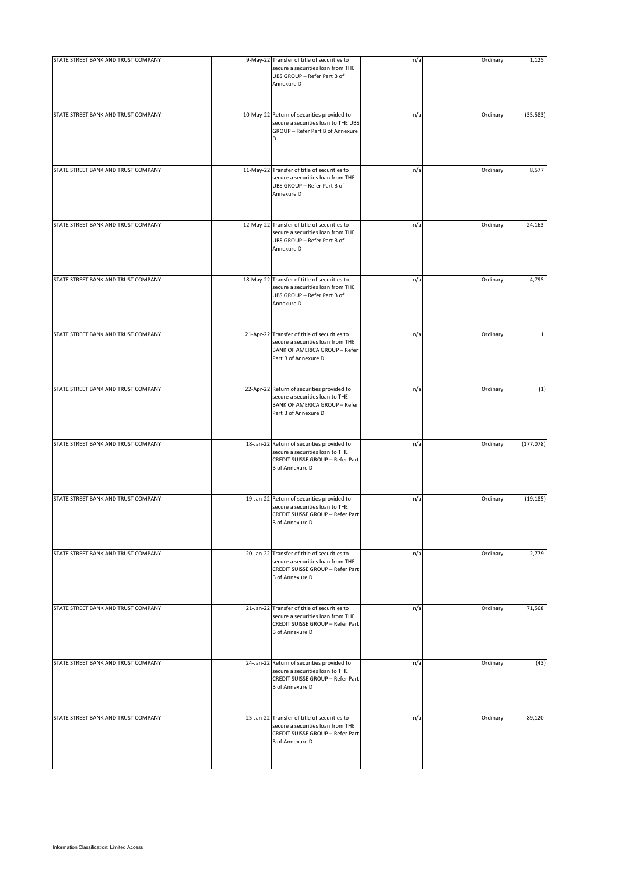| STATE STREET BANK AND TRUST COMPANY | 9-May-22 Transfer of title of securities to<br>secure a securities loan from THE<br>UBS GROUP - Refer Part B of<br>Annexure D                     | n/a | Ordinary | 1,125      |
|-------------------------------------|---------------------------------------------------------------------------------------------------------------------------------------------------|-----|----------|------------|
| STATE STREET BANK AND TRUST COMPANY | 10-May-22 Return of securities provided to<br>secure a securities loan to THE UBS<br>GROUP - Refer Part B of Annexure<br>D                        | n/a | Ordinary | (35, 583)  |
| STATE STREET BANK AND TRUST COMPANY | 11-May-22 Transfer of title of securities to<br>secure a securities loan from THE<br>UBS GROUP - Refer Part B of<br>Annexure D                    | n/a | Ordinary | 8,577      |
| STATE STREET BANK AND TRUST COMPANY | 12-May-22 Transfer of title of securities to<br>secure a securities loan from THE<br>UBS GROUP - Refer Part B of<br>Annexure D                    | n/a | Ordinary | 24,163     |
| STATE STREET BANK AND TRUST COMPANY | 18-May-22 Transfer of title of securities to<br>secure a securities loan from THE<br>UBS GROUP - Refer Part B of<br>Annexure D                    | n/a | Ordinary | 4,795      |
| STATE STREET BANK AND TRUST COMPANY | 21-Apr-22 Transfer of title of securities to<br>secure a securities loan from THE<br><b>BANK OF AMERICA GROUP - Refer</b><br>Part B of Annexure D | n/a | Ordinary | 1          |
| STATE STREET BANK AND TRUST COMPANY | 22-Apr-22 Return of securities provided to<br>secure a securities loan to THE<br><b>BANK OF AMERICA GROUP - Refer</b><br>Part B of Annexure D     | n/a | Ordinary | (1)        |
| STATE STREET BANK AND TRUST COMPANY | 18-Jan-22 Return of securities provided to<br>secure a securities loan to THE<br>CREDIT SUISSE GROUP - Refer Part<br><b>B</b> of Annexure D       | n/a | Ordinary | (177, 078) |
| STATE STREET BANK AND TRUST COMPANY | 19-Jan-22 Return of securities provided to<br>secure a securities loan to THE<br>CREDIT SUISSE GROUP - Refer Part<br><b>B</b> of Annexure D       | n/a | Ordinary | (19, 185)  |
| STATE STREET BANK AND TRUST COMPANY | 20-Jan-22 Transfer of title of securities to<br>secure a securities loan from THE<br>CREDIT SUISSE GROUP - Refer Part<br><b>B</b> of Annexure D   | n/a | Ordinary | 2,779      |
| STATE STREET BANK AND TRUST COMPANY | 21-Jan-22 Transfer of title of securities to<br>secure a securities loan from THE<br>CREDIT SUISSE GROUP - Refer Part<br><b>B</b> of Annexure D   | n/a | Ordinary | 71,568     |
| STATE STREET BANK AND TRUST COMPANY | 24-Jan-22 Return of securities provided to<br>secure a securities loan to THE<br>CREDIT SUISSE GROUP - Refer Part<br><b>B</b> of Annexure D       | n/a | Ordinary | (43)       |
| STATE STREET BANK AND TRUST COMPANY | 25-Jan-22 Transfer of title of securities to<br>secure a securities loan from THE<br>CREDIT SUISSE GROUP - Refer Part<br><b>B</b> of Annexure D   | n/a | Ordinary | 89,120     |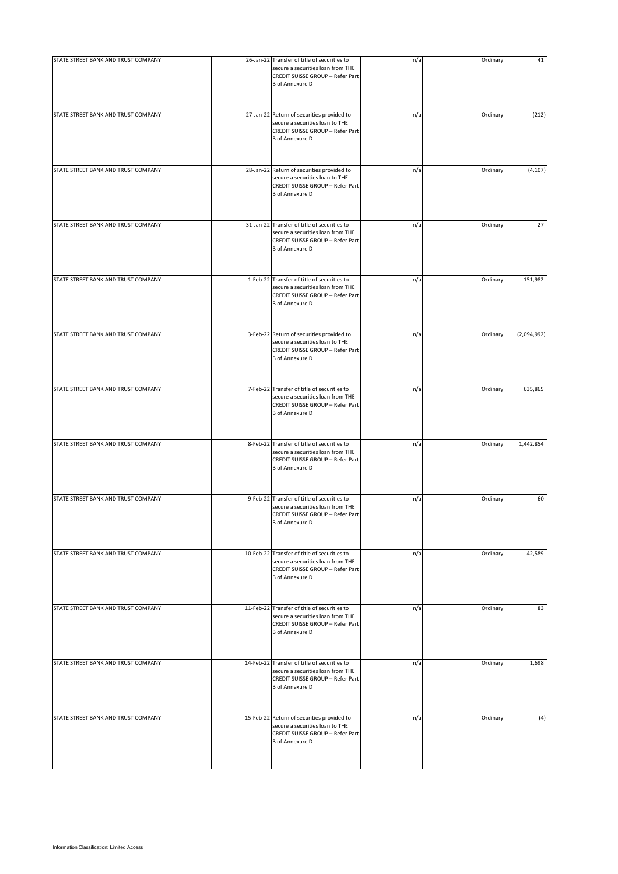| STATE STREET BANK AND TRUST COMPANY | 26-Jan-22 Transfer of title of securities to<br>secure a securities loan from THE<br>CREDIT SUISSE GROUP - Refer Part<br><b>B</b> of Annexure D | n/a | Ordinary | 41          |
|-------------------------------------|-------------------------------------------------------------------------------------------------------------------------------------------------|-----|----------|-------------|
| STATE STREET BANK AND TRUST COMPANY | 27-Jan-22 Return of securities provided to<br>secure a securities loan to THE<br>CREDIT SUISSE GROUP - Refer Part<br><b>B</b> of Annexure D     | n/a | Ordinary | (212)       |
| STATE STREET BANK AND TRUST COMPANY | 28-Jan-22 Return of securities provided to<br>secure a securities loan to THE<br>CREDIT SUISSE GROUP - Refer Part<br><b>B</b> of Annexure D     | n/a | Ordinary | (4, 107)    |
| STATE STREET BANK AND TRUST COMPANY | 31-Jan-22 Transfer of title of securities to<br>secure a securities loan from THE<br>CREDIT SUISSE GROUP - Refer Part<br><b>B</b> of Annexure D | n/a | Ordinary | 27          |
| STATE STREET BANK AND TRUST COMPANY | 1-Feb-22 Transfer of title of securities to<br>secure a securities loan from THE<br>CREDIT SUISSE GROUP - Refer Part<br><b>B</b> of Annexure D  | n/a | Ordinary | 151,982     |
| STATE STREET BANK AND TRUST COMPANY | 3-Feb-22 Return of securities provided to<br>secure a securities loan to THE<br>CREDIT SUISSE GROUP - Refer Part<br><b>B</b> of Annexure D      | n/a | Ordinary | (2,094,992) |
| STATE STREET BANK AND TRUST COMPANY | 7-Feb-22 Transfer of title of securities to<br>secure a securities loan from THE<br>CREDIT SUISSE GROUP - Refer Part<br><b>B</b> of Annexure D  | n/a | Ordinary | 635,865     |
| STATE STREET BANK AND TRUST COMPANY | 8-Feb-22 Transfer of title of securities to<br>secure a securities loan from THE<br>CREDIT SUISSE GROUP - Refer Part<br><b>B</b> of Annexure D  | n/a | Ordinary | 1,442,854   |
| STATE STREET BANK AND TRUST COMPANY | 9-Feb-22 Transfer of title of securities to<br>secure a securities loan from THE<br>CREDIT SUISSE GROUP - Refer Part<br><b>B</b> of Annexure D  | n/a | Ordinary | 60          |
| STATE STREET BANK AND TRUST COMPANY | 10-Feb-22 Transfer of title of securities to<br>secure a securities loan from THE<br>CREDIT SUISSE GROUP - Refer Part<br><b>B</b> of Annexure D | n/a | Ordinary | 42,589      |
| STATE STREET BANK AND TRUST COMPANY | 11-Feb-22 Transfer of title of securities to<br>secure a securities loan from THE<br>CREDIT SUISSE GROUP - Refer Part<br><b>B</b> of Annexure D | n/a | Ordinary | 83          |
| STATE STREET BANK AND TRUST COMPANY | 14-Feb-22 Transfer of title of securities to<br>secure a securities loan from THE<br>CREDIT SUISSE GROUP - Refer Part<br><b>B</b> of Annexure D | n/a | Ordinary | 1,698       |
| STATE STREET BANK AND TRUST COMPANY | 15-Feb-22 Return of securities provided to<br>secure a securities loan to THE<br>CREDIT SUISSE GROUP - Refer Part<br><b>B</b> of Annexure D     | n/a | Ordinary | (4)         |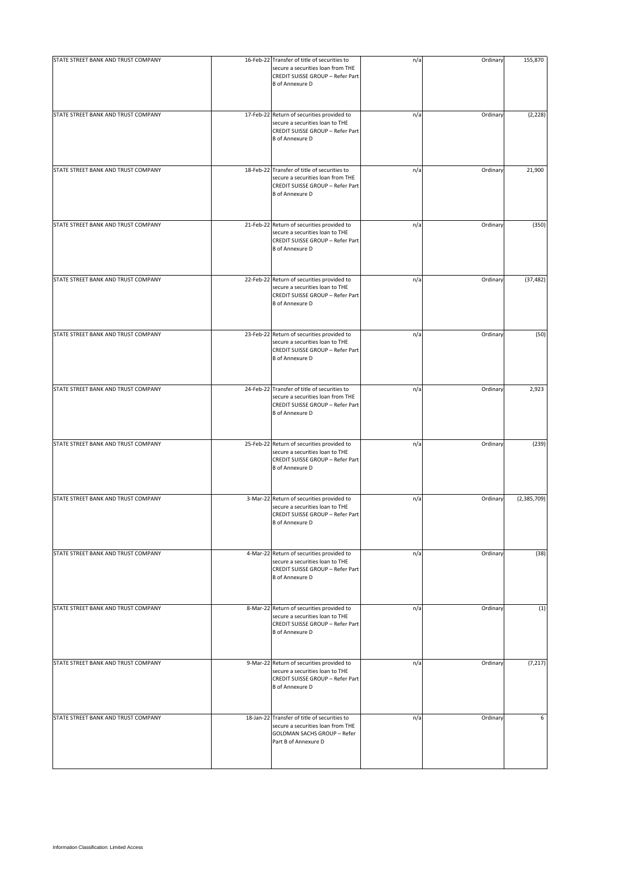| STATE STREET BANK AND TRUST COMPANY | 16-Feb-22 Transfer of title of securities to<br>secure a securities loan from THE<br>CREDIT SUISSE GROUP - Refer Part<br><b>B</b> of Annexure D | n/a | Ordinary | 155,870       |
|-------------------------------------|-------------------------------------------------------------------------------------------------------------------------------------------------|-----|----------|---------------|
| STATE STREET BANK AND TRUST COMPANY | 17-Feb-22 Return of securities provided to<br>secure a securities loan to THE<br>CREDIT SUISSE GROUP - Refer Part<br><b>B</b> of Annexure D     | n/a | Ordinary | (2, 228)      |
| STATE STREET BANK AND TRUST COMPANY | 18-Feb-22 Transfer of title of securities to<br>secure a securities loan from THE<br>CREDIT SUISSE GROUP - Refer Part<br><b>B</b> of Annexure D | n/a | Ordinary | 21,900        |
| STATE STREET BANK AND TRUST COMPANY | 21-Feb-22 Return of securities provided to<br>secure a securities loan to THE<br>CREDIT SUISSE GROUP - Refer Part<br><b>B</b> of Annexure D     | n/a | Ordinary | (350)         |
| STATE STREET BANK AND TRUST COMPANY | 22-Feb-22 Return of securities provided to<br>secure a securities loan to THE<br>CREDIT SUISSE GROUP - Refer Part<br><b>B</b> of Annexure D     | n/a | Ordinary | (37, 482)     |
| STATE STREET BANK AND TRUST COMPANY | 23-Feb-22 Return of securities provided to<br>secure a securities loan to THE<br>CREDIT SUISSE GROUP - Refer Part<br><b>B</b> of Annexure D     | n/a | Ordinary | (50)          |
| STATE STREET BANK AND TRUST COMPANY | 24-Feb-22 Transfer of title of securities to<br>secure a securities loan from THE<br>CREDIT SUISSE GROUP - Refer Part<br><b>B</b> of Annexure D | n/a | Ordinary | 2,923         |
| STATE STREET BANK AND TRUST COMPANY | 25-Feb-22 Return of securities provided to<br>secure a securities loan to THE<br>CREDIT SUISSE GROUP - Refer Part<br><b>B</b> of Annexure D     | n/a | Ordinary | (239)         |
| STATE STREET BANK AND TRUST COMPANY | 3-Mar-22 Return of securities provided to<br>secure a securities loan to THE<br>CREDIT SUISSE GROUP - Refer Part<br><b>B</b> of Annexure D      | n/a | Ordinary | (2, 385, 709) |
| STATE STREET BANK AND TRUST COMPANY | 4-Mar-22 Return of securities provided to<br>secure a securities loan to THE<br>CREDIT SUISSE GROUP - Refer Part<br><b>B</b> of Annexure D      | n/a | Ordinary | (38)          |
| STATE STREET BANK AND TRUST COMPANY | 8-Mar-22 Return of securities provided to<br>secure a securities loan to THE<br>CREDIT SUISSE GROUP - Refer Part<br><b>B</b> of Annexure D      | n/a | Ordinary | (1)           |
| STATE STREET BANK AND TRUST COMPANY | 9-Mar-22 Return of securities provided to<br>secure a securities loan to THE<br>CREDIT SUISSE GROUP - Refer Part<br><b>B</b> of Annexure D      | n/a | Ordinary | (7, 217)      |
| STATE STREET BANK AND TRUST COMPANY | 18-Jan-22 Transfer of title of securities to<br>secure a securities loan from THE<br>GOLDMAN SACHS GROUP - Refer<br>Part B of Annexure D        | n/a | Ordinary | 6             |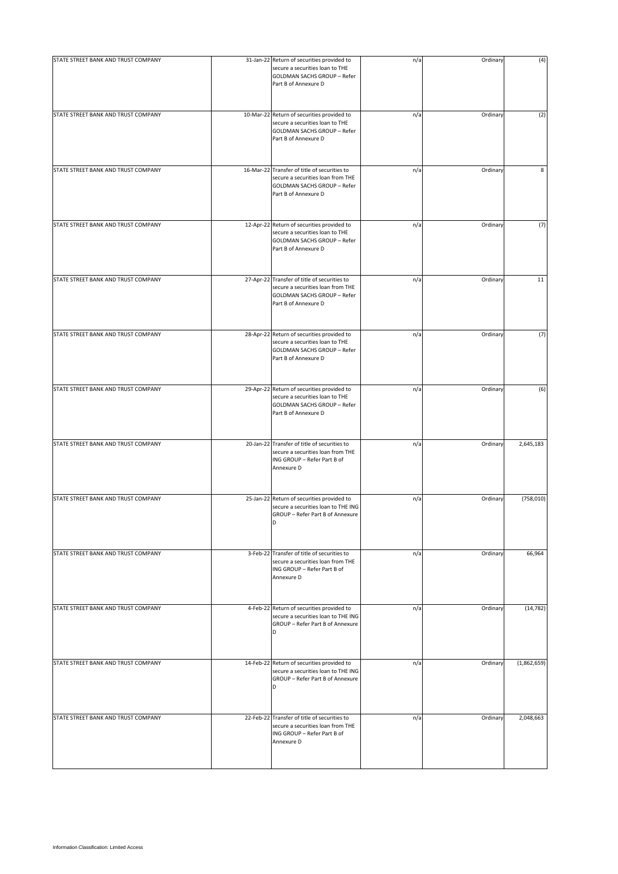| STATE STREET BANK AND TRUST COMPANY | 31-Jan-22 Return of securities provided to<br>secure a securities loan to THE<br>GOLDMAN SACHS GROUP - Refer<br>Part B of Annexure D            | n/a | Ordinary | (4)         |
|-------------------------------------|-------------------------------------------------------------------------------------------------------------------------------------------------|-----|----------|-------------|
| STATE STREET BANK AND TRUST COMPANY | 10-Mar-22 Return of securities provided to<br>secure a securities loan to THE<br>GOLDMAN SACHS GROUP - Refer<br>Part B of Annexure D            | n/a | Ordinary | (2)         |
| STATE STREET BANK AND TRUST COMPANY | 16-Mar-22 Transfer of title of securities to<br>secure a securities loan from THE<br><b>GOLDMAN SACHS GROUP - Refer</b><br>Part B of Annexure D | n/a | Ordinary | 8           |
| STATE STREET BANK AND TRUST COMPANY | 12-Apr-22 Return of securities provided to<br>secure a securities loan to THE<br><b>GOLDMAN SACHS GROUP - Refer</b><br>Part B of Annexure D     | n/a | Ordinary | (7)         |
| STATE STREET BANK AND TRUST COMPANY | 27-Apr-22 Transfer of title of securities to<br>secure a securities loan from THE<br><b>GOLDMAN SACHS GROUP - Refer</b><br>Part B of Annexure D | n/a | Ordinary | 11          |
| STATE STREET BANK AND TRUST COMPANY | 28-Apr-22 Return of securities provided to<br>secure a securities loan to THE<br>GOLDMAN SACHS GROUP - Refer<br>Part B of Annexure D            | n/a | Ordinary | (7)         |
| STATE STREET BANK AND TRUST COMPANY | 29-Apr-22 Return of securities provided to<br>secure a securities loan to THE<br>GOLDMAN SACHS GROUP - Refer<br>Part B of Annexure D            | n/a | Ordinary | (6)         |
| STATE STREET BANK AND TRUST COMPANY | 20-Jan-22 Transfer of title of securities to<br>secure a securities loan from THE<br>ING GROUP - Refer Part B of<br>Annexure D                  | n/a | Ordinary | 2,645,183   |
| STATE STREET BANK AND TRUST COMPANY | 25-Jan-22 Return of securities provided to<br>secure a securities loan to THE ING<br>GROUP - Refer Part B of Annexure<br>D                      | n/a | Ordinary | (758, 010)  |
| STATE STREET BANK AND TRUST COMPANY | 3-Feb-22 Transfer of title of securities to<br>secure a securities loan from THE<br>ING GROUP - Refer Part B of<br>Annexure D                   | n/a | Ordinary | 66,964      |
| STATE STREET BANK AND TRUST COMPANY | 4-Feb-22 Return of securities provided to<br>secure a securities loan to THE ING<br>GROUP - Refer Part B of Annexure<br>D                       | n/a | Ordinary | (14, 782)   |
| STATE STREET BANK AND TRUST COMPANY | 14-Feb-22 Return of securities provided to<br>secure a securities loan to THE ING<br>GROUP - Refer Part B of Annexure<br>D                      | n/a | Ordinary | (1,862,659) |
| STATE STREET BANK AND TRUST COMPANY | 22-Feb-22 Transfer of title of securities to<br>secure a securities loan from THE<br>ING GROUP - Refer Part B of<br>Annexure D                  | n/a | Ordinary | 2,048,663   |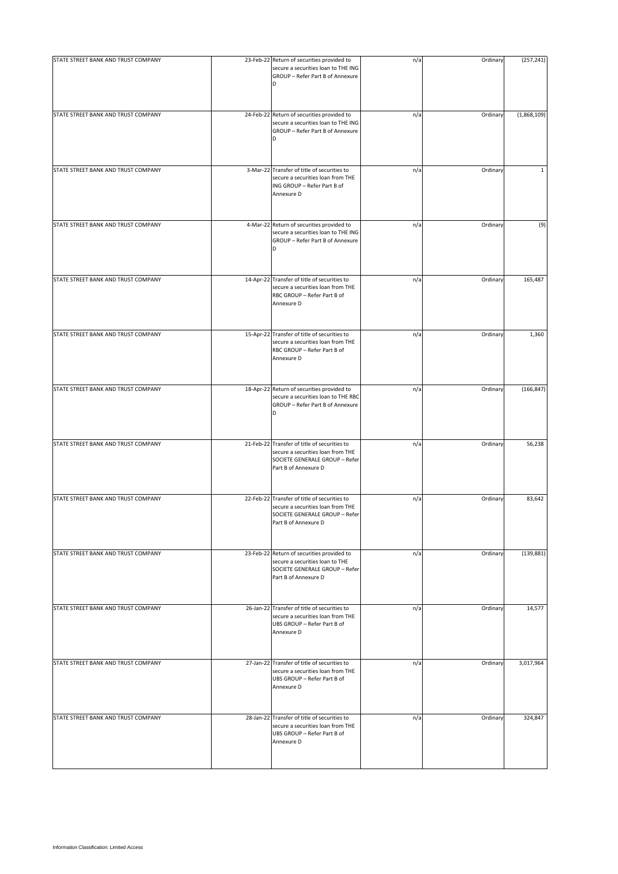| STATE STREET BANK AND TRUST COMPANY | 23-Feb-22 Return of securities provided to<br>secure a securities loan to THE ING                                                           | n/a | Ordinary | (257, 241)   |
|-------------------------------------|---------------------------------------------------------------------------------------------------------------------------------------------|-----|----------|--------------|
|                                     | GROUP - Refer Part B of Annexure                                                                                                            |     |          |              |
| STATE STREET BANK AND TRUST COMPANY | 24-Feb-22 Return of securities provided to<br>secure a securities loan to THE ING<br>GROUP - Refer Part B of Annexure                       | n/a | Ordinary | (1,868,109)  |
| STATE STREET BANK AND TRUST COMPANY | 3-Mar-22 Transfer of title of securities to<br>secure a securities loan from THE<br>ING GROUP - Refer Part B of<br>Annexure D               | n/a | Ordinary | $\mathbf{1}$ |
| STATE STREET BANK AND TRUST COMPANY | 4-Mar-22 Return of securities provided to<br>secure a securities loan to THE ING<br>GROUP - Refer Part B of Annexure<br>D                   | n/a | Ordinary | (9)          |
| STATE STREET BANK AND TRUST COMPANY | 14-Apr-22 Transfer of title of securities to<br>secure a securities loan from THE<br>RBC GROUP - Refer Part B of<br>Annexure D              | n/a | Ordinary | 165,487      |
| STATE STREET BANK AND TRUST COMPANY | 15-Apr-22 Transfer of title of securities to<br>secure a securities loan from THE<br>RBC GROUP - Refer Part B of<br>Annexure D              | n/a | Ordinary | 1,360        |
| STATE STREET BANK AND TRUST COMPANY | 18-Apr-22 Return of securities provided to<br>secure a securities loan to THE RBC<br>GROUP - Refer Part B of Annexure<br>D                  | n/a | Ordinary | (166, 847)   |
| STATE STREET BANK AND TRUST COMPANY | 21-Feb-22 Transfer of title of securities to<br>secure a securities loan from THE<br>SOCIETE GENERALE GROUP - Refer<br>Part B of Annexure D | n/a | Ordinary | 56,238       |
| STATE STREET BANK AND TRUST COMPANY | 22-Feb-22 Transfer of title of securities to<br>secure a securities loan from THE<br>SOCIETE GENERALE GROUP - Refer<br>Part B of Annexure D | n/a | Ordinary | 83,642       |
| STATE STREET BANK AND TRUST COMPANY | 23-Feb-22 Return of securities provided to<br>secure a securities loan to THE<br>SOCIETE GENERALE GROUP - Refer<br>Part B of Annexure D     | n/a | Ordinary | (139, 881)   |
| STATE STREET BANK AND TRUST COMPANY | 26-Jan-22 Transfer of title of securities to<br>secure a securities loan from THE<br>UBS GROUP - Refer Part B of<br>Annexure D              | n/a | Ordinary | 14,577       |
| STATE STREET BANK AND TRUST COMPANY | 27-Jan-22 Transfer of title of securities to<br>secure a securities loan from THE<br>UBS GROUP - Refer Part B of<br>Annexure D              | n/a | Ordinary | 3,017,964    |
| STATE STREET BANK AND TRUST COMPANY | 28-Jan-22 Transfer of title of securities to<br>secure a securities loan from THE<br>UBS GROUP - Refer Part B of<br>Annexure D              | n/a | Ordinary | 324,847      |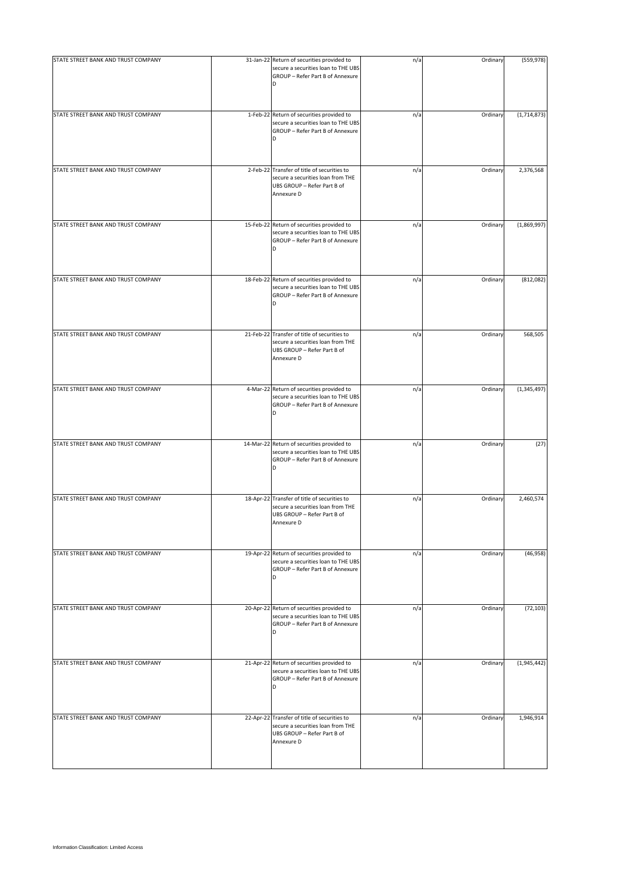| STATE STREET BANK AND TRUST COMPANY | 31-Jan-22 Return of securities provided to                                                                                     | n/a | Ordinary | (559, 978)    |
|-------------------------------------|--------------------------------------------------------------------------------------------------------------------------------|-----|----------|---------------|
|                                     | secure a securities loan to THE UBS<br>GROUP - Refer Part B of Annexure<br>D                                                   |     |          |               |
| STATE STREET BANK AND TRUST COMPANY | 1-Feb-22 Return of securities provided to<br>secure a securities loan to THE UBS<br>GROUP - Refer Part B of Annexure           | n/a | Ordinary | (1,714,873)   |
| STATE STREET BANK AND TRUST COMPANY | 2-Feb-22 Transfer of title of securities to<br>secure a securities loan from THE<br>UBS GROUP - Refer Part B of<br>Annexure D  | n/a | Ordinary | 2,376,568     |
| STATE STREET BANK AND TRUST COMPANY | 15-Feb-22 Return of securities provided to<br>secure a securities loan to THE UBS<br>GROUP - Refer Part B of Annexure<br>D     | n/a | Ordinary | (1,869,997)   |
| STATE STREET BANK AND TRUST COMPANY | 18-Feb-22 Return of securities provided to<br>secure a securities loan to THE UBS<br>GROUP - Refer Part B of Annexure<br>D     | n/a | Ordinary | (812,082)     |
| STATE STREET BANK AND TRUST COMPANY | 21-Feb-22 Transfer of title of securities to<br>secure a securities loan from THE<br>UBS GROUP - Refer Part B of<br>Annexure D | n/a | Ordinary | 568,505       |
| STATE STREET BANK AND TRUST COMPANY | 4-Mar-22 Return of securities provided to<br>secure a securities loan to THE UBS<br>GROUP - Refer Part B of Annexure<br>D      | n/a | Ordinary | (1, 345, 497) |
| STATE STREET BANK AND TRUST COMPANY | 14-Mar-22 Return of securities provided to<br>secure a securities loan to THE UBS<br>GROUP - Refer Part B of Annexure<br>D     | n/a | Ordinary | (27)          |
| STATE STREET BANK AND TRUST COMPANY | 18-Apr-22 Transfer of title of securities to<br>secure a securities loan from THE<br>UBS GROUP - Refer Part B of<br>Annexure D | n/a | Ordinary | 2,460,574     |
| STATE STREET BANK AND TRUST COMPANY | 19-Apr-22 Return of securities provided to<br>secure a securities loan to THE UBS<br>GROUP - Refer Part B of Annexure<br>D     | n/a | Ordinary | (46, 958)     |
| STATE STREET BANK AND TRUST COMPANY | 20-Apr-22 Return of securities provided to<br>secure a securities loan to THE UBS<br>GROUP - Refer Part B of Annexure<br>D     | n/a | Ordinary | (72, 103)     |
| STATE STREET BANK AND TRUST COMPANY | 21-Apr-22 Return of securities provided to<br>secure a securities loan to THE UBS<br>GROUP - Refer Part B of Annexure<br>D     | n/a | Ordinary | (1,945,442)   |
| STATE STREET BANK AND TRUST COMPANY | 22-Apr-22 Transfer of title of securities to<br>secure a securities loan from THE<br>UBS GROUP - Refer Part B of<br>Annexure D | n/a | Ordinary | 1,946,914     |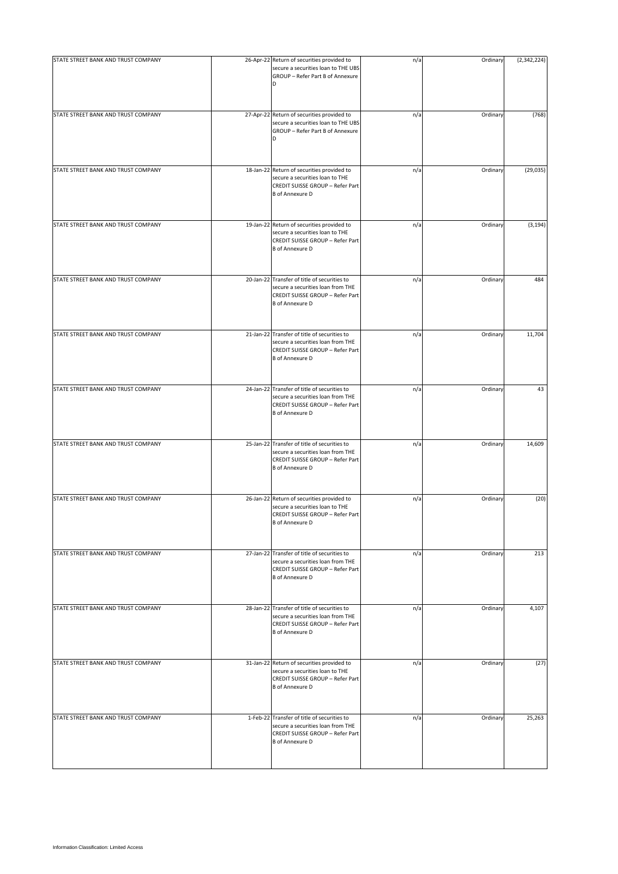| STATE STREET BANK AND TRUST COMPANY | 26-Apr-22 Return of securities provided to                                                                                                      | n/a | Ordinary | (2,342,224) |
|-------------------------------------|-------------------------------------------------------------------------------------------------------------------------------------------------|-----|----------|-------------|
|                                     | secure a securities loan to THE UBS<br>GROUP - Refer Part B of Annexure<br>D                                                                    |     |          |             |
| STATE STREET BANK AND TRUST COMPANY | 27-Apr-22 Return of securities provided to<br>secure a securities loan to THE UBS<br>GROUP - Refer Part B of Annexure<br>D                      | n/a | Ordinary | (768)       |
| STATE STREET BANK AND TRUST COMPANY | 18-Jan-22 Return of securities provided to<br>secure a securities loan to THE<br>CREDIT SUISSE GROUP - Refer Part<br><b>B</b> of Annexure D     | n/a | Ordinary | (29, 035)   |
| STATE STREET BANK AND TRUST COMPANY | 19-Jan-22 Return of securities provided to<br>secure a securities loan to THE<br>CREDIT SUISSE GROUP - Refer Part<br><b>B</b> of Annexure D     | n/a | Ordinary | (3, 194)    |
| STATE STREET BANK AND TRUST COMPANY | 20-Jan-22 Transfer of title of securities to<br>secure a securities loan from THE<br>CREDIT SUISSE GROUP - Refer Part<br><b>B</b> of Annexure D | n/a | Ordinary | 484         |
| STATE STREET BANK AND TRUST COMPANY | 21-Jan-22 Transfer of title of securities to<br>secure a securities loan from THE<br>CREDIT SUISSE GROUP - Refer Part<br><b>B</b> of Annexure D | n/a | Ordinary | 11,704      |
| STATE STREET BANK AND TRUST COMPANY | 24-Jan-22 Transfer of title of securities to<br>secure a securities loan from THE<br>CREDIT SUISSE GROUP - Refer Part<br><b>B</b> of Annexure D | n/a | Ordinary | 43          |
| STATE STREET BANK AND TRUST COMPANY | 25-Jan-22 Transfer of title of securities to<br>secure a securities loan from THE<br>CREDIT SUISSE GROUP - Refer Part<br><b>B</b> of Annexure D | n/a | Ordinary | 14,609      |
| STATE STREET BANK AND TRUST COMPANY | 26-Jan-22 Return of securities provided to<br>secure a securities loan to THE<br>CREDIT SUISSE GROUP - Refer Part<br><b>B</b> of Annexure D     | n/a | Ordinary | (20)        |
| STATE STREET BANK AND TRUST COMPANY | 27-Jan-22 Transfer of title of securities to<br>secure a securities loan from THE<br>CREDIT SUISSE GROUP - Refer Part<br><b>B</b> of Annexure D | n/a | Ordinary | 213         |
| STATE STREET BANK AND TRUST COMPANY | 28-Jan-22 Transfer of title of securities to<br>secure a securities loan from THE<br>CREDIT SUISSE GROUP - Refer Part<br><b>B</b> of Annexure D | n/a | Ordinary | 4,107       |
| STATE STREET BANK AND TRUST COMPANY | 31-Jan-22 Return of securities provided to<br>secure a securities loan to THE<br>CREDIT SUISSE GROUP - Refer Part<br><b>B</b> of Annexure D     | n/a | Ordinary | (27)        |
| STATE STREET BANK AND TRUST COMPANY | 1-Feb-22 Transfer of title of securities to<br>secure a securities loan from THE<br>CREDIT SUISSE GROUP - Refer Part<br><b>B</b> of Annexure D  | n/a | Ordinary | 25,263      |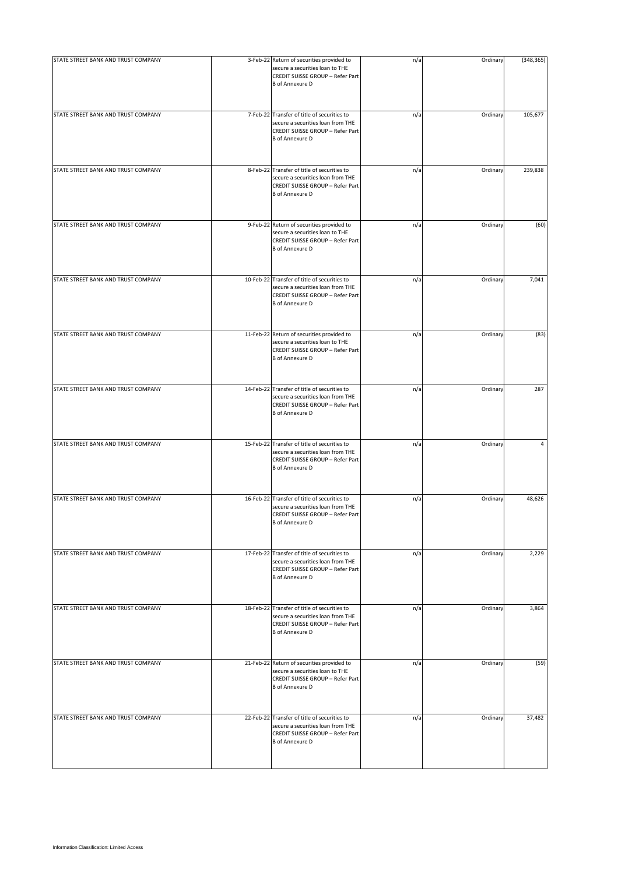| STATE STREET BANK AND TRUST COMPANY | 3-Feb-22 Return of securities provided to<br>secure a securities loan to THE<br>CREDIT SUISSE GROUP - Refer Part<br><b>B</b> of Annexure D      | n/a | Ordinary | (348, 365) |
|-------------------------------------|-------------------------------------------------------------------------------------------------------------------------------------------------|-----|----------|------------|
| STATE STREET BANK AND TRUST COMPANY | 7-Feb-22 Transfer of title of securities to<br>secure a securities loan from THE<br>CREDIT SUISSE GROUP - Refer Part<br><b>B</b> of Annexure D  | n/a | Ordinary | 105,677    |
| STATE STREET BANK AND TRUST COMPANY | 8-Feb-22 Transfer of title of securities to<br>secure a securities loan from THE<br>CREDIT SUISSE GROUP - Refer Part<br><b>B</b> of Annexure D  | n/a | Ordinary | 239,838    |
| STATE STREET BANK AND TRUST COMPANY | 9-Feb-22 Return of securities provided to<br>secure a securities loan to THE<br>CREDIT SUISSE GROUP - Refer Part<br><b>B</b> of Annexure D      | n/a | Ordinary | (60)       |
| STATE STREET BANK AND TRUST COMPANY | 10-Feb-22 Transfer of title of securities to<br>secure a securities loan from THE<br>CREDIT SUISSE GROUP - Refer Part<br><b>B</b> of Annexure D | n/a | Ordinary | 7,041      |
| STATE STREET BANK AND TRUST COMPANY | 11-Feb-22 Return of securities provided to<br>secure a securities loan to THE<br>CREDIT SUISSE GROUP - Refer Part<br><b>B</b> of Annexure D     | n/a | Ordinary | (83)       |
| STATE STREET BANK AND TRUST COMPANY | 14-Feb-22 Transfer of title of securities to<br>secure a securities loan from THE<br>CREDIT SUISSE GROUP - Refer Part<br><b>B</b> of Annexure D | n/a | Ordinary | 287        |
| STATE STREET BANK AND TRUST COMPANY | 15-Feb-22 Transfer of title of securities to<br>secure a securities loan from THE<br>CREDIT SUISSE GROUP - Refer Part<br><b>B</b> of Annexure D | n/a | Ordinary | 4          |
| STATE STREET BANK AND TRUST COMPANY | 16-Feb-22 Transfer of title of securities to<br>secure a securities loan from THE<br>CREDIT SUISSE GROUP - Refer Part<br><b>B</b> of Annexure D | n/a | Ordinary | 48,626     |
| STATE STREET BANK AND TRUST COMPANY | 17-Feb-22 Transfer of title of securities to<br>secure a securities loan from THE<br>CREDIT SUISSE GROUP - Refer Part<br><b>B</b> of Annexure D | n/a | Ordinary | 2,229      |
| STATE STREET BANK AND TRUST COMPANY | 18-Feb-22 Transfer of title of securities to<br>secure a securities loan from THE<br>CREDIT SUISSE GROUP - Refer Part<br><b>B</b> of Annexure D | n/a | Ordinary | 3,864      |
| STATE STREET BANK AND TRUST COMPANY | 21-Feb-22 Return of securities provided to<br>secure a securities loan to THE<br>CREDIT SUISSE GROUP - Refer Part<br><b>B</b> of Annexure D     | n/a | Ordinary | (59)       |
| STATE STREET BANK AND TRUST COMPANY | 22-Feb-22 Transfer of title of securities to<br>secure a securities loan from THE<br>CREDIT SUISSE GROUP - Refer Part<br><b>B</b> of Annexure D | n/a | Ordinary | 37,482     |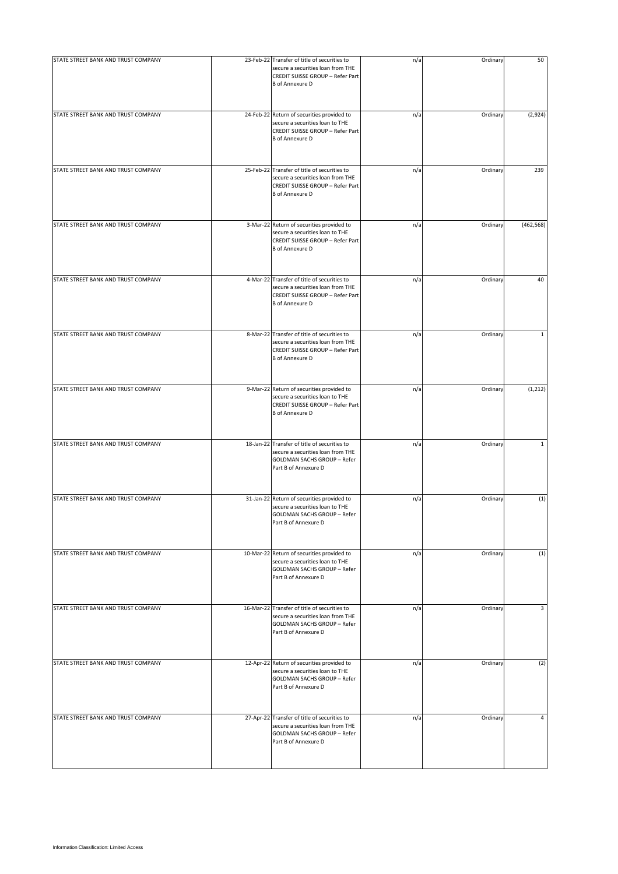| STATE STREET BANK AND TRUST COMPANY | 23-Feb-22 Transfer of title of securities to<br>secure a securities loan from THE<br>CREDIT SUISSE GROUP - Refer Part<br><b>B</b> of Annexure D | n/a | Ordinary | 50           |
|-------------------------------------|-------------------------------------------------------------------------------------------------------------------------------------------------|-----|----------|--------------|
| STATE STREET BANK AND TRUST COMPANY | 24-Feb-22 Return of securities provided to<br>secure a securities loan to THE<br>CREDIT SUISSE GROUP - Refer Part<br><b>B</b> of Annexure D     | n/a | Ordinary | (2,924)      |
| STATE STREET BANK AND TRUST COMPANY | 25-Feb-22 Transfer of title of securities to<br>secure a securities loan from THE<br>CREDIT SUISSE GROUP - Refer Part<br><b>B</b> of Annexure D | n/a | Ordinary | 239          |
| STATE STREET BANK AND TRUST COMPANY | 3-Mar-22 Return of securities provided to<br>secure a securities loan to THE<br>CREDIT SUISSE GROUP - Refer Part<br><b>B</b> of Annexure D      | n/a | Ordinary | (462, 568)   |
| STATE STREET BANK AND TRUST COMPANY | 4-Mar-22 Transfer of title of securities to<br>secure a securities loan from THE<br>CREDIT SUISSE GROUP - Refer Part<br><b>B</b> of Annexure D  | n/a | Ordinary | 40           |
| STATE STREET BANK AND TRUST COMPANY | 8-Mar-22 Transfer of title of securities to<br>secure a securities loan from THE<br>CREDIT SUISSE GROUP - Refer Part<br><b>B</b> of Annexure D  | n/a | Ordinary | $\mathbf{1}$ |
| STATE STREET BANK AND TRUST COMPANY | 9-Mar-22 Return of securities provided to<br>secure a securities loan to THE<br>CREDIT SUISSE GROUP - Refer Part<br><b>B</b> of Annexure D      | n/a | Ordinary | (1, 212)     |
| STATE STREET BANK AND TRUST COMPANY | 18-Jan-22 Transfer of title of securities to<br>secure a securities loan from THE<br><b>GOLDMAN SACHS GROUP - Refer</b><br>Part B of Annexure D | n/a | Ordinary | $\mathbf{1}$ |
| STATE STREET BANK AND TRUST COMPANY | 31-Jan-22 Return of securities provided to<br>secure a securities loan to THE<br><b>GOLDMAN SACHS GROUP - Refer</b><br>Part B of Annexure D     | n/a | Ordinary | (1)          |
| STATE STREET BANK AND TRUST COMPANY | 10-Mar-22 Return of securities provided to<br>secure a securities loan to THE<br><b>GOLDMAN SACHS GROUP - Refer</b><br>Part B of Annexure D     | n/a | Ordinary | (1)          |
| STATE STREET BANK AND TRUST COMPANY | 16-Mar-22 Transfer of title of securities to<br>secure a securities loan from THE<br><b>GOLDMAN SACHS GROUP - Refer</b><br>Part B of Annexure D | n/a | Ordinary | 3            |
| STATE STREET BANK AND TRUST COMPANY | 12-Apr-22 Return of securities provided to<br>secure a securities loan to THE<br>GOLDMAN SACHS GROUP - Refer<br>Part B of Annexure D            | n/a | Ordinary | (2)          |
| STATE STREET BANK AND TRUST COMPANY | 27-Apr-22 Transfer of title of securities to<br>secure a securities loan from THE<br><b>GOLDMAN SACHS GROUP - Refer</b><br>Part B of Annexure D | n/a | Ordinary | 4            |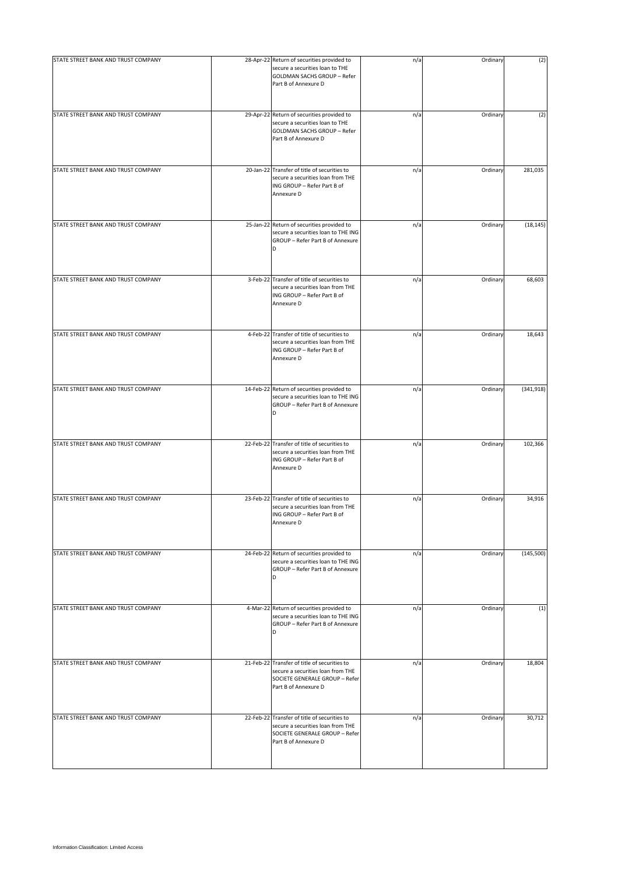| STATE STREET BANK AND TRUST COMPANY | 28-Apr-22 Return of securities provided to<br>secure a securities loan to THE<br>GOLDMAN SACHS GROUP - Refer<br>Part B of Annexure D        | n/a | Ordinary | (2)        |
|-------------------------------------|---------------------------------------------------------------------------------------------------------------------------------------------|-----|----------|------------|
| STATE STREET BANK AND TRUST COMPANY | 29-Apr-22 Return of securities provided to<br>secure a securities loan to THE<br>GOLDMAN SACHS GROUP - Refer<br>Part B of Annexure D        | n/a | Ordinary | (2)        |
| STATE STREET BANK AND TRUST COMPANY | 20-Jan-22 Transfer of title of securities to<br>secure a securities loan from THE<br>ING GROUP - Refer Part B of<br>Annexure D              | n/a | Ordinary | 281,035    |
| STATE STREET BANK AND TRUST COMPANY | 25-Jan-22 Return of securities provided to<br>secure a securities loan to THE ING<br>GROUP - Refer Part B of Annexure<br>D                  | n/a | Ordinary | (18, 145)  |
| STATE STREET BANK AND TRUST COMPANY | 3-Feb-22 Transfer of title of securities to<br>secure a securities loan from THE<br>ING GROUP - Refer Part B of<br>Annexure D               | n/a | Ordinary | 68,603     |
| STATE STREET BANK AND TRUST COMPANY | 4-Feb-22 Transfer of title of securities to<br>secure a securities loan from THE<br>ING GROUP - Refer Part B of<br>Annexure D               | n/a | Ordinary | 18,643     |
| STATE STREET BANK AND TRUST COMPANY | 14-Feb-22 Return of securities provided to<br>secure a securities loan to THE ING<br>GROUP - Refer Part B of Annexure<br>D                  | n/a | Ordinary | (341, 918) |
| STATE STREET BANK AND TRUST COMPANY | 22-Feb-22 Transfer of title of securities to<br>secure a securities loan from THE<br>ING GROUP - Refer Part B of<br>Annexure D              | n/a | Ordinary | 102,366    |
| STATE STREET BANK AND TRUST COMPANY | 23-Feb-22 Transfer of title of securities to<br>secure a securities loan from THE<br>ING GROUP - Refer Part B of<br>Annexure D              | n/a | Ordinary | 34,916     |
| STATE STREET BANK AND TRUST COMPANY | 24-Feb-22 Return of securities provided to<br>secure a securities loan to THE ING<br>GROUP - Refer Part B of Annexure<br>D                  | n/a | Ordinary | (145, 500) |
| STATE STREET BANK AND TRUST COMPANY | 4-Mar-22 Return of securities provided to<br>secure a securities loan to THE ING<br>GROUP - Refer Part B of Annexure<br>D                   | n/a | Ordinary | (1)        |
| STATE STREET BANK AND TRUST COMPANY | 21-Feb-22 Transfer of title of securities to<br>secure a securities loan from THE<br>SOCIETE GENERALE GROUP - Refer<br>Part B of Annexure D | n/a | Ordinary | 18,804     |
| STATE STREET BANK AND TRUST COMPANY | 22-Feb-22 Transfer of title of securities to<br>secure a securities loan from THE<br>SOCIETE GENERALE GROUP - Refer<br>Part B of Annexure D | n/a | Ordinary | 30,712     |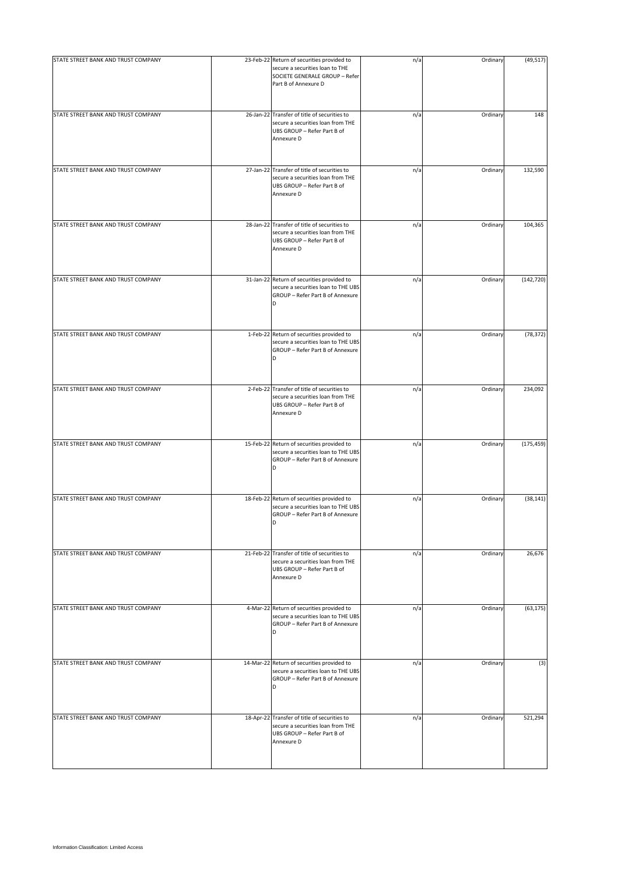| STATE STREET BANK AND TRUST COMPANY | 23-Feb-22 Return of securities provided to<br>secure a securities loan to THE<br>SOCIETE GENERALE GROUP - Refer<br>Part B of Annexure D | n/a | Ordinary | (49, 517)  |
|-------------------------------------|-----------------------------------------------------------------------------------------------------------------------------------------|-----|----------|------------|
| STATE STREET BANK AND TRUST COMPANY | 26-Jan-22 Transfer of title of securities to<br>secure a securities loan from THE<br>UBS GROUP - Refer Part B of<br>Annexure D          | n/a | Ordinary | 148        |
| STATE STREET BANK AND TRUST COMPANY | 27-Jan-22 Transfer of title of securities to<br>secure a securities loan from THE<br>UBS GROUP - Refer Part B of<br>Annexure D          | n/a | Ordinary | 132,590    |
| STATE STREET BANK AND TRUST COMPANY | 28-Jan-22 Transfer of title of securities to<br>secure a securities loan from THE<br>UBS GROUP - Refer Part B of<br>Annexure D          | n/a | Ordinary | 104,365    |
| STATE STREET BANK AND TRUST COMPANY | 31-Jan-22 Return of securities provided to<br>secure a securities loan to THE UBS<br>GROUP - Refer Part B of Annexure<br>D              | n/a | Ordinary | (142, 720) |
| STATE STREET BANK AND TRUST COMPANY | 1-Feb-22 Return of securities provided to<br>secure a securities loan to THE UBS<br>GROUP - Refer Part B of Annexure                    | n/a | Ordinary | (78, 372)  |
| STATE STREET BANK AND TRUST COMPANY | 2-Feb-22 Transfer of title of securities to<br>secure a securities loan from THE<br>UBS GROUP - Refer Part B of<br>Annexure D           | n/a | Ordinary | 234,092    |
| STATE STREET BANK AND TRUST COMPANY | 15-Feb-22 Return of securities provided to<br>secure a securities loan to THE UBS<br>GROUP - Refer Part B of Annexure<br>D              | n/a | Ordinary | (175, 459) |
| STATE STREET BANK AND TRUST COMPANY | 18-Feb-22 Return of securities provided to<br>secure a securities loan to THE UBS<br>GROUP - Refer Part B of Annexure<br>D              | n/a | Ordinary | (38, 141)  |
| STATE STREET BANK AND TRUST COMPANY | 21-Feb-22 Transfer of title of securities to<br>secure a securities loan from THE<br>UBS GROUP - Refer Part B of<br>Annexure D          | n/a | Ordinary | 26,676     |
| STATE STREET BANK AND TRUST COMPANY | 4-Mar-22 Return of securities provided to<br>secure a securities loan to THE UBS<br>GROUP - Refer Part B of Annexure<br>D               | n/a | Ordinary | (63, 175)  |
| STATE STREET BANK AND TRUST COMPANY | 14-Mar-22 Return of securities provided to<br>secure a securities loan to THE UBS<br>GROUP - Refer Part B of Annexure<br>D              | n/a | Ordinary | (3)        |
| STATE STREET BANK AND TRUST COMPANY | 18-Apr-22 Transfer of title of securities to<br>secure a securities loan from THE<br>UBS GROUP - Refer Part B of<br>Annexure D          | n/a | Ordinary | 521,294    |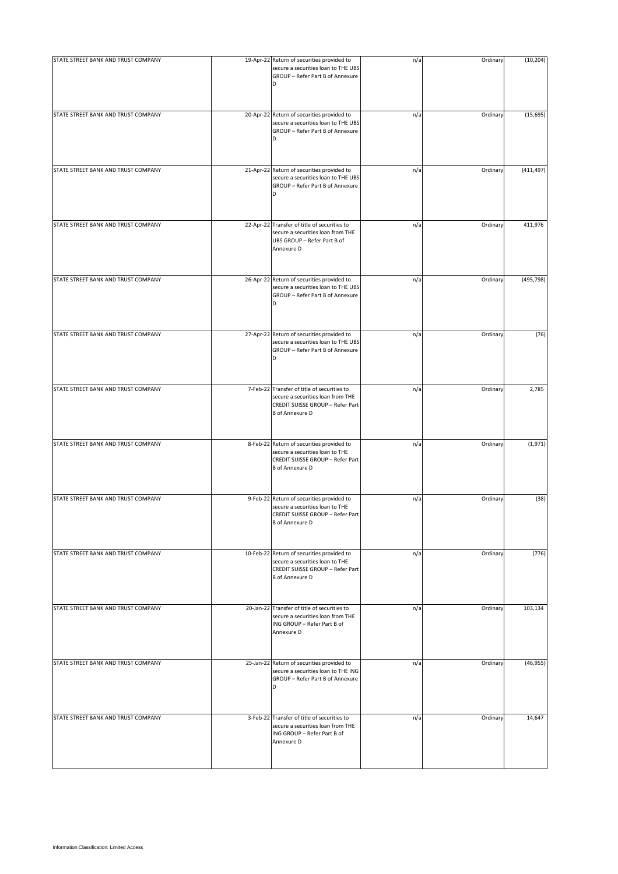| STATE STREET BANK AND TRUST COMPANY | 19-Apr-22 Return of securities provided to<br>secure a securities loan to THE UBS<br>GROUP - Refer Part B of Annexure<br>D                     | n/a | Ordinary | (10, 204)  |
|-------------------------------------|------------------------------------------------------------------------------------------------------------------------------------------------|-----|----------|------------|
| STATE STREET BANK AND TRUST COMPANY | 20-Apr-22 Return of securities provided to                                                                                                     | n/a | Ordinary | (15, 695)  |
|                                     | secure a securities loan to THE UBS<br>GROUP - Refer Part B of Annexure<br>D                                                                   |     |          |            |
| STATE STREET BANK AND TRUST COMPANY | 21-Apr-22 Return of securities provided to<br>secure a securities loan to THE UBS<br>GROUP - Refer Part B of Annexure<br>D                     | n/a | Ordinary | (411, 497) |
| STATE STREET BANK AND TRUST COMPANY | 22-Apr-22 Transfer of title of securities to<br>secure a securities loan from THE<br>UBS GROUP - Refer Part B of<br>Annexure D                 | n/a | Ordinary | 411,976    |
| STATE STREET BANK AND TRUST COMPANY | 26-Apr-22 Return of securities provided to<br>secure a securities loan to THE UBS<br>GROUP - Refer Part B of Annexure<br>D                     | n/a | Ordinary | (495, 798) |
| STATE STREET BANK AND TRUST COMPANY | 27-Apr-22 Return of securities provided to<br>secure a securities loan to THE UBS<br>GROUP - Refer Part B of Annexure<br>D                     | n/a | Ordinary | (76)       |
| STATE STREET BANK AND TRUST COMPANY | 7-Feb-22 Transfer of title of securities to<br>secure a securities loan from THE<br>CREDIT SUISSE GROUP - Refer Part<br><b>B</b> of Annexure D | n/a | Ordinary | 2,785      |
| STATE STREET BANK AND TRUST COMPANY | 8-Feb-22 Return of securities provided to<br>secure a securities loan to THE<br>CREDIT SUISSE GROUP - Refer Part<br><b>B</b> of Annexure D     | n/a | Ordinary | (1,971)    |
| STATE STREET BANK AND TRUST COMPANY | 9-Feb-22 Return of securities provided to<br>secure a securities loan to THE<br>CREDIT SUISSE GROUP - Refer Part<br><b>B</b> of Annexure D     | n/a | Ordinary | (38)       |
| STATE STREET BANK AND TRUST COMPANY | 10-Feb-22 Return of securities provided to<br>secure a securities loan to THE<br>CREDIT SUISSE GROUP - Refer Part<br><b>B</b> of Annexure D    | n/a | Ordinary | (776)      |
| STATE STREET BANK AND TRUST COMPANY | 20-Jan-22 Transfer of title of securities to<br>secure a securities loan from THE<br>ING GROUP - Refer Part B of<br>Annexure D                 | n/a | Ordinary | 103,134    |
| STATE STREET BANK AND TRUST COMPANY | 25-Jan-22 Return of securities provided to<br>secure a securities loan to THE ING<br>GROUP - Refer Part B of Annexure<br>D                     | n/a | Ordinary | (46, 955)  |
| STATE STREET BANK AND TRUST COMPANY | 3-Feb-22 Transfer of title of securities to<br>secure a securities loan from THE<br>ING GROUP - Refer Part B of<br>Annexure D                  | n/a | Ordinary | 14,647     |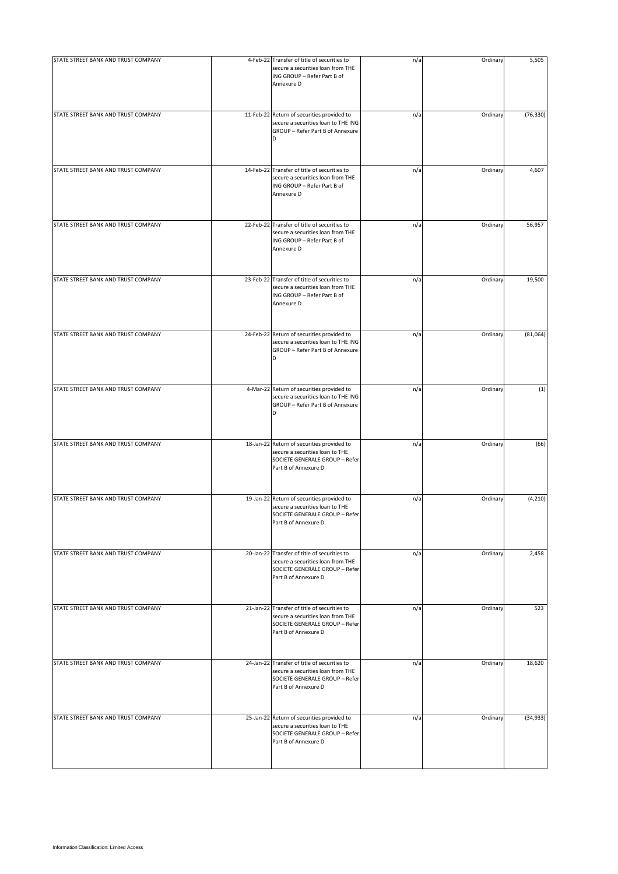| STATE STREET BANK AND TRUST COMPANY | 4-Feb-22 Transfer of title of securities to<br>secure a securities loan from THE<br>ING GROUP - Refer Part B of<br>Annexure D               | n/a | Ordinary | 5,505     |
|-------------------------------------|---------------------------------------------------------------------------------------------------------------------------------------------|-----|----------|-----------|
| STATE STREET BANK AND TRUST COMPANY | 11-Feb-22 Return of securities provided to<br>secure a securities loan to THE ING<br>GROUP - Refer Part B of Annexure<br>D                  | n/a | Ordinary | (76, 330) |
| STATE STREET BANK AND TRUST COMPANY | 14-Feb-22 Transfer of title of securities to<br>secure a securities loan from THE<br>ING GROUP - Refer Part B of<br>Annexure D              | n/a | Ordinary | 4,607     |
| STATE STREET BANK AND TRUST COMPANY | 22-Feb-22 Transfer of title of securities to<br>secure a securities loan from THE<br>ING GROUP - Refer Part B of<br>Annexure D              | n/a | Ordinary | 56,957    |
| STATE STREET BANK AND TRUST COMPANY | 23-Feb-22 Transfer of title of securities to<br>secure a securities loan from THE<br>ING GROUP - Refer Part B of<br>Annexure D              | n/a | Ordinary | 19,500    |
| STATE STREET BANK AND TRUST COMPANY | 24-Feb-22 Return of securities provided to<br>secure a securities loan to THE ING<br>GROUP - Refer Part B of Annexure                       | n/a | Ordinary | (81,064)  |
| STATE STREET BANK AND TRUST COMPANY | 4-Mar-22 Return of securities provided to<br>secure a securities loan to THE ING<br>GROUP - Refer Part B of Annexure<br>D                   | n/a | Ordinary | (1)       |
| STATE STREET BANK AND TRUST COMPANY | 18-Jan-22 Return of securities provided to<br>secure a securities loan to THE<br>SOCIETE GENERALE GROUP - Refer<br>Part B of Annexure D     | n/a | Ordinary | (66)      |
| STATE STREET BANK AND TRUST COMPANY | 19-Jan-22 Return of securities provided to<br>secure a securities loan to THE<br>SOCIETE GENERALE GROUP - Refer<br>Part B of Annexure D     | n/a | Ordinary | (4, 210)  |
| STATE STREET BANK AND TRUST COMPANY | 20-Jan-22 Transfer of title of securities to<br>secure a securities loan from THE<br>SOCIETE GENERALE GROUP - Refer<br>Part B of Annexure D | n/a | Ordinary | 2,458     |
| STATE STREET BANK AND TRUST COMPANY | 21-Jan-22 Transfer of title of securities to<br>secure a securities loan from THE<br>SOCIETE GENERALE GROUP - Refer<br>Part B of Annexure D | n/a | Ordinary | 523       |
| STATE STREET BANK AND TRUST COMPANY | 24-Jan-22 Transfer of title of securities to<br>secure a securities loan from THE<br>SOCIETE GENERALE GROUP - Refer<br>Part B of Annexure D | n/a | Ordinary | 18,620    |
| STATE STREET BANK AND TRUST COMPANY | 25-Jan-22 Return of securities provided to<br>secure a securities loan to THE<br>SOCIETE GENERALE GROUP - Refer<br>Part B of Annexure D     | n/a | Ordinary | (34, 933) |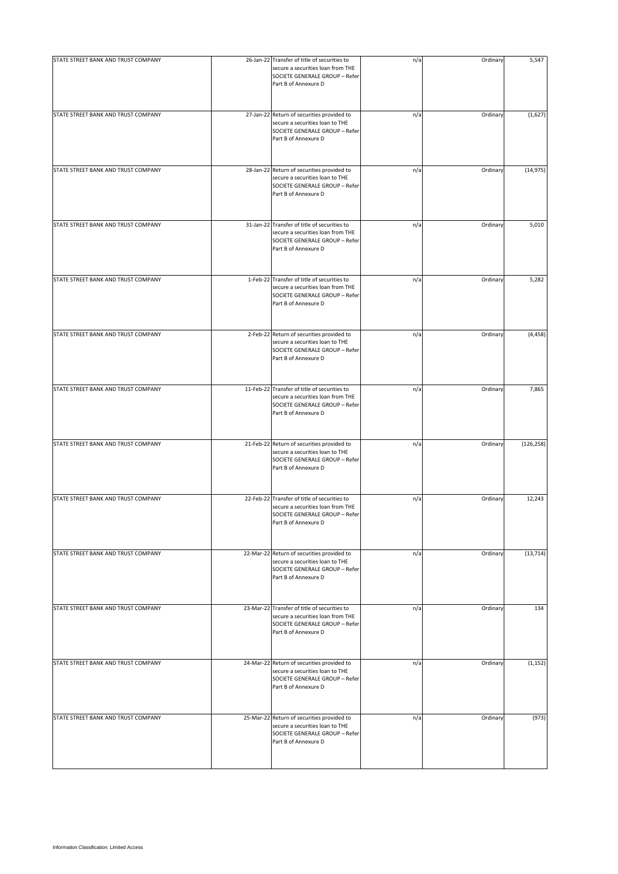| STATE STREET BANK AND TRUST COMPANY | 26-Jan-22 Transfer of title of securities to<br>secure a securities loan from THE<br>SOCIETE GENERALE GROUP - Refer<br>Part B of Annexure D | n/a | Ordinary | 5,547      |
|-------------------------------------|---------------------------------------------------------------------------------------------------------------------------------------------|-----|----------|------------|
| STATE STREET BANK AND TRUST COMPANY | 27-Jan-22 Return of securities provided to<br>secure a securities loan to THE<br>SOCIETE GENERALE GROUP - Refer<br>Part B of Annexure D     | n/a | Ordinary | (1,627)    |
| STATE STREET BANK AND TRUST COMPANY | 28-Jan-22 Return of securities provided to<br>secure a securities loan to THE<br>SOCIETE GENERALE GROUP - Refer<br>Part B of Annexure D     | n/a | Ordinary | (14, 975)  |
| STATE STREET BANK AND TRUST COMPANY | 31-Jan-22 Transfer of title of securities to<br>secure a securities loan from THE<br>SOCIETE GENERALE GROUP - Refer<br>Part B of Annexure D | n/a | Ordinary | 5,010      |
| STATE STREET BANK AND TRUST COMPANY | 1-Feb-22 Transfer of title of securities to<br>secure a securities loan from THE<br>SOCIETE GENERALE GROUP - Refer<br>Part B of Annexure D  | n/a | Ordinary | 5,282      |
| STATE STREET BANK AND TRUST COMPANY | 2-Feb-22 Return of securities provided to<br>secure a securities loan to THE<br>SOCIETE GENERALE GROUP - Refer<br>Part B of Annexure D      | n/a | Ordinary | (4, 458)   |
| STATE STREET BANK AND TRUST COMPANY | 11-Feb-22 Transfer of title of securities to<br>secure a securities loan from THE<br>SOCIETE GENERALE GROUP - Refer<br>Part B of Annexure D | n/a | Ordinary | 7,865      |
| STATE STREET BANK AND TRUST COMPANY | 21-Feb-22 Return of securities provided to<br>secure a securities loan to THE<br>SOCIETE GENERALE GROUP - Refer<br>Part B of Annexure D     | n/a | Ordinary | (126, 258) |
| STATE STREET BANK AND TRUST COMPANY | 22-Feb-22 Transfer of title of securities to<br>secure a securities loan from THE<br>SOCIETE GENERALE GROUP - Refer<br>Part B of Annexure D | n/a | Ordinary | 12,243     |
| STATE STREET BANK AND TRUST COMPANY | 22-Mar-22 Return of securities provided to<br>secure a securities loan to THE<br>SOCIETE GENERALE GROUP - Refer<br>Part B of Annexure D     | n/a | Ordinary | (13, 714)  |
| STATE STREET BANK AND TRUST COMPANY | 23-Mar-22 Transfer of title of securities to<br>secure a securities loan from THE<br>SOCIETE GENERALE GROUP - Refer<br>Part B of Annexure D | n/a | Ordinary | 134        |
| STATE STREET BANK AND TRUST COMPANY | 24-Mar-22 Return of securities provided to<br>secure a securities loan to THE<br>SOCIETE GENERALE GROUP - Refer<br>Part B of Annexure D     | n/a | Ordinary | (1, 152)   |
| STATE STREET BANK AND TRUST COMPANY | 25-Mar-22 Return of securities provided to<br>secure a securities loan to THE<br>SOCIETE GENERALE GROUP - Refer<br>Part B of Annexure D     | n/a | Ordinary | (973)      |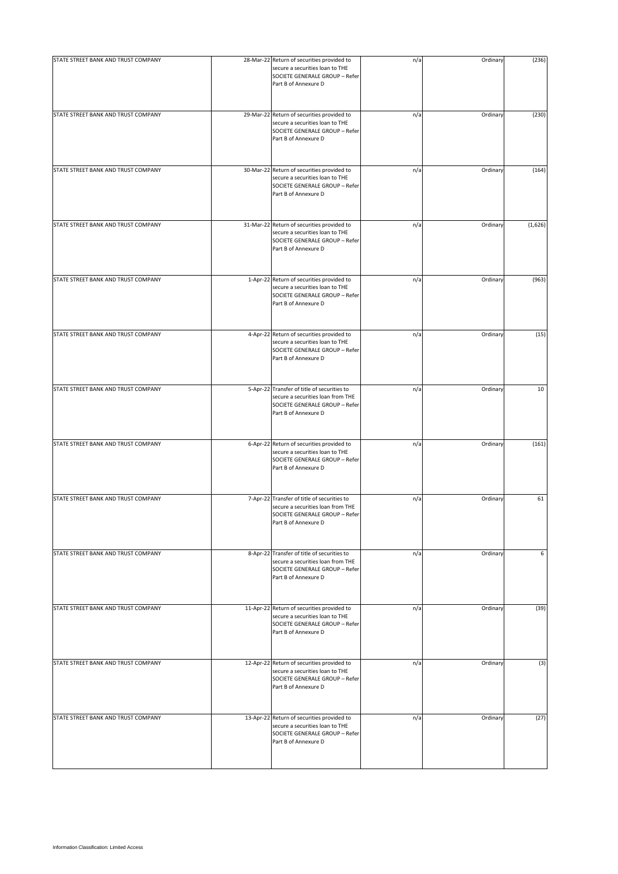| STATE STREET BANK AND TRUST COMPANY | 28-Mar-22 Return of securities provided to<br>secure a securities loan to THE<br>SOCIETE GENERALE GROUP - Refer<br>Part B of Annexure D    | n/a | Ordinary | (236)   |
|-------------------------------------|--------------------------------------------------------------------------------------------------------------------------------------------|-----|----------|---------|
| STATE STREET BANK AND TRUST COMPANY | 29-Mar-22 Return of securities provided to<br>secure a securities loan to THE<br>SOCIETE GENERALE GROUP - Refer<br>Part B of Annexure D    | n/a | Ordinary | (230)   |
| STATE STREET BANK AND TRUST COMPANY | 30-Mar-22 Return of securities provided to<br>secure a securities loan to THE<br>SOCIETE GENERALE GROUP - Refer<br>Part B of Annexure D    | n/a | Ordinary | (164)   |
| STATE STREET BANK AND TRUST COMPANY | 31-Mar-22 Return of securities provided to<br>secure a securities loan to THE<br>SOCIETE GENERALE GROUP - Refer<br>Part B of Annexure D    | n/a | Ordinary | (1,626) |
| STATE STREET BANK AND TRUST COMPANY | 1-Apr-22 Return of securities provided to<br>secure a securities loan to THE<br>SOCIETE GENERALE GROUP - Refer<br>Part B of Annexure D     | n/a | Ordinary | (963)   |
| STATE STREET BANK AND TRUST COMPANY | 4-Apr-22 Return of securities provided to<br>secure a securities loan to THE<br>SOCIETE GENERALE GROUP - Refer<br>Part B of Annexure D     | n/a | Ordinary | (15)    |
| STATE STREET BANK AND TRUST COMPANY | 5-Apr-22 Transfer of title of securities to<br>secure a securities loan from THE<br>SOCIETE GENERALE GROUP - Refer<br>Part B of Annexure D | n/a | Ordinary | 10      |
| STATE STREET BANK AND TRUST COMPANY | 6-Apr-22 Return of securities provided to<br>secure a securities loan to THE<br>SOCIETE GENERALE GROUP - Refer<br>Part B of Annexure D     | n/a | Ordinary | (161)   |
| STATE STREET BANK AND TRUST COMPANY | 7-Apr-22 Transfer of title of securities to<br>secure a securities loan from THE<br>SOCIETE GENERALE GROUP - Refer<br>Part B of Annexure D | n/a | Ordinary | 61      |
| STATE STREET BANK AND TRUST COMPANY | 8-Apr-22 Transfer of title of securities to<br>secure a securities loan from THE<br>SOCIETE GENERALE GROUP - Refer<br>Part B of Annexure D | n/a | Ordinary | 6       |
| STATE STREET BANK AND TRUST COMPANY | 11-Apr-22 Return of securities provided to<br>secure a securities loan to THE<br>SOCIETE GENERALE GROUP - Refer<br>Part B of Annexure D    | n/a | Ordinary | (39)    |
| STATE STREET BANK AND TRUST COMPANY | 12-Apr-22 Return of securities provided to<br>secure a securities loan to THE<br>SOCIETE GENERALE GROUP - Refer<br>Part B of Annexure D    | n/a | Ordinary | (3)     |
| STATE STREET BANK AND TRUST COMPANY | 13-Apr-22 Return of securities provided to<br>secure a securities loan to THE<br>SOCIETE GENERALE GROUP - Refer<br>Part B of Annexure D    | n/a | Ordinary | (27)    |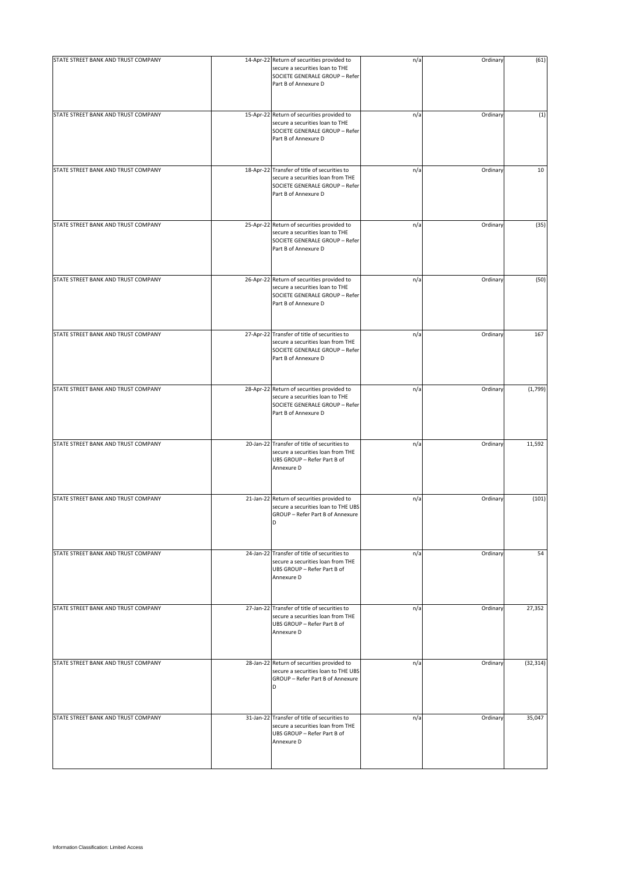| STATE STREET BANK AND TRUST COMPANY | 14-Apr-22 Return of securities provided to<br>secure a securities loan to THE<br>SOCIETE GENERALE GROUP - Refer<br>Part B of Annexure D     | n/a | Ordinary | (61)      |
|-------------------------------------|---------------------------------------------------------------------------------------------------------------------------------------------|-----|----------|-----------|
| STATE STREET BANK AND TRUST COMPANY | 15-Apr-22 Return of securities provided to<br>secure a securities loan to THE<br>SOCIETE GENERALE GROUP - Refer<br>Part B of Annexure D     | n/a | Ordinary | (1)       |
| STATE STREET BANK AND TRUST COMPANY | 18-Apr-22 Transfer of title of securities to<br>secure a securities loan from THE<br>SOCIETE GENERALE GROUP - Refer<br>Part B of Annexure D | n/a | Ordinary | 10        |
| STATE STREET BANK AND TRUST COMPANY | 25-Apr-22 Return of securities provided to<br>secure a securities loan to THE<br>SOCIETE GENERALE GROUP - Refer<br>Part B of Annexure D     | n/a | Ordinary | (35)      |
| STATE STREET BANK AND TRUST COMPANY | 26-Apr-22 Return of securities provided to<br>secure a securities loan to THE<br>SOCIETE GENERALE GROUP - Refer<br>Part B of Annexure D     | n/a | Ordinary | (50)      |
| STATE STREET BANK AND TRUST COMPANY | 27-Apr-22 Transfer of title of securities to<br>secure a securities loan from THE<br>SOCIETE GENERALE GROUP - Refer<br>Part B of Annexure D | n/a | Ordinary | 167       |
| STATE STREET BANK AND TRUST COMPANY | 28-Apr-22 Return of securities provided to<br>secure a securities loan to THE<br>SOCIETE GENERALE GROUP - Refer<br>Part B of Annexure D     | n/a | Ordinary | (1,799)   |
| STATE STREET BANK AND TRUST COMPANY | 20-Jan-22 Transfer of title of securities to<br>secure a securities loan from THE<br>UBS GROUP - Refer Part B of<br>Annexure D              | n/a | Ordinary | 11,592    |
| STATE STREET BANK AND TRUST COMPANY | 21-Jan-22 Return of securities provided to<br>secure a securities loan to THE UBS<br>GROUP - Refer Part B of Annexure<br>D                  | n/a | Ordinary | (101)     |
| STATE STREET BANK AND TRUST COMPANY | 24-Jan-22 Transfer of title of securities to<br>secure a securities loan from THE<br>UBS GROUP - Refer Part B of<br>Annexure D              | n/a | Ordinary | 54        |
| STATE STREET BANK AND TRUST COMPANY | 27-Jan-22 Transfer of title of securities to<br>secure a securities loan from THE<br>UBS GROUP - Refer Part B of<br>Annexure D              | n/a | Ordinary | 27,352    |
| STATE STREET BANK AND TRUST COMPANY | 28-Jan-22 Return of securities provided to<br>secure a securities loan to THE UBS<br>GROUP - Refer Part B of Annexure<br>D                  | n/a | Ordinary | (32, 314) |
| STATE STREET BANK AND TRUST COMPANY | 31-Jan-22 Transfer of title of securities to<br>secure a securities loan from THE<br>UBS GROUP - Refer Part B of<br>Annexure D              | n/a | Ordinary | 35,047    |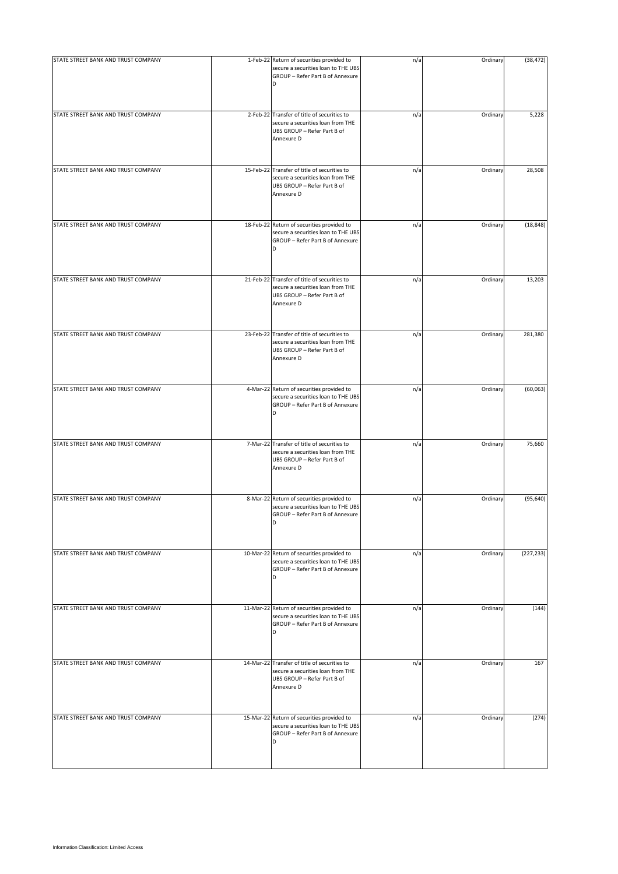| STATE STREET BANK AND TRUST COMPANY | 1-Feb-22 Return of securities provided to                                                                                      | n/a | Ordinary | (38, 472)  |
|-------------------------------------|--------------------------------------------------------------------------------------------------------------------------------|-----|----------|------------|
|                                     | secure a securities loan to THE UBS<br>GROUP - Refer Part B of Annexure<br>D                                                   |     |          |            |
| STATE STREET BANK AND TRUST COMPANY | 2-Feb-22 Transfer of title of securities to<br>secure a securities loan from THE<br>UBS GROUP - Refer Part B of<br>Annexure D  | n/a | Ordinary | 5,228      |
| STATE STREET BANK AND TRUST COMPANY | 15-Feb-22 Transfer of title of securities to<br>secure a securities loan from THE<br>UBS GROUP - Refer Part B of<br>Annexure D | n/a | Ordinary | 28,508     |
| STATE STREET BANK AND TRUST COMPANY | 18-Feb-22 Return of securities provided to<br>secure a securities loan to THE UBS<br>GROUP - Refer Part B of Annexure<br>D     | n/a | Ordinary | (18, 848)  |
| STATE STREET BANK AND TRUST COMPANY | 21-Feb-22 Transfer of title of securities to<br>secure a securities loan from THE<br>UBS GROUP - Refer Part B of<br>Annexure D | n/a | Ordinary | 13,203     |
| STATE STREET BANK AND TRUST COMPANY | 23-Feb-22 Transfer of title of securities to<br>secure a securities loan from THE<br>UBS GROUP - Refer Part B of<br>Annexure D | n/a | Ordinary | 281,380    |
| STATE STREET BANK AND TRUST COMPANY | 4-Mar-22 Return of securities provided to<br>secure a securities loan to THE UBS<br>GROUP - Refer Part B of Annexure<br>D      | n/a | Ordinary | (60,063)   |
| STATE STREET BANK AND TRUST COMPANY | 7-Mar-22 Transfer of title of securities to<br>secure a securities loan from THE<br>UBS GROUP - Refer Part B of<br>Annexure D  | n/a | Ordinary | 75,660     |
| STATE STREET BANK AND TRUST COMPANY | 8-Mar-22 Return of securities provided to<br>secure a securities loan to THE UBS<br>GROUP - Refer Part B of Annexure<br>D      | n/a | Ordinary | (95, 640)  |
| STATE STREET BANK AND TRUST COMPANY | 10-Mar-22 Return of securities provided to<br>secure a securities loan to THE UBS<br>GROUP - Refer Part B of Annexure<br>D     | n/a | Ordinary | (227, 233) |
| STATE STREET BANK AND TRUST COMPANY | 11-Mar-22 Return of securities provided to<br>secure a securities loan to THE UBS<br>GROUP - Refer Part B of Annexure<br>D     | n/a | Ordinary | (144)      |
| STATE STREET BANK AND TRUST COMPANY | 14-Mar-22 Transfer of title of securities to<br>secure a securities loan from THE<br>UBS GROUP - Refer Part B of<br>Annexure D | n/a | Ordinary | 167        |
| STATE STREET BANK AND TRUST COMPANY | 15-Mar-22 Return of securities provided to<br>secure a securities loan to THE UBS<br>GROUP - Refer Part B of Annexure<br>D     | n/a | Ordinary | (274)      |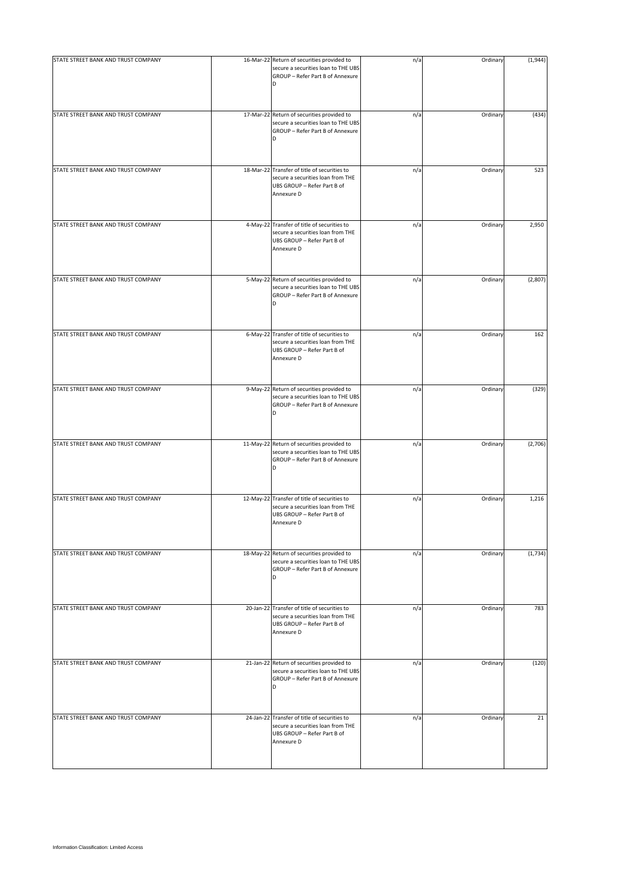| STATE STREET BANK AND TRUST COMPANY | 16-Mar-22 Return of securities provided to                                                                                     | n/a | Ordinary | (1,944) |
|-------------------------------------|--------------------------------------------------------------------------------------------------------------------------------|-----|----------|---------|
|                                     | secure a securities loan to THE UBS<br>GROUP - Refer Part B of Annexure<br>D                                                   |     |          |         |
| STATE STREET BANK AND TRUST COMPANY | 17-Mar-22 Return of securities provided to<br>secure a securities loan to THE UBS<br>GROUP - Refer Part B of Annexure<br>D     | n/a | Ordinary | (434)   |
| STATE STREET BANK AND TRUST COMPANY | 18-Mar-22 Transfer of title of securities to<br>secure a securities loan from THE<br>UBS GROUP - Refer Part B of<br>Annexure D | n/a | Ordinary | 523     |
| STATE STREET BANK AND TRUST COMPANY | 4-May-22 Transfer of title of securities to<br>secure a securities loan from THE<br>UBS GROUP - Refer Part B of<br>Annexure D  | n/a | Ordinary | 2,950   |
| STATE STREET BANK AND TRUST COMPANY | 5-May-22 Return of securities provided to<br>secure a securities loan to THE UBS<br>GROUP - Refer Part B of Annexure<br>D      | n/a | Ordinary | (2,807) |
| STATE STREET BANK AND TRUST COMPANY | 6-May-22 Transfer of title of securities to<br>secure a securities loan from THE<br>UBS GROUP - Refer Part B of<br>Annexure D  | n/a | Ordinary | 162     |
| STATE STREET BANK AND TRUST COMPANY | 9-May-22 Return of securities provided to<br>secure a securities loan to THE UBS<br>GROUP - Refer Part B of Annexure<br>D      | n/a | Ordinary | (329)   |
| STATE STREET BANK AND TRUST COMPANY | 11-May-22 Return of securities provided to<br>secure a securities loan to THE UBS<br>GROUP - Refer Part B of Annexure<br>D     | n/a | Ordinary | (2,706) |
| STATE STREET BANK AND TRUST COMPANY | 12-May-22 Transfer of title of securities to<br>secure a securities loan from THE<br>UBS GROUP - Refer Part B of<br>Annexure D | n/a | Ordinary | 1,216   |
| STATE STREET BANK AND TRUST COMPANY | 18-May-22 Return of securities provided to<br>secure a securities loan to THE UBS<br>GROUP - Refer Part B of Annexure<br>D     | n/a | Ordinary | (1,734) |
| STATE STREET BANK AND TRUST COMPANY | 20-Jan-22 Transfer of title of securities to<br>secure a securities loan from THE<br>UBS GROUP - Refer Part B of<br>Annexure D | n/a | Ordinary | 783     |
| STATE STREET BANK AND TRUST COMPANY | 21-Jan-22 Return of securities provided to<br>secure a securities loan to THE UBS<br>GROUP - Refer Part B of Annexure<br>D     | n/a | Ordinary | (120)   |
| STATE STREET BANK AND TRUST COMPANY | 24-Jan-22 Transfer of title of securities to<br>secure a securities loan from THE<br>UBS GROUP - Refer Part B of<br>Annexure D | n/a | Ordinary | 21      |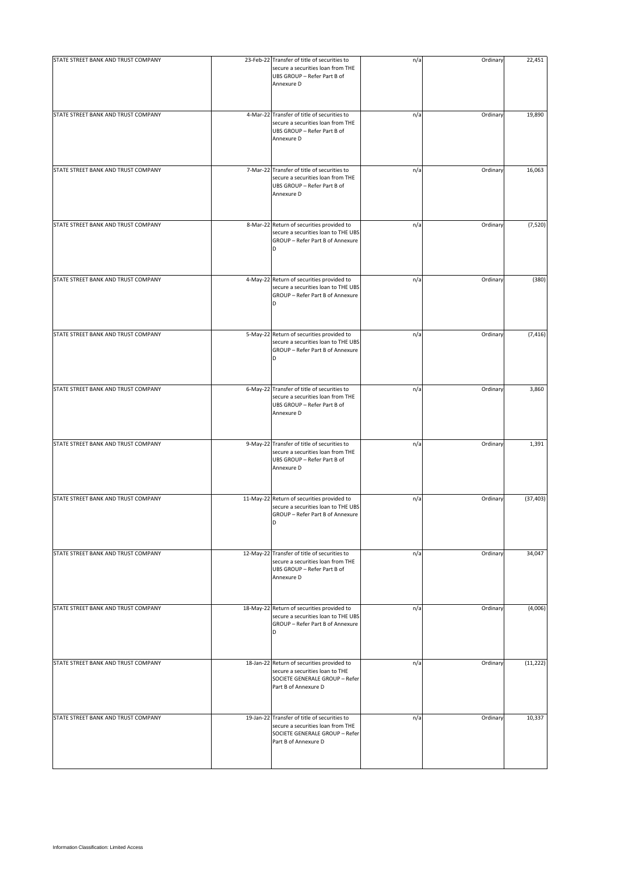| STATE STREET BANK AND TRUST COMPANY | 23-Feb-22 Transfer of title of securities to<br>secure a securities loan from THE<br>UBS GROUP - Refer Part B of<br>Annexure D              | n/a | Ordinary | 22,451    |
|-------------------------------------|---------------------------------------------------------------------------------------------------------------------------------------------|-----|----------|-----------|
| STATE STREET BANK AND TRUST COMPANY | 4-Mar-22 Transfer of title of securities to<br>secure a securities loan from THE<br>UBS GROUP - Refer Part B of<br>Annexure D               | n/a | Ordinary | 19,890    |
| STATE STREET BANK AND TRUST COMPANY | 7-Mar-22 Transfer of title of securities to<br>secure a securities loan from THE<br>UBS GROUP - Refer Part B of<br>Annexure D               | n/a | Ordinary | 16,063    |
| STATE STREET BANK AND TRUST COMPANY | 8-Mar-22 Return of securities provided to<br>secure a securities loan to THE UBS<br>GROUP - Refer Part B of Annexure<br>D                   | n/a | Ordinary | (7, 520)  |
| STATE STREET BANK AND TRUST COMPANY | 4-May-22 Return of securities provided to<br>secure a securities loan to THE UBS<br>GROUP - Refer Part B of Annexure<br>D                   | n/a | Ordinary | (380)     |
| STATE STREET BANK AND TRUST COMPANY | 5-May-22 Return of securities provided to<br>secure a securities loan to THE UBS<br>GROUP - Refer Part B of Annexure                        | n/a | Ordinary | (7, 416)  |
| STATE STREET BANK AND TRUST COMPANY | 6-May-22 Transfer of title of securities to<br>secure a securities loan from THE<br>UBS GROUP - Refer Part B of<br>Annexure D               | n/a | Ordinary | 3,860     |
| STATE STREET BANK AND TRUST COMPANY | 9-May-22 Transfer of title of securities to<br>secure a securities loan from THE<br>UBS GROUP - Refer Part B of<br>Annexure D               | n/a | Ordinary | 1,391     |
| STATE STREET BANK AND TRUST COMPANY | 11-May-22 Return of securities provided to<br>secure a securities loan to THE UBS<br>GROUP - Refer Part B of Annexure<br>D                  | n/a | Ordinary | (37, 403) |
| STATE STREET BANK AND TRUST COMPANY | 12-May-22 Transfer of title of securities to<br>secure a securities loan from THE<br>UBS GROUP - Refer Part B of<br>Annexure D              | n/a | Ordinary | 34,047    |
| STATE STREET BANK AND TRUST COMPANY | 18-May-22 Return of securities provided to<br>secure a securities loan to THE UBS<br>GROUP - Refer Part B of Annexure<br>D                  | n/a | Ordinary | (4,006)   |
| STATE STREET BANK AND TRUST COMPANY | 18-Jan-22 Return of securities provided to<br>secure a securities loan to THE<br>SOCIETE GENERALE GROUP - Refer<br>Part B of Annexure D     | n/a | Ordinary | (11, 222) |
| STATE STREET BANK AND TRUST COMPANY | 19-Jan-22 Transfer of title of securities to<br>secure a securities loan from THE<br>SOCIETE GENERALE GROUP - Refer<br>Part B of Annexure D | n/a | Ordinary | 10,337    |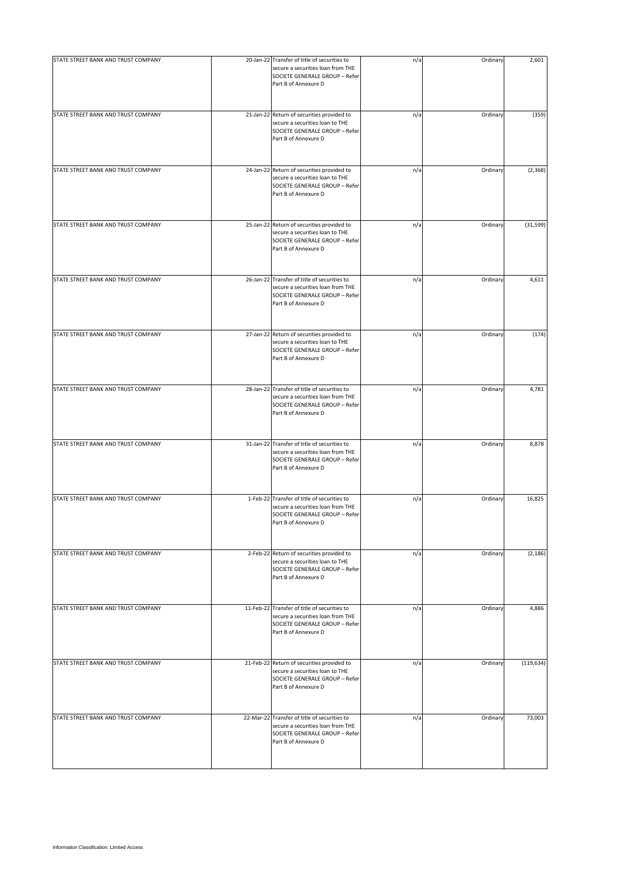| STATE STREET BANK AND TRUST COMPANY | 20-Jan-22 Transfer of title of securities to<br>secure a securities loan from THE<br>SOCIETE GENERALE GROUP - Refer<br>Part B of Annexure D | n/a | Ordinary | 2,601      |
|-------------------------------------|---------------------------------------------------------------------------------------------------------------------------------------------|-----|----------|------------|
| STATE STREET BANK AND TRUST COMPANY | 21-Jan-22 Return of securities provided to<br>secure a securities loan to THE<br>SOCIETE GENERALE GROUP - Refer<br>Part B of Annexure D     | n/a | Ordinary | (359)      |
| STATE STREET BANK AND TRUST COMPANY | 24-Jan-22 Return of securities provided to<br>secure a securities loan to THE<br>SOCIETE GENERALE GROUP - Refer<br>Part B of Annexure D     | n/a | Ordinary | (2, 368)   |
| STATE STREET BANK AND TRUST COMPANY | 25-Jan-22 Return of securities provided to<br>secure a securities loan to THE<br>SOCIETE GENERALE GROUP - Refer<br>Part B of Annexure D     | n/a | Ordinary | (31, 599)  |
| STATE STREET BANK AND TRUST COMPANY | 26-Jan-22 Transfer of title of securities to<br>secure a securities loan from THE<br>SOCIETE GENERALE GROUP - Refer<br>Part B of Annexure D | n/a | Ordinary | 4,611      |
| STATE STREET BANK AND TRUST COMPANY | 27-Jan-22 Return of securities provided to<br>secure a securities loan to THE<br>SOCIETE GENERALE GROUP - Refer<br>Part B of Annexure D     | n/a | Ordinary | (174)      |
| STATE STREET BANK AND TRUST COMPANY | 28-Jan-22 Transfer of title of securities to<br>secure a securities loan from THE<br>SOCIETE GENERALE GROUP - Refer<br>Part B of Annexure D | n/a | Ordinary | 4,781      |
| STATE STREET BANK AND TRUST COMPANY | 31-Jan-22 Transfer of title of securities to<br>secure a securities loan from THE<br>SOCIETE GENERALE GROUP - Refer<br>Part B of Annexure D | n/a | Ordinary | 8,878      |
| STATE STREET BANK AND TRUST COMPANY | 1-Feb-22 Transfer of title of securities to<br>secure a securities loan from THE<br>SOCIETE GENERALE GROUP - Refer<br>Part B of Annexure D  | n/a | Ordinary | 16,825     |
| STATE STREET BANK AND TRUST COMPANY | 2-Feb-22 Return of securities provided to<br>secure a securities loan to THE<br>SOCIETE GENERALE GROUP - Refer<br>Part B of Annexure D      | n/a | Ordinary | (2, 186)   |
| STATE STREET BANK AND TRUST COMPANY | 11-Feb-22 Transfer of title of securities to<br>secure a securities loan from THE<br>SOCIETE GENERALE GROUP - Refer<br>Part B of Annexure D | n/a | Ordinary | 4,886      |
| STATE STREET BANK AND TRUST COMPANY | 21-Feb-22 Return of securities provided to<br>secure a securities loan to THE<br>SOCIETE GENERALE GROUP - Refer<br>Part B of Annexure D     | n/a | Ordinary | (119, 634) |
| STATE STREET BANK AND TRUST COMPANY | 22-Mar-22 Transfer of title of securities to<br>secure a securities loan from THE<br>SOCIETE GENERALE GROUP - Refer<br>Part B of Annexure D | n/a | Ordinary | 73,003     |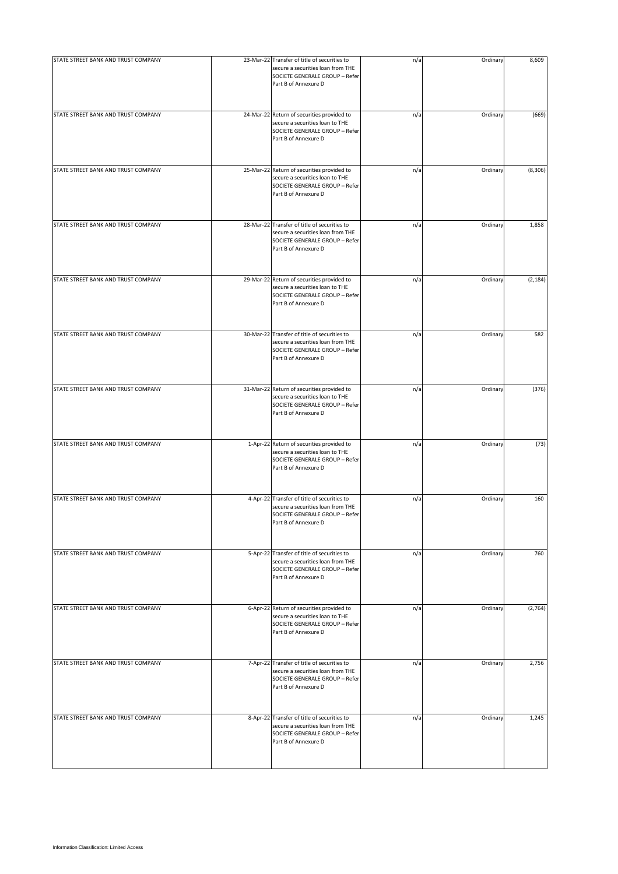| STATE STREET BANK AND TRUST COMPANY | 23-Mar-22 Transfer of title of securities to<br>secure a securities loan from THE<br>SOCIETE GENERALE GROUP - Refer<br>Part B of Annexure D | n/a | Ordinary | 8,609    |
|-------------------------------------|---------------------------------------------------------------------------------------------------------------------------------------------|-----|----------|----------|
| STATE STREET BANK AND TRUST COMPANY | 24-Mar-22 Return of securities provided to<br>secure a securities loan to THE<br>SOCIETE GENERALE GROUP - Refer<br>Part B of Annexure D     | n/a | Ordinary | (669)    |
| STATE STREET BANK AND TRUST COMPANY | 25-Mar-22 Return of securities provided to<br>secure a securities loan to THE<br>SOCIETE GENERALE GROUP - Refer<br>Part B of Annexure D     | n/a | Ordinary | (8, 306) |
| STATE STREET BANK AND TRUST COMPANY | 28-Mar-22 Transfer of title of securities to<br>secure a securities loan from THE<br>SOCIETE GENERALE GROUP - Refer<br>Part B of Annexure D | n/a | Ordinary | 1,858    |
| STATE STREET BANK AND TRUST COMPANY | 29-Mar-22 Return of securities provided to<br>secure a securities loan to THE<br>SOCIETE GENERALE GROUP - Refer<br>Part B of Annexure D     | n/a | Ordinary | (2, 184) |
| STATE STREET BANK AND TRUST COMPANY | 30-Mar-22 Transfer of title of securities to<br>secure a securities loan from THE<br>SOCIETE GENERALE GROUP - Refer<br>Part B of Annexure D | n/a | Ordinary | 582      |
| STATE STREET BANK AND TRUST COMPANY | 31-Mar-22 Return of securities provided to<br>secure a securities loan to THE<br>SOCIETE GENERALE GROUP - Refer<br>Part B of Annexure D     | n/a | Ordinary | (376)    |
| STATE STREET BANK AND TRUST COMPANY | 1-Apr-22 Return of securities provided to<br>secure a securities loan to THE<br>SOCIETE GENERALE GROUP - Refer<br>Part B of Annexure D      | n/a | Ordinary | (73)     |
| STATE STREET BANK AND TRUST COMPANY | 4-Apr-22 Transfer of title of securities to<br>secure a securities loan from THE<br>SOCIETE GENERALE GROUP - Refer<br>Part B of Annexure D  | n/a | Ordinary | 160      |
| STATE STREET BANK AND TRUST COMPANY | 5-Apr-22 Transfer of title of securities to<br>secure a securities loan from THE<br>SOCIETE GENERALE GROUP - Refer<br>Part B of Annexure D  | n/a | Ordinary | 760      |
| STATE STREET BANK AND TRUST COMPANY | 6-Apr-22 Return of securities provided to<br>secure a securities loan to THE<br>SOCIETE GENERALE GROUP - Refer<br>Part B of Annexure D      | n/a | Ordinary | (2,764)  |
| STATE STREET BANK AND TRUST COMPANY | 7-Apr-22 Transfer of title of securities to<br>secure a securities loan from THE<br>SOCIETE GENERALE GROUP - Refer<br>Part B of Annexure D  | n/a | Ordinary | 2,756    |
| STATE STREET BANK AND TRUST COMPANY | 8-Apr-22 Transfer of title of securities to<br>secure a securities loan from THE<br>SOCIETE GENERALE GROUP - Refer<br>Part B of Annexure D  | n/a | Ordinary | 1,245    |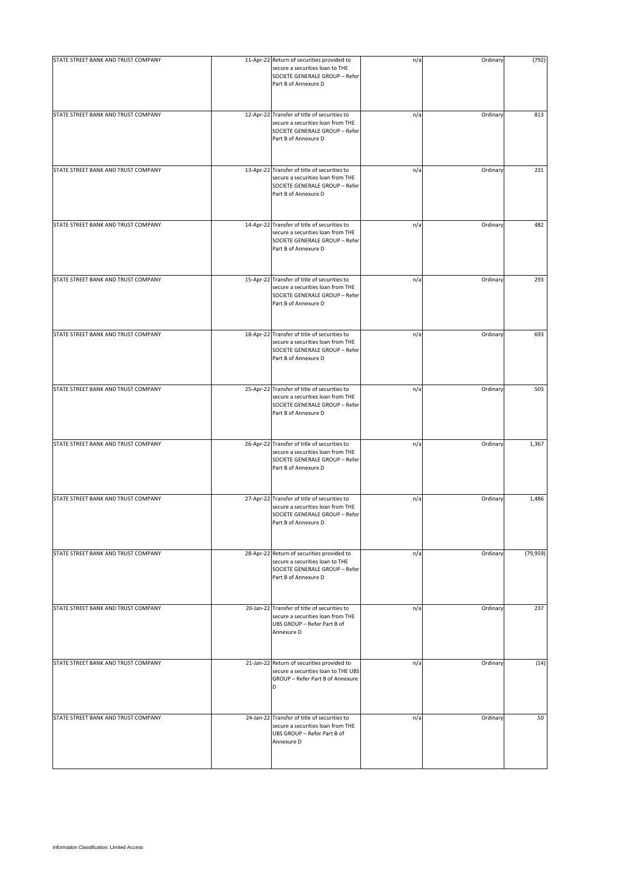| STATE STREET BANK AND TRUST COMPANY | 11-Apr-22 Return of securities provided to<br>secure a securities loan to THE<br>SOCIETE GENERALE GROUP - Refer<br>Part B of Annexure D     | n/a | Ordinary | (792)     |
|-------------------------------------|---------------------------------------------------------------------------------------------------------------------------------------------|-----|----------|-----------|
| STATE STREET BANK AND TRUST COMPANY | 12-Apr-22 Transfer of title of securities to<br>secure a securities loan from THE<br>SOCIETE GENERALE GROUP - Refer<br>Part B of Annexure D | n/a | Ordinary | 813       |
| STATE STREET BANK AND TRUST COMPANY | 13-Apr-22 Transfer of title of securities to<br>secure a securities loan from THE<br>SOCIETE GENERALE GROUP - Refer<br>Part B of Annexure D | n/a | Ordinary | 231       |
| STATE STREET BANK AND TRUST COMPANY | 14-Apr-22 Transfer of title of securities to<br>secure a securities loan from THE<br>SOCIETE GENERALE GROUP - Refer<br>Part B of Annexure D | n/a | Ordinary | 482       |
| STATE STREET BANK AND TRUST COMPANY | 15-Apr-22 Transfer of title of securities to<br>secure a securities loan from THE<br>SOCIETE GENERALE GROUP - Refer<br>Part B of Annexure D | n/a | Ordinary | 293       |
| STATE STREET BANK AND TRUST COMPANY | 18-Apr-22 Transfer of title of securities to<br>secure a securities loan from THE<br>SOCIETE GENERALE GROUP - Refer<br>Part B of Annexure D | n/a | Ordinary | 693       |
| STATE STREET BANK AND TRUST COMPANY | 25-Apr-22 Transfer of title of securities to<br>secure a securities loan from THE<br>SOCIETE GENERALE GROUP - Refer<br>Part B of Annexure D | n/a | Ordinary | 503       |
| STATE STREET BANK AND TRUST COMPANY | 26-Apr-22 Transfer of title of securities to<br>secure a securities loan from THE<br>SOCIETE GENERALE GROUP - Refer<br>Part B of Annexure D | n/a | Ordinary | 1,367     |
| STATE STREET BANK AND TRUST COMPANY | 27-Apr-22 Transfer of title of securities to<br>secure a securities loan from THE<br>SOCIETE GENERALE GROUP - Refer<br>Part B of Annexure D | n/a | Ordinary | 1,486     |
| STATE STREET BANK AND TRUST COMPANY | 28-Apr-22 Return of securities provided to<br>secure a securities loan to THE<br>SOCIETE GENERALE GROUP - Refer<br>Part B of Annexure D     | n/a | Ordinary | (79, 959) |
| STATE STREET BANK AND TRUST COMPANY | 20-Jan-22 Transfer of title of securities to<br>secure a securities loan from THE<br>UBS GROUP - Refer Part B of<br>Annexure D              | n/a | Ordinary | 237       |
| STATE STREET BANK AND TRUST COMPANY | 21-Jan-22 Return of securities provided to<br>secure a securities loan to THE UBS<br>GROUP - Refer Part B of Annexure<br><sub>D</sub>       | n/a | Ordinary | (14)      |
| STATE STREET BANK AND TRUST COMPANY | 24-Jan-22 Transfer of title of securities to<br>secure a securities loan from THE<br>UBS GROUP - Refer Part B of<br>Annexure D              | n/a | Ordinary | 50        |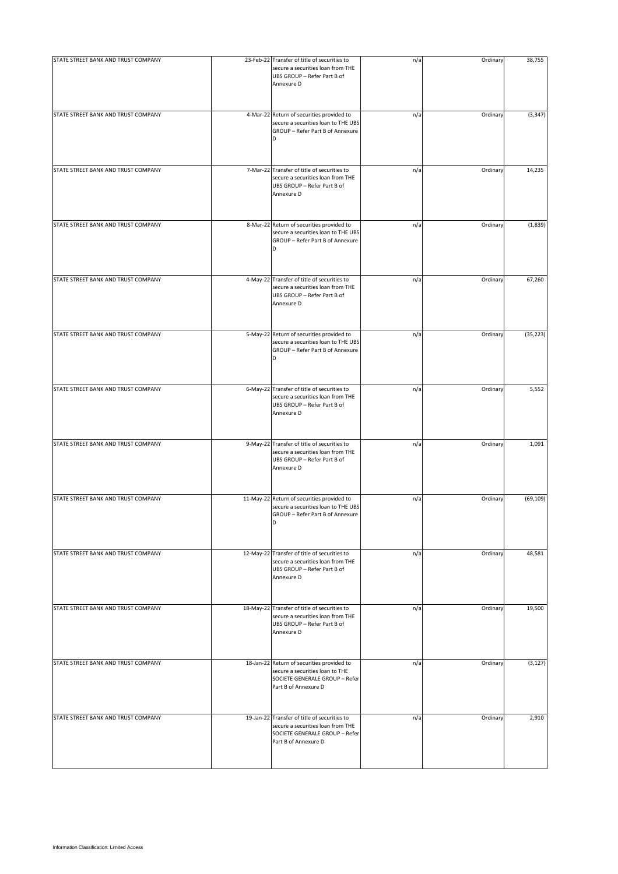| STATE STREET BANK AND TRUST COMPANY | 23-Feb-22 Transfer of title of securities to<br>secure a securities loan from THE<br>UBS GROUP - Refer Part B of<br>Annexure D              | n/a | Ordinary | 38,755    |
|-------------------------------------|---------------------------------------------------------------------------------------------------------------------------------------------|-----|----------|-----------|
| STATE STREET BANK AND TRUST COMPANY | 4-Mar-22 Return of securities provided to<br>secure a securities loan to THE UBS<br>GROUP - Refer Part B of Annexure<br>D                   | n/a | Ordinary | (3, 347)  |
| STATE STREET BANK AND TRUST COMPANY | 7-Mar-22 Transfer of title of securities to<br>secure a securities loan from THE<br>UBS GROUP - Refer Part B of<br>Annexure D               | n/a | Ordinary | 14,235    |
| STATE STREET BANK AND TRUST COMPANY | 8-Mar-22 Return of securities provided to<br>secure a securities loan to THE UBS<br>GROUP - Refer Part B of Annexure<br>D                   | n/a | Ordinary | (1,839)   |
| STATE STREET BANK AND TRUST COMPANY | 4-May-22 Transfer of title of securities to<br>secure a securities loan from THE<br>UBS GROUP - Refer Part B of<br>Annexure D               | n/a | Ordinary | 67,260    |
| STATE STREET BANK AND TRUST COMPANY | 5-May-22 Return of securities provided to<br>secure a securities loan to THE UBS<br>GROUP - Refer Part B of Annexure<br>D                   | n/a | Ordinary | (35, 223) |
| STATE STREET BANK AND TRUST COMPANY | 6-May-22 Transfer of title of securities to<br>secure a securities loan from THE<br>UBS GROUP - Refer Part B of<br>Annexure D               | n/a | Ordinary | 5,552     |
| STATE STREET BANK AND TRUST COMPANY | 9-May-22 Transfer of title of securities to<br>secure a securities loan from THE<br>UBS GROUP - Refer Part B of<br>Annexure D               | n/a | Ordinary | 1,091     |
| STATE STREET BANK AND TRUST COMPANY | 11-May-22 Return of securities provided to<br>secure a securities loan to THE UBS<br>GROUP - Refer Part B of Annexure<br>D                  | n/a | Ordinary | (69, 109) |
| STATE STREET BANK AND TRUST COMPANY | 12-May-22 Transfer of title of securities to<br>secure a securities loan from THE<br>UBS GROUP - Refer Part B of<br>Annexure D              | n/a | Ordinary | 48,581    |
| STATE STREET BANK AND TRUST COMPANY | 18-May-22 Transfer of title of securities to<br>secure a securities loan from THE<br>UBS GROUP - Refer Part B of<br>Annexure D              | n/a | Ordinary | 19,500    |
| STATE STREET BANK AND TRUST COMPANY | 18-Jan-22 Return of securities provided to<br>secure a securities loan to THE<br>SOCIETE GENERALE GROUP - Refer<br>Part B of Annexure D     | n/a | Ordinary | (3, 127)  |
| STATE STREET BANK AND TRUST COMPANY | 19-Jan-22 Transfer of title of securities to<br>secure a securities loan from THE<br>SOCIETE GENERALE GROUP - Refer<br>Part B of Annexure D | n/a | Ordinary | 2,910     |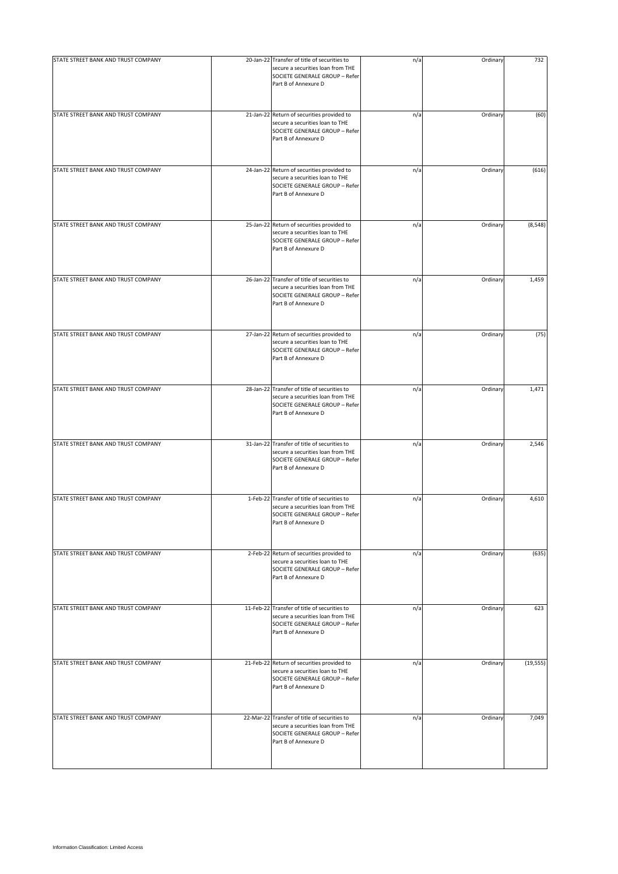| STATE STREET BANK AND TRUST COMPANY | 20-Jan-22 Transfer of title of securities to<br>secure a securities loan from THE<br>SOCIETE GENERALE GROUP - Refer<br>Part B of Annexure D | n/a | Ordinary | 732       |
|-------------------------------------|---------------------------------------------------------------------------------------------------------------------------------------------|-----|----------|-----------|
| STATE STREET BANK AND TRUST COMPANY | 21-Jan-22 Return of securities provided to<br>secure a securities loan to THE<br>SOCIETE GENERALE GROUP - Refer<br>Part B of Annexure D     | n/a | Ordinary | (60)      |
| STATE STREET BANK AND TRUST COMPANY | 24-Jan-22 Return of securities provided to<br>secure a securities loan to THE<br>SOCIETE GENERALE GROUP - Refer<br>Part B of Annexure D     | n/a | Ordinary | (616)     |
| STATE STREET BANK AND TRUST COMPANY | 25-Jan-22 Return of securities provided to<br>secure a securities loan to THE<br>SOCIETE GENERALE GROUP - Refer<br>Part B of Annexure D     | n/a | Ordinary | (8, 548)  |
| STATE STREET BANK AND TRUST COMPANY | 26-Jan-22 Transfer of title of securities to<br>secure a securities loan from THE<br>SOCIETE GENERALE GROUP - Refer<br>Part B of Annexure D | n/a | Ordinary | 1,459     |
| STATE STREET BANK AND TRUST COMPANY | 27-Jan-22 Return of securities provided to<br>secure a securities loan to THE<br>SOCIETE GENERALE GROUP - Refer<br>Part B of Annexure D     | n/a | Ordinary | (75)      |
| STATE STREET BANK AND TRUST COMPANY | 28-Jan-22 Transfer of title of securities to<br>secure a securities loan from THE<br>SOCIETE GENERALE GROUP - Refer<br>Part B of Annexure D | n/a | Ordinary | 1,471     |
| STATE STREET BANK AND TRUST COMPANY | 31-Jan-22 Transfer of title of securities to<br>secure a securities loan from THE<br>SOCIETE GENERALE GROUP - Refer<br>Part B of Annexure D | n/a | Ordinary | 2,546     |
| STATE STREET BANK AND TRUST COMPANY | 1-Feb-22 Transfer of title of securities to<br>secure a securities loan from THE<br>SOCIETE GENERALE GROUP - Refer<br>Part B of Annexure D  | n/a | Ordinary | 4,610     |
| STATE STREET BANK AND TRUST COMPANY | 2-Feb-22 Return of securities provided to<br>secure a securities loan to THE<br>SOCIETE GENERALE GROUP - Refer<br>Part B of Annexure D      | n/a | Ordinary | (635)     |
| STATE STREET BANK AND TRUST COMPANY | 11-Feb-22 Transfer of title of securities to<br>secure a securities loan from THE<br>SOCIETE GENERALE GROUP - Refer<br>Part B of Annexure D | n/a | Ordinary | 623       |
| STATE STREET BANK AND TRUST COMPANY | 21-Feb-22 Return of securities provided to<br>secure a securities loan to THE<br>SOCIETE GENERALE GROUP - Refer<br>Part B of Annexure D     | n/a | Ordinary | (19, 555) |
| STATE STREET BANK AND TRUST COMPANY | 22-Mar-22 Transfer of title of securities to<br>secure a securities loan from THE<br>SOCIETE GENERALE GROUP - Refer<br>Part B of Annexure D | n/a | Ordinary | 7,049     |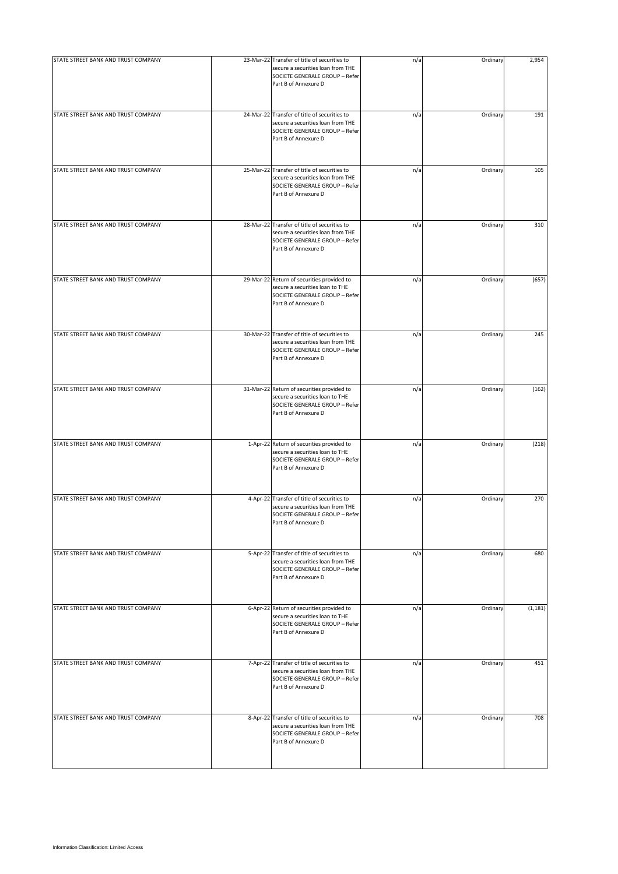| STATE STREET BANK AND TRUST COMPANY | 23-Mar-22 Transfer of title of securities to<br>secure a securities loan from THE<br>SOCIETE GENERALE GROUP - Refer<br>Part B of Annexure D | n/a | Ordinary | 2,954    |
|-------------------------------------|---------------------------------------------------------------------------------------------------------------------------------------------|-----|----------|----------|
| STATE STREET BANK AND TRUST COMPANY | 24-Mar-22 Transfer of title of securities to<br>secure a securities loan from THE<br>SOCIETE GENERALE GROUP - Refer<br>Part B of Annexure D | n/a | Ordinary | 191      |
| STATE STREET BANK AND TRUST COMPANY | 25-Mar-22 Transfer of title of securities to<br>secure a securities loan from THE<br>SOCIETE GENERALE GROUP - Refer<br>Part B of Annexure D | n/a | Ordinary | 105      |
| STATE STREET BANK AND TRUST COMPANY | 28-Mar-22 Transfer of title of securities to<br>secure a securities loan from THE<br>SOCIETE GENERALE GROUP - Refer<br>Part B of Annexure D | n/a | Ordinary | 310      |
| STATE STREET BANK AND TRUST COMPANY | 29-Mar-22 Return of securities provided to<br>secure a securities loan to THE<br>SOCIETE GENERALE GROUP - Refer<br>Part B of Annexure D     | n/a | Ordinary | (657)    |
| STATE STREET BANK AND TRUST COMPANY | 30-Mar-22 Transfer of title of securities to<br>secure a securities loan from THE<br>SOCIETE GENERALE GROUP - Refer<br>Part B of Annexure D | n/a | Ordinary | 245      |
| STATE STREET BANK AND TRUST COMPANY | 31-Mar-22 Return of securities provided to<br>secure a securities loan to THE<br>SOCIETE GENERALE GROUP - Refer<br>Part B of Annexure D     | n/a | Ordinary | (162)    |
| STATE STREET BANK AND TRUST COMPANY | 1-Apr-22 Return of securities provided to<br>secure a securities loan to THE<br>SOCIETE GENERALE GROUP - Refer<br>Part B of Annexure D      | n/a | Ordinary | (218)    |
| STATE STREET BANK AND TRUST COMPANY | 4-Apr-22 Transfer of title of securities to<br>secure a securities loan from THE<br>SOCIETE GENERALE GROUP - Refer<br>Part B of Annexure D  | n/a | Ordinary | 270      |
| STATE STREET BANK AND TRUST COMPANY | 5-Apr-22 Transfer of title of securities to<br>secure a securities loan from THE<br>SOCIETE GENERALE GROUP - Refer<br>Part B of Annexure D  | n/a | Ordinary | 680      |
| STATE STREET BANK AND TRUST COMPANY | 6-Apr-22 Return of securities provided to<br>secure a securities loan to THE<br>SOCIETE GENERALE GROUP - Refer<br>Part B of Annexure D      | n/a | Ordinary | (1, 181) |
| STATE STREET BANK AND TRUST COMPANY | 7-Apr-22 Transfer of title of securities to<br>secure a securities loan from THE<br>SOCIETE GENERALE GROUP - Refer<br>Part B of Annexure D  | n/a | Ordinary | 451      |
| STATE STREET BANK AND TRUST COMPANY | 8-Apr-22 Transfer of title of securities to<br>secure a securities loan from THE<br>SOCIETE GENERALE GROUP - Refer<br>Part B of Annexure D  | n/a | Ordinary | 708      |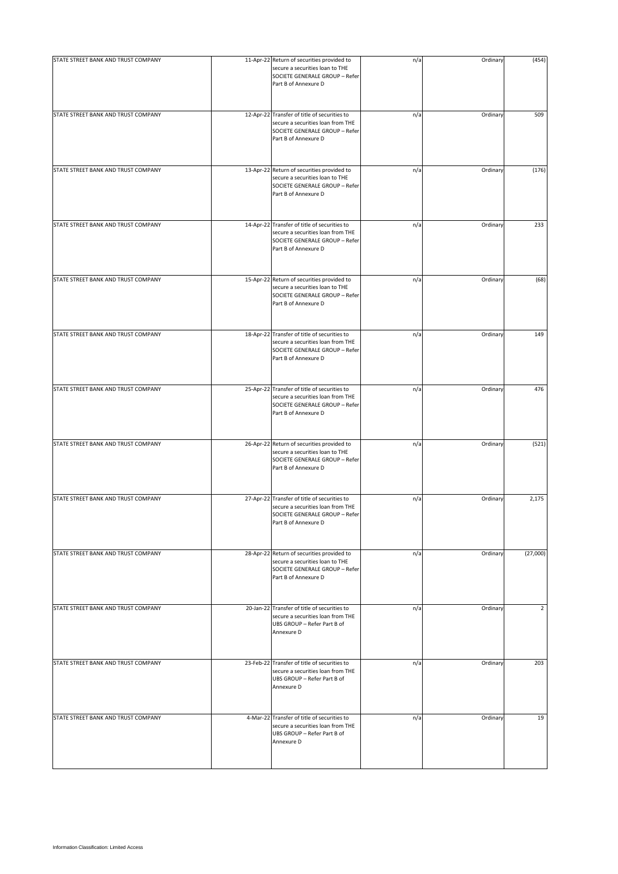| STATE STREET BANK AND TRUST COMPANY | 11-Apr-22 Return of securities provided to<br>secure a securities loan to THE<br>SOCIETE GENERALE GROUP - Refer<br>Part B of Annexure D     | n/a | Ordinary | (454)            |
|-------------------------------------|---------------------------------------------------------------------------------------------------------------------------------------------|-----|----------|------------------|
| STATE STREET BANK AND TRUST COMPANY | 12-Apr-22 Transfer of title of securities to<br>secure a securities loan from THE<br>SOCIETE GENERALE GROUP - Refer<br>Part B of Annexure D | n/a | Ordinary | 509              |
| STATE STREET BANK AND TRUST COMPANY | 13-Apr-22 Return of securities provided to<br>secure a securities loan to THE<br>SOCIETE GENERALE GROUP - Refer<br>Part B of Annexure D     | n/a | Ordinary | (176)            |
| STATE STREET BANK AND TRUST COMPANY | 14-Apr-22 Transfer of title of securities to<br>secure a securities loan from THE<br>SOCIETE GENERALE GROUP - Refer<br>Part B of Annexure D | n/a | Ordinary | 233              |
| STATE STREET BANK AND TRUST COMPANY | 15-Apr-22 Return of securities provided to<br>secure a securities loan to THE<br>SOCIETE GENERALE GROUP - Refer<br>Part B of Annexure D     | n/a | Ordinary | (68)             |
| STATE STREET BANK AND TRUST COMPANY | 18-Apr-22 Transfer of title of securities to<br>secure a securities loan from THE<br>SOCIETE GENERALE GROUP - Refer<br>Part B of Annexure D | n/a | Ordinary | 149              |
| STATE STREET BANK AND TRUST COMPANY | 25-Apr-22 Transfer of title of securities to<br>secure a securities loan from THE<br>SOCIETE GENERALE GROUP - Refer<br>Part B of Annexure D | n/a | Ordinary | 476              |
| STATE STREET BANK AND TRUST COMPANY | 26-Apr-22 Return of securities provided to<br>secure a securities loan to THE<br>SOCIETE GENERALE GROUP - Refer<br>Part B of Annexure D     | n/a | Ordinary | (521)            |
| STATE STREET BANK AND TRUST COMPANY | 27-Apr-22 Transfer of title of securities to<br>secure a securities loan from THE<br>SOCIETE GENERALE GROUP - Refer<br>Part B of Annexure D | n/a | Ordinary | 2,175            |
| STATE STREET BANK AND TRUST COMPANY | 28-Apr-22 Return of securities provided to<br>secure a securities loan to THE<br>SOCIETE GENERALE GROUP - Refer<br>Part B of Annexure D     | n/a | Ordinary | (27,000)         |
| STATE STREET BANK AND TRUST COMPANY | 20-Jan-22 Transfer of title of securities to<br>secure a securities loan from THE<br>UBS GROUP - Refer Part B of<br>Annexure D              | n/a | Ordinary | 2                |
| STATE STREET BANK AND TRUST COMPANY | 23-Feb-22 Transfer of title of securities to<br>secure a securities loan from THE<br>UBS GROUP - Refer Part B of<br>Annexure D              | n/a | Ordinary | $\overline{203}$ |
| STATE STREET BANK AND TRUST COMPANY | 4-Mar-22 Transfer of title of securities to<br>secure a securities loan from THE<br>UBS GROUP - Refer Part B of<br>Annexure D               | n/a | Ordinary | 19               |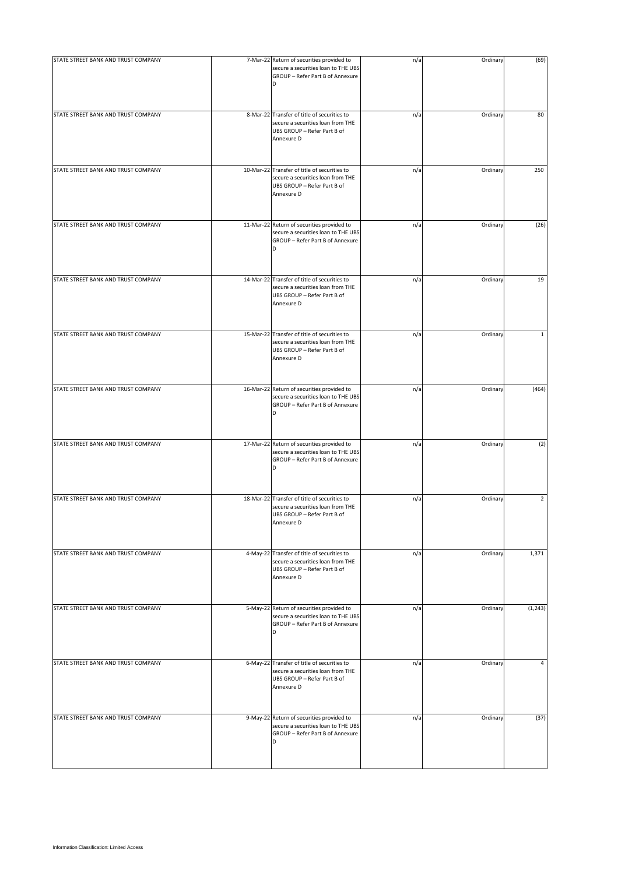| STATE STREET BANK AND TRUST COMPANY | 7-Mar-22 Return of securities provided to                                                                                      | n/a | Ordinary | (69)           |
|-------------------------------------|--------------------------------------------------------------------------------------------------------------------------------|-----|----------|----------------|
|                                     | secure a securities loan to THE UBS<br>GROUP - Refer Part B of Annexure<br>D                                                   |     |          |                |
| STATE STREET BANK AND TRUST COMPANY | 8-Mar-22 Transfer of title of securities to<br>secure a securities loan from THE<br>UBS GROUP - Refer Part B of<br>Annexure D  | n/a | Ordinary | 80             |
| STATE STREET BANK AND TRUST COMPANY | 10-Mar-22 Transfer of title of securities to<br>secure a securities loan from THE<br>UBS GROUP - Refer Part B of<br>Annexure D | n/a | Ordinary | 250            |
| STATE STREET BANK AND TRUST COMPANY | 11-Mar-22 Return of securities provided to<br>secure a securities loan to THE UBS<br>GROUP - Refer Part B of Annexure<br>D     | n/a | Ordinary | (26)           |
| STATE STREET BANK AND TRUST COMPANY | 14-Mar-22 Transfer of title of securities to<br>secure a securities loan from THE<br>UBS GROUP - Refer Part B of<br>Annexure D | n/a | Ordinary | 19             |
| STATE STREET BANK AND TRUST COMPANY | 15-Mar-22 Transfer of title of securities to<br>secure a securities loan from THE<br>UBS GROUP - Refer Part B of<br>Annexure D | n/a | Ordinary | $\mathbf{1}$   |
| STATE STREET BANK AND TRUST COMPANY | 16-Mar-22 Return of securities provided to<br>secure a securities loan to THE UBS<br>GROUP - Refer Part B of Annexure<br>D     | n/a | Ordinary | (464)          |
| STATE STREET BANK AND TRUST COMPANY | 17-Mar-22 Return of securities provided to<br>secure a securities loan to THE UBS<br>GROUP - Refer Part B of Annexure<br>D     | n/a | Ordinary | (2)            |
| STATE STREET BANK AND TRUST COMPANY | 18-Mar-22 Transfer of title of securities to<br>secure a securities loan from THE<br>UBS GROUP - Refer Part B of<br>Annexure D | n/a | Ordinary | $\overline{2}$ |
| STATE STREET BANK AND TRUST COMPANY | 4-May-22 Transfer of title of securities to<br>secure a securities loan from THE<br>UBS GROUP - Refer Part B of<br>Annexure D  | n/a | Ordinary | 1,371          |
| STATE STREET BANK AND TRUST COMPANY | 5-May-22 Return of securities provided to<br>secure a securities loan to THE UBS<br>GROUP - Refer Part B of Annexure<br>D      | n/a | Ordinary | (1, 243)       |
| STATE STREET BANK AND TRUST COMPANY | 6-May-22 Transfer of title of securities to<br>secure a securities loan from THE<br>UBS GROUP - Refer Part B of<br>Annexure D  | n/a | Ordinary | 4              |
| STATE STREET BANK AND TRUST COMPANY | 9-May-22 Return of securities provided to<br>secure a securities loan to THE UBS<br>GROUP - Refer Part B of Annexure<br>D      | n/a | Ordinary | (37)           |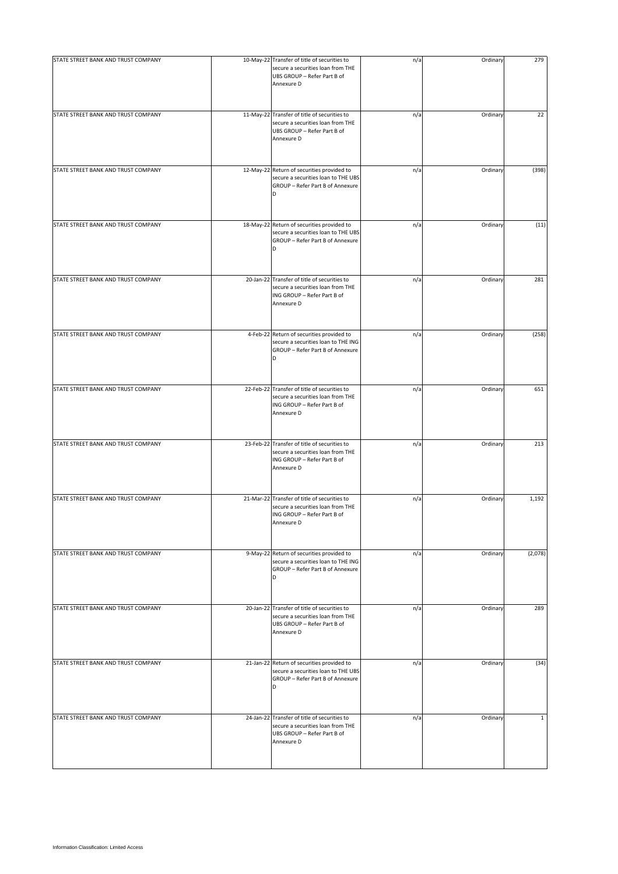| STATE STREET BANK AND TRUST COMPANY | 10-May-22 Transfer of title of securities to<br>secure a securities loan from THE<br>UBS GROUP - Refer Part B of<br>Annexure D | n/a | Ordinary | 279          |
|-------------------------------------|--------------------------------------------------------------------------------------------------------------------------------|-----|----------|--------------|
| STATE STREET BANK AND TRUST COMPANY | 11-May-22 Transfer of title of securities to<br>secure a securities loan from THE<br>UBS GROUP - Refer Part B of<br>Annexure D | n/a | Ordinary | 22           |
| STATE STREET BANK AND TRUST COMPANY | 12-May-22 Return of securities provided to<br>secure a securities loan to THE UBS<br>GROUP - Refer Part B of Annexure<br>D     | n/a | Ordinary | (398)        |
| STATE STREET BANK AND TRUST COMPANY | 18-May-22 Return of securities provided to<br>secure a securities loan to THE UBS<br>GROUP - Refer Part B of Annexure<br>D     | n/a | Ordinary | (11)         |
| STATE STREET BANK AND TRUST COMPANY | 20-Jan-22 Transfer of title of securities to<br>secure a securities loan from THE<br>ING GROUP - Refer Part B of<br>Annexure D | n/a | Ordinary | 281          |
| STATE STREET BANK AND TRUST COMPANY | 4-Feb-22 Return of securities provided to<br>secure a securities loan to THE ING<br>GROUP - Refer Part B of Annexure<br>D      | n/a | Ordinary | (258)        |
| STATE STREET BANK AND TRUST COMPANY | 22-Feb-22 Transfer of title of securities to<br>secure a securities loan from THE<br>ING GROUP - Refer Part B of<br>Annexure D | n/a | Ordinary | 651          |
| STATE STREET BANK AND TRUST COMPANY | 23-Feb-22 Transfer of title of securities to<br>secure a securities loan from THE<br>ING GROUP - Refer Part B of<br>Annexure D | n/a | Ordinary | 213          |
| STATE STREET BANK AND TRUST COMPANY | 21-Mar-22 Transfer of title of securities to<br>secure a securities loan from THE<br>ING GROUP - Refer Part B of<br>Annexure D | n/a | Ordinary | 1,192        |
| STATE STREET BANK AND TRUST COMPANY | 9-May-22 Return of securities provided to<br>secure a securities loan to THE ING<br>GROUP - Refer Part B of Annexure<br>D      | n/a | Ordinary | (2,078)      |
| STATE STREET BANK AND TRUST COMPANY | 20-Jan-22 Transfer of title of securities to<br>secure a securities loan from THE<br>UBS GROUP - Refer Part B of<br>Annexure D | n/a | Ordinary | 289          |
| STATE STREET BANK AND TRUST COMPANY | 21-Jan-22 Return of securities provided to<br>secure a securities loan to THE UBS<br>GROUP - Refer Part B of Annexure<br>D     | n/a | Ordinary | (34)         |
| STATE STREET BANK AND TRUST COMPANY | 24-Jan-22 Transfer of title of securities to<br>secure a securities loan from THE<br>UBS GROUP - Refer Part B of<br>Annexure D | n/a | Ordinary | $\mathbf{1}$ |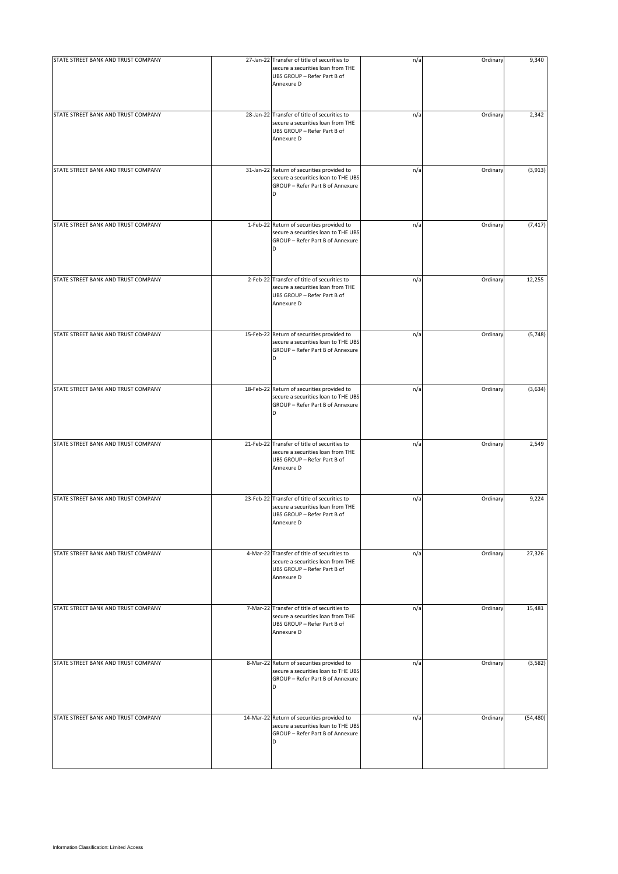| STATE STREET BANK AND TRUST COMPANY | 27-Jan-22 Transfer of title of securities to<br>secure a securities loan from THE<br>UBS GROUP - Refer Part B of<br>Annexure D | n/a | Ordinary | 9,340     |
|-------------------------------------|--------------------------------------------------------------------------------------------------------------------------------|-----|----------|-----------|
| STATE STREET BANK AND TRUST COMPANY | 28-Jan-22 Transfer of title of securities to<br>secure a securities loan from THE<br>UBS GROUP - Refer Part B of<br>Annexure D | n/a | Ordinary | 2,342     |
| STATE STREET BANK AND TRUST COMPANY | 31-Jan-22 Return of securities provided to<br>secure a securities loan to THE UBS<br>GROUP - Refer Part B of Annexure<br>D     | n/a | Ordinary | (3, 913)  |
| STATE STREET BANK AND TRUST COMPANY | 1-Feb-22 Return of securities provided to<br>secure a securities loan to THE UBS<br>GROUP - Refer Part B of Annexure<br>D      | n/a | Ordinary | (7, 417)  |
| STATE STREET BANK AND TRUST COMPANY | 2-Feb-22 Transfer of title of securities to<br>secure a securities loan from THE<br>UBS GROUP - Refer Part B of<br>Annexure D  | n/a | Ordinary | 12,255    |
| STATE STREET BANK AND TRUST COMPANY | 15-Feb-22 Return of securities provided to<br>secure a securities loan to THE UBS<br>GROUP - Refer Part B of Annexure          | n/a | Ordinary | (5,748)   |
| STATE STREET BANK AND TRUST COMPANY | 18-Feb-22 Return of securities provided to<br>secure a securities loan to THE UBS<br>GROUP - Refer Part B of Annexure<br>D     | n/a | Ordinary | (3,634)   |
| STATE STREET BANK AND TRUST COMPANY | 21-Feb-22 Transfer of title of securities to<br>secure a securities loan from THE<br>UBS GROUP - Refer Part B of<br>Annexure D | n/a | Ordinary | 2,549     |
| STATE STREET BANK AND TRUST COMPANY | 23-Feb-22 Transfer of title of securities to<br>secure a securities loan from THE<br>UBS GROUP - Refer Part B of<br>Annexure D | n/a | Ordinary | 9,224     |
| STATE STREET BANK AND TRUST COMPANY | 4-Mar-22 Transfer of title of securities to<br>secure a securities loan from THE<br>UBS GROUP - Refer Part B of<br>Annexure D  | n/a | Ordinary | 27,326    |
| STATE STREET BANK AND TRUST COMPANY | 7-Mar-22 Transfer of title of securities to<br>secure a securities loan from THE<br>UBS GROUP - Refer Part B of<br>Annexure D  | n/a | Ordinary | 15,481    |
| STATE STREET BANK AND TRUST COMPANY | 8-Mar-22 Return of securities provided to<br>secure a securities loan to THE UBS<br>GROUP - Refer Part B of Annexure<br>D      | n/a | Ordinary | (3,582)   |
| STATE STREET BANK AND TRUST COMPANY | 14-Mar-22 Return of securities provided to<br>secure a securities loan to THE UBS<br>GROUP - Refer Part B of Annexure<br>D     | n/a | Ordinary | (54, 480) |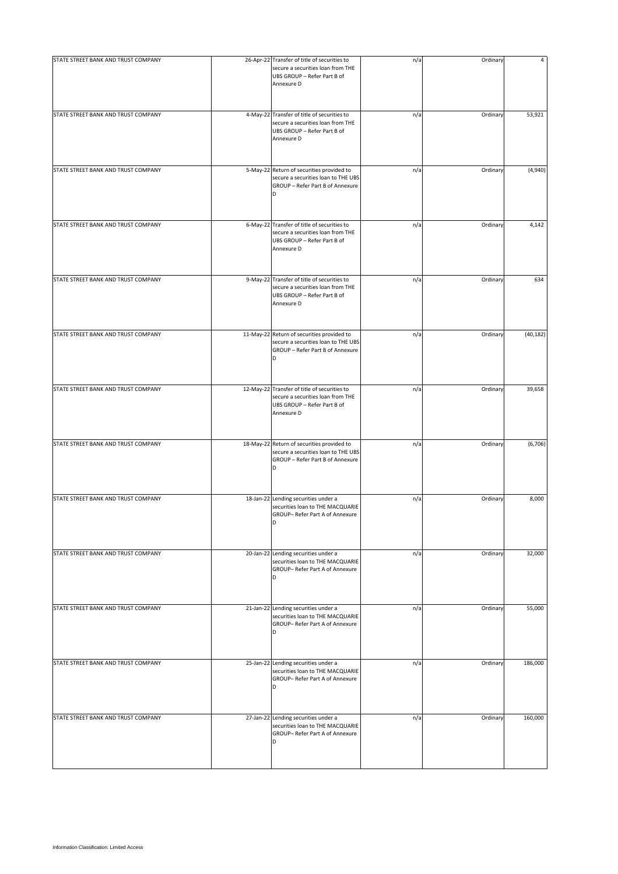| STATE STREET BANK AND TRUST COMPANY | 26-Apr-22 Transfer of title of securities to<br>secure a securities loan from THE<br>UBS GROUP - Refer Part B of               | n/a | Ordinary | 4         |
|-------------------------------------|--------------------------------------------------------------------------------------------------------------------------------|-----|----------|-----------|
|                                     | Annexure D                                                                                                                     |     |          |           |
| STATE STREET BANK AND TRUST COMPANY | 4-May-22 Transfer of title of securities to<br>secure a securities loan from THE<br>UBS GROUP - Refer Part B of<br>Annexure D  | n/a | Ordinary | 53,921    |
| STATE STREET BANK AND TRUST COMPANY | 5-May-22 Return of securities provided to<br>secure a securities loan to THE UBS<br>GROUP - Refer Part B of Annexure<br>D      | n/a | Ordinary | (4,940)   |
| STATE STREET BANK AND TRUST COMPANY | 6-May-22 Transfer of title of securities to<br>secure a securities loan from THE<br>UBS GROUP - Refer Part B of<br>Annexure D  | n/a | Ordinary | 4,142     |
| STATE STREET BANK AND TRUST COMPANY | 9-May-22 Transfer of title of securities to<br>secure a securities loan from THE<br>UBS GROUP - Refer Part B of<br>Annexure D  | n/a | Ordinary | 634       |
| STATE STREET BANK AND TRUST COMPANY | 11-May-22 Return of securities provided to<br>secure a securities loan to THE UBS<br>GROUP - Refer Part B of Annexure<br>D     | n/a | Ordinary | (40, 182) |
| STATE STREET BANK AND TRUST COMPANY | 12-May-22 Transfer of title of securities to<br>secure a securities loan from THE<br>UBS GROUP - Refer Part B of<br>Annexure D | n/a | Ordinary | 39,658    |
| STATE STREET BANK AND TRUST COMPANY | 18-May-22 Return of securities provided to<br>secure a securities loan to THE UBS<br>GROUP - Refer Part B of Annexure<br>D     | n/a | Ordinary | (6,706)   |
| STATE STREET BANK AND TRUST COMPANY | 18-Jan-22 Lending securities under a<br>securities loan to THE MACQUARIE<br>GROUP- Refer Part A of Annexure<br>D               | n/a | Ordinary | 8,000     |
| STATE STREET BANK AND TRUST COMPANY | 20-Jan-22 Lending securities under a<br>securities loan to THE MACQUARIE<br>GROUP- Refer Part A of Annexure<br>D               | n/a | Ordinary | 32,000    |
| STATE STREET BANK AND TRUST COMPANY | 21-Jan-22 Lending securities under a<br>securities loan to THE MACQUARIE<br>GROUP- Refer Part A of Annexure<br>D               | n/a | Ordinary | 55,000    |
| STATE STREET BANK AND TRUST COMPANY | 25-Jan-22 Lending securities under a<br>securities loan to THE MACQUARIE<br>GROUP- Refer Part A of Annexure<br>D               | n/a | Ordinary | 186,000   |
| STATE STREET BANK AND TRUST COMPANY | 27-Jan-22 Lending securities under a<br>securities loan to THE MACQUARIE<br>GROUP- Refer Part A of Annexure<br>D               | n/a | Ordinary | 160,000   |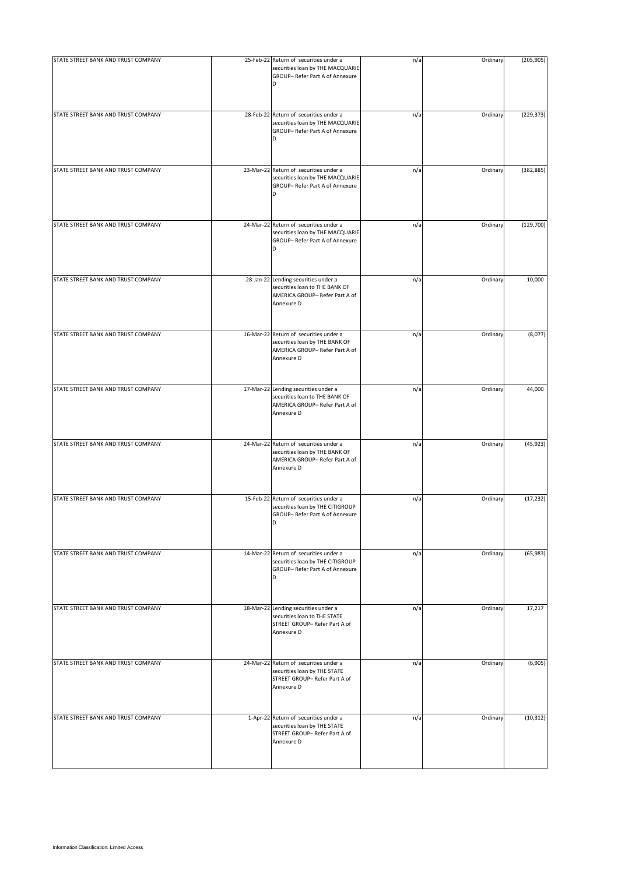| STATE STREET BANK AND TRUST COMPANY | 25-Feb-22 Return of securities under a                                                                                   | n/a | Ordinary | (205, 905) |
|-------------------------------------|--------------------------------------------------------------------------------------------------------------------------|-----|----------|------------|
|                                     | securities loan by THE MACQUARIE<br>GROUP-Refer Part A of Annexure<br>D                                                  |     |          |            |
| STATE STREET BANK AND TRUST COMPANY | 28-Feb-22 Return of securities under a<br>securities loan by THE MACQUARIE<br>GROUP- Refer Part A of Annexure<br>D       | n/a | Ordinary | (229, 373) |
| STATE STREET BANK AND TRUST COMPANY | 23-Mar-22 Return of securities under a<br>securities loan by THE MACQUARIE<br>GROUP- Refer Part A of Annexure<br>D       | n/a | Ordinary | (382, 885) |
| STATE STREET BANK AND TRUST COMPANY | 24-Mar-22 Return of securities under a<br>securities loan by THE MACQUARIE<br>GROUP- Refer Part A of Annexure<br>D       | n/a | Ordinary | (129, 700) |
| STATE STREET BANK AND TRUST COMPANY | 28-Jan-22 Lending securities under a<br>securities loan to THE BANK OF<br>AMERICA GROUP- Refer Part A of<br>Annexure D   | n/a | Ordinary | 10,000     |
| STATE STREET BANK AND TRUST COMPANY | 16-Mar-22 Return of securities under a<br>securities loan by THE BANK OF<br>AMERICA GROUP- Refer Part A of<br>Annexure D | n/a | Ordinary | (8,077)    |
| STATE STREET BANK AND TRUST COMPANY | 17-Mar-22 Lending securities under a<br>securities loan to THE BANK OF<br>AMERICA GROUP- Refer Part A of<br>Annexure D   | n/a | Ordinary | 44,000     |
| STATE STREET BANK AND TRUST COMPANY | 24-Mar-22 Return of securities under a<br>securities loan by THE BANK OF<br>AMERICA GROUP-Refer Part A of<br>Annexure D  | n/a | Ordinary | (45, 923)  |
| STATE STREET BANK AND TRUST COMPANY | 15-Feb-22 Return of securities under a<br>securities loan by THE CITIGROUP<br>GROUP- Refer Part A of Annexure<br>D       | n/a | Ordinary | (17, 232)  |
| STATE STREET BANK AND TRUST COMPANY | 14-Mar-22 Return of securities under a<br>securities loan by THE CITIGROUP<br>GROUP- Refer Part A of Annexure<br>D       | n/a | Ordinary | (65, 983)  |
| STATE STREET BANK AND TRUST COMPANY | 18-Mar-22 Lending securities under a<br>securities loan to THE STATE<br>STREET GROUP- Refer Part A of<br>Annexure D      | n/a | Ordinary | 17,217     |
| STATE STREET BANK AND TRUST COMPANY | 24-Mar-22 Return of securities under a<br>securities loan by THE STATE<br>STREET GROUP- Refer Part A of<br>Annexure D    | n/a | Ordinary | (6,905)    |
| STATE STREET BANK AND TRUST COMPANY | 1-Apr-22 Return of securities under a<br>securities loan by THE STATE<br>STREET GROUP- Refer Part A of<br>Annexure D     | n/a | Ordinary | (10, 312)  |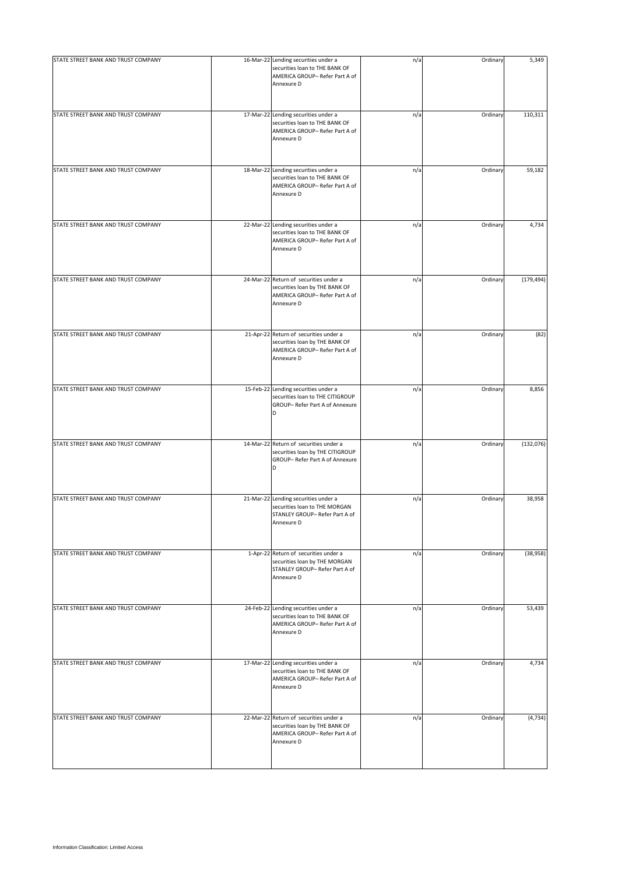| STATE STREET BANK AND TRUST COMPANY | 16-Mar-22 Lending securities under a<br>securities loan to THE BANK OF<br>AMERICA GROUP- Refer Part A of<br>Annexure D   | n/a | Ordinary | 5,349      |
|-------------------------------------|--------------------------------------------------------------------------------------------------------------------------|-----|----------|------------|
| STATE STREET BANK AND TRUST COMPANY | 17-Mar-22 Lending securities under a<br>securities loan to THE BANK OF<br>AMERICA GROUP- Refer Part A of<br>Annexure D   | n/a | Ordinary | 110,311    |
| STATE STREET BANK AND TRUST COMPANY | 18-Mar-22 Lending securities under a<br>securities loan to THE BANK OF<br>AMERICA GROUP- Refer Part A of<br>Annexure D   | n/a | Ordinary | 59,182     |
| STATE STREET BANK AND TRUST COMPANY | 22-Mar-22 Lending securities under a<br>securities loan to THE BANK OF<br>AMERICA GROUP-Refer Part A of<br>Annexure D    | n/a | Ordinary | 4,734      |
| STATE STREET BANK AND TRUST COMPANY | 24-Mar-22 Return of securities under a<br>securities loan by THE BANK OF<br>AMERICA GROUP-Refer Part A of<br>Annexure D  | n/a | Ordinary | (179, 494) |
| STATE STREET BANK AND TRUST COMPANY | 21-Apr-22 Return of securities under a<br>securities loan by THE BANK OF<br>AMERICA GROUP- Refer Part A of<br>Annexure D | n/a | Ordinary | (82)       |
| STATE STREET BANK AND TRUST COMPANY | 15-Feb-22 Lending securities under a<br>securities loan to THE CITIGROUP<br>GROUP- Refer Part A of Annexure<br>D         | n/a | Ordinary | 8,856      |
| STATE STREET BANK AND TRUST COMPANY | 14-Mar-22 Return of securities under a<br>securities loan by THE CITIGROUP<br>GROUP- Refer Part A of Annexure<br>D       | n/a | Ordinary | (132,076)  |
| STATE STREET BANK AND TRUST COMPANY | 21-Mar-22 Lending securities under a<br>securities loan to THE MORGAN<br>STANLEY GROUP- Refer Part A of<br>Annexure D    | n/a | Ordinary | 38,958     |
| STATE STREET BANK AND TRUST COMPANY | 1-Apr-22 Return of securities under a<br>securities loan by THE MORGAN<br>STANLEY GROUP- Refer Part A of<br>Annexure D   | n/a | Ordinary | (38, 958)  |
| STATE STREET BANK AND TRUST COMPANY | 24-Feb-22 Lending securities under a<br>securities loan to THE BANK OF<br>AMERICA GROUP- Refer Part A of<br>Annexure D   | n/a | Ordinary | 53,439     |
| STATE STREET BANK AND TRUST COMPANY | 17-Mar-22 Lending securities under a<br>securities loan to THE BANK OF<br>AMERICA GROUP- Refer Part A of<br>Annexure D   | n/a | Ordinary | 4,734      |
| STATE STREET BANK AND TRUST COMPANY | 22-Mar-22 Return of securities under a<br>securities loan by THE BANK OF<br>AMERICA GROUP-Refer Part A of<br>Annexure D  | n/a | Ordinary | (4, 734)   |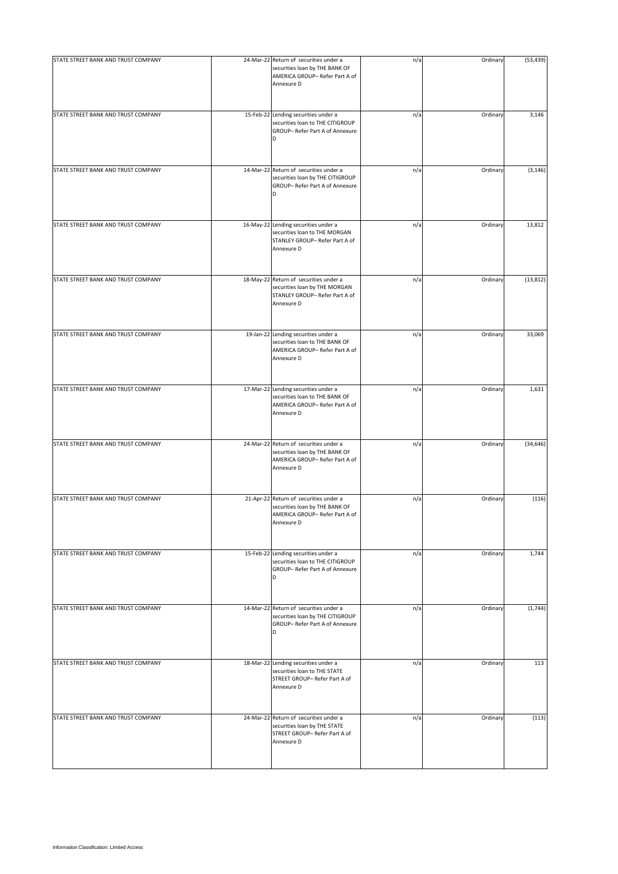| STATE STREET BANK AND TRUST COMPANY | 24-Mar-22 Return of securities under a<br>securities loan by THE BANK OF<br>AMERICA GROUP- Refer Part A of<br>Annexure D | n/a | Ordinary | (53, 439) |
|-------------------------------------|--------------------------------------------------------------------------------------------------------------------------|-----|----------|-----------|
| STATE STREET BANK AND TRUST COMPANY | 15-Feb-22 Lending securities under a<br>securities loan to THE CITIGROUP<br>GROUP- Refer Part A of Annexure<br>D         | n/a | Ordinary | 3,146     |
| STATE STREET BANK AND TRUST COMPANY | 14-Mar-22 Return of securities under a<br>securities loan by THE CITIGROUP<br>GROUP- Refer Part A of Annexure<br>D       | n/a | Ordinary | (3, 146)  |
| STATE STREET BANK AND TRUST COMPANY | 16-May-22 Lending securities under a<br>securities loan to THE MORGAN<br>STANLEY GROUP- Refer Part A of<br>Annexure D    | n/a | Ordinary | 13,812    |
| STATE STREET BANK AND TRUST COMPANY | 18-May-22 Return of securities under a<br>securities loan by THE MORGAN<br>STANLEY GROUP- Refer Part A of<br>Annexure D  | n/a | Ordinary | (13, 812) |
| STATE STREET BANK AND TRUST COMPANY | 19-Jan-22 Lending securities under a<br>securities loan to THE BANK OF<br>AMERICA GROUP- Refer Part A of<br>Annexure D   | n/a | Ordinary | 33,069    |
| STATE STREET BANK AND TRUST COMPANY | 17-Mar-22 Lending securities under a<br>securities loan to THE BANK OF<br>AMERICA GROUP- Refer Part A of<br>Annexure D   | n/a | Ordinary | 1,631     |
| STATE STREET BANK AND TRUST COMPANY | 24-Mar-22 Return of securities under a<br>securities loan by THE BANK OF<br>AMERICA GROUP- Refer Part A of<br>Annexure D | n/a | Ordinary | (34, 646) |
| STATE STREET BANK AND TRUST COMPANY | 21-Apr-22 Return of securities under a<br>securities loan by THE BANK OF<br>AMERICA GROUP- Refer Part A of<br>Annexure D | n/a | Ordinary | (116)     |
| STATE STREET BANK AND TRUST COMPANY | 15-Feb-22 Lending securities under a<br>securities loan to THE CITIGROUP<br>GROUP- Refer Part A of Annexure<br>D         | n/a | Ordinary | 1,744     |
| STATE STREET BANK AND TRUST COMPANY | 14-Mar-22 Return of securities under a<br>securities loan by THE CITIGROUP<br>GROUP- Refer Part A of Annexure<br>D       | n/a | Ordinary | (1,744)   |
| STATE STREET BANK AND TRUST COMPANY | 18-Mar-22 Lending securities under a<br>securities loan to THE STATE<br>STREET GROUP- Refer Part A of<br>Annexure D      | n/a | Ordinary | 113       |
| STATE STREET BANK AND TRUST COMPANY | 24-Mar-22 Return of securities under a<br>securities loan by THE STATE<br>STREET GROUP- Refer Part A of<br>Annexure D    | n/a | Ordinary | (113)     |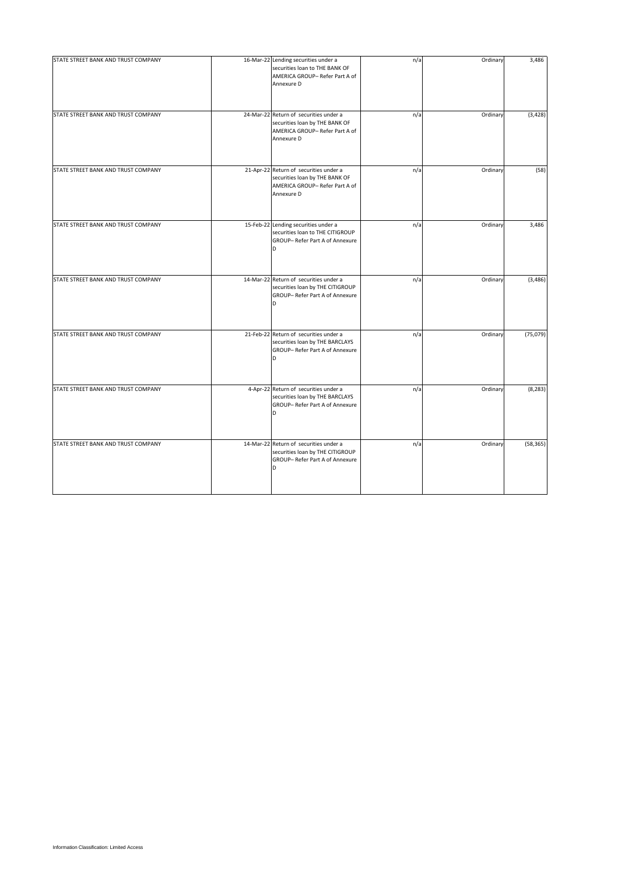| STATE STREET BANK AND TRUST COMPANY | 16-Mar-22 Lending securities under a<br>securities loan to THE BANK OF<br>AMERICA GROUP- Refer Part A of<br>Annexure D  | n/a | Ordinary | 3,486     |
|-------------------------------------|-------------------------------------------------------------------------------------------------------------------------|-----|----------|-----------|
| STATE STREET BANK AND TRUST COMPANY | 24-Mar-22 Return of securities under a<br>securities loan by THE BANK OF<br>AMERICA GROUP-Refer Part A of<br>Annexure D | n/a | Ordinary | (3, 428)  |
| STATE STREET BANK AND TRUST COMPANY | 21-Apr-22 Return of securities under a<br>securities loan by THE BANK OF<br>AMERICA GROUP-Refer Part A of<br>Annexure D | n/a | Ordinary | (58)      |
| STATE STREET BANK AND TRUST COMPANY | 15-Feb-22 Lending securities under a<br>securities loan to THE CITIGROUP<br>GROUP- Refer Part A of Annexure<br>D        | n/a | Ordinary | 3,486     |
| STATE STREET BANK AND TRUST COMPANY | 14-Mar-22 Return of securities under a<br>securities loan by THE CITIGROUP<br>GROUP- Refer Part A of Annexure<br>D      | n/a | Ordinary | (3, 486)  |
| STATE STREET BANK AND TRUST COMPANY | 21-Feb-22 Return of securities under a<br>securities loan by THE BARCLAYS<br>GROUP- Refer Part A of Annexure<br>D       | n/a | Ordinary | (75,079)  |
| STATE STREET BANK AND TRUST COMPANY | 4-Apr-22 Return of securities under a<br>securities loan by THE BARCLAYS<br>GROUP- Refer Part A of Annexure<br>D        | n/a | Ordinary | (8, 283)  |
| STATE STREET BANK AND TRUST COMPANY | 14-Mar-22 Return of securities under a<br>securities loan by THE CITIGROUP<br>GROUP- Refer Part A of Annexure<br>D      | n/a | Ordinary | (58, 365) |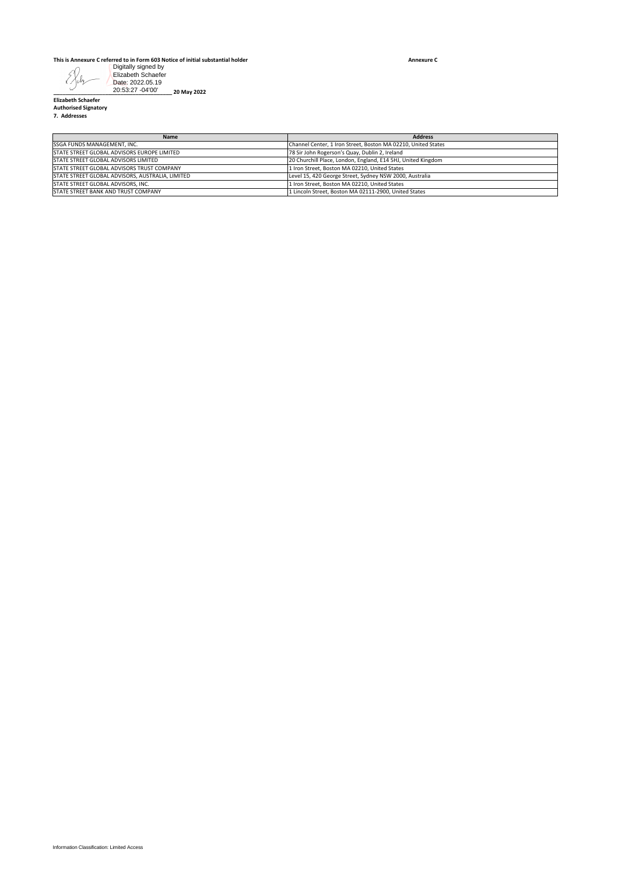## **This is Annexure C referred to in Form 603 Notice of initial substantial holder**

**Annexure C**

|  | . |
|--|---|

| 20:53:27 -04'00'<br>20 May 2022<br><b>Elizabeth Schaefer</b><br><b>Authorised Signatory</b><br>7. Addresses |                                                                                                                 |
|-------------------------------------------------------------------------------------------------------------|-----------------------------------------------------------------------------------------------------------------|
| Name                                                                                                        | <b>Address</b>                                                                                                  |
| SSGA FUNDS MANAGEMENT, INC.<br>STATE STREET GLOBAL ADVISORS EUROPE LIMITED                                  | Channel Center, 1 Iron Street, Boston MA 02210, United States<br>78 Sir John Rogerson's Quay, Dublin 2, Ireland |
| STATE STREET GLOBAL ADVISORS LIMITED                                                                        | 20 Churchill Place, London, England, E14 5HJ, United Kingdom                                                    |
| STATE STREET GLOBAL ADVISORS TRUST COMPANY                                                                  | 1 Iron Street, Boston MA 02210, United States                                                                   |
| STATE STREET GLOBAL ADVISORS, AUSTRALIA, LIMITED                                                            | Level 15, 420 George Street, Sydney NSW 2000, Australia                                                         |
| STATE STREET GLOBAL ADVISORS, INC.                                                                          | 1 Iron Street, Boston MA 02210, United States                                                                   |
| STATE STREET BANK AND TRUST COMPANY                                                                         | 1 Lincoln Street, Boston MA 02111-2900, United States                                                           |
|                                                                                                             |                                                                                                                 |
|                                                                                                             |                                                                                                                 |
|                                                                                                             |                                                                                                                 |
|                                                                                                             |                                                                                                                 |
|                                                                                                             |                                                                                                                 |
|                                                                                                             |                                                                                                                 |
|                                                                                                             |                                                                                                                 |
|                                                                                                             |                                                                                                                 |
|                                                                                                             |                                                                                                                 |
|                                                                                                             |                                                                                                                 |
|                                                                                                             |                                                                                                                 |
|                                                                                                             |                                                                                                                 |
|                                                                                                             |                                                                                                                 |
|                                                                                                             |                                                                                                                 |
|                                                                                                             |                                                                                                                 |
|                                                                                                             |                                                                                                                 |
|                                                                                                             |                                                                                                                 |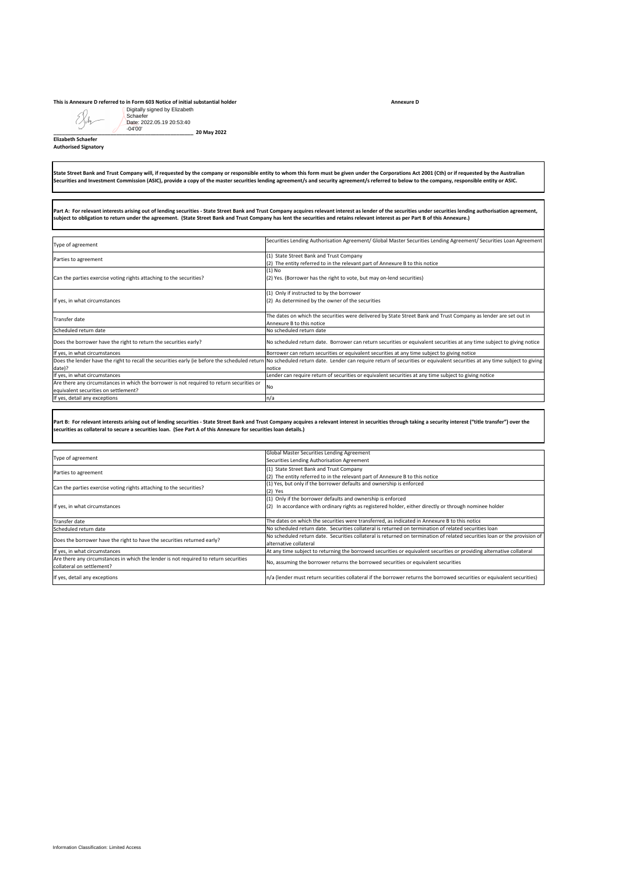## **This is Annexure D referred to in Form 603 Notice of initial substantial holder**

## State Street Bank and Trust Company will, if requested by the company or responsible entity to whom this form must be given under the Corporations Act 2001 (Cth) or if requested by the Australian<br>Securities and Investment

| Digitally signed by Elizabeth<br>Schaefer<br>Date: 2022.05.19 20:53:40                                                                                                           |                                                                                                                                                                                                                                                                                                                                                                                                        |
|----------------------------------------------------------------------------------------------------------------------------------------------------------------------------------|--------------------------------------------------------------------------------------------------------------------------------------------------------------------------------------------------------------------------------------------------------------------------------------------------------------------------------------------------------------------------------------------------------|
| $-04'00'$<br>20 May 2022<br><b>Elizabeth Schaefer</b><br><b>Authorised Signatory</b>                                                                                             |                                                                                                                                                                                                                                                                                                                                                                                                        |
|                                                                                                                                                                                  | State Street Bank and Trust Company will, if requested by the company or responsible entity to whom this form must be given under the Corporations Act 2001 (Cth) or if requested by the Australian<br>Securities and Investment Commission (ASIC), provide a copy of the master securities lending agreement/s and security agreement/s referred to below to the company, responsible entity or ASIC. |
| subject to obligation to return under the agreement. (State Street Bank and Trust Company has lent the securities and retains relevant interest as per Part B of this Annexure.) | Part A: For relevant interests arising out of lending securities - State Street Bank and Trust Company acquires relevant interest as lender of the securities under securities lending authorisation agreement,                                                                                                                                                                                        |
| Type of agreement                                                                                                                                                                | Securities Lending Authorisation Agreement/ Global Master Securities Lending Agreement/ Securities Loan Agreement                                                                                                                                                                                                                                                                                      |
| Parties to agreement                                                                                                                                                             | (1) State Street Bank and Trust Company<br>(2) The entity referred to in the relevant part of Annexure B to this notice                                                                                                                                                                                                                                                                                |
| Can the parties exercise voting rights attaching to the securities?                                                                                                              | $(1)$ No<br>(2) Yes. (Borrower has the right to vote, but may on-lend securities)                                                                                                                                                                                                                                                                                                                      |
| If yes, in what circumstances                                                                                                                                                    | (1) Only if instructed to by the borrower<br>(2) As determined by the owner of the securities                                                                                                                                                                                                                                                                                                          |
| Transfer date                                                                                                                                                                    | The dates on which the securities were delivered by State Street Bank and Trust Company as lender are set out in<br>Annexure B to this notice                                                                                                                                                                                                                                                          |
| Scheduled return date                                                                                                                                                            | No scheduled return date                                                                                                                                                                                                                                                                                                                                                                               |
| Does the borrower have the right to return the securities early?<br>If yes, in what circumstances                                                                                | No scheduled return date. Borrower can return securities or equivalent securities at any time subject to giving notice<br>Borrower can return securities or equivalent securities at any time subject to giving notice                                                                                                                                                                                 |
| Does the lender have the right to recall the securities early (ie before the scheduled return                                                                                    | No scheduled return date. Lender can require return of securities or equivalent securities at any time subject to giving<br>notice                                                                                                                                                                                                                                                                     |
| date)?<br>If yes, in what circumstances                                                                                                                                          | Lender can require return of securities or equivalent securities at any time subject to giving notice                                                                                                                                                                                                                                                                                                  |
| Are there any circumstances in which the borrower is not required to return securities or<br>equivalent securities on settlement?                                                | No                                                                                                                                                                                                                                                                                                                                                                                                     |
| If yes, detail any exceptions                                                                                                                                                    | n/a                                                                                                                                                                                                                                                                                                                                                                                                    |
| securities as collateral to secure a securities Ioan. (See Part A of this Annexure for securities Ioan details.)                                                                 | Part B: For relevant interests arising out of lending securities - State Street Bank and Trust Company acquires a relevant interest in securities through taking a security interest ("title transfer") over the                                                                                                                                                                                       |
| Type of agreement                                                                                                                                                                | Global Master Securities Lending Agreement                                                                                                                                                                                                                                                                                                                                                             |
| Parties to agreement                                                                                                                                                             | Securities Lending Authorisation Agreement<br>(1) State Street Bank and Trust Company                                                                                                                                                                                                                                                                                                                  |
|                                                                                                                                                                                  | (2) The entity referred to in the relevant part of Annexure B to this notice<br>(1) Yes, but only if the borrower defaults and ownership is enforced                                                                                                                                                                                                                                                   |
| Can the parties exercise voting rights attaching to the securities?<br>If yes, in what circumstances                                                                             | $(2)$ Yes<br>(1) Only if the borrower defaults and ownership is enforced<br>(2) In accordance with ordinary rights as registered holder, either directly or through nominee holder                                                                                                                                                                                                                     |
| <b>Transfer date</b>                                                                                                                                                             | The dates on which the securities were transferred, as indicated in Annexure B to this notice                                                                                                                                                                                                                                                                                                          |
| Scheduled return date                                                                                                                                                            | No scheduled return date. Securities collateral is returned on termination of related securities loan<br>No scheduled return date. Securities collateral is returned on termination of related securities loan or the provision of                                                                                                                                                                     |
| Does the borrower have the right to have the securities returned early?                                                                                                          | alternative collateral                                                                                                                                                                                                                                                                                                                                                                                 |
| If yes, in what circumstances<br>Are there any circumstances in which the lender is not required to return securities<br>collateral on settlement?                               | At any time subject to returning the borrowed securities or equivalent securities or providing alternative collateral<br>No, assuming the borrower returns the borrowed securities or equivalent securities                                                                                                                                                                                            |
| If yes, detail any exceptions                                                                                                                                                    | n/a (lender must return securities collateral if the borrower returns the borrowed securities or equivalent securities)                                                                                                                                                                                                                                                                                |
|                                                                                                                                                                                  |                                                                                                                                                                                                                                                                                                                                                                                                        |
| Information Classification: Limited Access                                                                                                                                       |                                                                                                                                                                                                                                                                                                                                                                                                        |

|                                                                                      | Global Master Securities Lending Agreement                                                                                |
|--------------------------------------------------------------------------------------|---------------------------------------------------------------------------------------------------------------------------|
| Type of agreement                                                                    | Securities Lending Authorisation Agreement                                                                                |
| Parties to agreement                                                                 | (1) State Street Bank and Trust Company                                                                                   |
|                                                                                      | (2) The entity referred to in the relevant part of Annexure B to this notice                                              |
| Can the parties exercise voting rights attaching to the securities?                  | (1) Yes, but only if the borrower defaults and ownership is enforced                                                      |
|                                                                                      | (2) Yes                                                                                                                   |
|                                                                                      | (1) Only if the borrower defaults and ownership is enforced                                                               |
| If yes, in what circumstances                                                        | In accordance with ordinary rights as registered holder, either directly or through nominee holder<br>(2)                 |
|                                                                                      |                                                                                                                           |
| Transfer date                                                                        | The dates on which the securities were transferred, as indicated in Annexure B to this notice                             |
| Scheduled return date                                                                | No scheduled return date. Securities collateral is returned on termination of related securities loan                     |
| Does the borrower have the right to have the securities returned early?              | No scheduled return date. Securities collateral is returned on termination of related securities loan or the provision of |
|                                                                                      | alternative collateral                                                                                                    |
| If yes, in what circumstances                                                        | At any time subject to returning the borrowed securities or equivalent securities or providing alternative collateral     |
| Are there any circumstances in which the lender is not required to return securities |                                                                                                                           |
| collateral on settlement?                                                            | No, assuming the borrower returns the borrowed securities or equivalent securities                                        |
| If yes, detail any exceptions                                                        | n/a (lender must return securities collateral if the borrower returns the borrowed securities or equivalent securities)   |

**Annexure D**